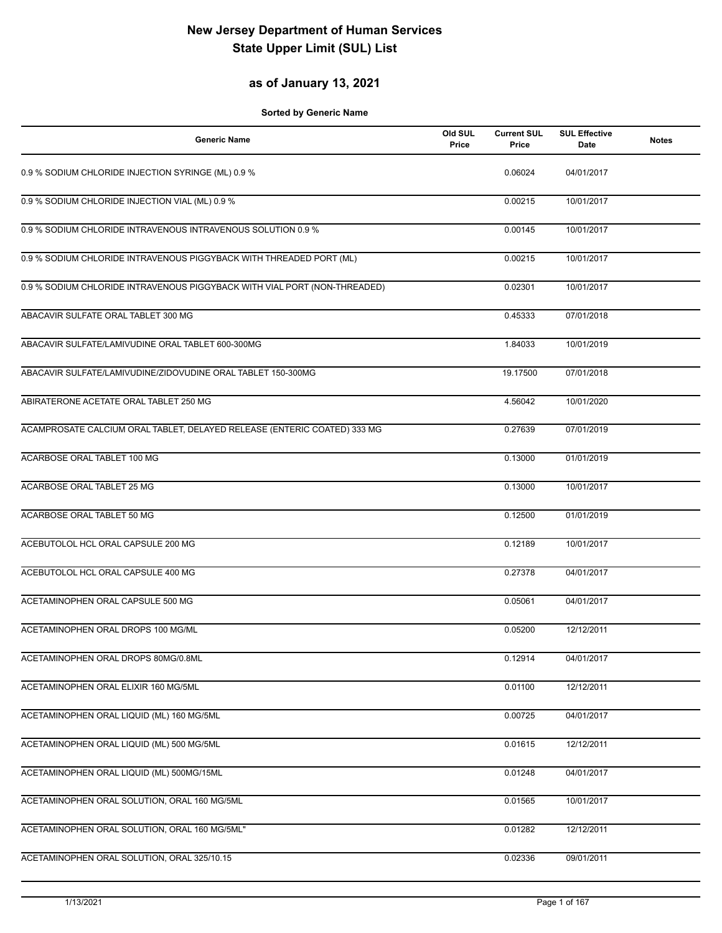## **as of January 13, 2021**

| <b>Generic Name</b>                                                       | Old SUL<br>Price | <b>Current SUL</b><br>Price | <b>SUL Effective</b><br>Date | <b>Notes</b> |
|---------------------------------------------------------------------------|------------------|-----------------------------|------------------------------|--------------|
| 0.9 % SODIUM CHLORIDE INJECTION SYRINGE (ML) 0.9 %                        |                  | 0.06024                     | 04/01/2017                   |              |
| 0.9 % SODIUM CHLORIDE INJECTION VIAL (ML) 0.9 %                           |                  | 0.00215                     | 10/01/2017                   |              |
| 0.9 % SODIUM CHLORIDE INTRAVENOUS INTRAVENOUS SOLUTION 0.9 %              |                  | 0.00145                     | 10/01/2017                   |              |
| 0.9 % SODIUM CHLORIDE INTRAVENOUS PIGGYBACK WITH THREADED PORT (ML)       |                  | 0.00215                     | 10/01/2017                   |              |
| 0.9 % SODIUM CHLORIDE INTRAVENOUS PIGGYBACK WITH VIAL PORT (NON-THREADED) |                  | 0.02301                     | 10/01/2017                   |              |
| ABACAVIR SULFATE ORAL TABLET 300 MG                                       |                  | 0.45333                     | 07/01/2018                   |              |
| ABACAVIR SULFATE/LAMIVUDINE ORAL TABLET 600-300MG                         |                  | 1.84033                     | 10/01/2019                   |              |
| ABACAVIR SULFATE/LAMIVUDINE/ZIDOVUDINE ORAL TABLET 150-300MG              |                  | 19.17500                    | 07/01/2018                   |              |
| ABIRATERONE ACETATE ORAL TABLET 250 MG                                    |                  | 4.56042                     | 10/01/2020                   |              |
| ACAMPROSATE CALCIUM ORAL TABLET, DELAYED RELEASE (ENTERIC COATED) 333 MG  |                  | 0.27639                     | 07/01/2019                   |              |
| ACARBOSE ORAL TABLET 100 MG                                               |                  | 0.13000                     | 01/01/2019                   |              |
| ACARBOSE ORAL TABLET 25 MG                                                |                  | 0.13000                     | 10/01/2017                   |              |
| ACARBOSE ORAL TABLET 50 MG                                                |                  | 0.12500                     | 01/01/2019                   |              |
| ACEBUTOLOL HCL ORAL CAPSULE 200 MG                                        |                  | 0.12189                     | 10/01/2017                   |              |
| ACEBUTOLOL HCL ORAL CAPSULE 400 MG                                        |                  | 0.27378                     | 04/01/2017                   |              |
| ACETAMINOPHEN ORAL CAPSULE 500 MG                                         |                  | 0.05061                     | 04/01/2017                   |              |
| ACETAMINOPHEN ORAL DROPS 100 MG/ML                                        |                  | 0.05200                     | 12/12/2011                   |              |
| ACETAMINOPHEN ORAL DROPS 80MG/0.8ML                                       |                  | 0.12914                     | 04/01/2017                   |              |
| ACETAMINOPHEN ORAL ELIXIR 160 MG/5ML                                      |                  | 0.01100                     | 12/12/2011                   |              |
| ACETAMINOPHEN ORAL LIQUID (ML) 160 MG/5ML                                 |                  | 0.00725                     | 04/01/2017                   |              |
| ACETAMINOPHEN ORAL LIQUID (ML) 500 MG/5ML                                 |                  | 0.01615                     | 12/12/2011                   |              |
| ACETAMINOPHEN ORAL LIQUID (ML) 500MG/15ML                                 |                  | 0.01248                     | 04/01/2017                   |              |
| ACETAMINOPHEN ORAL SOLUTION, ORAL 160 MG/5ML                              |                  | 0.01565                     | 10/01/2017                   |              |
| ACETAMINOPHEN ORAL SOLUTION, ORAL 160 MG/5ML"                             |                  | 0.01282                     | 12/12/2011                   |              |
| ACETAMINOPHEN ORAL SOLUTION, ORAL 325/10.15                               |                  | 0.02336                     | 09/01/2011                   |              |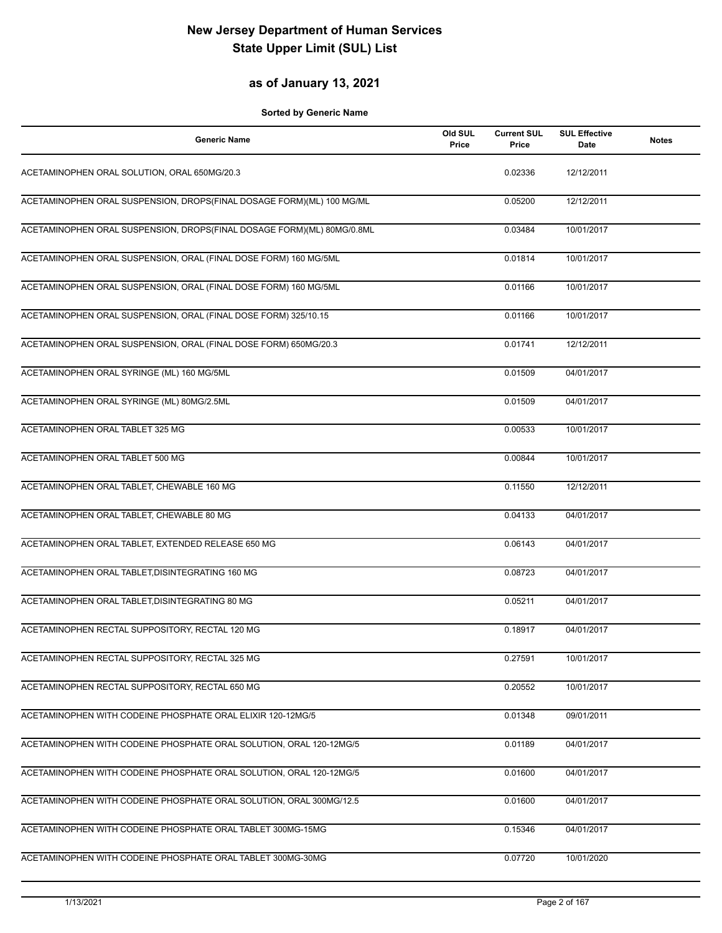### **as of January 13, 2021**

| <b>Generic Name</b>                                                    | Old SUL<br>Price | <b>Current SUL</b><br>Price | <b>SUL Effective</b><br><b>Date</b> | <b>Notes</b> |
|------------------------------------------------------------------------|------------------|-----------------------------|-------------------------------------|--------------|
| ACETAMINOPHEN ORAL SOLUTION, ORAL 650MG/20.3                           |                  | 0.02336                     | 12/12/2011                          |              |
| ACETAMINOPHEN ORAL SUSPENSION, DROPS(FINAL DOSAGE FORM)(ML) 100 MG/ML  |                  | 0.05200                     | 12/12/2011                          |              |
| ACETAMINOPHEN ORAL SUSPENSION, DROPS(FINAL DOSAGE FORM)(ML) 80MG/0.8ML |                  | 0.03484                     | 10/01/2017                          |              |
| ACETAMINOPHEN ORAL SUSPENSION, ORAL (FINAL DOSE FORM) 160 MG/5ML       |                  | 0.01814                     | 10/01/2017                          |              |
| ACETAMINOPHEN ORAL SUSPENSION, ORAL (FINAL DOSE FORM) 160 MG/5ML       |                  | 0.01166                     | 10/01/2017                          |              |
| ACETAMINOPHEN ORAL SUSPENSION, ORAL (FINAL DOSE FORM) 325/10.15        |                  | 0.01166                     | 10/01/2017                          |              |
| ACETAMINOPHEN ORAL SUSPENSION, ORAL (FINAL DOSE FORM) 650MG/20.3       |                  | 0.01741                     | 12/12/2011                          |              |
| ACETAMINOPHEN ORAL SYRINGE (ML) 160 MG/5ML                             |                  | 0.01509                     | 04/01/2017                          |              |
| ACETAMINOPHEN ORAL SYRINGE (ML) 80MG/2.5ML                             |                  | 0.01509                     | 04/01/2017                          |              |
| ACETAMINOPHEN ORAL TABLET 325 MG                                       |                  | 0.00533                     | 10/01/2017                          |              |
| ACETAMINOPHEN ORAL TABLET 500 MG                                       |                  | 0.00844                     | 10/01/2017                          |              |
| ACETAMINOPHEN ORAL TABLET, CHEWABLE 160 MG                             |                  | 0.11550                     | 12/12/2011                          |              |
| ACETAMINOPHEN ORAL TABLET, CHEWABLE 80 MG                              |                  | 0.04133                     | 04/01/2017                          |              |
| ACETAMINOPHEN ORAL TABLET, EXTENDED RELEASE 650 MG                     |                  | 0.06143                     | 04/01/2017                          |              |
| ACETAMINOPHEN ORAL TABLET, DISINTEGRATING 160 MG                       |                  | 0.08723                     | 04/01/2017                          |              |
| ACETAMINOPHEN ORAL TABLET, DISINTEGRATING 80 MG                        |                  | 0.05211                     | 04/01/2017                          |              |
| ACETAMINOPHEN RECTAL SUPPOSITORY, RECTAL 120 MG                        |                  | 0.18917                     | 04/01/2017                          |              |
| ACETAMINOPHEN RECTAL SUPPOSITORY, RECTAL 325 MG                        |                  | 0.27591                     | 10/01/2017                          |              |
| ACETAMINOPHEN RECTAL SUPPOSITORY, RECTAL 650 MG                        |                  | 0.20552                     | 10/01/2017                          |              |
| ACETAMINOPHEN WITH CODEINE PHOSPHATE ORAL ELIXIR 120-12MG/5            |                  | 0.01348                     | 09/01/2011                          |              |
| ACETAMINOPHEN WITH CODEINE PHOSPHATE ORAL SOLUTION, ORAL 120-12MG/5    |                  | 0.01189                     | 04/01/2017                          |              |
| ACETAMINOPHEN WITH CODEINE PHOSPHATE ORAL SOLUTION, ORAL 120-12MG/5    |                  | 0.01600                     | 04/01/2017                          |              |
| ACETAMINOPHEN WITH CODEINE PHOSPHATE ORAL SOLUTION, ORAL 300MG/12.5    |                  | 0.01600                     | 04/01/2017                          |              |
| ACETAMINOPHEN WITH CODEINE PHOSPHATE ORAL TABLET 300MG-15MG            |                  | 0.15346                     | 04/01/2017                          |              |
| ACETAMINOPHEN WITH CODEINE PHOSPHATE ORAL TABLET 300MG-30MG            |                  | 0.07720                     | 10/01/2020                          |              |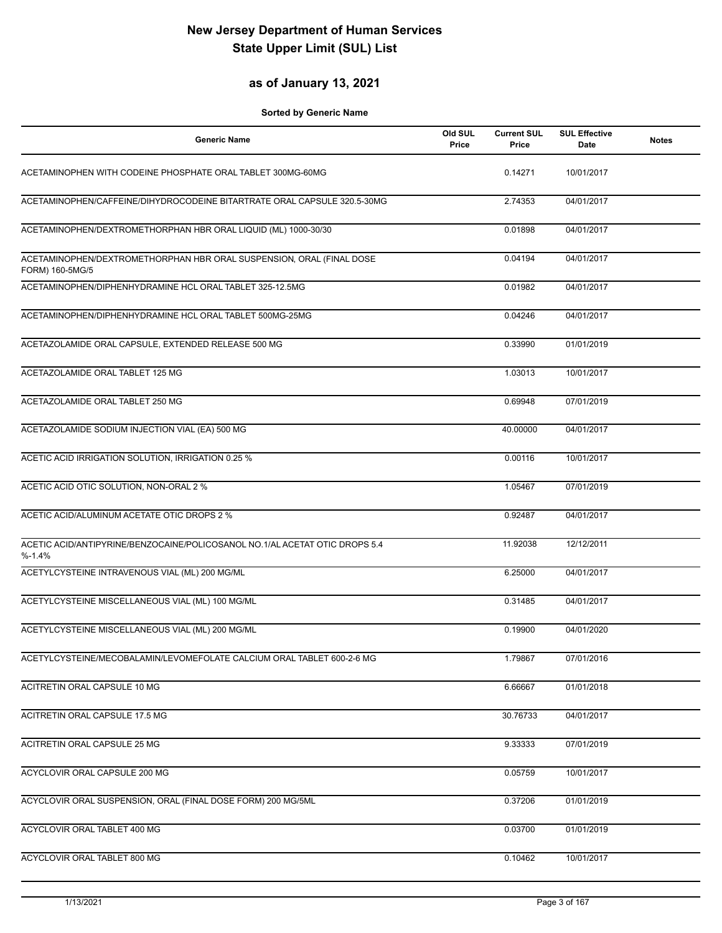#### **as of January 13, 2021**

| <b>Generic Name</b>                                                                      | Old SUL<br>Price | <b>Current SUL</b><br>Price | <b>SUL Effective</b><br>Date | <b>Notes</b> |
|------------------------------------------------------------------------------------------|------------------|-----------------------------|------------------------------|--------------|
| ACETAMINOPHEN WITH CODEINE PHOSPHATE ORAL TABLET 300MG-60MG                              |                  | 0.14271                     | 10/01/2017                   |              |
| ACETAMINOPHEN/CAFFEINE/DIHYDROCODEINE BITARTRATE ORAL CAPSULE 320.5-30MG                 |                  | 2.74353                     | 04/01/2017                   |              |
| ACETAMINOPHEN/DEXTROMETHORPHAN HBR ORAL LIQUID (ML) 1000-30/30                           |                  | 0.01898                     | 04/01/2017                   |              |
| ACETAMINOPHEN/DEXTROMETHORPHAN HBR ORAL SUSPENSION, ORAL (FINAL DOSE<br>FORM) 160-5MG/5  |                  | 0.04194                     | 04/01/2017                   |              |
| ACETAMINOPHEN/DIPHENHYDRAMINE HCL ORAL TABLET 325-12.5MG                                 |                  | 0.01982                     | 04/01/2017                   |              |
| ACETAMINOPHEN/DIPHENHYDRAMINE HCL ORAL TABLET 500MG-25MG                                 |                  | 0.04246                     | 04/01/2017                   |              |
| ACETAZOLAMIDE ORAL CAPSULE, EXTENDED RELEASE 500 MG                                      |                  | 0.33990                     | 01/01/2019                   |              |
| ACETAZOLAMIDE ORAL TABLET 125 MG                                                         |                  | 1.03013                     | 10/01/2017                   |              |
| ACETAZOLAMIDE ORAL TABLET 250 MG                                                         |                  | 0.69948                     | 07/01/2019                   |              |
| ACETAZOLAMIDE SODIUM INJECTION VIAL (EA) 500 MG                                          |                  | 40.00000                    | 04/01/2017                   |              |
| ACETIC ACID IRRIGATION SOLUTION, IRRIGATION 0.25 %                                       |                  | 0.00116                     | 10/01/2017                   |              |
| ACETIC ACID OTIC SOLUTION, NON-ORAL 2 %                                                  |                  | 1.05467                     | 07/01/2019                   |              |
| ACETIC ACID/ALUMINUM ACETATE OTIC DROPS 2 %                                              |                  | 0.92487                     | 04/01/2017                   |              |
| ACETIC ACID/ANTIPYRINE/BENZOCAINE/POLICOSANOL NO.1/AL ACETAT OTIC DROPS 5.4<br>$% -1.4%$ |                  | 11.92038                    | 12/12/2011                   |              |
| ACETYLCYSTEINE INTRAVENOUS VIAL (ML) 200 MG/ML                                           |                  | 6.25000                     | 04/01/2017                   |              |
| ACETYLCYSTEINE MISCELLANEOUS VIAL (ML) 100 MG/ML                                         |                  | 0.31485                     | 04/01/2017                   |              |
| ACETYLCYSTEINE MISCELLANEOUS VIAL (ML) 200 MG/ML                                         |                  | 0.19900                     | 04/01/2020                   |              |
| ACETYLCYSTEINE/MECOBALAMIN/LEVOMEFOLATE CALCIUM ORAL TABLET 600-2-6 MG                   |                  | 1.79867                     | 07/01/2016                   |              |
| ACITRETIN ORAL CAPSULE 10 MG                                                             |                  | 6.66667                     | 01/01/2018                   |              |
| ACITRETIN ORAL CAPSULE 17.5 MG                                                           |                  | 30.76733                    | 04/01/2017                   |              |
| <b>ACITRETIN ORAL CAPSULE 25 MG</b>                                                      |                  | 9.33333                     | 07/01/2019                   |              |
| ACYCLOVIR ORAL CAPSULE 200 MG                                                            |                  | 0.05759                     | 10/01/2017                   |              |
| ACYCLOVIR ORAL SUSPENSION, ORAL (FINAL DOSE FORM) 200 MG/5ML                             |                  | 0.37206                     | 01/01/2019                   |              |
| ACYCLOVIR ORAL TABLET 400 MG                                                             |                  | 0.03700                     | 01/01/2019                   |              |
| ACYCLOVIR ORAL TABLET 800 MG                                                             |                  | 0.10462                     | 10/01/2017                   |              |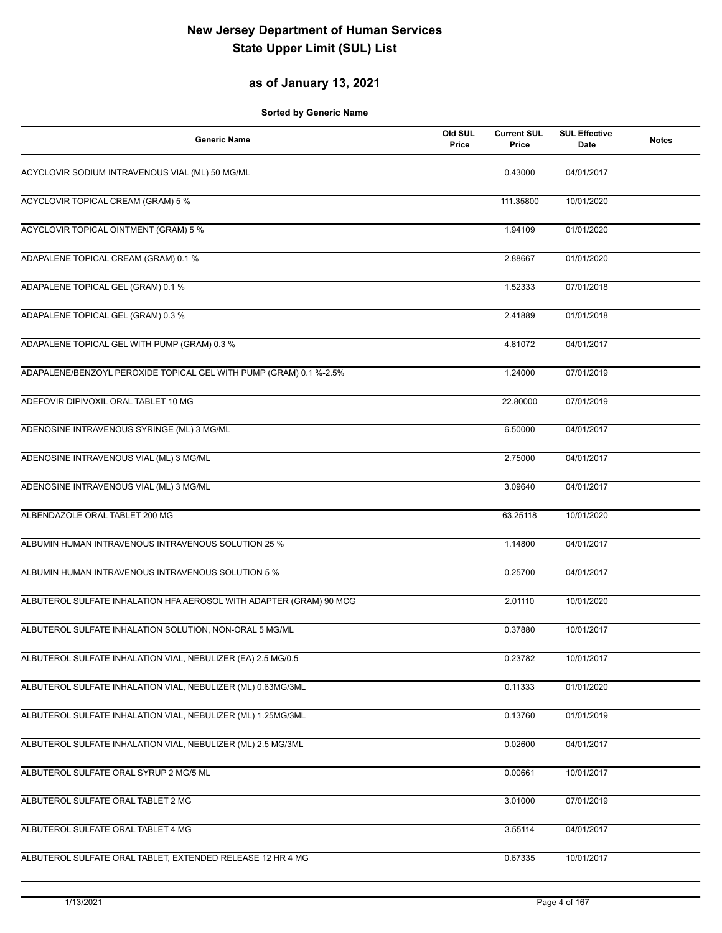## **as of January 13, 2021**

| <b>Generic Name</b>                                                 | Old SUL<br>Price | <b>Current SUL</b><br>Price | <b>SUL Effective</b><br><b>Date</b> | <b>Notes</b> |
|---------------------------------------------------------------------|------------------|-----------------------------|-------------------------------------|--------------|
| ACYCLOVIR SODIUM INTRAVENOUS VIAL (ML) 50 MG/ML                     |                  | 0.43000                     | 04/01/2017                          |              |
| ACYCLOVIR TOPICAL CREAM (GRAM) 5 %                                  |                  | 111.35800                   | 10/01/2020                          |              |
| <b>ACYCLOVIR TOPICAL OINTMENT (GRAM) 5 %</b>                        |                  | 1.94109                     | 01/01/2020                          |              |
| ADAPALENE TOPICAL CREAM (GRAM) 0.1 %                                |                  | 2.88667                     | 01/01/2020                          |              |
| ADAPALENE TOPICAL GEL (GRAM) 0.1 %                                  |                  | 1.52333                     | 07/01/2018                          |              |
| ADAPALENE TOPICAL GEL (GRAM) 0.3 %                                  |                  | 2.41889                     | 01/01/2018                          |              |
| ADAPALENE TOPICAL GEL WITH PUMP (GRAM) 0.3 %                        |                  | 4.81072                     | 04/01/2017                          |              |
| ADAPALENE/BENZOYL PEROXIDE TOPICAL GEL WITH PUMP (GRAM) 0.1 %-2.5%  |                  | 1.24000                     | 07/01/2019                          |              |
| ADEFOVIR DIPIVOXIL ORAL TABLET 10 MG                                |                  | 22.80000                    | 07/01/2019                          |              |
| ADENOSINE INTRAVENOUS SYRINGE (ML) 3 MG/ML                          |                  | 6.50000                     | 04/01/2017                          |              |
| ADENOSINE INTRAVENOUS VIAL (ML) 3 MG/ML                             |                  | 2.75000                     | 04/01/2017                          |              |
| ADENOSINE INTRAVENOUS VIAL (ML) 3 MG/ML                             |                  | 3.09640                     | 04/01/2017                          |              |
| ALBENDAZOLE ORAL TABLET 200 MG                                      |                  | 63.25118                    | 10/01/2020                          |              |
| ALBUMIN HUMAN INTRAVENOUS INTRAVENOUS SOLUTION 25 %                 |                  | 1.14800                     | 04/01/2017                          |              |
| ALBUMIN HUMAN INTRAVENOUS INTRAVENOUS SOLUTION 5 %                  |                  | 0.25700                     | 04/01/2017                          |              |
| ALBUTEROL SULFATE INHALATION HFA AEROSOL WITH ADAPTER (GRAM) 90 MCG |                  | 2.01110                     | 10/01/2020                          |              |
| ALBUTEROL SULFATE INHALATION SOLUTION, NON-ORAL 5 MG/ML             |                  | 0.37880                     | 10/01/2017                          |              |
| ALBUTEROL SULFATE INHALATION VIAL, NEBULIZER (EA) 2.5 MG/0.5        |                  | 0.23782                     | 10/01/2017                          |              |
| ALBUTEROL SULFATE INHALATION VIAL, NEBULIZER (ML) 0.63MG/3ML        |                  | 0.11333                     | 01/01/2020                          |              |
| ALBUTEROL SULFATE INHALATION VIAL, NEBULIZER (ML) 1.25MG/3ML        |                  | 0.13760                     | 01/01/2019                          |              |
| ALBUTEROL SULFATE INHALATION VIAL, NEBULIZER (ML) 2.5 MG/3ML        |                  | 0.02600                     | 04/01/2017                          |              |
| ALBUTEROL SULFATE ORAL SYRUP 2 MG/5 ML                              |                  | 0.00661                     | 10/01/2017                          |              |
| ALBUTEROL SULFATE ORAL TABLET 2 MG                                  |                  | 3.01000                     | 07/01/2019                          |              |
| ALBUTEROL SULFATE ORAL TABLET 4 MG                                  |                  | 3.55114                     | 04/01/2017                          |              |
| ALBUTEROL SULFATE ORAL TABLET, EXTENDED RELEASE 12 HR 4 MG          |                  | 0.67335                     | 10/01/2017                          |              |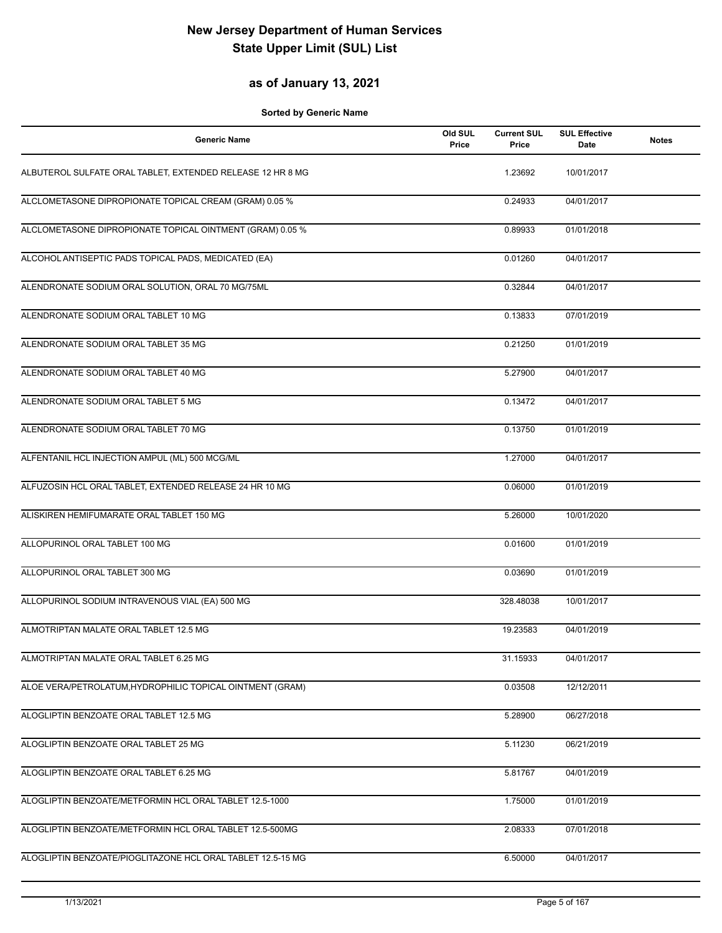### **as of January 13, 2021**

| <b>Generic Name</b>                                         | Old SUL<br>Price | <b>Current SUL</b><br>Price | <b>SUL Effective</b><br><b>Date</b> | <b>Notes</b> |
|-------------------------------------------------------------|------------------|-----------------------------|-------------------------------------|--------------|
| ALBUTEROL SULFATE ORAL TABLET, EXTENDED RELEASE 12 HR 8 MG  |                  | 1.23692                     | 10/01/2017                          |              |
| ALCLOMETASONE DIPROPIONATE TOPICAL CREAM (GRAM) 0.05 %      |                  | 0.24933                     | 04/01/2017                          |              |
| ALCLOMETASONE DIPROPIONATE TOPICAL OINTMENT (GRAM) 0.05 %   |                  | 0.89933                     | 01/01/2018                          |              |
| ALCOHOL ANTISEPTIC PADS TOPICAL PADS, MEDICATED (EA)        |                  | 0.01260                     | 04/01/2017                          |              |
| ALENDRONATE SODIUM ORAL SOLUTION, ORAL 70 MG/75ML           |                  | 0.32844                     | 04/01/2017                          |              |
| ALENDRONATE SODIUM ORAL TABLET 10 MG                        |                  | 0.13833                     | 07/01/2019                          |              |
| ALENDRONATE SODIUM ORAL TABLET 35 MG                        |                  | 0.21250                     | 01/01/2019                          |              |
| ALENDRONATE SODIUM ORAL TABLET 40 MG                        |                  | 5.27900                     | 04/01/2017                          |              |
| ALENDRONATE SODIUM ORAL TABLET 5 MG                         |                  | 0.13472                     | 04/01/2017                          |              |
| ALENDRONATE SODIUM ORAL TABLET 70 MG                        |                  | 0.13750                     | 01/01/2019                          |              |
| ALFENTANIL HCL INJECTION AMPUL (ML) 500 MCG/ML              |                  | 1.27000                     | 04/01/2017                          |              |
| ALFUZOSIN HCL ORAL TABLET, EXTENDED RELEASE 24 HR 10 MG     |                  | 0.06000                     | 01/01/2019                          |              |
| ALISKIREN HEMIFUMARATE ORAL TABLET 150 MG                   |                  | 5.26000                     | 10/01/2020                          |              |
| ALLOPURINOL ORAL TABLET 100 MG                              |                  | 0.01600                     | 01/01/2019                          |              |
| ALLOPURINOL ORAL TABLET 300 MG                              |                  | 0.03690                     | 01/01/2019                          |              |
| ALLOPURINOL SODIUM INTRAVENOUS VIAL (EA) 500 MG             |                  | 328.48038                   | 10/01/2017                          |              |
| ALMOTRIPTAN MALATE ORAL TABLET 12.5 MG                      |                  | 19.23583                    | 04/01/2019                          |              |
| ALMOTRIPTAN MALATE ORAL TABLET 6.25 MG                      |                  | 31.15933                    | 04/01/2017                          |              |
| ALOE VERA/PETROLATUM, HYDROPHILIC TOPICAL OINTMENT (GRAM)   |                  | 0.03508                     | 12/12/2011                          |              |
| ALOGLIPTIN BENZOATE ORAL TABLET 12.5 MG                     |                  | 5.28900                     | 06/27/2018                          |              |
| ALOGLIPTIN BENZOATE ORAL TABLET 25 MG                       |                  | 5.11230                     | 06/21/2019                          |              |
| ALOGLIPTIN BENZOATE ORAL TABLET 6.25 MG                     |                  | 5.81767                     | 04/01/2019                          |              |
| ALOGLIPTIN BENZOATE/METFORMIN HCL ORAL TABLET 12.5-1000     |                  | 1.75000                     | 01/01/2019                          |              |
| ALOGLIPTIN BENZOATE/METFORMIN HCL ORAL TABLET 12.5-500MG    |                  | 2.08333                     | 07/01/2018                          |              |
| ALOGLIPTIN BENZOATE/PIOGLITAZONE HCL ORAL TABLET 12.5-15 MG |                  | 6.50000                     | 04/01/2017                          |              |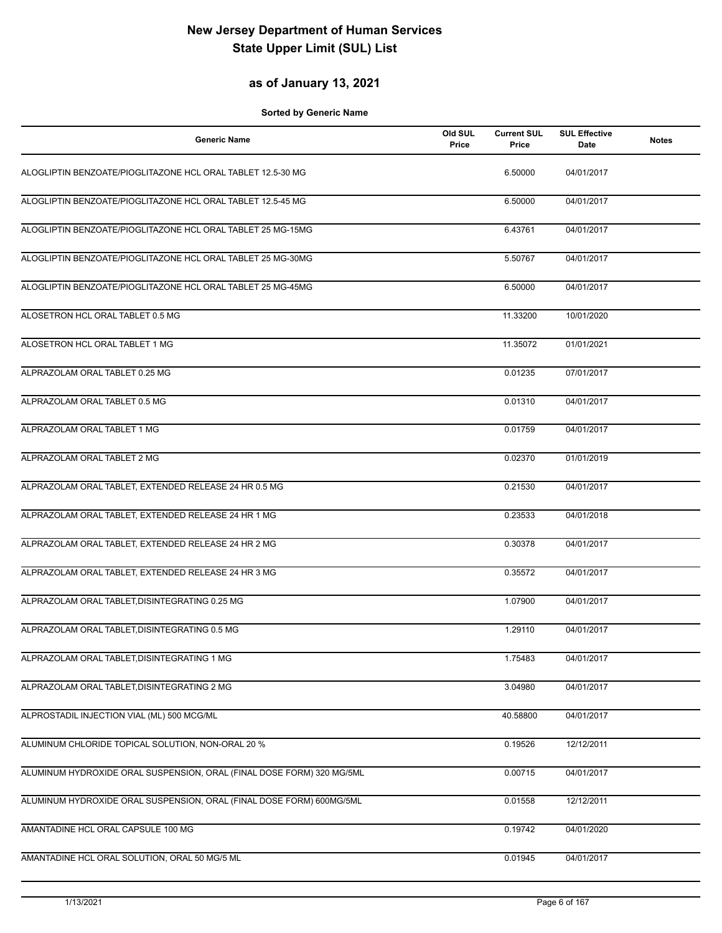#### **as of January 13, 2021**

| <b>Generic Name</b>                                                   | Old SUL<br>Price | <b>Current SUL</b><br>Price | <b>SUL Effective</b><br>Date | <b>Notes</b> |
|-----------------------------------------------------------------------|------------------|-----------------------------|------------------------------|--------------|
| ALOGLIPTIN BENZOATE/PIOGLITAZONE HCL ORAL TABLET 12.5-30 MG           |                  | 6.50000                     | 04/01/2017                   |              |
| ALOGLIPTIN BENZOATE/PIOGLITAZONE HCL ORAL TABLET 12.5-45 MG           |                  | 6.50000                     | 04/01/2017                   |              |
| ALOGLIPTIN BENZOATE/PIOGLITAZONE HCL ORAL TABLET 25 MG-15MG           |                  | 6.43761                     | 04/01/2017                   |              |
| ALOGLIPTIN BENZOATE/PIOGLITAZONE HCL ORAL TABLET 25 MG-30MG           |                  | 5.50767                     | 04/01/2017                   |              |
| ALOGLIPTIN BENZOATE/PIOGLITAZONE HCL ORAL TABLET 25 MG-45MG           |                  | 6.50000                     | 04/01/2017                   |              |
| ALOSETRON HCL ORAL TABLET 0.5 MG                                      |                  | 11.33200                    | 10/01/2020                   |              |
| ALOSETRON HCL ORAL TABLET 1 MG                                        |                  | 11.35072                    | 01/01/2021                   |              |
| ALPRAZOLAM ORAL TABLET 0.25 MG                                        |                  | 0.01235                     | 07/01/2017                   |              |
| ALPRAZOLAM ORAL TABLET 0.5 MG                                         |                  | 0.01310                     | 04/01/2017                   |              |
| ALPRAZOLAM ORAL TABLET 1 MG                                           |                  | 0.01759                     | 04/01/2017                   |              |
| ALPRAZOLAM ORAL TABLET 2 MG                                           |                  | 0.02370                     | 01/01/2019                   |              |
| ALPRAZOLAM ORAL TABLET, EXTENDED RELEASE 24 HR 0.5 MG                 |                  | 0.21530                     | 04/01/2017                   |              |
| ALPRAZOLAM ORAL TABLET, EXTENDED RELEASE 24 HR 1 MG                   |                  | 0.23533                     | 04/01/2018                   |              |
| ALPRAZOLAM ORAL TABLET, EXTENDED RELEASE 24 HR 2 MG                   |                  | 0.30378                     | 04/01/2017                   |              |
| ALPRAZOLAM ORAL TABLET, EXTENDED RELEASE 24 HR 3 MG                   |                  | 0.35572                     | 04/01/2017                   |              |
| ALPRAZOLAM ORAL TABLET, DISINTEGRATING 0.25 MG                        |                  | 1.07900                     | 04/01/2017                   |              |
| ALPRAZOLAM ORAL TABLET.DISINTEGRATING 0.5 MG                          |                  | 1.29110                     | 04/01/2017                   |              |
| ALPRAZOLAM ORAL TABLET, DISINTEGRATING 1 MG                           |                  | 1.75483                     | 04/01/2017                   |              |
| ALPRAZOLAM ORAL TABLET, DISINTEGRATING 2 MG                           |                  | 3.04980                     | 04/01/2017                   |              |
| ALPROSTADIL INJECTION VIAL (ML) 500 MCG/ML                            |                  | 40.58800                    | 04/01/2017                   |              |
| ALUMINUM CHLORIDE TOPICAL SOLUTION, NON-ORAL 20 %                     |                  | 0.19526                     | 12/12/2011                   |              |
| ALUMINUM HYDROXIDE ORAL SUSPENSION, ORAL (FINAL DOSE FORM) 320 MG/5ML |                  | 0.00715                     | 04/01/2017                   |              |
| ALUMINUM HYDROXIDE ORAL SUSPENSION, ORAL (FINAL DOSE FORM) 600MG/5ML  |                  | 0.01558                     | 12/12/2011                   |              |
| AMANTADINE HCL ORAL CAPSULE 100 MG                                    |                  | 0.19742                     | 04/01/2020                   |              |
| AMANTADINE HCL ORAL SOLUTION, ORAL 50 MG/5 ML                         |                  | 0.01945                     | 04/01/2017                   |              |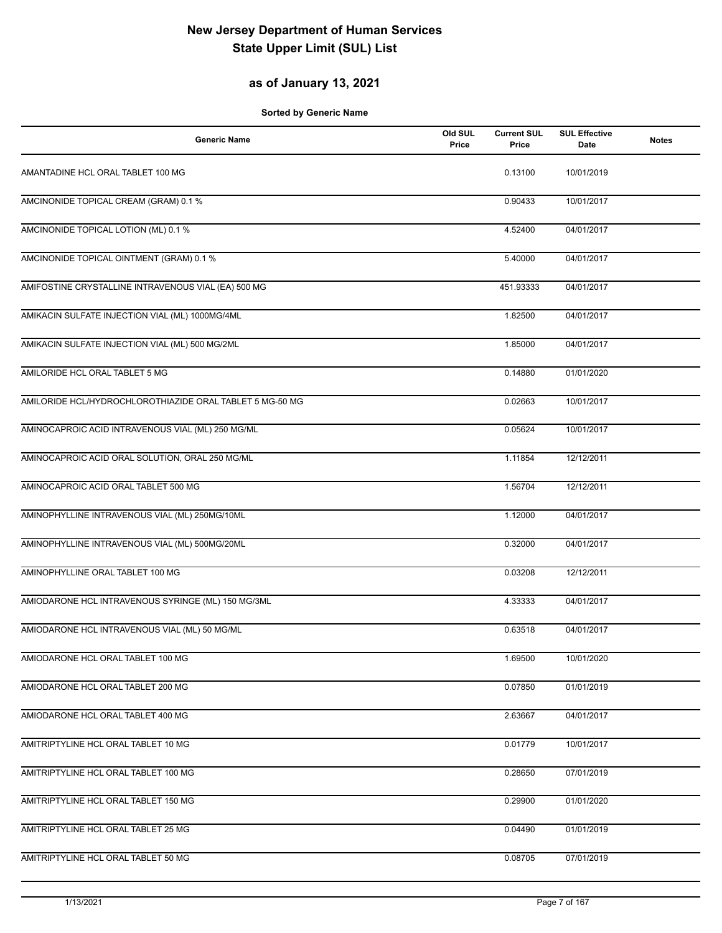## **as of January 13, 2021**

| <b>Generic Name</b>                                      | Old SUL<br>Price | <b>Current SUL</b><br>Price | <b>SUL Effective</b><br>Date | <b>Notes</b> |
|----------------------------------------------------------|------------------|-----------------------------|------------------------------|--------------|
| AMANTADINE HCL ORAL TABLET 100 MG                        |                  | 0.13100                     | 10/01/2019                   |              |
| AMCINONIDE TOPICAL CREAM (GRAM) 0.1 %                    |                  | 0.90433                     | 10/01/2017                   |              |
| AMCINONIDE TOPICAL LOTION (ML) 0.1 %                     |                  | 4.52400                     | 04/01/2017                   |              |
| AMCINONIDE TOPICAL OINTMENT (GRAM) 0.1 %                 |                  | 5.40000                     | 04/01/2017                   |              |
| AMIFOSTINE CRYSTALLINE INTRAVENOUS VIAL (EA) 500 MG      |                  | 451.93333                   | 04/01/2017                   |              |
| AMIKACIN SULFATE INJECTION VIAL (ML) 1000MG/4ML          |                  | 1.82500                     | 04/01/2017                   |              |
| AMIKACIN SULFATE INJECTION VIAL (ML) 500 MG/2ML          |                  | 1.85000                     | 04/01/2017                   |              |
| AMILORIDE HCL ORAL TABLET 5 MG                           |                  | 0.14880                     | 01/01/2020                   |              |
| AMILORIDE HCL/HYDROCHLOROTHIAZIDE ORAL TABLET 5 MG-50 MG |                  | 0.02663                     | 10/01/2017                   |              |
| AMINOCAPROIC ACID INTRAVENOUS VIAL (ML) 250 MG/ML        |                  | 0.05624                     | 10/01/2017                   |              |
| AMINOCAPROIC ACID ORAL SOLUTION, ORAL 250 MG/ML          |                  | 1.11854                     | 12/12/2011                   |              |
| AMINOCAPROIC ACID ORAL TABLET 500 MG                     |                  | 1.56704                     | 12/12/2011                   |              |
| AMINOPHYLLINE INTRAVENOUS VIAL (ML) 250MG/10ML           |                  | 1.12000                     | 04/01/2017                   |              |
| AMINOPHYLLINE INTRAVENOUS VIAL (ML) 500MG/20ML           |                  | 0.32000                     | 04/01/2017                   |              |
| AMINOPHYLLINE ORAL TABLET 100 MG                         |                  | 0.03208                     | 12/12/2011                   |              |
| AMIODARONE HCL INTRAVENOUS SYRINGE (ML) 150 MG/3ML       |                  | 4.33333                     | 04/01/2017                   |              |
| AMIODARONE HCL INTRAVENOUS VIAL (ML) 50 MG/ML            |                  | 0.63518                     | 04/01/2017                   |              |
| AMIODARONE HCL ORAL TABLET 100 MG                        |                  | 1.69500                     | 10/01/2020                   |              |
| AMIODARONE HCL ORAL TABLET 200 MG                        |                  | 0.07850                     | 01/01/2019                   |              |
| AMIODARONE HCL ORAL TABLET 400 MG                        |                  | 2.63667                     | 04/01/2017                   |              |
| AMITRIPTYLINE HCL ORAL TABLET 10 MG                      |                  | 0.01779                     | 10/01/2017                   |              |
| AMITRIPTYLINE HCL ORAL TABLET 100 MG                     |                  | 0.28650                     | 07/01/2019                   |              |
| AMITRIPTYLINE HCL ORAL TABLET 150 MG                     |                  | 0.29900                     | 01/01/2020                   |              |
| AMITRIPTYLINE HCL ORAL TABLET 25 MG                      |                  | 0.04490                     | 01/01/2019                   |              |
| AMITRIPTYLINE HCL ORAL TABLET 50 MG                      |                  | 0.08705                     | 07/01/2019                   |              |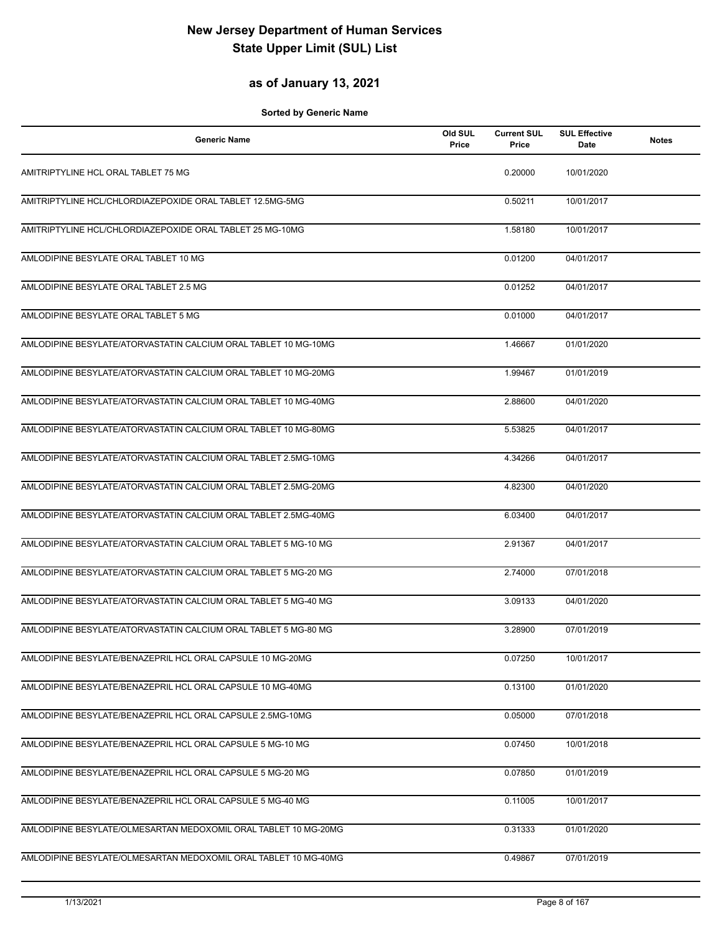#### **as of January 13, 2021**

| <b>Generic Name</b>                                             | Old SUL<br>Price | <b>Current SUL</b><br>Price | <b>SUL Effective</b><br>Date | <b>Notes</b> |
|-----------------------------------------------------------------|------------------|-----------------------------|------------------------------|--------------|
| AMITRIPTYLINE HCL ORAL TABLET 75 MG                             |                  | 0.20000                     | 10/01/2020                   |              |
| AMITRIPTYLINE HCL/CHLORDIAZEPOXIDE ORAL TABLET 12.5MG-5MG       |                  | 0.50211                     | 10/01/2017                   |              |
| AMITRIPTYLINE HCL/CHLORDIAZEPOXIDE ORAL TABLET 25 MG-10MG       |                  | 1.58180                     | 10/01/2017                   |              |
| AMLODIPINE BESYLATE ORAL TABLET 10 MG                           |                  | 0.01200                     | 04/01/2017                   |              |
| AMLODIPINE BESYLATE ORAL TABLET 2.5 MG                          |                  | 0.01252                     | 04/01/2017                   |              |
| AMLODIPINE BESYLATE ORAL TABLET 5 MG                            |                  | 0.01000                     | 04/01/2017                   |              |
| AMLODIPINE BESYLATE/ATORVASTATIN CALCIUM ORAL TABLET 10 MG-10MG |                  | 1.46667                     | 01/01/2020                   |              |
| AMLODIPINE BESYLATE/ATORVASTATIN CALCIUM ORAL TABLET 10 MG-20MG |                  | 1.99467                     | 01/01/2019                   |              |
| AMLODIPINE BESYLATE/ATORVASTATIN CALCIUM ORAL TABLET 10 MG-40MG |                  | 2.88600                     | 04/01/2020                   |              |
| AMLODIPINE BESYLATE/ATORVASTATIN CALCIUM ORAL TABLET 10 MG-80MG |                  | 5.53825                     | 04/01/2017                   |              |
| AMLODIPINE BESYLATE/ATORVASTATIN CALCIUM ORAL TABLET 2.5MG-10MG |                  | 4.34266                     | 04/01/2017                   |              |
| AMLODIPINE BESYLATE/ATORVASTATIN CALCIUM ORAL TABLET 2.5MG-20MG |                  | 4.82300                     | 04/01/2020                   |              |
| AMLODIPINE BESYLATE/ATORVASTATIN CALCIUM ORAL TABLET 2.5MG-40MG |                  | 6.03400                     | 04/01/2017                   |              |
| AMLODIPINE BESYLATE/ATORVASTATIN CALCIUM ORAL TABLET 5 MG-10 MG |                  | 2.91367                     | 04/01/2017                   |              |
| AMLODIPINE BESYLATE/ATORVASTATIN CALCIUM ORAL TABLET 5 MG-20 MG |                  | 2.74000                     | 07/01/2018                   |              |
| AMLODIPINE BESYLATE/ATORVASTATIN CALCIUM ORAL TABLET 5 MG-40 MG |                  | 3.09133                     | 04/01/2020                   |              |
| AMLODIPINE BESYLATE/ATORVASTATIN CALCIUM ORAL TABLET 5 MG-80 MG |                  | 3.28900                     | 07/01/2019                   |              |
| AMLODIPINE BESYLATE/BENAZEPRIL HCL ORAL CAPSULE 10 MG-20MG      |                  | 0.07250                     | 10/01/2017                   |              |
| AMLODIPINE BESYLATE/BENAZEPRIL HCL ORAL CAPSULE 10 MG-40MG      |                  | 0.13100                     | 01/01/2020                   |              |
| AMLODIPINE BESYLATE/BENAZEPRIL HCL ORAL CAPSULE 2.5MG-10MG      |                  | 0.05000                     | 07/01/2018                   |              |
| AMLODIPINE BESYLATE/BENAZEPRIL HCL ORAL CAPSULE 5 MG-10 MG      |                  | 0.07450                     | 10/01/2018                   |              |
| AMLODIPINE BESYLATE/BENAZEPRIL HCL ORAL CAPSULE 5 MG-20 MG      |                  | 0.07850                     | 01/01/2019                   |              |
| AMLODIPINE BESYLATE/BENAZEPRIL HCL ORAL CAPSULE 5 MG-40 MG      |                  | 0.11005                     | 10/01/2017                   |              |
| AMLODIPINE BESYLATE/OLMESARTAN MEDOXOMIL ORAL TABLET 10 MG-20MG |                  | 0.31333                     | 01/01/2020                   |              |
| AMLODIPINE BESYLATE/OLMESARTAN MEDOXOMIL ORAL TABLET 10 MG-40MG |                  | 0.49867                     | 07/01/2019                   |              |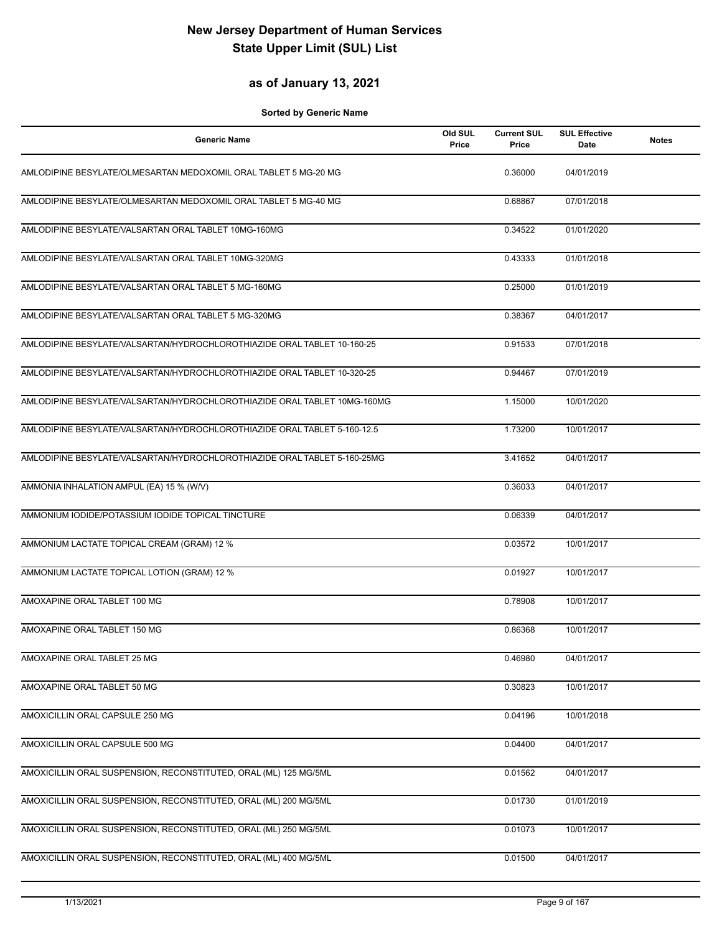## **as of January 13, 2021**

| <b>Generic Name</b>                                                      | Old SUL<br>Price | <b>Current SUL</b><br>Price | <b>SUL Effective</b><br>Date | <b>Notes</b> |
|--------------------------------------------------------------------------|------------------|-----------------------------|------------------------------|--------------|
| AMLODIPINE BESYLATE/OLMESARTAN MEDOXOMIL ORAL TABLET 5 MG-20 MG          |                  | 0.36000                     | 04/01/2019                   |              |
| AMLODIPINE BESYLATE/OLMESARTAN MEDOXOMIL ORAL TABLET 5 MG-40 MG          |                  | 0.68867                     | 07/01/2018                   |              |
| AMLODIPINE BESYLATE/VALSARTAN ORAL TABLET 10MG-160MG                     |                  | 0.34522                     | 01/01/2020                   |              |
| AMLODIPINE BESYLATE/VALSARTAN ORAL TABLET 10MG-320MG                     |                  | 0.43333                     | 01/01/2018                   |              |
| AMLODIPINE BESYLATE/VALSARTAN ORAL TABLET 5 MG-160MG                     |                  | 0.25000                     | 01/01/2019                   |              |
| AMLODIPINE BESYLATE/VALSARTAN ORAL TABLET 5 MG-320MG                     |                  | 0.38367                     | 04/01/2017                   |              |
| AMLODIPINE BESYLATE/VALSARTAN/HYDROCHLOROTHIAZIDE ORAL TABLET 10-160-25  |                  | 0.91533                     | 07/01/2018                   |              |
| AMLODIPINE BESYLATE/VALSARTAN/HYDROCHLOROTHIAZIDE ORAL TABLET 10-320-25  |                  | 0.94467                     | 07/01/2019                   |              |
| AMLODIPINE BESYLATE/VALSARTAN/HYDROCHLOROTHIAZIDE ORAL TABLET 10MG-160MG |                  | 1.15000                     | 10/01/2020                   |              |
| AMLODIPINE BESYLATE/VALSARTAN/HYDROCHLOROTHIAZIDE ORAL TABLET 5-160-12.5 |                  | 1.73200                     | 10/01/2017                   |              |
| AMLODIPINE BESYLATE/VALSARTAN/HYDROCHLOROTHIAZIDE ORAL TABLET 5-160-25MG |                  | 3.41652                     | 04/01/2017                   |              |
| AMMONIA INHALATION AMPUL (EA) 15 % (W/V)                                 |                  | 0.36033                     | 04/01/2017                   |              |
| AMMONIUM IODIDE/POTASSIUM IODIDE TOPICAL TINCTURE                        |                  | 0.06339                     | 04/01/2017                   |              |
| AMMONIUM LACTATE TOPICAL CREAM (GRAM) 12 %                               |                  | 0.03572                     | 10/01/2017                   |              |
| AMMONIUM LACTATE TOPICAL LOTION (GRAM) 12 %                              |                  | 0.01927                     | 10/01/2017                   |              |
| AMOXAPINE ORAL TABLET 100 MG                                             |                  | 0.78908                     | 10/01/2017                   |              |
| AMOXAPINE ORAL TABLET 150 MG                                             |                  | 0.86368                     | 10/01/2017                   |              |
| AMOXAPINE ORAL TABLET 25 MG                                              |                  | 0.46980                     | 04/01/2017                   |              |
| AMOXAPINE ORAL TABLET 50 MG                                              |                  | 0.30823                     | 10/01/2017                   |              |
| AMOXICILLIN ORAL CAPSULE 250 MG                                          |                  | 0.04196                     | 10/01/2018                   |              |
| AMOXICILLIN ORAL CAPSULE 500 MG                                          |                  | 0.04400                     | 04/01/2017                   |              |
| AMOXICILLIN ORAL SUSPENSION, RECONSTITUTED, ORAL (ML) 125 MG/5ML         |                  | 0.01562                     | 04/01/2017                   |              |
| AMOXICILLIN ORAL SUSPENSION, RECONSTITUTED, ORAL (ML) 200 MG/5ML         |                  | 0.01730                     | 01/01/2019                   |              |
| AMOXICILLIN ORAL SUSPENSION, RECONSTITUTED, ORAL (ML) 250 MG/5ML         |                  | 0.01073                     | 10/01/2017                   |              |
| AMOXICILLIN ORAL SUSPENSION, RECONSTITUTED, ORAL (ML) 400 MG/5ML         |                  | 0.01500                     | 04/01/2017                   |              |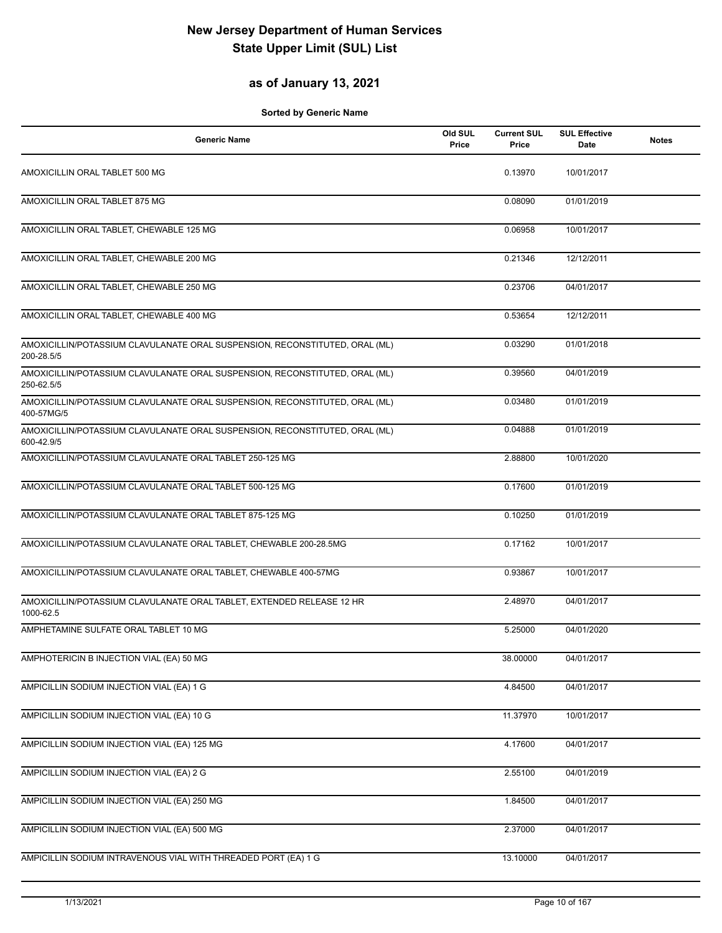## **as of January 13, 2021**

| <b>Generic Name</b>                                                                       | Old SUL<br>Price | <b>Current SUL</b><br>Price | <b>SUL Effective</b><br>Date | <b>Notes</b> |
|-------------------------------------------------------------------------------------------|------------------|-----------------------------|------------------------------|--------------|
| AMOXICILLIN ORAL TABLET 500 MG                                                            |                  | 0.13970                     | 10/01/2017                   |              |
| AMOXICILLIN ORAL TABLET 875 MG                                                            |                  | 0.08090                     | 01/01/2019                   |              |
| AMOXICILLIN ORAL TABLET, CHEWABLE 125 MG                                                  |                  | 0.06958                     | 10/01/2017                   |              |
| AMOXICILLIN ORAL TABLET, CHEWABLE 200 MG                                                  |                  | 0.21346                     | 12/12/2011                   |              |
| AMOXICILLIN ORAL TABLET, CHEWABLE 250 MG                                                  |                  | 0.23706                     | 04/01/2017                   |              |
| AMOXICILLIN ORAL TABLET, CHEWABLE 400 MG                                                  |                  | 0.53654                     | 12/12/2011                   |              |
| AMOXICILLIN/POTASSIUM CLAVULANATE ORAL SUSPENSION, RECONSTITUTED, ORAL (ML)<br>200-28.5/5 |                  | 0.03290                     | 01/01/2018                   |              |
| AMOXICILLIN/POTASSIUM CLAVULANATE ORAL SUSPENSION, RECONSTITUTED, ORAL (ML)<br>250-62.5/5 |                  | 0.39560                     | 04/01/2019                   |              |
| AMOXICILLIN/POTASSIUM CLAVULANATE ORAL SUSPENSION, RECONSTITUTED, ORAL (ML)<br>400-57MG/5 |                  | 0.03480                     | 01/01/2019                   |              |
| AMOXICILLIN/POTASSIUM CLAVULANATE ORAL SUSPENSION, RECONSTITUTED, ORAL (ML)<br>600-42.9/5 |                  | 0.04888                     | 01/01/2019                   |              |
| AMOXICILLIN/POTASSIUM CLAVULANATE ORAL TABLET 250-125 MG                                  |                  | 2.88800                     | 10/01/2020                   |              |
| AMOXICILLIN/POTASSIUM CLAVULANATE ORAL TABLET 500-125 MG                                  |                  | 0.17600                     | 01/01/2019                   |              |
| AMOXICILLIN/POTASSIUM CLAVULANATE ORAL TABLET 875-125 MG                                  |                  | 0.10250                     | 01/01/2019                   |              |
| AMOXICILLIN/POTASSIUM CLAVULANATE ORAL TABLET, CHEWABLE 200-28.5MG                        |                  | 0.17162                     | 10/01/2017                   |              |
| AMOXICILLIN/POTASSIUM CLAVULANATE ORAL TABLET, CHEWABLE 400-57MG                          |                  | 0.93867                     | 10/01/2017                   |              |
| AMOXICILLIN/POTASSIUM CLAVULANATE ORAL TABLET, EXTENDED RELEASE 12 HR<br>1000-62.5        |                  | 2.48970                     | 04/01/2017                   |              |
| AMPHETAMINE SULFATE ORAL TABLET 10 MG                                                     |                  | 5.25000                     | 04/01/2020                   |              |
| AMPHOTERICIN B INJECTION VIAL (EA) 50 MG                                                  |                  | 38.00000                    | 04/01/2017                   |              |
| AMPICILLIN SODIUM INJECTION VIAL (EA) 1 G                                                 |                  | 4.84500                     | 04/01/2017                   |              |
| AMPICILLIN SODIUM INJECTION VIAL (EA) 10 G                                                |                  | 11.37970                    | 10/01/2017                   |              |
| AMPICILLIN SODIUM INJECTION VIAL (EA) 125 MG                                              |                  | 4.17600                     | 04/01/2017                   |              |
| AMPICILLIN SODIUM INJECTION VIAL (EA) 2 G                                                 |                  | 2.55100                     | 04/01/2019                   |              |
| AMPICILLIN SODIUM INJECTION VIAL (EA) 250 MG                                              |                  | 1.84500                     | 04/01/2017                   |              |
| AMPICILLIN SODIUM INJECTION VIAL (EA) 500 MG                                              |                  | 2.37000                     | 04/01/2017                   |              |
| AMPICILLIN SODIUM INTRAVENOUS VIAL WITH THREADED PORT (EA) 1 G                            |                  | 13.10000                    | 04/01/2017                   |              |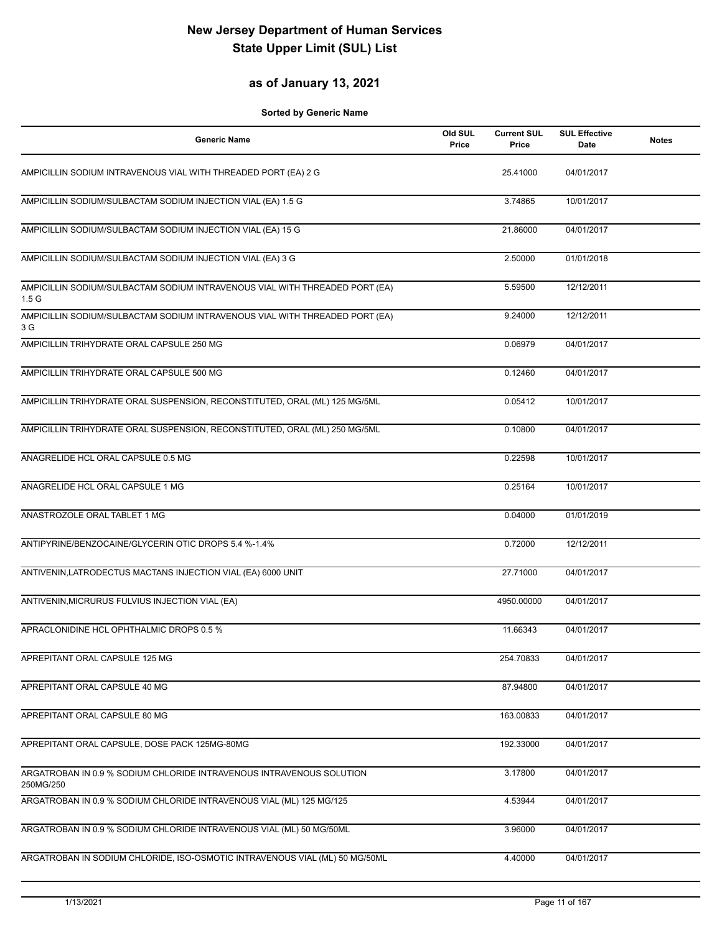## **as of January 13, 2021**

| <b>Generic Name</b>                                                                             | Old SUL<br>Price | <b>Current SUL</b><br>Price | <b>SUL Effective</b><br>Date | <b>Notes</b> |
|-------------------------------------------------------------------------------------------------|------------------|-----------------------------|------------------------------|--------------|
| AMPICILLIN SODIUM INTRAVENOUS VIAL WITH THREADED PORT (EA) 2 G                                  |                  | 25.41000                    | 04/01/2017                   |              |
| AMPICILLIN SODIUM/SULBACTAM SODIUM INJECTION VIAL (EA) 1.5 G                                    |                  | 3.74865                     | 10/01/2017                   |              |
| AMPICILLIN SODIUM/SULBACTAM SODIUM INJECTION VIAL (EA) 15 G                                     |                  | 21.86000                    | 04/01/2017                   |              |
| AMPICILLIN SODIUM/SULBACTAM SODIUM INJECTION VIAL (EA) 3 G                                      |                  | 2.50000                     | 01/01/2018                   |              |
| AMPICILLIN SODIUM/SULBACTAM SODIUM INTRAVENOUS VIAL WITH THREADED PORT (EA)<br>1.5 <sub>G</sub> |                  | 5.59500                     | 12/12/2011                   |              |
| AMPICILLIN SODIUM/SULBACTAM SODIUM INTRAVENOUS VIAL WITH THREADED PORT (EA)<br>3 G              |                  | 9.24000                     | 12/12/2011                   |              |
| AMPICILLIN TRIHYDRATE ORAL CAPSULE 250 MG                                                       |                  | 0.06979                     | 04/01/2017                   |              |
| AMPICILLIN TRIHYDRATE ORAL CAPSULE 500 MG                                                       |                  | 0.12460                     | 04/01/2017                   |              |
| AMPICILLIN TRIHYDRATE ORAL SUSPENSION, RECONSTITUTED, ORAL (ML) 125 MG/5ML                      |                  | 0.05412                     | 10/01/2017                   |              |
| AMPICILLIN TRIHYDRATE ORAL SUSPENSION, RECONSTITUTED, ORAL (ML) 250 MG/5ML                      |                  | 0.10800                     | 04/01/2017                   |              |
| ANAGRELIDE HCL ORAL CAPSULE 0.5 MG                                                              |                  | 0.22598                     | 10/01/2017                   |              |
| ANAGRELIDE HCL ORAL CAPSULE 1 MG                                                                |                  | 0.25164                     | 10/01/2017                   |              |
| ANASTROZOLE ORAL TABLET 1 MG                                                                    |                  | 0.04000                     | 01/01/2019                   |              |
| ANTIPYRINE/BENZOCAINE/GLYCERIN OTIC DROPS 5.4 %-1.4%                                            |                  | 0.72000                     | 12/12/2011                   |              |
| ANTIVENIN, LATRODECTUS MACTANS INJECTION VIAL (EA) 6000 UNIT                                    |                  | 27.71000                    | 04/01/2017                   |              |
| ANTIVENIN, MICRURUS FULVIUS INJECTION VIAL (EA)                                                 |                  | 4950.00000                  | 04/01/2017                   |              |
| APRACLONIDINE HCL OPHTHALMIC DROPS 0.5 %                                                        |                  | 11.66343                    | 04/01/2017                   |              |
| APREPITANT ORAL CAPSULE 125 MG                                                                  |                  | 254.70833                   | 04/01/2017                   |              |
| APREPITANT ORAL CAPSULE 40 MG                                                                   |                  | 87.94800                    | 04/01/2017                   |              |
| APREPITANT ORAL CAPSULE 80 MG                                                                   |                  | 163.00833                   | 04/01/2017                   |              |
| APREPITANT ORAL CAPSULE, DOSE PACK 125MG-80MG                                                   |                  | 192.33000                   | 04/01/2017                   |              |
| ARGATROBAN IN 0.9 % SODIUM CHLORIDE INTRAVENOUS INTRAVENOUS SOLUTION<br>250MG/250               |                  | 3.17800                     | 04/01/2017                   |              |
| ARGATROBAN IN 0.9 % SODIUM CHLORIDE INTRAVENOUS VIAL (ML) 125 MG/125                            |                  | 4.53944                     | 04/01/2017                   |              |
| ARGATROBAN IN 0.9 % SODIUM CHLORIDE INTRAVENOUS VIAL (ML) 50 MG/50ML                            |                  | 3.96000                     | 04/01/2017                   |              |
| ARGATROBAN IN SODIUM CHLORIDE, ISO-OSMOTIC INTRAVENOUS VIAL (ML) 50 MG/50ML                     |                  | 4.40000                     | 04/01/2017                   |              |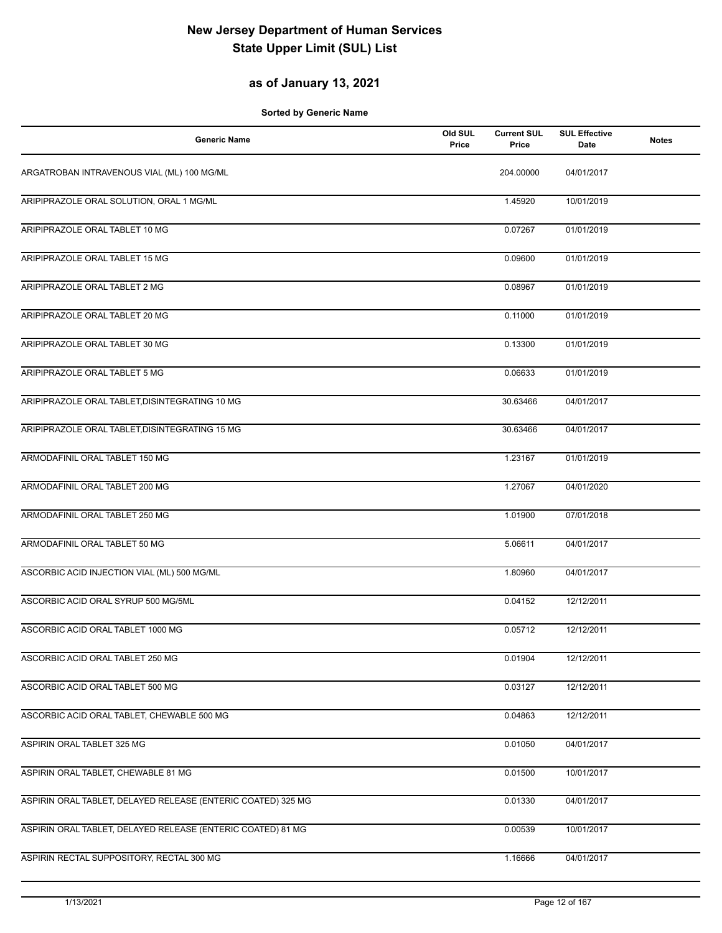## **as of January 13, 2021**

| <b>Generic Name</b>                                          | Old SUL<br>Price | <b>Current SUL</b><br>Price | <b>SUL Effective</b><br>Date | <b>Notes</b> |
|--------------------------------------------------------------|------------------|-----------------------------|------------------------------|--------------|
| ARGATROBAN INTRAVENOUS VIAL (ML) 100 MG/ML                   |                  | 204.00000                   | 04/01/2017                   |              |
| ARIPIPRAZOLE ORAL SOLUTION, ORAL 1 MG/ML                     |                  | 1.45920                     | 10/01/2019                   |              |
| ARIPIPRAZOLE ORAL TABLET 10 MG                               |                  | 0.07267                     | 01/01/2019                   |              |
| ARIPIPRAZOLE ORAL TABLET 15 MG                               |                  | 0.09600                     | 01/01/2019                   |              |
| ARIPIPRAZOLE ORAL TABLET 2 MG                                |                  | 0.08967                     | 01/01/2019                   |              |
| ARIPIPRAZOLE ORAL TABLET 20 MG                               |                  | 0.11000                     | 01/01/2019                   |              |
| ARIPIPRAZOLE ORAL TABLET 30 MG                               |                  | 0.13300                     | 01/01/2019                   |              |
| ARIPIPRAZOLE ORAL TABLET 5 MG                                |                  | 0.06633                     | 01/01/2019                   |              |
| ARIPIPRAZOLE ORAL TABLET, DISINTEGRATING 10 MG               |                  | 30.63466                    | 04/01/2017                   |              |
| ARIPIPRAZOLE ORAL TABLET, DISINTEGRATING 15 MG               |                  | 30.63466                    | 04/01/2017                   |              |
| ARMODAFINIL ORAL TABLET 150 MG                               |                  | 1.23167                     | 01/01/2019                   |              |
| ARMODAFINIL ORAL TABLET 200 MG                               |                  | 1.27067                     | 04/01/2020                   |              |
| ARMODAFINIL ORAL TABLET 250 MG                               |                  | 1.01900                     | 07/01/2018                   |              |
| ARMODAFINIL ORAL TABLET 50 MG                                |                  | 5.06611                     | 04/01/2017                   |              |
| ASCORBIC ACID INJECTION VIAL (ML) 500 MG/ML                  |                  | 1.80960                     | 04/01/2017                   |              |
| ASCORBIC ACID ORAL SYRUP 500 MG/5ML                          |                  | 0.04152                     | 12/12/2011                   |              |
| ASCORBIC ACID ORAL TABLET 1000 MG                            |                  | 0.05712                     | 12/12/2011                   |              |
| ASCORBIC ACID ORAL TABLET 250 MG                             |                  | 0.01904                     | 12/12/2011                   |              |
| ASCORBIC ACID ORAL TABLET 500 MG                             |                  | 0.03127                     | 12/12/2011                   |              |
| ASCORBIC ACID ORAL TABLET, CHEWABLE 500 MG                   |                  | 0.04863                     | 12/12/2011                   |              |
| ASPIRIN ORAL TABLET 325 MG                                   |                  | 0.01050                     | 04/01/2017                   |              |
| ASPIRIN ORAL TABLET, CHEWABLE 81 MG                          |                  | 0.01500                     | 10/01/2017                   |              |
| ASPIRIN ORAL TABLET, DELAYED RELEASE (ENTERIC COATED) 325 MG |                  | 0.01330                     | 04/01/2017                   |              |
| ASPIRIN ORAL TABLET, DELAYED RELEASE (ENTERIC COATED) 81 MG  |                  | 0.00539                     | 10/01/2017                   |              |
| ASPIRIN RECTAL SUPPOSITORY, RECTAL 300 MG                    |                  | 1.16666                     | 04/01/2017                   |              |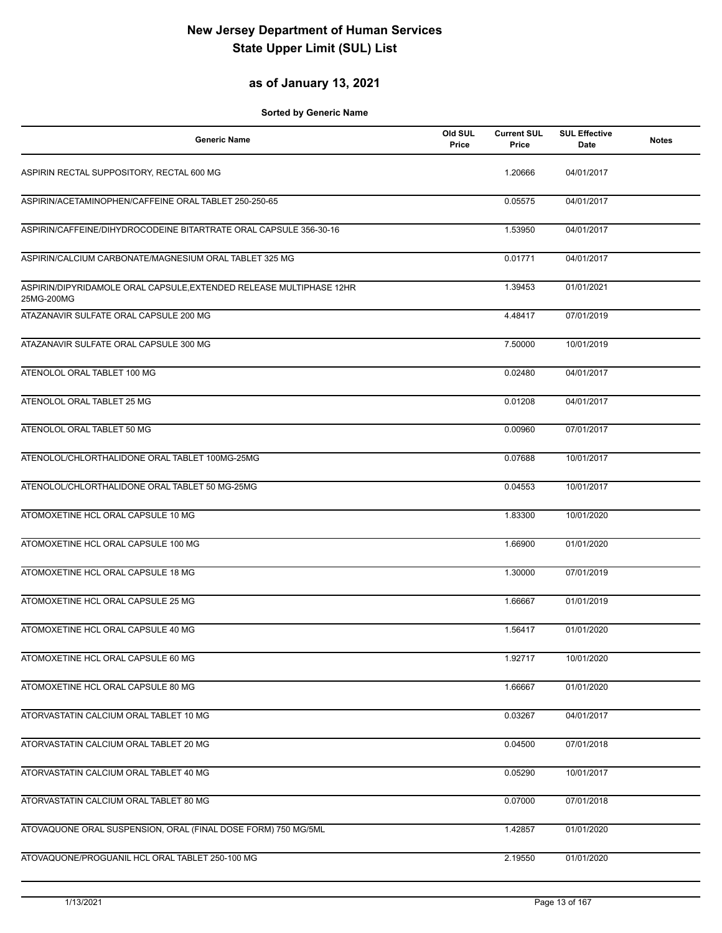## **as of January 13, 2021**

| <b>Generic Name</b>                                                               | Old SUL<br>Price | <b>Current SUL</b><br>Price | <b>SUL Effective</b><br>Date | <b>Notes</b> |
|-----------------------------------------------------------------------------------|------------------|-----------------------------|------------------------------|--------------|
| ASPIRIN RECTAL SUPPOSITORY, RECTAL 600 MG                                         |                  | 1.20666                     | 04/01/2017                   |              |
| ASPIRIN/ACETAMINOPHEN/CAFFEINE ORAL TABLET 250-250-65                             |                  | 0.05575                     | 04/01/2017                   |              |
| ASPIRIN/CAFFEINE/DIHYDROCODEINE BITARTRATE ORAL CAPSULE 356-30-16                 |                  | 1.53950                     | 04/01/2017                   |              |
| ASPIRIN/CALCIUM CARBONATE/MAGNESIUM ORAL TABLET 325 MG                            |                  | 0.01771                     | 04/01/2017                   |              |
| ASPIRIN/DIPYRIDAMOLE ORAL CAPSULE, EXTENDED RELEASE MULTIPHASE 12HR<br>25MG-200MG |                  | 1.39453                     | 01/01/2021                   |              |
| ATAZANAVIR SULFATE ORAL CAPSULE 200 MG                                            |                  | 4.48417                     | 07/01/2019                   |              |
| ATAZANAVIR SULFATE ORAL CAPSULE 300 MG                                            |                  | 7.50000                     | 10/01/2019                   |              |
| ATENOLOL ORAL TABLET 100 MG                                                       |                  | 0.02480                     | 04/01/2017                   |              |
| ATENOLOL ORAL TABLET 25 MG                                                        |                  | 0.01208                     | 04/01/2017                   |              |
| ATENOLOL ORAL TABLET 50 MG                                                        |                  | 0.00960                     | 07/01/2017                   |              |
| ATENOLOL/CHLORTHALIDONE ORAL TABLET 100MG-25MG                                    |                  | 0.07688                     | 10/01/2017                   |              |
| ATENOLOL/CHLORTHALIDONE ORAL TABLET 50 MG-25MG                                    |                  | 0.04553                     | 10/01/2017                   |              |
| ATOMOXETINE HCL ORAL CAPSULE 10 MG                                                |                  | 1.83300                     | 10/01/2020                   |              |
| ATOMOXETINE HCL ORAL CAPSULE 100 MG                                               |                  | 1.66900                     | 01/01/2020                   |              |
| ATOMOXETINE HCL ORAL CAPSULE 18 MG                                                |                  | 1.30000                     | 07/01/2019                   |              |
| ATOMOXETINE HCL ORAL CAPSULE 25 MG                                                |                  | 1.66667                     | 01/01/2019                   |              |
| ATOMOXETINE HCL ORAL CAPSULE 40 MG                                                |                  | 1.56417                     | 01/01/2020                   |              |
| ATOMOXETINE HCL ORAL CAPSULE 60 MG                                                |                  | 1.92717                     | 10/01/2020                   |              |
| ATOMOXETINE HCL ORAL CAPSULE 80 MG                                                |                  | 1.66667                     | 01/01/2020                   |              |
| ATORVASTATIN CALCIUM ORAL TABLET 10 MG                                            |                  | 0.03267                     | 04/01/2017                   |              |
| ATORVASTATIN CALCIUM ORAL TABLET 20 MG                                            |                  | 0.04500                     | 07/01/2018                   |              |
| ATORVASTATIN CALCIUM ORAL TABLET 40 MG                                            |                  | 0.05290                     | 10/01/2017                   |              |
| ATORVASTATIN CALCIUM ORAL TABLET 80 MG                                            |                  | 0.07000                     | 07/01/2018                   |              |
| ATOVAQUONE ORAL SUSPENSION, ORAL (FINAL DOSE FORM) 750 MG/5ML                     |                  | 1.42857                     | 01/01/2020                   |              |
| ATOVAQUONE/PROGUANIL HCL ORAL TABLET 250-100 MG                                   |                  | 2.19550                     | 01/01/2020                   |              |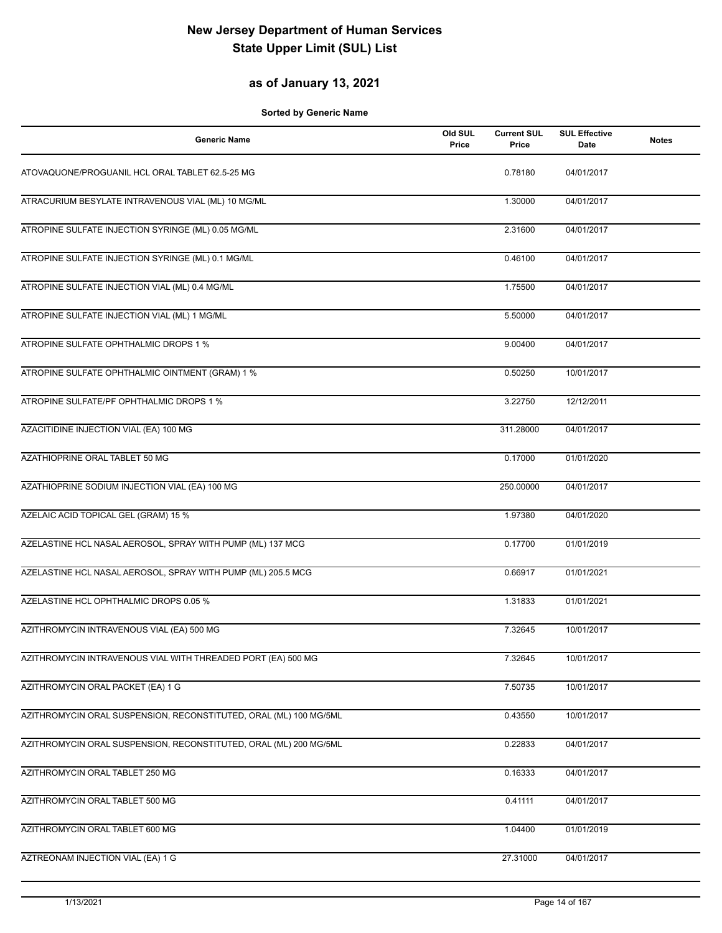## **as of January 13, 2021**

| <b>Generic Name</b>                                               | Old SUL<br>Price | <b>Current SUL</b><br>Price | <b>SUL Effective</b><br>Date | <b>Notes</b> |
|-------------------------------------------------------------------|------------------|-----------------------------|------------------------------|--------------|
| ATOVAQUONE/PROGUANIL HCL ORAL TABLET 62.5-25 MG                   |                  | 0.78180                     | 04/01/2017                   |              |
| ATRACURIUM BESYLATE INTRAVENOUS VIAL (ML) 10 MG/ML                |                  | 1.30000                     | 04/01/2017                   |              |
| ATROPINE SULFATE INJECTION SYRINGE (ML) 0.05 MG/ML                |                  | 2.31600                     | 04/01/2017                   |              |
| ATROPINE SULFATE INJECTION SYRINGE (ML) 0.1 MG/ML                 |                  | 0.46100                     | 04/01/2017                   |              |
| ATROPINE SULFATE INJECTION VIAL (ML) 0.4 MG/ML                    |                  | 1.75500                     | 04/01/2017                   |              |
| ATROPINE SULFATE INJECTION VIAL (ML) 1 MG/ML                      |                  | 5.50000                     | 04/01/2017                   |              |
| ATROPINE SULFATE OPHTHALMIC DROPS 1 %                             |                  | 9.00400                     | 04/01/2017                   |              |
| ATROPINE SULFATE OPHTHALMIC OINTMENT (GRAM) 1 %                   |                  | 0.50250                     | 10/01/2017                   |              |
| ATROPINE SULFATE/PF OPHTHALMIC DROPS 1 %                          |                  | 3.22750                     | 12/12/2011                   |              |
| AZACITIDINE INJECTION VIAL (EA) 100 MG                            |                  | 311.28000                   | 04/01/2017                   |              |
| AZATHIOPRINE ORAL TABLET 50 MG                                    |                  | 0.17000                     | 01/01/2020                   |              |
| AZATHIOPRINE SODIUM INJECTION VIAL (EA) 100 MG                    |                  | 250.00000                   | 04/01/2017                   |              |
| AZELAIC ACID TOPICAL GEL (GRAM) 15 %                              |                  | 1.97380                     | 04/01/2020                   |              |
| AZELASTINE HCL NASAL AEROSOL, SPRAY WITH PUMP (ML) 137 MCG        |                  | 0.17700                     | 01/01/2019                   |              |
| AZELASTINE HCL NASAL AEROSOL, SPRAY WITH PUMP (ML) 205.5 MCG      |                  | 0.66917                     | 01/01/2021                   |              |
| AZELASTINE HCL OPHTHALMIC DROPS 0.05 %                            |                  | 1.31833                     | 01/01/2021                   |              |
| AZITHROMYCIN INTRAVENOUS VIAL (EA) 500 MG                         |                  | 7.32645                     | 10/01/2017                   |              |
| AZITHROMYCIN INTRAVENOUS VIAL WITH THREADED PORT (EA) 500 MG      |                  | 7.32645                     | 10/01/2017                   |              |
| AZITHROMYCIN ORAL PACKET (EA) 1 G                                 |                  | 7.50735                     | 10/01/2017                   |              |
| AZITHROMYCIN ORAL SUSPENSION, RECONSTITUTED, ORAL (ML) 100 MG/5ML |                  | 0.43550                     | 10/01/2017                   |              |
| AZITHROMYCIN ORAL SUSPENSION, RECONSTITUTED, ORAL (ML) 200 MG/5ML |                  | 0.22833                     | 04/01/2017                   |              |
| AZITHROMYCIN ORAL TABLET 250 MG                                   |                  | 0.16333                     | 04/01/2017                   |              |
| AZITHROMYCIN ORAL TABLET 500 MG                                   |                  | 0.41111                     | 04/01/2017                   |              |
| AZITHROMYCIN ORAL TABLET 600 MG                                   |                  | 1.04400                     | 01/01/2019                   |              |
| AZTREONAM INJECTION VIAL (EA) 1 G                                 |                  | 27.31000                    | 04/01/2017                   |              |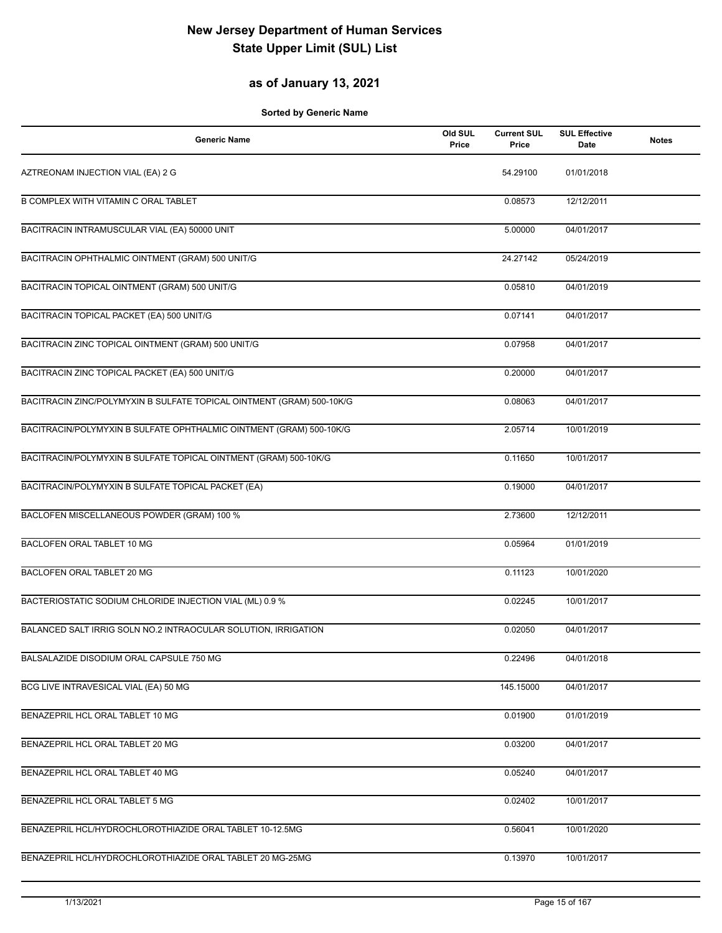## **as of January 13, 2021**

| <b>Generic Name</b>                                                   | Old SUL<br>Price | <b>Current SUL</b><br>Price | <b>SUL Effective</b><br>Date | <b>Notes</b> |
|-----------------------------------------------------------------------|------------------|-----------------------------|------------------------------|--------------|
| AZTREONAM INJECTION VIAL (EA) 2 G                                     |                  | 54.29100                    | 01/01/2018                   |              |
| B COMPLEX WITH VITAMIN C ORAL TABLET                                  |                  | 0.08573                     | 12/12/2011                   |              |
| BACITRACIN INTRAMUSCULAR VIAL (EA) 50000 UNIT                         |                  | 5.00000                     | 04/01/2017                   |              |
| BACITRACIN OPHTHALMIC OINTMENT (GRAM) 500 UNIT/G                      |                  | 24.27142                    | 05/24/2019                   |              |
| BACITRACIN TOPICAL OINTMENT (GRAM) 500 UNIT/G                         |                  | 0.05810                     | 04/01/2019                   |              |
| BACITRACIN TOPICAL PACKET (EA) 500 UNIT/G                             |                  | 0.07141                     | 04/01/2017                   |              |
| BACITRACIN ZINC TOPICAL OINTMENT (GRAM) 500 UNIT/G                    |                  | 0.07958                     | 04/01/2017                   |              |
| BACITRACIN ZINC TOPICAL PACKET (EA) 500 UNIT/G                        |                  | 0.20000                     | 04/01/2017                   |              |
| BACITRACIN ZINC/POLYMYXIN B SULFATE TOPICAL OINTMENT (GRAM) 500-10K/G |                  | 0.08063                     | 04/01/2017                   |              |
| BACITRACIN/POLYMYXIN B SULFATE OPHTHALMIC OINTMENT (GRAM) 500-10K/G   |                  | 2.05714                     | 10/01/2019                   |              |
| BACITRACIN/POLYMYXIN B SULFATE TOPICAL OINTMENT (GRAM) 500-10K/G      |                  | 0.11650                     | 10/01/2017                   |              |
| BACITRACIN/POLYMYXIN B SULFATE TOPICAL PACKET (EA)                    |                  | 0.19000                     | 04/01/2017                   |              |
| BACLOFEN MISCELLANEOUS POWDER (GRAM) 100 %                            |                  | 2.73600                     | 12/12/2011                   |              |
| BACLOFEN ORAL TABLET 10 MG                                            |                  | 0.05964                     | 01/01/2019                   |              |
| BACLOFEN ORAL TABLET 20 MG                                            |                  | 0.11123                     | 10/01/2020                   |              |
| BACTERIOSTATIC SODIUM CHLORIDE INJECTION VIAL (ML) 0.9 %              |                  | 0.02245                     | 10/01/2017                   |              |
| BALANCED SALT IRRIG SOLN NO.2 INTRAOCULAR SOLUTION, IRRIGATION        |                  | 0.02050                     | 04/01/2017                   |              |
| BALSALAZIDE DISODIUM ORAL CAPSULE 750 MG                              |                  | 0.22496                     | 04/01/2018                   |              |
| BCG LIVE INTRAVESICAL VIAL (EA) 50 MG                                 |                  | 145.15000                   | 04/01/2017                   |              |
| BENAZEPRIL HCL ORAL TABLET 10 MG                                      |                  | 0.01900                     | 01/01/2019                   |              |
| BENAZEPRIL HCL ORAL TABLET 20 MG                                      |                  | 0.03200                     | 04/01/2017                   |              |
| BENAZEPRIL HCL ORAL TABLET 40 MG                                      |                  | 0.05240                     | 04/01/2017                   |              |
| BENAZEPRIL HCL ORAL TABLET 5 MG                                       |                  | 0.02402                     | 10/01/2017                   |              |
| BENAZEPRIL HCL/HYDROCHLOROTHIAZIDE ORAL TABLET 10-12.5MG              |                  | 0.56041                     | 10/01/2020                   |              |
| BENAZEPRIL HCL/HYDROCHLOROTHIAZIDE ORAL TABLET 20 MG-25MG             |                  | 0.13970                     | 10/01/2017                   |              |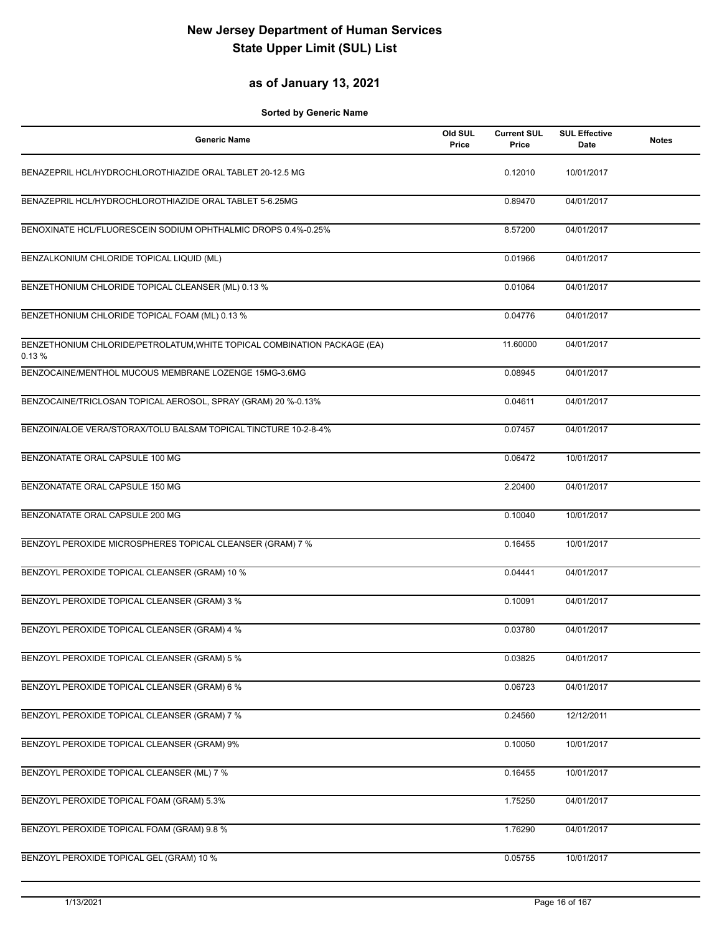## **as of January 13, 2021**

| <b>Generic Name</b>                                                               | Old SUL<br>Price | <b>Current SUL</b><br>Price | <b>SUL Effective</b><br>Date | <b>Notes</b> |
|-----------------------------------------------------------------------------------|------------------|-----------------------------|------------------------------|--------------|
| BENAZEPRIL HCL/HYDROCHLOROTHIAZIDE ORAL TABLET 20-12.5 MG                         |                  | 0.12010                     | 10/01/2017                   |              |
| BENAZEPRIL HCL/HYDROCHLOROTHIAZIDE ORAL TABLET 5-6.25MG                           |                  | 0.89470                     | 04/01/2017                   |              |
| BENOXINATE HCL/FLUORESCEIN SODIUM OPHTHALMIC DROPS 0.4%-0.25%                     |                  | 8.57200                     | 04/01/2017                   |              |
| BENZALKONIUM CHLORIDE TOPICAL LIQUID (ML)                                         |                  | 0.01966                     | 04/01/2017                   |              |
| BENZETHONIUM CHLORIDE TOPICAL CLEANSER (ML) 0.13 %                                |                  | 0.01064                     | 04/01/2017                   |              |
| BENZETHONIUM CHLORIDE TOPICAL FOAM (ML) 0.13 %                                    |                  | 0.04776                     | 04/01/2017                   |              |
| BENZETHONIUM CHLORIDE/PETROLATUM, WHITE TOPICAL COMBINATION PACKAGE (EA)<br>0.13% |                  | 11.60000                    | 04/01/2017                   |              |
| BENZOCAINE/MENTHOL MUCOUS MEMBRANE LOZENGE 15MG-3.6MG                             |                  | 0.08945                     | 04/01/2017                   |              |
| BENZOCAINE/TRICLOSAN TOPICAL AEROSOL, SPRAY (GRAM) 20 %-0.13%                     |                  | 0.04611                     | 04/01/2017                   |              |
| BENZOIN/ALOE VERA/STORAX/TOLU BALSAM TOPICAL TINCTURE 10-2-8-4%                   |                  | 0.07457                     | 04/01/2017                   |              |
| BENZONATATE ORAL CAPSULE 100 MG                                                   |                  | 0.06472                     | 10/01/2017                   |              |
| BENZONATATE ORAL CAPSULE 150 MG                                                   |                  | 2.20400                     | 04/01/2017                   |              |
| BENZONATATE ORAL CAPSULE 200 MG                                                   |                  | 0.10040                     | 10/01/2017                   |              |
| BENZOYL PEROXIDE MICROSPHERES TOPICAL CLEANSER (GRAM) 7 %                         |                  | 0.16455                     | 10/01/2017                   |              |
| BENZOYL PEROXIDE TOPICAL CLEANSER (GRAM) 10 %                                     |                  | 0.04441                     | 04/01/2017                   |              |
| BENZOYL PEROXIDE TOPICAL CLEANSER (GRAM) 3 %                                      |                  | 0.10091                     | 04/01/2017                   |              |
| BENZOYL PEROXIDE TOPICAL CLEANSER (GRAM) 4 %                                      |                  | 0.03780                     | 04/01/2017                   |              |
| BENZOYL PEROXIDE TOPICAL CLEANSER (GRAM) 5 %                                      |                  | 0.03825                     | 04/01/2017                   |              |
| BENZOYL PEROXIDE TOPICAL CLEANSER (GRAM) 6 %                                      |                  | 0.06723                     | 04/01/2017                   |              |
| BENZOYL PEROXIDE TOPICAL CLEANSER (GRAM) 7 %                                      |                  | 0.24560                     | 12/12/2011                   |              |
| BENZOYL PEROXIDE TOPICAL CLEANSER (GRAM) 9%                                       |                  | 0.10050                     | 10/01/2017                   |              |
| BENZOYL PEROXIDE TOPICAL CLEANSER (ML) 7 %                                        |                  | 0.16455                     | 10/01/2017                   |              |
| BENZOYL PEROXIDE TOPICAL FOAM (GRAM) 5.3%                                         |                  | 1.75250                     | 04/01/2017                   |              |
| BENZOYL PEROXIDE TOPICAL FOAM (GRAM) 9.8 %                                        |                  | 1.76290                     | 04/01/2017                   |              |
| BENZOYL PEROXIDE TOPICAL GEL (GRAM) 10 %                                          |                  | 0.05755                     | 10/01/2017                   |              |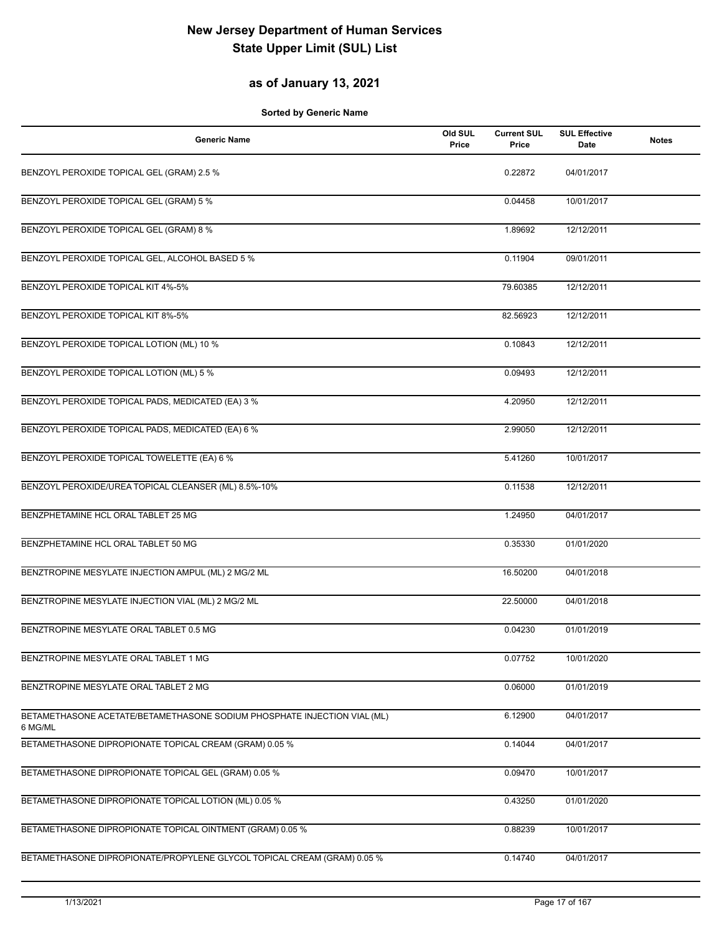## **as of January 13, 2021**

| <b>Generic Name</b>                                                                 | Old SUL<br>Price | <b>Current SUL</b><br>Price | <b>SUL Effective</b><br>Date | <b>Notes</b> |
|-------------------------------------------------------------------------------------|------------------|-----------------------------|------------------------------|--------------|
| BENZOYL PEROXIDE TOPICAL GEL (GRAM) 2.5 %                                           |                  | 0.22872                     | 04/01/2017                   |              |
| BENZOYL PEROXIDE TOPICAL GEL (GRAM) 5 %                                             |                  | 0.04458                     | 10/01/2017                   |              |
| BENZOYL PEROXIDE TOPICAL GEL (GRAM) 8 %                                             |                  | 1.89692                     | 12/12/2011                   |              |
| BENZOYL PEROXIDE TOPICAL GEL, ALCOHOL BASED 5 %                                     |                  | 0.11904                     | 09/01/2011                   |              |
| BENZOYL PEROXIDE TOPICAL KIT 4%-5%                                                  |                  | 79.60385                    | 12/12/2011                   |              |
| BENZOYL PEROXIDE TOPICAL KIT 8%-5%                                                  |                  | 82.56923                    | 12/12/2011                   |              |
| BENZOYL PEROXIDE TOPICAL LOTION (ML) 10 %                                           |                  | 0.10843                     | 12/12/2011                   |              |
| BENZOYL PEROXIDE TOPICAL LOTION (ML) 5 %                                            |                  | 0.09493                     | 12/12/2011                   |              |
| BENZOYL PEROXIDE TOPICAL PADS, MEDICATED (EA) 3 %                                   |                  | 4.20950                     | 12/12/2011                   |              |
| BENZOYL PEROXIDE TOPICAL PADS, MEDICATED (EA) 6 %                                   |                  | 2.99050                     | 12/12/2011                   |              |
| BENZOYL PEROXIDE TOPICAL TOWELETTE (EA) 6 %                                         |                  | 5.41260                     | 10/01/2017                   |              |
| BENZOYL PEROXIDE/UREA TOPICAL CLEANSER (ML) 8.5%-10%                                |                  | 0.11538                     | 12/12/2011                   |              |
| BENZPHETAMINE HCL ORAL TABLET 25 MG                                                 |                  | 1.24950                     | 04/01/2017                   |              |
| BENZPHETAMINE HCL ORAL TABLET 50 MG                                                 |                  | 0.35330                     | 01/01/2020                   |              |
| BENZTROPINE MESYLATE INJECTION AMPUL (ML) 2 MG/2 ML                                 |                  | 16.50200                    | 04/01/2018                   |              |
| BENZTROPINE MESYLATE INJECTION VIAL (ML) 2 MG/2 ML                                  |                  | 22.50000                    | 04/01/2018                   |              |
| BENZTROPINE MESYLATE ORAL TABLET 0.5 MG                                             |                  | 0.04230                     | 01/01/2019                   |              |
| BENZTROPINE MESYLATE ORAL TABLET 1 MG                                               |                  | 0.07752                     | 10/01/2020                   |              |
| BENZTROPINE MESYLATE ORAL TABLET 2 MG                                               |                  | 0.06000                     | 01/01/2019                   |              |
| BETAMETHASONE ACETATE/BETAMETHASONE SODIUM PHOSPHATE INJECTION VIAL (ML)<br>6 MG/ML |                  | 6.12900                     | 04/01/2017                   |              |
| BETAMETHASONE DIPROPIONATE TOPICAL CREAM (GRAM) 0.05 %                              |                  | 0.14044                     | 04/01/2017                   |              |
| BETAMETHASONE DIPROPIONATE TOPICAL GEL (GRAM) 0.05 %                                |                  | 0.09470                     | 10/01/2017                   |              |
| BETAMETHASONE DIPROPIONATE TOPICAL LOTION (ML) 0.05 %                               |                  | 0.43250                     | 01/01/2020                   |              |
| BETAMETHASONE DIPROPIONATE TOPICAL OINTMENT (GRAM) 0.05 %                           |                  | 0.88239                     | 10/01/2017                   |              |
| BETAMETHASONE DIPROPIONATE/PROPYLENE GLYCOL TOPICAL CREAM (GRAM) 0.05 %             |                  | 0.14740                     | 04/01/2017                   |              |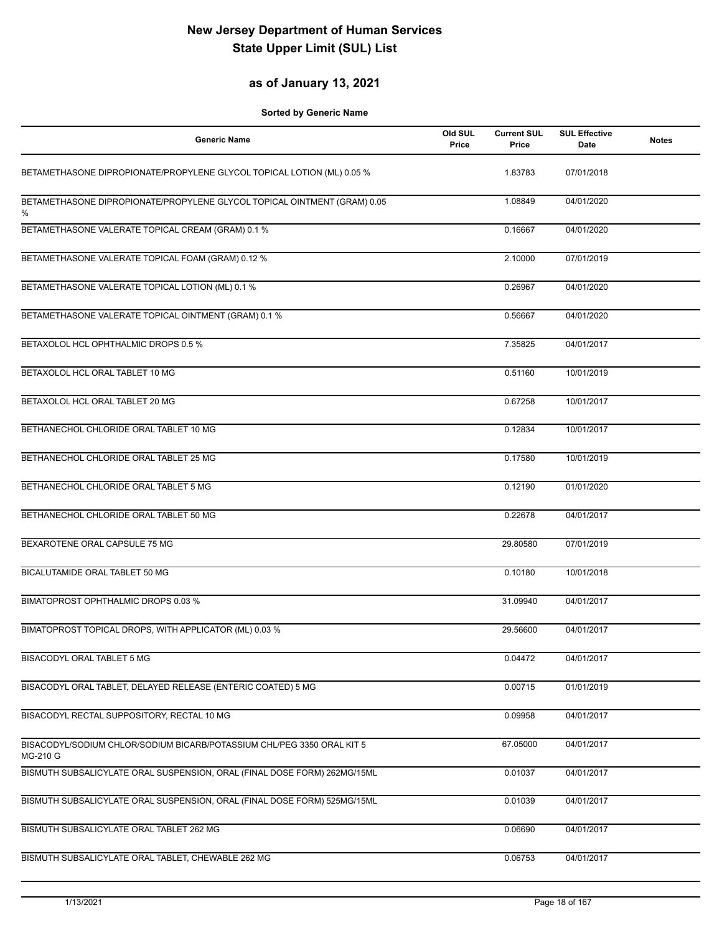## **as of January 13, 2021**

| <b>Generic Name</b>                                                                | Old SUL<br>Price | <b>Current SUL</b><br>Price | <b>SUL Effective</b><br>Date | <b>Notes</b> |
|------------------------------------------------------------------------------------|------------------|-----------------------------|------------------------------|--------------|
| BETAMETHASONE DIPROPIONATE/PROPYLENE GLYCOL TOPICAL LOTION (ML) 0.05 %             |                  | 1.83783                     | 07/01/2018                   |              |
| BETAMETHASONE DIPROPIONATE/PROPYLENE GLYCOL TOPICAL OINTMENT (GRAM) 0.05<br>%      |                  | 1.08849                     | 04/01/2020                   |              |
| BETAMETHASONE VALERATE TOPICAL CREAM (GRAM) 0.1 %                                  |                  | 0.16667                     | 04/01/2020                   |              |
| BETAMETHASONE VALERATE TOPICAL FOAM (GRAM) 0.12 %                                  |                  | 2.10000                     | 07/01/2019                   |              |
| BETAMETHASONE VALERATE TOPICAL LOTION (ML) 0.1 %                                   |                  | 0.26967                     | 04/01/2020                   |              |
| BETAMETHASONE VALERATE TOPICAL OINTMENT (GRAM) 0.1 %                               |                  | 0.56667                     | 04/01/2020                   |              |
| BETAXOLOL HCL OPHTHALMIC DROPS 0.5 %                                               |                  | 7.35825                     | 04/01/2017                   |              |
| BETAXOLOL HCL ORAL TABLET 10 MG                                                    |                  | 0.51160                     | 10/01/2019                   |              |
| BETAXOLOL HCL ORAL TABLET 20 MG                                                    |                  | 0.67258                     | 10/01/2017                   |              |
| BETHANECHOL CHLORIDE ORAL TABLET 10 MG                                             |                  | 0.12834                     | 10/01/2017                   |              |
| BETHANECHOL CHLORIDE ORAL TABLET 25 MG                                             |                  | 0.17580                     | 10/01/2019                   |              |
| BETHANECHOL CHLORIDE ORAL TABLET 5 MG                                              |                  | 0.12190                     | 01/01/2020                   |              |
| BETHANECHOL CHLORIDE ORAL TABLET 50 MG                                             |                  | 0.22678                     | 04/01/2017                   |              |
| BEXAROTENE ORAL CAPSULE 75 MG                                                      |                  | 29.80580                    | 07/01/2019                   |              |
| BICALUTAMIDE ORAL TABLET 50 MG                                                     |                  | 0.10180                     | 10/01/2018                   |              |
| BIMATOPROST OPHTHALMIC DROPS 0.03 %                                                |                  | 31.09940                    | 04/01/2017                   |              |
| BIMATOPROST TOPICAL DROPS, WITH APPLICATOR (ML) 0.03 %                             |                  | 29.56600                    | 04/01/2017                   |              |
| BISACODYL ORAL TABLET 5 MG                                                         |                  | 0.04472                     | 04/01/2017                   |              |
| BISACODYL ORAL TABLET, DELAYED RELEASE (ENTERIC COATED) 5 MG                       |                  | 0.00715                     | 01/01/2019                   |              |
| BISACODYL RECTAL SUPPOSITORY, RECTAL 10 MG                                         |                  | 0.09958                     | 04/01/2017                   |              |
| BISACODYL/SODIUM CHLOR/SODIUM BICARB/POTASSIUM CHL/PEG 3350 ORAL KIT 5<br>MG-210 G |                  | 67.05000                    | 04/01/2017                   |              |
| BISMUTH SUBSALICYLATE ORAL SUSPENSION, ORAL (FINAL DOSE FORM) 262MG/15ML           |                  | 0.01037                     | 04/01/2017                   |              |
| BISMUTH SUBSALICYLATE ORAL SUSPENSION, ORAL (FINAL DOSE FORM) 525MG/15ML           |                  | 0.01039                     | 04/01/2017                   |              |
| BISMUTH SUBSALICYLATE ORAL TABLET 262 MG                                           |                  | 0.06690                     | 04/01/2017                   |              |
| BISMUTH SUBSALICYLATE ORAL TABLET, CHEWABLE 262 MG                                 |                  | 0.06753                     | 04/01/2017                   |              |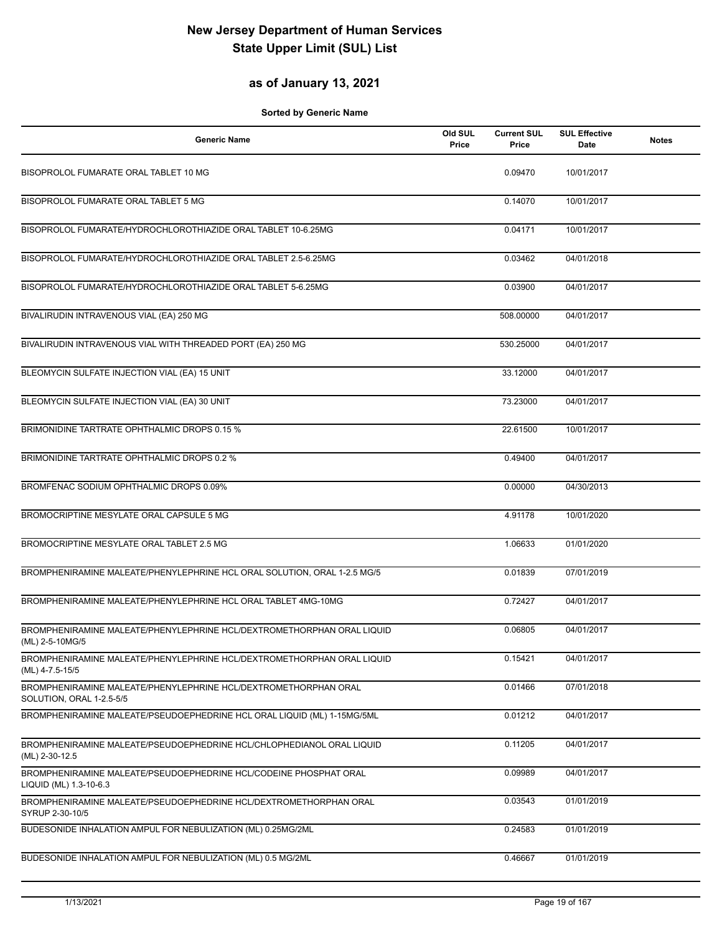## **as of January 13, 2021**

| <b>Generic Name</b>                                                                         | Old SUL<br>Price | <b>Current SUL</b><br>Price | <b>SUL Effective</b><br>Date | <b>Notes</b> |
|---------------------------------------------------------------------------------------------|------------------|-----------------------------|------------------------------|--------------|
| BISOPROLOL FUMARATE ORAL TABLET 10 MG                                                       |                  | 0.09470                     | 10/01/2017                   |              |
| BISOPROLOL FUMARATE ORAL TABLET 5 MG                                                        |                  | 0.14070                     | 10/01/2017                   |              |
| BISOPROLOL FUMARATE/HYDROCHLOROTHIAZIDE ORAL TABLET 10-6.25MG                               |                  | 0.04171                     | 10/01/2017                   |              |
| BISOPROLOL FUMARATE/HYDROCHLOROTHIAZIDE ORAL TABLET 2.5-6.25MG                              |                  | 0.03462                     | 04/01/2018                   |              |
| BISOPROLOL FUMARATE/HYDROCHLOROTHIAZIDE ORAL TABLET 5-6.25MG                                |                  | 0.03900                     | 04/01/2017                   |              |
| BIVALIRUDIN INTRAVENOUS VIAL (EA) 250 MG                                                    |                  | 508.00000                   | 04/01/2017                   |              |
| BIVALIRUDIN INTRAVENOUS VIAL WITH THREADED PORT (EA) 250 MG                                 |                  | 530.25000                   | 04/01/2017                   |              |
| BLEOMYCIN SULFATE INJECTION VIAL (EA) 15 UNIT                                               |                  | 33.12000                    | 04/01/2017                   |              |
| BLEOMYCIN SULFATE INJECTION VIAL (EA) 30 UNIT                                               |                  | 73.23000                    | 04/01/2017                   |              |
| BRIMONIDINE TARTRATE OPHTHALMIC DROPS 0.15 %                                                |                  | 22.61500                    | 10/01/2017                   |              |
| BRIMONIDINE TARTRATE OPHTHALMIC DROPS 0.2 %                                                 |                  | 0.49400                     | 04/01/2017                   |              |
| BROMFENAC SODIUM OPHTHALMIC DROPS 0.09%                                                     |                  | 0.00000                     | 04/30/2013                   |              |
| BROMOCRIPTINE MESYLATE ORAL CAPSULE 5 MG                                                    |                  | 4.91178                     | 10/01/2020                   |              |
| BROMOCRIPTINE MESYLATE ORAL TABLET 2.5 MG                                                   |                  | 1.06633                     | 01/01/2020                   |              |
| BROMPHENIRAMINE MALEATE/PHENYLEPHRINE HCL ORAL SOLUTION, ORAL 1-2.5 MG/5                    |                  | 0.01839                     | 07/01/2019                   |              |
| BROMPHENIRAMINE MALEATE/PHENYLEPHRINE HCL ORAL TABLET 4MG-10MG                              |                  | 0.72427                     | 04/01/2017                   |              |
| BROMPHENIRAMINE MALEATE/PHENYLEPHRINE HCL/DEXTROMETHORPHAN ORAL LIQUID<br>(ML) 2-5-10MG/5   |                  | 0.06805                     | 04/01/2017                   |              |
| BROMPHENIRAMINE MALEATE/PHENYLEPHRINE HCL/DEXTROMETHORPHAN ORAL LIQUID<br>(ML) 4-7.5-15/5   |                  | 0.15421                     | 04/01/2017                   |              |
| BROMPHENIRAMINE MALEATE/PHENYLEPHRINE HCL/DEXTROMETHORPHAN ORAL<br>SOLUTION, ORAL 1-2.5-5/5 |                  | 0.01466                     | 07/01/2018                   |              |
| BROMPHENIRAMINE MALEATE/PSEUDOEPHEDRINE HCL ORAL LIQUID (ML) 1-15MG/5ML                     |                  | 0.01212                     | 04/01/2017                   |              |
| BROMPHENIRAMINE MALEATE/PSEUDOEPHEDRINE HCL/CHLOPHEDIANOL ORAL LIQUID<br>(ML) 2-30-12.5     |                  | 0.11205                     | 04/01/2017                   |              |
| BROMPHENIRAMINE MALEATE/PSEUDOEPHEDRINE HCL/CODEINE PHOSPHAT ORAL<br>LIQUID (ML) 1.3-10-6.3 |                  | 0.09989                     | 04/01/2017                   |              |
| BROMPHENIRAMINE MALEATE/PSEUDOEPHEDRINE HCL/DEXTROMETHORPHAN ORAL<br>SYRUP 2-30-10/5        |                  | 0.03543                     | 01/01/2019                   |              |
| BUDESONIDE INHALATION AMPUL FOR NEBULIZATION (ML) 0.25MG/2ML                                |                  | 0.24583                     | 01/01/2019                   |              |
| BUDESONIDE INHALATION AMPUL FOR NEBULIZATION (ML) 0.5 MG/2ML                                |                  | 0.46667                     | 01/01/2019                   |              |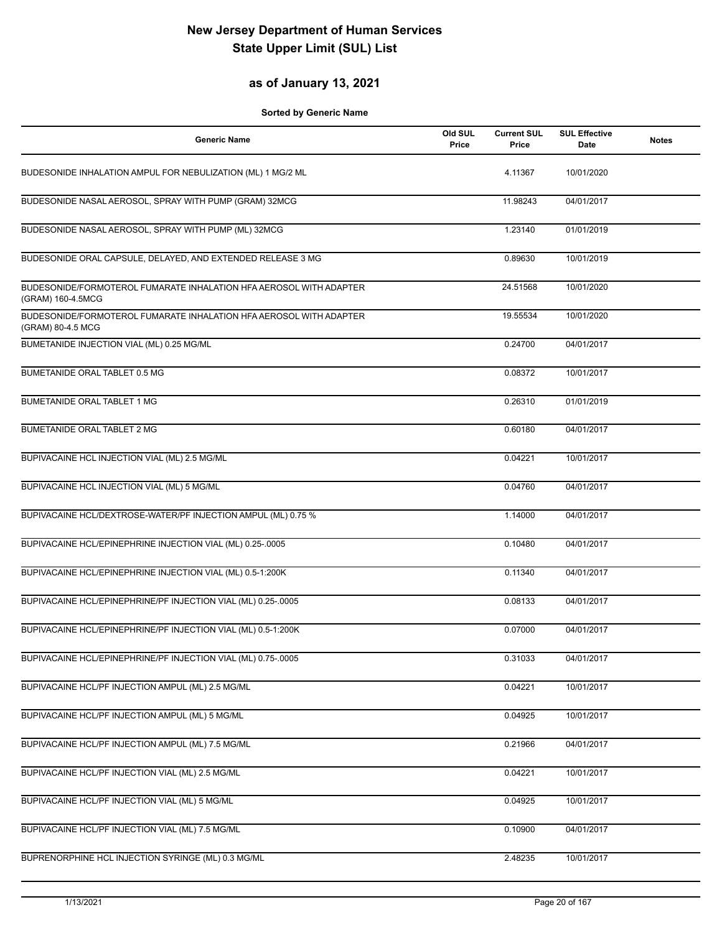## **as of January 13, 2021**

| <b>Generic Name</b>                                                                     | Old SUL<br>Price | <b>Current SUL</b><br>Price | <b>SUL Effective</b><br><b>Date</b> | <b>Notes</b> |
|-----------------------------------------------------------------------------------------|------------------|-----------------------------|-------------------------------------|--------------|
| BUDESONIDE INHALATION AMPUL FOR NEBULIZATION (ML) 1 MG/2 ML                             |                  | 4.11367                     | 10/01/2020                          |              |
| BUDESONIDE NASAL AEROSOL, SPRAY WITH PUMP (GRAM) 32MCG                                  |                  | 11.98243                    | 04/01/2017                          |              |
| BUDESONIDE NASAL AEROSOL, SPRAY WITH PUMP (ML) 32MCG                                    |                  | 1.23140                     | 01/01/2019                          |              |
| BUDESONIDE ORAL CAPSULE, DELAYED, AND EXTENDED RELEASE 3 MG                             |                  | 0.89630                     | 10/01/2019                          |              |
| BUDESONIDE/FORMOTEROL FUMARATE INHALATION HFA AEROSOL WITH ADAPTER<br>(GRAM) 160-4.5MCG |                  | 24.51568                    | 10/01/2020                          |              |
| BUDESONIDE/FORMOTEROL FUMARATE INHALATION HFA AEROSOL WITH ADAPTER<br>(GRAM) 80-4.5 MCG |                  | 19.55534                    | 10/01/2020                          |              |
| BUMETANIDE INJECTION VIAL (ML) 0.25 MG/ML                                               |                  | 0.24700                     | 04/01/2017                          |              |
| BUMETANIDE ORAL TABLET 0.5 MG                                                           |                  | 0.08372                     | 10/01/2017                          |              |
| <b>BUMETANIDE ORAL TABLET 1 MG</b>                                                      |                  | 0.26310                     | 01/01/2019                          |              |
| BUMETANIDE ORAL TABLET 2 MG                                                             |                  | 0.60180                     | 04/01/2017                          |              |
| BUPIVACAINE HCL INJECTION VIAL (ML) 2.5 MG/ML                                           |                  | 0.04221                     | 10/01/2017                          |              |
| BUPIVACAINE HCL INJECTION VIAL (ML) 5 MG/ML                                             |                  | 0.04760                     | 04/01/2017                          |              |
| BUPIVACAINE HCL/DEXTROSE-WATER/PF INJECTION AMPUL (ML) 0.75 %                           |                  | 1.14000                     | 04/01/2017                          |              |
| BUPIVACAINE HCL/EPINEPHRINE INJECTION VIAL (ML) 0.25-.0005                              |                  | 0.10480                     | 04/01/2017                          |              |
| BUPIVACAINE HCL/EPINEPHRINE INJECTION VIAL (ML) 0.5-1:200K                              |                  | 0.11340                     | 04/01/2017                          |              |
| BUPIVACAINE HCL/EPINEPHRINE/PF INJECTION VIAL (ML) 0.25-.0005                           |                  | 0.08133                     | 04/01/2017                          |              |
| BUPIVACAINE HCL/EPINEPHRINE/PF INJECTION VIAL (ML) 0.5-1:200K                           |                  | 0.07000                     | 04/01/2017                          |              |
| BUPIVACAINE HCL/EPINEPHRINE/PF INJECTION VIAL (ML) 0.75-.0005                           |                  | 0.31033                     | 04/01/2017                          |              |
| BUPIVACAINE HCL/PF INJECTION AMPUL (ML) 2.5 MG/ML                                       |                  | 0.04221                     | 10/01/2017                          |              |
| BUPIVACAINE HCL/PF INJECTION AMPUL (ML) 5 MG/ML                                         |                  | 0.04925                     | 10/01/2017                          |              |
| BUPIVACAINE HCL/PF INJECTION AMPUL (ML) 7.5 MG/ML                                       |                  | 0.21966                     | 04/01/2017                          |              |
| BUPIVACAINE HCL/PF INJECTION VIAL (ML) 2.5 MG/ML                                        |                  | 0.04221                     | 10/01/2017                          |              |
| BUPIVACAINE HCL/PF INJECTION VIAL (ML) 5 MG/ML                                          |                  | 0.04925                     | 10/01/2017                          |              |
| BUPIVACAINE HCL/PF INJECTION VIAL (ML) 7.5 MG/ML                                        |                  | 0.10900                     | 04/01/2017                          |              |
| BUPRENORPHINE HCL INJECTION SYRINGE (ML) 0.3 MG/ML                                      |                  | 2.48235                     | 10/01/2017                          |              |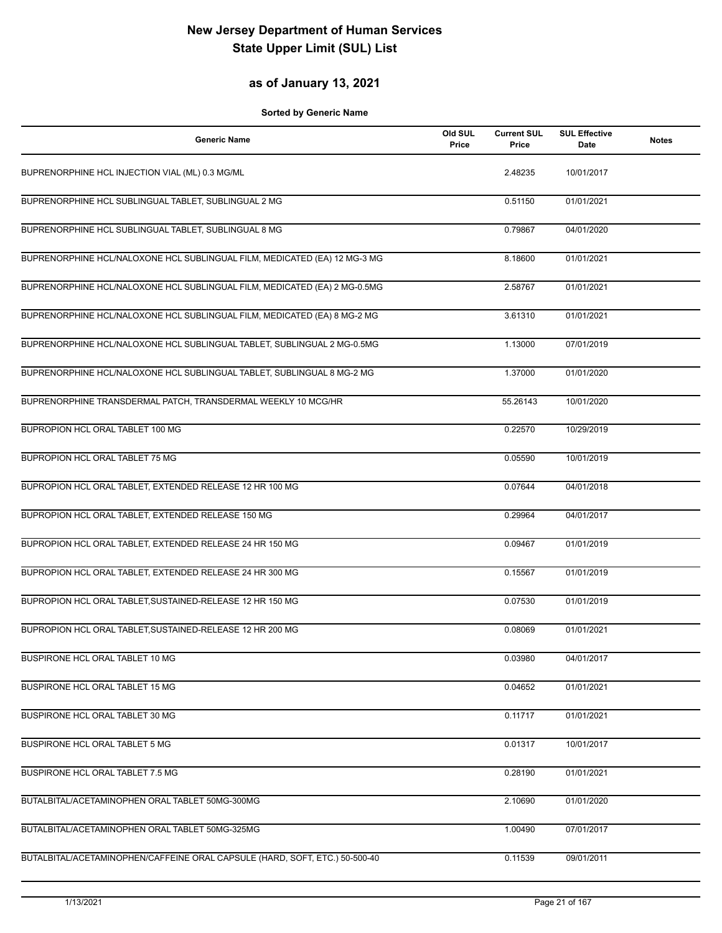## **as of January 13, 2021**

| <b>Generic Name</b>                                                         | Old SUL<br>Price | <b>Current SUL</b><br>Price | <b>SUL Effective</b><br>Date | <b>Notes</b> |
|-----------------------------------------------------------------------------|------------------|-----------------------------|------------------------------|--------------|
| BUPRENORPHINE HCL INJECTION VIAL (ML) 0.3 MG/ML                             |                  | 2.48235                     | 10/01/2017                   |              |
| BUPRENORPHINE HCL SUBLINGUAL TABLET, SUBLINGUAL 2 MG                        |                  | 0.51150                     | 01/01/2021                   |              |
| BUPRENORPHINE HCL SUBLINGUAL TABLET, SUBLINGUAL 8 MG                        |                  | 0.79867                     | 04/01/2020                   |              |
| BUPRENORPHINE HCL/NALOXONE HCL SUBLINGUAL FILM, MEDICATED (EA) 12 MG-3 MG   |                  | 8.18600                     | 01/01/2021                   |              |
| BUPRENORPHINE HCL/NALOXONE HCL SUBLINGUAL FILM, MEDICATED (EA) 2 MG-0.5MG   |                  | 2.58767                     | 01/01/2021                   |              |
| BUPRENORPHINE HCL/NALOXONE HCL SUBLINGUAL FILM, MEDICATED (EA) 8 MG-2 MG    |                  | 3.61310                     | 01/01/2021                   |              |
| BUPRENORPHINE HCL/NALOXONE HCL SUBLINGUAL TABLET, SUBLINGUAL 2 MG-0.5MG     |                  | 1.13000                     | 07/01/2019                   |              |
| BUPRENORPHINE HCL/NALOXONE HCL SUBLINGUAL TABLET, SUBLINGUAL 8 MG-2 MG      |                  | 1.37000                     | 01/01/2020                   |              |
| BUPRENORPHINE TRANSDERMAL PATCH, TRANSDERMAL WEEKLY 10 MCG/HR               |                  | 55.26143                    | 10/01/2020                   |              |
| BUPROPION HCL ORAL TABLET 100 MG                                            |                  | 0.22570                     | 10/29/2019                   |              |
| BUPROPION HCL ORAL TABLET 75 MG                                             |                  | 0.05590                     | 10/01/2019                   |              |
| BUPROPION HCL ORAL TABLET, EXTENDED RELEASE 12 HR 100 MG                    |                  | 0.07644                     | 04/01/2018                   |              |
| BUPROPION HCL ORAL TABLET, EXTENDED RELEASE 150 MG                          |                  | 0.29964                     | 04/01/2017                   |              |
| BUPROPION HCL ORAL TABLET, EXTENDED RELEASE 24 HR 150 MG                    |                  | 0.09467                     | 01/01/2019                   |              |
| BUPROPION HCL ORAL TABLET, EXTENDED RELEASE 24 HR 300 MG                    |                  | 0.15567                     | 01/01/2019                   |              |
| BUPROPION HCL ORAL TABLET, SUSTAINED-RELEASE 12 HR 150 MG                   |                  | 0.07530                     | 01/01/2019                   |              |
| BUPROPION HCL ORAL TABLET, SUSTAINED-RELEASE 12 HR 200 MG                   |                  | 0.08069                     | 01/01/2021                   |              |
| BUSPIRONE HCL ORAL TABLET 10 MG                                             |                  | 0.03980                     | 04/01/2017                   |              |
| BUSPIRONE HCL ORAL TABLET 15 MG                                             |                  | 0.04652                     | 01/01/2021                   |              |
| BUSPIRONE HCL ORAL TABLET 30 MG                                             |                  | 0.11717                     | 01/01/2021                   |              |
| BUSPIRONE HCL ORAL TABLET 5 MG                                              |                  | 0.01317                     | 10/01/2017                   |              |
| <b>BUSPIRONE HCL ORAL TABLET 7.5 MG</b>                                     |                  | 0.28190                     | 01/01/2021                   |              |
| BUTALBITAL/ACETAMINOPHEN ORAL TABLET 50MG-300MG                             |                  | 2.10690                     | 01/01/2020                   |              |
| BUTALBITAL/ACETAMINOPHEN ORAL TABLET 50MG-325MG                             |                  | 1.00490                     | 07/01/2017                   |              |
| BUTALBITAL/ACETAMINOPHEN/CAFFEINE ORAL CAPSULE (HARD, SOFT, ETC.) 50-500-40 |                  | 0.11539                     | 09/01/2011                   |              |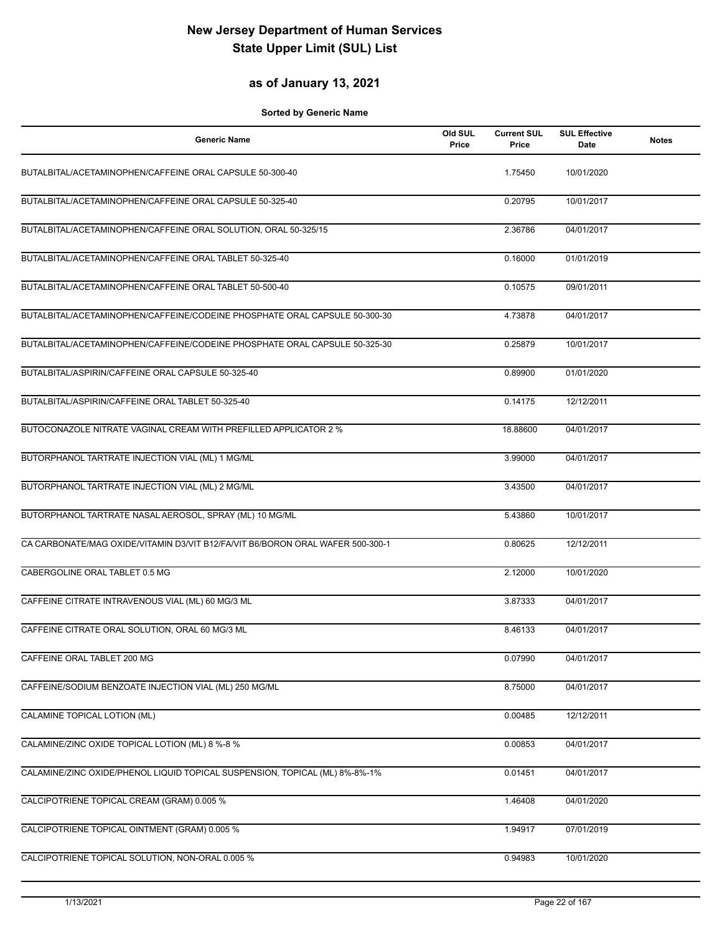#### **as of January 13, 2021**

| <b>Generic Name</b>                                                            | Old SUL<br>Price | <b>Current SUL</b><br>Price | <b>SUL Effective</b><br>Date | <b>Notes</b> |
|--------------------------------------------------------------------------------|------------------|-----------------------------|------------------------------|--------------|
| BUTALBITAL/ACETAMINOPHEN/CAFFEINE ORAL CAPSULE 50-300-40                       |                  | 1.75450                     | 10/01/2020                   |              |
| BUTALBITAL/ACETAMINOPHEN/CAFFEINE ORAL CAPSULE 50-325-40                       |                  | 0.20795                     | 10/01/2017                   |              |
| BUTALBITAL/ACETAMINOPHEN/CAFFEINE ORAL SOLUTION, ORAL 50-325/15                |                  | 2.36786                     | 04/01/2017                   |              |
| BUTALBITAL/ACETAMINOPHEN/CAFFEINE ORAL TABLET 50-325-40                        |                  | 0.16000                     | 01/01/2019                   |              |
| BUTALBITAL/ACETAMINOPHEN/CAFFEINE ORAL TABLET 50-500-40                        |                  | 0.10575                     | 09/01/2011                   |              |
| BUTALBITAL/ACETAMINOPHEN/CAFFEINE/CODEINE PHOSPHATE ORAL CAPSULE 50-300-30     |                  | 4.73878                     | 04/01/2017                   |              |
| BUTALBITAL/ACETAMINOPHEN/CAFFEINE/CODEINE PHOSPHATE ORAL CAPSULE 50-325-30     |                  | 0.25879                     | 10/01/2017                   |              |
| BUTALBITAL/ASPIRIN/CAFFEINE ORAL CAPSULE 50-325-40                             |                  | 0.89900                     | 01/01/2020                   |              |
| BUTALBITAL/ASPIRIN/CAFFEINE ORAL TABLET 50-325-40                              |                  | 0.14175                     | 12/12/2011                   |              |
| BUTOCONAZOLE NITRATE VAGINAL CREAM WITH PREFILLED APPLICATOR 2 %               |                  | 18.88600                    | 04/01/2017                   |              |
| BUTORPHANOL TARTRATE INJECTION VIAL (ML) 1 MG/ML                               |                  | 3.99000                     | 04/01/2017                   |              |
| BUTORPHANOL TARTRATE INJECTION VIAL (ML) 2 MG/ML                               |                  | 3.43500                     | 04/01/2017                   |              |
| BUTORPHANOL TARTRATE NASAL AEROSOL, SPRAY (ML) 10 MG/ML                        |                  | 5.43860                     | 10/01/2017                   |              |
| CA CARBONATE/MAG OXIDE/VITAMIN D3/VIT B12/FA/VIT B6/BORON ORAL WAFER 500-300-1 |                  | 0.80625                     | 12/12/2011                   |              |
| CABERGOLINE ORAL TABLET 0.5 MG                                                 |                  | 2.12000                     | 10/01/2020                   |              |
| CAFFEINE CITRATE INTRAVENOUS VIAL (ML) 60 MG/3 ML                              |                  | 3.87333                     | 04/01/2017                   |              |
| CAFFEINE CITRATE ORAL SOLUTION, ORAL 60 MG/3 ML                                |                  | 8.46133                     | 04/01/2017                   |              |
| CAFFEINE ORAL TABLET 200 MG                                                    |                  | 0.07990                     | 04/01/2017                   |              |
| CAFFEINE/SODIUM BENZOATE INJECTION VIAL (ML) 250 MG/ML                         |                  | 8.75000                     | 04/01/2017                   |              |
| CALAMINE TOPICAL LOTION (ML)                                                   |                  | 0.00485                     | 12/12/2011                   |              |
| CALAMINE/ZINC OXIDE TOPICAL LOTION (ML) 8 %-8 %                                |                  | 0.00853                     | 04/01/2017                   |              |
| CALAMINE/ZINC OXIDE/PHENOL LIQUID TOPICAL SUSPENSION, TOPICAL (ML) 8%-8%-1%    |                  | 0.01451                     | 04/01/2017                   |              |
| CALCIPOTRIENE TOPICAL CREAM (GRAM) 0.005 %                                     |                  | 1.46408                     | 04/01/2020                   |              |
| CALCIPOTRIENE TOPICAL OINTMENT (GRAM) 0.005 %                                  |                  | 1.94917                     | 07/01/2019                   |              |
| CALCIPOTRIENE TOPICAL SOLUTION, NON-ORAL 0.005 %                               |                  | 0.94983                     | 10/01/2020                   |              |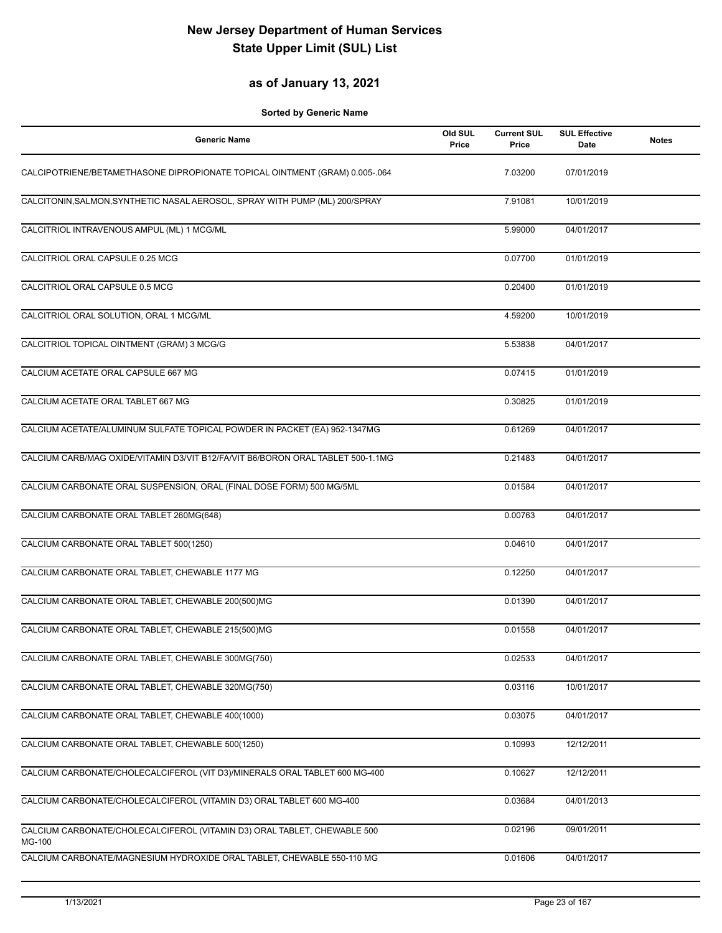### **as of January 13, 2021**

| Generic Name                                                                     | Old SUL<br>Price | <b>Current SUL</b><br>Price | <b>SUL Effective</b><br><b>Date</b> | <b>Notes</b> |
|----------------------------------------------------------------------------------|------------------|-----------------------------|-------------------------------------|--------------|
| CALCIPOTRIENE/BETAMETHASONE DIPROPIONATE TOPICAL OINTMENT (GRAM) 0.005-.064      |                  | 7.03200                     | 07/01/2019                          |              |
| CALCITONIN, SALMON, SYNTHETIC NASAL AEROSOL, SPRAY WITH PUMP (ML) 200/SPRAY      |                  | 7.91081                     | 10/01/2019                          |              |
| CALCITRIOL INTRAVENOUS AMPUL (ML) 1 MCG/ML                                       |                  | 5.99000                     | 04/01/2017                          |              |
| CALCITRIOL ORAL CAPSULE 0.25 MCG                                                 |                  | 0.07700                     | 01/01/2019                          |              |
| CALCITRIOL ORAL CAPSULE 0.5 MCG                                                  |                  | 0.20400                     | 01/01/2019                          |              |
| CALCITRIOL ORAL SOLUTION, ORAL 1 MCG/ML                                          |                  | 4.59200                     | 10/01/2019                          |              |
| CALCITRIOL TOPICAL OINTMENT (GRAM) 3 MCG/G                                       |                  | 5.53838                     | 04/01/2017                          |              |
| CALCIUM ACETATE ORAL CAPSULE 667 MG                                              |                  | 0.07415                     | 01/01/2019                          |              |
| CALCIUM ACETATE ORAL TABLET 667 MG                                               |                  | 0.30825                     | 01/01/2019                          |              |
| CALCIUM ACETATE/ALUMINUM SULFATE TOPICAL POWDER IN PACKET (EA) 952-1347MG        |                  | 0.61269                     | 04/01/2017                          |              |
| CALCIUM CARB/MAG OXIDE/VITAMIN D3/VIT B12/FA/VIT B6/BORON ORAL TABLET 500-1.1MG  |                  | 0.21483                     | 04/01/2017                          |              |
| CALCIUM CARBONATE ORAL SUSPENSION, ORAL (FINAL DOSE FORM) 500 MG/5ML             |                  | 0.01584                     | 04/01/2017                          |              |
| CALCIUM CARBONATE ORAL TABLET 260MG(648)                                         |                  | 0.00763                     | 04/01/2017                          |              |
| CALCIUM CARBONATE ORAL TABLET 500(1250)                                          |                  | 0.04610                     | 04/01/2017                          |              |
| CALCIUM CARBONATE ORAL TABLET, CHEWABLE 1177 MG                                  |                  | 0.12250                     | 04/01/2017                          |              |
| CALCIUM CARBONATE ORAL TABLET, CHEWABLE 200(500)MG                               |                  | 0.01390                     | 04/01/2017                          |              |
| CALCIUM CARBONATE ORAL TABLET, CHEWABLE 215(500)MG                               |                  | 0.01558                     | 04/01/2017                          |              |
| CALCIUM CARBONATE ORAL TABLET, CHEWABLE 300MG(750)                               |                  | 0.02533                     | 04/01/2017                          |              |
| CALCIUM CARBONATE ORAL TABLET, CHEWABLE 320MG(750)                               |                  | 0.03116                     | 10/01/2017                          |              |
| CALCIUM CARBONATE ORAL TABLET, CHEWABLE 400(1000)                                |                  | 0.03075                     | 04/01/2017                          |              |
| CALCIUM CARBONATE ORAL TABLET, CHEWABLE 500(1250)                                |                  | 0.10993                     | 12/12/2011                          |              |
| CALCIUM CARBONATE/CHOLECALCIFEROL (VIT D3)/MINERALS ORAL TABLET 600 MG-400       |                  | 0.10627                     | 12/12/2011                          |              |
| CALCIUM CARBONATE/CHOLECALCIFEROL (VITAMIN D3) ORAL TABLET 600 MG-400            |                  | 0.03684                     | 04/01/2013                          |              |
| CALCIUM CARBONATE/CHOLECALCIFEROL (VITAMIN D3) ORAL TABLET, CHEWABLE 500         |                  | 0.02196                     | 09/01/2011                          |              |
| MG-100<br>CALCIUM CARBONATE/MAGNESIUM HYDROXIDE ORAL TABLET, CHEWABLE 550-110 MG |                  | 0.01606                     | 04/01/2017                          |              |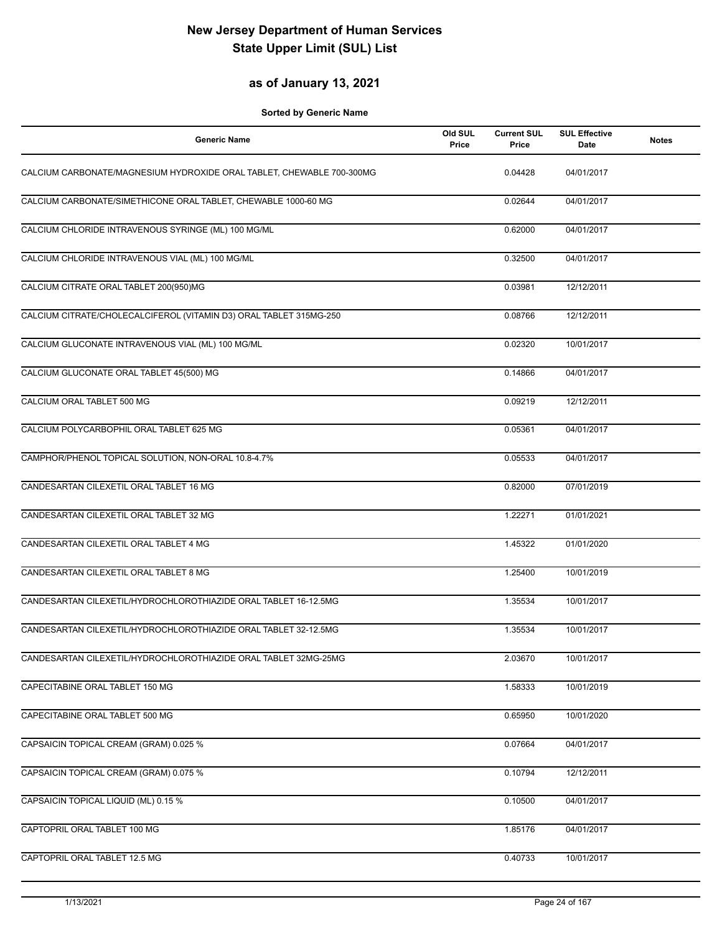## **as of January 13, 2021**

| <b>Generic Name</b>                                                   | Old SUL<br>Price | <b>Current SUL</b><br>Price | <b>SUL Effective</b><br>Date | <b>Notes</b> |
|-----------------------------------------------------------------------|------------------|-----------------------------|------------------------------|--------------|
| CALCIUM CARBONATE/MAGNESIUM HYDROXIDE ORAL TABLET, CHEWABLE 700-300MG |                  | 0.04428                     | 04/01/2017                   |              |
| CALCIUM CARBONATE/SIMETHICONE ORAL TABLET, CHEWABLE 1000-60 MG        |                  | 0.02644                     | 04/01/2017                   |              |
| CALCIUM CHLORIDE INTRAVENOUS SYRINGE (ML) 100 MG/ML                   |                  | 0.62000                     | 04/01/2017                   |              |
| CALCIUM CHLORIDE INTRAVENOUS VIAL (ML) 100 MG/ML                      |                  | 0.32500                     | 04/01/2017                   |              |
| CALCIUM CITRATE ORAL TABLET 200(950)MG                                |                  | 0.03981                     | 12/12/2011                   |              |
| CALCIUM CITRATE/CHOLECALCIFEROL (VITAMIN D3) ORAL TABLET 315MG-250    |                  | 0.08766                     | 12/12/2011                   |              |
| CALCIUM GLUCONATE INTRAVENOUS VIAL (ML) 100 MG/ML                     |                  | 0.02320                     | 10/01/2017                   |              |
| CALCIUM GLUCONATE ORAL TABLET 45(500) MG                              |                  | 0.14866                     | 04/01/2017                   |              |
| CALCIUM ORAL TABLET 500 MG                                            |                  | 0.09219                     | 12/12/2011                   |              |
| CALCIUM POLYCARBOPHIL ORAL TABLET 625 MG                              |                  | 0.05361                     | 04/01/2017                   |              |
| CAMPHOR/PHENOL TOPICAL SOLUTION, NON-ORAL 10.8-4.7%                   |                  | 0.05533                     | 04/01/2017                   |              |
| CANDESARTAN CILEXETIL ORAL TABLET 16 MG                               |                  | 0.82000                     | 07/01/2019                   |              |
| CANDESARTAN CILEXETIL ORAL TABLET 32 MG                               |                  | 1.22271                     | 01/01/2021                   |              |
| CANDESARTAN CILEXETIL ORAL TABLET 4 MG                                |                  | 1.45322                     | 01/01/2020                   |              |
| CANDESARTAN CILEXETIL ORAL TABLET 8 MG                                |                  | 1.25400                     | 10/01/2019                   |              |
| CANDESARTAN CILEXETIL/HYDROCHLOROTHIAZIDE ORAL TABLET 16-12.5MG       |                  | 1.35534                     | 10/01/2017                   |              |
| CANDESARTAN CILEXETIL/HYDROCHLOROTHIAZIDE ORAL TABLET 32-12.5MG       |                  | 1.35534                     | 10/01/2017                   |              |
| CANDESARTAN CILEXETIL/HYDROCHLOROTHIAZIDE ORAL TABLET 32MG-25MG       |                  | 2.03670                     | 10/01/2017                   |              |
| CAPECITABINE ORAL TABLET 150 MG                                       |                  | 1.58333                     | 10/01/2019                   |              |
| CAPECITABINE ORAL TABLET 500 MG                                       |                  | 0.65950                     | 10/01/2020                   |              |
| CAPSAICIN TOPICAL CREAM (GRAM) 0.025 %                                |                  | 0.07664                     | 04/01/2017                   |              |
| CAPSAICIN TOPICAL CREAM (GRAM) 0.075 %                                |                  | 0.10794                     | 12/12/2011                   |              |
| CAPSAICIN TOPICAL LIQUID (ML) 0.15 %                                  |                  | 0.10500                     | 04/01/2017                   |              |
| CAPTOPRIL ORAL TABLET 100 MG                                          |                  | 1.85176                     | 04/01/2017                   |              |
| CAPTOPRIL ORAL TABLET 12.5 MG                                         |                  | 0.40733                     | 10/01/2017                   |              |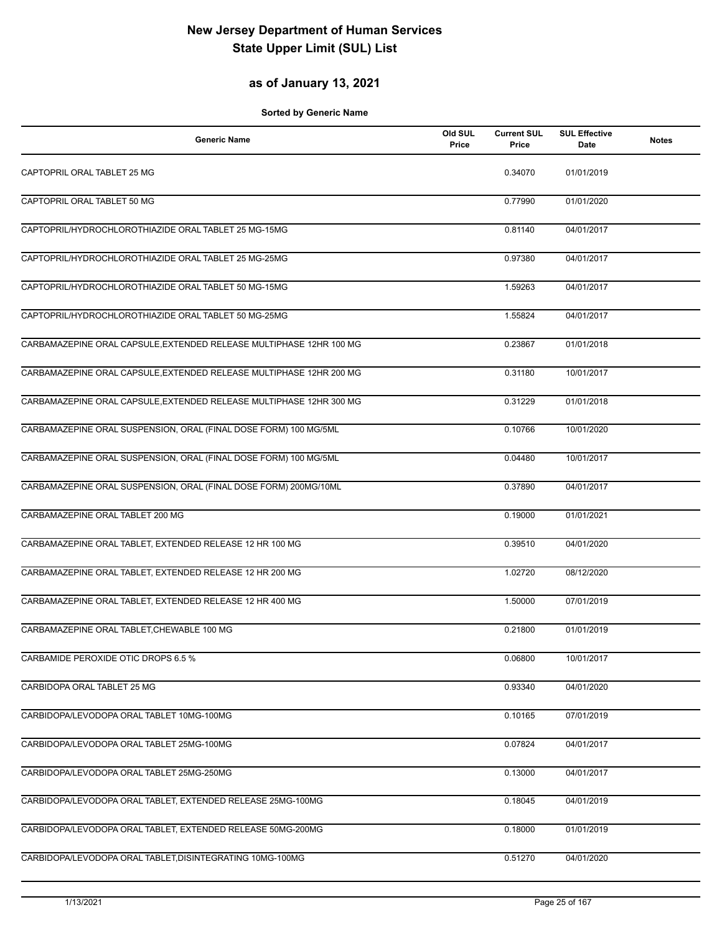### **as of January 13, 2021**

| <b>Generic Name</b>                                                 | Old SUL<br>Price | <b>Current SUL</b><br>Price | <b>SUL Effective</b><br>Date | <b>Notes</b> |
|---------------------------------------------------------------------|------------------|-----------------------------|------------------------------|--------------|
| CAPTOPRIL ORAL TABLET 25 MG                                         |                  | 0.34070                     | 01/01/2019                   |              |
| CAPTOPRIL ORAL TABLET 50 MG                                         |                  | 0.77990                     | 01/01/2020                   |              |
| CAPTOPRIL/HYDROCHLOROTHIAZIDE ORAL TABLET 25 MG-15MG                |                  | 0.81140                     | 04/01/2017                   |              |
| CAPTOPRIL/HYDROCHLOROTHIAZIDE ORAL TABLET 25 MG-25MG                |                  | 0.97380                     | 04/01/2017                   |              |
| CAPTOPRIL/HYDROCHLOROTHIAZIDE ORAL TABLET 50 MG-15MG                |                  | 1.59263                     | 04/01/2017                   |              |
| CAPTOPRIL/HYDROCHLOROTHIAZIDE ORAL TABLET 50 MG-25MG                |                  | 1.55824                     | 04/01/2017                   |              |
| CARBAMAZEPINE ORAL CAPSULE, EXTENDED RELEASE MULTIPHASE 12HR 100 MG |                  | 0.23867                     | 01/01/2018                   |              |
| CARBAMAZEPINE ORAL CAPSULE, EXTENDED RELEASE MULTIPHASE 12HR 200 MG |                  | 0.31180                     | 10/01/2017                   |              |
| CARBAMAZEPINE ORAL CAPSULE, EXTENDED RELEASE MULTIPHASE 12HR 300 MG |                  | 0.31229                     | 01/01/2018                   |              |
| CARBAMAZEPINE ORAL SUSPENSION, ORAL (FINAL DOSE FORM) 100 MG/5ML    |                  | 0.10766                     | 10/01/2020                   |              |
| CARBAMAZEPINE ORAL SUSPENSION, ORAL (FINAL DOSE FORM) 100 MG/5ML    |                  | 0.04480                     | 10/01/2017                   |              |
| CARBAMAZEPINE ORAL SUSPENSION, ORAL (FINAL DOSE FORM) 200MG/10ML    |                  | 0.37890                     | 04/01/2017                   |              |
| CARBAMAZEPINE ORAL TABLET 200 MG                                    |                  | 0.19000                     | 01/01/2021                   |              |
| CARBAMAZEPINE ORAL TABLET, EXTENDED RELEASE 12 HR 100 MG            |                  | 0.39510                     | 04/01/2020                   |              |
| CARBAMAZEPINE ORAL TABLET, EXTENDED RELEASE 12 HR 200 MG            |                  | 1.02720                     | 08/12/2020                   |              |
| CARBAMAZEPINE ORAL TABLET, EXTENDED RELEASE 12 HR 400 MG            |                  | 1.50000                     | 07/01/2019                   |              |
| CARBAMAZEPINE ORAL TABLET, CHEWABLE 100 MG                          |                  | 0.21800                     | 01/01/2019                   |              |
| CARBAMIDE PEROXIDE OTIC DROPS 6.5 %                                 |                  | 0.06800                     | 10/01/2017                   |              |
| CARBIDOPA ORAL TABLET 25 MG                                         |                  | 0.93340                     | 04/01/2020                   |              |
| CARBIDOPA/LEVODOPA ORAL TABLET 10MG-100MG                           |                  | 0.10165                     | 07/01/2019                   |              |
| CARBIDOPA/LEVODOPA ORAL TABLET 25MG-100MG                           |                  | 0.07824                     | 04/01/2017                   |              |
| CARBIDOPA/LEVODOPA ORAL TABLET 25MG-250MG                           |                  | 0.13000                     | 04/01/2017                   |              |
| CARBIDOPA/LEVODOPA ORAL TABLET, EXTENDED RELEASE 25MG-100MG         |                  | 0.18045                     | 04/01/2019                   |              |
| CARBIDOPA/LEVODOPA ORAL TABLET, EXTENDED RELEASE 50MG-200MG         |                  | 0.18000                     | 01/01/2019                   |              |
| CARBIDOPA/LEVODOPA ORAL TABLET, DISINTEGRATING 10MG-100MG           |                  | 0.51270                     | 04/01/2020                   |              |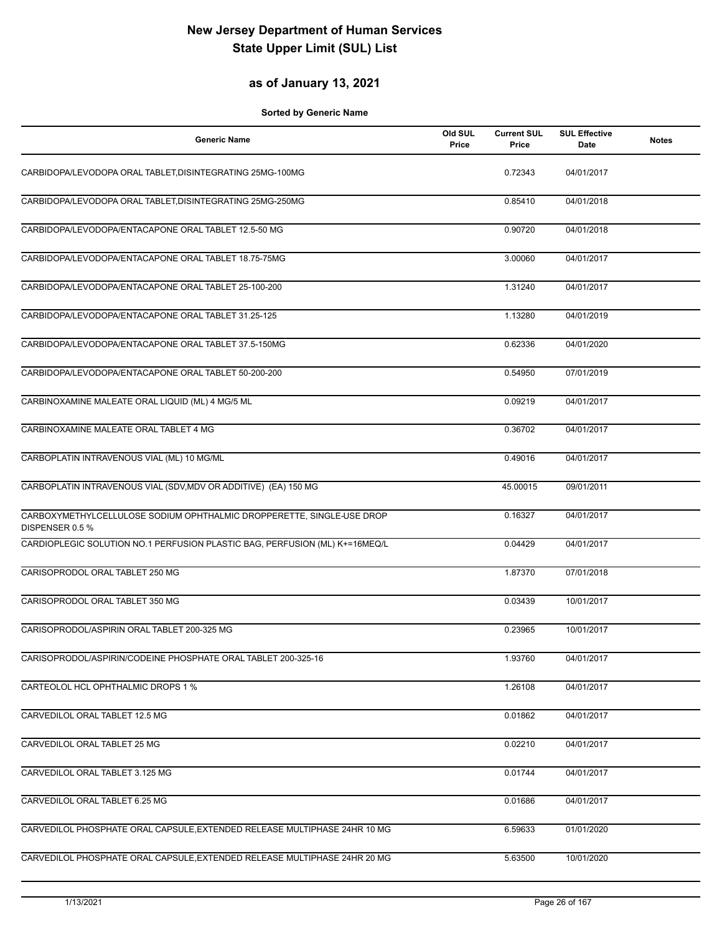#### **as of January 13, 2021**

| <b>Generic Name</b>                                                                      | Old SUL<br>Price | <b>Current SUL</b><br>Price | <b>SUL Effective</b><br>Date | <b>Notes</b> |
|------------------------------------------------------------------------------------------|------------------|-----------------------------|------------------------------|--------------|
| CARBIDOPA/LEVODOPA ORAL TABLET, DISINTEGRATING 25MG-100MG                                |                  | 0.72343                     | 04/01/2017                   |              |
| CARBIDOPA/LEVODOPA ORAL TABLET, DISINTEGRATING 25MG-250MG                                |                  | 0.85410                     | 04/01/2018                   |              |
| CARBIDOPA/LEVODOPA/ENTACAPONE ORAL TABLET 12.5-50 MG                                     |                  | 0.90720                     | 04/01/2018                   |              |
| CARBIDOPA/LEVODOPA/ENTACAPONE ORAL TABLET 18.75-75MG                                     |                  | 3.00060                     | 04/01/2017                   |              |
| CARBIDOPA/LEVODOPA/ENTACAPONE ORAL TABLET 25-100-200                                     |                  | 1.31240                     | 04/01/2017                   |              |
| CARBIDOPA/LEVODOPA/ENTACAPONE ORAL TABLET 31.25-125                                      |                  | 1.13280                     | 04/01/2019                   |              |
| CARBIDOPA/LEVODOPA/ENTACAPONE ORAL TABLET 37.5-150MG                                     |                  | 0.62336                     | 04/01/2020                   |              |
| CARBIDOPA/LEVODOPA/ENTACAPONE ORAL TABLET 50-200-200                                     |                  | 0.54950                     | 07/01/2019                   |              |
| CARBINOXAMINE MALEATE ORAL LIQUID (ML) 4 MG/5 ML                                         |                  | 0.09219                     | 04/01/2017                   |              |
| CARBINOXAMINE MALEATE ORAL TABLET 4 MG                                                   |                  | 0.36702                     | 04/01/2017                   |              |
| CARBOPLATIN INTRAVENOUS VIAL (ML) 10 MG/ML                                               |                  | 0.49016                     | 04/01/2017                   |              |
| CARBOPLATIN INTRAVENOUS VIAL (SDV, MDV OR ADDITIVE) (EA) 150 MG                          |                  | 45.00015                    | 09/01/2011                   |              |
| CARBOXYMETHYLCELLULOSE SODIUM OPHTHALMIC DROPPERETTE, SINGLE-USE DROP<br>DISPENSER 0.5 % |                  | 0.16327                     | 04/01/2017                   |              |
| CARDIOPLEGIC SOLUTION NO.1 PERFUSION PLASTIC BAG, PERFUSION (ML) K+=16MEQ/L              |                  | 0.04429                     | 04/01/2017                   |              |
| CARISOPRODOL ORAL TABLET 250 MG                                                          |                  | 1.87370                     | 07/01/2018                   |              |
| CARISOPRODOL ORAL TABLET 350 MG                                                          |                  | 0.03439                     | 10/01/2017                   |              |
| CARISOPRODOL/ASPIRIN ORAL TABLET 200-325 MG                                              |                  | 0.23965                     | 10/01/2017                   |              |
| CARISOPRODOL/ASPIRIN/CODEINE PHOSPHATE ORAL TABLET 200-325-16                            |                  | 1.93760                     | 04/01/2017                   |              |
| CARTEOLOL HCL OPHTHALMIC DROPS 1 %                                                       |                  | 1.26108                     | 04/01/2017                   |              |
| CARVEDILOL ORAL TABLET 12.5 MG                                                           |                  | 0.01862                     | 04/01/2017                   |              |
| CARVEDILOL ORAL TABLET 25 MG                                                             |                  | 0.02210                     | 04/01/2017                   |              |
| CARVEDILOL ORAL TABLET 3.125 MG                                                          |                  | 0.01744                     | 04/01/2017                   |              |
| CARVEDILOL ORAL TABLET 6.25 MG                                                           |                  | 0.01686                     | 04/01/2017                   |              |
| CARVEDILOL PHOSPHATE ORAL CAPSULE, EXTENDED RELEASE MULTIPHASE 24HR 10 MG                |                  | 6.59633                     | 01/01/2020                   |              |
| CARVEDILOL PHOSPHATE ORAL CAPSULE, EXTENDED RELEASE MULTIPHASE 24HR 20 MG                |                  | 5.63500                     | 10/01/2020                   |              |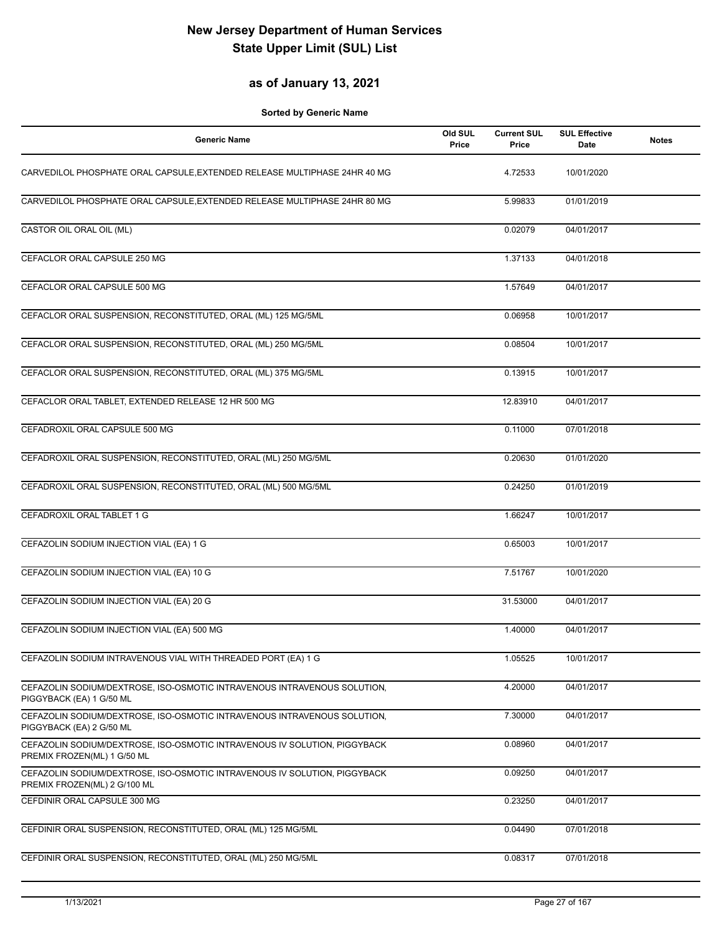## **as of January 13, 2021**

| <b>Generic Name</b>                                                                                       | Old SUL<br>Price | <b>Current SUL</b><br>Price | <b>SUL Effective</b><br>Date | <b>Notes</b> |
|-----------------------------------------------------------------------------------------------------------|------------------|-----------------------------|------------------------------|--------------|
| CARVEDILOL PHOSPHATE ORAL CAPSULE, EXTENDED RELEASE MULTIPHASE 24HR 40 MG                                 |                  | 4.72533                     | 10/01/2020                   |              |
| CARVEDILOL PHOSPHATE ORAL CAPSULE, EXTENDED RELEASE MULTIPHASE 24HR 80 MG                                 |                  | 5.99833                     | 01/01/2019                   |              |
| CASTOR OIL ORAL OIL (ML)                                                                                  |                  | 0.02079                     | 04/01/2017                   |              |
| CEFACLOR ORAL CAPSULE 250 MG                                                                              |                  | 1.37133                     | 04/01/2018                   |              |
| CEFACLOR ORAL CAPSULE 500 MG                                                                              |                  | 1.57649                     | 04/01/2017                   |              |
| CEFACLOR ORAL SUSPENSION, RECONSTITUTED, ORAL (ML) 125 MG/5ML                                             |                  | 0.06958                     | 10/01/2017                   |              |
| CEFACLOR ORAL SUSPENSION, RECONSTITUTED, ORAL (ML) 250 MG/5ML                                             |                  | 0.08504                     | 10/01/2017                   |              |
| CEFACLOR ORAL SUSPENSION, RECONSTITUTED, ORAL (ML) 375 MG/5ML                                             |                  | 0.13915                     | 10/01/2017                   |              |
| CEFACLOR ORAL TABLET, EXTENDED RELEASE 12 HR 500 MG                                                       |                  | 12.83910                    | 04/01/2017                   |              |
| CEFADROXIL ORAL CAPSULE 500 MG                                                                            |                  | 0.11000                     | 07/01/2018                   |              |
| CEFADROXIL ORAL SUSPENSION, RECONSTITUTED, ORAL (ML) 250 MG/5ML                                           |                  | 0.20630                     | 01/01/2020                   |              |
| CEFADROXIL ORAL SUSPENSION, RECONSTITUTED, ORAL (ML) 500 MG/5ML                                           |                  | 0.24250                     | 01/01/2019                   |              |
| CEFADROXIL ORAL TABLET 1 G                                                                                |                  | 1.66247                     | 10/01/2017                   |              |
| CEFAZOLIN SODIUM INJECTION VIAL (EA) 1 G                                                                  |                  | 0.65003                     | 10/01/2017                   |              |
| CEFAZOLIN SODIUM INJECTION VIAL (EA) 10 G                                                                 |                  | 7.51767                     | 10/01/2020                   |              |
| CEFAZOLIN SODIUM INJECTION VIAL (EA) 20 G                                                                 |                  | 31.53000                    | 04/01/2017                   |              |
| CEFAZOLIN SODIUM INJECTION VIAL (EA) 500 MG                                                               |                  | 1.40000                     | 04/01/2017                   |              |
| CEFAZOLIN SODIUM INTRAVENOUS VIAL WITH THREADED PORT (EA) 1 G                                             |                  | 1.05525                     | 10/01/2017                   |              |
| CEFAZOLIN SODIUM/DEXTROSE, ISO-OSMOTIC INTRAVENOUS INTRAVENOUS SOLUTION,<br>PIGGYBACK (EA) 1 G/50 ML      |                  | 4.20000                     | 04/01/2017                   |              |
| CEFAZOLIN SODIUM/DEXTROSE, ISO-OSMOTIC INTRAVENOUS INTRAVENOUS SOLUTION,<br>PIGGYBACK (EA) 2 G/50 ML      |                  | 7.30000                     | 04/01/2017                   |              |
| CEFAZOLIN SODIUM/DEXTROSE, ISO-OSMOTIC INTRAVENOUS IV SOLUTION, PIGGYBACK<br>PREMIX FROZEN(ML) 1 G/50 ML  |                  | 0.08960                     | 04/01/2017                   |              |
| CEFAZOLIN SODIUM/DEXTROSE, ISO-OSMOTIC INTRAVENOUS IV SOLUTION, PIGGYBACK<br>PREMIX FROZEN(ML) 2 G/100 ML |                  | 0.09250                     | 04/01/2017                   |              |
| CEFDINIR ORAL CAPSULE 300 MG                                                                              |                  | 0.23250                     | 04/01/2017                   |              |
| CEFDINIR ORAL SUSPENSION, RECONSTITUTED, ORAL (ML) 125 MG/5ML                                             |                  | 0.04490                     | 07/01/2018                   |              |
| CEFDINIR ORAL SUSPENSION, RECONSTITUTED, ORAL (ML) 250 MG/5ML                                             |                  | 0.08317                     | 07/01/2018                   |              |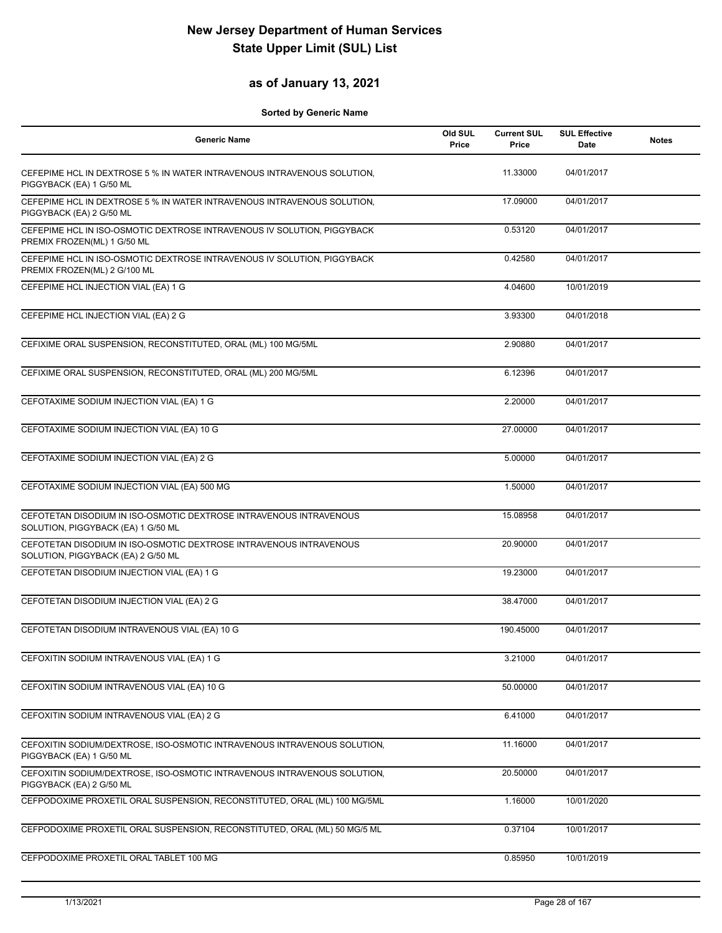#### **as of January 13, 2021**

| <b>Generic Name</b>                                                                                      | Old SUL<br>Price | <b>Current SUL</b><br>Price | <b>SUL Effective</b><br>Date | <b>Notes</b> |
|----------------------------------------------------------------------------------------------------------|------------------|-----------------------------|------------------------------|--------------|
| CEFEPIME HCL IN DEXTROSE 5 % IN WATER INTRAVENOUS INTRAVENOUS SOLUTION,<br>PIGGYBACK (EA) 1 G/50 ML      |                  | 11.33000                    | 04/01/2017                   |              |
| CEFEPIME HCL IN DEXTROSE 5 % IN WATER INTRAVENOUS INTRAVENOUS SOLUTION,<br>PIGGYBACK (EA) 2 G/50 ML      |                  | 17.09000                    | 04/01/2017                   |              |
| CEFEPIME HCL IN ISO-OSMOTIC DEXTROSE INTRAVENOUS IV SOLUTION, PIGGYBACK<br>PREMIX FROZEN(ML) 1 G/50 ML   |                  | 0.53120                     | 04/01/2017                   |              |
| CEFEPIME HCL IN ISO-OSMOTIC DEXTROSE INTRAVENOUS IV SOLUTION, PIGGYBACK<br>PREMIX FROZEN(ML) 2 G/100 ML  |                  | 0.42580                     | 04/01/2017                   |              |
| CEFEPIME HCL INJECTION VIAL (EA) 1 G                                                                     |                  | 4.04600                     | 10/01/2019                   |              |
| CEFEPIME HCL INJECTION VIAL (EA) 2 G                                                                     |                  | 3.93300                     | 04/01/2018                   |              |
| CEFIXIME ORAL SUSPENSION, RECONSTITUTED, ORAL (ML) 100 MG/5ML                                            |                  | 2.90880                     | 04/01/2017                   |              |
| CEFIXIME ORAL SUSPENSION, RECONSTITUTED, ORAL (ML) 200 MG/5ML                                            |                  | 6.12396                     | 04/01/2017                   |              |
| CEFOTAXIME SODIUM INJECTION VIAL (EA) 1 G                                                                |                  | 2.20000                     | 04/01/2017                   |              |
| CEFOTAXIME SODIUM INJECTION VIAL (EA) 10 G                                                               |                  | 27.00000                    | 04/01/2017                   |              |
| CEFOTAXIME SODIUM INJECTION VIAL (EA) 2 G                                                                |                  | 5.00000                     | 04/01/2017                   |              |
| CEFOTAXIME SODIUM INJECTION VIAL (EA) 500 MG                                                             |                  | 1.50000                     | 04/01/2017                   |              |
| CEFOTETAN DISODIUM IN ISO-OSMOTIC DEXTROSE INTRAVENOUS INTRAVENOUS<br>SOLUTION, PIGGYBACK (EA) 1 G/50 ML |                  | 15.08958                    | 04/01/2017                   |              |
| CEFOTETAN DISODIUM IN ISO-OSMOTIC DEXTROSE INTRAVENOUS INTRAVENOUS<br>SOLUTION, PIGGYBACK (EA) 2 G/50 ML |                  | 20.90000                    | 04/01/2017                   |              |
| CEFOTETAN DISODIUM INJECTION VIAL (EA) 1 G                                                               |                  | 19.23000                    | 04/01/2017                   |              |
| CEFOTETAN DISODIUM INJECTION VIAL (EA) 2 G                                                               |                  | 38.47000                    | 04/01/2017                   |              |
| CEFOTETAN DISODIUM INTRAVENOUS VIAL (EA) 10 G                                                            |                  | 190.45000                   | 04/01/2017                   |              |
| CEFOXITIN SODIUM INTRAVENOUS VIAL (EA) 1 G                                                               |                  | 3.21000                     | 04/01/2017                   |              |
| CEFOXITIN SODIUM INTRAVENOUS VIAL (EA) 10 G                                                              |                  | 50.00000                    | 04/01/2017                   |              |
| CEFOXITIN SODIUM INTRAVENOUS VIAL (EA) 2 G                                                               |                  | 6.41000                     | 04/01/2017                   |              |
| CEFOXITIN SODIUM/DEXTROSE, ISO-OSMOTIC INTRAVENOUS INTRAVENOUS SOLUTION,<br>PIGGYBACK (EA) 1 G/50 ML     |                  | 11.16000                    | 04/01/2017                   |              |
| CEFOXITIN SODIUM/DEXTROSE, ISO-OSMOTIC INTRAVENOUS INTRAVENOUS SOLUTION,<br>PIGGYBACK (EA) 2 G/50 ML     |                  | 20.50000                    | 04/01/2017                   |              |
| CEFPODOXIME PROXETIL ORAL SUSPENSION, RECONSTITUTED, ORAL (ML) 100 MG/5ML                                |                  | 1.16000                     | 10/01/2020                   |              |
| CEFPODOXIME PROXETIL ORAL SUSPENSION, RECONSTITUTED, ORAL (ML) 50 MG/5 ML                                |                  | 0.37104                     | 10/01/2017                   |              |
| CEFPODOXIME PROXETIL ORAL TABLET 100 MG                                                                  |                  | 0.85950                     | 10/01/2019                   |              |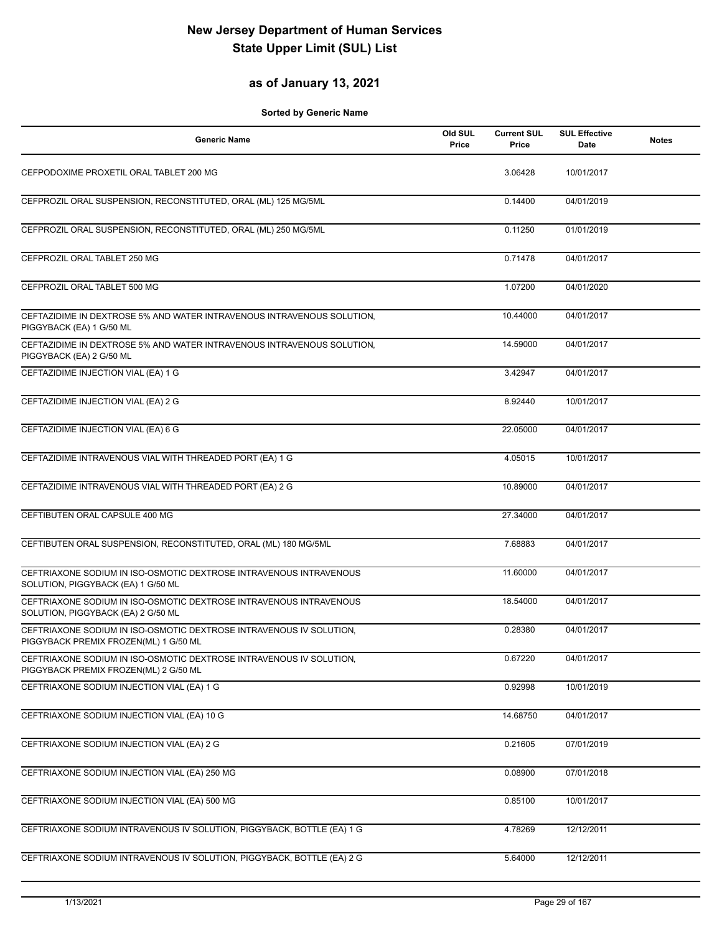## **as of January 13, 2021**

| <b>Generic Name</b>                                                                                          | Old SUL<br>Price | <b>Current SUL</b><br>Price | <b>SUL Effective</b><br><b>Date</b> | <b>Notes</b> |
|--------------------------------------------------------------------------------------------------------------|------------------|-----------------------------|-------------------------------------|--------------|
| CEFPODOXIME PROXETIL ORAL TABLET 200 MG                                                                      |                  | 3.06428                     | 10/01/2017                          |              |
| CEFPROZIL ORAL SUSPENSION, RECONSTITUTED, ORAL (ML) 125 MG/5ML                                               |                  | 0.14400                     | 04/01/2019                          |              |
| CEFPROZIL ORAL SUSPENSION, RECONSTITUTED, ORAL (ML) 250 MG/5ML                                               |                  | 0.11250                     | 01/01/2019                          |              |
| CEFPROZIL ORAL TABLET 250 MG                                                                                 |                  | 0.71478                     | 04/01/2017                          |              |
| CEFPROZIL ORAL TABLET 500 MG                                                                                 |                  | 1.07200                     | 04/01/2020                          |              |
| CEFTAZIDIME IN DEXTROSE 5% AND WATER INTRAVENOUS INTRAVENOUS SOLUTION,<br>PIGGYBACK (EA) 1 G/50 ML           |                  | 10.44000                    | 04/01/2017                          |              |
| CEFTAZIDIME IN DEXTROSE 5% AND WATER INTRAVENOUS INTRAVENOUS SOLUTION,<br>PIGGYBACK (EA) 2 G/50 ML           |                  | 14.59000                    | 04/01/2017                          |              |
| CEFTAZIDIME INJECTION VIAL (EA) 1 G                                                                          |                  | 3.42947                     | 04/01/2017                          |              |
| CEFTAZIDIME INJECTION VIAL (EA) 2 G                                                                          |                  | 8.92440                     | 10/01/2017                          |              |
| CEFTAZIDIME INJECTION VIAL (EA) 6 G                                                                          |                  | 22.05000                    | 04/01/2017                          |              |
| CEFTAZIDIME INTRAVENOUS VIAL WITH THREADED PORT (EA) 1 G                                                     |                  | 4.05015                     | 10/01/2017                          |              |
| CEFTAZIDIME INTRAVENOUS VIAL WITH THREADED PORT (EA) 2 G                                                     |                  | 10.89000                    | 04/01/2017                          |              |
| CEFTIBUTEN ORAL CAPSULE 400 MG                                                                               |                  | 27.34000                    | 04/01/2017                          |              |
| CEFTIBUTEN ORAL SUSPENSION, RECONSTITUTED, ORAL (ML) 180 MG/5ML                                              |                  | 7.68883                     | 04/01/2017                          |              |
| CEFTRIAXONE SODIUM IN ISO-OSMOTIC DEXTROSE INTRAVENOUS INTRAVENOUS<br>SOLUTION, PIGGYBACK (EA) 1 G/50 ML     |                  | 11.60000                    | 04/01/2017                          |              |
| CEFTRIAXONE SODIUM IN ISO-OSMOTIC DEXTROSE INTRAVENOUS INTRAVENOUS<br>SOLUTION, PIGGYBACK (EA) 2 G/50 ML     |                  | 18.54000                    | 04/01/2017                          |              |
| CEFTRIAXONE SODIUM IN ISO-OSMOTIC DEXTROSE INTRAVENOUS IV SOLUTION,<br>PIGGYBACK PREMIX FROZEN(ML) 1 G/50 ML |                  | 0.28380                     | 04/01/2017                          |              |
| CEFTRIAXONE SODIUM IN ISO-OSMOTIC DEXTROSE INTRAVENOUS IV SOLUTION,<br>PIGGYBACK PREMIX FROZEN(ML) 2 G/50 ML |                  | 0.67220                     | 04/01/2017                          |              |
| CEFTRIAXONE SODIUM INJECTION VIAL (EA) 1 G                                                                   |                  | 0.92998                     | 10/01/2019                          |              |
| CEFTRIAXONE SODIUM INJECTION VIAL (EA) 10 G                                                                  |                  | 14.68750                    | 04/01/2017                          |              |
| CEFTRIAXONE SODIUM INJECTION VIAL (EA) 2 G                                                                   |                  | 0.21605                     | 07/01/2019                          |              |
| CEFTRIAXONE SODIUM INJECTION VIAL (EA) 250 MG                                                                |                  | 0.08900                     | 07/01/2018                          |              |
| CEFTRIAXONE SODIUM INJECTION VIAL (EA) 500 MG                                                                |                  | 0.85100                     | 10/01/2017                          |              |
| CEFTRIAXONE SODIUM INTRAVENOUS IV SOLUTION, PIGGYBACK, BOTTLE (EA) 1 G                                       |                  | 4.78269                     | 12/12/2011                          |              |
| CEFTRIAXONE SODIUM INTRAVENOUS IV SOLUTION, PIGGYBACK, BOTTLE (EA) 2 G                                       |                  | 5.64000                     | 12/12/2011                          |              |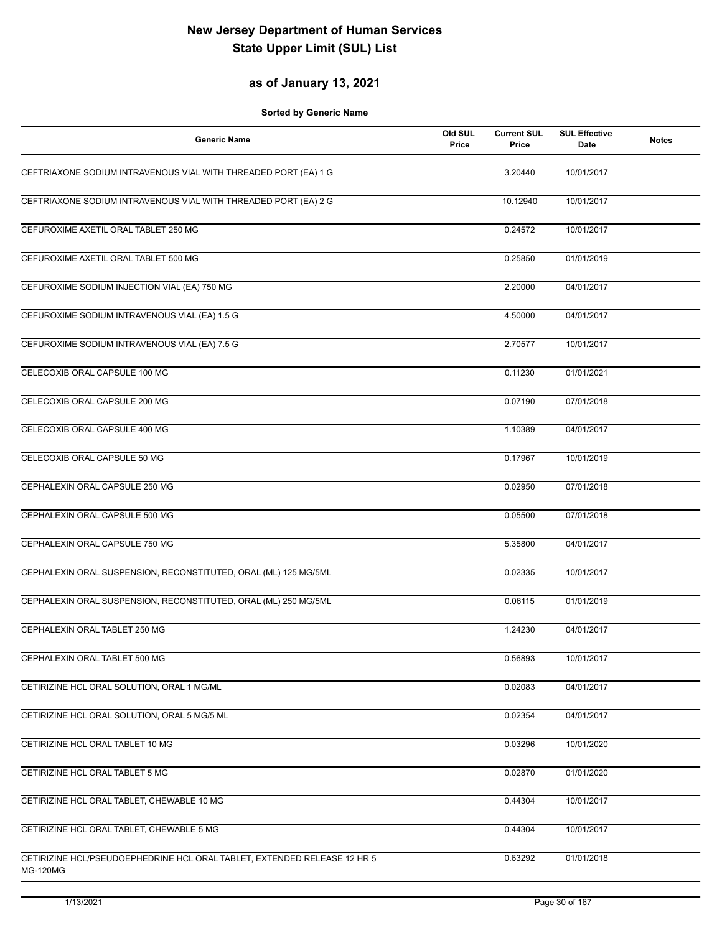#### **as of January 13, 2021**

| <b>Generic Name</b>                                                                         | Old SUL<br>Price | <b>Current SUL</b><br>Price | <b>SUL Effective</b><br>Date | <b>Notes</b> |
|---------------------------------------------------------------------------------------------|------------------|-----------------------------|------------------------------|--------------|
| CEFTRIAXONE SODIUM INTRAVENOUS VIAL WITH THREADED PORT (EA) 1 G                             |                  | 3.20440                     | 10/01/2017                   |              |
| CEFTRIAXONE SODIUM INTRAVENOUS VIAL WITH THREADED PORT (EA) 2 G                             |                  | 10.12940                    | 10/01/2017                   |              |
| CEFUROXIME AXETIL ORAL TABLET 250 MG                                                        |                  | 0.24572                     | 10/01/2017                   |              |
| CEFUROXIME AXETIL ORAL TABLET 500 MG                                                        |                  | 0.25850                     | 01/01/2019                   |              |
| CEFUROXIME SODIUM INJECTION VIAL (EA) 750 MG                                                |                  | 2.20000                     | 04/01/2017                   |              |
| CEFUROXIME SODIUM INTRAVENOUS VIAL (EA) 1.5 G                                               |                  | 4.50000                     | 04/01/2017                   |              |
| CEFUROXIME SODIUM INTRAVENOUS VIAL (EA) 7.5 G                                               |                  | 2.70577                     | 10/01/2017                   |              |
| CELECOXIB ORAL CAPSULE 100 MG                                                               |                  | 0.11230                     | 01/01/2021                   |              |
| CELECOXIB ORAL CAPSULE 200 MG                                                               |                  | 0.07190                     | 07/01/2018                   |              |
| CELECOXIB ORAL CAPSULE 400 MG                                                               |                  | 1.10389                     | 04/01/2017                   |              |
| CELECOXIB ORAL CAPSULE 50 MG                                                                |                  | 0.17967                     | 10/01/2019                   |              |
| CEPHALEXIN ORAL CAPSULE 250 MG                                                              |                  | 0.02950                     | 07/01/2018                   |              |
| CEPHALEXIN ORAL CAPSULE 500 MG                                                              |                  | 0.05500                     | 07/01/2018                   |              |
| CEPHALEXIN ORAL CAPSULE 750 MG                                                              |                  | 5.35800                     | 04/01/2017                   |              |
| CEPHALEXIN ORAL SUSPENSION, RECONSTITUTED, ORAL (ML) 125 MG/5ML                             |                  | 0.02335                     | 10/01/2017                   |              |
| CEPHALEXIN ORAL SUSPENSION, RECONSTITUTED, ORAL (ML) 250 MG/5ML                             |                  | 0.06115                     | 01/01/2019                   |              |
| CEPHALEXIN ORAL TABLET 250 MG                                                               |                  | 1.24230                     | 04/01/2017                   |              |
| CEPHALEXIN ORAL TABLET 500 MG                                                               |                  | 0.56893                     | 10/01/2017                   |              |
| CETIRIZINE HCL ORAL SOLUTION, ORAL 1 MG/ML                                                  |                  | 0.02083                     | 04/01/2017                   |              |
| CETIRIZINE HCL ORAL SOLUTION, ORAL 5 MG/5 ML                                                |                  | 0.02354                     | 04/01/2017                   |              |
| CETIRIZINE HCL ORAL TABLET 10 MG                                                            |                  | 0.03296                     | 10/01/2020                   |              |
| CETIRIZINE HCL ORAL TABLET 5 MG                                                             |                  | 0.02870                     | 01/01/2020                   |              |
| CETIRIZINE HCL ORAL TABLET, CHEWABLE 10 MG                                                  |                  | 0.44304                     | 10/01/2017                   |              |
| CETIRIZINE HCL ORAL TABLET, CHEWABLE 5 MG                                                   |                  | 0.44304                     | 10/01/2017                   |              |
| CETIRIZINE HCL/PSEUDOEPHEDRINE HCL ORAL TABLET, EXTENDED RELEASE 12 HR 5<br><b>MG-120MG</b> |                  | 0.63292                     | 01/01/2018                   |              |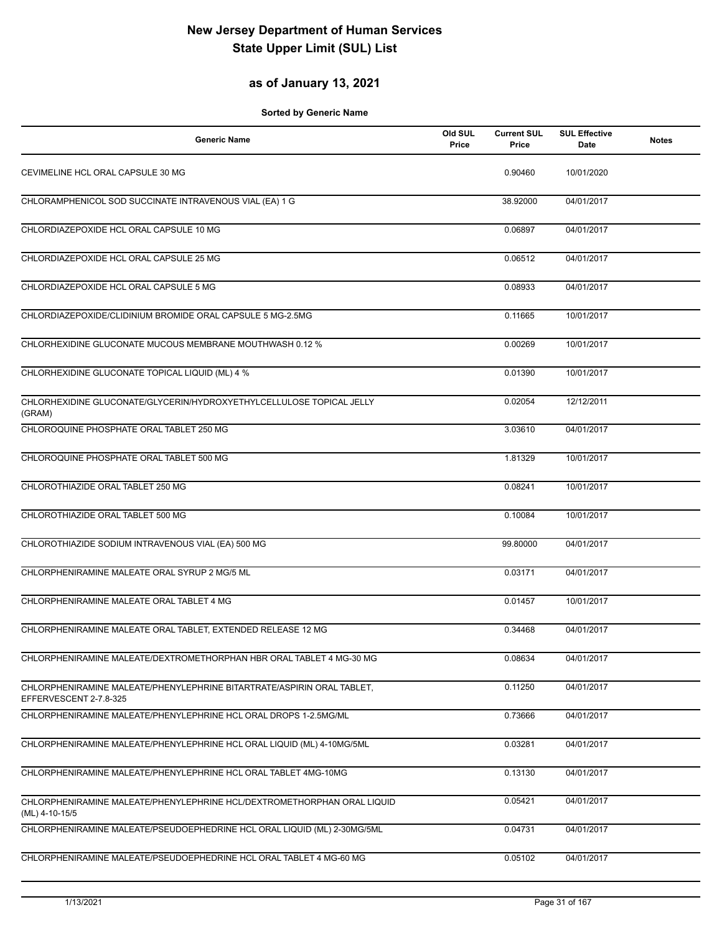## **as of January 13, 2021**

| Generic Name                                                                                     | Old SUL<br>Price | <b>Current SUL</b><br>Price | <b>SUL Effective</b><br><b>Date</b> | <b>Notes</b> |
|--------------------------------------------------------------------------------------------------|------------------|-----------------------------|-------------------------------------|--------------|
| CEVIMELINE HCL ORAL CAPSULE 30 MG                                                                |                  | 0.90460                     | 10/01/2020                          |              |
| CHLORAMPHENICOL SOD SUCCINATE INTRAVENOUS VIAL (EA) 1 G                                          |                  | 38.92000                    | 04/01/2017                          |              |
| CHLORDIAZEPOXIDE HCL ORAL CAPSULE 10 MG                                                          |                  | 0.06897                     | 04/01/2017                          |              |
| CHLORDIAZEPOXIDE HCL ORAL CAPSULE 25 MG                                                          |                  | 0.06512                     | 04/01/2017                          |              |
| CHLORDIAZEPOXIDE HCL ORAL CAPSULE 5 MG                                                           |                  | 0.08933                     | 04/01/2017                          |              |
| CHLORDIAZEPOXIDE/CLIDINIUM BROMIDE ORAL CAPSULE 5 MG-2.5MG                                       |                  | 0.11665                     | 10/01/2017                          |              |
| CHLORHEXIDINE GLUCONATE MUCOUS MEMBRANE MOUTHWASH 0.12 %                                         |                  | 0.00269                     | 10/01/2017                          |              |
| CHLORHEXIDINE GLUCONATE TOPICAL LIQUID (ML) 4 %                                                  |                  | 0.01390                     | 10/01/2017                          |              |
| CHLORHEXIDINE GLUCONATE/GLYCERIN/HYDROXYETHYLCELLULOSE TOPICAL JELLY<br>(GRAM)                   |                  | 0.02054                     | 12/12/2011                          |              |
| CHLOROQUINE PHOSPHATE ORAL TABLET 250 MG                                                         |                  | 3.03610                     | 04/01/2017                          |              |
| CHLOROQUINE PHOSPHATE ORAL TABLET 500 MG                                                         |                  | 1.81329                     | 10/01/2017                          |              |
| CHLOROTHIAZIDE ORAL TABLET 250 MG                                                                |                  | 0.08241                     | 10/01/2017                          |              |
| CHLOROTHIAZIDE ORAL TABLET 500 MG                                                                |                  | 0.10084                     | 10/01/2017                          |              |
| CHLOROTHIAZIDE SODIUM INTRAVENOUS VIAL (EA) 500 MG                                               |                  | 99.80000                    | 04/01/2017                          |              |
| CHLORPHENIRAMINE MALEATE ORAL SYRUP 2 MG/5 ML                                                    |                  | 0.03171                     | 04/01/2017                          |              |
| CHLORPHENIRAMINE MALEATE ORAL TABLET 4 MG                                                        |                  | 0.01457                     | 10/01/2017                          |              |
| CHLORPHENIRAMINE MALEATE ORAL TABLET, EXTENDED RELEASE 12 MG                                     |                  | 0.34468                     | 04/01/2017                          |              |
| CHLORPHENIRAMINE MALEATE/DEXTROMETHORPHAN HBR ORAL TABLET 4 MG-30 MG                             |                  | 0.08634                     | 04/01/2017                          |              |
| CHLORPHENIRAMINE MALEATE/PHENYLEPHRINE BITARTRATE/ASPIRIN ORAL TABLET.<br>EFFERVESCENT 2-7.8-325 |                  | 0.11250                     | 04/01/2017                          |              |
| CHLORPHENIRAMINE MALEATE/PHENYLEPHRINE HCL ORAL DROPS 1-2.5MG/ML                                 |                  | 0.73666                     | 04/01/2017                          |              |
| CHLORPHENIRAMINE MALEATE/PHENYLEPHRINE HCL ORAL LIQUID (ML) 4-10MG/5ML                           |                  | 0.03281                     | 04/01/2017                          |              |
| CHLORPHENIRAMINE MALEATE/PHENYLEPHRINE HCL ORAL TABLET 4MG-10MG                                  |                  | 0.13130                     | 04/01/2017                          |              |
| CHLORPHENIRAMINE MALEATE/PHENYLEPHRINE HCL/DEXTROMETHORPHAN ORAL LIQUID<br>(ML) 4-10-15/5        |                  | 0.05421                     | 04/01/2017                          |              |
| CHLORPHENIRAMINE MALEATE/PSEUDOEPHEDRINE HCL ORAL LIQUID (ML) 2-30MG/5ML                         |                  | 0.04731                     | 04/01/2017                          |              |
| CHLORPHENIRAMINE MALEATE/PSEUDOEPHEDRINE HCL ORAL TABLET 4 MG-60 MG                              |                  | 0.05102                     | 04/01/2017                          |              |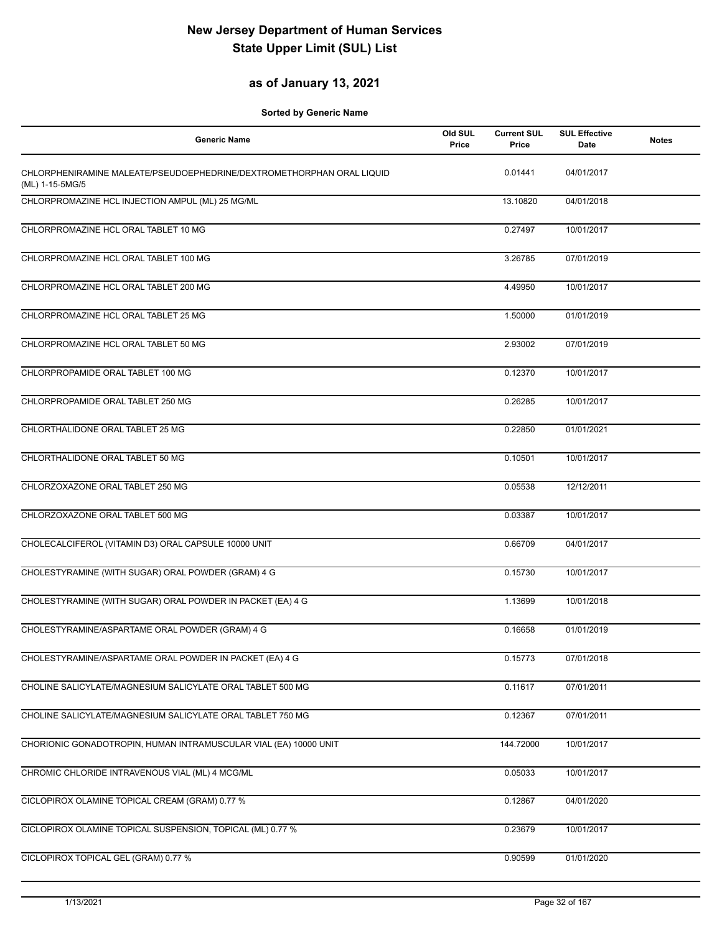### **as of January 13, 2021**

| 0.01441<br>CHLORPHENIRAMINE MALEATE/PSEUDOEPHEDRINE/DEXTROMETHORPHAN ORAL LIQUID<br>04/01/2017<br>(ML) 1-15-5MG/5<br>CHLORPROMAZINE HCL INJECTION AMPUL (ML) 25 MG/ML<br>13.10820<br>04/01/2018<br>CHLORPROMAZINE HCL ORAL TABLET 10 MG<br>0.27497<br>10/01/2017<br>CHLORPROMAZINE HCL ORAL TABLET 100 MG<br>07/01/2019<br>3.26785<br>CHLORPROMAZINE HCL ORAL TABLET 200 MG<br>4.49950<br>10/01/2017<br>CHLORPROMAZINE HCL ORAL TABLET 25 MG<br>01/01/2019<br>1.50000 |  |
|-----------------------------------------------------------------------------------------------------------------------------------------------------------------------------------------------------------------------------------------------------------------------------------------------------------------------------------------------------------------------------------------------------------------------------------------------------------------------|--|
|                                                                                                                                                                                                                                                                                                                                                                                                                                                                       |  |
|                                                                                                                                                                                                                                                                                                                                                                                                                                                                       |  |
|                                                                                                                                                                                                                                                                                                                                                                                                                                                                       |  |
|                                                                                                                                                                                                                                                                                                                                                                                                                                                                       |  |
|                                                                                                                                                                                                                                                                                                                                                                                                                                                                       |  |
|                                                                                                                                                                                                                                                                                                                                                                                                                                                                       |  |
| CHLORPROMAZINE HCL ORAL TABLET 50 MG<br>2.93002<br>07/01/2019                                                                                                                                                                                                                                                                                                                                                                                                         |  |
| CHLORPROPAMIDE ORAL TABLET 100 MG<br>0.12370<br>10/01/2017                                                                                                                                                                                                                                                                                                                                                                                                            |  |
| CHLORPROPAMIDE ORAL TABLET 250 MG<br>0.26285<br>10/01/2017                                                                                                                                                                                                                                                                                                                                                                                                            |  |
| CHLORTHALIDONE ORAL TABLET 25 MG<br>0.22850<br>01/01/2021                                                                                                                                                                                                                                                                                                                                                                                                             |  |
| CHLORTHALIDONE ORAL TABLET 50 MG<br>0.10501<br>10/01/2017                                                                                                                                                                                                                                                                                                                                                                                                             |  |
| CHLORZOXAZONE ORAL TABLET 250 MG<br>0.05538<br>12/12/2011                                                                                                                                                                                                                                                                                                                                                                                                             |  |
| CHLORZOXAZONE ORAL TABLET 500 MG<br>0.03387<br>10/01/2017                                                                                                                                                                                                                                                                                                                                                                                                             |  |
| CHOLECALCIFEROL (VITAMIN D3) ORAL CAPSULE 10000 UNIT<br>0.66709<br>04/01/2017                                                                                                                                                                                                                                                                                                                                                                                         |  |
| CHOLESTYRAMINE (WITH SUGAR) ORAL POWDER (GRAM) 4 G<br>0.15730<br>10/01/2017                                                                                                                                                                                                                                                                                                                                                                                           |  |
| CHOLESTYRAMINE (WITH SUGAR) ORAL POWDER IN PACKET (EA) 4 G<br>10/01/2018<br>1.13699                                                                                                                                                                                                                                                                                                                                                                                   |  |
| CHOLESTYRAMINE/ASPARTAME ORAL POWDER (GRAM) 4 G<br>0.16658<br>01/01/2019                                                                                                                                                                                                                                                                                                                                                                                              |  |
| CHOLESTYRAMINE/ASPARTAME ORAL POWDER IN PACKET (EA) 4 G<br>0.15773<br>07/01/2018                                                                                                                                                                                                                                                                                                                                                                                      |  |
| CHOLINE SALICYLATE/MAGNESIUM SALICYLATE ORAL TABLET 500 MG<br>0.11617<br>07/01/2011                                                                                                                                                                                                                                                                                                                                                                                   |  |
| CHOLINE SALICYLATE/MAGNESIUM SALICYLATE ORAL TABLET 750 MG<br>07/01/2011<br>0.12367                                                                                                                                                                                                                                                                                                                                                                                   |  |
| CHORIONIC GONADOTROPIN, HUMAN INTRAMUSCULAR VIAL (EA) 10000 UNIT<br>10/01/2017<br>144.72000                                                                                                                                                                                                                                                                                                                                                                           |  |
| CHROMIC CHLORIDE INTRAVENOUS VIAL (ML) 4 MCG/ML<br>0.05033<br>10/01/2017                                                                                                                                                                                                                                                                                                                                                                                              |  |
| CICLOPIROX OLAMINE TOPICAL CREAM (GRAM) 0.77 %<br>0.12867<br>04/01/2020                                                                                                                                                                                                                                                                                                                                                                                               |  |
| CICLOPIROX OLAMINE TOPICAL SUSPENSION, TOPICAL (ML) 0.77 %<br>0.23679<br>10/01/2017                                                                                                                                                                                                                                                                                                                                                                                   |  |
| CICLOPIROX TOPICAL GEL (GRAM) 0.77 %<br>0.90599<br>01/01/2020                                                                                                                                                                                                                                                                                                                                                                                                         |  |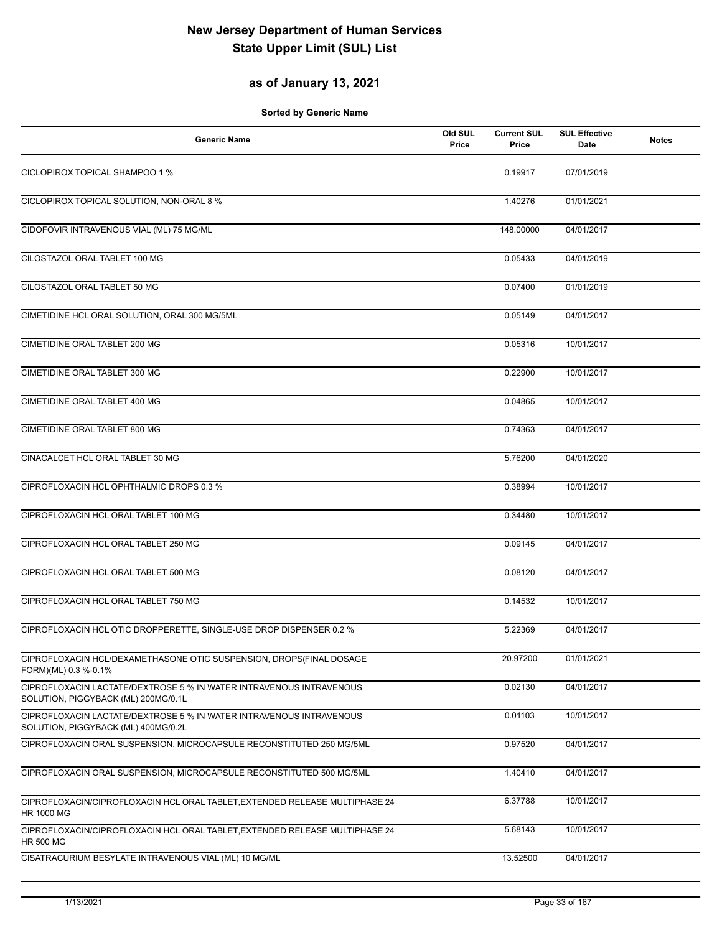### **as of January 13, 2021**

| <b>Generic Name</b>                                                                                        | Old SUL<br>Price | <b>Current SUL</b><br>Price | <b>SUL Effective</b><br>Date | <b>Notes</b> |
|------------------------------------------------------------------------------------------------------------|------------------|-----------------------------|------------------------------|--------------|
| CICLOPIROX TOPICAL SHAMPOO 1 %                                                                             |                  | 0.19917                     | 07/01/2019                   |              |
| CICLOPIROX TOPICAL SOLUTION, NON-ORAL 8 %                                                                  |                  | 1.40276                     | 01/01/2021                   |              |
| CIDOFOVIR INTRAVENOUS VIAL (ML) 75 MG/ML                                                                   |                  | 148.00000                   | 04/01/2017                   |              |
| CILOSTAZOL ORAL TABLET 100 MG                                                                              |                  | 0.05433                     | 04/01/2019                   |              |
| CILOSTAZOL ORAL TABLET 50 MG                                                                               |                  | 0.07400                     | 01/01/2019                   |              |
| CIMETIDINE HCL ORAL SOLUTION, ORAL 300 MG/5ML                                                              |                  | 0.05149                     | 04/01/2017                   |              |
| CIMETIDINE ORAL TABLET 200 MG                                                                              |                  | 0.05316                     | 10/01/2017                   |              |
| CIMETIDINE ORAL TABLET 300 MG                                                                              |                  | 0.22900                     | 10/01/2017                   |              |
| CIMETIDINE ORAL TABLET 400 MG                                                                              |                  | 0.04865                     | 10/01/2017                   |              |
| CIMETIDINE ORAL TABLET 800 MG                                                                              |                  | 0.74363                     | 04/01/2017                   |              |
| CINACALCET HCL ORAL TABLET 30 MG                                                                           |                  | 5.76200                     | 04/01/2020                   |              |
| CIPROFLOXACIN HCL OPHTHALMIC DROPS 0.3 %                                                                   |                  | 0.38994                     | 10/01/2017                   |              |
| CIPROFLOXACIN HCL ORAL TABLET 100 MG                                                                       |                  | 0.34480                     | 10/01/2017                   |              |
| CIPROFLOXACIN HCL ORAL TABLET 250 MG                                                                       |                  | 0.09145                     | 04/01/2017                   |              |
| CIPROFLOXACIN HCL ORAL TABLET 500 MG                                                                       |                  | 0.08120                     | 04/01/2017                   |              |
| CIPROFLOXACIN HCL ORAL TABLET 750 MG                                                                       |                  | 0.14532                     | 10/01/2017                   |              |
| CIPROFLOXACIN HCL OTIC DROPPERETTE, SINGLE-USE DROP DISPENSER 0.2 %                                        |                  | 5.22369                     | 04/01/2017                   |              |
| CIPROFLOXACIN HCL/DEXAMETHASONE OTIC SUSPENSION, DROPS(FINAL DOSAGE<br>FORM)(ML) 0.3 %-0.1%                |                  | 20.97200                    | 01/01/2021                   |              |
| CIPROFLOXACIN LACTATE/DEXTROSE 5 % IN WATER INTRAVENOUS INTRAVENOUS<br>SOLUTION, PIGGYBACK (ML) 200MG/0.1L |                  | 0.02130                     | 04/01/2017                   |              |
| CIPROFLOXACIN LACTATE/DEXTROSE 5 % IN WATER INTRAVENOUS INTRAVENOUS<br>SOLUTION, PIGGYBACK (ML) 400MG/0.2L |                  | 0.01103                     | 10/01/2017                   |              |
| CIPROFLOXACIN ORAL SUSPENSION, MICROCAPSULE RECONSTITUTED 250 MG/5ML                                       |                  | 0.97520                     | 04/01/2017                   |              |
| CIPROFLOXACIN ORAL SUSPENSION, MICROCAPSULE RECONSTITUTED 500 MG/5ML                                       |                  | 1.40410                     | 04/01/2017                   |              |
| CIPROFLOXACIN/CIPROFLOXACIN HCL ORAL TABLET, EXTENDED RELEASE MULTIPHASE 24<br>HR 1000 MG                  |                  | 6.37788                     | 10/01/2017                   |              |
| CIPROFLOXACIN/CIPROFLOXACIN HCL ORAL TABLET, EXTENDED RELEASE MULTIPHASE 24<br><b>HR 500 MG</b>            |                  | 5.68143                     | 10/01/2017                   |              |
| CISATRACURIUM BESYLATE INTRAVENOUS VIAL (ML) 10 MG/ML                                                      |                  | 13.52500                    | 04/01/2017                   |              |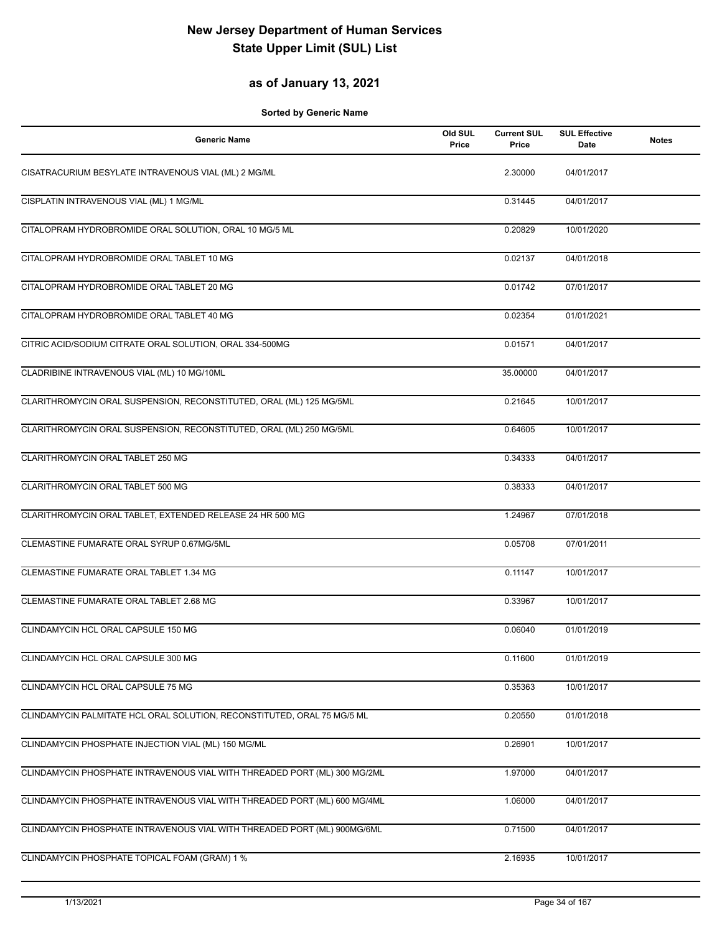## **as of January 13, 2021**

| <b>Generic Name</b>                                                       | Old SUL<br>Price | <b>Current SUL</b><br>Price | <b>SUL Effective</b><br>Date | <b>Notes</b> |
|---------------------------------------------------------------------------|------------------|-----------------------------|------------------------------|--------------|
| CISATRACURIUM BESYLATE INTRAVENOUS VIAL (ML) 2 MG/ML                      |                  | 2.30000                     | 04/01/2017                   |              |
| CISPLATIN INTRAVENOUS VIAL (ML) 1 MG/ML                                   |                  | 0.31445                     | 04/01/2017                   |              |
| CITALOPRAM HYDROBROMIDE ORAL SOLUTION, ORAL 10 MG/5 ML                    |                  | 0.20829                     | 10/01/2020                   |              |
| CITALOPRAM HYDROBROMIDE ORAL TABLET 10 MG                                 |                  | 0.02137                     | 04/01/2018                   |              |
| CITALOPRAM HYDROBROMIDE ORAL TABLET 20 MG                                 |                  | 0.01742                     | 07/01/2017                   |              |
| CITALOPRAM HYDROBROMIDE ORAL TABLET 40 MG                                 |                  | 0.02354                     | 01/01/2021                   |              |
| CITRIC ACID/SODIUM CITRATE ORAL SOLUTION, ORAL 334-500MG                  |                  | 0.01571                     | 04/01/2017                   |              |
| CLADRIBINE INTRAVENOUS VIAL (ML) 10 MG/10ML                               |                  | 35.00000                    | 04/01/2017                   |              |
| CLARITHROMYCIN ORAL SUSPENSION, RECONSTITUTED, ORAL (ML) 125 MG/5ML       |                  | 0.21645                     | 10/01/2017                   |              |
| CLARITHROMYCIN ORAL SUSPENSION, RECONSTITUTED, ORAL (ML) 250 MG/5ML       |                  | 0.64605                     | 10/01/2017                   |              |
| CLARITHROMYCIN ORAL TABLET 250 MG                                         |                  | 0.34333                     | 04/01/2017                   |              |
| CLARITHROMYCIN ORAL TABLET 500 MG                                         |                  | 0.38333                     | 04/01/2017                   |              |
| CLARITHROMYCIN ORAL TABLET, EXTENDED RELEASE 24 HR 500 MG                 |                  | 1.24967                     | 07/01/2018                   |              |
| CLEMASTINE FUMARATE ORAL SYRUP 0.67MG/5ML                                 |                  | 0.05708                     | 07/01/2011                   |              |
| CLEMASTINE FUMARATE ORAL TABLET 1.34 MG                                   |                  | 0.11147                     | 10/01/2017                   |              |
| CLEMASTINE FUMARATE ORAL TABLET 2.68 MG                                   |                  | 0.33967                     | 10/01/2017                   |              |
| CLINDAMYCIN HCL ORAL CAPSULE 150 MG                                       |                  | 0.06040                     | 01/01/2019                   |              |
| CLINDAMYCIN HCL ORAL CAPSULE 300 MG                                       |                  | 0.11600                     | 01/01/2019                   |              |
| CLINDAMYCIN HCL ORAL CAPSULE 75 MG                                        |                  | 0.35363                     | 10/01/2017                   |              |
| CLINDAMYCIN PALMITATE HCL ORAL SOLUTION, RECONSTITUTED, ORAL 75 MG/5 ML   |                  | 0.20550                     | 01/01/2018                   |              |
| CLINDAMYCIN PHOSPHATE INJECTION VIAL (ML) 150 MG/ML                       |                  | 0.26901                     | 10/01/2017                   |              |
| CLINDAMYCIN PHOSPHATE INTRAVENOUS VIAL WITH THREADED PORT (ML) 300 MG/2ML |                  | 1.97000                     | 04/01/2017                   |              |
| CLINDAMYCIN PHOSPHATE INTRAVENOUS VIAL WITH THREADED PORT (ML) 600 MG/4ML |                  | 1.06000                     | 04/01/2017                   |              |
| CLINDAMYCIN PHOSPHATE INTRAVENOUS VIAL WITH THREADED PORT (ML) 900MG/6ML  |                  | 0.71500                     | 04/01/2017                   |              |
| CLINDAMYCIN PHOSPHATE TOPICAL FOAM (GRAM) 1 %                             |                  | 2.16935                     | 10/01/2017                   |              |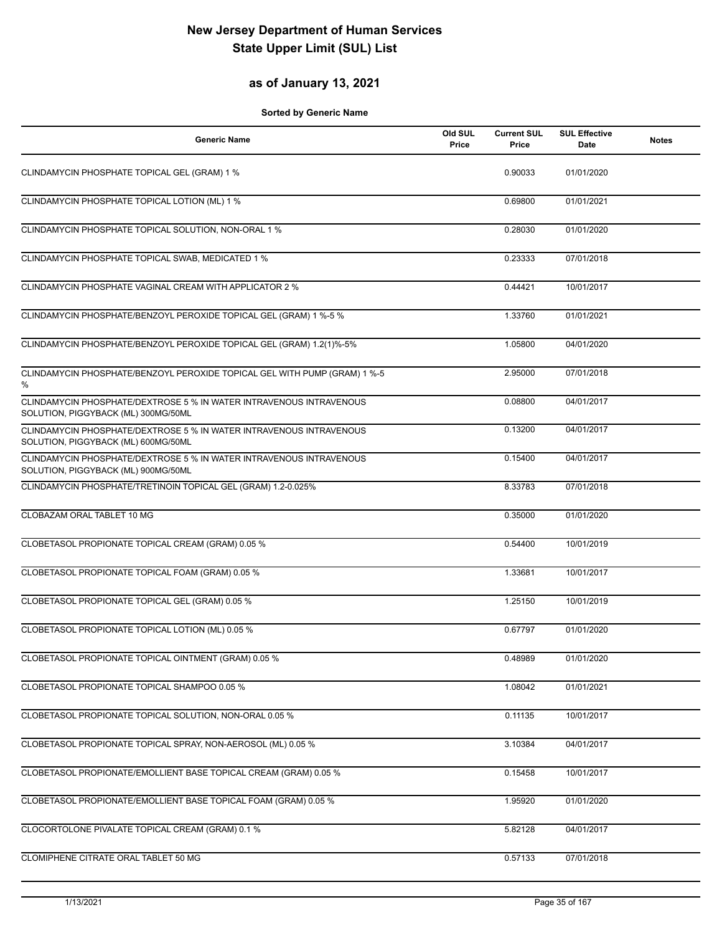#### **as of January 13, 2021**

| <b>Generic Name</b>                                                                                        | Old SUL<br>Price | <b>Current SUL</b><br>Price | <b>SUL Effective</b><br>Date | <b>Notes</b> |
|------------------------------------------------------------------------------------------------------------|------------------|-----------------------------|------------------------------|--------------|
| CLINDAMYCIN PHOSPHATE TOPICAL GEL (GRAM) 1 %                                                               |                  | 0.90033                     | 01/01/2020                   |              |
| CLINDAMYCIN PHOSPHATE TOPICAL LOTION (ML) 1 %                                                              |                  | 0.69800                     | 01/01/2021                   |              |
| CLINDAMYCIN PHOSPHATE TOPICAL SOLUTION, NON-ORAL 1 %                                                       |                  | 0.28030                     | 01/01/2020                   |              |
| CLINDAMYCIN PHOSPHATE TOPICAL SWAB, MEDICATED 1 %                                                          |                  | 0.23333                     | 07/01/2018                   |              |
| CLINDAMYCIN PHOSPHATE VAGINAL CREAM WITH APPLICATOR 2 %                                                    |                  | 0.44421                     | 10/01/2017                   |              |
| CLINDAMYCIN PHOSPHATE/BENZOYL PEROXIDE TOPICAL GEL (GRAM) 1 %-5 %                                          |                  | 1.33760                     | 01/01/2021                   |              |
| CLINDAMYCIN PHOSPHATE/BENZOYL PEROXIDE TOPICAL GEL (GRAM) 1.2(1)%-5%                                       |                  | 1.05800                     | 04/01/2020                   |              |
| CLINDAMYCIN PHOSPHATE/BENZOYL PEROXIDE TOPICAL GEL WITH PUMP (GRAM) 1 %-5<br>%                             |                  | 2.95000                     | 07/01/2018                   |              |
| CLINDAMYCIN PHOSPHATE/DEXTROSE 5 % IN WATER INTRAVENOUS INTRAVENOUS<br>SOLUTION, PIGGYBACK (ML) 300MG/50ML |                  | 0.08800                     | 04/01/2017                   |              |
| CLINDAMYCIN PHOSPHATE/DEXTROSE 5 % IN WATER INTRAVENOUS INTRAVENOUS<br>SOLUTION, PIGGYBACK (ML) 600MG/50ML |                  | 0.13200                     | 04/01/2017                   |              |
| CLINDAMYCIN PHOSPHATE/DEXTROSE 5 % IN WATER INTRAVENOUS INTRAVENOUS<br>SOLUTION, PIGGYBACK (ML) 900MG/50ML |                  | 0.15400                     | 04/01/2017                   |              |
| CLINDAMYCIN PHOSPHATE/TRETINOIN TOPICAL GEL (GRAM) 1.2-0.025%                                              |                  | 8.33783                     | 07/01/2018                   |              |
| CLOBAZAM ORAL TABLET 10 MG                                                                                 |                  | 0.35000                     | 01/01/2020                   |              |
| CLOBETASOL PROPIONATE TOPICAL CREAM (GRAM) 0.05 %                                                          |                  | 0.54400                     | 10/01/2019                   |              |
| CLOBETASOL PROPIONATE TOPICAL FOAM (GRAM) 0.05 %                                                           |                  | 1.33681                     | 10/01/2017                   |              |
| CLOBETASOL PROPIONATE TOPICAL GEL (GRAM) 0.05 %                                                            |                  | 1.25150                     | 10/01/2019                   |              |
| CLOBETASOL PROPIONATE TOPICAL LOTION (ML) 0.05 %                                                           |                  | 0.67797                     | 01/01/2020                   |              |
| CLOBETASOL PROPIONATE TOPICAL OINTMENT (GRAM) 0.05 %                                                       |                  | 0.48989                     | 01/01/2020                   |              |
| CLOBETASOL PROPIONATE TOPICAL SHAMPOO 0.05 %                                                               |                  | 1.08042                     | 01/01/2021                   |              |
| CLOBETASOL PROPIONATE TOPICAL SOLUTION, NON-ORAL 0.05 %                                                    |                  | 0.11135                     | 10/01/2017                   |              |
| CLOBETASOL PROPIONATE TOPICAL SPRAY, NON-AEROSOL (ML) 0.05 %                                               |                  | 3.10384                     | 04/01/2017                   |              |
| CLOBETASOL PROPIONATE/EMOLLIENT BASE TOPICAL CREAM (GRAM) 0.05 %                                           |                  | 0.15458                     | 10/01/2017                   |              |
| CLOBETASOL PROPIONATE/EMOLLIENT BASE TOPICAL FOAM (GRAM) 0.05 %                                            |                  | 1.95920                     | 01/01/2020                   |              |
| CLOCORTOLONE PIVALATE TOPICAL CREAM (GRAM) 0.1 %                                                           |                  | 5.82128                     | 04/01/2017                   |              |
| CLOMIPHENE CITRATE ORAL TABLET 50 MG                                                                       |                  | 0.57133                     | 07/01/2018                   |              |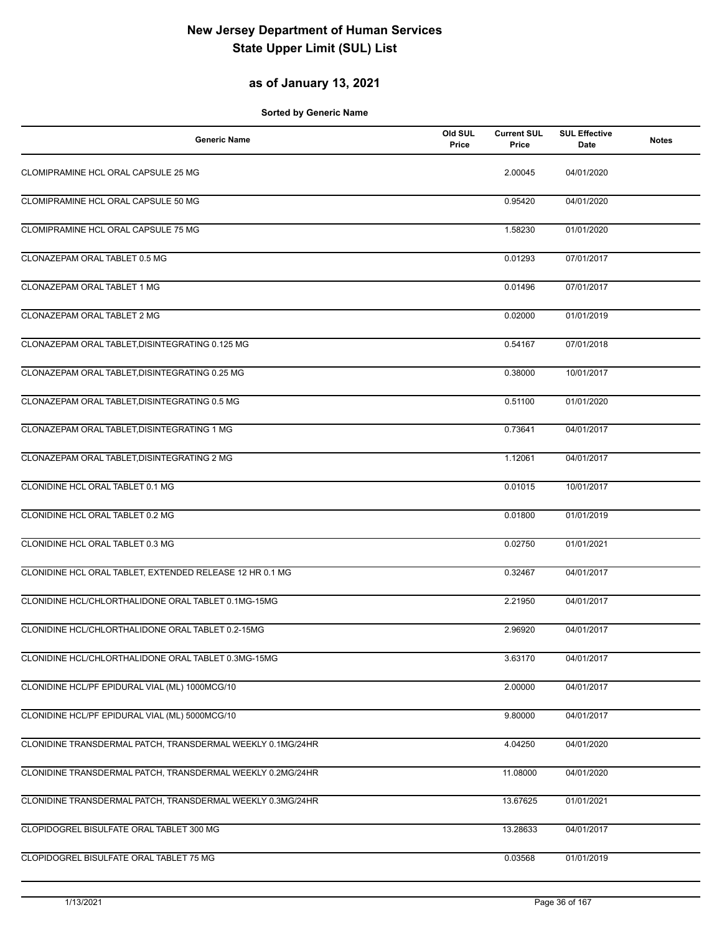### **as of January 13, 2021**

| <b>Generic Name</b>                                        | Old SUL<br>Price | <b>Current SUL</b><br>Price | <b>SUL Effective</b><br>Date | <b>Notes</b> |
|------------------------------------------------------------|------------------|-----------------------------|------------------------------|--------------|
| CLOMIPRAMINE HCL ORAL CAPSULE 25 MG                        |                  | 2.00045                     | 04/01/2020                   |              |
| CLOMIPRAMINE HCL ORAL CAPSULE 50 MG                        |                  | 0.95420                     | 04/01/2020                   |              |
| CLOMIPRAMINE HCL ORAL CAPSULE 75 MG                        |                  | 1.58230                     | 01/01/2020                   |              |
| CLONAZEPAM ORAL TABLET 0.5 MG                              |                  | 0.01293                     | 07/01/2017                   |              |
| CLONAZEPAM ORAL TABLET 1 MG                                |                  | 0.01496                     | 07/01/2017                   |              |
| CLONAZEPAM ORAL TABLET 2 MG                                |                  | 0.02000                     | 01/01/2019                   |              |
| CLONAZEPAM ORAL TABLET, DISINTEGRATING 0.125 MG            |                  | 0.54167                     | 07/01/2018                   |              |
| CLONAZEPAM ORAL TABLET, DISINTEGRATING 0.25 MG             |                  | 0.38000                     | 10/01/2017                   |              |
| CLONAZEPAM ORAL TABLET, DISINTEGRATING 0.5 MG              |                  | 0.51100                     | 01/01/2020                   |              |
| CLONAZEPAM ORAL TABLET, DISINTEGRATING 1 MG                |                  | 0.73641                     | 04/01/2017                   |              |
| CLONAZEPAM ORAL TABLET, DISINTEGRATING 2 MG                |                  | 1.12061                     | 04/01/2017                   |              |
| CLONIDINE HCL ORAL TABLET 0.1 MG                           |                  | 0.01015                     | 10/01/2017                   |              |
| CLONIDINE HCL ORAL TABLET 0.2 MG                           |                  | 0.01800                     | 01/01/2019                   |              |
| CLONIDINE HCL ORAL TABLET 0.3 MG                           |                  | 0.02750                     | 01/01/2021                   |              |
| CLONIDINE HCL ORAL TABLET, EXTENDED RELEASE 12 HR 0.1 MG   |                  | 0.32467                     | 04/01/2017                   |              |
| CLONIDINE HCL/CHLORTHALIDONE ORAL TABLET 0.1MG-15MG        |                  | 2.21950                     | 04/01/2017                   |              |
| CLONIDINE HCL/CHLORTHALIDONE ORAL TABLET 0.2-15MG          |                  | 2.96920                     | 04/01/2017                   |              |
| CLONIDINE HCL/CHLORTHALIDONE ORAL TABLET 0.3MG-15MG        |                  | 3.63170                     | 04/01/2017                   |              |
| CLONIDINE HCL/PF EPIDURAL VIAL (ML) 1000MCG/10             |                  | 2.00000                     | 04/01/2017                   |              |
| CLONIDINE HCL/PF EPIDURAL VIAL (ML) 5000MCG/10             |                  | 9.80000                     | 04/01/2017                   |              |
| CLONIDINE TRANSDERMAL PATCH, TRANSDERMAL WEEKLY 0.1MG/24HR |                  | 4.04250                     | 04/01/2020                   |              |
| CLONIDINE TRANSDERMAL PATCH, TRANSDERMAL WEEKLY 0.2MG/24HR |                  | 11.08000                    | 04/01/2020                   |              |
| CLONIDINE TRANSDERMAL PATCH, TRANSDERMAL WEEKLY 0.3MG/24HR |                  | 13.67625                    | 01/01/2021                   |              |
| CLOPIDOGREL BISULFATE ORAL TABLET 300 MG                   |                  | 13.28633                    | 04/01/2017                   |              |
| CLOPIDOGREL BISULFATE ORAL TABLET 75 MG                    |                  | 0.03568                     | 01/01/2019                   |              |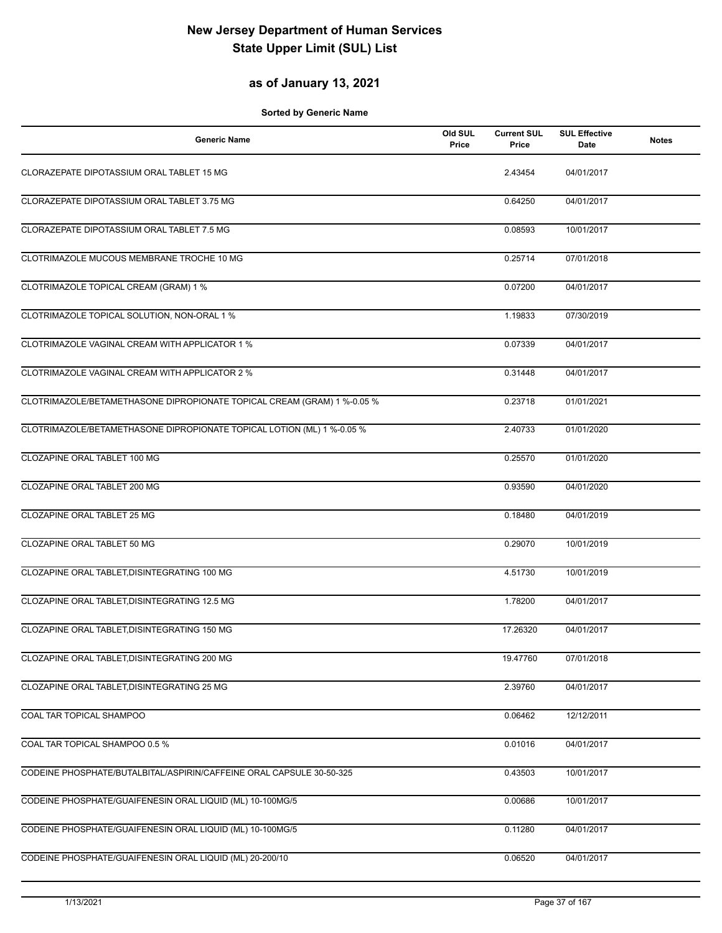### **as of January 13, 2021**

| <b>Generic Name</b>                                                     | Old SUL<br>Price | <b>Current SUL</b><br>Price | <b>SUL Effective</b><br>Date | <b>Notes</b> |
|-------------------------------------------------------------------------|------------------|-----------------------------|------------------------------|--------------|
| CLORAZEPATE DIPOTASSIUM ORAL TABLET 15 MG                               |                  | 2.43454                     | 04/01/2017                   |              |
| CLORAZEPATE DIPOTASSIUM ORAL TABLET 3.75 MG                             |                  | 0.64250                     | 04/01/2017                   |              |
| CLORAZEPATE DIPOTASSIUM ORAL TABLET 7.5 MG                              |                  | 0.08593                     | 10/01/2017                   |              |
| CLOTRIMAZOLE MUCOUS MEMBRANE TROCHE 10 MG                               |                  | 0.25714                     | 07/01/2018                   |              |
| CLOTRIMAZOLE TOPICAL CREAM (GRAM) 1 %                                   |                  | 0.07200                     | 04/01/2017                   |              |
| CLOTRIMAZOLE TOPICAL SOLUTION, NON-ORAL 1 %                             |                  | 1.19833                     | 07/30/2019                   |              |
| CLOTRIMAZOLE VAGINAL CREAM WITH APPLICATOR 1 %                          |                  | 0.07339                     | 04/01/2017                   |              |
| CLOTRIMAZOLE VAGINAL CREAM WITH APPLICATOR 2 %                          |                  | 0.31448                     | 04/01/2017                   |              |
| CLOTRIMAZOLE/BETAMETHASONE DIPROPIONATE TOPICAL CREAM (GRAM) 1 %-0.05 % |                  | 0.23718                     | 01/01/2021                   |              |
| CLOTRIMAZOLE/BETAMETHASONE DIPROPIONATE TOPICAL LOTION (ML) 1 %-0.05 %  |                  | 2.40733                     | 01/01/2020                   |              |
| CLOZAPINE ORAL TABLET 100 MG                                            |                  | 0.25570                     | 01/01/2020                   |              |
| CLOZAPINE ORAL TABLET 200 MG                                            |                  | 0.93590                     | 04/01/2020                   |              |
| CLOZAPINE ORAL TABLET 25 MG                                             |                  | 0.18480                     | 04/01/2019                   |              |
| CLOZAPINE ORAL TABLET 50 MG                                             |                  | 0.29070                     | 10/01/2019                   |              |
| CLOZAPINE ORAL TABLET, DISINTEGRATING 100 MG                            |                  | 4.51730                     | 10/01/2019                   |              |
| CLOZAPINE ORAL TABLET, DISINTEGRATING 12.5 MG                           |                  | 1.78200                     | 04/01/2017                   |              |
| CLOZAPINE ORAL TABLET, DISINTEGRATING 150 MG                            |                  | 17.26320                    | 04/01/2017                   |              |
| CLOZAPINE ORAL TABLET, DISINTEGRATING 200 MG                            |                  | 19.47760                    | 07/01/2018                   |              |
| CLOZAPINE ORAL TABLET, DISINTEGRATING 25 MG                             |                  | 2.39760                     | 04/01/2017                   |              |
| COAL TAR TOPICAL SHAMPOO                                                |                  | 0.06462                     | 12/12/2011                   |              |
| COAL TAR TOPICAL SHAMPOO 0.5 %                                          |                  | 0.01016                     | 04/01/2017                   |              |
| CODEINE PHOSPHATE/BUTALBITAL/ASPIRIN/CAFFEINE ORAL CAPSULE 30-50-325    |                  | 0.43503                     | 10/01/2017                   |              |
| CODEINE PHOSPHATE/GUAIFENESIN ORAL LIQUID (ML) 10-100MG/5               |                  | 0.00686                     | 10/01/2017                   |              |
| CODEINE PHOSPHATE/GUAIFENESIN ORAL LIQUID (ML) 10-100MG/5               |                  | 0.11280                     | 04/01/2017                   |              |
| CODEINE PHOSPHATE/GUAIFENESIN ORAL LIQUID (ML) 20-200/10                |                  | 0.06520                     | 04/01/2017                   |              |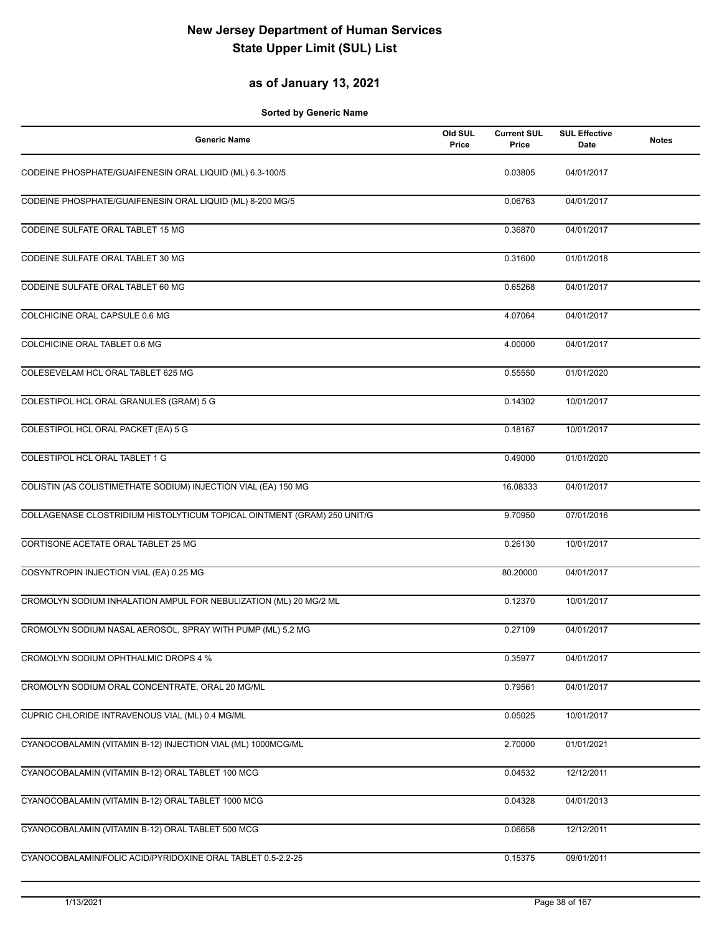### **as of January 13, 2021**

| <b>Generic Name</b>                                                     | Old SUL<br>Price | <b>Current SUL</b><br>Price | <b>SUL Effective</b><br>Date | <b>Notes</b> |
|-------------------------------------------------------------------------|------------------|-----------------------------|------------------------------|--------------|
| CODEINE PHOSPHATE/GUAIFENESIN ORAL LIQUID (ML) 6.3-100/5                |                  | 0.03805                     | 04/01/2017                   |              |
| CODEINE PHOSPHATE/GUAIFENESIN ORAL LIQUID (ML) 8-200 MG/5               |                  | 0.06763                     | 04/01/2017                   |              |
| CODEINE SULFATE ORAL TABLET 15 MG                                       |                  | 0.36870                     | 04/01/2017                   |              |
| CODEINE SULFATE ORAL TABLET 30 MG                                       |                  | 0.31600                     | 01/01/2018                   |              |
| CODEINE SULFATE ORAL TABLET 60 MG                                       |                  | 0.65268                     | 04/01/2017                   |              |
| COLCHICINE ORAL CAPSULE 0.6 MG                                          |                  | 4.07064                     | 04/01/2017                   |              |
| COLCHICINE ORAL TABLET 0.6 MG                                           |                  | 4.00000                     | 04/01/2017                   |              |
| COLESEVELAM HCL ORAL TABLET 625 MG                                      |                  | 0.55550                     | 01/01/2020                   |              |
| COLESTIPOL HCL ORAL GRANULES (GRAM) 5 G                                 |                  | 0.14302                     | 10/01/2017                   |              |
| COLESTIPOL HCL ORAL PACKET (EA) 5 G                                     |                  | 0.18167                     | 10/01/2017                   |              |
| COLESTIPOL HCL ORAL TABLET 1 G                                          |                  | 0.49000                     | 01/01/2020                   |              |
| COLISTIN (AS COLISTIMETHATE SODIUM) INJECTION VIAL (EA) 150 MG          |                  | 16.08333                    | 04/01/2017                   |              |
| COLLAGENASE CLOSTRIDIUM HISTOLYTICUM TOPICAL OINTMENT (GRAM) 250 UNIT/G |                  | 9.70950                     | 07/01/2016                   |              |
| CORTISONE ACETATE ORAL TABLET 25 MG                                     |                  | 0.26130                     | 10/01/2017                   |              |
| COSYNTROPIN INJECTION VIAL (EA) 0.25 MG                                 |                  | 80.20000                    | 04/01/2017                   |              |
| CROMOLYN SODIUM INHALATION AMPUL FOR NEBULIZATION (ML) 20 MG/2 ML       |                  | 0.12370                     | 10/01/2017                   |              |
| CROMOLYN SODIUM NASAL AEROSOL, SPRAY WITH PUMP (ML) 5.2 MG              |                  | 0.27109                     | 04/01/2017                   |              |
| CROMOLYN SODIUM OPHTHALMIC DROPS 4 %                                    |                  | 0.35977                     | 04/01/2017                   |              |
| CROMOLYN SODIUM ORAL CONCENTRATE, ORAL 20 MG/ML                         |                  | 0.79561                     | 04/01/2017                   |              |
| CUPRIC CHLORIDE INTRAVENOUS VIAL (ML) 0.4 MG/ML                         |                  | 0.05025                     | 10/01/2017                   |              |
| CYANOCOBALAMIN (VITAMIN B-12) INJECTION VIAL (ML) 1000MCG/ML            |                  | 2.70000                     | 01/01/2021                   |              |
| CYANOCOBALAMIN (VITAMIN B-12) ORAL TABLET 100 MCG                       |                  | 0.04532                     | 12/12/2011                   |              |
| CYANOCOBALAMIN (VITAMIN B-12) ORAL TABLET 1000 MCG                      |                  | 0.04328                     | 04/01/2013                   |              |
| CYANOCOBALAMIN (VITAMIN B-12) ORAL TABLET 500 MCG                       |                  | 0.06658                     | 12/12/2011                   |              |
| CYANOCOBALAMIN/FOLIC ACID/PYRIDOXINE ORAL TABLET 0.5-2.2-25             |                  | 0.15375                     | 09/01/2011                   |              |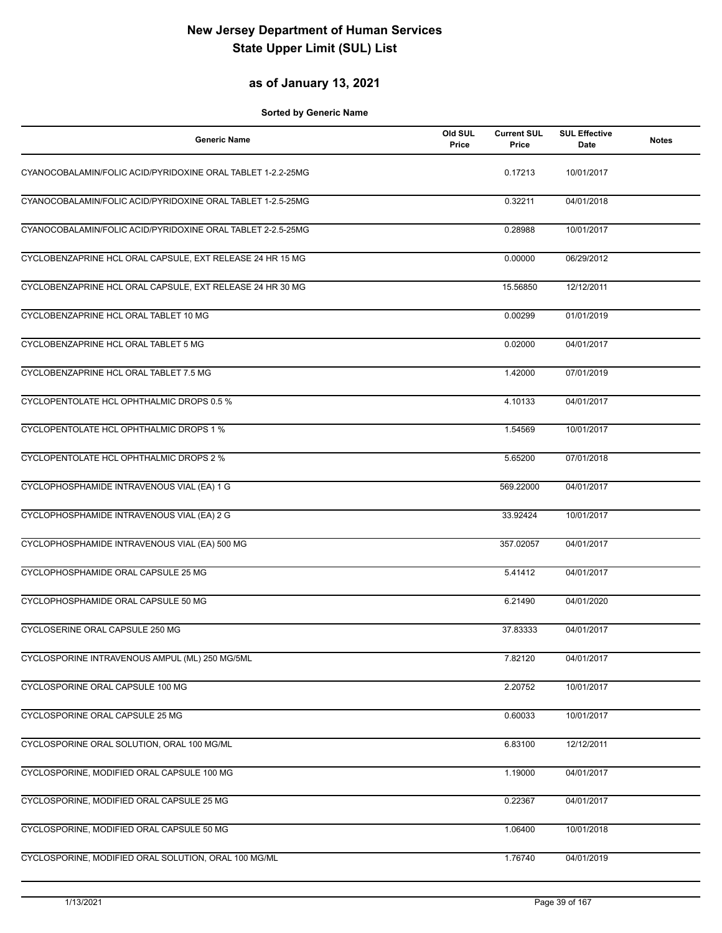### **as of January 13, 2021**

| <b>Generic Name</b>                                         | Old SUL<br>Price | <b>Current SUL</b><br>Price | <b>SUL Effective</b><br>Date | <b>Notes</b> |
|-------------------------------------------------------------|------------------|-----------------------------|------------------------------|--------------|
| CYANOCOBALAMIN/FOLIC ACID/PYRIDOXINE ORAL TABLET 1-2.2-25MG |                  | 0.17213                     | 10/01/2017                   |              |
| CYANOCOBALAMIN/FOLIC ACID/PYRIDOXINE ORAL TABLET 1-2.5-25MG |                  | 0.32211                     | 04/01/2018                   |              |
| CYANOCOBALAMIN/FOLIC ACID/PYRIDOXINE ORAL TABLET 2-2.5-25MG |                  | 0.28988                     | 10/01/2017                   |              |
| CYCLOBENZAPRINE HCL ORAL CAPSULE, EXT RELEASE 24 HR 15 MG   |                  | 0.00000                     | 06/29/2012                   |              |
| CYCLOBENZAPRINE HCL ORAL CAPSULE, EXT RELEASE 24 HR 30 MG   |                  | 15.56850                    | 12/12/2011                   |              |
| CYCLOBENZAPRINE HCL ORAL TABLET 10 MG                       |                  | 0.00299                     | 01/01/2019                   |              |
| CYCLOBENZAPRINE HCL ORAL TABLET 5 MG                        |                  | 0.02000                     | 04/01/2017                   |              |
| CYCLOBENZAPRINE HCL ORAL TABLET 7.5 MG                      |                  | 1.42000                     | 07/01/2019                   |              |
| CYCLOPENTOLATE HCL OPHTHALMIC DROPS 0.5 %                   |                  | 4.10133                     | 04/01/2017                   |              |
| CYCLOPENTOLATE HCL OPHTHALMIC DROPS 1 %                     |                  | 1.54569                     | 10/01/2017                   |              |
| CYCLOPENTOLATE HCL OPHTHALMIC DROPS 2 %                     |                  | 5.65200                     | 07/01/2018                   |              |
| CYCLOPHOSPHAMIDE INTRAVENOUS VIAL (EA) 1 G                  |                  | 569.22000                   | 04/01/2017                   |              |
| CYCLOPHOSPHAMIDE INTRAVENOUS VIAL (EA) 2 G                  |                  | 33.92424                    | 10/01/2017                   |              |
| CYCLOPHOSPHAMIDE INTRAVENOUS VIAL (EA) 500 MG               |                  | 357.02057                   | 04/01/2017                   |              |
| CYCLOPHOSPHAMIDE ORAL CAPSULE 25 MG                         |                  | 5.41412                     | 04/01/2017                   |              |
| CYCLOPHOSPHAMIDE ORAL CAPSULE 50 MG                         |                  | 6.21490                     | 04/01/2020                   |              |
| CYCLOSERINE ORAL CAPSULE 250 MG                             |                  | 37.83333                    | 04/01/2017                   |              |
| CYCLOSPORINE INTRAVENOUS AMPUL (ML) 250 MG/5ML              |                  | 7.82120                     | 04/01/2017                   |              |
| CYCLOSPORINE ORAL CAPSULE 100 MG                            |                  | 2.20752                     | 10/01/2017                   |              |
| CYCLOSPORINE ORAL CAPSULE 25 MG                             |                  | 0.60033                     | 10/01/2017                   |              |
| CYCLOSPORINE ORAL SOLUTION, ORAL 100 MG/ML                  |                  | 6.83100                     | 12/12/2011                   |              |
| CYCLOSPORINE, MODIFIED ORAL CAPSULE 100 MG                  |                  | 1.19000                     | 04/01/2017                   |              |
| CYCLOSPORINE, MODIFIED ORAL CAPSULE 25 MG                   |                  | 0.22367                     | 04/01/2017                   |              |
| CYCLOSPORINE, MODIFIED ORAL CAPSULE 50 MG                   |                  | 1.06400                     | 10/01/2018                   |              |
| CYCLOSPORINE, MODIFIED ORAL SOLUTION, ORAL 100 MG/ML        |                  | 1.76740                     | 04/01/2019                   |              |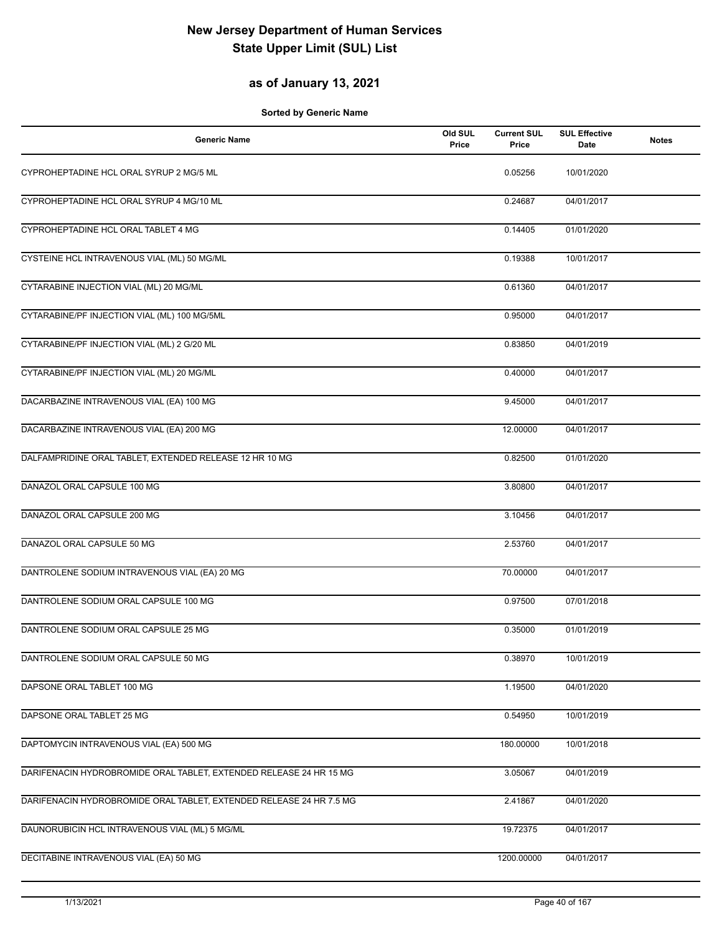### **as of January 13, 2021**

| <b>Generic Name</b>                                                 | Old SUL<br>Price | <b>Current SUL</b><br>Price | <b>SUL Effective</b><br>Date | <b>Notes</b> |
|---------------------------------------------------------------------|------------------|-----------------------------|------------------------------|--------------|
| CYPROHEPTADINE HCL ORAL SYRUP 2 MG/5 ML                             |                  | 0.05256                     | 10/01/2020                   |              |
| CYPROHEPTADINE HCL ORAL SYRUP 4 MG/10 ML                            |                  | 0.24687                     | 04/01/2017                   |              |
| CYPROHEPTADINE HCL ORAL TABLET 4 MG                                 |                  | 0.14405                     | 01/01/2020                   |              |
| CYSTEINE HCL INTRAVENOUS VIAL (ML) 50 MG/ML                         |                  | 0.19388                     | 10/01/2017                   |              |
| CYTARABINE INJECTION VIAL (ML) 20 MG/ML                             |                  | 0.61360                     | 04/01/2017                   |              |
| CYTARABINE/PF INJECTION VIAL (ML) 100 MG/5ML                        |                  | 0.95000                     | 04/01/2017                   |              |
| CYTARABINE/PF INJECTION VIAL (ML) 2 G/20 ML                         |                  | 0.83850                     | 04/01/2019                   |              |
| CYTARABINE/PF INJECTION VIAL (ML) 20 MG/ML                          |                  | 0.40000                     | 04/01/2017                   |              |
| DACARBAZINE INTRAVENOUS VIAL (EA) 100 MG                            |                  | 9.45000                     | 04/01/2017                   |              |
| DACARBAZINE INTRAVENOUS VIAL (EA) 200 MG                            |                  | 12.00000                    | 04/01/2017                   |              |
| DALFAMPRIDINE ORAL TABLET, EXTENDED RELEASE 12 HR 10 MG             |                  | 0.82500                     | 01/01/2020                   |              |
| DANAZOL ORAL CAPSULE 100 MG                                         |                  | 3.80800                     | 04/01/2017                   |              |
| DANAZOL ORAL CAPSULE 200 MG                                         |                  | 3.10456                     | 04/01/2017                   |              |
| DANAZOL ORAL CAPSULE 50 MG                                          |                  | 2.53760                     | 04/01/2017                   |              |
| DANTROLENE SODIUM INTRAVENOUS VIAL (EA) 20 MG                       |                  | 70.00000                    | 04/01/2017                   |              |
| DANTROLENE SODIUM ORAL CAPSULE 100 MG                               |                  | 0.97500                     | 07/01/2018                   |              |
| DANTROLENE SODIUM ORAL CAPSULE 25 MG                                |                  | 0.35000                     | 01/01/2019                   |              |
| DANTROLENE SODIUM ORAL CAPSULE 50 MG                                |                  | 0.38970                     | 10/01/2019                   |              |
| DAPSONE ORAL TABLET 100 MG                                          |                  | 1.19500                     | 04/01/2020                   |              |
| DAPSONE ORAL TABLET 25 MG                                           |                  | 0.54950                     | 10/01/2019                   |              |
| DAPTOMYCIN INTRAVENOUS VIAL (EA) 500 MG                             |                  | 180.00000                   | 10/01/2018                   |              |
| DARIFENACIN HYDROBROMIDE ORAL TABLET, EXTENDED RELEASE 24 HR 15 MG  |                  | 3.05067                     | 04/01/2019                   |              |
| DARIFENACIN HYDROBROMIDE ORAL TABLET, EXTENDED RELEASE 24 HR 7.5 MG |                  | 2.41867                     | 04/01/2020                   |              |
| DAUNORUBICIN HCL INTRAVENOUS VIAL (ML) 5 MG/ML                      |                  | 19.72375                    | 04/01/2017                   |              |
| DECITABINE INTRAVENOUS VIAL (EA) 50 MG                              |                  | 1200.00000                  | 04/01/2017                   |              |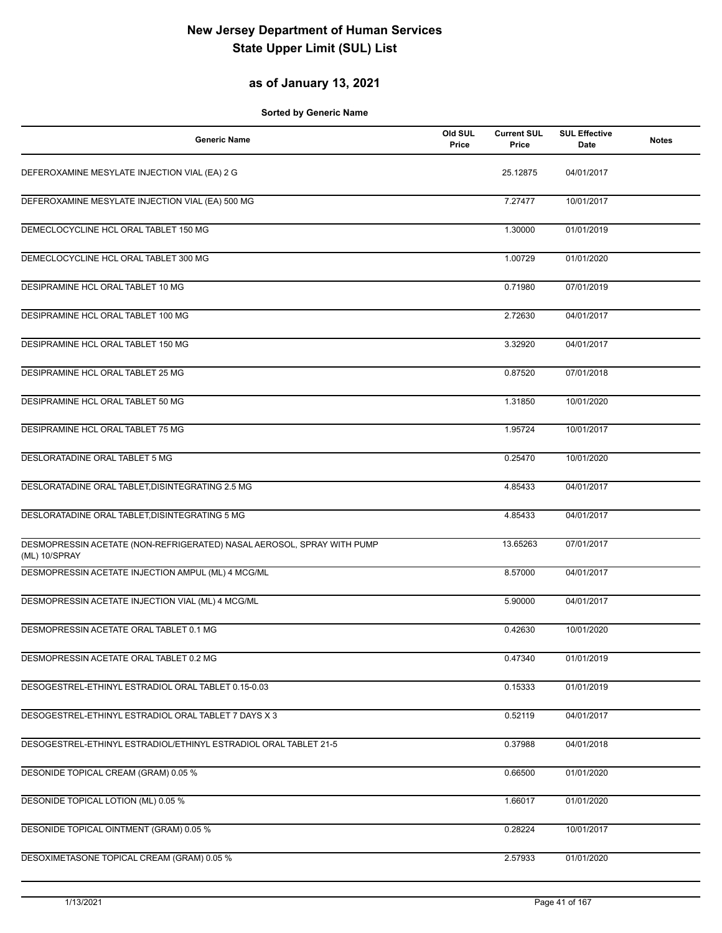### **as of January 13, 2021**

| <b>Generic Name</b>                                                                     | Old SUL<br>Price | <b>Current SUL</b><br>Price | <b>SUL Effective</b><br>Date | <b>Notes</b> |
|-----------------------------------------------------------------------------------------|------------------|-----------------------------|------------------------------|--------------|
| DEFEROXAMINE MESYLATE INJECTION VIAL (EA) 2 G                                           |                  | 25.12875                    | 04/01/2017                   |              |
| DEFEROXAMINE MESYLATE INJECTION VIAL (EA) 500 MG                                        |                  | 7.27477                     | 10/01/2017                   |              |
| DEMECLOCYCLINE HCL ORAL TABLET 150 MG                                                   |                  | 1.30000                     | 01/01/2019                   |              |
| DEMECLOCYCLINE HCL ORAL TABLET 300 MG                                                   |                  | 1.00729                     | 01/01/2020                   |              |
| DESIPRAMINE HCL ORAL TABLET 10 MG                                                       |                  | 0.71980                     | 07/01/2019                   |              |
| DESIPRAMINE HCL ORAL TABLET 100 MG                                                      |                  | 2.72630                     | 04/01/2017                   |              |
| DESIPRAMINE HCL ORAL TABLET 150 MG                                                      |                  | 3.32920                     | 04/01/2017                   |              |
| DESIPRAMINE HCL ORAL TABLET 25 MG                                                       |                  | 0.87520                     | 07/01/2018                   |              |
| DESIPRAMINE HCL ORAL TABLET 50 MG                                                       |                  | 1.31850                     | 10/01/2020                   |              |
| DESIPRAMINE HCL ORAL TABLET 75 MG                                                       |                  | 1.95724                     | 10/01/2017                   |              |
| DESLORATADINE ORAL TABLET 5 MG                                                          |                  | 0.25470                     | 10/01/2020                   |              |
| DESLORATADINE ORAL TABLET, DISINTEGRATING 2.5 MG                                        |                  | 4.85433                     | 04/01/2017                   |              |
| DESLORATADINE ORAL TABLET, DISINTEGRATING 5 MG                                          |                  | 4.85433                     | 04/01/2017                   |              |
| DESMOPRESSIN ACETATE (NON-REFRIGERATED) NASAL AEROSOL, SPRAY WITH PUMP<br>(ML) 10/SPRAY |                  | 13.65263                    | 07/01/2017                   |              |
| DESMOPRESSIN ACETATE INJECTION AMPUL (ML) 4 MCG/ML                                      |                  | 8.57000                     | 04/01/2017                   |              |
| DESMOPRESSIN ACETATE INJECTION VIAL (ML) 4 MCG/ML                                       |                  | 5.90000                     | 04/01/2017                   |              |
| DESMOPRESSIN ACETATE ORAL TABLET 0.1 MG                                                 |                  | 0.42630                     | 10/01/2020                   |              |
| DESMOPRESSIN ACETATE ORAL TABLET 0.2 MG                                                 |                  | 0.47340                     | 01/01/2019                   |              |
| DESOGESTREL-ETHINYL ESTRADIOL ORAL TABLET 0.15-0.03                                     |                  | 0.15333                     | 01/01/2019                   |              |
| DESOGESTREL-ETHINYL ESTRADIOL ORAL TABLET 7 DAYS X 3                                    |                  | 0.52119                     | 04/01/2017                   |              |
| DESOGESTREL-ETHINYL ESTRADIOL/ETHINYL ESTRADIOL ORAL TABLET 21-5                        |                  | 0.37988                     | 04/01/2018                   |              |
| DESONIDE TOPICAL CREAM (GRAM) 0.05 %                                                    |                  | 0.66500                     | 01/01/2020                   |              |
| DESONIDE TOPICAL LOTION (ML) 0.05 %                                                     |                  | 1.66017                     | 01/01/2020                   |              |
| <b>DESONIDE TOPICAL OINTMENT (GRAM) 0.05 %</b>                                          |                  | 0.28224                     | 10/01/2017                   |              |
| DESOXIMETASONE TOPICAL CREAM (GRAM) 0.05 %                                              |                  | 2.57933                     | 01/01/2020                   |              |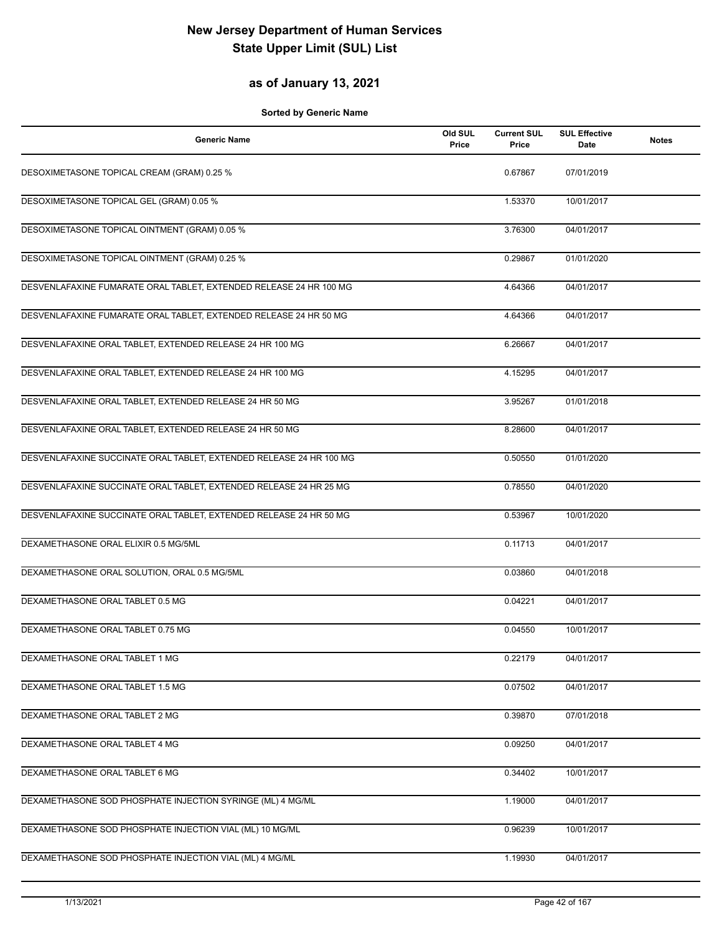### **as of January 13, 2021**

| <b>Generic Name</b>                                                 | Old SUL<br>Price | <b>Current SUL</b><br>Price | <b>SUL Effective</b><br>Date | <b>Notes</b> |
|---------------------------------------------------------------------|------------------|-----------------------------|------------------------------|--------------|
| DESOXIMETASONE TOPICAL CREAM (GRAM) 0.25 %                          |                  | 0.67867                     | 07/01/2019                   |              |
| DESOXIMETASONE TOPICAL GEL (GRAM) 0.05 %                            |                  | 1.53370                     | 10/01/2017                   |              |
| DESOXIMETASONE TOPICAL OINTMENT (GRAM) 0.05 %                       |                  | 3.76300                     | 04/01/2017                   |              |
| DESOXIMETASONE TOPICAL OINTMENT (GRAM) 0.25 %                       |                  | 0.29867                     | 01/01/2020                   |              |
| DESVENLAFAXINE FUMARATE ORAL TABLET, EXTENDED RELEASE 24 HR 100 MG  |                  | 4.64366                     | 04/01/2017                   |              |
| DESVENLAFAXINE FUMARATE ORAL TABLET, EXTENDED RELEASE 24 HR 50 MG   |                  | 4.64366                     | 04/01/2017                   |              |
| DESVENLAFAXINE ORAL TABLET, EXTENDED RELEASE 24 HR 100 MG           |                  | 6.26667                     | 04/01/2017                   |              |
| DESVENLAFAXINE ORAL TABLET, EXTENDED RELEASE 24 HR 100 MG           |                  | 4.15295                     | 04/01/2017                   |              |
| DESVENLAFAXINE ORAL TABLET, EXTENDED RELEASE 24 HR 50 MG            |                  | 3.95267                     | 01/01/2018                   |              |
| DESVENLAFAXINE ORAL TABLET, EXTENDED RELEASE 24 HR 50 MG            |                  | 8.28600                     | 04/01/2017                   |              |
| DESVENLAFAXINE SUCCINATE ORAL TABLET, EXTENDED RELEASE 24 HR 100 MG |                  | 0.50550                     | 01/01/2020                   |              |
| DESVENLAFAXINE SUCCINATE ORAL TABLET, EXTENDED RELEASE 24 HR 25 MG  |                  | 0.78550                     | 04/01/2020                   |              |
| DESVENLAFAXINE SUCCINATE ORAL TABLET, EXTENDED RELEASE 24 HR 50 MG  |                  | 0.53967                     | 10/01/2020                   |              |
| DEXAMETHASONE ORAL ELIXIR 0.5 MG/5ML                                |                  | 0.11713                     | 04/01/2017                   |              |
| DEXAMETHASONE ORAL SOLUTION, ORAL 0.5 MG/5ML                        |                  | 0.03860                     | 04/01/2018                   |              |
| DEXAMETHASONE ORAL TABLET 0.5 MG                                    |                  | 0.04221                     | 04/01/2017                   |              |
| DEXAMETHASONE ORAL TABLET 0.75 MG                                   |                  | 0.04550                     | 10/01/2017                   |              |
| DEXAMETHASONE ORAL TABLET 1 MG                                      |                  | 0.22179                     | 04/01/2017                   |              |
| DEXAMETHASONE ORAL TABLET 1.5 MG                                    |                  | 0.07502                     | 04/01/2017                   |              |
| DEXAMETHASONE ORAL TABLET 2 MG                                      |                  | 0.39870                     | 07/01/2018                   |              |
| DEXAMETHASONE ORAL TABLET 4 MG                                      |                  | 0.09250                     | 04/01/2017                   |              |
| DEXAMETHASONE ORAL TABLET 6 MG                                      |                  | 0.34402                     | 10/01/2017                   |              |
| DEXAMETHASONE SOD PHOSPHATE INJECTION SYRINGE (ML) 4 MG/ML          |                  | 1.19000                     | 04/01/2017                   |              |
| DEXAMETHASONE SOD PHOSPHATE INJECTION VIAL (ML) 10 MG/ML            |                  | 0.96239                     | 10/01/2017                   |              |
| DEXAMETHASONE SOD PHOSPHATE INJECTION VIAL (ML) 4 MG/ML             |                  | 1.19930                     | 04/01/2017                   |              |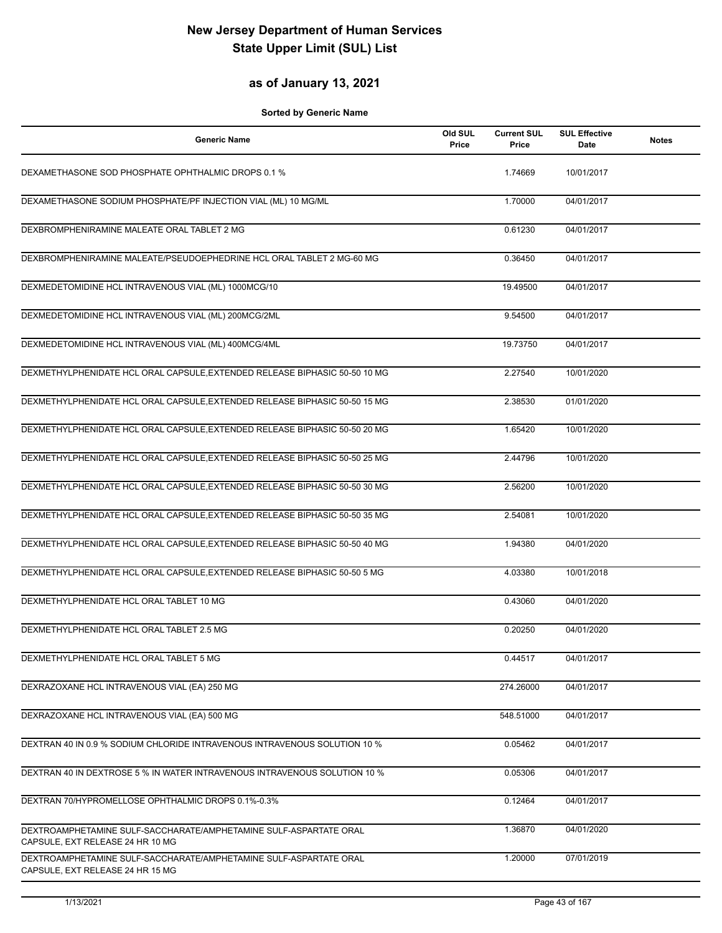### **as of January 13, 2021**

| <b>Generic Name</b>                                                                                   | Old SUL<br>Price | <b>Current SUL</b><br>Price | <b>SUL Effective</b><br>Date | <b>Notes</b> |
|-------------------------------------------------------------------------------------------------------|------------------|-----------------------------|------------------------------|--------------|
| DEXAMETHASONE SOD PHOSPHATE OPHTHALMIC DROPS 0.1 %                                                    |                  | 1.74669                     | 10/01/2017                   |              |
| DEXAMETHASONE SODIUM PHOSPHATE/PF INJECTION VIAL (ML) 10 MG/ML                                        |                  | 1.70000                     | 04/01/2017                   |              |
| DEXBROMPHENIRAMINE MALEATE ORAL TABLET 2 MG                                                           |                  | 0.61230                     | 04/01/2017                   |              |
| DEXBROMPHENIRAMINE MALEATE/PSEUDOEPHEDRINE HCL ORAL TABLET 2 MG-60 MG                                 |                  | 0.36450                     | 04/01/2017                   |              |
| DEXMEDETOMIDINE HCL INTRAVENOUS VIAL (ML) 1000MCG/10                                                  |                  | 19.49500                    | 04/01/2017                   |              |
| DEXMEDETOMIDINE HCL INTRAVENOUS VIAL (ML) 200MCG/2ML                                                  |                  | 9.54500                     | 04/01/2017                   |              |
| DEXMEDETOMIDINE HCL INTRAVENOUS VIAL (ML) 400MCG/4ML                                                  |                  | 19.73750                    | 04/01/2017                   |              |
| DEXMETHYLPHENIDATE HCL ORAL CAPSULE, EXTENDED RELEASE BIPHASIC 50-50 10 MG                            |                  | 2.27540                     | 10/01/2020                   |              |
| DEXMETHYLPHENIDATE HCL ORAL CAPSULE, EXTENDED RELEASE BIPHASIC 50-50 15 MG                            |                  | 2.38530                     | 01/01/2020                   |              |
| DEXMETHYLPHENIDATE HCL ORAL CAPSULE, EXTENDED RELEASE BIPHASIC 50-50 20 MG                            |                  | 1.65420                     | 10/01/2020                   |              |
| DEXMETHYLPHENIDATE HCL ORAL CAPSULE, EXTENDED RELEASE BIPHASIC 50-50 25 MG                            |                  | 2.44796                     | 10/01/2020                   |              |
| DEXMETHYLPHENIDATE HCL ORAL CAPSULE, EXTENDED RELEASE BIPHASIC 50-50 30 MG                            |                  | 2.56200                     | 10/01/2020                   |              |
| DEXMETHYLPHENIDATE HCL ORAL CAPSULE, EXTENDED RELEASE BIPHASIC 50-50 35 MG                            |                  | 2.54081                     | 10/01/2020                   |              |
| DEXMETHYLPHENIDATE HCL ORAL CAPSULE, EXTENDED RELEASE BIPHASIC 50-50 40 MG                            |                  | 1.94380                     | 04/01/2020                   |              |
| DEXMETHYLPHENIDATE HCL ORAL CAPSULE, EXTENDED RELEASE BIPHASIC 50-50 5 MG                             |                  | 4.03380                     | 10/01/2018                   |              |
| DEXMETHYLPHENIDATE HCL ORAL TABLET 10 MG                                                              |                  | 0.43060                     | 04/01/2020                   |              |
| DEXMETHYLPHENIDATE HCL ORAL TABLET 2.5 MG                                                             |                  | 0.20250                     | 04/01/2020                   |              |
| DEXMETHYLPHENIDATE HCL ORAL TABLET 5 MG                                                               |                  | 0.44517                     | 04/01/2017                   |              |
| DEXRAZOXANE HCL INTRAVENOUS VIAL (EA) 250 MG                                                          |                  | 274.26000                   | 04/01/2017                   |              |
| DEXRAZOXANE HCL INTRAVENOUS VIAL (EA) 500 MG                                                          |                  | 548.51000                   | 04/01/2017                   |              |
| DEXTRAN 40 IN 0.9 % SODIUM CHLORIDE INTRAVENOUS INTRAVENOUS SOLUTION 10 %                             |                  | 0.05462                     | 04/01/2017                   |              |
| DEXTRAN 40 IN DEXTROSE 5 % IN WATER INTRAVENOUS INTRAVENOUS SOLUTION 10 %                             |                  | 0.05306                     | 04/01/2017                   |              |
| DEXTRAN 70/HYPROMELLOSE OPHTHALMIC DROPS 0.1%-0.3%                                                    |                  | 0.12464                     | 04/01/2017                   |              |
| DEXTROAMPHETAMINE SULF-SACCHARATE/AMPHETAMINE SULF-ASPARTATE ORAL<br>CAPSULE, EXT RELEASE 24 HR 10 MG |                  | 1.36870                     | 04/01/2020                   |              |
| DEXTROAMPHETAMINE SULF-SACCHARATE/AMPHETAMINE SULF-ASPARTATE ORAL<br>CAPSULE, EXT RELEASE 24 HR 15 MG |                  | 1.20000                     | 07/01/2019                   |              |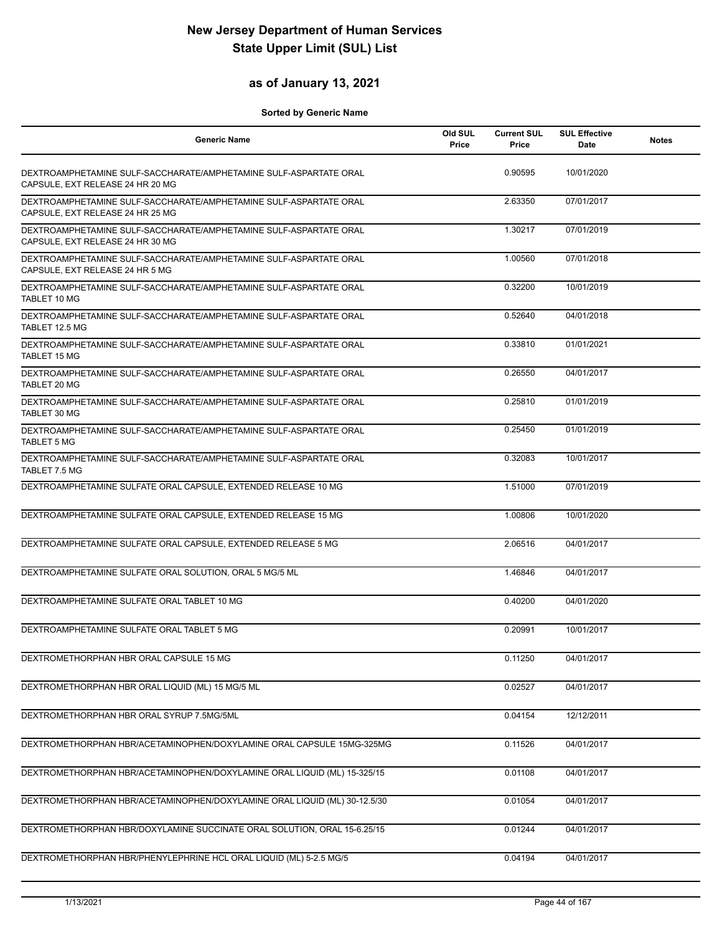### **as of January 13, 2021**

| <b>Generic Name</b>                                                                                   | Old SUL<br>Price | <b>Current SUL</b><br>Price | <b>SUL Effective</b><br>Date | <b>Notes</b> |
|-------------------------------------------------------------------------------------------------------|------------------|-----------------------------|------------------------------|--------------|
| DEXTROAMPHETAMINE SULF-SACCHARATE/AMPHETAMINE SULF-ASPARTATE ORAL<br>CAPSULE, EXT RELEASE 24 HR 20 MG |                  | 0.90595                     | 10/01/2020                   |              |
| DEXTROAMPHETAMINE SULF-SACCHARATE/AMPHETAMINE SULF-ASPARTATE ORAL<br>CAPSULE, EXT RELEASE 24 HR 25 MG |                  | 2.63350                     | 07/01/2017                   |              |
| DEXTROAMPHETAMINE SULF-SACCHARATE/AMPHETAMINE SULF-ASPARTATE ORAL<br>CAPSULE, EXT RELEASE 24 HR 30 MG |                  | 1.30217                     | 07/01/2019                   |              |
| DEXTROAMPHETAMINE SULF-SACCHARATE/AMPHETAMINE SULF-ASPARTATE ORAL<br>CAPSULE, EXT RELEASE 24 HR 5 MG  |                  | 1.00560                     | 07/01/2018                   |              |
| DEXTROAMPHETAMINE SULF-SACCHARATE/AMPHETAMINE SULF-ASPARTATE ORAL<br>TABLET 10 MG                     |                  | 0.32200                     | 10/01/2019                   |              |
| DEXTROAMPHETAMINE SULF-SACCHARATE/AMPHETAMINE SULF-ASPARTATE ORAL<br>TABLET 12.5 MG                   |                  | 0.52640                     | 04/01/2018                   |              |
| DEXTROAMPHETAMINE SULF-SACCHARATE/AMPHETAMINE SULF-ASPARTATE ORAL<br><b>TABLET 15 MG</b>              |                  | 0.33810                     | 01/01/2021                   |              |
| DEXTROAMPHETAMINE SULF-SACCHARATE/AMPHETAMINE SULF-ASPARTATE ORAL<br>TABLET 20 MG                     |                  | 0.26550                     | 04/01/2017                   |              |
| DEXTROAMPHETAMINE SULF-SACCHARATE/AMPHETAMINE SULF-ASPARTATE ORAL<br>TABLET 30 MG                     |                  | 0.25810                     | 01/01/2019                   |              |
| DEXTROAMPHETAMINE SULF-SACCHARATE/AMPHETAMINE SULF-ASPARTATE ORAL<br><b>TABLET 5 MG</b>               |                  | 0.25450                     | 01/01/2019                   |              |
| DEXTROAMPHETAMINE SULF-SACCHARATE/AMPHETAMINE SULF-ASPARTATE ORAL<br>TABLET 7.5 MG                    |                  | 0.32083                     | 10/01/2017                   |              |
| DEXTROAMPHETAMINE SULFATE ORAL CAPSULE, EXTENDED RELEASE 10 MG                                        |                  | 1.51000                     | 07/01/2019                   |              |
| DEXTROAMPHETAMINE SULFATE ORAL CAPSULE, EXTENDED RELEASE 15 MG                                        |                  | 1.00806                     | 10/01/2020                   |              |
| DEXTROAMPHETAMINE SULFATE ORAL CAPSULE, EXTENDED RELEASE 5 MG                                         |                  | 2.06516                     | 04/01/2017                   |              |
| DEXTROAMPHETAMINE SULFATE ORAL SOLUTION, ORAL 5 MG/5 ML                                               |                  | 1.46846                     | 04/01/2017                   |              |
| DEXTROAMPHETAMINE SULFATE ORAL TABLET 10 MG                                                           |                  | 0.40200                     | 04/01/2020                   |              |
| DEXTROAMPHETAMINE SULFATE ORAL TABLET 5 MG                                                            |                  | 0.20991                     | 10/01/2017                   |              |
| DEXTROMETHORPHAN HBR ORAL CAPSULE 15 MG                                                               |                  | 0.11250                     | 04/01/2017                   |              |
| DEXTROMETHORPHAN HBR ORAL LIQUID (ML) 15 MG/5 ML                                                      |                  | 0.02527                     | 04/01/2017                   |              |
| DEXTROMETHORPHAN HBR ORAL SYRUP 7.5MG/5ML                                                             |                  | 0.04154                     | 12/12/2011                   |              |
| DEXTROMETHORPHAN HBR/ACETAMINOPHEN/DOXYLAMINE ORAL CAPSULE 15MG-325MG                                 |                  | 0.11526                     | 04/01/2017                   |              |
| DEXTROMETHORPHAN HBR/ACETAMINOPHEN/DOXYLAMINE ORAL LIQUID (ML) 15-325/15                              |                  | 0.01108                     | 04/01/2017                   |              |
| DEXTROMETHORPHAN HBR/ACETAMINOPHEN/DOXYLAMINE ORAL LIQUID (ML) 30-12.5/30                             |                  | 0.01054                     | 04/01/2017                   |              |
| DEXTROMETHORPHAN HBR/DOXYLAMINE SUCCINATE ORAL SOLUTION, ORAL 15-6.25/15                              |                  | 0.01244                     | 04/01/2017                   |              |
| DEXTROMETHORPHAN HBR/PHENYLEPHRINE HCL ORAL LIQUID (ML) 5-2.5 MG/5                                    |                  | 0.04194                     | 04/01/2017                   |              |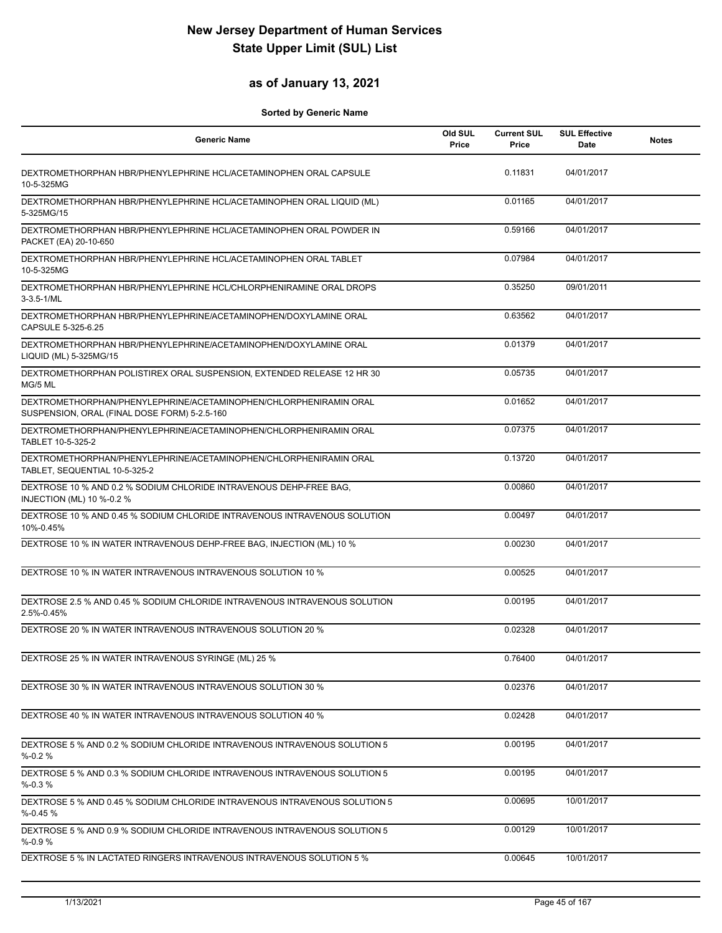### **as of January 13, 2021**

| <b>Generic Name</b>                                                                                               | Old SUL<br>Price | <b>Current SUL</b><br>Price | <b>SUL Effective</b><br>Date | <b>Notes</b> |
|-------------------------------------------------------------------------------------------------------------------|------------------|-----------------------------|------------------------------|--------------|
| DEXTROMETHORPHAN HBR/PHENYLEPHRINE HCL/ACETAMINOPHEN ORAL CAPSULE<br>10-5-325MG                                   |                  | 0.11831                     | 04/01/2017                   |              |
| DEXTROMETHORPHAN HBR/PHENYLEPHRINE HCL/ACETAMINOPHEN ORAL LIQUID (ML)<br>5-325MG/15                               |                  | 0.01165                     | 04/01/2017                   |              |
| DEXTROMETHORPHAN HBR/PHENYLEPHRINE HCL/ACETAMINOPHEN ORAL POWDER IN<br>PACKET (EA) 20-10-650                      |                  | 0.59166                     | 04/01/2017                   |              |
| DEXTROMETHORPHAN HBR/PHENYLEPHRINE HCL/ACETAMINOPHEN ORAL TABLET<br>10-5-325MG                                    |                  | 0.07984                     | 04/01/2017                   |              |
| DEXTROMETHORPHAN HBR/PHENYLEPHRINE HCL/CHLORPHENIRAMINE ORAL DROPS<br>$3 - 3.5 - 1/ML$                            |                  | 0.35250                     | 09/01/2011                   |              |
| DEXTROMETHORPHAN HBR/PHENYLEPHRINE/ACETAMINOPHEN/DOXYLAMINE ORAL<br>CAPSULE 5-325-6.25                            |                  | 0.63562                     | 04/01/2017                   |              |
| DEXTROMETHORPHAN HBR/PHENYLEPHRINE/ACETAMINOPHEN/DOXYLAMINE ORAL<br>LIQUID (ML) 5-325MG/15                        |                  | 0.01379                     | 04/01/2017                   |              |
| DEXTROMETHORPHAN POLISTIREX ORAL SUSPENSION, EXTENDED RELEASE 12 HR 30<br>MG/5 ML                                 |                  | 0.05735                     | 04/01/2017                   |              |
| DEXTROMETHORPHAN/PHENYLEPHRINE/ACETAMINOPHEN/CHLORPHENIRAMIN ORAL<br>SUSPENSION, ORAL (FINAL DOSE FORM) 5-2.5-160 |                  | 0.01652                     | 04/01/2017                   |              |
| DEXTROMETHORPHAN/PHENYLEPHRINE/ACETAMINOPHEN/CHLORPHENIRAMIN ORAL<br>TABLET 10-5-325-2                            |                  | 0.07375                     | 04/01/2017                   |              |
| DEXTROMETHORPHAN/PHENYLEPHRINE/ACETAMINOPHEN/CHLORPHENIRAMIN ORAL<br>TABLET, SEQUENTIAL 10-5-325-2                |                  | 0.13720                     | 04/01/2017                   |              |
| DEXTROSE 10 % AND 0.2 % SODIUM CHLORIDE INTRAVENOUS DEHP-FREE BAG,<br>INJECTION (ML) 10 %-0.2 %                   |                  | 0.00860                     | 04/01/2017                   |              |
| DEXTROSE 10 % AND 0.45 % SODIUM CHLORIDE INTRAVENOUS INTRAVENOUS SOLUTION<br>10%-0.45%                            |                  | 0.00497                     | 04/01/2017                   |              |
| DEXTROSE 10 % IN WATER INTRAVENOUS DEHP-FREE BAG, INJECTION (ML) 10 %                                             |                  | 0.00230                     | 04/01/2017                   |              |
| DEXTROSE 10 % IN WATER INTRAVENOUS INTRAVENOUS SOLUTION 10 %                                                      |                  | 0.00525                     | 04/01/2017                   |              |
| DEXTROSE 2.5 % AND 0.45 % SODIUM CHLORIDE INTRAVENOUS INTRAVENOUS SOLUTION<br>2.5%-0.45%                          |                  | 0.00195                     | 04/01/2017                   |              |
| DEXTROSE 20 % IN WATER INTRAVENOUS INTRAVENOUS SOLUTION 20 %                                                      |                  | 0.02328                     | 04/01/2017                   |              |
| DEXTROSE 25 % IN WATER INTRAVENOUS SYRINGE (ML) 25 %                                                              |                  | 0.76400                     | 04/01/2017                   |              |
| DEXTROSE 30 % IN WATER INTRAVENOUS INTRAVENOUS SOLUTION 30 %                                                      |                  | 0.02376                     | 04/01/2017                   |              |
| DEXTROSE 40 % IN WATER INTRAVENOUS INTRAVENOUS SOLUTION 40 %                                                      |                  | 0.02428                     | 04/01/2017                   |              |
| DEXTROSE 5 % AND 0.2 % SODIUM CHLORIDE INTRAVENOUS INTRAVENOUS SOLUTION 5<br>$% -0.2%$                            |                  | 0.00195                     | 04/01/2017                   |              |
| DEXTROSE 5 % AND 0.3 % SODIUM CHLORIDE INTRAVENOUS INTRAVENOUS SOLUTION 5<br>$% -0.3%$                            |                  | 0.00195                     | 04/01/2017                   |              |
| DEXTROSE 5 % AND 0.45 % SODIUM CHLORIDE INTRAVENOUS INTRAVENOUS SOLUTION 5<br>$% -0.45%$                          |                  | 0.00695                     | 10/01/2017                   |              |
| DEXTROSE 5 % AND 0.9 % SODIUM CHLORIDE INTRAVENOUS INTRAVENOUS SOLUTION 5<br>$% -0.9%$                            |                  | 0.00129                     | 10/01/2017                   |              |
| DEXTROSE 5 % IN LACTATED RINGERS INTRAVENOUS INTRAVENOUS SOLUTION 5 %                                             |                  | 0.00645                     | 10/01/2017                   |              |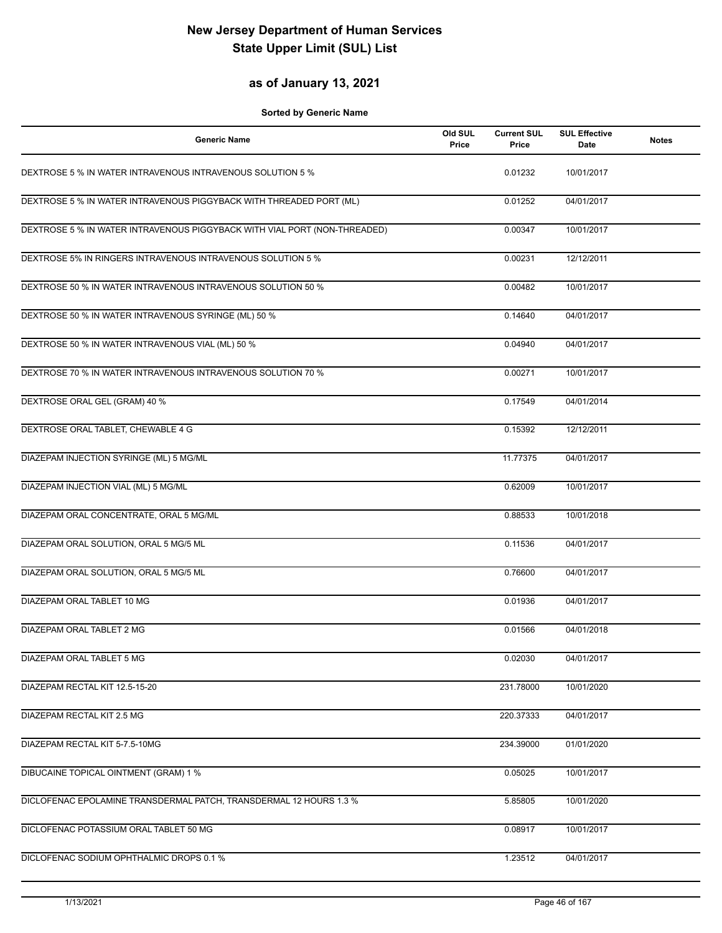### **as of January 13, 2021**

| <b>Generic Name</b>                                                       | Old SUL<br>Price | <b>Current SUL</b><br>Price | <b>SUL Effective</b><br><b>Date</b> | <b>Notes</b> |
|---------------------------------------------------------------------------|------------------|-----------------------------|-------------------------------------|--------------|
| DEXTROSE 5 % IN WATER INTRAVENOUS INTRAVENOUS SOLUTION 5 %                |                  | 0.01232                     | 10/01/2017                          |              |
| DEXTROSE 5 % IN WATER INTRAVENOUS PIGGYBACK WITH THREADED PORT (ML)       |                  | 0.01252                     | 04/01/2017                          |              |
| DEXTROSE 5 % IN WATER INTRAVENOUS PIGGYBACK WITH VIAL PORT (NON-THREADED) |                  | 0.00347                     | 10/01/2017                          |              |
| DEXTROSE 5% IN RINGERS INTRAVENOUS INTRAVENOUS SOLUTION 5 %               |                  | 0.00231                     | 12/12/2011                          |              |
| DEXTROSE 50 % IN WATER INTRAVENOUS INTRAVENOUS SOLUTION 50 %              |                  | 0.00482                     | 10/01/2017                          |              |
| DEXTROSE 50 % IN WATER INTRAVENOUS SYRINGE (ML) 50 %                      |                  | 0.14640                     | 04/01/2017                          |              |
| DEXTROSE 50 % IN WATER INTRAVENOUS VIAL (ML) 50 %                         |                  | 0.04940                     | 04/01/2017                          |              |
| DEXTROSE 70 % IN WATER INTRAVENOUS INTRAVENOUS SOLUTION 70 %              |                  | 0.00271                     | 10/01/2017                          |              |
| DEXTROSE ORAL GEL (GRAM) 40 %                                             |                  | 0.17549                     | 04/01/2014                          |              |
| DEXTROSE ORAL TABLET, CHEWABLE 4 G                                        |                  | 0.15392                     | 12/12/2011                          |              |
| DIAZEPAM INJECTION SYRINGE (ML) 5 MG/ML                                   |                  | 11.77375                    | 04/01/2017                          |              |
| DIAZEPAM INJECTION VIAL (ML) 5 MG/ML                                      |                  | 0.62009                     | 10/01/2017                          |              |
| DIAZEPAM ORAL CONCENTRATE, ORAL 5 MG/ML                                   |                  | 0.88533                     | 10/01/2018                          |              |
| DIAZEPAM ORAL SOLUTION, ORAL 5 MG/5 ML                                    |                  | 0.11536                     | 04/01/2017                          |              |
| DIAZEPAM ORAL SOLUTION, ORAL 5 MG/5 ML                                    |                  | 0.76600                     | 04/01/2017                          |              |
| DIAZEPAM ORAL TABLET 10 MG                                                |                  | 0.01936                     | 04/01/2017                          |              |
| DIAZEPAM ORAL TABLET 2 MG                                                 |                  | 0.01566                     | 04/01/2018                          |              |
| DIAZEPAM ORAL TABLET 5 MG                                                 |                  | 0.02030                     | 04/01/2017                          |              |
| DIAZEPAM RECTAL KIT 12.5-15-20                                            |                  | 231.78000                   | 10/01/2020                          |              |
| DIAZEPAM RECTAL KIT 2.5 MG                                                |                  | 220.37333                   | 04/01/2017                          |              |
| DIAZEPAM RECTAL KIT 5-7.5-10MG                                            |                  | 234.39000                   | 01/01/2020                          |              |
| DIBUCAINE TOPICAL OINTMENT (GRAM) 1 %                                     |                  | 0.05025                     | 10/01/2017                          |              |
| DICLOFENAC EPOLAMINE TRANSDERMAL PATCH, TRANSDERMAL 12 HOURS 1.3 %        |                  | 5.85805                     | 10/01/2020                          |              |
| DICLOFENAC POTASSIUM ORAL TABLET 50 MG                                    |                  | 0.08917                     | 10/01/2017                          |              |
| DICLOFENAC SODIUM OPHTHALMIC DROPS 0.1 %                                  |                  | 1.23512                     | 04/01/2017                          |              |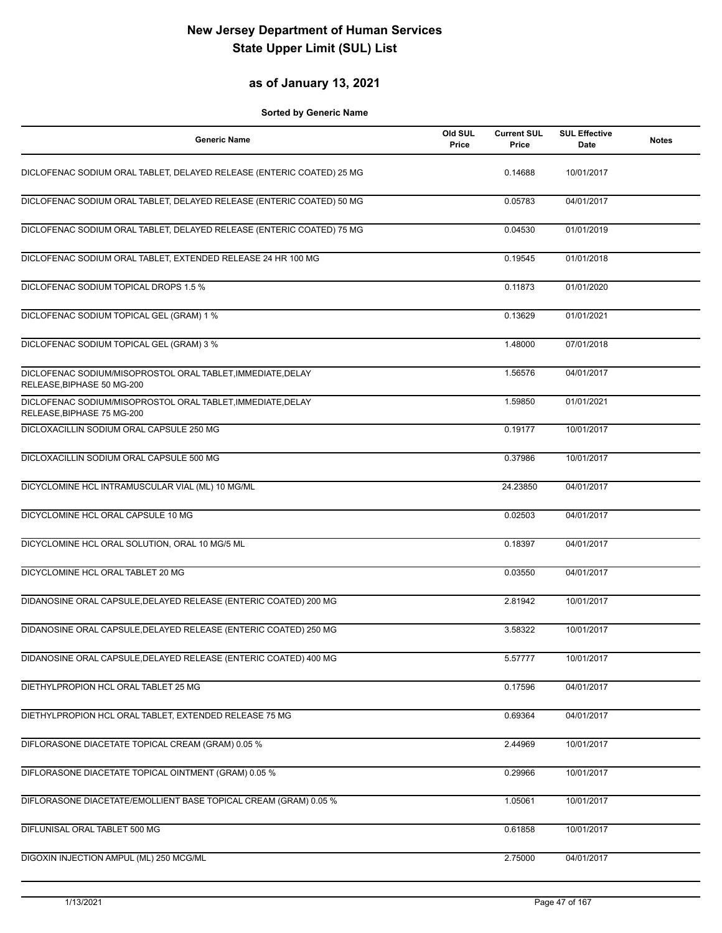### **as of January 13, 2021**

| <b>Generic Name</b>                                                                       | Old SUL<br>Price | <b>Current SUL</b><br>Price | <b>SUL Effective</b><br><b>Date</b> | <b>Notes</b> |
|-------------------------------------------------------------------------------------------|------------------|-----------------------------|-------------------------------------|--------------|
| DICLOFENAC SODIUM ORAL TABLET, DELAYED RELEASE (ENTERIC COATED) 25 MG                     |                  | 0.14688                     | 10/01/2017                          |              |
| DICLOFENAC SODIUM ORAL TABLET, DELAYED RELEASE (ENTERIC COATED) 50 MG                     |                  | 0.05783                     | 04/01/2017                          |              |
| DICLOFENAC SODIUM ORAL TABLET, DELAYED RELEASE (ENTERIC COATED) 75 MG                     |                  | 0.04530                     | 01/01/2019                          |              |
| DICLOFENAC SODIUM ORAL TABLET, EXTENDED RELEASE 24 HR 100 MG                              |                  | 0.19545                     | 01/01/2018                          |              |
| DICLOFENAC SODIUM TOPICAL DROPS 1.5 %                                                     |                  | 0.11873                     | 01/01/2020                          |              |
| DICLOFENAC SODIUM TOPICAL GEL (GRAM) 1 %                                                  |                  | 0.13629                     | 01/01/2021                          |              |
| DICLOFENAC SODIUM TOPICAL GEL (GRAM) 3 %                                                  |                  | 1.48000                     | 07/01/2018                          |              |
| DICLOFENAC SODIUM/MISOPROSTOL ORAL TABLET, IMMEDIATE, DELAY<br>RELEASE, BIPHASE 50 MG-200 |                  | 1.56576                     | 04/01/2017                          |              |
| DICLOFENAC SODIUM/MISOPROSTOL ORAL TABLET, IMMEDIATE, DELAY<br>RELEASE, BIPHASE 75 MG-200 |                  | 1.59850                     | 01/01/2021                          |              |
| DICLOXACILLIN SODIUM ORAL CAPSULE 250 MG                                                  |                  | 0.19177                     | 10/01/2017                          |              |
| DICLOXACILLIN SODIUM ORAL CAPSULE 500 MG                                                  |                  | 0.37986                     | 10/01/2017                          |              |
| DICYCLOMINE HCL INTRAMUSCULAR VIAL (ML) 10 MG/ML                                          |                  | 24.23850                    | 04/01/2017                          |              |
| DICYCLOMINE HCL ORAL CAPSULE 10 MG                                                        |                  | 0.02503                     | 04/01/2017                          |              |
| DICYCLOMINE HCL ORAL SOLUTION, ORAL 10 MG/5 ML                                            |                  | 0.18397                     | 04/01/2017                          |              |
| DICYCLOMINE HCL ORAL TABLET 20 MG                                                         |                  | 0.03550                     | 04/01/2017                          |              |
| DIDANOSINE ORAL CAPSULE, DELAYED RELEASE (ENTERIC COATED) 200 MG                          |                  | 2.81942                     | 10/01/2017                          |              |
| DIDANOSINE ORAL CAPSULE, DELAYED RELEASE (ENTERIC COATED) 250 MG                          |                  | 3.58322                     | 10/01/2017                          |              |
| DIDANOSINE ORAL CAPSULE, DELAYED RELEASE (ENTERIC COATED) 400 MG                          |                  | 5.57777                     | 10/01/2017                          |              |
| DIETHYLPROPION HCL ORAL TABLET 25 MG                                                      |                  | 0.17596                     | 04/01/2017                          |              |
| DIETHYLPROPION HCL ORAL TABLET, EXTENDED RELEASE 75 MG                                    |                  | 0.69364                     | 04/01/2017                          |              |
| DIFLORASONE DIACETATE TOPICAL CREAM (GRAM) 0.05 %                                         |                  | 2.44969                     | 10/01/2017                          |              |
| DIFLORASONE DIACETATE TOPICAL OINTMENT (GRAM) 0.05 %                                      |                  | 0.29966                     | 10/01/2017                          |              |
| DIFLORASONE DIACETATE/EMOLLIENT BASE TOPICAL CREAM (GRAM) 0.05 %                          |                  | 1.05061                     | 10/01/2017                          |              |
| DIFLUNISAL ORAL TABLET 500 MG                                                             |                  | 0.61858                     | 10/01/2017                          |              |
| DIGOXIN INJECTION AMPUL (ML) 250 MCG/ML                                                   |                  | 2.75000                     | 04/01/2017                          |              |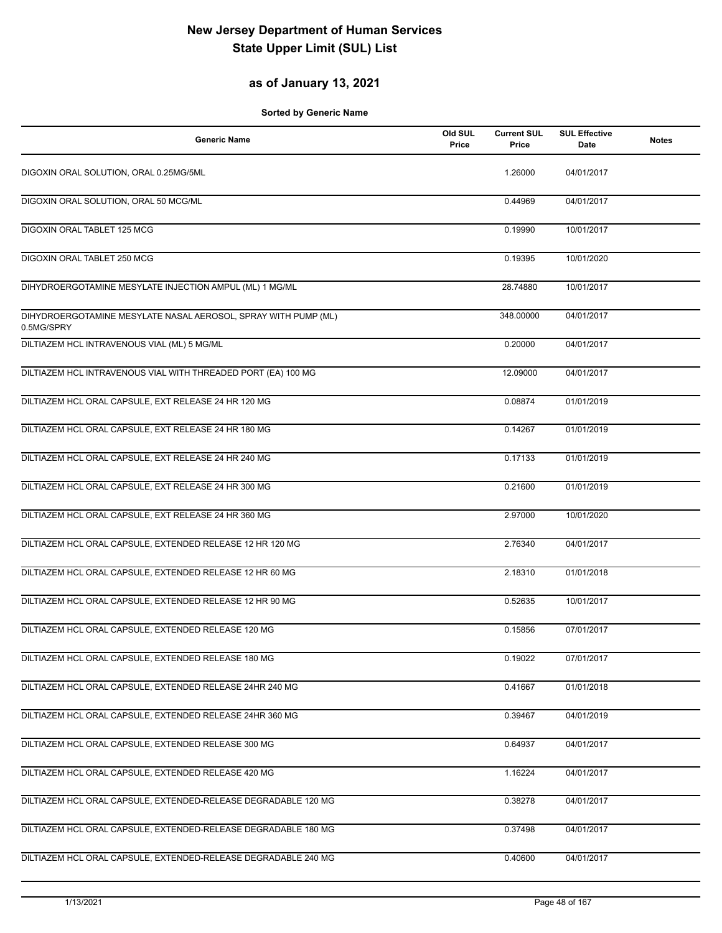### **as of January 13, 2021**

| <b>Generic Name</b>                                                          | Old SUL<br>Price | <b>Current SUL</b><br>Price | <b>SUL Effective</b><br>Date | <b>Notes</b> |
|------------------------------------------------------------------------------|------------------|-----------------------------|------------------------------|--------------|
| DIGOXIN ORAL SOLUTION, ORAL 0.25MG/5ML                                       |                  | 1.26000                     | 04/01/2017                   |              |
| DIGOXIN ORAL SOLUTION, ORAL 50 MCG/ML                                        |                  | 0.44969                     | 04/01/2017                   |              |
| DIGOXIN ORAL TABLET 125 MCG                                                  |                  | 0.19990                     | 10/01/2017                   |              |
| DIGOXIN ORAL TABLET 250 MCG                                                  |                  | 0.19395                     | 10/01/2020                   |              |
| DIHYDROERGOTAMINE MESYLATE INJECTION AMPUL (ML) 1 MG/ML                      |                  | 28.74880                    | 10/01/2017                   |              |
| DIHYDROERGOTAMINE MESYLATE NASAL AEROSOL, SPRAY WITH PUMP (ML)<br>0.5MG/SPRY |                  | 348.00000                   | 04/01/2017                   |              |
| DILTIAZEM HCL INTRAVENOUS VIAL (ML) 5 MG/ML                                  |                  | 0.20000                     | 04/01/2017                   |              |
| DILTIAZEM HCL INTRAVENOUS VIAL WITH THREADED PORT (EA) 100 MG                |                  | 12.09000                    | 04/01/2017                   |              |
| DILTIAZEM HCL ORAL CAPSULE, EXT RELEASE 24 HR 120 MG                         |                  | 0.08874                     | 01/01/2019                   |              |
| DILTIAZEM HCL ORAL CAPSULE, EXT RELEASE 24 HR 180 MG                         |                  | 0.14267                     | 01/01/2019                   |              |
| DILTIAZEM HCL ORAL CAPSULE, EXT RELEASE 24 HR 240 MG                         |                  | 0.17133                     | 01/01/2019                   |              |
| DILTIAZEM HCL ORAL CAPSULE, EXT RELEASE 24 HR 300 MG                         |                  | 0.21600                     | 01/01/2019                   |              |
| DILTIAZEM HCL ORAL CAPSULE, EXT RELEASE 24 HR 360 MG                         |                  | 2.97000                     | 10/01/2020                   |              |
| DILTIAZEM HCL ORAL CAPSULE, EXTENDED RELEASE 12 HR 120 MG                    |                  | 2.76340                     | 04/01/2017                   |              |
| DILTIAZEM HCL ORAL CAPSULE, EXTENDED RELEASE 12 HR 60 MG                     |                  | 2.18310                     | 01/01/2018                   |              |
| DILTIAZEM HCL ORAL CAPSULE, EXTENDED RELEASE 12 HR 90 MG                     |                  | 0.52635                     | 10/01/2017                   |              |
| DILTIAZEM HCL ORAL CAPSULE, EXTENDED RELEASE 120 MG                          |                  | 0.15856                     | 07/01/2017                   |              |
| DILTIAZEM HCL ORAL CAPSULE, EXTENDED RELEASE 180 MG                          |                  | 0.19022                     | 07/01/2017                   |              |
| DILTIAZEM HCL ORAL CAPSULE, EXTENDED RELEASE 24HR 240 MG                     |                  | 0.41667                     | 01/01/2018                   |              |
| DILTIAZEM HCL ORAL CAPSULE, EXTENDED RELEASE 24HR 360 MG                     |                  | 0.39467                     | 04/01/2019                   |              |
| DILTIAZEM HCL ORAL CAPSULE, EXTENDED RELEASE 300 MG                          |                  | 0.64937                     | 04/01/2017                   |              |
| DILTIAZEM HCL ORAL CAPSULE, EXTENDED RELEASE 420 MG                          |                  | 1.16224                     | 04/01/2017                   |              |
| DILTIAZEM HCL ORAL CAPSULE, EXTENDED-RELEASE DEGRADABLE 120 MG               |                  | 0.38278                     | 04/01/2017                   |              |
| DILTIAZEM HCL ORAL CAPSULE, EXTENDED-RELEASE DEGRADABLE 180 MG               |                  | 0.37498                     | 04/01/2017                   |              |
| DILTIAZEM HCL ORAL CAPSULE, EXTENDED-RELEASE DEGRADABLE 240 MG               |                  | 0.40600                     | 04/01/2017                   |              |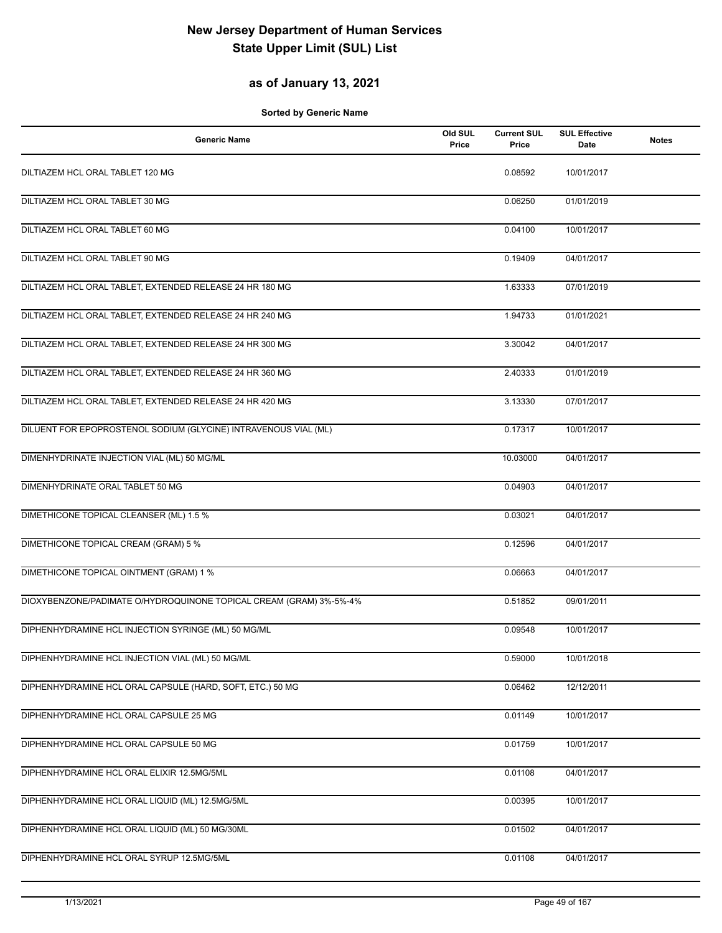### **as of January 13, 2021**

| Generic Name                                                       | Old SUL<br>Price | <b>Current SUL</b><br>Price | <b>SUL Effective</b><br>Date | <b>Notes</b> |
|--------------------------------------------------------------------|------------------|-----------------------------|------------------------------|--------------|
| DILTIAZEM HCL ORAL TABLET 120 MG                                   |                  | 0.08592                     | 10/01/2017                   |              |
| DILTIAZEM HCL ORAL TABLET 30 MG                                    |                  | 0.06250                     | 01/01/2019                   |              |
| DILTIAZEM HCL ORAL TABLET 60 MG                                    |                  | 0.04100                     | 10/01/2017                   |              |
| DILTIAZEM HCL ORAL TABLET 90 MG                                    |                  | 0.19409                     | 04/01/2017                   |              |
| DILTIAZEM HCL ORAL TABLET, EXTENDED RELEASE 24 HR 180 MG           |                  | 1.63333                     | 07/01/2019                   |              |
| DILTIAZEM HCL ORAL TABLET, EXTENDED RELEASE 24 HR 240 MG           |                  | 1.94733                     | 01/01/2021                   |              |
| DILTIAZEM HCL ORAL TABLET, EXTENDED RELEASE 24 HR 300 MG           |                  | 3.30042                     | 04/01/2017                   |              |
| DILTIAZEM HCL ORAL TABLET, EXTENDED RELEASE 24 HR 360 MG           |                  | 2.40333                     | 01/01/2019                   |              |
| DILTIAZEM HCL ORAL TABLET, EXTENDED RELEASE 24 HR 420 MG           |                  | 3.13330                     | 07/01/2017                   |              |
| DILUENT FOR EPOPROSTENOL SODIUM (GLYCINE) INTRAVENOUS VIAL (ML)    |                  | 0.17317                     | 10/01/2017                   |              |
| DIMENHYDRINATE INJECTION VIAL (ML) 50 MG/ML                        |                  | 10.03000                    | 04/01/2017                   |              |
| DIMENHYDRINATE ORAL TABLET 50 MG                                   |                  | 0.04903                     | 04/01/2017                   |              |
| DIMETHICONE TOPICAL CLEANSER (ML) 1.5 %                            |                  | 0.03021                     | 04/01/2017                   |              |
| DIMETHICONE TOPICAL CREAM (GRAM) 5 %                               |                  | 0.12596                     | 04/01/2017                   |              |
| DIMETHICONE TOPICAL OINTMENT (GRAM) 1 %                            |                  | 0.06663                     | 04/01/2017                   |              |
| DIOXYBENZONE/PADIMATE O/HYDROQUINONE TOPICAL CREAM (GRAM) 3%-5%-4% |                  | 0.51852                     | 09/01/2011                   |              |
| DIPHENHYDRAMINE HCL INJECTION SYRINGE (ML) 50 MG/ML                |                  | 0.09548                     | 10/01/2017                   |              |
| DIPHENHYDRAMINE HCL INJECTION VIAL (ML) 50 MG/ML                   |                  | 0.59000                     | 10/01/2018                   |              |
| DIPHENHYDRAMINE HCL ORAL CAPSULE (HARD, SOFT, ETC.) 50 MG          |                  | 0.06462                     | 12/12/2011                   |              |
| DIPHENHYDRAMINE HCL ORAL CAPSULE 25 MG                             |                  | 0.01149                     | 10/01/2017                   |              |
| DIPHENHYDRAMINE HCL ORAL CAPSULE 50 MG                             |                  | 0.01759                     | 10/01/2017                   |              |
| DIPHENHYDRAMINE HCL ORAL ELIXIR 12.5MG/5ML                         |                  | 0.01108                     | 04/01/2017                   |              |
| DIPHENHYDRAMINE HCL ORAL LIQUID (ML) 12.5MG/5ML                    |                  | 0.00395                     | 10/01/2017                   |              |
| DIPHENHYDRAMINE HCL ORAL LIQUID (ML) 50 MG/30ML                    |                  | 0.01502                     | 04/01/2017                   |              |
| DIPHENHYDRAMINE HCL ORAL SYRUP 12.5MG/5ML                          |                  | 0.01108                     | 04/01/2017                   |              |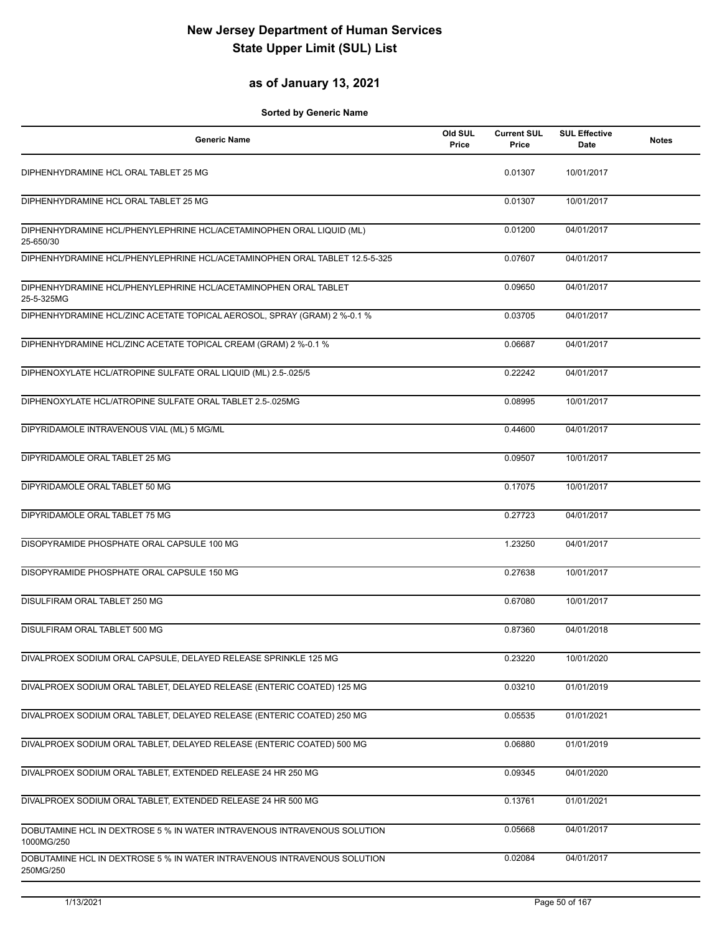### **as of January 13, 2021**

| <b>Generic Name</b>                                                                    | Old SUL<br>Price | <b>Current SUL</b><br>Price | <b>SUL Effective</b><br>Date | <b>Notes</b> |
|----------------------------------------------------------------------------------------|------------------|-----------------------------|------------------------------|--------------|
| DIPHENHYDRAMINE HCL ORAL TABLET 25 MG                                                  |                  | 0.01307                     | 10/01/2017                   |              |
| DIPHENHYDRAMINE HCL ORAL TABLET 25 MG                                                  |                  | 0.01307                     | 10/01/2017                   |              |
| DIPHENHYDRAMINE HCL/PHENYLEPHRINE HCL/ACETAMINOPHEN ORAL LIQUID (ML)<br>25-650/30      |                  | 0.01200                     | 04/01/2017                   |              |
| DIPHENHYDRAMINE HCL/PHENYLEPHRINE HCL/ACETAMINOPHEN ORAL TABLET 12.5-5-325             |                  | 0.07607                     | 04/01/2017                   |              |
| DIPHENHYDRAMINE HCL/PHENYLEPHRINE HCL/ACETAMINOPHEN ORAL TABLET<br>25-5-325MG          |                  | 0.09650                     | 04/01/2017                   |              |
| DIPHENHYDRAMINE HCL/ZINC ACETATE TOPICAL AEROSOL, SPRAY (GRAM) 2 %-0.1 %               |                  | 0.03705                     | 04/01/2017                   |              |
| DIPHENHYDRAMINE HCL/ZINC ACETATE TOPICAL CREAM (GRAM) 2 %-0.1 %                        |                  | 0.06687                     | 04/01/2017                   |              |
| DIPHENOXYLATE HCL/ATROPINE SULFATE ORAL LIQUID (ML) 2.5-.025/5                         |                  | 0.22242                     | 04/01/2017                   |              |
| DIPHENOXYLATE HCL/ATROPINE SULFATE ORAL TABLET 2.5-.025MG                              |                  | 0.08995                     | 10/01/2017                   |              |
| DIPYRIDAMOLE INTRAVENOUS VIAL (ML) 5 MG/ML                                             |                  | 0.44600                     | 04/01/2017                   |              |
| DIPYRIDAMOLE ORAL TABLET 25 MG                                                         |                  | 0.09507                     | 10/01/2017                   |              |
| DIPYRIDAMOLE ORAL TABLET 50 MG                                                         |                  | 0.17075                     | 10/01/2017                   |              |
| DIPYRIDAMOLE ORAL TABLET 75 MG                                                         |                  | 0.27723                     | 04/01/2017                   |              |
| DISOPYRAMIDE PHOSPHATE ORAL CAPSULE 100 MG                                             |                  | 1.23250                     | 04/01/2017                   |              |
| DISOPYRAMIDE PHOSPHATE ORAL CAPSULE 150 MG                                             |                  | 0.27638                     | 10/01/2017                   |              |
| DISULFIRAM ORAL TABLET 250 MG                                                          |                  | 0.67080                     | 10/01/2017                   |              |
| DISULFIRAM ORAL TABLET 500 MG                                                          |                  | 0.87360                     | 04/01/2018                   |              |
| DIVALPROEX SODIUM ORAL CAPSULE, DELAYED RELEASE SPRINKLE 125 MG                        |                  | 0.23220                     | 10/01/2020                   |              |
| DIVALPROEX SODIUM ORAL TABLET, DELAYED RELEASE (ENTERIC COATED) 125 MG                 |                  | 0.03210                     | 01/01/2019                   |              |
| DIVALPROEX SODIUM ORAL TABLET, DELAYED RELEASE (ENTERIC COATED) 250 MG                 |                  | 0.05535                     | 01/01/2021                   |              |
| DIVALPROEX SODIUM ORAL TABLET, DELAYED RELEASE (ENTERIC COATED) 500 MG                 |                  | 0.06880                     | 01/01/2019                   |              |
| DIVALPROEX SODIUM ORAL TABLET, EXTENDED RELEASE 24 HR 250 MG                           |                  | 0.09345                     | 04/01/2020                   |              |
| DIVALPROEX SODIUM ORAL TABLET, EXTENDED RELEASE 24 HR 500 MG                           |                  | 0.13761                     | 01/01/2021                   |              |
| DOBUTAMINE HCL IN DEXTROSE 5 % IN WATER INTRAVENOUS INTRAVENOUS SOLUTION<br>1000MG/250 |                  | 0.05668                     | 04/01/2017                   |              |
| DOBUTAMINE HCL IN DEXTROSE 5 % IN WATER INTRAVENOUS INTRAVENOUS SOLUTION<br>250MG/250  |                  | 0.02084                     | 04/01/2017                   |              |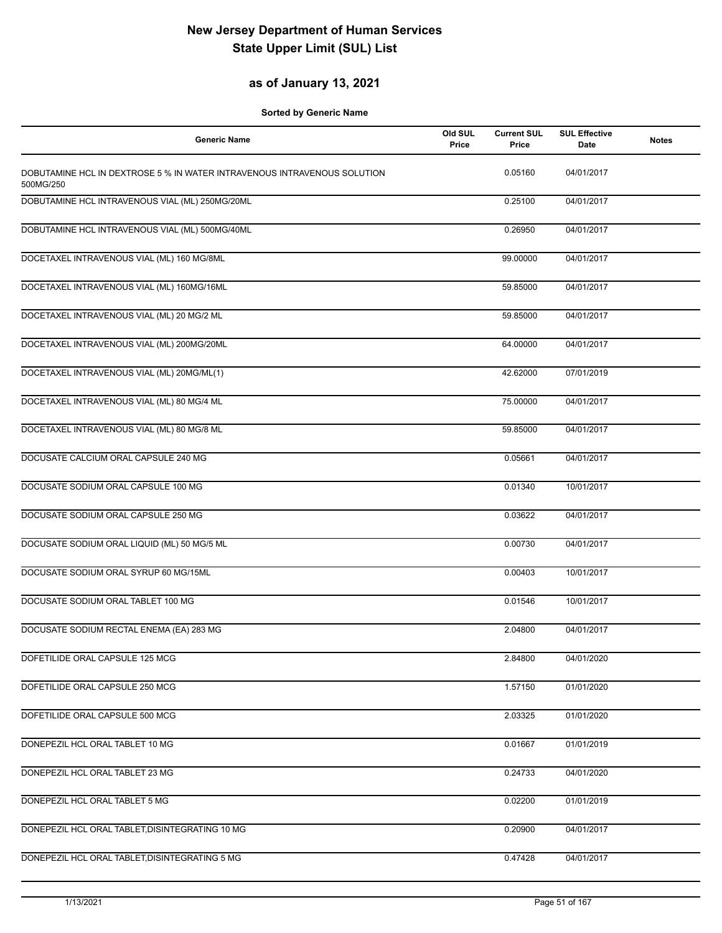### **as of January 13, 2021**

| Old SUL<br><b>Generic Name</b><br>Price                                               | <b>Current SUL</b><br>Price | <b>SUL Effective</b><br>Date | <b>Notes</b> |
|---------------------------------------------------------------------------------------|-----------------------------|------------------------------|--------------|
| DOBUTAMINE HCL IN DEXTROSE 5 % IN WATER INTRAVENOUS INTRAVENOUS SOLUTION<br>500MG/250 | 0.05160                     | 04/01/2017                   |              |
| DOBUTAMINE HCL INTRAVENOUS VIAL (ML) 250MG/20ML                                       | 0.25100                     | 04/01/2017                   |              |
| DOBUTAMINE HCL INTRAVENOUS VIAL (ML) 500MG/40ML                                       | 0.26950                     | 04/01/2017                   |              |
| DOCETAXEL INTRAVENOUS VIAL (ML) 160 MG/8ML                                            | 99.00000                    | 04/01/2017                   |              |
| DOCETAXEL INTRAVENOUS VIAL (ML) 160MG/16ML                                            | 59.85000                    | 04/01/2017                   |              |
| DOCETAXEL INTRAVENOUS VIAL (ML) 20 MG/2 ML                                            | 59.85000                    | 04/01/2017                   |              |
| DOCETAXEL INTRAVENOUS VIAL (ML) 200MG/20ML                                            | 64.00000                    | 04/01/2017                   |              |
| DOCETAXEL INTRAVENOUS VIAL (ML) 20MG/ML(1)                                            | 42.62000                    | 07/01/2019                   |              |
| DOCETAXEL INTRAVENOUS VIAL (ML) 80 MG/4 ML                                            | 75.00000                    | 04/01/2017                   |              |
| DOCETAXEL INTRAVENOUS VIAL (ML) 80 MG/8 ML                                            | 59.85000                    | 04/01/2017                   |              |
| DOCUSATE CALCIUM ORAL CAPSULE 240 MG                                                  | 0.05661                     | 04/01/2017                   |              |
| DOCUSATE SODIUM ORAL CAPSULE 100 MG                                                   | 0.01340                     | 10/01/2017                   |              |
| DOCUSATE SODIUM ORAL CAPSULE 250 MG                                                   | 0.03622                     | 04/01/2017                   |              |
| DOCUSATE SODIUM ORAL LIQUID (ML) 50 MG/5 ML                                           | 0.00730                     | 04/01/2017                   |              |
| DOCUSATE SODIUM ORAL SYRUP 60 MG/15ML                                                 | 0.00403                     | 10/01/2017                   |              |
| DOCUSATE SODIUM ORAL TABLET 100 MG                                                    | 0.01546                     | 10/01/2017                   |              |
| DOCUSATE SODIUM RECTAL ENEMA (EA) 283 MG                                              | 2.04800                     | 04/01/2017                   |              |
| DOFETILIDE ORAL CAPSULE 125 MCG                                                       | 2.84800                     | 04/01/2020                   |              |
| DOFETILIDE ORAL CAPSULE 250 MCG                                                       | 1.57150                     | 01/01/2020                   |              |
| DOFETILIDE ORAL CAPSULE 500 MCG                                                       | 2.03325                     | 01/01/2020                   |              |
| DONEPEZIL HCL ORAL TABLET 10 MG                                                       | 0.01667                     | 01/01/2019                   |              |
| DONEPEZIL HCL ORAL TABLET 23 MG                                                       | 0.24733                     | 04/01/2020                   |              |
| DONEPEZIL HCL ORAL TABLET 5 MG                                                        | 0.02200                     | 01/01/2019                   |              |
| DONEPEZIL HCL ORAL TABLET, DISINTEGRATING 10 MG                                       | 0.20900                     | 04/01/2017                   |              |
| DONEPEZIL HCL ORAL TABLET, DISINTEGRATING 5 MG                                        | 0.47428                     | 04/01/2017                   |              |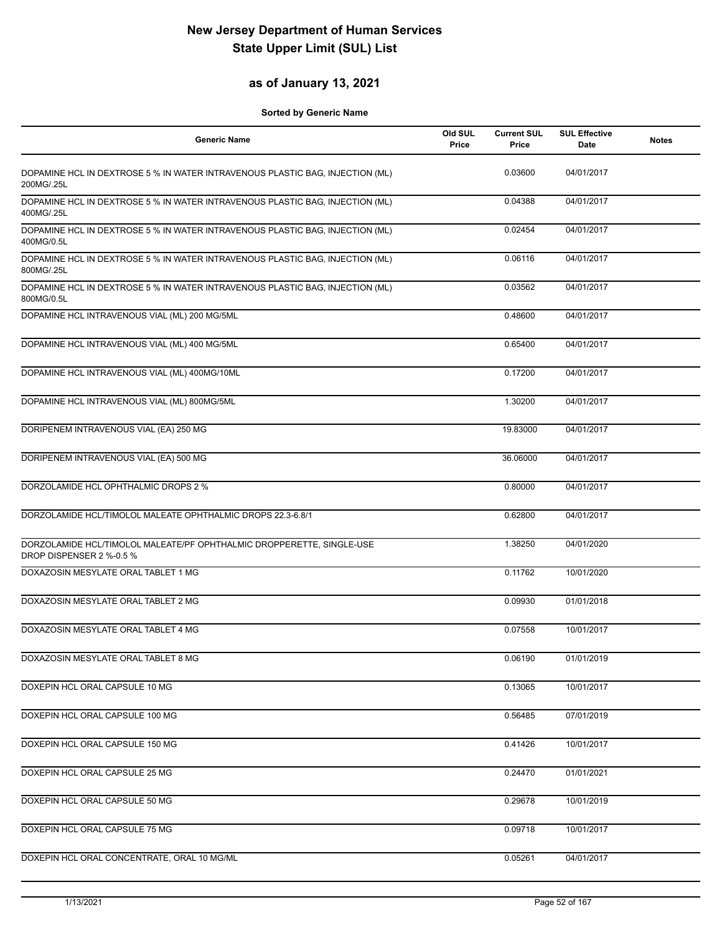### **as of January 13, 2021**

| <b>Generic Name</b>                                                                               | Old SUL<br>Price | <b>Current SUL</b><br>Price | <b>SUL Effective</b><br>Date | <b>Notes</b> |
|---------------------------------------------------------------------------------------------------|------------------|-----------------------------|------------------------------|--------------|
| DOPAMINE HCL IN DEXTROSE 5 % IN WATER INTRAVENOUS PLASTIC BAG, INJECTION (ML)<br>200MG/.25L       |                  | 0.03600                     | 04/01/2017                   |              |
| DOPAMINE HCL IN DEXTROSE 5 % IN WATER INTRAVENOUS PLASTIC BAG, INJECTION (ML)<br>400MG/.25L       |                  | 0.04388                     | 04/01/2017                   |              |
| DOPAMINE HCL IN DEXTROSE 5 % IN WATER INTRAVENOUS PLASTIC BAG, INJECTION (ML)<br>400MG/0.5L       |                  | 0.02454                     | 04/01/2017                   |              |
| DOPAMINE HCL IN DEXTROSE 5 % IN WATER INTRAVENOUS PLASTIC BAG, INJECTION (ML)<br>800MG/.25L       |                  | 0.06116                     | 04/01/2017                   |              |
| DOPAMINE HCL IN DEXTROSE 5 % IN WATER INTRAVENOUS PLASTIC BAG, INJECTION (ML)<br>800MG/0.5L       |                  | 0.03562                     | 04/01/2017                   |              |
| DOPAMINE HCL INTRAVENOUS VIAL (ML) 200 MG/5ML                                                     |                  | 0.48600                     | 04/01/2017                   |              |
| DOPAMINE HCL INTRAVENOUS VIAL (ML) 400 MG/5ML                                                     |                  | 0.65400                     | 04/01/2017                   |              |
| DOPAMINE HCL INTRAVENOUS VIAL (ML) 400MG/10ML                                                     |                  | 0.17200                     | 04/01/2017                   |              |
| DOPAMINE HCL INTRAVENOUS VIAL (ML) 800MG/5ML                                                      |                  | 1.30200                     | 04/01/2017                   |              |
| DORIPENEM INTRAVENOUS VIAL (EA) 250 MG                                                            |                  | 19.83000                    | 04/01/2017                   |              |
| DORIPENEM INTRAVENOUS VIAL (EA) 500 MG                                                            |                  | 36.06000                    | 04/01/2017                   |              |
| DORZOLAMIDE HCL OPHTHALMIC DROPS 2 %                                                              |                  | 0.80000                     | 04/01/2017                   |              |
| DORZOLAMIDE HCL/TIMOLOL MALEATE OPHTHALMIC DROPS 22.3-6.8/1                                       |                  | 0.62800                     | 04/01/2017                   |              |
| DORZOLAMIDE HCL/TIMOLOL MALEATE/PF OPHTHALMIC DROPPERETTE, SINGLE-USE<br>DROP DISPENSER 2 %-0.5 % |                  | 1.38250                     | 04/01/2020                   |              |
| DOXAZOSIN MESYLATE ORAL TABLET 1 MG                                                               |                  | 0.11762                     | 10/01/2020                   |              |
| DOXAZOSIN MESYLATE ORAL TABLET 2 MG                                                               |                  | 0.09930                     | 01/01/2018                   |              |
| DOXAZOSIN MESYLATE ORAL TABLET 4 MG                                                               |                  | 0.07558                     | 10/01/2017                   |              |
| DOXAZOSIN MESYLATE ORAL TABLET 8 MG                                                               |                  | 0.06190                     | 01/01/2019                   |              |
| DOXEPIN HCL ORAL CAPSULE 10 MG                                                                    |                  | 0.13065                     | 10/01/2017                   |              |
| DOXEPIN HCL ORAL CAPSULE 100 MG                                                                   |                  | 0.56485                     | 07/01/2019                   |              |
| DOXEPIN HCL ORAL CAPSULE 150 MG                                                                   |                  | 0.41426                     | 10/01/2017                   |              |
| DOXEPIN HCL ORAL CAPSULE 25 MG                                                                    |                  | 0.24470                     | 01/01/2021                   |              |
| DOXEPIN HCL ORAL CAPSULE 50 MG                                                                    |                  | 0.29678                     | 10/01/2019                   |              |
| DOXEPIN HCL ORAL CAPSULE 75 MG                                                                    |                  | 0.09718                     | 10/01/2017                   |              |
| DOXEPIN HCL ORAL CONCENTRATE, ORAL 10 MG/ML                                                       |                  | 0.05261                     | 04/01/2017                   |              |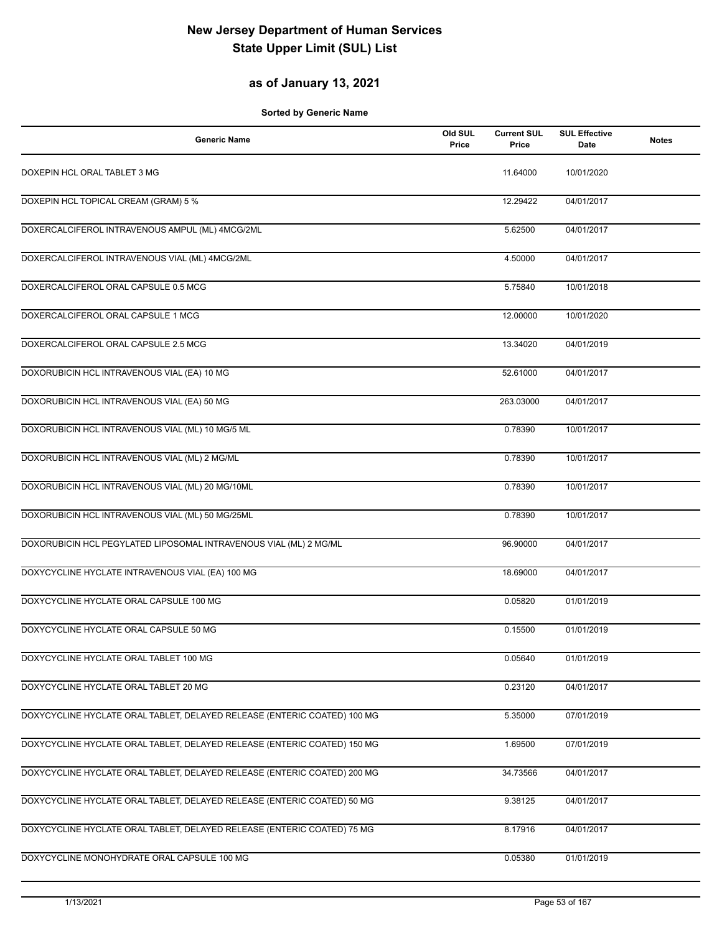### **as of January 13, 2021**

| <b>Generic Name</b>                                                      | Old SUL<br>Price | <b>Current SUL</b><br>Price | <b>SUL Effective</b><br>Date | <b>Notes</b> |
|--------------------------------------------------------------------------|------------------|-----------------------------|------------------------------|--------------|
| DOXEPIN HCL ORAL TABLET 3 MG                                             |                  | 11.64000                    | 10/01/2020                   |              |
| DOXEPIN HCL TOPICAL CREAM (GRAM) 5 %                                     |                  | 12.29422                    | 04/01/2017                   |              |
| DOXERCALCIFEROL INTRAVENOUS AMPUL (ML) 4MCG/2ML                          |                  | 5.62500                     | 04/01/2017                   |              |
| DOXERCALCIFEROL INTRAVENOUS VIAL (ML) 4MCG/2ML                           |                  | 4.50000                     | 04/01/2017                   |              |
| DOXERCALCIFEROL ORAL CAPSULE 0.5 MCG                                     |                  | 5.75840                     | 10/01/2018                   |              |
| DOXERCALCIFEROL ORAL CAPSULE 1 MCG                                       |                  | 12.00000                    | 10/01/2020                   |              |
| DOXERCALCIFEROL ORAL CAPSULE 2.5 MCG                                     |                  | 13.34020                    | 04/01/2019                   |              |
| DOXORUBICIN HCL INTRAVENOUS VIAL (EA) 10 MG                              |                  | 52.61000                    | 04/01/2017                   |              |
| DOXORUBICIN HCL INTRAVENOUS VIAL (EA) 50 MG                              |                  | 263.03000                   | 04/01/2017                   |              |
| DOXORUBICIN HCL INTRAVENOUS VIAL (ML) 10 MG/5 ML                         |                  | 0.78390                     | 10/01/2017                   |              |
| DOXORUBICIN HCL INTRAVENOUS VIAL (ML) 2 MG/ML                            |                  | 0.78390                     | 10/01/2017                   |              |
| DOXORUBICIN HCL INTRAVENOUS VIAL (ML) 20 MG/10ML                         |                  | 0.78390                     | 10/01/2017                   |              |
| DOXORUBICIN HCL INTRAVENOUS VIAL (ML) 50 MG/25ML                         |                  | 0.78390                     | 10/01/2017                   |              |
| DOXORUBICIN HCL PEGYLATED LIPOSOMAL INTRAVENOUS VIAL (ML) 2 MG/ML        |                  | 96.90000                    | 04/01/2017                   |              |
| DOXYCYCLINE HYCLATE INTRAVENOUS VIAL (EA) 100 MG                         |                  | 18.69000                    | 04/01/2017                   |              |
| DOXYCYCLINE HYCLATE ORAL CAPSULE 100 MG                                  |                  | 0.05820                     | 01/01/2019                   |              |
| DOXYCYCLINE HYCLATE ORAL CAPSULE 50 MG                                   |                  | 0.15500                     | 01/01/2019                   |              |
| DOXYCYCLINE HYCLATE ORAL TABLET 100 MG                                   |                  | 0.05640                     | 01/01/2019                   |              |
| DOXYCYCLINE HYCLATE ORAL TABLET 20 MG                                    |                  | 0.23120                     | 04/01/2017                   |              |
| DOXYCYCLINE HYCLATE ORAL TABLET, DELAYED RELEASE (ENTERIC COATED) 100 MG |                  | 5.35000                     | 07/01/2019                   |              |
| DOXYCYCLINE HYCLATE ORAL TABLET, DELAYED RELEASE (ENTERIC COATED) 150 MG |                  | 1.69500                     | 07/01/2019                   |              |
| DOXYCYCLINE HYCLATE ORAL TABLET, DELAYED RELEASE (ENTERIC COATED) 200 MG |                  | 34.73566                    | 04/01/2017                   |              |
| DOXYCYCLINE HYCLATE ORAL TABLET, DELAYED RELEASE (ENTERIC COATED) 50 MG  |                  | 9.38125                     | 04/01/2017                   |              |
| DOXYCYCLINE HYCLATE ORAL TABLET, DELAYED RELEASE (ENTERIC COATED) 75 MG  |                  | 8.17916                     | 04/01/2017                   |              |
| DOXYCYCLINE MONOHYDRATE ORAL CAPSULE 100 MG                              |                  | 0.05380                     | 01/01/2019                   |              |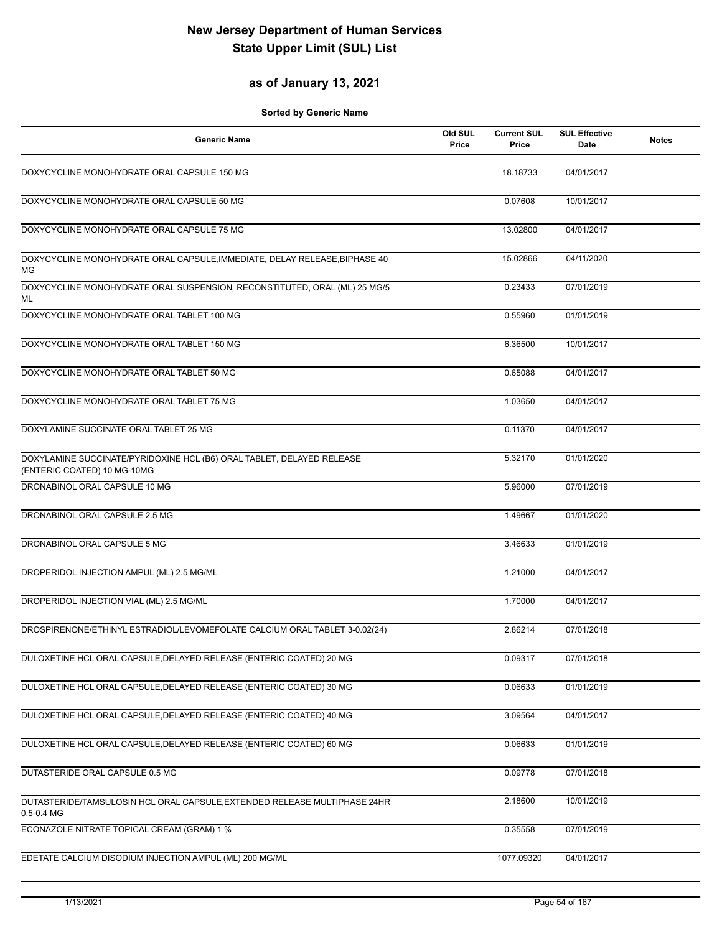### **as of January 13, 2021**

| <b>Generic Name</b>                                                                                  | Old SUL<br>Price | <b>Current SUL</b><br>Price | <b>SUL Effective</b><br>Date | <b>Notes</b> |
|------------------------------------------------------------------------------------------------------|------------------|-----------------------------|------------------------------|--------------|
| DOXYCYCLINE MONOHYDRATE ORAL CAPSULE 150 MG                                                          |                  | 18.18733                    | 04/01/2017                   |              |
| DOXYCYCLINE MONOHYDRATE ORAL CAPSULE 50 MG                                                           |                  | 0.07608                     | 10/01/2017                   |              |
| DOXYCYCLINE MONOHYDRATE ORAL CAPSULE 75 MG                                                           |                  | 13.02800                    | 04/01/2017                   |              |
| DOXYCYCLINE MONOHYDRATE ORAL CAPSULE, IMMEDIATE, DELAY RELEASE, BIPHASE 40<br>ΜG                     |                  | 15.02866                    | 04/11/2020                   |              |
| DOXYCYCLINE MONOHYDRATE ORAL SUSPENSION, RECONSTITUTED, ORAL (ML) 25 MG/5<br>ML                      |                  | 0.23433                     | 07/01/2019                   |              |
| DOXYCYCLINE MONOHYDRATE ORAL TABLET 100 MG                                                           |                  | 0.55960                     | 01/01/2019                   |              |
| DOXYCYCLINE MONOHYDRATE ORAL TABLET 150 MG                                                           |                  | 6.36500                     | 10/01/2017                   |              |
| DOXYCYCLINE MONOHYDRATE ORAL TABLET 50 MG                                                            |                  | 0.65088                     | 04/01/2017                   |              |
| DOXYCYCLINE MONOHYDRATE ORAL TABLET 75 MG                                                            |                  | 1.03650                     | 04/01/2017                   |              |
| DOXYLAMINE SUCCINATE ORAL TABLET 25 MG                                                               |                  | 0.11370                     | 04/01/2017                   |              |
| DOXYLAMINE SUCCINATE/PYRIDOXINE HCL (B6) ORAL TABLET, DELAYED RELEASE<br>(ENTERIC COATED) 10 MG-10MG |                  | 5.32170                     | 01/01/2020                   |              |
| DRONABINOL ORAL CAPSULE 10 MG                                                                        |                  | 5.96000                     | 07/01/2019                   |              |
| DRONABINOL ORAL CAPSULE 2.5 MG                                                                       |                  | 1.49667                     | 01/01/2020                   |              |
| DRONABINOL ORAL CAPSULE 5 MG                                                                         |                  | 3.46633                     | 01/01/2019                   |              |
| DROPERIDOL INJECTION AMPUL (ML) 2.5 MG/ML                                                            |                  | 1.21000                     | 04/01/2017                   |              |
| DROPERIDOL INJECTION VIAL (ML) 2.5 MG/ML                                                             |                  | 1.70000                     | 04/01/2017                   |              |
| DROSPIRENONE/ETHINYL ESTRADIOL/LEVOMEFOLATE CALCIUM ORAL TABLET 3-0.02(24)                           |                  | 2.86214                     | 07/01/2018                   |              |
| DULOXETINE HCL ORAL CAPSULE, DELAYED RELEASE (ENTERIC COATED) 20 MG                                  |                  | 0.09317                     | 07/01/2018                   |              |
| DULOXETINE HCL ORAL CAPSULE, DELAYED RELEASE (ENTERIC COATED) 30 MG                                  |                  | 0.06633                     | 01/01/2019                   |              |
| DULOXETINE HCL ORAL CAPSULE, DELAYED RELEASE (ENTERIC COATED) 40 MG                                  |                  | 3.09564                     | 04/01/2017                   |              |
| DULOXETINE HCL ORAL CAPSULE, DELAYED RELEASE (ENTERIC COATED) 60 MG                                  |                  | 0.06633                     | 01/01/2019                   |              |
| DUTASTERIDE ORAL CAPSULE 0.5 MG                                                                      |                  | 0.09778                     | 07/01/2018                   |              |
| DUTASTERIDE/TAMSULOSIN HCL ORAL CAPSULE, EXTENDED RELEASE MULTIPHASE 24HR<br>$0.5 - 0.4$ MG          |                  | 2.18600                     | 10/01/2019                   |              |
| ECONAZOLE NITRATE TOPICAL CREAM (GRAM) 1 %                                                           |                  | 0.35558                     | 07/01/2019                   |              |
| EDETATE CALCIUM DISODIUM INJECTION AMPUL (ML) 200 MG/ML                                              |                  | 1077.09320                  | 04/01/2017                   |              |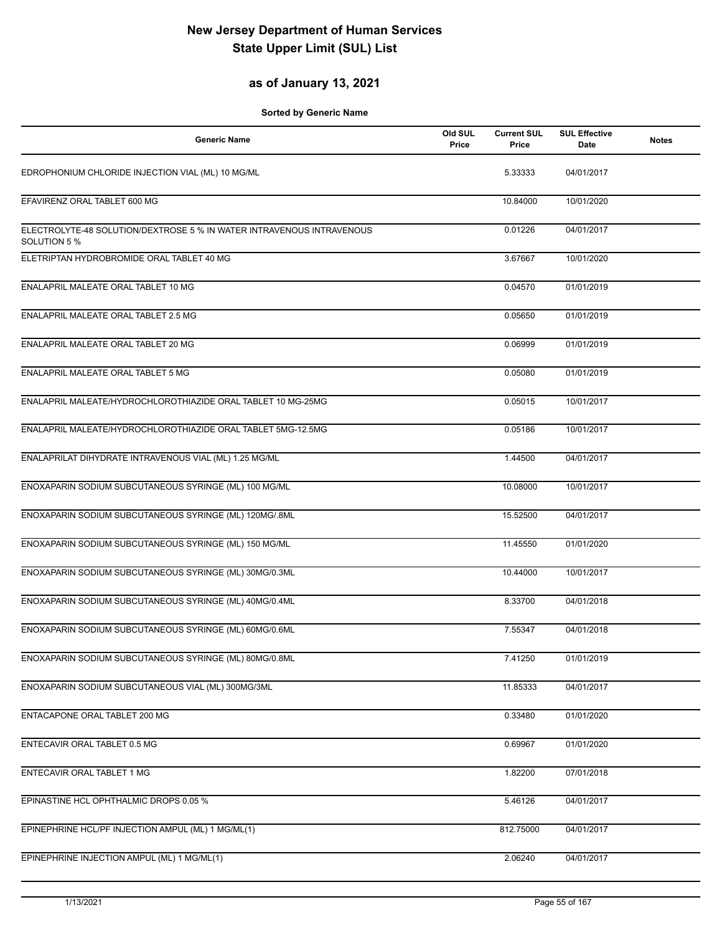### **as of January 13, 2021**

| <b>Generic Name</b>                                                                   | Old SUL<br>Price | <b>Current SUL</b><br>Price | <b>SUL Effective</b><br>Date | <b>Notes</b> |
|---------------------------------------------------------------------------------------|------------------|-----------------------------|------------------------------|--------------|
| EDROPHONIUM CHLORIDE INJECTION VIAL (ML) 10 MG/ML                                     |                  | 5.33333                     | 04/01/2017                   |              |
| EFAVIRENZ ORAL TABLET 600 MG                                                          |                  | 10.84000                    | 10/01/2020                   |              |
| ELECTROLYTE-48 SOLUTION/DEXTROSE 5 % IN WATER INTRAVENOUS INTRAVENOUS<br>SOLUTION 5 % |                  | 0.01226                     | 04/01/2017                   |              |
| ELETRIPTAN HYDROBROMIDE ORAL TABLET 40 MG                                             |                  | 3.67667                     | 10/01/2020                   |              |
| ENALAPRIL MALEATE ORAL TABLET 10 MG                                                   |                  | 0.04570                     | 01/01/2019                   |              |
| ENALAPRIL MALEATE ORAL TABLET 2.5 MG                                                  |                  | 0.05650                     | 01/01/2019                   |              |
| ENALAPRIL MALEATE ORAL TABLET 20 MG                                                   |                  | 0.06999                     | 01/01/2019                   |              |
| ENALAPRIL MALEATE ORAL TABLET 5 MG                                                    |                  | 0.05080                     | 01/01/2019                   |              |
| ENALAPRIL MALEATE/HYDROCHLOROTHIAZIDE ORAL TABLET 10 MG-25MG                          |                  | 0.05015                     | 10/01/2017                   |              |
| ENALAPRIL MALEATE/HYDROCHLOROTHIAZIDE ORAL TABLET 5MG-12.5MG                          |                  | 0.05186                     | 10/01/2017                   |              |
| ENALAPRILAT DIHYDRATE INTRAVENOUS VIAL (ML) 1.25 MG/ML                                |                  | 1.44500                     | 04/01/2017                   |              |
| ENOXAPARIN SODIUM SUBCUTANEOUS SYRINGE (ML) 100 MG/ML                                 |                  | 10.08000                    | 10/01/2017                   |              |
| ENOXAPARIN SODIUM SUBCUTANEOUS SYRINGE (ML) 120MG/.8ML                                |                  | 15.52500                    | 04/01/2017                   |              |
| ENOXAPARIN SODIUM SUBCUTANEOUS SYRINGE (ML) 150 MG/ML                                 |                  | 11.45550                    | 01/01/2020                   |              |
| ENOXAPARIN SODIUM SUBCUTANEOUS SYRINGE (ML) 30MG/0.3ML                                |                  | 10.44000                    | 10/01/2017                   |              |
| ENOXAPARIN SODIUM SUBCUTANEOUS SYRINGE (ML) 40MG/0.4ML                                |                  | 8.33700                     | 04/01/2018                   |              |
| ENOXAPARIN SODIUM SUBCUTANEOUS SYRINGE (ML) 60MG/0.6ML                                |                  | 7.55347                     | 04/01/2018                   |              |
| ENOXAPARIN SODIUM SUBCUTANEOUS SYRINGE (ML) 80MG/0.8ML                                |                  | 7.41250                     | 01/01/2019                   |              |
| ENOXAPARIN SODIUM SUBCUTANEOUS VIAL (ML) 300MG/3ML                                    |                  | 11.85333                    | 04/01/2017                   |              |
| ENTACAPONE ORAL TABLET 200 MG                                                         |                  | 0.33480                     | 01/01/2020                   |              |
| ENTECAVIR ORAL TABLET 0.5 MG                                                          |                  | 0.69967                     | 01/01/2020                   |              |
| ENTECAVIR ORAL TABLET 1 MG                                                            |                  | 1.82200                     | 07/01/2018                   |              |
| EPINASTINE HCL OPHTHALMIC DROPS 0.05 %                                                |                  | 5.46126                     | 04/01/2017                   |              |
| EPINEPHRINE HCL/PF INJECTION AMPUL (ML) 1 MG/ML(1)                                    |                  | 812.75000                   | 04/01/2017                   |              |
| EPINEPHRINE INJECTION AMPUL (ML) 1 MG/ML(1)                                           |                  | 2.06240                     | 04/01/2017                   |              |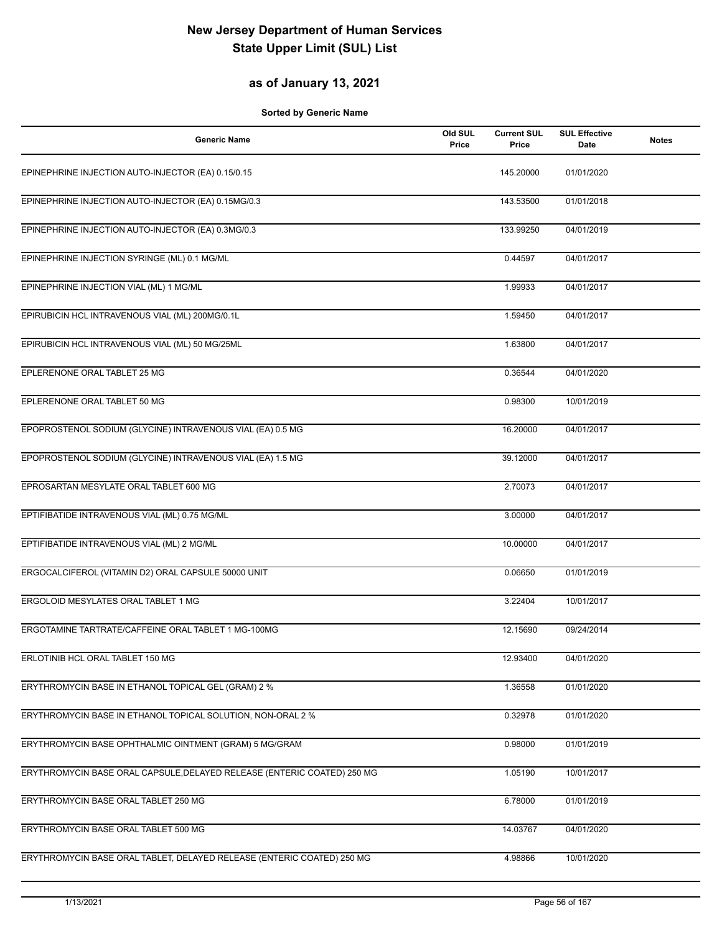### **as of January 13, 2021**

| <b>Generic Name</b>                                                     | Old SUL<br>Price | <b>Current SUL</b><br>Price | <b>SUL Effective</b><br>Date | <b>Notes</b> |
|-------------------------------------------------------------------------|------------------|-----------------------------|------------------------------|--------------|
| EPINEPHRINE INJECTION AUTO-INJECTOR (EA) 0.15/0.15                      |                  | 145.20000                   | 01/01/2020                   |              |
| EPINEPHRINE INJECTION AUTO-INJECTOR (EA) 0.15MG/0.3                     |                  | 143.53500                   | 01/01/2018                   |              |
| EPINEPHRINE INJECTION AUTO-INJECTOR (EA) 0.3MG/0.3                      |                  | 133.99250                   | 04/01/2019                   |              |
| EPINEPHRINE INJECTION SYRINGE (ML) 0.1 MG/ML                            |                  | 0.44597                     | 04/01/2017                   |              |
| EPINEPHRINE INJECTION VIAL (ML) 1 MG/ML                                 |                  | 1.99933                     | 04/01/2017                   |              |
| EPIRUBICIN HCL INTRAVENOUS VIAL (ML) 200MG/0.1L                         |                  | 1.59450                     | 04/01/2017                   |              |
| EPIRUBICIN HCL INTRAVENOUS VIAL (ML) 50 MG/25ML                         |                  | 1.63800                     | 04/01/2017                   |              |
| EPLERENONE ORAL TABLET 25 MG                                            |                  | 0.36544                     | 04/01/2020                   |              |
| EPLERENONE ORAL TABLET 50 MG                                            |                  | 0.98300                     | 10/01/2019                   |              |
| EPOPROSTENOL SODIUM (GLYCINE) INTRAVENOUS VIAL (EA) 0.5 MG              |                  | 16.20000                    | 04/01/2017                   |              |
| EPOPROSTENOL SODIUM (GLYCINE) INTRAVENOUS VIAL (EA) 1.5 MG              |                  | 39.12000                    | 04/01/2017                   |              |
| EPROSARTAN MESYLATE ORAL TABLET 600 MG                                  |                  | 2.70073                     | 04/01/2017                   |              |
| EPTIFIBATIDE INTRAVENOUS VIAL (ML) 0.75 MG/ML                           |                  | 3.00000                     | 04/01/2017                   |              |
| EPTIFIBATIDE INTRAVENOUS VIAL (ML) 2 MG/ML                              |                  | 10.00000                    | 04/01/2017                   |              |
| ERGOCALCIFEROL (VITAMIN D2) ORAL CAPSULE 50000 UNIT                     |                  | 0.06650                     | 01/01/2019                   |              |
| ERGOLOID MESYLATES ORAL TABLET 1 MG                                     |                  | 3.22404                     | 10/01/2017                   |              |
| ERGOTAMINE TARTRATE/CAFFEINE ORAL TABLET 1 MG-100MG                     |                  | 12.15690                    | 09/24/2014                   |              |
| ERLOTINIB HCL ORAL TABLET 150 MG                                        |                  | 12.93400                    | 04/01/2020                   |              |
| ERYTHROMYCIN BASE IN ETHANOL TOPICAL GEL (GRAM) 2 %                     |                  | 1.36558                     | 01/01/2020                   |              |
| ERYTHROMYCIN BASE IN ETHANOL TOPICAL SOLUTION, NON-ORAL 2 %             |                  | 0.32978                     | 01/01/2020                   |              |
| ERYTHROMYCIN BASE OPHTHALMIC OINTMENT (GRAM) 5 MG/GRAM                  |                  | 0.98000                     | 01/01/2019                   |              |
| ERYTHROMYCIN BASE ORAL CAPSULE, DELAYED RELEASE (ENTERIC COATED) 250 MG |                  | 1.05190                     | 10/01/2017                   |              |
| ERYTHROMYCIN BASE ORAL TABLET 250 MG                                    |                  | 6.78000                     | 01/01/2019                   |              |
| ERYTHROMYCIN BASE ORAL TABLET 500 MG                                    |                  | 14.03767                    | 04/01/2020                   |              |
| ERYTHROMYCIN BASE ORAL TABLET, DELAYED RELEASE (ENTERIC COATED) 250 MG  |                  | 4.98866                     | 10/01/2020                   |              |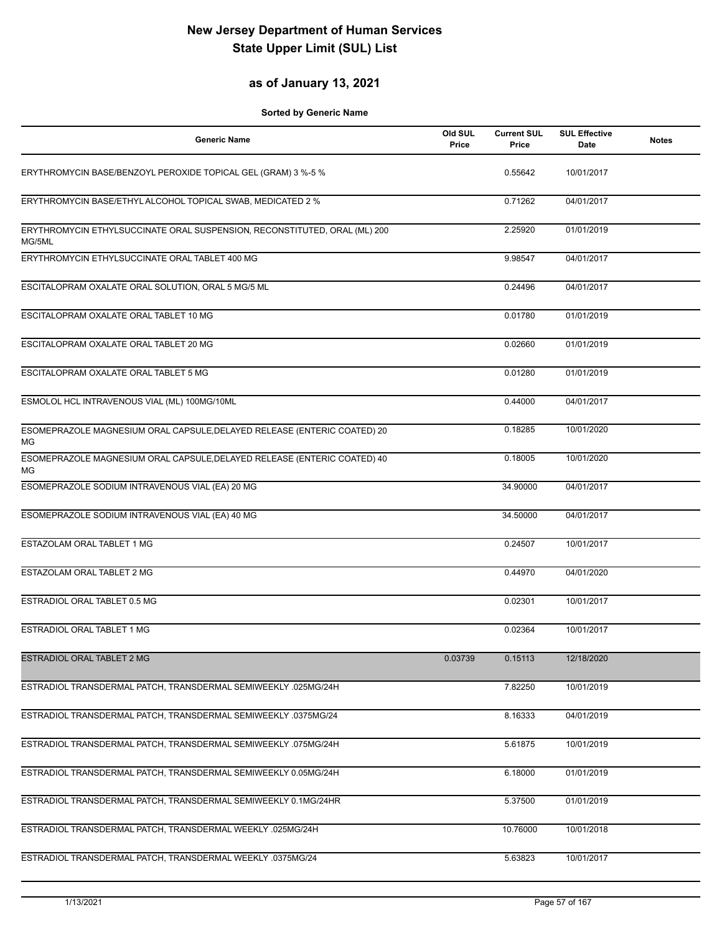### **as of January 13, 2021**

| <b>Generic Name</b>                                                                 | Old SUL<br>Price | <b>Current SUL</b><br>Price | <b>SUL Effective</b><br>Date | <b>Notes</b> |
|-------------------------------------------------------------------------------------|------------------|-----------------------------|------------------------------|--------------|
| ERYTHROMYCIN BASE/BENZOYL PEROXIDE TOPICAL GEL (GRAM) 3 %-5 %                       |                  | 0.55642                     | 10/01/2017                   |              |
| ERYTHROMYCIN BASE/ETHYL ALCOHOL TOPICAL SWAB, MEDICATED 2 %                         |                  | 0.71262                     | 04/01/2017                   |              |
| ERYTHROMYCIN ETHYLSUCCINATE ORAL SUSPENSION, RECONSTITUTED, ORAL (ML) 200<br>MG/5ML |                  | 2.25920                     | 01/01/2019                   |              |
| ERYTHROMYCIN ETHYLSUCCINATE ORAL TABLET 400 MG                                      |                  | 9.98547                     | 04/01/2017                   |              |
| ESCITALOPRAM OXALATE ORAL SOLUTION, ORAL 5 MG/5 ML                                  |                  | 0.24496                     | 04/01/2017                   |              |
| ESCITALOPRAM OXALATE ORAL TABLET 10 MG                                              |                  | 0.01780                     | 01/01/2019                   |              |
| ESCITALOPRAM OXALATE ORAL TABLET 20 MG                                              |                  | 0.02660                     | 01/01/2019                   |              |
| ESCITALOPRAM OXALATE ORAL TABLET 5 MG                                               |                  | 0.01280                     | 01/01/2019                   |              |
| ESMOLOL HCL INTRAVENOUS VIAL (ML) 100MG/10ML                                        |                  | 0.44000                     | 04/01/2017                   |              |
| ESOMEPRAZOLE MAGNESIUM ORAL CAPSULE, DELAYED RELEASE (ENTERIC COATED) 20<br>МG      |                  | 0.18285                     | 10/01/2020                   |              |
| ESOMEPRAZOLE MAGNESIUM ORAL CAPSULE, DELAYED RELEASE (ENTERIC COATED) 40<br>МG      |                  | 0.18005                     | 10/01/2020                   |              |
| ESOMEPRAZOLE SODIUM INTRAVENOUS VIAL (EA) 20 MG                                     |                  | 34.90000                    | 04/01/2017                   |              |
| ESOMEPRAZOLE SODIUM INTRAVENOUS VIAL (EA) 40 MG                                     |                  | 34.50000                    | 04/01/2017                   |              |
| ESTAZOLAM ORAL TABLET 1 MG                                                          |                  | 0.24507                     | 10/01/2017                   |              |
| ESTAZOLAM ORAL TABLET 2 MG                                                          |                  | 0.44970                     | 04/01/2020                   |              |
| ESTRADIOL ORAL TABLET 0.5 MG                                                        |                  | 0.02301                     | 10/01/2017                   |              |
| ESTRADIOL ORAL TABLET 1 MG                                                          |                  | 0.02364                     | 10/01/2017                   |              |
| ESTRADIOL ORAL TABLET 2 MG                                                          | 0.03739          | 0.15113                     | 12/18/2020                   |              |
| ESTRADIOL TRANSDERMAL PATCH, TRANSDERMAL SEMIWEEKLY .025MG/24H                      |                  | 7.82250                     | 10/01/2019                   |              |
| ESTRADIOL TRANSDERMAL PATCH, TRANSDERMAL SEMIWEEKLY .0375MG/24                      |                  | 8.16333                     | 04/01/2019                   |              |
| ESTRADIOL TRANSDERMAL PATCH, TRANSDERMAL SEMIWEEKLY .075MG/24H                      |                  | 5.61875                     | 10/01/2019                   |              |
| ESTRADIOL TRANSDERMAL PATCH, TRANSDERMAL SEMIWEEKLY 0.05MG/24H                      |                  | 6.18000                     | 01/01/2019                   |              |
| ESTRADIOL TRANSDERMAL PATCH, TRANSDERMAL SEMIWEEKLY 0.1MG/24HR                      |                  | 5.37500                     | 01/01/2019                   |              |
| ESTRADIOL TRANSDERMAL PATCH, TRANSDERMAL WEEKLY .025MG/24H                          |                  | 10.76000                    | 10/01/2018                   |              |
| ESTRADIOL TRANSDERMAL PATCH, TRANSDERMAL WEEKLY .0375MG/24                          |                  | 5.63823                     | 10/01/2017                   |              |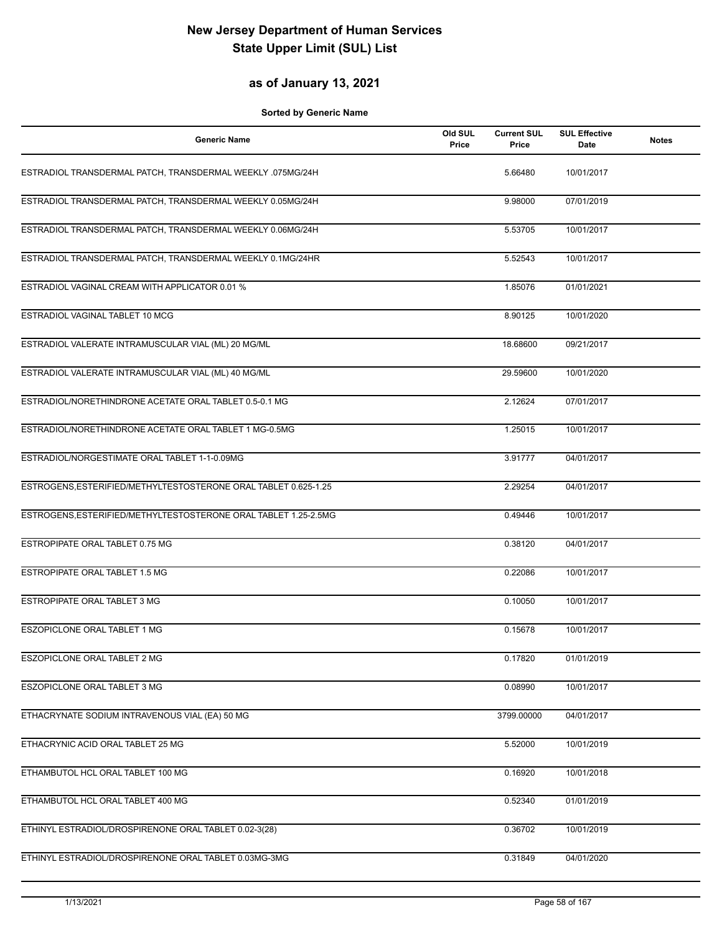### **as of January 13, 2021**

| <b>Generic Name</b>                                             | Old SUL<br>Price | <b>Current SUL</b><br>Price | <b>SUL Effective</b><br>Date | <b>Notes</b> |
|-----------------------------------------------------------------|------------------|-----------------------------|------------------------------|--------------|
| ESTRADIOL TRANSDERMAL PATCH, TRANSDERMAL WEEKLY .075MG/24H      |                  | 5.66480                     | 10/01/2017                   |              |
| ESTRADIOL TRANSDERMAL PATCH, TRANSDERMAL WEEKLY 0.05MG/24H      |                  | 9.98000                     | 07/01/2019                   |              |
| ESTRADIOL TRANSDERMAL PATCH, TRANSDERMAL WEEKLY 0.06MG/24H      |                  | 5.53705                     | 10/01/2017                   |              |
| ESTRADIOL TRANSDERMAL PATCH, TRANSDERMAL WEEKLY 0.1MG/24HR      |                  | 5.52543                     | 10/01/2017                   |              |
| ESTRADIOL VAGINAL CREAM WITH APPLICATOR 0.01 %                  |                  | 1.85076                     | 01/01/2021                   |              |
| ESTRADIOL VAGINAL TABLET 10 MCG                                 |                  | 8.90125                     | 10/01/2020                   |              |
| ESTRADIOL VALERATE INTRAMUSCULAR VIAL (ML) 20 MG/ML             |                  | 18.68600                    | 09/21/2017                   |              |
| ESTRADIOL VALERATE INTRAMUSCULAR VIAL (ML) 40 MG/ML             |                  | 29.59600                    | 10/01/2020                   |              |
| ESTRADIOL/NORETHINDRONE ACETATE ORAL TABLET 0.5-0.1 MG          |                  | 2.12624                     | 07/01/2017                   |              |
| ESTRADIOL/NORETHINDRONE ACETATE ORAL TABLET 1 MG-0.5MG          |                  | 1.25015                     | 10/01/2017                   |              |
| ESTRADIOL/NORGESTIMATE ORAL TABLET 1-1-0.09MG                   |                  | 3.91777                     | 04/01/2017                   |              |
| ESTROGENS, ESTERIFIED/METHYLTESTOSTERONE ORAL TABLET 0.625-1.25 |                  | 2.29254                     | 04/01/2017                   |              |
| ESTROGENS, ESTERIFIED/METHYLTESTOSTERONE ORAL TABLET 1.25-2.5MG |                  | 0.49446                     | 10/01/2017                   |              |
| ESTROPIPATE ORAL TABLET 0.75 MG                                 |                  | 0.38120                     | 04/01/2017                   |              |
| <b>ESTROPIPATE ORAL TABLET 1.5 MG</b>                           |                  | 0.22086                     | 10/01/2017                   |              |
| ESTROPIPATE ORAL TABLET 3 MG                                    |                  | 0.10050                     | 10/01/2017                   |              |
| ESZOPICLONE ORAL TABLET 1 MG                                    |                  | 0.15678                     | 10/01/2017                   |              |
| ESZOPICLONE ORAL TABLET 2 MG                                    |                  | 0.17820                     | 01/01/2019                   |              |
| ESZOPICLONE ORAL TABLET 3 MG                                    |                  | 0.08990                     | 10/01/2017                   |              |
| ETHACRYNATE SODIUM INTRAVENOUS VIAL (EA) 50 MG                  |                  | 3799.00000                  | 04/01/2017                   |              |
| ETHACRYNIC ACID ORAL TABLET 25 MG                               |                  | 5.52000                     | 10/01/2019                   |              |
| ETHAMBUTOL HCL ORAL TABLET 100 MG                               |                  | 0.16920                     | 10/01/2018                   |              |
| ETHAMBUTOL HCL ORAL TABLET 400 MG                               |                  | 0.52340                     | 01/01/2019                   |              |
| ETHINYL ESTRADIOL/DROSPIRENONE ORAL TABLET 0.02-3(28)           |                  | 0.36702                     | 10/01/2019                   |              |
| ETHINYL ESTRADIOL/DROSPIRENONE ORAL TABLET 0.03MG-3MG           |                  | 0.31849                     | 04/01/2020                   |              |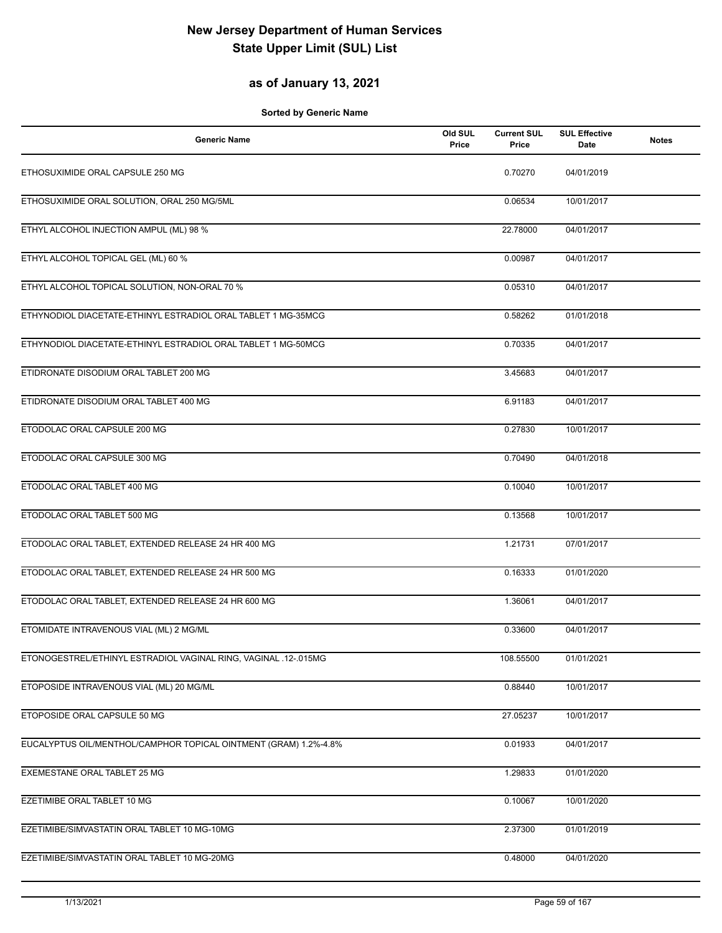### **as of January 13, 2021**

| <b>Generic Name</b>                                              | Old SUL<br>Price | <b>Current SUL</b><br>Price | <b>SUL Effective</b><br>Date | <b>Notes</b> |
|------------------------------------------------------------------|------------------|-----------------------------|------------------------------|--------------|
| ETHOSUXIMIDE ORAL CAPSULE 250 MG                                 |                  | 0.70270                     | 04/01/2019                   |              |
| ETHOSUXIMIDE ORAL SOLUTION, ORAL 250 MG/5ML                      |                  | 0.06534                     | 10/01/2017                   |              |
| ETHYL ALCOHOL INJECTION AMPUL (ML) 98 %                          |                  | 22.78000                    | 04/01/2017                   |              |
| ETHYL ALCOHOL TOPICAL GEL (ML) 60 %                              |                  | 0.00987                     | 04/01/2017                   |              |
| ETHYL ALCOHOL TOPICAL SOLUTION, NON-ORAL 70 %                    |                  | 0.05310                     | 04/01/2017                   |              |
| ETHYNODIOL DIACETATE-ETHINYL ESTRADIOL ORAL TABLET 1 MG-35MCG    |                  | 0.58262                     | 01/01/2018                   |              |
| ETHYNODIOL DIACETATE-ETHINYL ESTRADIOL ORAL TABLET 1 MG-50MCG    |                  | 0.70335                     | 04/01/2017                   |              |
| ETIDRONATE DISODIUM ORAL TABLET 200 MG                           |                  | 3.45683                     | 04/01/2017                   |              |
| ETIDRONATE DISODIUM ORAL TABLET 400 MG                           |                  | 6.91183                     | 04/01/2017                   |              |
| ETODOLAC ORAL CAPSULE 200 MG                                     |                  | 0.27830                     | 10/01/2017                   |              |
| ETODOLAC ORAL CAPSULE 300 MG                                     |                  | 0.70490                     | 04/01/2018                   |              |
| ETODOLAC ORAL TABLET 400 MG                                      |                  | 0.10040                     | 10/01/2017                   |              |
| ETODOLAC ORAL TABLET 500 MG                                      |                  | 0.13568                     | 10/01/2017                   |              |
| ETODOLAC ORAL TABLET, EXTENDED RELEASE 24 HR 400 MG              |                  | 1.21731                     | 07/01/2017                   |              |
| ETODOLAC ORAL TABLET, EXTENDED RELEASE 24 HR 500 MG              |                  | 0.16333                     | 01/01/2020                   |              |
| ETODOLAC ORAL TABLET, EXTENDED RELEASE 24 HR 600 MG              |                  | 1.36061                     | 04/01/2017                   |              |
| ETOMIDATE INTRAVENOUS VIAL (ML) 2 MG/ML                          |                  | 0.33600                     | 04/01/2017                   |              |
| ETONOGESTREL/ETHINYL ESTRADIOL VAGINAL RING, VAGINAL .12-.015MG  |                  | 108.55500                   | 01/01/2021                   |              |
| ETOPOSIDE INTRAVENOUS VIAL (ML) 20 MG/ML                         |                  | 0.88440                     | 10/01/2017                   |              |
| ETOPOSIDE ORAL CAPSULE 50 MG                                     |                  | 27.05237                    | 10/01/2017                   |              |
| EUCALYPTUS OIL/MENTHOL/CAMPHOR TOPICAL OINTMENT (GRAM) 1.2%-4.8% |                  | 0.01933                     | 04/01/2017                   |              |
| EXEMESTANE ORAL TABLET 25 MG                                     |                  | 1.29833                     | 01/01/2020                   |              |
| EZETIMIBE ORAL TABLET 10 MG                                      |                  | 0.10067                     | 10/01/2020                   |              |
| EZETIMIBE/SIMVASTATIN ORAL TABLET 10 MG-10MG                     |                  | 2.37300                     | 01/01/2019                   |              |
| EZETIMIBE/SIMVASTATIN ORAL TABLET 10 MG-20MG                     |                  | 0.48000                     | 04/01/2020                   |              |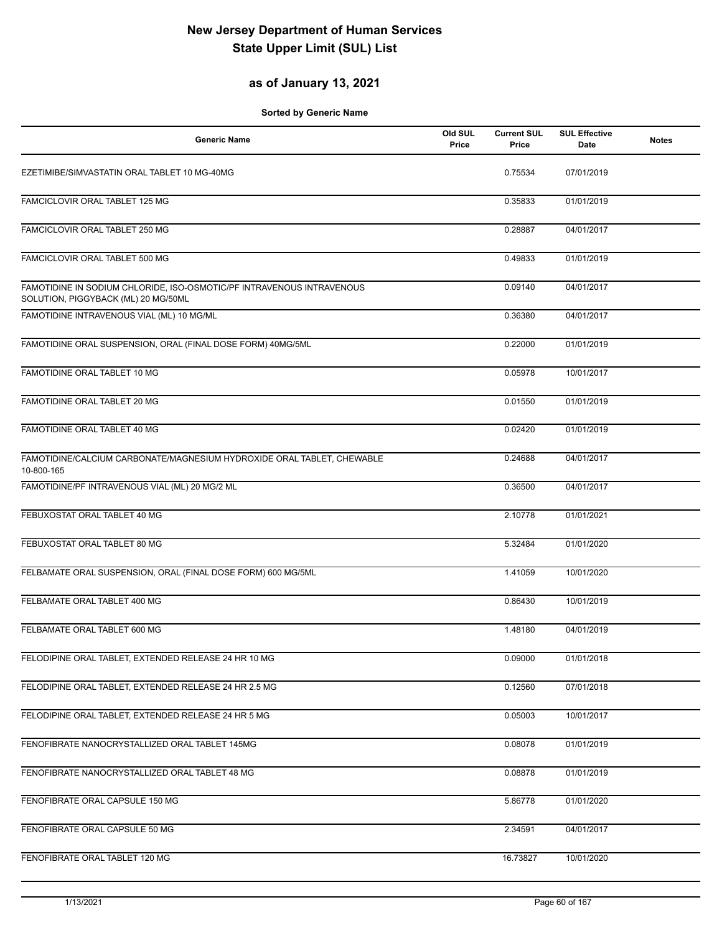### **as of January 13, 2021**

| <b>Generic Name</b>                                                                                          | Old SUL<br>Price | <b>Current SUL</b><br>Price | <b>SUL Effective</b><br>Date | <b>Notes</b> |
|--------------------------------------------------------------------------------------------------------------|------------------|-----------------------------|------------------------------|--------------|
| EZETIMIBE/SIMVASTATIN ORAL TABLET 10 MG-40MG                                                                 |                  | 0.75534                     | 07/01/2019                   |              |
| FAMCICLOVIR ORAL TABLET 125 MG                                                                               |                  | 0.35833                     | 01/01/2019                   |              |
| FAMCICLOVIR ORAL TABLET 250 MG                                                                               |                  | 0.28887                     | 04/01/2017                   |              |
| FAMCICLOVIR ORAL TABLET 500 MG                                                                               |                  | 0.49833                     | 01/01/2019                   |              |
| FAMOTIDINE IN SODIUM CHLORIDE, ISO-OSMOTIC/PF INTRAVENOUS INTRAVENOUS<br>SOLUTION, PIGGYBACK (ML) 20 MG/50ML |                  | 0.09140                     | 04/01/2017                   |              |
| FAMOTIDINE INTRAVENOUS VIAL (ML) 10 MG/ML                                                                    |                  | 0.36380                     | 04/01/2017                   |              |
| FAMOTIDINE ORAL SUSPENSION, ORAL (FINAL DOSE FORM) 40MG/5ML                                                  |                  | 0.22000                     | 01/01/2019                   |              |
| FAMOTIDINE ORAL TABLET 10 MG                                                                                 |                  | 0.05978                     | 10/01/2017                   |              |
| FAMOTIDINE ORAL TABLET 20 MG                                                                                 |                  | 0.01550                     | 01/01/2019                   |              |
| FAMOTIDINE ORAL TABLET 40 MG                                                                                 |                  | 0.02420                     | 01/01/2019                   |              |
| FAMOTIDINE/CALCIUM CARBONATE/MAGNESIUM HYDROXIDE ORAL TABLET, CHEWABLE<br>10-800-165                         |                  | 0.24688                     | 04/01/2017                   |              |
| FAMOTIDINE/PF INTRAVENOUS VIAL (ML) 20 MG/2 ML                                                               |                  | 0.36500                     | 04/01/2017                   |              |
| FEBUXOSTAT ORAL TABLET 40 MG                                                                                 |                  | 2.10778                     | 01/01/2021                   |              |
| FEBUXOSTAT ORAL TABLET 80 MG                                                                                 |                  | 5.32484                     | 01/01/2020                   |              |
| FELBAMATE ORAL SUSPENSION, ORAL (FINAL DOSE FORM) 600 MG/5ML                                                 |                  | 1.41059                     | 10/01/2020                   |              |
| FELBAMATE ORAL TABLET 400 MG                                                                                 |                  | 0.86430                     | 10/01/2019                   |              |
| FELBAMATE ORAL TABLET 600 MG                                                                                 |                  | 1.48180                     | 04/01/2019                   |              |
| FELODIPINE ORAL TABLET, EXTENDED RELEASE 24 HR 10 MG                                                         |                  | 0.09000                     | 01/01/2018                   |              |
| FELODIPINE ORAL TABLET, EXTENDED RELEASE 24 HR 2.5 MG                                                        |                  | 0.12560                     | 07/01/2018                   |              |
| FELODIPINE ORAL TABLET, EXTENDED RELEASE 24 HR 5 MG                                                          |                  | 0.05003                     | 10/01/2017                   |              |
| FENOFIBRATE NANOCRYSTALLIZED ORAL TABLET 145MG                                                               |                  | 0.08078                     | 01/01/2019                   |              |
| FENOFIBRATE NANOCRYSTALLIZED ORAL TABLET 48 MG                                                               |                  | 0.08878                     | 01/01/2019                   |              |
| FENOFIBRATE ORAL CAPSULE 150 MG                                                                              |                  | 5.86778                     | 01/01/2020                   |              |
| FENOFIBRATE ORAL CAPSULE 50 MG                                                                               |                  | 2.34591                     | 04/01/2017                   |              |
| FENOFIBRATE ORAL TABLET 120 MG                                                                               |                  | 16.73827                    | 10/01/2020                   |              |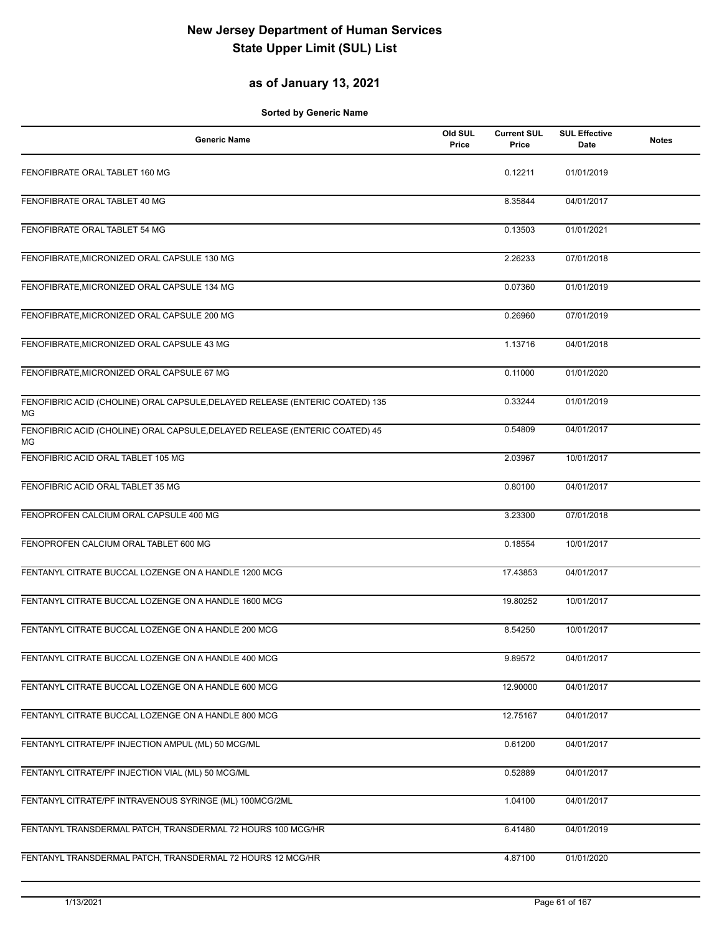### **as of January 13, 2021**

| <b>Generic Name</b>                                                                | Old SUL<br>Price | <b>Current SUL</b><br>Price | <b>SUL Effective</b><br>Date | <b>Notes</b> |
|------------------------------------------------------------------------------------|------------------|-----------------------------|------------------------------|--------------|
| FENOFIBRATE ORAL TABLET 160 MG                                                     |                  | 0.12211                     | 01/01/2019                   |              |
| FENOFIBRATE ORAL TABLET 40 MG                                                      |                  | 8.35844                     | 04/01/2017                   |              |
| FENOFIBRATE ORAL TABLET 54 MG                                                      |                  | 0.13503                     | 01/01/2021                   |              |
| FENOFIBRATE, MICRONIZED ORAL CAPSULE 130 MG                                        |                  | 2.26233                     | 07/01/2018                   |              |
| FENOFIBRATE, MICRONIZED ORAL CAPSULE 134 MG                                        |                  | 0.07360                     | 01/01/2019                   |              |
| FENOFIBRATE, MICRONIZED ORAL CAPSULE 200 MG                                        |                  | 0.26960                     | 07/01/2019                   |              |
| FENOFIBRATE, MICRONIZED ORAL CAPSULE 43 MG                                         |                  | 1.13716                     | 04/01/2018                   |              |
| FENOFIBRATE, MICRONIZED ORAL CAPSULE 67 MG                                         |                  | 0.11000                     | 01/01/2020                   |              |
| FENOFIBRIC ACID (CHOLINE) ORAL CAPSULE, DELAYED RELEASE (ENTERIC COATED) 135<br>MG |                  | 0.33244                     | 01/01/2019                   |              |
| FENOFIBRIC ACID (CHOLINE) ORAL CAPSULE, DELAYED RELEASE (ENTERIC COATED) 45<br>МG  |                  | 0.54809                     | 04/01/2017                   |              |
| FENOFIBRIC ACID ORAL TABLET 105 MG                                                 |                  | 2.03967                     | 10/01/2017                   |              |
| FENOFIBRIC ACID ORAL TABLET 35 MG                                                  |                  | 0.80100                     | 04/01/2017                   |              |
| FENOPROFEN CALCIUM ORAL CAPSULE 400 MG                                             |                  | 3.23300                     | 07/01/2018                   |              |
| FENOPROFEN CALCIUM ORAL TABLET 600 MG                                              |                  | 0.18554                     | 10/01/2017                   |              |
| FENTANYL CITRATE BUCCAL LOZENGE ON A HANDLE 1200 MCG                               |                  | 17.43853                    | 04/01/2017                   |              |
| FENTANYL CITRATE BUCCAL LOZENGE ON A HANDLE 1600 MCG                               |                  | 19.80252                    | 10/01/2017                   |              |
| FENTANYL CITRATE BUCCAL LOZENGE ON A HANDLE 200 MCG                                |                  | 8.54250                     | 10/01/2017                   |              |
| FENTANYL CITRATE BUCCAL LOZENGE ON A HANDLE 400 MCG                                |                  | 9.89572                     | 04/01/2017                   |              |
| FENTANYL CITRATE BUCCAL LOZENGE ON A HANDLE 600 MCG                                |                  | 12.90000                    | 04/01/2017                   |              |
| FENTANYL CITRATE BUCCAL LOZENGE ON A HANDLE 800 MCG                                |                  | 12.75167                    | 04/01/2017                   |              |
| FENTANYL CITRATE/PF INJECTION AMPUL (ML) 50 MCG/ML                                 |                  | 0.61200                     | 04/01/2017                   |              |
| FENTANYL CITRATE/PF INJECTION VIAL (ML) 50 MCG/ML                                  |                  | 0.52889                     | 04/01/2017                   |              |
| FENTANYL CITRATE/PF INTRAVENOUS SYRINGE (ML) 100MCG/2ML                            |                  | 1.04100                     | 04/01/2017                   |              |
| FENTANYL TRANSDERMAL PATCH, TRANSDERMAL 72 HOURS 100 MCG/HR                        |                  | 6.41480                     | 04/01/2019                   |              |
| FENTANYL TRANSDERMAL PATCH, TRANSDERMAL 72 HOURS 12 MCG/HR                         |                  | 4.87100                     | 01/01/2020                   |              |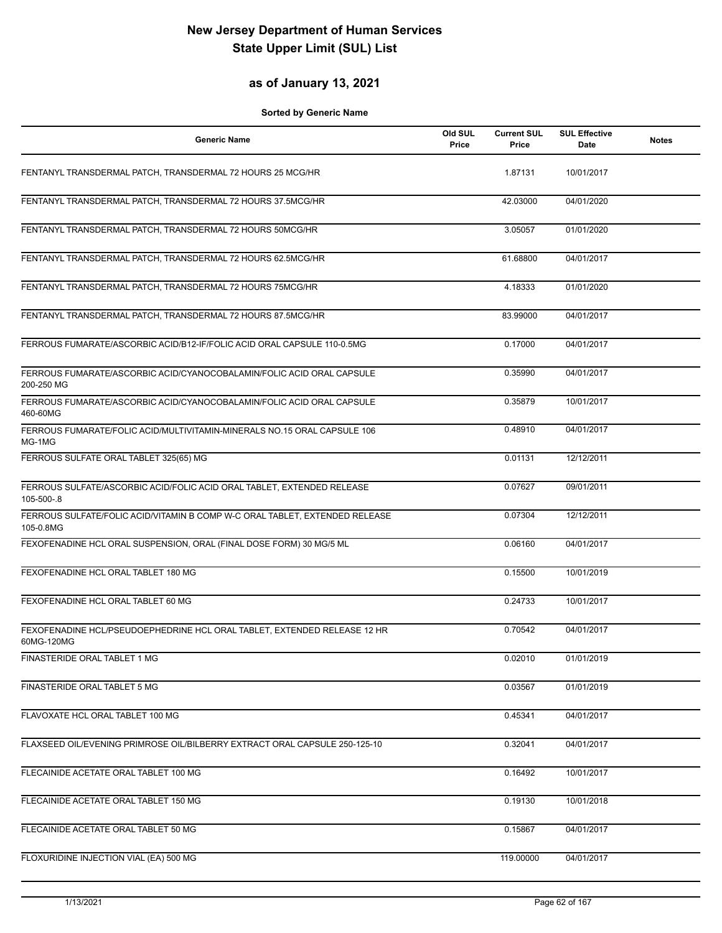### **as of January 13, 2021**

| <b>Generic Name</b>                                                                      | Old SUL<br>Price | <b>Current SUL</b><br>Price | <b>SUL Effective</b><br>Date | <b>Notes</b> |
|------------------------------------------------------------------------------------------|------------------|-----------------------------|------------------------------|--------------|
| FENTANYL TRANSDERMAL PATCH, TRANSDERMAL 72 HOURS 25 MCG/HR                               |                  | 1.87131                     | 10/01/2017                   |              |
| FENTANYL TRANSDERMAL PATCH, TRANSDERMAL 72 HOURS 37.5MCG/HR                              |                  | 42.03000                    | 04/01/2020                   |              |
| FENTANYL TRANSDERMAL PATCH, TRANSDERMAL 72 HOURS 50MCG/HR                                |                  | 3.05057                     | 01/01/2020                   |              |
| FENTANYL TRANSDERMAL PATCH, TRANSDERMAL 72 HOURS 62.5MCG/HR                              |                  | 61.68800                    | 04/01/2017                   |              |
| FENTANYL TRANSDERMAL PATCH, TRANSDERMAL 72 HOURS 75MCG/HR                                |                  | 4.18333                     | 01/01/2020                   |              |
| FENTANYL TRANSDERMAL PATCH, TRANSDERMAL 72 HOURS 87.5MCG/HR                              |                  | 83.99000                    | 04/01/2017                   |              |
| FERROUS FUMARATE/ASCORBIC ACID/B12-IF/FOLIC ACID ORAL CAPSULE 110-0.5MG                  |                  | 0.17000                     | 04/01/2017                   |              |
| FERROUS FUMARATE/ASCORBIC ACID/CYANOCOBALAMIN/FOLIC ACID ORAL CAPSULE<br>200-250 MG      |                  | 0.35990                     | 04/01/2017                   |              |
| FERROUS FUMARATE/ASCORBIC ACID/CYANOCOBALAMIN/FOLIC ACID ORAL CAPSULE<br>460-60MG        |                  | 0.35879                     | 10/01/2017                   |              |
| FERROUS FUMARATE/FOLIC ACID/MULTIVITAMIN-MINERALS NO.15 ORAL CAPSULE 106<br>MG-1MG       |                  | 0.48910                     | 04/01/2017                   |              |
| FERROUS SULFATE ORAL TABLET 325(65) MG                                                   |                  | 0.01131                     | 12/12/2011                   |              |
| FERROUS SULFATE/ASCORBIC ACID/FOLIC ACID ORAL TABLET, EXTENDED RELEASE<br>105-500-.8     |                  | 0.07627                     | 09/01/2011                   |              |
| FERROUS SULFATE/FOLIC ACID/VITAMIN B COMP W-C ORAL TABLET, EXTENDED RELEASE<br>105-0.8MG |                  | 0.07304                     | 12/12/2011                   |              |
| FEXOFENADINE HCL ORAL SUSPENSION, ORAL (FINAL DOSE FORM) 30 MG/5 ML                      |                  | 0.06160                     | 04/01/2017                   |              |
| FEXOFENADINE HCL ORAL TABLET 180 MG                                                      |                  | 0.15500                     | 10/01/2019                   |              |
| FEXOFENADINE HCL ORAL TABLET 60 MG                                                       |                  | 0.24733                     | 10/01/2017                   |              |
| FEXOFENADINE HCL/PSEUDOEPHEDRINE HCL ORAL TABLET, EXTENDED RELEASE 12 HR<br>60MG-120MG   |                  | 0.70542                     | 04/01/2017                   |              |
| FINASTERIDE ORAL TABLET 1 MG                                                             |                  | 0.02010                     | 01/01/2019                   |              |
| FINASTERIDE ORAL TABLET 5 MG                                                             |                  | 0.03567                     | 01/01/2019                   |              |
| FLAVOXATE HCL ORAL TABLET 100 MG                                                         |                  | 0.45341                     | 04/01/2017                   |              |
| FLAXSEED OIL/EVENING PRIMROSE OIL/BILBERRY EXTRACT ORAL CAPSULE 250-125-10               |                  | 0.32041                     | 04/01/2017                   |              |
| FLECAINIDE ACETATE ORAL TABLET 100 MG                                                    |                  | 0.16492                     | 10/01/2017                   |              |
| FLECAINIDE ACETATE ORAL TABLET 150 MG                                                    |                  | 0.19130                     | 10/01/2018                   |              |
| FLECAINIDE ACETATE ORAL TABLET 50 MG                                                     |                  | 0.15867                     | 04/01/2017                   |              |
| FLOXURIDINE INJECTION VIAL (EA) 500 MG                                                   |                  | 119.00000                   | 04/01/2017                   |              |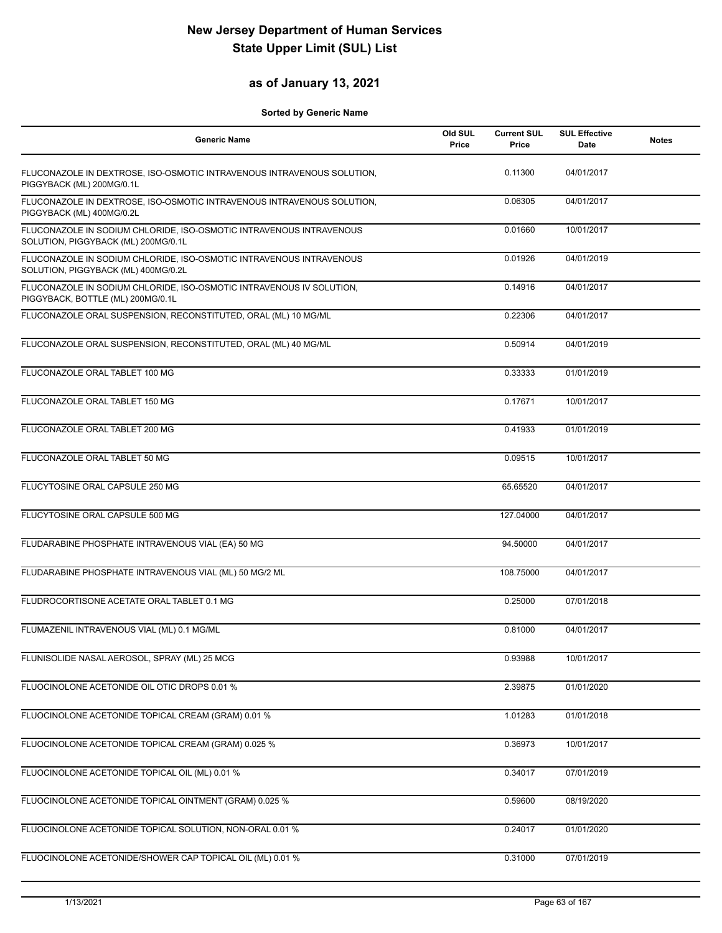### **as of January 13, 2021**

| <b>Generic Name</b>                                                                                        | Old SUL<br>Price | <b>Current SUL</b><br>Price | <b>SUL Effective</b><br>Date | <b>Notes</b> |
|------------------------------------------------------------------------------------------------------------|------------------|-----------------------------|------------------------------|--------------|
| FLUCONAZOLE IN DEXTROSE, ISO-OSMOTIC INTRAVENOUS INTRAVENOUS SOLUTION,<br>PIGGYBACK (ML) 200MG/0.1L        |                  | 0.11300                     | 04/01/2017                   |              |
| FLUCONAZOLE IN DEXTROSE, ISO-OSMOTIC INTRAVENOUS INTRAVENOUS SOLUTION,<br>PIGGYBACK (ML) 400MG/0.2L        |                  | 0.06305                     | 04/01/2017                   |              |
| FLUCONAZOLE IN SODIUM CHLORIDE, ISO-OSMOTIC INTRAVENOUS INTRAVENOUS<br>SOLUTION, PIGGYBACK (ML) 200MG/0.1L |                  | 0.01660                     | 10/01/2017                   |              |
| FLUCONAZOLE IN SODIUM CHLORIDE, ISO-OSMOTIC INTRAVENOUS INTRAVENOUS<br>SOLUTION, PIGGYBACK (ML) 400MG/0.2L |                  | 0.01926                     | 04/01/2019                   |              |
| FLUCONAZOLE IN SODIUM CHLORIDE, ISO-OSMOTIC INTRAVENOUS IV SOLUTION,<br>PIGGYBACK, BOTTLE (ML) 200MG/0.1L  |                  | 0.14916                     | 04/01/2017                   |              |
| FLUCONAZOLE ORAL SUSPENSION, RECONSTITUTED, ORAL (ML) 10 MG/ML                                             |                  | 0.22306                     | 04/01/2017                   |              |
| FLUCONAZOLE ORAL SUSPENSION, RECONSTITUTED, ORAL (ML) 40 MG/ML                                             |                  | 0.50914                     | 04/01/2019                   |              |
| FLUCONAZOLE ORAL TABLET 100 MG                                                                             |                  | 0.33333                     | 01/01/2019                   |              |
| FLUCONAZOLE ORAL TABLET 150 MG                                                                             |                  | 0.17671                     | 10/01/2017                   |              |
| FLUCONAZOLE ORAL TABLET 200 MG                                                                             |                  | 0.41933                     | 01/01/2019                   |              |
| FLUCONAZOLE ORAL TABLET 50 MG                                                                              |                  | 0.09515                     | 10/01/2017                   |              |
| FLUCYTOSINE ORAL CAPSULE 250 MG                                                                            |                  | 65.65520                    | 04/01/2017                   |              |
| FLUCYTOSINE ORAL CAPSULE 500 MG                                                                            |                  | 127.04000                   | 04/01/2017                   |              |
| FLUDARABINE PHOSPHATE INTRAVENOUS VIAL (EA) 50 MG                                                          |                  | 94.50000                    | 04/01/2017                   |              |
| FLUDARABINE PHOSPHATE INTRAVENOUS VIAL (ML) 50 MG/2 ML                                                     |                  | 108.75000                   | 04/01/2017                   |              |
| FLUDROCORTISONE ACETATE ORAL TABLET 0.1 MG                                                                 |                  | 0.25000                     | 07/01/2018                   |              |
| FLUMAZENIL INTRAVENOUS VIAL (ML) 0.1 MG/ML                                                                 |                  | 0.81000                     | 04/01/2017                   |              |
| FLUNISOLIDE NASAL AEROSOL, SPRAY (ML) 25 MCG                                                               |                  | 0.93988                     | 10/01/2017                   |              |
| FLUOCINOLONE ACETONIDE OIL OTIC DROPS 0.01 %                                                               |                  | 2.39875                     | 01/01/2020                   |              |
| FLUOCINOLONE ACETONIDE TOPICAL CREAM (GRAM) 0.01 %                                                         |                  | 1.01283                     | 01/01/2018                   |              |
| FLUOCINOLONE ACETONIDE TOPICAL CREAM (GRAM) 0.025 %                                                        |                  | 0.36973                     | 10/01/2017                   |              |
| FLUOCINOLONE ACETONIDE TOPICAL OIL (ML) 0.01 %                                                             |                  | 0.34017                     | 07/01/2019                   |              |
| FLUOCINOLONE ACETONIDE TOPICAL OINTMENT (GRAM) 0.025 %                                                     |                  | 0.59600                     | 08/19/2020                   |              |
| FLUOCINOLONE ACETONIDE TOPICAL SOLUTION, NON-ORAL 0.01 %                                                   |                  | 0.24017                     | 01/01/2020                   |              |
| FLUOCINOLONE ACETONIDE/SHOWER CAP TOPICAL OIL (ML) 0.01 %                                                  |                  | 0.31000                     | 07/01/2019                   |              |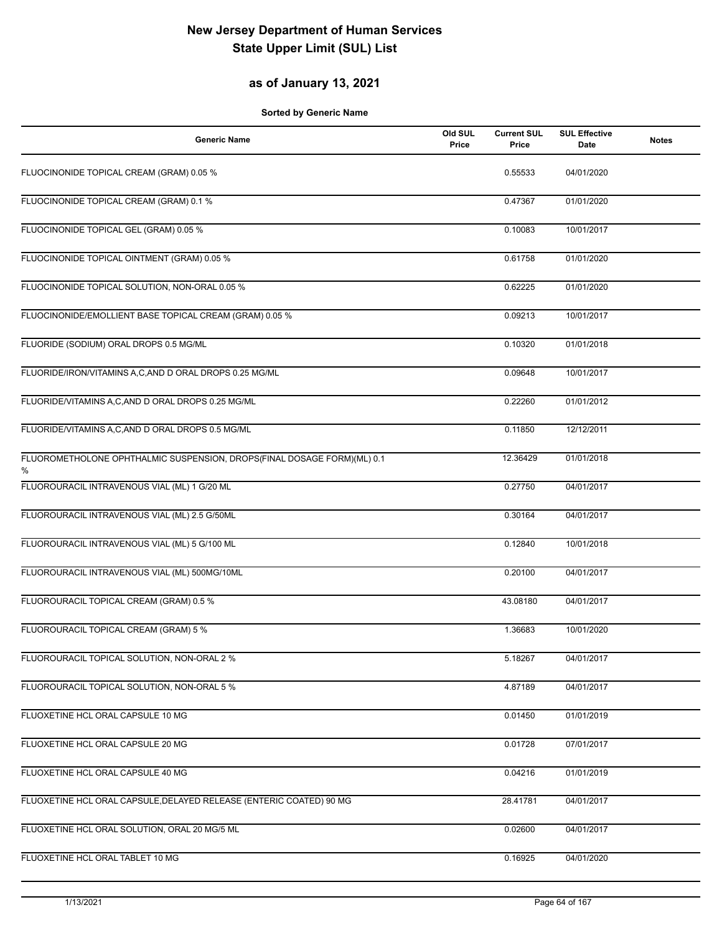### **as of January 13, 2021**

| <b>Generic Name</b>                                                          | Old SUL<br>Price | <b>Current SUL</b><br>Price | <b>SUL Effective</b><br><b>Date</b> | <b>Notes</b> |
|------------------------------------------------------------------------------|------------------|-----------------------------|-------------------------------------|--------------|
| FLUOCINONIDE TOPICAL CREAM (GRAM) 0.05 %                                     |                  | 0.55533                     | 04/01/2020                          |              |
| FLUOCINONIDE TOPICAL CREAM (GRAM) 0.1 %                                      |                  | 0.47367                     | 01/01/2020                          |              |
| FLUOCINONIDE TOPICAL GEL (GRAM) 0.05 %                                       |                  | 0.10083                     | 10/01/2017                          |              |
| FLUOCINONIDE TOPICAL OINTMENT (GRAM) 0.05 %                                  |                  | 0.61758                     | 01/01/2020                          |              |
| FLUOCINONIDE TOPICAL SOLUTION, NON-ORAL 0.05 %                               |                  | 0.62225                     | 01/01/2020                          |              |
| FLUOCINONIDE/EMOLLIENT BASE TOPICAL CREAM (GRAM) 0.05 %                      |                  | 0.09213                     | 10/01/2017                          |              |
| FLUORIDE (SODIUM) ORAL DROPS 0.5 MG/ML                                       |                  | 0.10320                     | 01/01/2018                          |              |
| FLUORIDE/IRON/VITAMINS A,C,AND D ORAL DROPS 0.25 MG/ML                       |                  | 0.09648                     | 10/01/2017                          |              |
| FLUORIDE/VITAMINS A,C,AND D ORAL DROPS 0.25 MG/ML                            |                  | 0.22260                     | 01/01/2012                          |              |
| FLUORIDE/VITAMINS A,C,AND D ORAL DROPS 0.5 MG/ML                             |                  | 0.11850                     | 12/12/2011                          |              |
| FLUOROMETHOLONE OPHTHALMIC SUSPENSION, DROPS(FINAL DOSAGE FORM)(ML) 0.1<br>% |                  | 12.36429                    | 01/01/2018                          |              |
| FLUOROURACIL INTRAVENOUS VIAL (ML) 1 G/20 ML                                 |                  | 0.27750                     | 04/01/2017                          |              |
| FLUOROURACIL INTRAVENOUS VIAL (ML) 2.5 G/50ML                                |                  | 0.30164                     | 04/01/2017                          |              |
| FLUOROURACIL INTRAVENOUS VIAL (ML) 5 G/100 ML                                |                  | 0.12840                     | 10/01/2018                          |              |
| FLUOROURACIL INTRAVENOUS VIAL (ML) 500MG/10ML                                |                  | 0.20100                     | 04/01/2017                          |              |
| FLUOROURACIL TOPICAL CREAM (GRAM) 0.5 %                                      |                  | 43.08180                    | 04/01/2017                          |              |
| FLUOROURACIL TOPICAL CREAM (GRAM) 5 %                                        |                  | 1.36683                     | 10/01/2020                          |              |
| FLUOROURACIL TOPICAL SOLUTION, NON-ORAL 2 %                                  |                  | 5.18267                     | 04/01/2017                          |              |
| FLUOROURACIL TOPICAL SOLUTION, NON-ORAL 5 %                                  |                  | 4.87189                     | 04/01/2017                          |              |
| FLUOXETINE HCL ORAL CAPSULE 10 MG                                            |                  | 0.01450                     | 01/01/2019                          |              |
| FLUOXETINE HCL ORAL CAPSULE 20 MG                                            |                  | 0.01728                     | 07/01/2017                          |              |
| FLUOXETINE HCL ORAL CAPSULE 40 MG                                            |                  | 0.04216                     | 01/01/2019                          |              |
| FLUOXETINE HCL ORAL CAPSULE, DELAYED RELEASE (ENTERIC COATED) 90 MG          |                  | 28.41781                    | 04/01/2017                          |              |
| FLUOXETINE HCL ORAL SOLUTION, ORAL 20 MG/5 ML                                |                  | 0.02600                     | 04/01/2017                          |              |
| FLUOXETINE HCL ORAL TABLET 10 MG                                             |                  | 0.16925                     | 04/01/2020                          |              |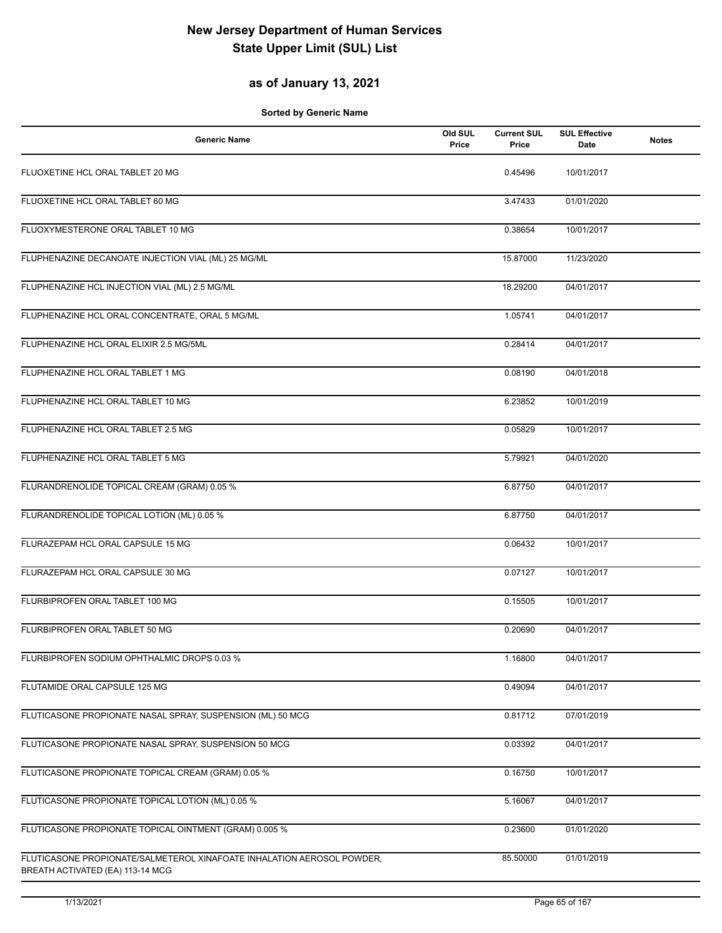### **as of January 13, 2021**

| <b>Generic Name</b>                                                                                        | Old SUL<br>Price | <b>Current SUL</b><br>Price | <b>SUL Effective</b><br><b>Date</b> | <b>Notes</b> |
|------------------------------------------------------------------------------------------------------------|------------------|-----------------------------|-------------------------------------|--------------|
| FLUOXETINE HCL ORAL TABLET 20 MG                                                                           |                  | 0.45496                     | 10/01/2017                          |              |
| FLUOXETINE HCL ORAL TABLET 60 MG                                                                           |                  | 3.47433                     | 01/01/2020                          |              |
| FLUOXYMESTERONE ORAL TABLET 10 MG                                                                          |                  | 0.38654                     | 10/01/2017                          |              |
| FLUPHENAZINE DECANOATE INJECTION VIAL (ML) 25 MG/ML                                                        |                  | 15.87000                    | 11/23/2020                          |              |
| FLUPHENAZINE HCL INJECTION VIAL (ML) 2.5 MG/ML                                                             |                  | 18.29200                    | 04/01/2017                          |              |
| FLUPHENAZINE HCL ORAL CONCENTRATE, ORAL 5 MG/ML                                                            |                  | 1.05741                     | 04/01/2017                          |              |
| FLUPHENAZINE HCL ORAL ELIXIR 2.5 MG/5ML                                                                    |                  | 0.28414                     | 04/01/2017                          |              |
| FLUPHENAZINE HCL ORAL TABLET 1 MG                                                                          |                  | 0.08190                     | 04/01/2018                          |              |
| FLUPHENAZINE HCL ORAL TABLET 10 MG                                                                         |                  | 6.23852                     | 10/01/2019                          |              |
| FLUPHENAZINE HCL ORAL TABLET 2.5 MG                                                                        |                  | 0.05829                     | 10/01/2017                          |              |
| FLUPHENAZINE HCL ORAL TABLET 5 MG                                                                          |                  | 5.79921                     | 04/01/2020                          |              |
| FLURANDRENOLIDE TOPICAL CREAM (GRAM) 0.05 %                                                                |                  | 6.87750                     | 04/01/2017                          |              |
| FLURANDRENOLIDE TOPICAL LOTION (ML) 0.05 %                                                                 |                  | 6.87750                     | 04/01/2017                          |              |
| FLURAZEPAM HCL ORAL CAPSULE 15 MG                                                                          |                  | 0.06432                     | 10/01/2017                          |              |
| FLURAZEPAM HCL ORAL CAPSULE 30 MG                                                                          |                  | 0.07127                     | 10/01/2017                          |              |
| FLURBIPROFEN ORAL TABLET 100 MG                                                                            |                  | 0.15505                     | 10/01/2017                          |              |
| FLURBIPROFEN ORAL TABLET 50 MG                                                                             |                  | 0.20690                     | 04/01/2017                          |              |
| FLURBIPROFEN SODIUM OPHTHALMIC DROPS 0.03 %                                                                |                  | 1.16800                     | 04/01/2017                          |              |
| FLUTAMIDE ORAL CAPSULE 125 MG                                                                              |                  | 0.49094                     | 04/01/2017                          |              |
| FLUTICASONE PROPIONATE NASAL SPRAY, SUSPENSION (ML) 50 MCG                                                 |                  | 0.81712                     | 07/01/2019                          |              |
| FLUTICASONE PROPIONATE NASAL SPRAY, SUSPENSION 50 MCG                                                      |                  | 0.03392                     | 04/01/2017                          |              |
| FLUTICASONE PROPIONATE TOPICAL CREAM (GRAM) 0.05 %                                                         |                  | 0.16750                     | 10/01/2017                          |              |
| FLUTICASONE PROPIONATE TOPICAL LOTION (ML) 0.05 %                                                          |                  | 5.16067                     | 04/01/2017                          |              |
| FLUTICASONE PROPIONATE TOPICAL OINTMENT (GRAM) 0.005 %                                                     |                  | 0.23600                     | 01/01/2020                          |              |
| FLUTICASONE PROPIONATE/SALMETEROL XINAFOATE INHALATION AEROSOL POWDER,<br>BREATH ACTIVATED (EA) 113-14 MCG |                  | 85.50000                    | 01/01/2019                          |              |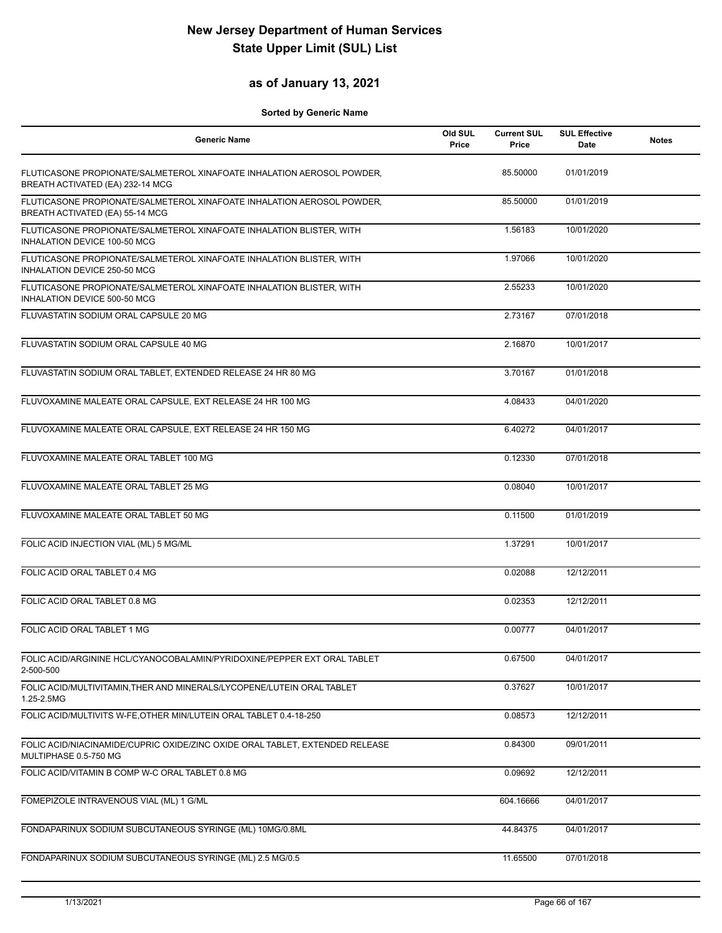### **as of January 13, 2021**

| <b>Generic Name</b>                                                                                        | Old SUL<br>Price | <b>Current SUL</b><br>Price | <b>SUL Effective</b><br>Date | <b>Notes</b> |
|------------------------------------------------------------------------------------------------------------|------------------|-----------------------------|------------------------------|--------------|
| FLUTICASONE PROPIONATE/SALMETEROL XINAFOATE INHALATION AEROSOL POWDER,<br>BREATH ACTIVATED (EA) 232-14 MCG |                  | 85.50000                    | 01/01/2019                   |              |
| FLUTICASONE PROPIONATE/SALMETEROL XINAFOATE INHALATION AEROSOL POWDER,<br>BREATH ACTIVATED (EA) 55-14 MCG  |                  | 85.50000                    | 01/01/2019                   |              |
| FLUTICASONE PROPIONATE/SALMETEROL XINAFOATE INHALATION BLISTER, WITH<br>INHALATION DEVICE 100-50 MCG       |                  | 1.56183                     | 10/01/2020                   |              |
| FLUTICASONE PROPIONATE/SALMETEROL XINAFOATE INHALATION BLISTER, WITH<br>INHALATION DEVICE 250-50 MCG       |                  | 1.97066                     | 10/01/2020                   |              |
| FLUTICASONE PROPIONATE/SALMETEROL XINAFOATE INHALATION BLISTER, WITH<br>INHALATION DEVICE 500-50 MCG       |                  | 2.55233                     | 10/01/2020                   |              |
| FLUVASTATIN SODIUM ORAL CAPSULE 20 MG                                                                      |                  | 2.73167                     | 07/01/2018                   |              |
| FLUVASTATIN SODIUM ORAL CAPSULE 40 MG                                                                      |                  | 2.16870                     | 10/01/2017                   |              |
| FLUVASTATIN SODIUM ORAL TABLET, EXTENDED RELEASE 24 HR 80 MG                                               |                  | 3.70167                     | 01/01/2018                   |              |
| FLUVOXAMINE MALEATE ORAL CAPSULE, EXT RELEASE 24 HR 100 MG                                                 |                  | 4.08433                     | 04/01/2020                   |              |
| FLUVOXAMINE MALEATE ORAL CAPSULE, EXT RELEASE 24 HR 150 MG                                                 |                  | 6.40272                     | 04/01/2017                   |              |
| FLUVOXAMINE MALEATE ORAL TABLET 100 MG                                                                     |                  | 0.12330                     | 07/01/2018                   |              |
| FLUVOXAMINE MALEATE ORAL TABLET 25 MG                                                                      |                  | 0.08040                     | 10/01/2017                   |              |
| FLUVOXAMINE MALEATE ORAL TABLET 50 MG                                                                      |                  | 0.11500                     | 01/01/2019                   |              |
| FOLIC ACID INJECTION VIAL (ML) 5 MG/ML                                                                     |                  | 1.37291                     | 10/01/2017                   |              |
| FOLIC ACID ORAL TABLET 0.4 MG                                                                              |                  | 0.02088                     | 12/12/2011                   |              |
| FOLIC ACID ORAL TABLET 0.8 MG                                                                              |                  | 0.02353                     | 12/12/2011                   |              |
| FOLIC ACID ORAL TABLET 1 MG                                                                                |                  | 0.00777                     | 04/01/2017                   |              |
| FOLIC ACID/ARGININE HCL/CYANOCOBALAMIN/PYRIDOXINE/PEPPER EXT ORAL TABLET<br>2-500-500                      |                  | 0.67500                     | 04/01/2017                   |              |
| FOLIC ACID/MULTIVITAMIN, THER AND MINERALS/LYCOPENE/LUTEIN ORAL TABLET<br>1.25-2.5MG                       |                  | 0.37627                     | 10/01/2017                   |              |
| FOLIC ACID/MULTIVITS W-FE, OTHER MIN/LUTEIN ORAL TABLET 0.4-18-250                                         |                  | 0.08573                     | 12/12/2011                   |              |
| FOLIC ACID/NIACINAMIDE/CUPRIC OXIDE/ZINC OXIDE ORAL TABLET, EXTENDED RELEASE<br>MULTIPHASE 0.5-750 MG      |                  | 0.84300                     | 09/01/2011                   |              |
| FOLIC ACID/VITAMIN B COMP W-C ORAL TABLET 0.8 MG                                                           |                  | 0.09692                     | 12/12/2011                   |              |
| FOMEPIZOLE INTRAVENOUS VIAL (ML) 1 G/ML                                                                    |                  | 604.16666                   | 04/01/2017                   |              |
| FONDAPARINUX SODIUM SUBCUTANEOUS SYRINGE (ML) 10MG/0.8ML                                                   |                  | 44.84375                    | 04/01/2017                   |              |
| FONDAPARINUX SODIUM SUBCUTANEOUS SYRINGE (ML) 2.5 MG/0.5                                                   |                  | 11.65500                    | 07/01/2018                   |              |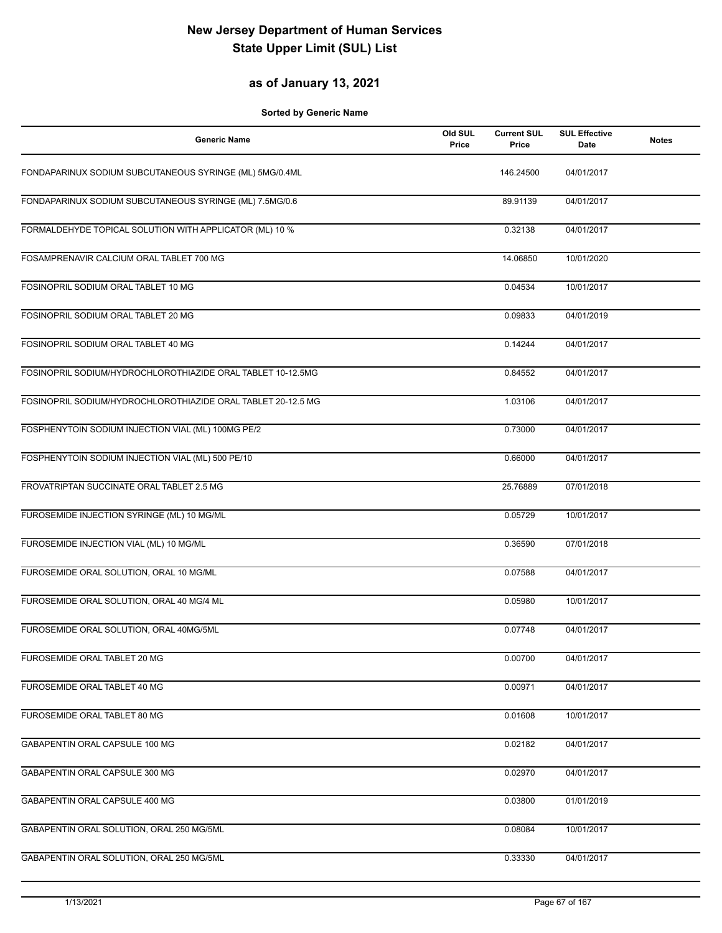### **as of January 13, 2021**

| <b>Generic Name</b>                                          | Old SUL<br>Price | <b>Current SUL</b><br>Price | <b>SUL Effective</b><br><b>Date</b> | <b>Notes</b> |
|--------------------------------------------------------------|------------------|-----------------------------|-------------------------------------|--------------|
| FONDAPARINUX SODIUM SUBCUTANEOUS SYRINGE (ML) 5MG/0.4ML      |                  | 146.24500                   | 04/01/2017                          |              |
| FONDAPARINUX SODIUM SUBCUTANEOUS SYRINGE (ML) 7.5MG/0.6      |                  | 89.91139                    | 04/01/2017                          |              |
| FORMALDEHYDE TOPICAL SOLUTION WITH APPLICATOR (ML) 10 %      |                  | 0.32138                     | 04/01/2017                          |              |
| FOSAMPRENAVIR CALCIUM ORAL TABLET 700 MG                     |                  | 14.06850                    | 10/01/2020                          |              |
| FOSINOPRIL SODIUM ORAL TABLET 10 MG                          |                  | 0.04534                     | 10/01/2017                          |              |
| FOSINOPRIL SODIUM ORAL TABLET 20 MG                          |                  | 0.09833                     | 04/01/2019                          |              |
| FOSINOPRIL SODIUM ORAL TABLET 40 MG                          |                  | 0.14244                     | 04/01/2017                          |              |
| FOSINOPRIL SODIUM/HYDROCHLOROTHIAZIDE ORAL TABLET 10-12.5MG  |                  | 0.84552                     | 04/01/2017                          |              |
| FOSINOPRIL SODIUM/HYDROCHLOROTHIAZIDE ORAL TABLET 20-12.5 MG |                  | 1.03106                     | 04/01/2017                          |              |
| FOSPHENYTOIN SODIUM INJECTION VIAL (ML) 100MG PE/2           |                  | 0.73000                     | 04/01/2017                          |              |
| FOSPHENYTOIN SODIUM INJECTION VIAL (ML) 500 PE/10            |                  | 0.66000                     | 04/01/2017                          |              |
| FROVATRIPTAN SUCCINATE ORAL TABLET 2.5 MG                    |                  | 25.76889                    | 07/01/2018                          |              |
| FUROSEMIDE INJECTION SYRINGE (ML) 10 MG/ML                   |                  | 0.05729                     | 10/01/2017                          |              |
| FUROSEMIDE INJECTION VIAL (ML) 10 MG/ML                      |                  | 0.36590                     | 07/01/2018                          |              |
| FUROSEMIDE ORAL SOLUTION, ORAL 10 MG/ML                      |                  | 0.07588                     | 04/01/2017                          |              |
| FUROSEMIDE ORAL SOLUTION, ORAL 40 MG/4 ML                    |                  | 0.05980                     | 10/01/2017                          |              |
| FUROSEMIDE ORAL SOLUTION, ORAL 40MG/5ML                      |                  | 0.07748                     | 04/01/2017                          |              |
| FUROSEMIDE ORAL TABLET 20 MG                                 |                  | 0.00700                     | 04/01/2017                          |              |
| FUROSEMIDE ORAL TABLET 40 MG                                 |                  | 0.00971                     | 04/01/2017                          |              |
| FUROSEMIDE ORAL TABLET 80 MG                                 |                  | 0.01608                     | 10/01/2017                          |              |
| GABAPENTIN ORAL CAPSULE 100 MG                               |                  | 0.02182                     | 04/01/2017                          |              |
| GABAPENTIN ORAL CAPSULE 300 MG                               |                  | 0.02970                     | 04/01/2017                          |              |
| GABAPENTIN ORAL CAPSULE 400 MG                               |                  | 0.03800                     | 01/01/2019                          |              |
| GABAPENTIN ORAL SOLUTION, ORAL 250 MG/5ML                    |                  | 0.08084                     | 10/01/2017                          |              |
| GABAPENTIN ORAL SOLUTION, ORAL 250 MG/5ML                    |                  | 0.33330                     | 04/01/2017                          |              |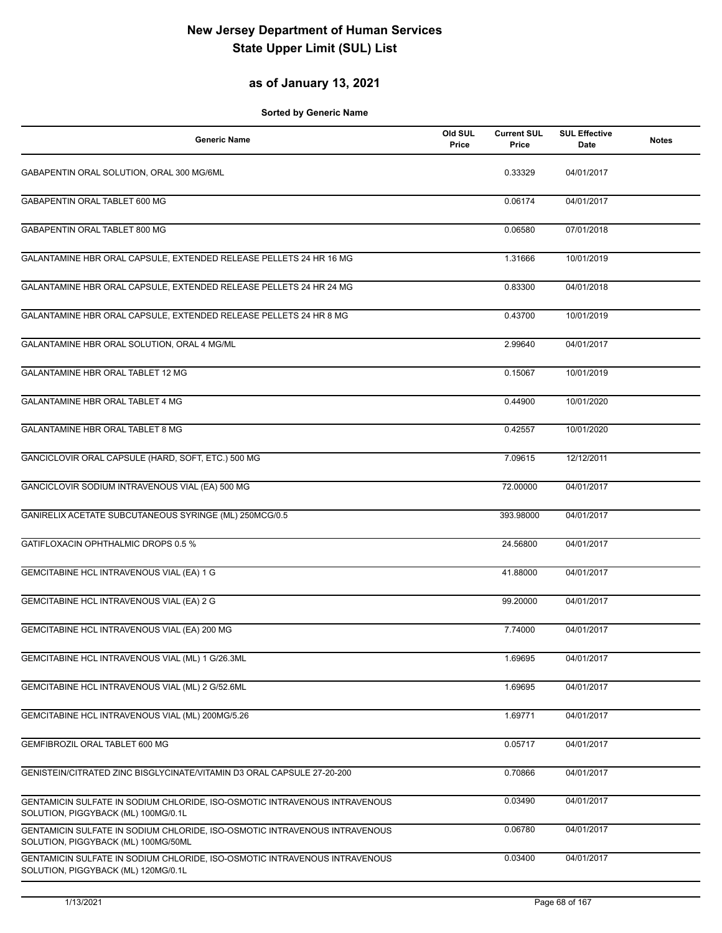### **as of January 13, 2021**

| <b>Generic Name</b>                                                                                               | Old SUL<br>Price | <b>Current SUL</b><br>Price | <b>SUL Effective</b><br>Date | <b>Notes</b> |
|-------------------------------------------------------------------------------------------------------------------|------------------|-----------------------------|------------------------------|--------------|
| GABAPENTIN ORAL SOLUTION, ORAL 300 MG/6ML                                                                         |                  | 0.33329                     | 04/01/2017                   |              |
| GABAPENTIN ORAL TABLET 600 MG                                                                                     |                  | 0.06174                     | 04/01/2017                   |              |
| GABAPENTIN ORAL TABLET 800 MG                                                                                     |                  | 0.06580                     | 07/01/2018                   |              |
| GALANTAMINE HBR ORAL CAPSULE, EXTENDED RELEASE PELLETS 24 HR 16 MG                                                |                  | 1.31666                     | 10/01/2019                   |              |
| GALANTAMINE HBR ORAL CAPSULE, EXTENDED RELEASE PELLETS 24 HR 24 MG                                                |                  | 0.83300                     | 04/01/2018                   |              |
| GALANTAMINE HBR ORAL CAPSULE, EXTENDED RELEASE PELLETS 24 HR 8 MG                                                 |                  | 0.43700                     | 10/01/2019                   |              |
| GALANTAMINE HBR ORAL SOLUTION, ORAL 4 MG/ML                                                                       |                  | 2.99640                     | 04/01/2017                   |              |
| <b>GALANTAMINE HBR ORAL TABLET 12 MG</b>                                                                          |                  | 0.15067                     | 10/01/2019                   |              |
| GALANTAMINE HBR ORAL TABLET 4 MG                                                                                  |                  | 0.44900                     | 10/01/2020                   |              |
| GALANTAMINE HBR ORAL TABLET 8 MG                                                                                  |                  | 0.42557                     | 10/01/2020                   |              |
| GANCICLOVIR ORAL CAPSULE (HARD, SOFT, ETC.) 500 MG                                                                |                  | 7.09615                     | 12/12/2011                   |              |
| GANCICLOVIR SODIUM INTRAVENOUS VIAL (EA) 500 MG                                                                   |                  | 72.00000                    | 04/01/2017                   |              |
| GANIRELIX ACETATE SUBCUTANEOUS SYRINGE (ML) 250MCG/0.5                                                            |                  | 393.98000                   | 04/01/2017                   |              |
| GATIFLOXACIN OPHTHALMIC DROPS 0.5 %                                                                               |                  | 24.56800                    | 04/01/2017                   |              |
| GEMCITABINE HCL INTRAVENOUS VIAL (EA) 1 G                                                                         |                  | 41.88000                    | 04/01/2017                   |              |
| GEMCITABINE HCL INTRAVENOUS VIAL (EA) 2 G                                                                         |                  | 99.20000                    | 04/01/2017                   |              |
| GEMCITABINE HCL INTRAVENOUS VIAL (EA) 200 MG                                                                      |                  | 7.74000                     | 04/01/2017                   |              |
| GEMCITABINE HCL INTRAVENOUS VIAL (ML) 1 G/26.3ML                                                                  |                  | 1.69695                     | 04/01/2017                   |              |
| GEMCITABINE HCL INTRAVENOUS VIAL (ML) 2 G/52.6ML                                                                  |                  | 1.69695                     | 04/01/2017                   |              |
| GEMCITABINE HCL INTRAVENOUS VIAL (ML) 200MG/5.26                                                                  |                  | 1.69771                     | 04/01/2017                   |              |
| GEMFIBROZIL ORAL TABLET 600 MG                                                                                    |                  | 0.05717                     | 04/01/2017                   |              |
| GENISTEIN/CITRATED ZINC BISGLYCINATE/VITAMIN D3 ORAL CAPSULE 27-20-200                                            |                  | 0.70866                     | 04/01/2017                   |              |
| GENTAMICIN SULFATE IN SODIUM CHLORIDE, ISO-OSMOTIC INTRAVENOUS INTRAVENOUS<br>SOLUTION, PIGGYBACK (ML) 100MG/0.1L |                  | 0.03490                     | 04/01/2017                   |              |
| GENTAMICIN SULFATE IN SODIUM CHLORIDE, ISO-OSMOTIC INTRAVENOUS INTRAVENOUS<br>SOLUTION, PIGGYBACK (ML) 100MG/50ML |                  | 0.06780                     | 04/01/2017                   |              |
| GENTAMICIN SULFATE IN SODIUM CHLORIDE, ISO-OSMOTIC INTRAVENOUS INTRAVENOUS<br>SOLUTION, PIGGYBACK (ML) 120MG/0.1L |                  | 0.03400                     | 04/01/2017                   |              |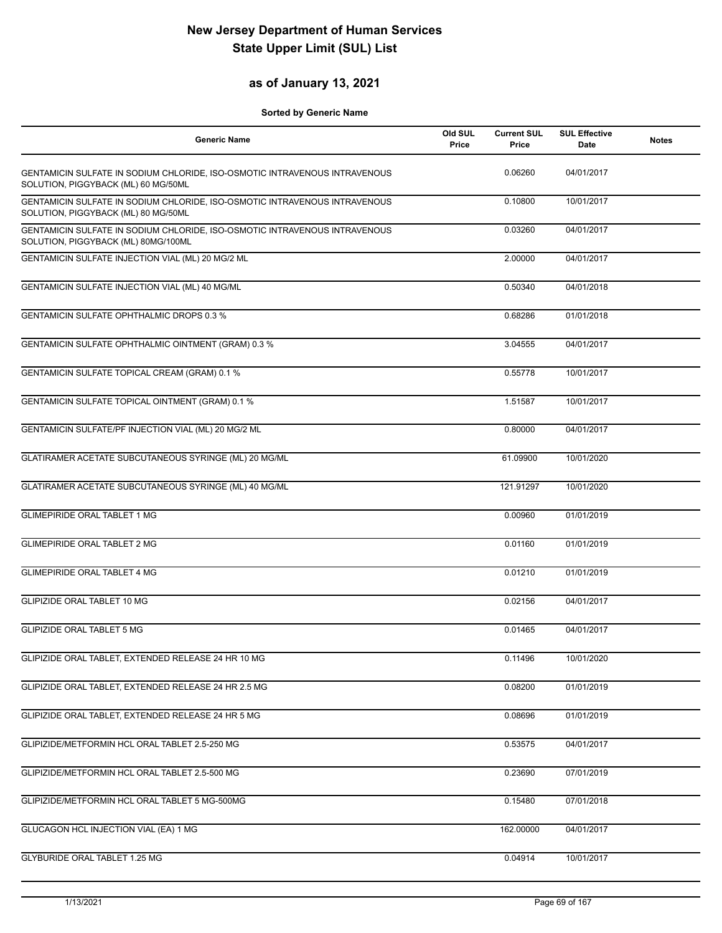### **as of January 13, 2021**

| <b>Generic Name</b>                                                                                               | Old SUL<br>Price | <b>Current SUL</b><br>Price | <b>SUL Effective</b><br>Date | <b>Notes</b> |
|-------------------------------------------------------------------------------------------------------------------|------------------|-----------------------------|------------------------------|--------------|
| GENTAMICIN SULFATE IN SODIUM CHLORIDE, ISO-OSMOTIC INTRAVENOUS INTRAVENOUS<br>SOLUTION, PIGGYBACK (ML) 60 MG/50ML |                  | 0.06260                     | 04/01/2017                   |              |
| GENTAMICIN SULFATE IN SODIUM CHLORIDE, ISO-OSMOTIC INTRAVENOUS INTRAVENOUS<br>SOLUTION, PIGGYBACK (ML) 80 MG/50ML |                  | 0.10800                     | 10/01/2017                   |              |
| GENTAMICIN SULFATE IN SODIUM CHLORIDE, ISO-OSMOTIC INTRAVENOUS INTRAVENOUS<br>SOLUTION, PIGGYBACK (ML) 80MG/100ML |                  | 0.03260                     | 04/01/2017                   |              |
| GENTAMICIN SULFATE INJECTION VIAL (ML) 20 MG/2 ML                                                                 |                  | 2.00000                     | 04/01/2017                   |              |
| GENTAMICIN SULFATE INJECTION VIAL (ML) 40 MG/ML                                                                   |                  | 0.50340                     | 04/01/2018                   |              |
| <b>GENTAMICIN SULFATE OPHTHALMIC DROPS 0.3 %</b>                                                                  |                  | 0.68286                     | 01/01/2018                   |              |
| GENTAMICIN SULFATE OPHTHALMIC OINTMENT (GRAM) 0.3 %                                                               |                  | 3.04555                     | 04/01/2017                   |              |
| GENTAMICIN SULFATE TOPICAL CREAM (GRAM) 0.1 %                                                                     |                  | 0.55778                     | 10/01/2017                   |              |
| GENTAMICIN SULFATE TOPICAL OINTMENT (GRAM) 0.1 %                                                                  |                  | 1.51587                     | 10/01/2017                   |              |
| GENTAMICIN SULFATE/PF INJECTION VIAL (ML) 20 MG/2 ML                                                              |                  | 0.80000                     | 04/01/2017                   |              |
| GLATIRAMER ACETATE SUBCUTANEOUS SYRINGE (ML) 20 MG/ML                                                             |                  | 61.09900                    | 10/01/2020                   |              |
| GLATIRAMER ACETATE SUBCUTANEOUS SYRINGE (ML) 40 MG/ML                                                             |                  | 121.91297                   | 10/01/2020                   |              |
| <b>GLIMEPIRIDE ORAL TABLET 1 MG</b>                                                                               |                  | 0.00960                     | 01/01/2019                   |              |
| <b>GLIMEPIRIDE ORAL TABLET 2 MG</b>                                                                               |                  | 0.01160                     | 01/01/2019                   |              |
| <b>GLIMEPIRIDE ORAL TABLET 4 MG</b>                                                                               |                  | 0.01210                     | 01/01/2019                   |              |
| <b>GLIPIZIDE ORAL TABLET 10 MG</b>                                                                                |                  | 0.02156                     | 04/01/2017                   |              |
| <b>GLIPIZIDE ORAL TABLET 5 MG</b>                                                                                 |                  | 0.01465                     | 04/01/2017                   |              |
| GLIPIZIDE ORAL TABLET, EXTENDED RELEASE 24 HR 10 MG                                                               |                  | 0.11496                     | 10/01/2020                   |              |
| GLIPIZIDE ORAL TABLET, EXTENDED RELEASE 24 HR 2.5 MG                                                              |                  | 0.08200                     | 01/01/2019                   |              |
| GLIPIZIDE ORAL TABLET, EXTENDED RELEASE 24 HR 5 MG                                                                |                  | 0.08696                     | 01/01/2019                   |              |
| GLIPIZIDE/METFORMIN HCL ORAL TABLET 2.5-250 MG                                                                    |                  | 0.53575                     | 04/01/2017                   |              |
| GLIPIZIDE/METFORMIN HCL ORAL TABLET 2.5-500 MG                                                                    |                  | 0.23690                     | 07/01/2019                   |              |
| GLIPIZIDE/METFORMIN HCL ORAL TABLET 5 MG-500MG                                                                    |                  | 0.15480                     | 07/01/2018                   |              |
| GLUCAGON HCL INJECTION VIAL (EA) 1 MG                                                                             |                  | 162.00000                   | 04/01/2017                   |              |
| GLYBURIDE ORAL TABLET 1.25 MG                                                                                     |                  | 0.04914                     | 10/01/2017                   |              |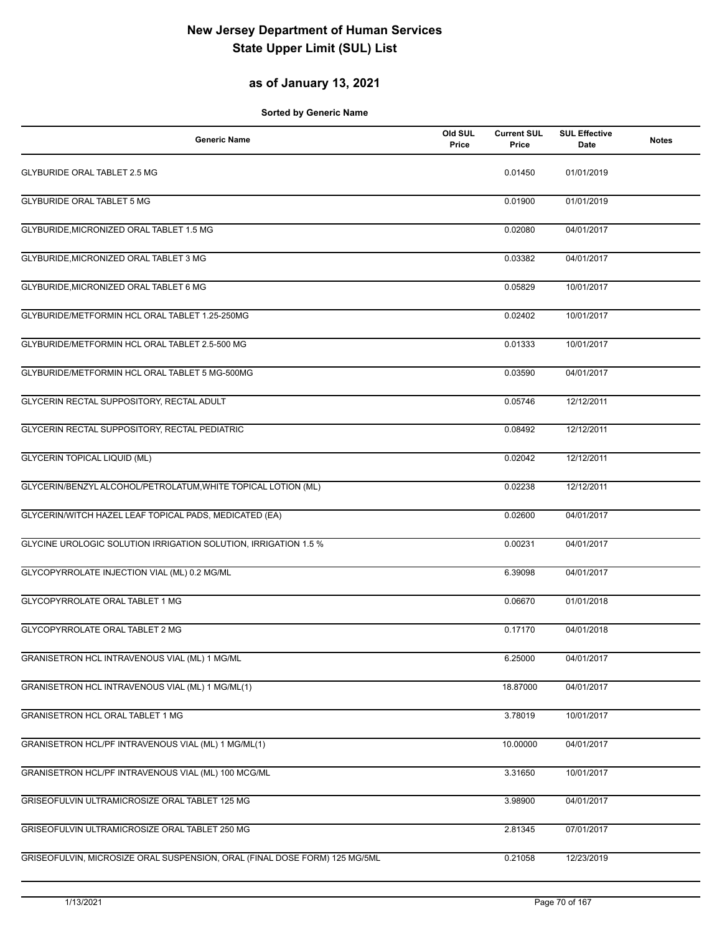### **as of January 13, 2021**

| <b>Generic Name</b>                                                        | Old SUL<br>Price | <b>Current SUL</b><br>Price | <b>SUL Effective</b><br>Date | <b>Notes</b> |
|----------------------------------------------------------------------------|------------------|-----------------------------|------------------------------|--------------|
| GLYBURIDE ORAL TABLET 2.5 MG                                               |                  | 0.01450                     | 01/01/2019                   |              |
| <b>GLYBURIDE ORAL TABLET 5 MG</b>                                          |                  | 0.01900                     | 01/01/2019                   |              |
| GLYBURIDE, MICRONIZED ORAL TABLET 1.5 MG                                   |                  | 0.02080                     | 04/01/2017                   |              |
| GLYBURIDE, MICRONIZED ORAL TABLET 3 MG                                     |                  | 0.03382                     | 04/01/2017                   |              |
| GLYBURIDE, MICRONIZED ORAL TABLET 6 MG                                     |                  | 0.05829                     | 10/01/2017                   |              |
| GLYBURIDE/METFORMIN HCL ORAL TABLET 1.25-250MG                             |                  | 0.02402                     | 10/01/2017                   |              |
| GLYBURIDE/METFORMIN HCL ORAL TABLET 2.5-500 MG                             |                  | 0.01333                     | 10/01/2017                   |              |
| GLYBURIDE/METFORMIN HCL ORAL TABLET 5 MG-500MG                             |                  | 0.03590                     | 04/01/2017                   |              |
| GLYCERIN RECTAL SUPPOSITORY, RECTAL ADULT                                  |                  | 0.05746                     | 12/12/2011                   |              |
| GLYCERIN RECTAL SUPPOSITORY, RECTAL PEDIATRIC                              |                  | 0.08492                     | 12/12/2011                   |              |
| <b>GLYCERIN TOPICAL LIQUID (ML)</b>                                        |                  | 0.02042                     | 12/12/2011                   |              |
| GLYCERIN/BENZYL ALCOHOL/PETROLATUM, WHITE TOPICAL LOTION (ML)              |                  | 0.02238                     | 12/12/2011                   |              |
| GLYCERIN/WITCH HAZEL LEAF TOPICAL PADS, MEDICATED (EA)                     |                  | 0.02600                     | 04/01/2017                   |              |
| GLYCINE UROLOGIC SOLUTION IRRIGATION SOLUTION, IRRIGATION 1.5 %            |                  | 0.00231                     | 04/01/2017                   |              |
| GLYCOPYRROLATE INJECTION VIAL (ML) 0.2 MG/ML                               |                  | 6.39098                     | 04/01/2017                   |              |
| GLYCOPYRROLATE ORAL TABLET 1 MG                                            |                  | 0.06670                     | 01/01/2018                   |              |
| <b>GLYCOPYRROLATE ORAL TABLET 2 MG</b>                                     |                  | 0.17170                     | 04/01/2018                   |              |
| GRANISETRON HCL INTRAVENOUS VIAL (ML) 1 MG/ML                              |                  | 6.25000                     | 04/01/2017                   |              |
| GRANISETRON HCL INTRAVENOUS VIAL (ML) 1 MG/ML(1)                           |                  | 18.87000                    | 04/01/2017                   |              |
| GRANISETRON HCL ORAL TABLET 1 MG                                           |                  | 3.78019                     | 10/01/2017                   |              |
| GRANISETRON HCL/PF INTRAVENOUS VIAL (ML) 1 MG/ML(1)                        |                  | 10.00000                    | 04/01/2017                   |              |
| GRANISETRON HCL/PF INTRAVENOUS VIAL (ML) 100 MCG/ML                        |                  | 3.31650                     | 10/01/2017                   |              |
| GRISEOFULVIN ULTRAMICROSIZE ORAL TABLET 125 MG                             |                  | 3.98900                     | 04/01/2017                   |              |
| GRISEOFULVIN ULTRAMICROSIZE ORAL TABLET 250 MG                             |                  | 2.81345                     | 07/01/2017                   |              |
| GRISEOFULVIN, MICROSIZE ORAL SUSPENSION, ORAL (FINAL DOSE FORM) 125 MG/5ML |                  | 0.21058                     | 12/23/2019                   |              |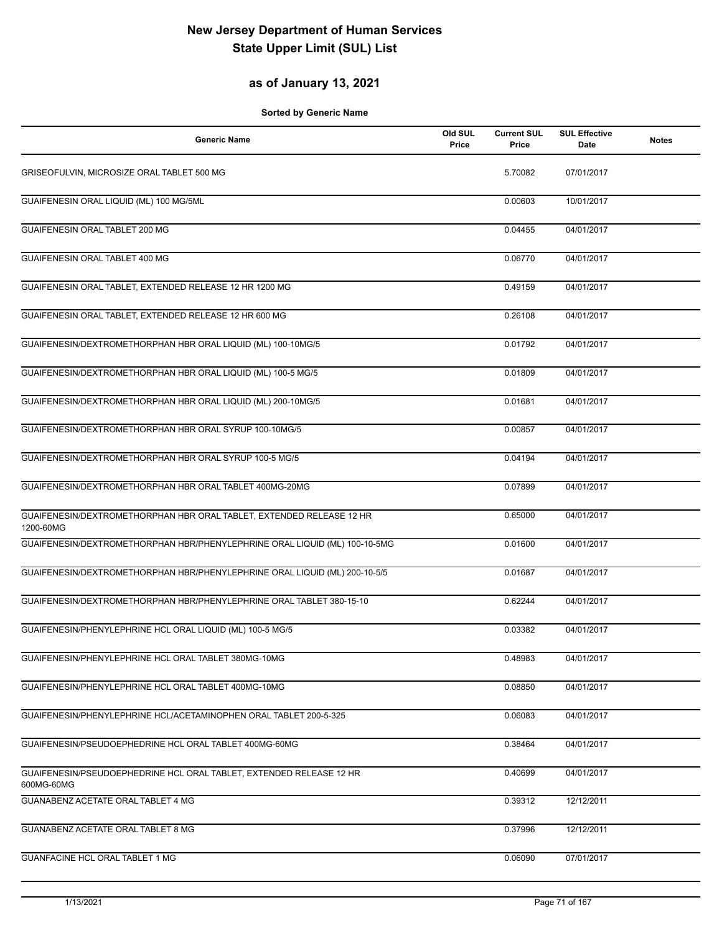### **as of January 13, 2021**

| <b>Generic Name</b>                                                               | Old SUL<br>Price | <b>Current SUL</b><br>Price | <b>SUL Effective</b><br>Date | <b>Notes</b> |
|-----------------------------------------------------------------------------------|------------------|-----------------------------|------------------------------|--------------|
| GRISEOFULVIN, MICROSIZE ORAL TABLET 500 MG                                        |                  | 5.70082                     | 07/01/2017                   |              |
| GUAIFENESIN ORAL LIQUID (ML) 100 MG/5ML                                           |                  | 0.00603                     | 10/01/2017                   |              |
| <b>GUAIFENESIN ORAL TABLET 200 MG</b>                                             |                  | 0.04455                     | 04/01/2017                   |              |
| GUAIFENESIN ORAL TABLET 400 MG                                                    |                  | 0.06770                     | 04/01/2017                   |              |
| GUAIFENESIN ORAL TABLET, EXTENDED RELEASE 12 HR 1200 MG                           |                  | 0.49159                     | 04/01/2017                   |              |
| GUAIFENESIN ORAL TABLET, EXTENDED RELEASE 12 HR 600 MG                            |                  | 0.26108                     | 04/01/2017                   |              |
| GUAIFENESIN/DEXTROMETHORPHAN HBR ORAL LIQUID (ML) 100-10MG/5                      |                  | 0.01792                     | 04/01/2017                   |              |
| GUAIFENESIN/DEXTROMETHORPHAN HBR ORAL LIQUID (ML) 100-5 MG/5                      |                  | 0.01809                     | 04/01/2017                   |              |
| GUAIFENESIN/DEXTROMETHORPHAN HBR ORAL LIQUID (ML) 200-10MG/5                      |                  | 0.01681                     | 04/01/2017                   |              |
| GUAIFENESIN/DEXTROMETHORPHAN HBR ORAL SYRUP 100-10MG/5                            |                  | 0.00857                     | 04/01/2017                   |              |
| GUAIFENESIN/DEXTROMETHORPHAN HBR ORAL SYRUP 100-5 MG/5                            |                  | 0.04194                     | 04/01/2017                   |              |
| GUAIFENESIN/DEXTROMETHORPHAN HBR ORAL TABLET 400MG-20MG                           |                  | 0.07899                     | 04/01/2017                   |              |
| GUAIFENESIN/DEXTROMETHORPHAN HBR ORAL TABLET, EXTENDED RELEASE 12 HR<br>1200-60MG |                  | 0.65000                     | 04/01/2017                   |              |
| GUAIFENESIN/DEXTROMETHORPHAN HBR/PHENYLEPHRINE ORAL LIQUID (ML) 100-10-5MG        |                  | 0.01600                     | 04/01/2017                   |              |
| GUAIFENESIN/DEXTROMETHORPHAN HBR/PHENYLEPHRINE ORAL LIQUID (ML) 200-10-5/5        |                  | 0.01687                     | 04/01/2017                   |              |
| GUAIFENESIN/DEXTROMETHORPHAN HBR/PHENYLEPHRINE ORAL TABLET 380-15-10              |                  | 0.62244                     | 04/01/2017                   |              |
| GUAIFENESIN/PHENYLEPHRINE HCL ORAL LIQUID (ML) 100-5 MG/5                         |                  | 0.03382                     | 04/01/2017                   |              |
| GUAIFENESIN/PHENYLEPHRINE HCL ORAL TABLET 380MG-10MG                              |                  | 0.48983                     | 04/01/2017                   |              |
| GUAIFENESIN/PHENYLEPHRINE HCL ORAL TABLET 400MG-10MG                              |                  | 0.08850                     | 04/01/2017                   |              |
| GUAIFENESIN/PHENYLEPHRINE HCL/ACETAMINOPHEN ORAL TABLET 200-5-325                 |                  | 0.06083                     | 04/01/2017                   |              |
| GUAIFENESIN/PSEUDOEPHEDRINE HCL ORAL TABLET 400MG-60MG                            |                  | 0.38464                     | 04/01/2017                   |              |
| GUAIFENESIN/PSEUDOEPHEDRINE HCL ORAL TABLET, EXTENDED RELEASE 12 HR<br>600MG-60MG |                  | 0.40699                     | 04/01/2017                   |              |
| GUANABENZ ACETATE ORAL TABLET 4 MG                                                |                  | 0.39312                     | 12/12/2011                   |              |
| GUANABENZ ACETATE ORAL TABLET 8 MG                                                |                  | 0.37996                     | 12/12/2011                   |              |
| <b>GUANFACINE HCL ORAL TABLET 1 MG</b>                                            |                  | 0.06090                     | 07/01/2017                   |              |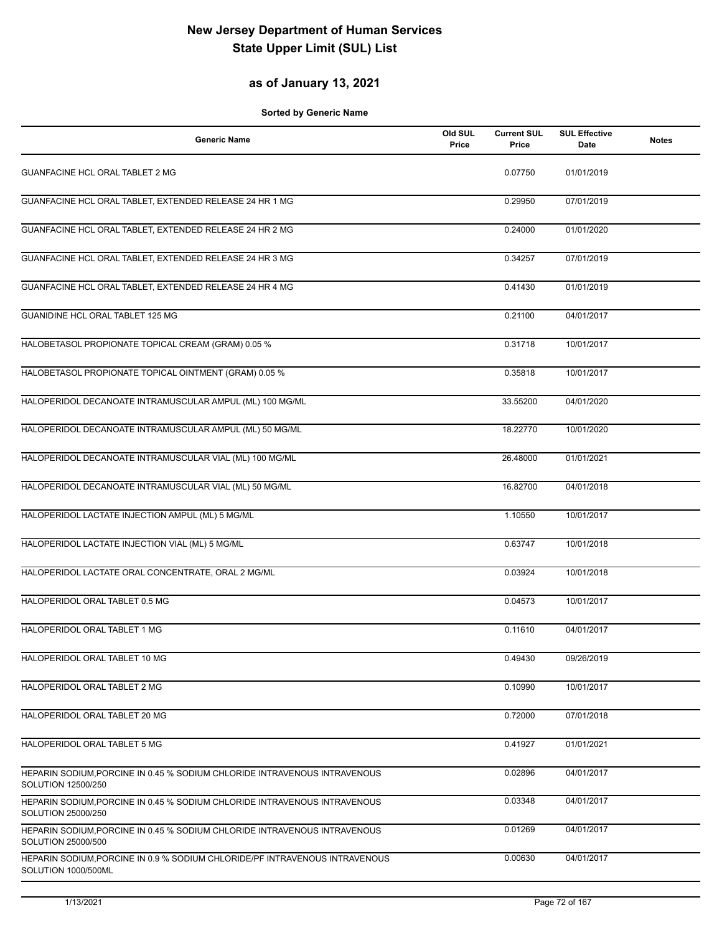### **as of January 13, 2021**

| <b>Generic Name</b>                                                                                | Old SUL<br>Price | <b>Current SUL</b><br>Price | <b>SUL Effective</b><br>Date | <b>Notes</b> |
|----------------------------------------------------------------------------------------------------|------------------|-----------------------------|------------------------------|--------------|
| <b>GUANFACINE HCL ORAL TABLET 2 MG</b>                                                             |                  | 0.07750                     | 01/01/2019                   |              |
| GUANFACINE HCL ORAL TABLET, EXTENDED RELEASE 24 HR 1 MG                                            |                  | 0.29950                     | 07/01/2019                   |              |
| GUANFACINE HCL ORAL TABLET, EXTENDED RELEASE 24 HR 2 MG                                            |                  | 0.24000                     | 01/01/2020                   |              |
| GUANFACINE HCL ORAL TABLET, EXTENDED RELEASE 24 HR 3 MG                                            |                  | 0.34257                     | 07/01/2019                   |              |
| GUANFACINE HCL ORAL TABLET, EXTENDED RELEASE 24 HR 4 MG                                            |                  | 0.41430                     | 01/01/2019                   |              |
| GUANIDINE HCL ORAL TABLET 125 MG                                                                   |                  | 0.21100                     | 04/01/2017                   |              |
| HALOBETASOL PROPIONATE TOPICAL CREAM (GRAM) 0.05 %                                                 |                  | 0.31718                     | 10/01/2017                   |              |
| HALOBETASOL PROPIONATE TOPICAL OINTMENT (GRAM) 0.05 %                                              |                  | 0.35818                     | 10/01/2017                   |              |
| HALOPERIDOL DECANOATE INTRAMUSCULAR AMPUL (ML) 100 MG/ML                                           |                  | 33.55200                    | 04/01/2020                   |              |
| HALOPERIDOL DECANOATE INTRAMUSCULAR AMPUL (ML) 50 MG/ML                                            |                  | 18.22770                    | 10/01/2020                   |              |
| HALOPERIDOL DECANOATE INTRAMUSCULAR VIAL (ML) 100 MG/ML                                            |                  | 26.48000                    | 01/01/2021                   |              |
| HALOPERIDOL DECANOATE INTRAMUSCULAR VIAL (ML) 50 MG/ML                                             |                  | 16.82700                    | 04/01/2018                   |              |
| HALOPERIDOL LACTATE INJECTION AMPUL (ML) 5 MG/ML                                                   |                  | 1.10550                     | 10/01/2017                   |              |
| HALOPERIDOL LACTATE INJECTION VIAL (ML) 5 MG/ML                                                    |                  | 0.63747                     | 10/01/2018                   |              |
| HALOPERIDOL LACTATE ORAL CONCENTRATE, ORAL 2 MG/ML                                                 |                  | 0.03924                     | 10/01/2018                   |              |
| HALOPERIDOL ORAL TABLET 0.5 MG                                                                     |                  | 0.04573                     | 10/01/2017                   |              |
| HALOPERIDOL ORAL TABLET 1 MG                                                                       |                  | 0.11610                     | 04/01/2017                   |              |
| HALOPERIDOL ORAL TABLET 10 MG                                                                      |                  | 0.49430                     | 09/26/2019                   |              |
| HALOPERIDOL ORAL TABLET 2 MG                                                                       |                  | 0.10990                     | 10/01/2017                   |              |
| HALOPERIDOL ORAL TABLET 20 MG                                                                      |                  | 0.72000                     | 07/01/2018                   |              |
| HALOPERIDOL ORAL TABLET 5 MG                                                                       |                  | 0.41927                     | 01/01/2021                   |              |
| HEPARIN SODIUM PORCINE IN 0.45 % SODIUM CHLORIDE INTRAVENOUS INTRAVENOUS<br>SOLUTION 12500/250     |                  | 0.02896                     | 04/01/2017                   |              |
| HEPARIN SODIUM, PORCINE IN 0.45 % SODIUM CHLORIDE INTRAVENOUS INTRAVENOUS<br>SOLUTION 25000/250    |                  | 0.03348                     | 04/01/2017                   |              |
| HEPARIN SODIUM, PORCINE IN 0.45 % SODIUM CHLORIDE INTRAVENOUS INTRAVENOUS<br>SOLUTION 25000/500    |                  | 0.01269                     | 04/01/2017                   |              |
| HEPARIN SODIUM, PORCINE IN 0.9 % SODIUM CHLORIDE/PF INTRAVENOUS INTRAVENOUS<br>SOLUTION 1000/500ML |                  | 0.00630                     | 04/01/2017                   |              |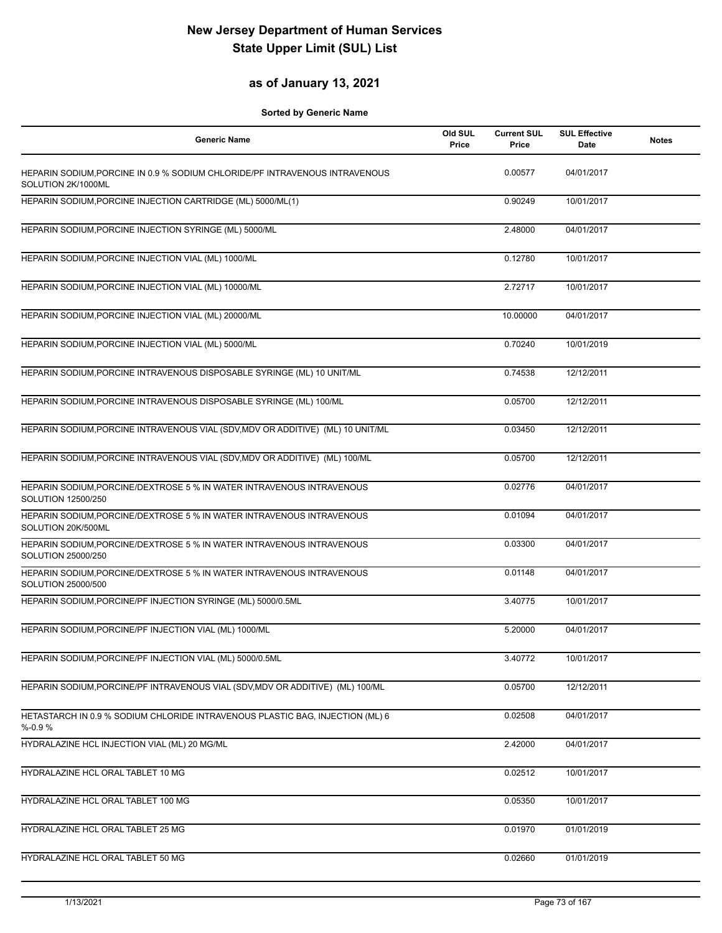### **as of January 13, 2021**

| <b>Generic Name</b>                                                                               | Old SUL<br>Price | <b>Current SUL</b><br>Price | <b>SUL Effective</b><br><b>Date</b> | <b>Notes</b> |
|---------------------------------------------------------------------------------------------------|------------------|-----------------------------|-------------------------------------|--------------|
| HEPARIN SODIUM, PORCINE IN 0.9 % SODIUM CHLORIDE/PF INTRAVENOUS INTRAVENOUS<br>SOLUTION 2K/1000ML |                  | 0.00577                     | 04/01/2017                          |              |
| HEPARIN SODIUM, PORCINE INJECTION CARTRIDGE (ML) 5000/ML(1)                                       |                  | 0.90249                     | 10/01/2017                          |              |
| HEPARIN SODIUM, PORCINE INJECTION SYRINGE (ML) 5000/ML                                            |                  | 2.48000                     | 04/01/2017                          |              |
| HEPARIN SODIUM, PORCINE INJECTION VIAL (ML) 1000/ML                                               |                  | 0.12780                     | 10/01/2017                          |              |
| HEPARIN SODIUM, PORCINE INJECTION VIAL (ML) 10000/ML                                              |                  | 2.72717                     | 10/01/2017                          |              |
| HEPARIN SODIUM, PORCINE INJECTION VIAL (ML) 20000/ML                                              |                  | 10.00000                    | 04/01/2017                          |              |
| HEPARIN SODIUM, PORCINE INJECTION VIAL (ML) 5000/ML                                               |                  | 0.70240                     | 10/01/2019                          |              |
| HEPARIN SODIUM, PORCINE INTRAVENOUS DISPOSABLE SYRINGE (ML) 10 UNIT/ML                            |                  | 0.74538                     | 12/12/2011                          |              |
| HEPARIN SODIUM, PORCINE INTRAVENOUS DISPOSABLE SYRINGE (ML) 100/ML                                |                  | 0.05700                     | 12/12/2011                          |              |
| HEPARIN SODIUM, PORCINE INTRAVENOUS VIAL (SDV, MDV OR ADDITIVE) (ML) 10 UNIT/ML                   |                  | 0.03450                     | 12/12/2011                          |              |
| HEPARIN SODIUM, PORCINE INTRAVENOUS VIAL (SDV, MDV OR ADDITIVE) (ML) 100/ML                       |                  | 0.05700                     | 12/12/2011                          |              |
| HEPARIN SODIUM, PORCINE/DEXTROSE 5 % IN WATER INTRAVENOUS INTRAVENOUS<br>SOLUTION 12500/250       |                  | 0.02776                     | 04/01/2017                          |              |
| HEPARIN SODIUM, PORCINE/DEXTROSE 5 % IN WATER INTRAVENOUS INTRAVENOUS<br>SOLUTION 20K/500ML       |                  | 0.01094                     | 04/01/2017                          |              |
| HEPARIN SODIUM, PORCINE/DEXTROSE 5 % IN WATER INTRAVENOUS INTRAVENOUS<br>SOLUTION 25000/250       |                  | 0.03300                     | 04/01/2017                          |              |
| HEPARIN SODIUM, PORCINE/DEXTROSE 5 % IN WATER INTRAVENOUS INTRAVENOUS<br>SOLUTION 25000/500       |                  | 0.01148                     | 04/01/2017                          |              |
| HEPARIN SODIUM, PORCINE/PF INJECTION SYRINGE (ML) 5000/0.5ML                                      |                  | 3.40775                     | 10/01/2017                          |              |
| HEPARIN SODIUM, PORCINE/PF INJECTION VIAL (ML) 1000/ML                                            |                  | 5.20000                     | 04/01/2017                          |              |
| HEPARIN SODIUM, PORCINE/PF INJECTION VIAL (ML) 5000/0.5ML                                         |                  | 3.40772                     | 10/01/2017                          |              |
| HEPARIN SODIUM, PORCINE/PF INTRAVENOUS VIAL (SDV, MDV OR ADDITIVE) (ML) 100/ML                    |                  | 0.05700                     | 12/12/2011                          |              |
| HETASTARCH IN 0.9 % SODIUM CHLORIDE INTRAVENOUS PLASTIC BAG, INJECTION (ML) 6<br>$% -0.9%$        |                  | 0.02508                     | 04/01/2017                          |              |
| HYDRALAZINE HCL INJECTION VIAL (ML) 20 MG/ML                                                      |                  | 2.42000                     | 04/01/2017                          |              |
| HYDRALAZINE HCL ORAL TABLET 10 MG                                                                 |                  | 0.02512                     | 10/01/2017                          |              |
| HYDRALAZINE HCL ORAL TABLET 100 MG                                                                |                  | 0.05350                     | 10/01/2017                          |              |
| HYDRALAZINE HCL ORAL TABLET 25 MG                                                                 |                  | 0.01970                     | 01/01/2019                          |              |
| HYDRALAZINE HCL ORAL TABLET 50 MG                                                                 |                  | 0.02660                     | 01/01/2019                          |              |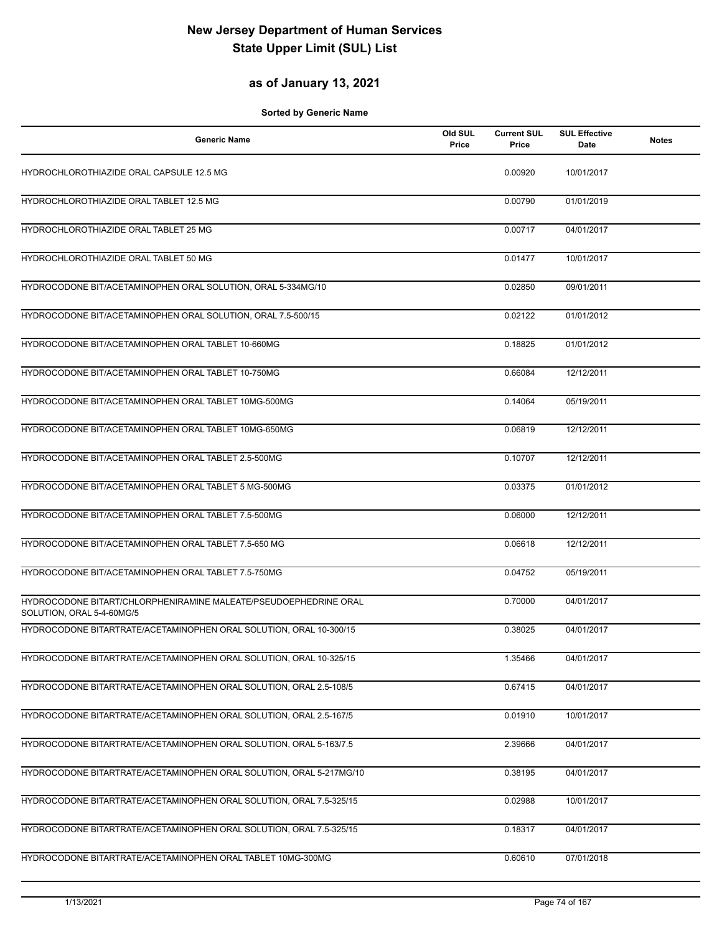#### **as of January 13, 2021**

| <b>Generic Name</b>                                                                           | Old SUL<br>Price | <b>Current SUL</b><br>Price | <b>SUL Effective</b><br>Date | <b>Notes</b> |
|-----------------------------------------------------------------------------------------------|------------------|-----------------------------|------------------------------|--------------|
| HYDROCHLOROTHIAZIDE ORAL CAPSULE 12.5 MG                                                      |                  | 0.00920                     | 10/01/2017                   |              |
| HYDROCHLOROTHIAZIDE ORAL TABLET 12.5 MG                                                       |                  | 0.00790                     | 01/01/2019                   |              |
| HYDROCHLOROTHIAZIDE ORAL TABLET 25 MG                                                         |                  | 0.00717                     | 04/01/2017                   |              |
| HYDROCHLOROTHIAZIDE ORAL TABLET 50 MG                                                         |                  | 0.01477                     | 10/01/2017                   |              |
| HYDROCODONE BIT/ACETAMINOPHEN ORAL SOLUTION, ORAL 5-334MG/10                                  |                  | 0.02850                     | 09/01/2011                   |              |
| HYDROCODONE BIT/ACETAMINOPHEN ORAL SOLUTION, ORAL 7.5-500/15                                  |                  | 0.02122                     | 01/01/2012                   |              |
| HYDROCODONE BIT/ACETAMINOPHEN ORAL TABLET 10-660MG                                            |                  | 0.18825                     | 01/01/2012                   |              |
| HYDROCODONE BIT/ACETAMINOPHEN ORAL TABLET 10-750MG                                            |                  | 0.66084                     | 12/12/2011                   |              |
| HYDROCODONE BIT/ACETAMINOPHEN ORAL TABLET 10MG-500MG                                          |                  | 0.14064                     | 05/19/2011                   |              |
| HYDROCODONE BIT/ACETAMINOPHEN ORAL TABLET 10MG-650MG                                          |                  | 0.06819                     | 12/12/2011                   |              |
| HYDROCODONE BIT/ACETAMINOPHEN ORAL TABLET 2.5-500MG                                           |                  | 0.10707                     | 12/12/2011                   |              |
| HYDROCODONE BIT/ACETAMINOPHEN ORAL TABLET 5 MG-500MG                                          |                  | 0.03375                     | 01/01/2012                   |              |
| HYDROCODONE BIT/ACETAMINOPHEN ORAL TABLET 7.5-500MG                                           |                  | 0.06000                     | 12/12/2011                   |              |
| HYDROCODONE BIT/ACETAMINOPHEN ORAL TABLET 7.5-650 MG                                          |                  | 0.06618                     | 12/12/2011                   |              |
| HYDROCODONE BIT/ACETAMINOPHEN ORAL TABLET 7.5-750MG                                           |                  | 0.04752                     | 05/19/2011                   |              |
| HYDROCODONE BITART/CHLORPHENIRAMINE MALEATE/PSEUDOEPHEDRINE ORAL<br>SOLUTION, ORAL 5-4-60MG/5 |                  | 0.70000                     | 04/01/2017                   |              |
| HYDROCODONE BITARTRATE/ACETAMINOPHEN ORAL SOLUTION, ORAL 10-300/15                            |                  | 0.38025                     | 04/01/2017                   |              |
| HYDROCODONE BITARTRATE/ACETAMINOPHEN ORAL SOLUTION, ORAL 10-325/15                            |                  | 1.35466                     | 04/01/2017                   |              |
| HYDROCODONE BITARTRATE/ACETAMINOPHEN ORAL SOLUTION, ORAL 2.5-108/5                            |                  | 0.67415                     | 04/01/2017                   |              |
| HYDROCODONE BITARTRATE/ACETAMINOPHEN ORAL SOLUTION, ORAL 2.5-167/5                            |                  | 0.01910                     | 10/01/2017                   |              |
| HYDROCODONE BITARTRATE/ACETAMINOPHEN ORAL SOLUTION, ORAL 5-163/7.5                            |                  | 2.39666                     | 04/01/2017                   |              |
| HYDROCODONE BITARTRATE/ACETAMINOPHEN ORAL SOLUTION, ORAL 5-217MG/10                           |                  | 0.38195                     | 04/01/2017                   |              |
| HYDROCODONE BITARTRATE/ACETAMINOPHEN ORAL SOLUTION, ORAL 7.5-325/15                           |                  | 0.02988                     | 10/01/2017                   |              |
| HYDROCODONE BITARTRATE/ACETAMINOPHEN ORAL SOLUTION, ORAL 7.5-325/15                           |                  | 0.18317                     | 04/01/2017                   |              |
| HYDROCODONE BITARTRATE/ACETAMINOPHEN ORAL TABLET 10MG-300MG                                   |                  | 0.60610                     | 07/01/2018                   |              |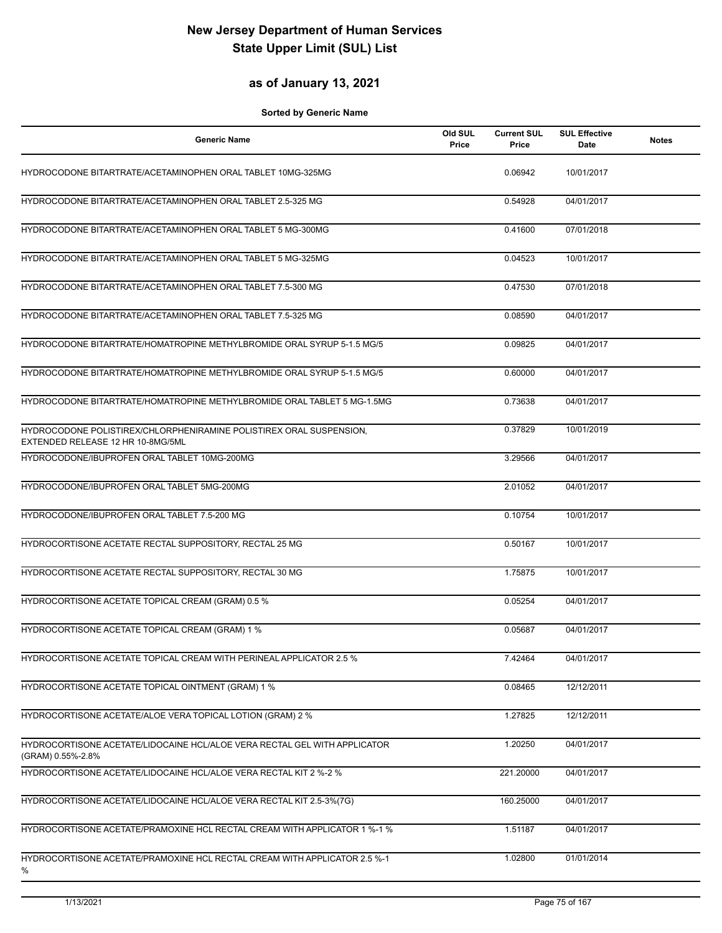#### **as of January 13, 2021**

| <b>Generic Name</b>                                                                                      | Old SUL<br>Price | <b>Current SUL</b><br>Price | <b>SUL Effective</b><br>Date | <b>Notes</b> |
|----------------------------------------------------------------------------------------------------------|------------------|-----------------------------|------------------------------|--------------|
| HYDROCODONE BITARTRATE/ACETAMINOPHEN ORAL TABLET 10MG-325MG                                              |                  | 0.06942                     | 10/01/2017                   |              |
| HYDROCODONE BITARTRATE/ACETAMINOPHEN ORAL TABLET 2.5-325 MG                                              |                  | 0.54928                     | 04/01/2017                   |              |
| HYDROCODONE BITARTRATE/ACETAMINOPHEN ORAL TABLET 5 MG-300MG                                              |                  | 0.41600                     | 07/01/2018                   |              |
| HYDROCODONE BITARTRATE/ACETAMINOPHEN ORAL TABLET 5 MG-325MG                                              |                  | 0.04523                     | 10/01/2017                   |              |
| HYDROCODONE BITARTRATE/ACETAMINOPHEN ORAL TABLET 7.5-300 MG                                              |                  | 0.47530                     | 07/01/2018                   |              |
| HYDROCODONE BITARTRATE/ACETAMINOPHEN ORAL TABLET 7.5-325 MG                                              |                  | 0.08590                     | 04/01/2017                   |              |
| HYDROCODONE BITARTRATE/HOMATROPINE METHYLBROMIDE ORAL SYRUP 5-1.5 MG/5                                   |                  | 0.09825                     | 04/01/2017                   |              |
| HYDROCODONE BITARTRATE/HOMATROPINE METHYLBROMIDE ORAL SYRUP 5-1.5 MG/5                                   |                  | 0.60000                     | 04/01/2017                   |              |
| HYDROCODONE BITARTRATE/HOMATROPINE METHYLBROMIDE ORAL TABLET 5 MG-1.5MG                                  |                  | 0.73638                     | 04/01/2017                   |              |
| HYDROCODONE POLISTIREX/CHLORPHENIRAMINE POLISTIREX ORAL SUSPENSION,<br>EXTENDED RELEASE 12 HR 10-8MG/5ML |                  | 0.37829                     | 10/01/2019                   |              |
| HYDROCODONE/IBUPROFEN ORAL TABLET 10MG-200MG                                                             |                  | 3.29566                     | 04/01/2017                   |              |
| HYDROCODONE/IBUPROFEN ORAL TABLET 5MG-200MG                                                              |                  | 2.01052                     | 04/01/2017                   |              |
| HYDROCODONE/IBUPROFEN ORAL TABLET 7.5-200 MG                                                             |                  | 0.10754                     | 10/01/2017                   |              |
| HYDROCORTISONE ACETATE RECTAL SUPPOSITORY, RECTAL 25 MG                                                  |                  | 0.50167                     | 10/01/2017                   |              |
| HYDROCORTISONE ACETATE RECTAL SUPPOSITORY, RECTAL 30 MG                                                  |                  | 1.75875                     | 10/01/2017                   |              |
| HYDROCORTISONE ACETATE TOPICAL CREAM (GRAM) 0.5 %                                                        |                  | 0.05254                     | 04/01/2017                   |              |
| HYDROCORTISONE ACETATE TOPICAL CREAM (GRAM) 1 %                                                          |                  | 0.05687                     | 04/01/2017                   |              |
| HYDROCORTISONE ACETATE TOPICAL CREAM WITH PERINEAL APPLICATOR 2.5 %                                      |                  | 7.42464                     | 04/01/2017                   |              |
| HYDROCORTISONE ACETATE TOPICAL OINTMENT (GRAM) 1 %                                                       |                  | 0.08465                     | 12/12/2011                   |              |
| HYDROCORTISONE ACETATE/ALOE VERA TOPICAL LOTION (GRAM) 2 %                                               |                  | 1.27825                     | 12/12/2011                   |              |
| HYDROCORTISONE ACETATE/LIDOCAINE HCL/ALOE VERA RECTAL GEL WITH APPLICATOR<br>(GRAM) 0.55%-2.8%           |                  | 1.20250                     | 04/01/2017                   |              |
| HYDROCORTISONE ACETATE/LIDOCAINE HCL/ALOE VERA RECTAL KIT 2 %-2 %                                        |                  | 221.20000                   | 04/01/2017                   |              |
| HYDROCORTISONE ACETATE/LIDOCAINE HCL/ALOE VERA RECTAL KIT 2.5-3%(7G)                                     |                  | 160.25000                   | 04/01/2017                   |              |
| HYDROCORTISONE ACETATE/PRAMOXINE HCL RECTAL CREAM WITH APPLICATOR 1 %-1 %                                |                  | 1.51187                     | 04/01/2017                   |              |
| HYDROCORTISONE ACETATE/PRAMOXINE HCL RECTAL CREAM WITH APPLICATOR 2.5 %-1<br>%                           |                  | 1.02800                     | 01/01/2014                   |              |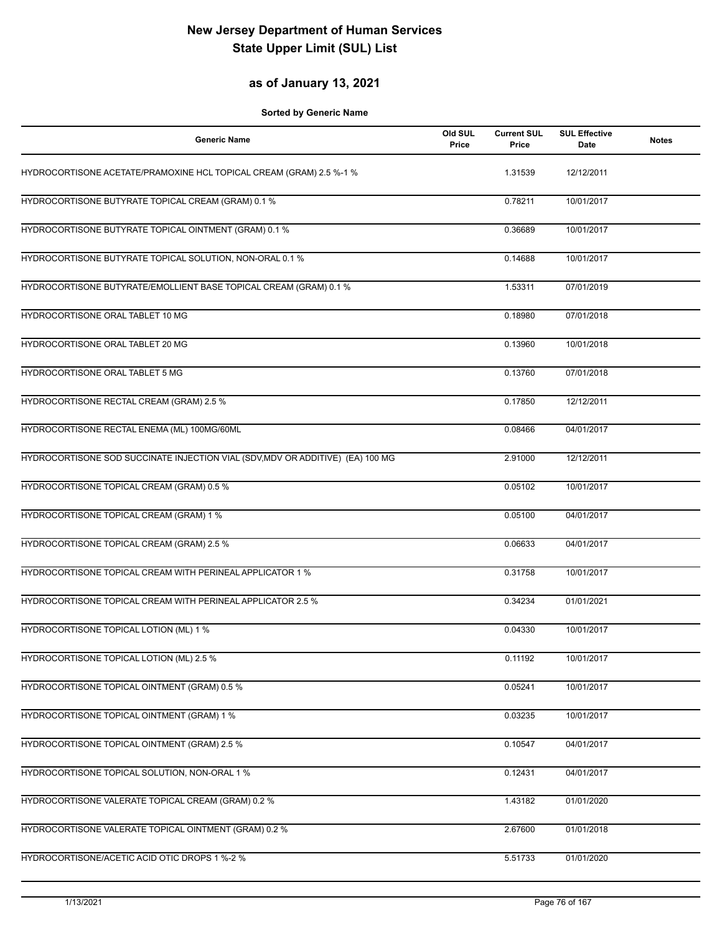### **as of January 13, 2021**

| <b>Generic Name</b>                                                            | Old SUL<br>Price | <b>Current SUL</b><br>Price | <b>SUL Effective</b><br>Date | <b>Notes</b> |
|--------------------------------------------------------------------------------|------------------|-----------------------------|------------------------------|--------------|
| HYDROCORTISONE ACETATE/PRAMOXINE HCL TOPICAL CREAM (GRAM) 2.5 %-1 %            |                  | 1.31539                     | 12/12/2011                   |              |
| HYDROCORTISONE BUTYRATE TOPICAL CREAM (GRAM) 0.1 %                             |                  | 0.78211                     | 10/01/2017                   |              |
| HYDROCORTISONE BUTYRATE TOPICAL OINTMENT (GRAM) 0.1 %                          |                  | 0.36689                     | 10/01/2017                   |              |
| HYDROCORTISONE BUTYRATE TOPICAL SOLUTION, NON-ORAL 0.1 %                       |                  | 0.14688                     | 10/01/2017                   |              |
| HYDROCORTISONE BUTYRATE/EMOLLIENT BASE TOPICAL CREAM (GRAM) 0.1 %              |                  | 1.53311                     | 07/01/2019                   |              |
| HYDROCORTISONE ORAL TABLET 10 MG                                               |                  | 0.18980                     | 07/01/2018                   |              |
| HYDROCORTISONE ORAL TABLET 20 MG                                               |                  | 0.13960                     | 10/01/2018                   |              |
| HYDROCORTISONE ORAL TABLET 5 MG                                                |                  | 0.13760                     | 07/01/2018                   |              |
| HYDROCORTISONE RECTAL CREAM (GRAM) 2.5 %                                       |                  | 0.17850                     | 12/12/2011                   |              |
| HYDROCORTISONE RECTAL ENEMA (ML) 100MG/60ML                                    |                  | 0.08466                     | 04/01/2017                   |              |
| HYDROCORTISONE SOD SUCCINATE INJECTION VIAL (SDV, MDV OR ADDITIVE) (EA) 100 MG |                  | 2.91000                     | 12/12/2011                   |              |
| HYDROCORTISONE TOPICAL CREAM (GRAM) 0.5 %                                      |                  | 0.05102                     | 10/01/2017                   |              |
| HYDROCORTISONE TOPICAL CREAM (GRAM) 1 %                                        |                  | 0.05100                     | 04/01/2017                   |              |
| HYDROCORTISONE TOPICAL CREAM (GRAM) 2.5 %                                      |                  | 0.06633                     | 04/01/2017                   |              |
| HYDROCORTISONE TOPICAL CREAM WITH PERINEAL APPLICATOR 1 %                      |                  | 0.31758                     | 10/01/2017                   |              |
| <b>HYDROCORTISONE TOPICAL CREAM WITH PERINEAL APPLICATOR 2.5 %</b>             |                  | 0.34234                     | 01/01/2021                   |              |
| HYDROCORTISONE TOPICAL LOTION (ML) 1 %                                         |                  | 0.04330                     | 10/01/2017                   |              |
| HYDROCORTISONE TOPICAL LOTION (ML) 2.5 %                                       |                  | 0.11192                     | 10/01/2017                   |              |
| HYDROCORTISONE TOPICAL OINTMENT (GRAM) 0.5 %                                   |                  | 0.05241                     | 10/01/2017                   |              |
| HYDROCORTISONE TOPICAL OINTMENT (GRAM) 1 %                                     |                  | 0.03235                     | 10/01/2017                   |              |
| HYDROCORTISONE TOPICAL OINTMENT (GRAM) 2.5 %                                   |                  | 0.10547                     | 04/01/2017                   |              |
| HYDROCORTISONE TOPICAL SOLUTION, NON-ORAL 1 %                                  |                  | 0.12431                     | 04/01/2017                   |              |
| HYDROCORTISONE VALERATE TOPICAL CREAM (GRAM) 0.2 %                             |                  | 1.43182                     | 01/01/2020                   |              |
| HYDROCORTISONE VALERATE TOPICAL OINTMENT (GRAM) 0.2 %                          |                  | 2.67600                     | 01/01/2018                   |              |
| HYDROCORTISONE/ACETIC ACID OTIC DROPS 1 %-2 %                                  |                  | 5.51733                     | 01/01/2020                   |              |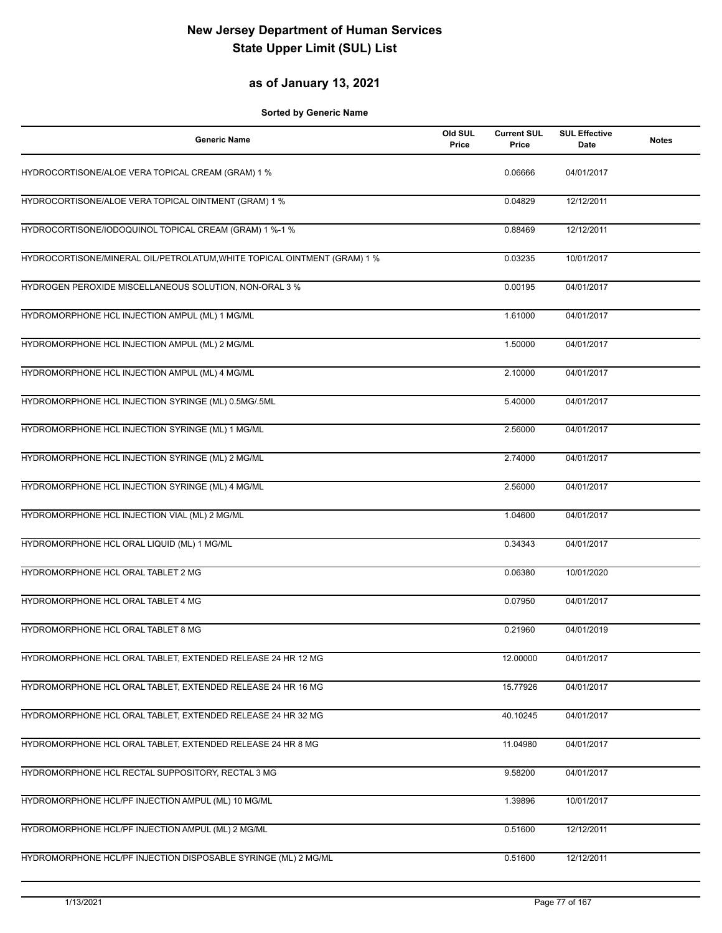### **as of January 13, 2021**

| <b>Generic Name</b>                                                      | Old SUL<br>Price | <b>Current SUL</b><br>Price | <b>SUL Effective</b><br>Date | <b>Notes</b> |
|--------------------------------------------------------------------------|------------------|-----------------------------|------------------------------|--------------|
| HYDROCORTISONE/ALOE VERA TOPICAL CREAM (GRAM) 1 %                        |                  | 0.06666                     | 04/01/2017                   |              |
| HYDROCORTISONE/ALOE VERA TOPICAL OINTMENT (GRAM) 1 %                     |                  | 0.04829                     | 12/12/2011                   |              |
| HYDROCORTISONE/IODOQUINOL TOPICAL CREAM (GRAM) 1 %-1 %                   |                  | 0.88469                     | 12/12/2011                   |              |
| HYDROCORTISONE/MINERAL OIL/PETROLATUM, WHITE TOPICAL OINTMENT (GRAM) 1 % |                  | 0.03235                     | 10/01/2017                   |              |
| HYDROGEN PEROXIDE MISCELLANEOUS SOLUTION, NON-ORAL 3 %                   |                  | 0.00195                     | 04/01/2017                   |              |
| HYDROMORPHONE HCL INJECTION AMPUL (ML) 1 MG/ML                           |                  | 1.61000                     | 04/01/2017                   |              |
| HYDROMORPHONE HCL INJECTION AMPUL (ML) 2 MG/ML                           |                  | 1.50000                     | 04/01/2017                   |              |
| HYDROMORPHONE HCL INJECTION AMPUL (ML) 4 MG/ML                           |                  | 2.10000                     | 04/01/2017                   |              |
| HYDROMORPHONE HCL INJECTION SYRINGE (ML) 0.5MG/.5ML                      |                  | 5.40000                     | 04/01/2017                   |              |
| HYDROMORPHONE HCL INJECTION SYRINGE (ML) 1 MG/ML                         |                  | 2.56000                     | 04/01/2017                   |              |
| HYDROMORPHONE HCL INJECTION SYRINGE (ML) 2 MG/ML                         |                  | 2.74000                     | 04/01/2017                   |              |
| HYDROMORPHONE HCL INJECTION SYRINGE (ML) 4 MG/ML                         |                  | 2.56000                     | 04/01/2017                   |              |
| HYDROMORPHONE HCL INJECTION VIAL (ML) 2 MG/ML                            |                  | 1.04600                     | 04/01/2017                   |              |
| HYDROMORPHONE HCL ORAL LIQUID (ML) 1 MG/ML                               |                  | 0.34343                     | 04/01/2017                   |              |
| HYDROMORPHONE HCL ORAL TABLET 2 MG                                       |                  | 0.06380                     | 10/01/2020                   |              |
| HYDROMORPHONE HCL ORAL TABLET 4 MG                                       |                  | 0.07950                     | 04/01/2017                   |              |
| HYDROMORPHONE HCL ORAL TABLET 8 MG                                       |                  | 0.21960                     | 04/01/2019                   |              |
| HYDROMORPHONE HCL ORAL TABLET, EXTENDED RELEASE 24 HR 12 MG              |                  | 12.00000                    | 04/01/2017                   |              |
| HYDROMORPHONE HCL ORAL TABLET, EXTENDED RELEASE 24 HR 16 MG              |                  | 15.77926                    | 04/01/2017                   |              |
| HYDROMORPHONE HCL ORAL TABLET, EXTENDED RELEASE 24 HR 32 MG              |                  | 40.10245                    | 04/01/2017                   |              |
| HYDROMORPHONE HCL ORAL TABLET, EXTENDED RELEASE 24 HR 8 MG               |                  | 11.04980                    | 04/01/2017                   |              |
| HYDROMORPHONE HCL RECTAL SUPPOSITORY, RECTAL 3 MG                        |                  | 9.58200                     | 04/01/2017                   |              |
| HYDROMORPHONE HCL/PF INJECTION AMPUL (ML) 10 MG/ML                       |                  | 1.39896                     | 10/01/2017                   |              |
| HYDROMORPHONE HCL/PF INJECTION AMPUL (ML) 2 MG/ML                        |                  | 0.51600                     | 12/12/2011                   |              |
| HYDROMORPHONE HCL/PF INJECTION DISPOSABLE SYRINGE (ML) 2 MG/ML           |                  | 0.51600                     | 12/12/2011                   |              |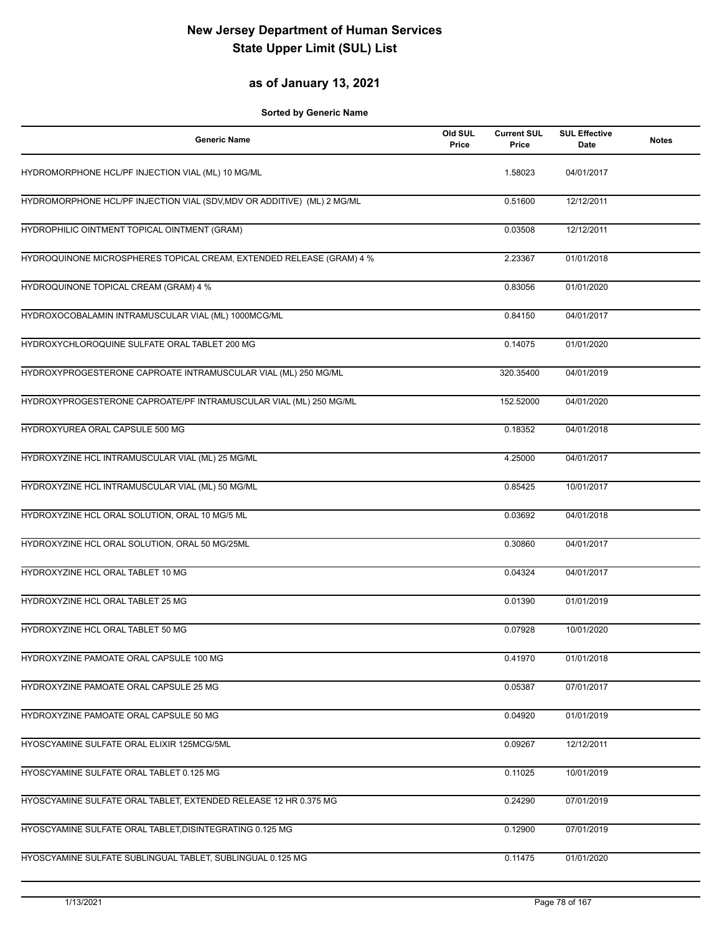### **as of January 13, 2021**

| <b>Generic Name</b>                                                     | Old SUL<br>Price | <b>Current SUL</b><br>Price | <b>SUL Effective</b><br>Date | <b>Notes</b> |
|-------------------------------------------------------------------------|------------------|-----------------------------|------------------------------|--------------|
| HYDROMORPHONE HCL/PF INJECTION VIAL (ML) 10 MG/ML                       |                  | 1.58023                     | 04/01/2017                   |              |
| HYDROMORPHONE HCL/PF INJECTION VIAL (SDV, MDV OR ADDITIVE) (ML) 2 MG/ML |                  | 0.51600                     | 12/12/2011                   |              |
| HYDROPHILIC OINTMENT TOPICAL OINTMENT (GRAM)                            |                  | 0.03508                     | 12/12/2011                   |              |
| HYDROQUINONE MICROSPHERES TOPICAL CREAM, EXTENDED RELEASE (GRAM) 4 %    |                  | 2.23367                     | 01/01/2018                   |              |
| HYDROQUINONE TOPICAL CREAM (GRAM) 4 %                                   |                  | 0.83056                     | 01/01/2020                   |              |
| HYDROXOCOBALAMIN INTRAMUSCULAR VIAL (ML) 1000MCG/ML                     |                  | 0.84150                     | 04/01/2017                   |              |
| HYDROXYCHLOROQUINE SULFATE ORAL TABLET 200 MG                           |                  | 0.14075                     | 01/01/2020                   |              |
| HYDROXYPROGESTERONE CAPROATE INTRAMUSCULAR VIAL (ML) 250 MG/ML          |                  | 320.35400                   | 04/01/2019                   |              |
| HYDROXYPROGESTERONE CAPROATE/PF INTRAMUSCULAR VIAL (ML) 250 MG/ML       |                  | 152.52000                   | 04/01/2020                   |              |
| HYDROXYUREA ORAL CAPSULE 500 MG                                         |                  | 0.18352                     | 04/01/2018                   |              |
| HYDROXYZINE HCL INTRAMUSCULAR VIAL (ML) 25 MG/ML                        |                  | 4.25000                     | 04/01/2017                   |              |
| HYDROXYZINE HCL INTRAMUSCULAR VIAL (ML) 50 MG/ML                        |                  | 0.85425                     | 10/01/2017                   |              |
| HYDROXYZINE HCL ORAL SOLUTION, ORAL 10 MG/5 ML                          |                  | 0.03692                     | 04/01/2018                   |              |
| HYDROXYZINE HCL ORAL SOLUTION, ORAL 50 MG/25ML                          |                  | 0.30860                     | 04/01/2017                   |              |
| HYDROXYZINE HCL ORAL TABLET 10 MG                                       |                  | 0.04324                     | 04/01/2017                   |              |
| HYDROXYZINE HCL ORAL TABLET 25 MG                                       |                  | 0.01390                     | 01/01/2019                   |              |
| HYDROXYZINE HCL ORAL TABLET 50 MG                                       |                  | 0.07928                     | 10/01/2020                   |              |
| HYDROXYZINE PAMOATE ORAL CAPSULE 100 MG                                 |                  | 0.41970                     | 01/01/2018                   |              |
| HYDROXYZINE PAMOATE ORAL CAPSULE 25 MG                                  |                  | 0.05387                     | 07/01/2017                   |              |
| HYDROXYZINE PAMOATE ORAL CAPSULE 50 MG                                  |                  | 0.04920                     | 01/01/2019                   |              |
| HYOSCYAMINE SULFATE ORAL ELIXIR 125MCG/5ML                              |                  | 0.09267                     | 12/12/2011                   |              |
| HYOSCYAMINE SULFATE ORAL TABLET 0.125 MG                                |                  | 0.11025                     | 10/01/2019                   |              |
| HYOSCYAMINE SULFATE ORAL TABLET, EXTENDED RELEASE 12 HR 0.375 MG        |                  | 0.24290                     | 07/01/2019                   |              |
| HYOSCYAMINE SULFATE ORAL TABLET, DISINTEGRATING 0.125 MG                |                  | 0.12900                     | 07/01/2019                   |              |
| HYOSCYAMINE SULFATE SUBLINGUAL TABLET, SUBLINGUAL 0.125 MG              |                  | 0.11475                     | 01/01/2020                   |              |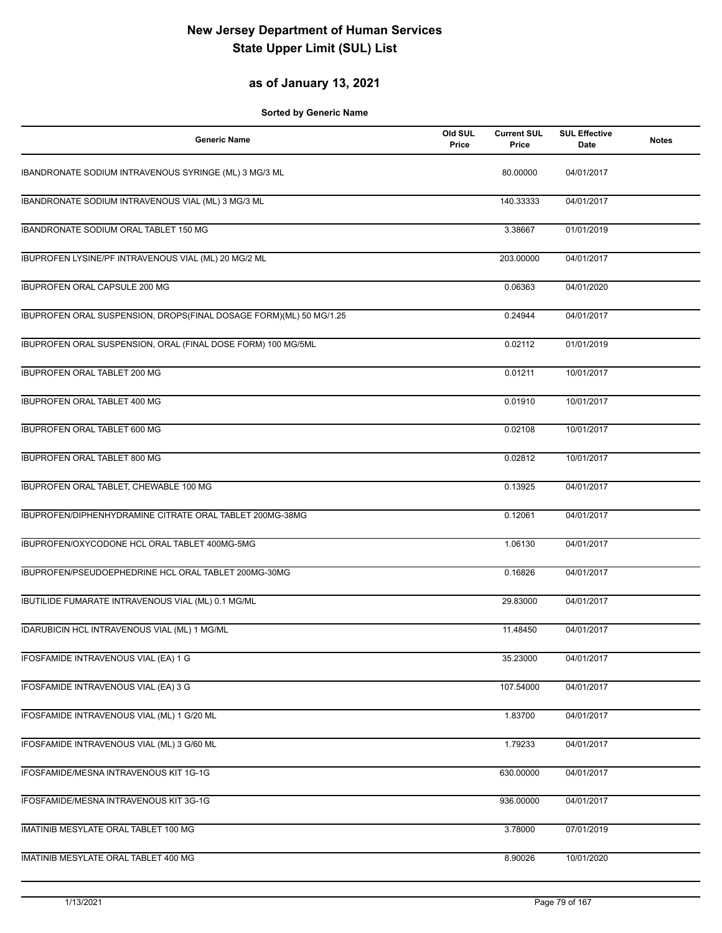### **as of January 13, 2021**

| <b>Generic Name</b>                                                | Old SUL<br>Price | <b>Current SUL</b><br>Price | <b>SUL Effective</b><br>Date | <b>Notes</b> |
|--------------------------------------------------------------------|------------------|-----------------------------|------------------------------|--------------|
| IBANDRONATE SODIUM INTRAVENOUS SYRINGE (ML) 3 MG/3 ML              |                  | 80.00000                    | 04/01/2017                   |              |
| IBANDRONATE SODIUM INTRAVENOUS VIAL (ML) 3 MG/3 ML                 |                  | 140.33333                   | 04/01/2017                   |              |
| IBANDRONATE SODIUM ORAL TABLET 150 MG                              |                  | 3.38667                     | 01/01/2019                   |              |
| IBUPROFEN LYSINE/PF INTRAVENOUS VIAL (ML) 20 MG/2 ML               |                  | 203.00000                   | 04/01/2017                   |              |
| <b>IBUPROFEN ORAL CAPSULE 200 MG</b>                               |                  | 0.06363                     | 04/01/2020                   |              |
| IBUPROFEN ORAL SUSPENSION, DROPS(FINAL DOSAGE FORM)(ML) 50 MG/1.25 |                  | 0.24944                     | 04/01/2017                   |              |
| IBUPROFEN ORAL SUSPENSION, ORAL (FINAL DOSE FORM) 100 MG/5ML       |                  | 0.02112                     | 01/01/2019                   |              |
| IBUPROFEN ORAL TABLET 200 MG                                       |                  | 0.01211                     | 10/01/2017                   |              |
| <b>IBUPROFEN ORAL TABLET 400 MG</b>                                |                  | 0.01910                     | 10/01/2017                   |              |
| IBUPROFEN ORAL TABLET 600 MG                                       |                  | 0.02108                     | 10/01/2017                   |              |
| IBUPROFEN ORAL TABLET 800 MG                                       |                  | 0.02812                     | 10/01/2017                   |              |
| IBUPROFEN ORAL TABLET, CHEWABLE 100 MG                             |                  | 0.13925                     | 04/01/2017                   |              |
| IBUPROFEN/DIPHENHYDRAMINE CITRATE ORAL TABLET 200MG-38MG           |                  | 0.12061                     | 04/01/2017                   |              |
| IBUPROFEN/OXYCODONE HCL ORAL TABLET 400MG-5MG                      |                  | 1.06130                     | 04/01/2017                   |              |
| IBUPROFEN/PSEUDOEPHEDRINE HCL ORAL TABLET 200MG-30MG               |                  | 0.16826                     | 04/01/2017                   |              |
| IBUTILIDE FUMARATE INTRAVENOUS VIAL (ML) 0.1 MG/ML                 |                  | 29.83000                    | 04/01/2017                   |              |
| IDARUBICIN HCL INTRAVENOUS VIAL (ML) 1 MG/ML                       |                  | 11.48450                    | 04/01/2017                   |              |
| IFOSFAMIDE INTRAVENOUS VIAL (EA) 1 G                               |                  | 35.23000                    | 04/01/2017                   |              |
| IFOSFAMIDE INTRAVENOUS VIAL (EA) 3 G                               |                  | 107.54000                   | 04/01/2017                   |              |
| IFOSFAMIDE INTRAVENOUS VIAL (ML) 1 G/20 ML                         |                  | 1.83700                     | 04/01/2017                   |              |
| IFOSFAMIDE INTRAVENOUS VIAL (ML) 3 G/60 ML                         |                  | 1.79233                     | 04/01/2017                   |              |
| IFOSFAMIDE/MESNA INTRAVENOUS KIT 1G-1G                             |                  | 630.00000                   | 04/01/2017                   |              |
| IFOSFAMIDE/MESNA INTRAVENOUS KIT 3G-1G                             |                  | 936.00000                   | 04/01/2017                   |              |
| IMATINIB MESYLATE ORAL TABLET 100 MG                               |                  | 3.78000                     | 07/01/2019                   |              |
| IMATINIB MESYLATE ORAL TABLET 400 MG                               |                  | 8.90026                     | 10/01/2020                   |              |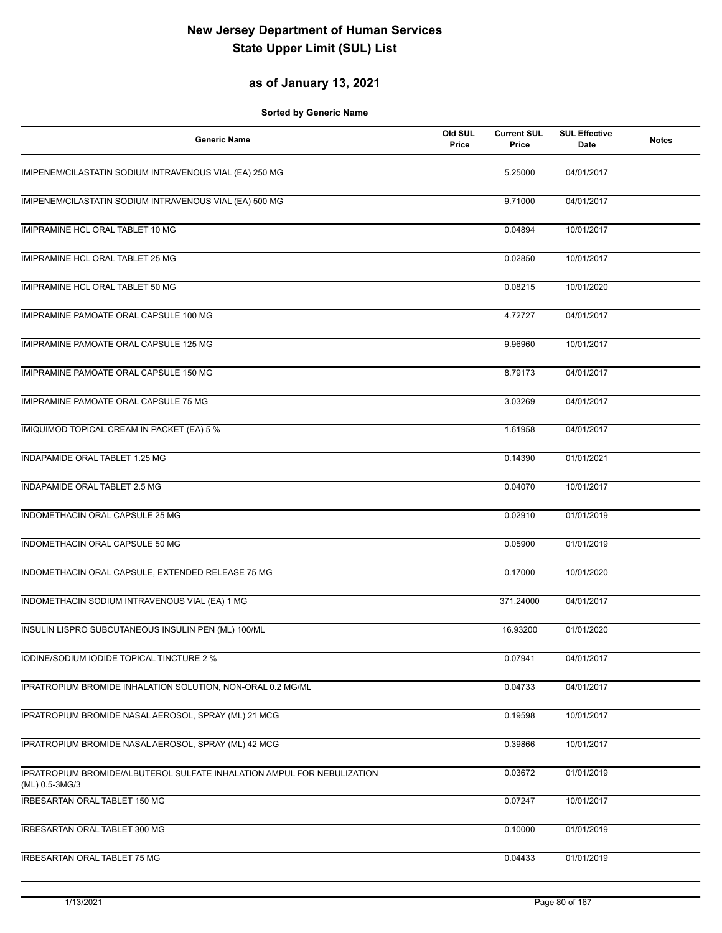### **as of January 13, 2021**

| <b>Generic Name</b>                                                                       | Old SUL<br>Price | <b>Current SUL</b><br>Price | <b>SUL Effective</b><br>Date | <b>Notes</b> |
|-------------------------------------------------------------------------------------------|------------------|-----------------------------|------------------------------|--------------|
| IMIPENEM/CILASTATIN SODIUM INTRAVENOUS VIAL (EA) 250 MG                                   |                  | 5.25000                     | 04/01/2017                   |              |
| IMIPENEM/CILASTATIN SODIUM INTRAVENOUS VIAL (EA) 500 MG                                   |                  | 9.71000                     | 04/01/2017                   |              |
| <b>IMIPRAMINE HCL ORAL TABLET 10 MG</b>                                                   |                  | 0.04894                     | 10/01/2017                   |              |
| IMIPRAMINE HCL ORAL TABLET 25 MG                                                          |                  | 0.02850                     | 10/01/2017                   |              |
| IMIPRAMINE HCL ORAL TABLET 50 MG                                                          |                  | 0.08215                     | 10/01/2020                   |              |
| IMIPRAMINE PAMOATE ORAL CAPSULE 100 MG                                                    |                  | 4.72727                     | 04/01/2017                   |              |
| IMIPRAMINE PAMOATE ORAL CAPSULE 125 MG                                                    |                  | 9.96960                     | 10/01/2017                   |              |
| IMIPRAMINE PAMOATE ORAL CAPSULE 150 MG                                                    |                  | 8.79173                     | 04/01/2017                   |              |
| IMIPRAMINE PAMOATE ORAL CAPSULE 75 MG                                                     |                  | 3.03269                     | 04/01/2017                   |              |
| IMIQUIMOD TOPICAL CREAM IN PACKET (EA) 5 %                                                |                  | 1.61958                     | 04/01/2017                   |              |
| INDAPAMIDE ORAL TABLET 1.25 MG                                                            |                  | 0.14390                     | 01/01/2021                   |              |
| INDAPAMIDE ORAL TABLET 2.5 MG                                                             |                  | 0.04070                     | 10/01/2017                   |              |
| INDOMETHACIN ORAL CAPSULE 25 MG                                                           |                  | 0.02910                     | 01/01/2019                   |              |
| INDOMETHACIN ORAL CAPSULE 50 MG                                                           |                  | 0.05900                     | 01/01/2019                   |              |
| INDOMETHACIN ORAL CAPSULE, EXTENDED RELEASE 75 MG                                         |                  | 0.17000                     | 10/01/2020                   |              |
| INDOMETHACIN SODIUM INTRAVENOUS VIAL (EA) 1 MG                                            |                  | 371.24000                   | 04/01/2017                   |              |
| INSULIN LISPRO SUBCUTANEOUS INSULIN PEN (ML) 100/ML                                       |                  | 16.93200                    | 01/01/2020                   |              |
| IODINE/SODIUM IODIDE TOPICAL TINCTURE 2 %                                                 |                  | 0.07941                     | 04/01/2017                   |              |
| IPRATROPIUM BROMIDE INHALATION SOLUTION, NON-ORAL 0.2 MG/ML                               |                  | 0.04733                     | 04/01/2017                   |              |
| IPRATROPIUM BROMIDE NASAL AEROSOL, SPRAY (ML) 21 MCG                                      |                  | 0.19598                     | 10/01/2017                   |              |
| IPRATROPIUM BROMIDE NASAL AEROSOL, SPRAY (ML) 42 MCG                                      |                  | 0.39866                     | 10/01/2017                   |              |
| IPRATROPIUM BROMIDE/ALBUTEROL SULFATE INHALATION AMPUL FOR NEBULIZATION<br>(ML) 0.5-3MG/3 |                  | 0.03672                     | 01/01/2019                   |              |
| IRBESARTAN ORAL TABLET 150 MG                                                             |                  | 0.07247                     | 10/01/2017                   |              |
| IRBESARTAN ORAL TABLET 300 MG                                                             |                  | 0.10000                     | 01/01/2019                   |              |
| IRBESARTAN ORAL TABLET 75 MG                                                              |                  | 0.04433                     | 01/01/2019                   |              |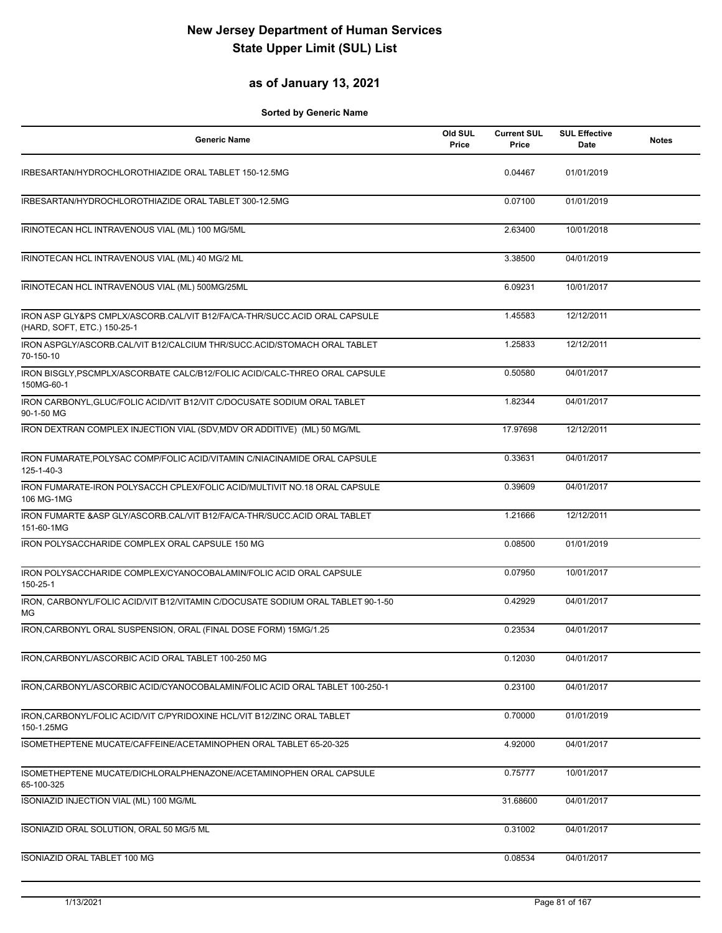### **as of January 13, 2021**

| Generic Name                                                                                             | Old SUL<br>Price | <b>Current SUL</b><br>Price | <b>SUL Effective</b><br>Date | <b>Notes</b> |
|----------------------------------------------------------------------------------------------------------|------------------|-----------------------------|------------------------------|--------------|
| IRBESARTAN/HYDROCHLOROTHIAZIDE ORAL TABLET 150-12.5MG                                                    |                  | 0.04467                     | 01/01/2019                   |              |
| IRBESARTAN/HYDROCHLOROTHIAZIDE ORAL TABLET 300-12.5MG                                                    |                  | 0.07100                     | 01/01/2019                   |              |
| IRINOTECAN HCL INTRAVENOUS VIAL (ML) 100 MG/5ML                                                          |                  | 2.63400                     | 10/01/2018                   |              |
| IRINOTECAN HCL INTRAVENOUS VIAL (ML) 40 MG/2 ML                                                          |                  | 3.38500                     | 04/01/2019                   |              |
| IRINOTECAN HCL INTRAVENOUS VIAL (ML) 500MG/25ML                                                          |                  | 6.09231                     | 10/01/2017                   |              |
| IRON ASP GLY&PS CMPLX/ASCORB.CAL/VIT B12/FA/CA-THR/SUCC.ACID ORAL CAPSULE<br>(HARD, SOFT, ETC.) 150-25-1 |                  | 1.45583                     | 12/12/2011                   |              |
| IRON ASPGLY/ASCORB.CAL/VIT B12/CALCIUM THR/SUCC.ACID/STOMACH ORAL TABLET<br>70-150-10                    |                  | 1.25833                     | 12/12/2011                   |              |
| IRON BISGLY, PSCMPLX/ASCORBATE CALC/B12/FOLIC ACID/CALC-THREO ORAL CAPSULE<br>150MG-60-1                 |                  | 0.50580                     | 04/01/2017                   |              |
| IRON CARBONYL, GLUC/FOLIC ACID/VIT B12/VIT C/DOCUSATE SODIUM ORAL TABLET<br>90-1-50 MG                   |                  | 1.82344                     | 04/01/2017                   |              |
| IRON DEXTRAN COMPLEX INJECTION VIAL (SDV, MDV OR ADDITIVE) (ML) 50 MG/ML                                 |                  | 17.97698                    | 12/12/2011                   |              |
| IRON FUMARATE, POLYSAC COMP/FOLIC ACID/VITAMIN C/NIACINAMIDE ORAL CAPSULE<br>125-1-40-3                  |                  | 0.33631                     | 04/01/2017                   |              |
| IRON FUMARATE-IRON POLYSACCH CPLEX/FOLIC ACID/MULTIVIT NO.18 ORAL CAPSULE<br>106 MG-1MG                  |                  | 0.39609                     | 04/01/2017                   |              |
| IRON FUMARTE & ASP GLY/ASCORB.CAL/VIT B12/FA/CA-THR/SUCC.ACID ORAL TABLET<br>151-60-1MG                  |                  | 1.21666                     | 12/12/2011                   |              |
| IRON POLYSACCHARIDE COMPLEX ORAL CAPSULE 150 MG                                                          |                  | 0.08500                     | 01/01/2019                   |              |
| IRON POLYSACCHARIDE COMPLEX/CYANOCOBALAMIN/FOLIC ACID ORAL CAPSULE<br>150-25-1                           |                  | 0.07950                     | 10/01/2017                   |              |
| IRON, CARBONYL/FOLIC ACID/VIT B12/VITAMIN C/DOCUSATE SODIUM ORAL TABLET 90-1-50<br>MG                    |                  | 0.42929                     | 04/01/2017                   |              |
| IRON, CARBONYL ORAL SUSPENSION, ORAL (FINAL DOSE FORM) 15MG/1.25                                         |                  | 0.23534                     | 04/01/2017                   |              |
| IRON, CARBONYL/ASCORBIC ACID ORAL TABLET 100-250 MG                                                      |                  | 0.12030                     | 04/01/2017                   |              |
| IRON, CARBONYL/ASCORBIC ACID/CYANOCOBALAMIN/FOLIC ACID ORAL TABLET 100-250-1                             |                  | 0.23100                     | 04/01/2017                   |              |
| IRON, CARBONYL/FOLIC ACID/VIT C/PYRIDOXINE HCL/VIT B12/ZINC ORAL TABLET<br>150-1.25MG                    |                  | 0.70000                     | 01/01/2019                   |              |
| ISOMETHEPTENE MUCATE/CAFFEINE/ACETAMINOPHEN ORAL TABLET 65-20-325                                        |                  | 4.92000                     | 04/01/2017                   |              |
| ISOMETHEPTENE MUCATE/DICHLORALPHENAZONE/ACETAMINOPHEN ORAL CAPSULE<br>65-100-325                         |                  | 0.75777                     | 10/01/2017                   |              |
| ISONIAZID INJECTION VIAL (ML) 100 MG/ML                                                                  |                  | 31.68600                    | 04/01/2017                   |              |
| ISONIAZID ORAL SOLUTION, ORAL 50 MG/5 ML                                                                 |                  | 0.31002                     | 04/01/2017                   |              |
| ISONIAZID ORAL TABLET 100 MG                                                                             |                  | 0.08534                     | 04/01/2017                   |              |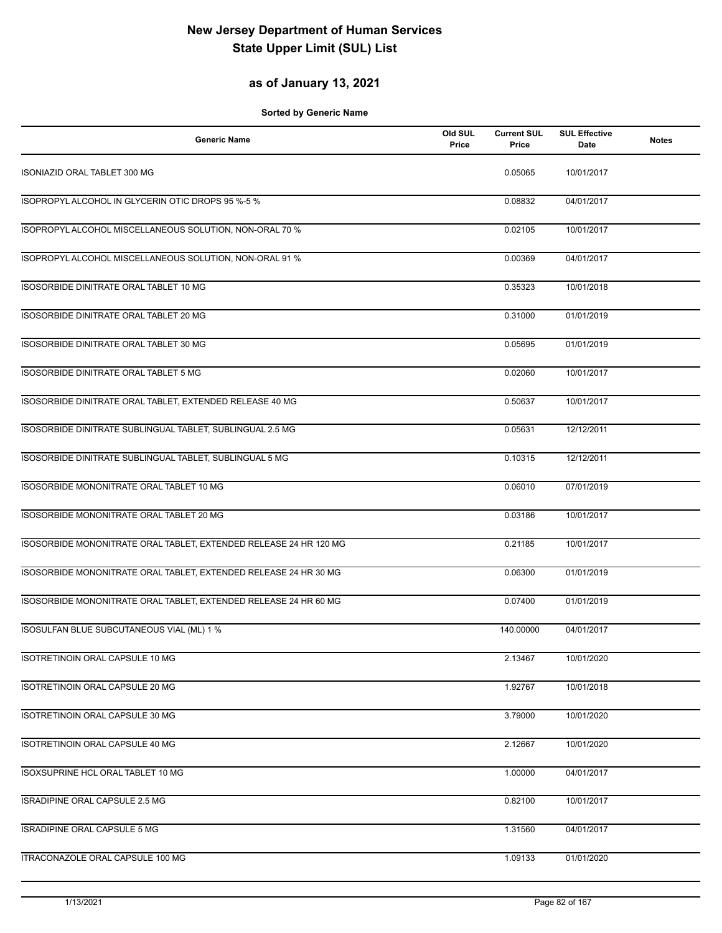#### **as of January 13, 2021**

| <b>Generic Name</b>                                               | Old SUL<br>Price | <b>Current SUL</b><br>Price | <b>SUL Effective</b><br>Date | <b>Notes</b> |
|-------------------------------------------------------------------|------------------|-----------------------------|------------------------------|--------------|
| <b>ISONIAZID ORAL TABLET 300 MG</b>                               |                  | 0.05065                     | 10/01/2017                   |              |
| ISOPROPYL ALCOHOL IN GLYCERIN OTIC DROPS 95 %-5 %                 |                  | 0.08832                     | 04/01/2017                   |              |
| ISOPROPYL ALCOHOL MISCELLANEOUS SOLUTION, NON-ORAL 70 %           |                  | 0.02105                     | 10/01/2017                   |              |
| ISOPROPYL ALCOHOL MISCELLANEOUS SOLUTION, NON-ORAL 91 %           |                  | 0.00369                     | 04/01/2017                   |              |
| ISOSORBIDE DINITRATE ORAL TABLET 10 MG                            |                  | 0.35323                     | 10/01/2018                   |              |
| ISOSORBIDE DINITRATE ORAL TABLET 20 MG                            |                  | 0.31000                     | 01/01/2019                   |              |
| ISOSORBIDE DINITRATE ORAL TABLET 30 MG                            |                  | 0.05695                     | 01/01/2019                   |              |
| ISOSORBIDE DINITRATE ORAL TABLET 5 MG                             |                  | 0.02060                     | 10/01/2017                   |              |
| ISOSORBIDE DINITRATE ORAL TABLET, EXTENDED RELEASE 40 MG          |                  | 0.50637                     | 10/01/2017                   |              |
| ISOSORBIDE DINITRATE SUBLINGUAL TABLET, SUBLINGUAL 2.5 MG         |                  | 0.05631                     | 12/12/2011                   |              |
| ISOSORBIDE DINITRATE SUBLINGUAL TABLET, SUBLINGUAL 5 MG           |                  | 0.10315                     | 12/12/2011                   |              |
| ISOSORBIDE MONONITRATE ORAL TABLET 10 MG                          |                  | 0.06010                     | 07/01/2019                   |              |
| ISOSORBIDE MONONITRATE ORAL TABLET 20 MG                          |                  | 0.03186                     | 10/01/2017                   |              |
| ISOSORBIDE MONONITRATE ORAL TABLET, EXTENDED RELEASE 24 HR 120 MG |                  | 0.21185                     | 10/01/2017                   |              |
| ISOSORBIDE MONONITRATE ORAL TABLET, EXTENDED RELEASE 24 HR 30 MG  |                  | 0.06300                     | 01/01/2019                   |              |
| ISOSORBIDE MONONITRATE ORAL TABLET, EXTENDED RELEASE 24 HR 60 MG  |                  | 0.07400                     | 01/01/2019                   |              |
| ISOSULFAN BLUE SUBCUTANEOUS VIAL (ML) 1 %                         |                  | 140.00000                   | 04/01/2017                   |              |
| ISOTRETINOIN ORAL CAPSULE 10 MG                                   |                  | 2.13467                     | 10/01/2020                   |              |
| ISOTRETINOIN ORAL CAPSULE 20 MG                                   |                  | 1.92767                     | 10/01/2018                   |              |
| ISOTRETINOIN ORAL CAPSULE 30 MG                                   |                  | 3.79000                     | 10/01/2020                   |              |
| <b>ISOTRETINOIN ORAL CAPSULE 40 MG</b>                            |                  | 2.12667                     | 10/01/2020                   |              |
| ISOXSUPRINE HCL ORAL TABLET 10 MG                                 |                  | 1.00000                     | 04/01/2017                   |              |
| ISRADIPINE ORAL CAPSULE 2.5 MG                                    |                  | 0.82100                     | 10/01/2017                   |              |
| ISRADIPINE ORAL CAPSULE 5 MG                                      |                  | 1.31560                     | 04/01/2017                   |              |
| ITRACONAZOLE ORAL CAPSULE 100 MG                                  |                  | 1.09133                     | 01/01/2020                   |              |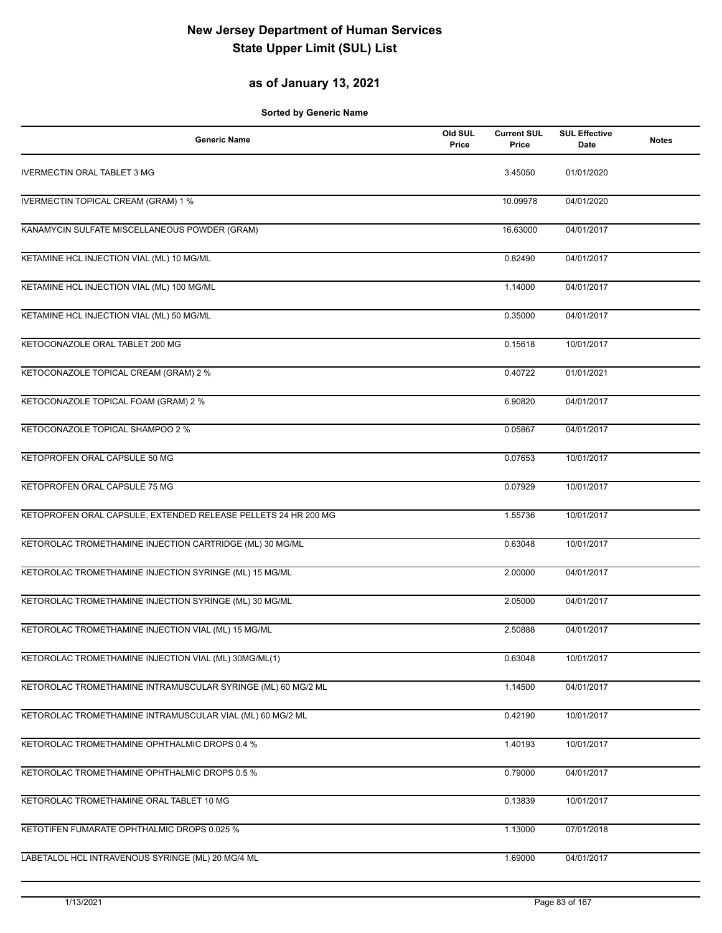#### **as of January 13, 2021**

| <b>Generic Name</b>                                            | Old SUL<br>Price | <b>Current SUL</b><br>Price | <b>SUL Effective</b><br>Date | <b>Notes</b> |
|----------------------------------------------------------------|------------------|-----------------------------|------------------------------|--------------|
| <b>IVERMECTIN ORAL TABLET 3 MG</b>                             |                  | 3.45050                     | 01/01/2020                   |              |
| <b>IVERMECTIN TOPICAL CREAM (GRAM) 1 %</b>                     |                  | 10.09978                    | 04/01/2020                   |              |
| KANAMYCIN SULFATE MISCELLANEOUS POWDER (GRAM)                  |                  | 16.63000                    | 04/01/2017                   |              |
| KETAMINE HCL INJECTION VIAL (ML) 10 MG/ML                      |                  | 0.82490                     | 04/01/2017                   |              |
| KETAMINE HCL INJECTION VIAL (ML) 100 MG/ML                     |                  | 1.14000                     | 04/01/2017                   |              |
| KETAMINE HCL INJECTION VIAL (ML) 50 MG/ML                      |                  | 0.35000                     | 04/01/2017                   |              |
| KETOCONAZOLE ORAL TABLET 200 MG                                |                  | 0.15618                     | 10/01/2017                   |              |
| KETOCONAZOLE TOPICAL CREAM (GRAM) 2 %                          |                  | 0.40722                     | 01/01/2021                   |              |
| KETOCONAZOLE TOPICAL FOAM (GRAM) 2 %                           |                  | 6.90820                     | 04/01/2017                   |              |
| KETOCONAZOLE TOPICAL SHAMPOO 2 %                               |                  | 0.05867                     | 04/01/2017                   |              |
| KETOPROFEN ORAL CAPSULE 50 MG                                  |                  | 0.07653                     | 10/01/2017                   |              |
| KETOPROFEN ORAL CAPSULE 75 MG                                  |                  | 0.07929                     | 10/01/2017                   |              |
| KETOPROFEN ORAL CAPSULE, EXTENDED RELEASE PELLETS 24 HR 200 MG |                  | 1.55736                     | 10/01/2017                   |              |
| KETOROLAC TROMETHAMINE INJECTION CARTRIDGE (ML) 30 MG/ML       |                  | 0.63048                     | 10/01/2017                   |              |
| KETOROLAC TROMETHAMINE INJECTION SYRINGE (ML) 15 MG/ML         |                  | 2.00000                     | 04/01/2017                   |              |
| KETOROLAC TROMETHAMINE INJECTION SYRINGE (ML) 30 MG/ML         |                  | 2.05000                     | 04/01/2017                   |              |
| KETOROLAC TROMETHAMINE INJECTION VIAL (ML) 15 MG/ML            |                  | 2.50888                     | 04/01/2017                   |              |
| KETOROLAC TROMETHAMINE INJECTION VIAL (ML) 30MG/ML(1)          |                  | 0.63048                     | 10/01/2017                   |              |
| KETOROLAC TROMETHAMINE INTRAMUSCULAR SYRINGE (ML) 60 MG/2 ML   |                  | 1.14500                     | 04/01/2017                   |              |
| KETOROLAC TROMETHAMINE INTRAMUSCULAR VIAL (ML) 60 MG/2 ML      |                  | 0.42190                     | 10/01/2017                   |              |
| KETOROLAC TROMETHAMINE OPHTHALMIC DROPS 0.4 %                  |                  | 1.40193                     | 10/01/2017                   |              |
| KETOROLAC TROMETHAMINE OPHTHALMIC DROPS 0.5 %                  |                  | 0.79000                     | 04/01/2017                   |              |
| KETOROLAC TROMETHAMINE ORAL TABLET 10 MG                       |                  | 0.13839                     | 10/01/2017                   |              |
| KETOTIFEN FUMARATE OPHTHALMIC DROPS 0.025 %                    |                  | 1.13000                     | 07/01/2018                   |              |
| LABETALOL HCL INTRAVENOUS SYRINGE (ML) 20 MG/4 ML              |                  | 1.69000                     | 04/01/2017                   |              |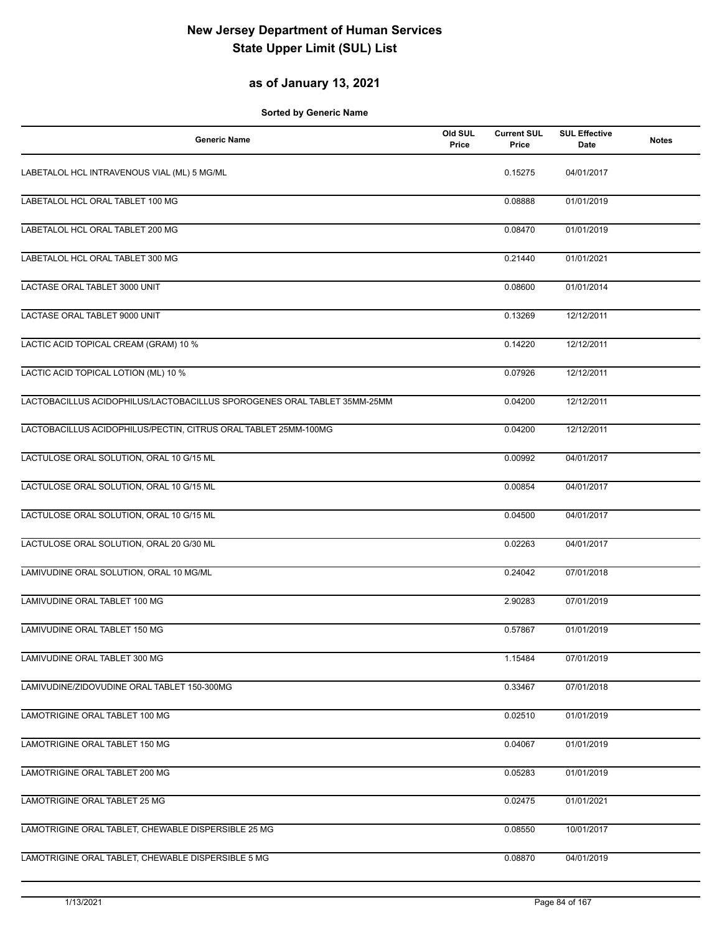### **as of January 13, 2021**

| <b>Generic Name</b>                                                      | Old SUL<br>Price | <b>Current SUL</b><br>Price | <b>SUL Effective</b><br>Date | <b>Notes</b> |
|--------------------------------------------------------------------------|------------------|-----------------------------|------------------------------|--------------|
| LABETALOL HCL INTRAVENOUS VIAL (ML) 5 MG/ML                              |                  | 0.15275                     | 04/01/2017                   |              |
| LABETALOL HCL ORAL TABLET 100 MG                                         |                  | 0.08888                     | 01/01/2019                   |              |
| LABETALOL HCL ORAL TABLET 200 MG                                         |                  | 0.08470                     | 01/01/2019                   |              |
| LABETALOL HCL ORAL TABLET 300 MG                                         |                  | 0.21440                     | 01/01/2021                   |              |
| LACTASE ORAL TABLET 3000 UNIT                                            |                  | 0.08600                     | 01/01/2014                   |              |
| LACTASE ORAL TABLET 9000 UNIT                                            |                  | 0.13269                     | 12/12/2011                   |              |
| LACTIC ACID TOPICAL CREAM (GRAM) 10 %                                    |                  | 0.14220                     | 12/12/2011                   |              |
| LACTIC ACID TOPICAL LOTION (ML) 10 %                                     |                  | 0.07926                     | 12/12/2011                   |              |
| LACTOBACILLUS ACIDOPHILUS/LACTOBACILLUS SPOROGENES ORAL TABLET 35MM-25MM |                  | 0.04200                     | 12/12/2011                   |              |
| LACTOBACILLUS ACIDOPHILUS/PECTIN, CITRUS ORAL TABLET 25MM-100MG          |                  | 0.04200                     | 12/12/2011                   |              |
| LACTULOSE ORAL SOLUTION, ORAL 10 G/15 ML                                 |                  | 0.00992                     | 04/01/2017                   |              |
| LACTULOSE ORAL SOLUTION, ORAL 10 G/15 ML                                 |                  | 0.00854                     | 04/01/2017                   |              |
| LACTULOSE ORAL SOLUTION, ORAL 10 G/15 ML                                 |                  | 0.04500                     | 04/01/2017                   |              |
| LACTULOSE ORAL SOLUTION, ORAL 20 G/30 ML                                 |                  | 0.02263                     | 04/01/2017                   |              |
| LAMIVUDINE ORAL SOLUTION, ORAL 10 MG/ML                                  |                  | 0.24042                     | 07/01/2018                   |              |
| LAMIVUDINE ORAL TABLET 100 MG                                            |                  | 2.90283                     | 07/01/2019                   |              |
| LAMIVUDINE ORAL TABLET 150 MG                                            |                  | 0.57867                     | 01/01/2019                   |              |
| LAMIVUDINE ORAL TABLET 300 MG                                            |                  | 1.15484                     | 07/01/2019                   |              |
| LAMIVUDINE/ZIDOVUDINE ORAL TABLET 150-300MG                              |                  | 0.33467                     | 07/01/2018                   |              |
| LAMOTRIGINE ORAL TABLET 100 MG                                           |                  | 0.02510                     | 01/01/2019                   |              |
| LAMOTRIGINE ORAL TABLET 150 MG                                           |                  | 0.04067                     | 01/01/2019                   |              |
| LAMOTRIGINE ORAL TABLET 200 MG                                           |                  | 0.05283                     | 01/01/2019                   |              |
| LAMOTRIGINE ORAL TABLET 25 MG                                            |                  | 0.02475                     | 01/01/2021                   |              |
| LAMOTRIGINE ORAL TABLET, CHEWABLE DISPERSIBLE 25 MG                      |                  | 0.08550                     | 10/01/2017                   |              |
| LAMOTRIGINE ORAL TABLET, CHEWABLE DISPERSIBLE 5 MG                       |                  | 0.08870                     | 04/01/2019                   |              |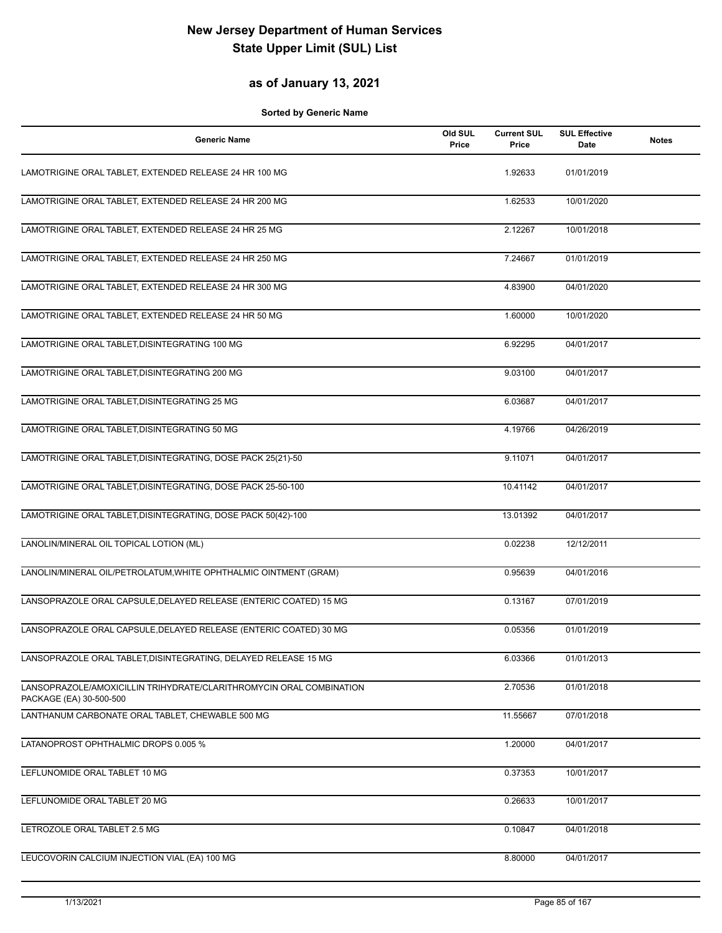#### **as of January 13, 2021**

| <b>Generic Name</b>                                                                            | Old SUL<br>Price | <b>Current SUL</b><br>Price | <b>SUL Effective</b><br><b>Date</b> | <b>Notes</b> |
|------------------------------------------------------------------------------------------------|------------------|-----------------------------|-------------------------------------|--------------|
| LAMOTRIGINE ORAL TABLET, EXTENDED RELEASE 24 HR 100 MG                                         |                  | 1.92633                     | 01/01/2019                          |              |
| LAMOTRIGINE ORAL TABLET, EXTENDED RELEASE 24 HR 200 MG                                         |                  | 1.62533                     | 10/01/2020                          |              |
| LAMOTRIGINE ORAL TABLET, EXTENDED RELEASE 24 HR 25 MG                                          |                  | 2.12267                     | 10/01/2018                          |              |
| LAMOTRIGINE ORAL TABLET, EXTENDED RELEASE 24 HR 250 MG                                         |                  | 7.24667                     | 01/01/2019                          |              |
| LAMOTRIGINE ORAL TABLET, EXTENDED RELEASE 24 HR 300 MG                                         |                  | 4.83900                     | 04/01/2020                          |              |
| LAMOTRIGINE ORAL TABLET, EXTENDED RELEASE 24 HR 50 MG                                          |                  | 1.60000                     | 10/01/2020                          |              |
| LAMOTRIGINE ORAL TABLET, DISINTEGRATING 100 MG                                                 |                  | 6.92295                     | 04/01/2017                          |              |
| LAMOTRIGINE ORAL TABLET, DISINTEGRATING 200 MG                                                 |                  | 9.03100                     | 04/01/2017                          |              |
| LAMOTRIGINE ORAL TABLET, DISINTEGRATING 25 MG                                                  |                  | 6.03687                     | 04/01/2017                          |              |
| LAMOTRIGINE ORAL TABLET, DISINTEGRATING 50 MG                                                  |                  | 4.19766                     | 04/26/2019                          |              |
| LAMOTRIGINE ORAL TABLET, DISINTEGRATING, DOSE PACK 25(21)-50                                   |                  | 9.11071                     | 04/01/2017                          |              |
| LAMOTRIGINE ORAL TABLET, DISINTEGRATING, DOSE PACK 25-50-100                                   |                  | 10.41142                    | 04/01/2017                          |              |
| LAMOTRIGINE ORAL TABLET, DISINTEGRATING, DOSE PACK 50(42)-100                                  |                  | 13.01392                    | 04/01/2017                          |              |
| LANOLIN/MINERAL OIL TOPICAL LOTION (ML)                                                        |                  | 0.02238                     | 12/12/2011                          |              |
| LANOLIN/MINERAL OIL/PETROLATUM, WHITE OPHTHALMIC OINTMENT (GRAM)                               |                  | 0.95639                     | 04/01/2016                          |              |
| LANSOPRAZOLE ORAL CAPSULE, DELAYED RELEASE (ENTERIC COATED) 15 MG                              |                  | 0.13167                     | 07/01/2019                          |              |
| LANSOPRAZOLE ORAL CAPSULE, DELAYED RELEASE (ENTERIC COATED) 30 MG                              |                  | 0.05356                     | 01/01/2019                          |              |
| LANSOPRAZOLE ORAL TABLET, DISINTEGRATING, DELAYED RELEASE 15 MG                                |                  | 6.03366                     | 01/01/2013                          |              |
| LANSOPRAZOLE/AMOXICILLIN TRIHYDRATE/CLARITHROMYCIN ORAL COMBINATION<br>PACKAGE (EA) 30-500-500 |                  | 2.70536                     | 01/01/2018                          |              |
| LANTHANUM CARBONATE ORAL TABLET, CHEWABLE 500 MG                                               |                  | 11.55667                    | 07/01/2018                          |              |
| LATANOPROST OPHTHALMIC DROPS 0.005 %                                                           |                  | 1.20000                     | 04/01/2017                          |              |
| LEFLUNOMIDE ORAL TABLET 10 MG                                                                  |                  | 0.37353                     | 10/01/2017                          |              |
| LEFLUNOMIDE ORAL TABLET 20 MG                                                                  |                  | 0.26633                     | 10/01/2017                          |              |
| LETROZOLE ORAL TABLET 2.5 MG                                                                   |                  | 0.10847                     | 04/01/2018                          |              |
| LEUCOVORIN CALCIUM INJECTION VIAL (EA) 100 MG                                                  |                  | 8.80000                     | 04/01/2017                          |              |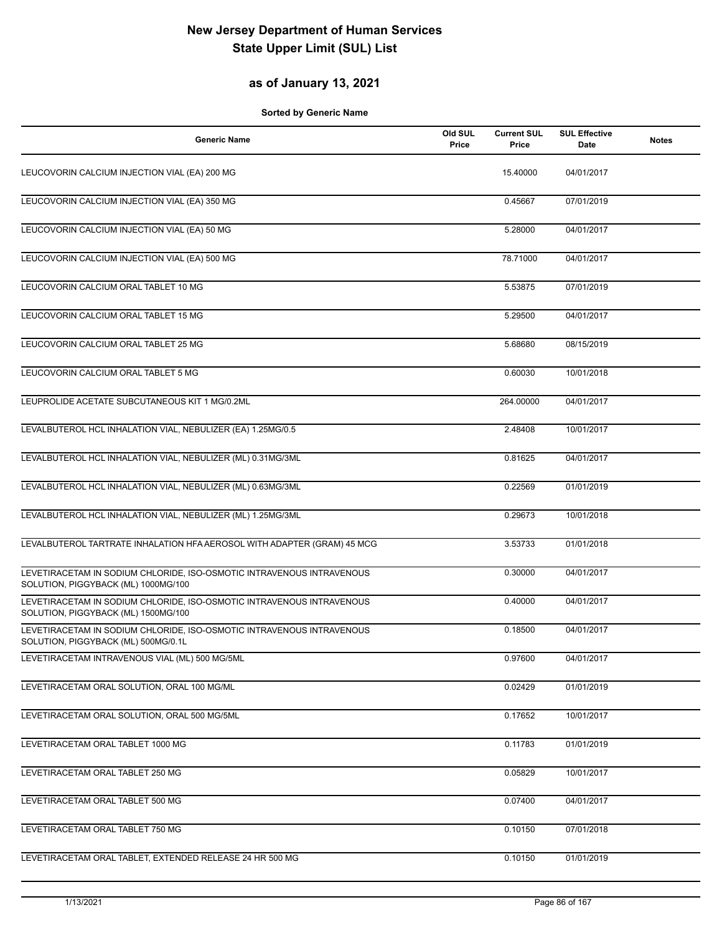### **as of January 13, 2021**

| <b>Generic Name</b>                                                                                          | Old SUL<br>Price | <b>Current SUL</b><br>Price | <b>SUL Effective</b><br>Date | <b>Notes</b> |
|--------------------------------------------------------------------------------------------------------------|------------------|-----------------------------|------------------------------|--------------|
| LEUCOVORIN CALCIUM INJECTION VIAL (EA) 200 MG                                                                |                  | 15.40000                    | 04/01/2017                   |              |
| LEUCOVORIN CALCIUM INJECTION VIAL (EA) 350 MG                                                                |                  | 0.45667                     | 07/01/2019                   |              |
| LEUCOVORIN CALCIUM INJECTION VIAL (EA) 50 MG                                                                 |                  | 5.28000                     | 04/01/2017                   |              |
| LEUCOVORIN CALCIUM INJECTION VIAL (EA) 500 MG                                                                |                  | 78.71000                    | 04/01/2017                   |              |
| LEUCOVORIN CALCIUM ORAL TABLET 10 MG                                                                         |                  | 5.53875                     | 07/01/2019                   |              |
| LEUCOVORIN CALCIUM ORAL TABLET 15 MG                                                                         |                  | 5.29500                     | 04/01/2017                   |              |
| LEUCOVORIN CALCIUM ORAL TABLET 25 MG                                                                         |                  | 5.68680                     | 08/15/2019                   |              |
| LEUCOVORIN CALCIUM ORAL TABLET 5 MG                                                                          |                  | 0.60030                     | 10/01/2018                   |              |
| LEUPROLIDE ACETATE SUBCUTANEOUS KIT 1 MG/0.2ML                                                               |                  | 264.00000                   | 04/01/2017                   |              |
| LEVALBUTEROL HCL INHALATION VIAL, NEBULIZER (EA) 1.25MG/0.5                                                  |                  | 2.48408                     | 10/01/2017                   |              |
| LEVALBUTEROL HCL INHALATION VIAL, NEBULIZER (ML) 0.31MG/3ML                                                  |                  | 0.81625                     | 04/01/2017                   |              |
| LEVALBUTEROL HCL INHALATION VIAL, NEBULIZER (ML) 0.63MG/3ML                                                  |                  | 0.22569                     | 01/01/2019                   |              |
| LEVALBUTEROL HCL INHALATION VIAL, NEBULIZER (ML) 1.25MG/3ML                                                  |                  | 0.29673                     | 10/01/2018                   |              |
| LEVALBUTEROL TARTRATE INHALATION HFA AEROSOL WITH ADAPTER (GRAM) 45 MCG                                      |                  | 3.53733                     | 01/01/2018                   |              |
| LEVETIRACETAM IN SODIUM CHLORIDE, ISO-OSMOTIC INTRAVENOUS INTRAVENOUS<br>SOLUTION, PIGGYBACK (ML) 1000MG/100 |                  | 0.30000                     | 04/01/2017                   |              |
| LEVETIRACETAM IN SODIUM CHLORIDE, ISO-OSMOTIC INTRAVENOUS INTRAVENOUS<br>SOLUTION, PIGGYBACK (ML) 1500MG/100 |                  | 0.40000                     | 04/01/2017                   |              |
| LEVETIRACETAM IN SODIUM CHLORIDE, ISO-OSMOTIC INTRAVENOUS INTRAVENOUS<br>SOLUTION, PIGGYBACK (ML) 500MG/0.1L |                  | 0.18500                     | 04/01/2017                   |              |
| LEVETIRACETAM INTRAVENOUS VIAL (ML) 500 MG/5ML                                                               |                  | 0.97600                     | 04/01/2017                   |              |
| LEVETIRACETAM ORAL SOLUTION, ORAL 100 MG/ML                                                                  |                  | 0.02429                     | 01/01/2019                   |              |
| LEVETIRACETAM ORAL SOLUTION, ORAL 500 MG/5ML                                                                 |                  | 0.17652                     | 10/01/2017                   |              |
| LEVETIRACETAM ORAL TABLET 1000 MG                                                                            |                  | 0.11783                     | 01/01/2019                   |              |
| LEVETIRACETAM ORAL TABLET 250 MG                                                                             |                  | 0.05829                     | 10/01/2017                   |              |
| LEVETIRACETAM ORAL TABLET 500 MG                                                                             |                  | 0.07400                     | 04/01/2017                   |              |
| LEVETIRACETAM ORAL TABLET 750 MG                                                                             |                  | 0.10150                     | 07/01/2018                   |              |
| LEVETIRACETAM ORAL TABLET, EXTENDED RELEASE 24 HR 500 MG                                                     |                  | 0.10150                     | 01/01/2019                   |              |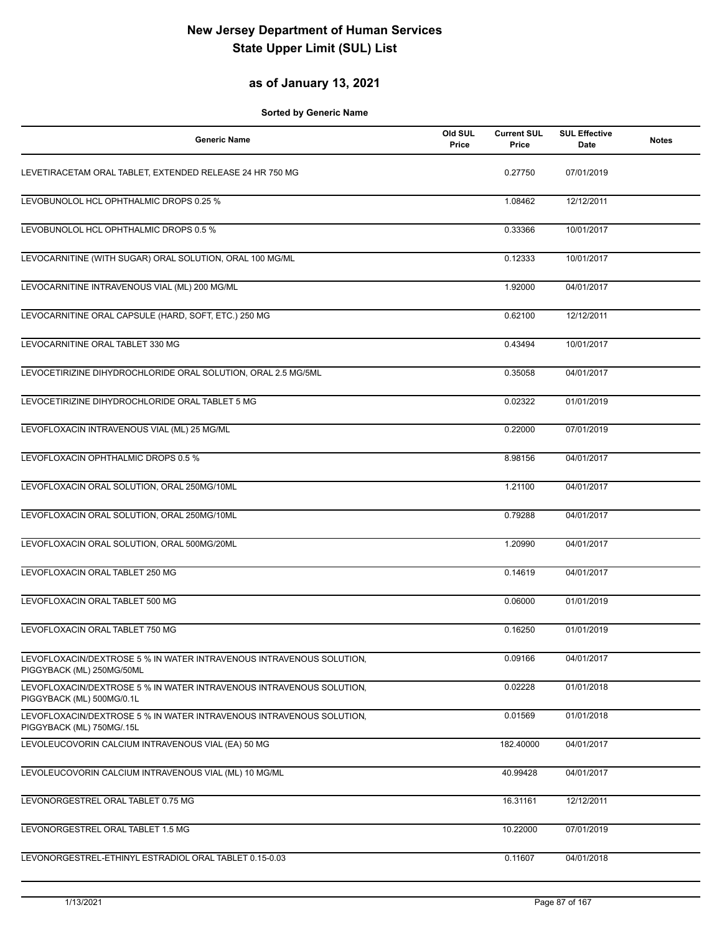### **as of January 13, 2021**

| <b>Generic Name</b>                                                                               | Old SUL<br>Price | <b>Current SUL</b><br>Price | <b>SUL Effective</b><br>Date | <b>Notes</b> |
|---------------------------------------------------------------------------------------------------|------------------|-----------------------------|------------------------------|--------------|
| LEVETIRACETAM ORAL TABLET, EXTENDED RELEASE 24 HR 750 MG                                          |                  | 0.27750                     | 07/01/2019                   |              |
| LEVOBUNOLOL HCL OPHTHALMIC DROPS 0.25 %                                                           |                  | 1.08462                     | 12/12/2011                   |              |
| LEVOBUNOLOL HCL OPHTHALMIC DROPS 0.5 %                                                            |                  | 0.33366                     | 10/01/2017                   |              |
| LEVOCARNITINE (WITH SUGAR) ORAL SOLUTION, ORAL 100 MG/ML                                          |                  | 0.12333                     | 10/01/2017                   |              |
| LEVOCARNITINE INTRAVENOUS VIAL (ML) 200 MG/ML                                                     |                  | 1.92000                     | 04/01/2017                   |              |
| LEVOCARNITINE ORAL CAPSULE (HARD, SOFT, ETC.) 250 MG                                              |                  | 0.62100                     | 12/12/2011                   |              |
| LEVOCARNITINE ORAL TABLET 330 MG                                                                  |                  | 0.43494                     | 10/01/2017                   |              |
| LEVOCETIRIZINE DIHYDROCHLORIDE ORAL SOLUTION, ORAL 2.5 MG/5ML                                     |                  | 0.35058                     | 04/01/2017                   |              |
| LEVOCETIRIZINE DIHYDROCHLORIDE ORAL TABLET 5 MG                                                   |                  | 0.02322                     | 01/01/2019                   |              |
| LEVOFLOXACIN INTRAVENOUS VIAL (ML) 25 MG/ML                                                       |                  | 0.22000                     | 07/01/2019                   |              |
| LEVOFLOXACIN OPHTHALMIC DROPS 0.5 %                                                               |                  | 8.98156                     | 04/01/2017                   |              |
| LEVOFLOXACIN ORAL SOLUTION, ORAL 250MG/10ML                                                       |                  | 1.21100                     | 04/01/2017                   |              |
| LEVOFLOXACIN ORAL SOLUTION, ORAL 250MG/10ML                                                       |                  | 0.79288                     | 04/01/2017                   |              |
| LEVOFLOXACIN ORAL SOLUTION, ORAL 500MG/20ML                                                       |                  | 1.20990                     | 04/01/2017                   |              |
| LEVOFLOXACIN ORAL TABLET 250 MG                                                                   |                  | 0.14619                     | 04/01/2017                   |              |
| LEVOFLOXACIN ORAL TABLET 500 MG                                                                   |                  | 0.06000                     | 01/01/2019                   |              |
| LEVOFLOXACIN ORAL TABLET 750 MG                                                                   |                  | 0.16250                     | 01/01/2019                   |              |
| LEVOFLOXACIN/DEXTROSE 5 % IN WATER INTRAVENOUS INTRAVENOUS SOLUTION,<br>PIGGYBACK (ML) 250MG/50ML |                  | 0.09166                     | 04/01/2017                   |              |
| LEVOFLOXACIN/DEXTROSE 5 % IN WATER INTRAVENOUS INTRAVENOUS SOLUTION,<br>PIGGYBACK (ML) 500MG/0.1L |                  | 0.02228                     | 01/01/2018                   |              |
| LEVOFLOXACIN/DEXTROSE 5 % IN WATER INTRAVENOUS INTRAVENOUS SOLUTION,<br>PIGGYBACK (ML) 750MG/.15L |                  | 0.01569                     | 01/01/2018                   |              |
| LEVOLEUCOVORIN CALCIUM INTRAVENOUS VIAL (EA) 50 MG                                                |                  | 182.40000                   | 04/01/2017                   |              |
| LEVOLEUCOVORIN CALCIUM INTRAVENOUS VIAL (ML) 10 MG/ML                                             |                  | 40.99428                    | 04/01/2017                   |              |
| LEVONORGESTREL ORAL TABLET 0.75 MG                                                                |                  | 16.31161                    | 12/12/2011                   |              |
| LEVONORGESTREL ORAL TABLET 1.5 MG                                                                 |                  | 10.22000                    | 07/01/2019                   |              |
| LEVONORGESTREL-ETHINYL ESTRADIOL ORAL TABLET 0.15-0.03                                            |                  | 0.11607                     | 04/01/2018                   |              |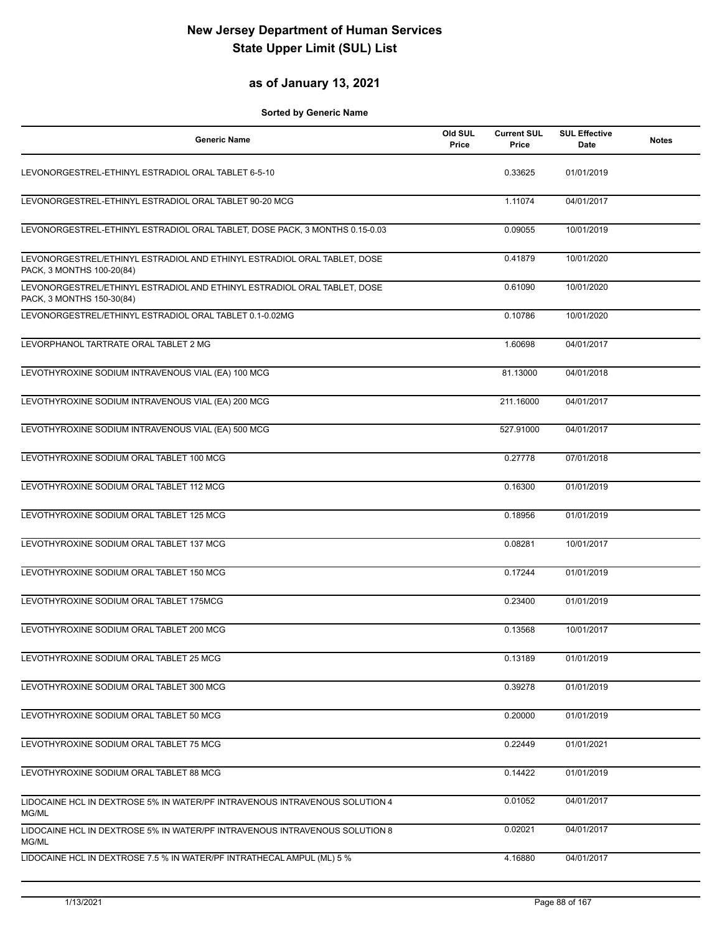#### **as of January 13, 2021**

| <b>Generic Name</b>                                                                                   | Old SUL<br>Price | <b>Current SUL</b><br>Price | <b>SUL Effective</b><br>Date | <b>Notes</b> |
|-------------------------------------------------------------------------------------------------------|------------------|-----------------------------|------------------------------|--------------|
| LEVONORGESTREL-ETHINYL ESTRADIOL ORAL TABLET 6-5-10                                                   |                  | 0.33625                     | 01/01/2019                   |              |
| LEVONORGESTREL-ETHINYL ESTRADIOL ORAL TABLET 90-20 MCG                                                |                  | 1.11074                     | 04/01/2017                   |              |
| LEVONORGESTREL-ETHINYL ESTRADIOL ORAL TABLET, DOSE PACK, 3 MONTHS 0.15-0.03                           |                  | 0.09055                     | 10/01/2019                   |              |
| LEVONORGESTREL/ETHINYL ESTRADIOL AND ETHINYL ESTRADIOL ORAL TABLET, DOSE<br>PACK, 3 MONTHS 100-20(84) |                  | 0.41879                     | 10/01/2020                   |              |
| LEVONORGESTREL/ETHINYL ESTRADIOL AND ETHINYL ESTRADIOL ORAL TABLET, DOSE<br>PACK, 3 MONTHS 150-30(84) |                  | 0.61090                     | 10/01/2020                   |              |
| LEVONORGESTREL/ETHINYL ESTRADIOL ORAL TABLET 0.1-0.02MG                                               |                  | 0.10786                     | 10/01/2020                   |              |
| LEVORPHANOL TARTRATE ORAL TABLET 2 MG                                                                 |                  | 1.60698                     | 04/01/2017                   |              |
| LEVOTHYROXINE SODIUM INTRAVENOUS VIAL (EA) 100 MCG                                                    |                  | 81.13000                    | 04/01/2018                   |              |
| LEVOTHYROXINE SODIUM INTRAVENOUS VIAL (EA) 200 MCG                                                    |                  | 211.16000                   | 04/01/2017                   |              |
| LEVOTHYROXINE SODIUM INTRAVENOUS VIAL (EA) 500 MCG                                                    |                  | 527.91000                   | 04/01/2017                   |              |
| LEVOTHYROXINE SODIUM ORAL TABLET 100 MCG                                                              |                  | 0.27778                     | 07/01/2018                   |              |
| LEVOTHYROXINE SODIUM ORAL TABLET 112 MCG                                                              |                  | 0.16300                     | 01/01/2019                   |              |
| LEVOTHYROXINE SODIUM ORAL TABLET 125 MCG                                                              |                  | 0.18956                     | 01/01/2019                   |              |
| LEVOTHYROXINE SODIUM ORAL TABLET 137 MCG                                                              |                  | 0.08281                     | 10/01/2017                   |              |
| LEVOTHYROXINE SODIUM ORAL TABLET 150 MCG                                                              |                  | 0.17244                     | 01/01/2019                   |              |
| LEVOTHYROXINE SODIUM ORAL TABLET 175MCG                                                               |                  | 0.23400                     | 01/01/2019                   |              |
| LEVOTHYROXINE SODIUM ORAL TABLET 200 MCG                                                              |                  | 0.13568                     | 10/01/2017                   |              |
| LEVOTHYROXINE SODIUM ORAL TABLET 25 MCG                                                               |                  | 0.13189                     | 01/01/2019                   |              |
| LEVOTHYROXINE SODIUM ORAL TABLET 300 MCG                                                              |                  | 0.39278                     | 01/01/2019                   |              |
| LEVOTHYROXINE SODIUM ORAL TABLET 50 MCG                                                               |                  | 0.20000                     | 01/01/2019                   |              |
| LEVOTHYROXINE SODIUM ORAL TABLET 75 MCG                                                               |                  | 0.22449                     | 01/01/2021                   |              |
| LEVOTHYROXINE SODIUM ORAL TABLET 88 MCG                                                               |                  | 0.14422                     | 01/01/2019                   |              |
| LIDOCAINE HCL IN DEXTROSE 5% IN WATER/PF INTRAVENOUS INTRAVENOUS SOLUTION 4<br>MG/ML                  |                  | 0.01052                     | 04/01/2017                   |              |
| LIDOCAINE HCL IN DEXTROSE 5% IN WATER/PF INTRAVENOUS INTRAVENOUS SOLUTION 8<br>MG/ML                  |                  | 0.02021                     | 04/01/2017                   |              |
| LIDOCAINE HCL IN DEXTROSE 7.5 % IN WATER/PF INTRATHECAL AMPUL (ML) 5 %                                |                  | 4.16880                     | 04/01/2017                   |              |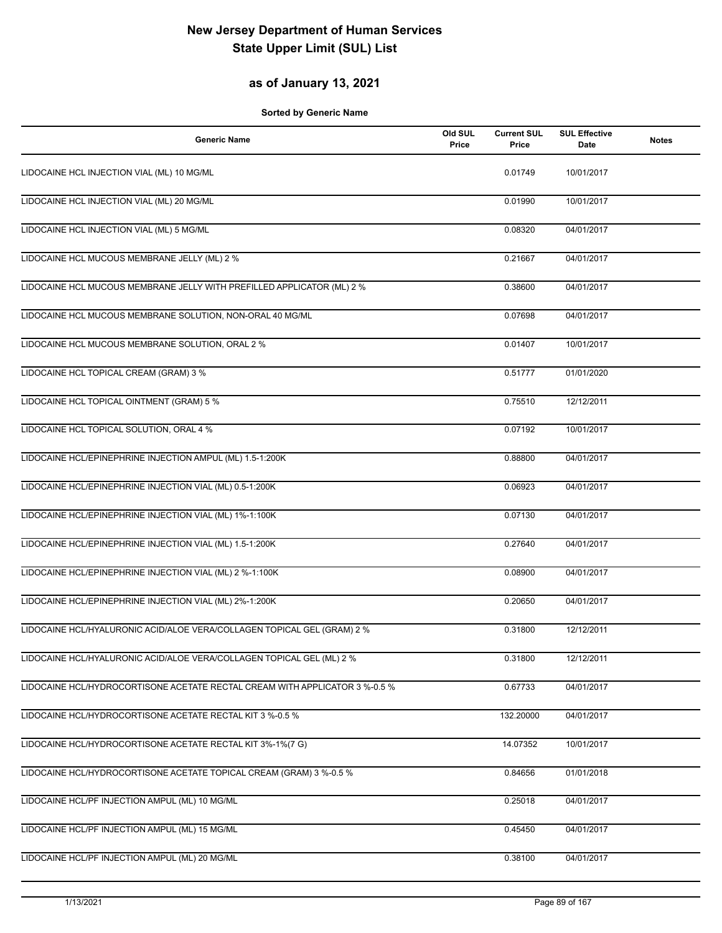### **as of January 13, 2021**

| <b>Generic Name</b>                                                         | Old SUL<br>Price | <b>Current SUL</b><br>Price | <b>SUL Effective</b><br>Date | <b>Notes</b> |
|-----------------------------------------------------------------------------|------------------|-----------------------------|------------------------------|--------------|
| LIDOCAINE HCL INJECTION VIAL (ML) 10 MG/ML                                  |                  | 0.01749                     | 10/01/2017                   |              |
| LIDOCAINE HCL INJECTION VIAL (ML) 20 MG/ML                                  |                  | 0.01990                     | 10/01/2017                   |              |
| LIDOCAINE HCL INJECTION VIAL (ML) 5 MG/ML                                   |                  | 0.08320                     | 04/01/2017                   |              |
| LIDOCAINE HCL MUCOUS MEMBRANE JELLY (ML) 2 %                                |                  | 0.21667                     | 04/01/2017                   |              |
| LIDOCAINE HCL MUCOUS MEMBRANE JELLY WITH PREFILLED APPLICATOR (ML) 2 %      |                  | 0.38600                     | 04/01/2017                   |              |
| LIDOCAINE HCL MUCOUS MEMBRANE SOLUTION, NON-ORAL 40 MG/ML                   |                  | 0.07698                     | 04/01/2017                   |              |
| LIDOCAINE HCL MUCOUS MEMBRANE SOLUTION, ORAL 2 %                            |                  | 0.01407                     | 10/01/2017                   |              |
| LIDOCAINE HCL TOPICAL CREAM (GRAM) 3 %                                      |                  | 0.51777                     | 01/01/2020                   |              |
| LIDOCAINE HCL TOPICAL OINTMENT (GRAM) 5 %                                   |                  | 0.75510                     | 12/12/2011                   |              |
| LIDOCAINE HCL TOPICAL SOLUTION, ORAL 4 %                                    |                  | 0.07192                     | 10/01/2017                   |              |
| LIDOCAINE HCL/EPINEPHRINE INJECTION AMPUL (ML) 1.5-1:200K                   |                  | 0.88800                     | 04/01/2017                   |              |
| LIDOCAINE HCL/EPINEPHRINE INJECTION VIAL (ML) 0.5-1:200K                    |                  | 0.06923                     | 04/01/2017                   |              |
| LIDOCAINE HCL/EPINEPHRINE INJECTION VIAL (ML) 1%-1:100K                     |                  | 0.07130                     | 04/01/2017                   |              |
| LIDOCAINE HCL/EPINEPHRINE INJECTION VIAL (ML) 1.5-1:200K                    |                  | 0.27640                     | 04/01/2017                   |              |
| LIDOCAINE HCL/EPINEPHRINE INJECTION VIAL (ML) 2 %-1:100K                    |                  | 0.08900                     | 04/01/2017                   |              |
| LIDOCAINE HCL/EPINEPHRINE INJECTION VIAL (ML) 2%-1:200K                     |                  | 0.20650                     | 04/01/2017                   |              |
| LIDOCAINE HCL/HYALURONIC ACID/ALOE VERA/COLLAGEN TOPICAL GEL (GRAM) 2 %     |                  | 0.31800                     | 12/12/2011                   |              |
| LIDOCAINE HCL/HYALURONIC ACID/ALOE VERA/COLLAGEN TOPICAL GEL (ML) 2 %       |                  | 0.31800                     | 12/12/2011                   |              |
| LIDOCAINE HCL/HYDROCORTISONE ACETATE RECTAL CREAM WITH APPLICATOR 3 %-0.5 % |                  | 0.67733                     | 04/01/2017                   |              |
| LIDOCAINE HCL/HYDROCORTISONE ACETATE RECTAL KIT 3 %-0.5 %                   |                  | 132.20000                   | 04/01/2017                   |              |
| LIDOCAINE HCL/HYDROCORTISONE ACETATE RECTAL KIT 3%-1%(7 G)                  |                  | 14.07352                    | 10/01/2017                   |              |
| LIDOCAINE HCL/HYDROCORTISONE ACETATE TOPICAL CREAM (GRAM) 3 %-0.5 %         |                  | 0.84656                     | 01/01/2018                   |              |
| LIDOCAINE HCL/PF INJECTION AMPUL (ML) 10 MG/ML                              |                  | 0.25018                     | 04/01/2017                   |              |
| LIDOCAINE HCL/PF INJECTION AMPUL (ML) 15 MG/ML                              |                  | 0.45450                     | 04/01/2017                   |              |
| LIDOCAINE HCL/PF INJECTION AMPUL (ML) 20 MG/ML                              |                  | 0.38100                     | 04/01/2017                   |              |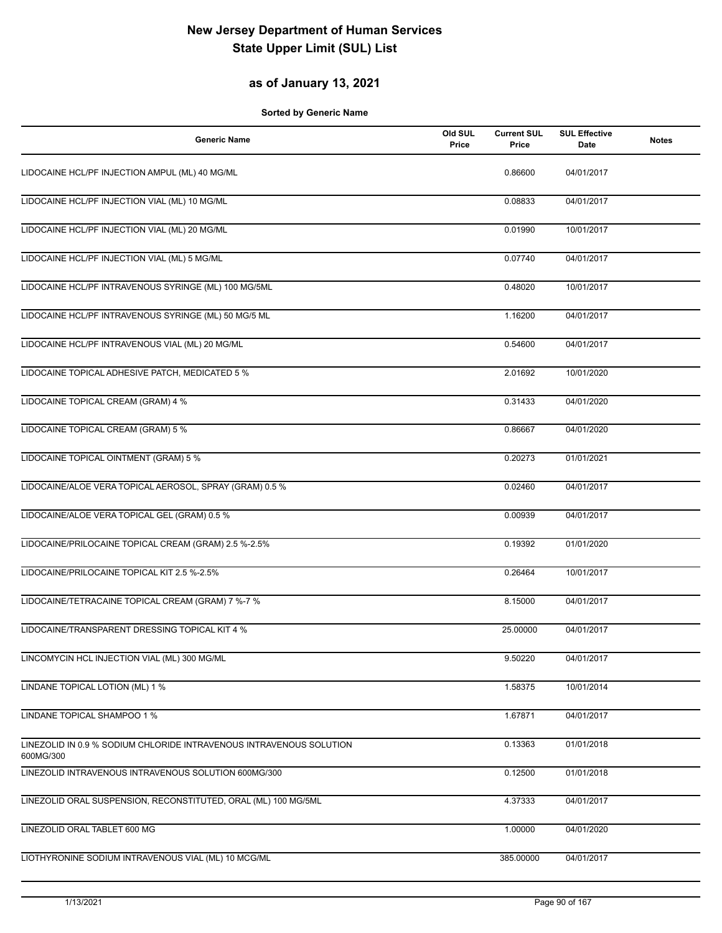### **as of January 13, 2021**

| <b>Generic Name</b>                                                              | Old SUL<br>Price | <b>Current SUL</b><br>Price | <b>SUL Effective</b><br>Date | <b>Notes</b> |
|----------------------------------------------------------------------------------|------------------|-----------------------------|------------------------------|--------------|
| LIDOCAINE HCL/PF INJECTION AMPUL (ML) 40 MG/ML                                   |                  | 0.86600                     | 04/01/2017                   |              |
| LIDOCAINE HCL/PF INJECTION VIAL (ML) 10 MG/ML                                    |                  | 0.08833                     | 04/01/2017                   |              |
| LIDOCAINE HCL/PF INJECTION VIAL (ML) 20 MG/ML                                    |                  | 0.01990                     | 10/01/2017                   |              |
| LIDOCAINE HCL/PF INJECTION VIAL (ML) 5 MG/ML                                     |                  | 0.07740                     | 04/01/2017                   |              |
| LIDOCAINE HCL/PF INTRAVENOUS SYRINGE (ML) 100 MG/5ML                             |                  | 0.48020                     | 10/01/2017                   |              |
| LIDOCAINE HCL/PF INTRAVENOUS SYRINGE (ML) 50 MG/5 ML                             |                  | 1.16200                     | 04/01/2017                   |              |
| LIDOCAINE HCL/PF INTRAVENOUS VIAL (ML) 20 MG/ML                                  |                  | 0.54600                     | 04/01/2017                   |              |
| LIDOCAINE TOPICAL ADHESIVE PATCH, MEDICATED 5 %                                  |                  | 2.01692                     | 10/01/2020                   |              |
| LIDOCAINE TOPICAL CREAM (GRAM) 4 %                                               |                  | 0.31433                     | 04/01/2020                   |              |
| LIDOCAINE TOPICAL CREAM (GRAM) 5 %                                               |                  | 0.86667                     | 04/01/2020                   |              |
| LIDOCAINE TOPICAL OINTMENT (GRAM) 5 %                                            |                  | 0.20273                     | 01/01/2021                   |              |
| LIDOCAINE/ALOE VERA TOPICAL AEROSOL, SPRAY (GRAM) 0.5 %                          |                  | 0.02460                     | 04/01/2017                   |              |
| LIDOCAINE/ALOE VERA TOPICAL GEL (GRAM) 0.5 %                                     |                  | 0.00939                     | 04/01/2017                   |              |
| LIDOCAINE/PRILOCAINE TOPICAL CREAM (GRAM) 2.5 %-2.5%                             |                  | 0.19392                     | 01/01/2020                   |              |
| LIDOCAINE/PRILOCAINE TOPICAL KIT 2.5 %-2.5%                                      |                  | 0.26464                     | 10/01/2017                   |              |
| LIDOCAINE/TETRACAINE TOPICAL CREAM (GRAM) 7 %-7 %                                |                  | 8.15000                     | 04/01/2017                   |              |
| LIDOCAINE/TRANSPARENT DRESSING TOPICAL KIT 4 %                                   |                  | 25.00000                    | 04/01/2017                   |              |
| LINCOMYCIN HCL INJECTION VIAL (ML) 300 MG/ML                                     |                  | 9.50220                     | 04/01/2017                   |              |
| LINDANE TOPICAL LOTION (ML) 1 %                                                  |                  | 1.58375                     | 10/01/2014                   |              |
| LINDANE TOPICAL SHAMPOO 1 %                                                      |                  | 1.67871                     | 04/01/2017                   |              |
| LINEZOLID IN 0.9 % SODIUM CHLORIDE INTRAVENOUS INTRAVENOUS SOLUTION<br>600MG/300 |                  | 0.13363                     | 01/01/2018                   |              |
| LINEZOLID INTRAVENOUS INTRAVENOUS SOLUTION 600MG/300                             |                  | 0.12500                     | 01/01/2018                   |              |
| LINEZOLID ORAL SUSPENSION, RECONSTITUTED, ORAL (ML) 100 MG/5ML                   |                  | 4.37333                     | 04/01/2017                   |              |
| LINEZOLID ORAL TABLET 600 MG                                                     |                  | 1.00000                     | 04/01/2020                   |              |
| LIOTHYRONINE SODIUM INTRAVENOUS VIAL (ML) 10 MCG/ML                              |                  | 385.00000                   | 04/01/2017                   |              |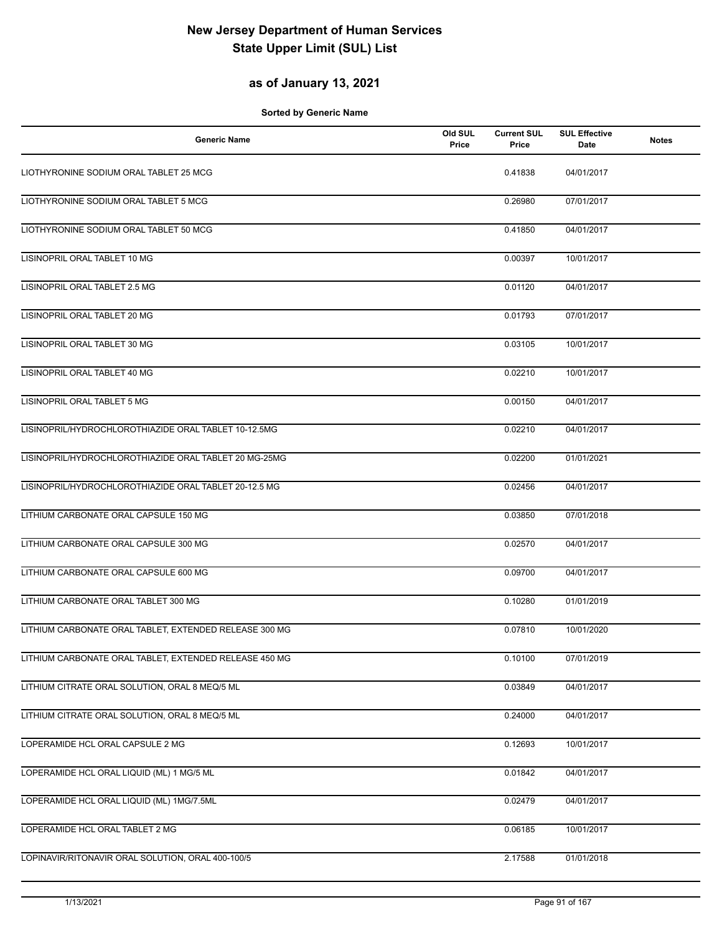### **as of January 13, 2021**

| <b>Generic Name</b>                                    | Old SUL<br>Price | <b>Current SUL</b><br>Price | <b>SUL Effective</b><br>Date | <b>Notes</b> |
|--------------------------------------------------------|------------------|-----------------------------|------------------------------|--------------|
| LIOTHYRONINE SODIUM ORAL TABLET 25 MCG                 |                  | 0.41838                     | 04/01/2017                   |              |
| LIOTHYRONINE SODIUM ORAL TABLET 5 MCG                  |                  | 0.26980                     | 07/01/2017                   |              |
| LIOTHYRONINE SODIUM ORAL TABLET 50 MCG                 |                  | 0.41850                     | 04/01/2017                   |              |
| LISINOPRIL ORAL TABLET 10 MG                           |                  | 0.00397                     | 10/01/2017                   |              |
| LISINOPRIL ORAL TABLET 2.5 MG                          |                  | 0.01120                     | 04/01/2017                   |              |
| LISINOPRIL ORAL TABLET 20 MG                           |                  | 0.01793                     | 07/01/2017                   |              |
| LISINOPRIL ORAL TABLET 30 MG                           |                  | 0.03105                     | 10/01/2017                   |              |
| LISINOPRIL ORAL TABLET 40 MG                           |                  | 0.02210                     | 10/01/2017                   |              |
| LISINOPRIL ORAL TABLET 5 MG                            |                  | 0.00150                     | 04/01/2017                   |              |
| LISINOPRIL/HYDROCHLOROTHIAZIDE ORAL TABLET 10-12.5MG   |                  | 0.02210                     | 04/01/2017                   |              |
| LISINOPRIL/HYDROCHLOROTHIAZIDE ORAL TABLET 20 MG-25MG  |                  | 0.02200                     | 01/01/2021                   |              |
| LISINOPRIL/HYDROCHLOROTHIAZIDE ORAL TABLET 20-12.5 MG  |                  | 0.02456                     | 04/01/2017                   |              |
| LITHIUM CARBONATE ORAL CAPSULE 150 MG                  |                  | 0.03850                     | 07/01/2018                   |              |
| LITHIUM CARBONATE ORAL CAPSULE 300 MG                  |                  | 0.02570                     | 04/01/2017                   |              |
| LITHIUM CARBONATE ORAL CAPSULE 600 MG                  |                  | 0.09700                     | 04/01/2017                   |              |
| LITHIUM CARBONATE ORAL TABLET 300 MG                   |                  | 0.10280                     | 01/01/2019                   |              |
| LITHIUM CARBONATE ORAL TABLET, EXTENDED RELEASE 300 MG |                  | 0.07810                     | 10/01/2020                   |              |
| LITHIUM CARBONATE ORAL TABLET, EXTENDED RELEASE 450 MG |                  | 0.10100                     | 07/01/2019                   |              |
| LITHIUM CITRATE ORAL SOLUTION, ORAL 8 MEQ/5 ML         |                  | 0.03849                     | 04/01/2017                   |              |
| LITHIUM CITRATE ORAL SOLUTION, ORAL 8 MEQ/5 ML         |                  | 0.24000                     | 04/01/2017                   |              |
| LOPERAMIDE HCL ORAL CAPSULE 2 MG                       |                  | 0.12693                     | 10/01/2017                   |              |
| LOPERAMIDE HCL ORAL LIQUID (ML) 1 MG/5 ML              |                  | 0.01842                     | 04/01/2017                   |              |
| LOPERAMIDE HCL ORAL LIQUID (ML) 1MG/7.5ML              |                  | 0.02479                     | 04/01/2017                   |              |
| LOPERAMIDE HCL ORAL TABLET 2 MG                        |                  | 0.06185                     | 10/01/2017                   |              |
| LOPINAVIR/RITONAVIR ORAL SOLUTION, ORAL 400-100/5      |                  | 2.17588                     | 01/01/2018                   |              |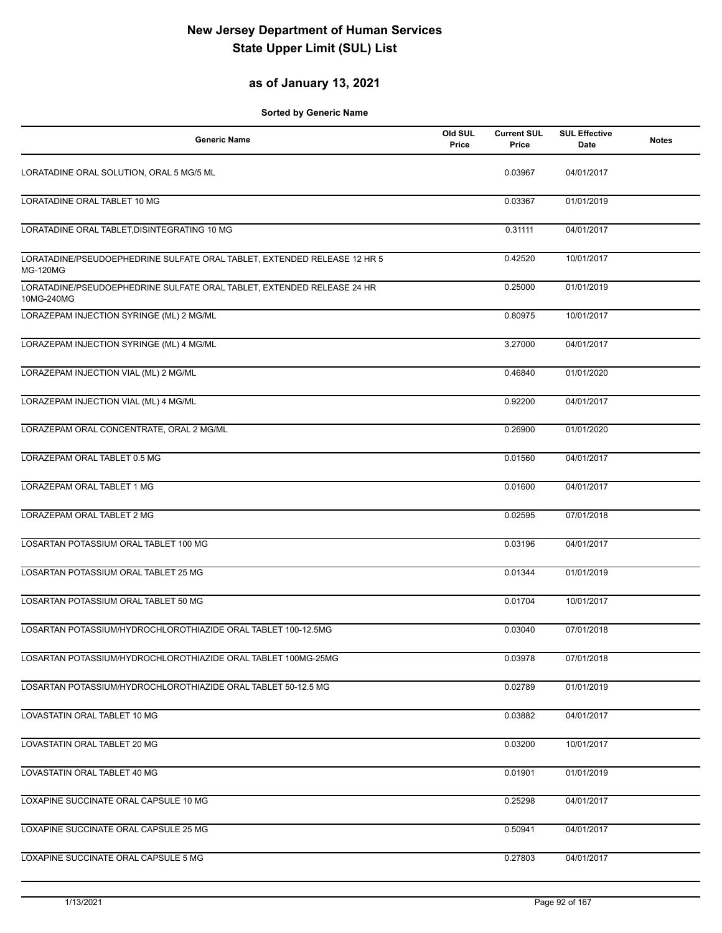#### **as of January 13, 2021**

| <b>Generic Name</b>                                                                         | Old SUL<br>Price | <b>Current SUL</b><br>Price | <b>SUL Effective</b><br>Date | <b>Notes</b> |
|---------------------------------------------------------------------------------------------|------------------|-----------------------------|------------------------------|--------------|
| LORATADINE ORAL SOLUTION, ORAL 5 MG/5 ML                                                    |                  | 0.03967                     | 04/01/2017                   |              |
| <b>LORATADINE ORAL TABLET 10 MG</b>                                                         |                  | 0.03367                     | 01/01/2019                   |              |
| LORATADINE ORAL TABLET, DISINTEGRATING 10 MG                                                |                  | 0.31111                     | 04/01/2017                   |              |
| LORATADINE/PSEUDOEPHEDRINE SULFATE ORAL TABLET, EXTENDED RELEASE 12 HR 5<br><b>MG-120MG</b> |                  | 0.42520                     | 10/01/2017                   |              |
| LORATADINE/PSEUDOEPHEDRINE SULFATE ORAL TABLET, EXTENDED RELEASE 24 HR<br>10MG-240MG        |                  | 0.25000                     | 01/01/2019                   |              |
| LORAZEPAM INJECTION SYRINGE (ML) 2 MG/ML                                                    |                  | 0.80975                     | 10/01/2017                   |              |
| LORAZEPAM INJECTION SYRINGE (ML) 4 MG/ML                                                    |                  | 3.27000                     | 04/01/2017                   |              |
| LORAZEPAM INJECTION VIAL (ML) 2 MG/ML                                                       |                  | 0.46840                     | 01/01/2020                   |              |
| LORAZEPAM INJECTION VIAL (ML) 4 MG/ML                                                       |                  | 0.92200                     | 04/01/2017                   |              |
| LORAZEPAM ORAL CONCENTRATE, ORAL 2 MG/ML                                                    |                  | 0.26900                     | 01/01/2020                   |              |
| LORAZEPAM ORAL TABLET 0.5 MG                                                                |                  | 0.01560                     | 04/01/2017                   |              |
| LORAZEPAM ORAL TABLET 1 MG                                                                  |                  | 0.01600                     | 04/01/2017                   |              |
| LORAZEPAM ORAL TABLET 2 MG                                                                  |                  | 0.02595                     | 07/01/2018                   |              |
| LOSARTAN POTASSIUM ORAL TABLET 100 MG                                                       |                  | 0.03196                     | 04/01/2017                   |              |
| LOSARTAN POTASSIUM ORAL TABLET 25 MG                                                        |                  | 0.01344                     | 01/01/2019                   |              |
| LOSARTAN POTASSIUM ORAL TABLET 50 MG                                                        |                  | 0.01704                     | 10/01/2017                   |              |
| LOSARTAN POTASSIUM/HYDROCHLOROTHIAZIDE ORAL TABLET 100-12.5MG                               |                  | 0.03040                     | 07/01/2018                   |              |
| LOSARTAN POTASSIUM/HYDROCHLOROTHIAZIDE ORAL TABLET 100MG-25MG                               |                  | 0.03978                     | 07/01/2018                   |              |
| LOSARTAN POTASSIUM/HYDROCHLOROTHIAZIDE ORAL TABLET 50-12.5 MG                               |                  | 0.02789                     | 01/01/2019                   |              |
| LOVASTATIN ORAL TABLET 10 MG                                                                |                  | 0.03882                     | 04/01/2017                   |              |
| LOVASTATIN ORAL TABLET 20 MG                                                                |                  | 0.03200                     | 10/01/2017                   |              |
| LOVASTATIN ORAL TABLET 40 MG                                                                |                  | 0.01901                     | 01/01/2019                   |              |
| LOXAPINE SUCCINATE ORAL CAPSULE 10 MG                                                       |                  | 0.25298                     | 04/01/2017                   |              |
| LOXAPINE SUCCINATE ORAL CAPSULE 25 MG                                                       |                  | 0.50941                     | 04/01/2017                   |              |
| LOXAPINE SUCCINATE ORAL CAPSULE 5 MG                                                        |                  | 0.27803                     | 04/01/2017                   |              |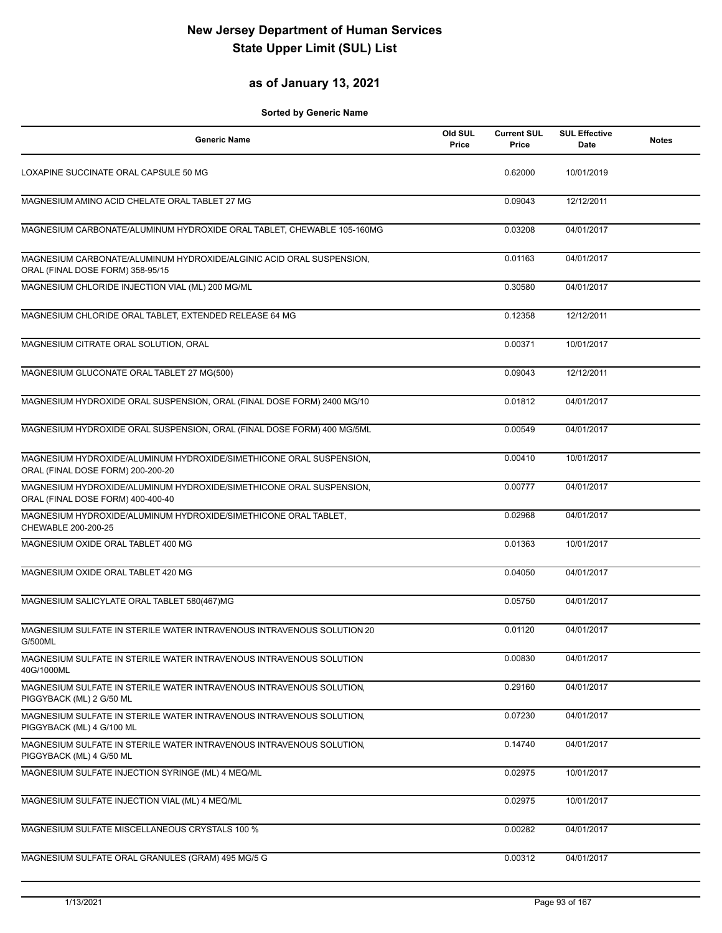#### **as of January 13, 2021**

| <b>Generic Name</b>                                                                                      | Old SUL<br>Price | <b>Current SUL</b><br>Price | <b>SUL Effective</b><br><b>Date</b> | <b>Notes</b> |
|----------------------------------------------------------------------------------------------------------|------------------|-----------------------------|-------------------------------------|--------------|
| LOXAPINE SUCCINATE ORAL CAPSULE 50 MG                                                                    |                  | 0.62000                     | 10/01/2019                          |              |
| MAGNESIUM AMINO ACID CHELATE ORAL TABLET 27 MG                                                           |                  | 0.09043                     | 12/12/2011                          |              |
| MAGNESIUM CARBONATE/ALUMINUM HYDROXIDE ORAL TABLET, CHEWABLE 105-160MG                                   |                  | 0.03208                     | 04/01/2017                          |              |
| MAGNESIUM CARBONATE/ALUMINUM HYDROXIDE/ALGINIC ACID ORAL SUSPENSION,<br>ORAL (FINAL DOSE FORM) 358-95/15 |                  | 0.01163                     | 04/01/2017                          |              |
| MAGNESIUM CHLORIDE INJECTION VIAL (ML) 200 MG/ML                                                         |                  | 0.30580                     | 04/01/2017                          |              |
| MAGNESIUM CHLORIDE ORAL TABLET, EXTENDED RELEASE 64 MG                                                   |                  | 0.12358                     | 12/12/2011                          |              |
| MAGNESIUM CITRATE ORAL SOLUTION, ORAL                                                                    |                  | 0.00371                     | 10/01/2017                          |              |
| MAGNESIUM GLUCONATE ORAL TABLET 27 MG(500)                                                               |                  | 0.09043                     | 12/12/2011                          |              |
| MAGNESIUM HYDROXIDE ORAL SUSPENSION, ORAL (FINAL DOSE FORM) 2400 MG/10                                   |                  | 0.01812                     | 04/01/2017                          |              |
| MAGNESIUM HYDROXIDE ORAL SUSPENSION, ORAL (FINAL DOSE FORM) 400 MG/5ML                                   |                  | 0.00549                     | 04/01/2017                          |              |
| MAGNESIUM HYDROXIDE/ALUMINUM HYDROXIDE/SIMETHICONE ORAL SUSPENSION,<br>ORAL (FINAL DOSE FORM) 200-200-20 |                  | 0.00410                     | 10/01/2017                          |              |
| MAGNESIUM HYDROXIDE/ALUMINUM HYDROXIDE/SIMETHICONE ORAL SUSPENSION,<br>ORAL (FINAL DOSE FORM) 400-400-40 |                  | 0.00777                     | 04/01/2017                          |              |
| MAGNESIUM HYDROXIDE/ALUMINUM HYDROXIDE/SIMETHICONE ORAL TABLET,<br>CHEWABLE 200-200-25                   |                  | 0.02968                     | 04/01/2017                          |              |
| MAGNESIUM OXIDE ORAL TABLET 400 MG                                                                       |                  | 0.01363                     | 10/01/2017                          |              |
| MAGNESIUM OXIDE ORAL TABLET 420 MG                                                                       |                  | 0.04050                     | 04/01/2017                          |              |
| MAGNESIUM SALICYLATE ORAL TABLET 580(467)MG                                                              |                  | 0.05750                     | 04/01/2017                          |              |
| MAGNESIUM SULFATE IN STERILE WATER INTRAVENOUS INTRAVENOUS SOLUTION 20<br>G/500ML                        |                  | 0.01120                     | 04/01/2017                          |              |
| MAGNESIUM SULFATE IN STERILE WATER INTRAVENOUS INTRAVENOUS SOLUTION<br>40G/1000ML                        |                  | 0.00830                     | 04/01/2017                          |              |
| MAGNESIUM SULFATE IN STERILE WATER INTRAVENOUS INTRAVENOUS SOLUTION,<br>PIGGYBACK (ML) 2 G/50 ML         |                  | 0.29160                     | 04/01/2017                          |              |
| MAGNESIUM SULFATE IN STERILE WATER INTRAVENOUS INTRAVENOUS SOLUTION.<br>PIGGYBACK (ML) 4 G/100 ML        |                  | 0.07230                     | 04/01/2017                          |              |
| MAGNESIUM SULFATE IN STERILE WATER INTRAVENOUS INTRAVENOUS SOLUTION,<br>PIGGYBACK (ML) 4 G/50 ML         |                  | 0.14740                     | 04/01/2017                          |              |
| MAGNESIUM SULFATE INJECTION SYRINGE (ML) 4 MEQ/ML                                                        |                  | 0.02975                     | 10/01/2017                          |              |
| MAGNESIUM SULFATE INJECTION VIAL (ML) 4 MEQ/ML                                                           |                  | 0.02975                     | 10/01/2017                          |              |
| MAGNESIUM SULFATE MISCELLANEOUS CRYSTALS 100 %                                                           |                  | 0.00282                     | 04/01/2017                          |              |
| MAGNESIUM SULFATE ORAL GRANULES (GRAM) 495 MG/5 G                                                        |                  | 0.00312                     | 04/01/2017                          |              |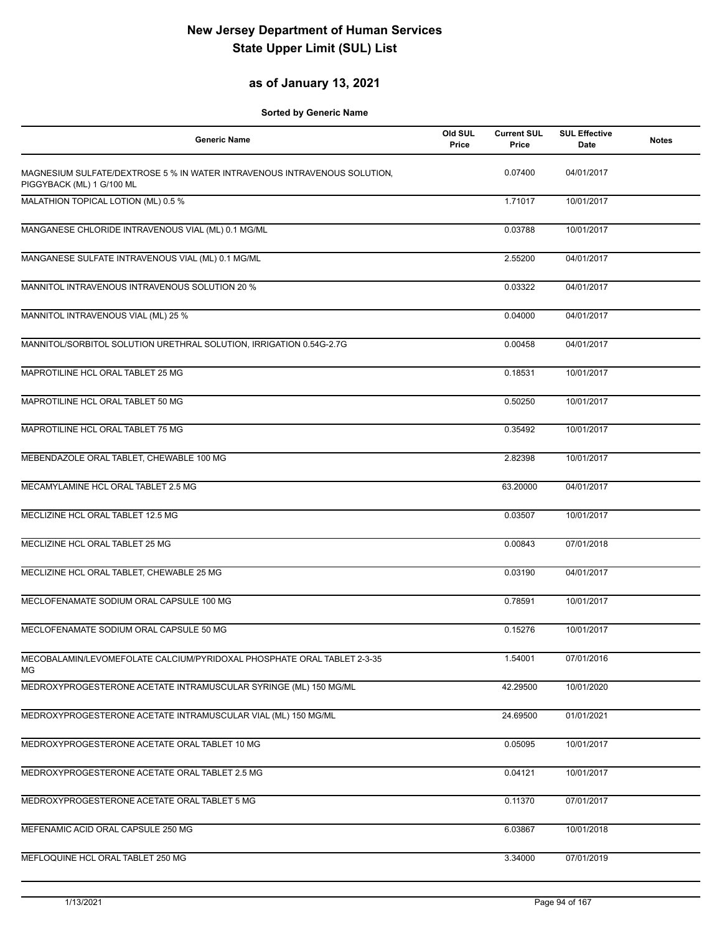### **as of January 13, 2021**

| <b>Generic Name</b>                                                                                    | Old SUL<br>Price | <b>Current SUL</b><br>Price | <b>SUL Effective</b><br>Date | <b>Notes</b> |
|--------------------------------------------------------------------------------------------------------|------------------|-----------------------------|------------------------------|--------------|
| MAGNESIUM SULFATE/DEXTROSE 5 % IN WATER INTRAVENOUS INTRAVENOUS SOLUTION,<br>PIGGYBACK (ML) 1 G/100 ML |                  | 0.07400                     | 04/01/2017                   |              |
| MALATHION TOPICAL LOTION (ML) 0.5 %                                                                    |                  | 1.71017                     | 10/01/2017                   |              |
| MANGANESE CHLORIDE INTRAVENOUS VIAL (ML) 0.1 MG/ML                                                     |                  | 0.03788                     | 10/01/2017                   |              |
| MANGANESE SULFATE INTRAVENOUS VIAL (ML) 0.1 MG/ML                                                      |                  | 2.55200                     | 04/01/2017                   |              |
| MANNITOL INTRAVENOUS INTRAVENOUS SOLUTION 20 %                                                         |                  | 0.03322                     | 04/01/2017                   |              |
| MANNITOL INTRAVENOUS VIAL (ML) 25 %                                                                    |                  | 0.04000                     | 04/01/2017                   |              |
| MANNITOL/SORBITOL SOLUTION URETHRAL SOLUTION, IRRIGATION 0.54G-2.7G                                    |                  | 0.00458                     | 04/01/2017                   |              |
| MAPROTILINE HCL ORAL TABLET 25 MG                                                                      |                  | 0.18531                     | 10/01/2017                   |              |
| MAPROTILINE HCL ORAL TABLET 50 MG                                                                      |                  | 0.50250                     | 10/01/2017                   |              |
| MAPROTILINE HCL ORAL TABLET 75 MG                                                                      |                  | 0.35492                     | 10/01/2017                   |              |
| MEBENDAZOLE ORAL TABLET, CHEWABLE 100 MG                                                               |                  | 2.82398                     | 10/01/2017                   |              |
| MECAMYLAMINE HCL ORAL TABLET 2.5 MG                                                                    |                  | 63.20000                    | 04/01/2017                   |              |
| MECLIZINE HCL ORAL TABLET 12.5 MG                                                                      |                  | 0.03507                     | 10/01/2017                   |              |
| MECLIZINE HCL ORAL TABLET 25 MG                                                                        |                  | 0.00843                     | 07/01/2018                   |              |
| MECLIZINE HCL ORAL TABLET, CHEWABLE 25 MG                                                              |                  | 0.03190                     | 04/01/2017                   |              |
| MECLOFENAMATE SODIUM ORAL CAPSULE 100 MG                                                               |                  | 0.78591                     | 10/01/2017                   |              |
| MECLOFENAMATE SODIUM ORAL CAPSULE 50 MG                                                                |                  | 0.15276                     | 10/01/2017                   |              |
| MECOBALAMIN/LEVOMEFOLATE CALCIUM/PYRIDOXAL PHOSPHATE ORAL TABLET 2-3-35<br>МG                          |                  | 1.54001                     | 07/01/2016                   |              |
| MEDROXYPROGESTERONE ACETATE INTRAMUSCULAR SYRINGE (ML) 150 MG/ML                                       |                  | 42.29500                    | 10/01/2020                   |              |
| MEDROXYPROGESTERONE ACETATE INTRAMUSCULAR VIAL (ML) 150 MG/ML                                          |                  | 24.69500                    | 01/01/2021                   |              |
| MEDROXYPROGESTERONE ACETATE ORAL TABLET 10 MG                                                          |                  | 0.05095                     | 10/01/2017                   |              |
| MEDROXYPROGESTERONE ACETATE ORAL TABLET 2.5 MG                                                         |                  | 0.04121                     | 10/01/2017                   |              |
| MEDROXYPROGESTERONE ACETATE ORAL TABLET 5 MG                                                           |                  | 0.11370                     | 07/01/2017                   |              |
| MEFENAMIC ACID ORAL CAPSULE 250 MG                                                                     |                  | 6.03867                     | 10/01/2018                   |              |
| MEFLOQUINE HCL ORAL TABLET 250 MG                                                                      |                  | 3.34000                     | 07/01/2019                   |              |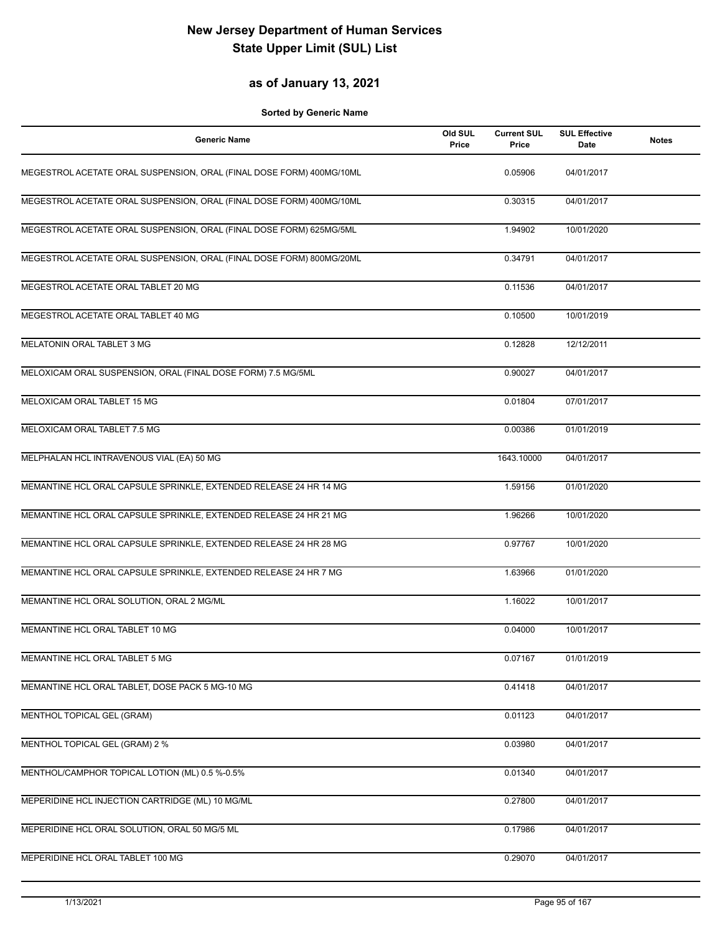### **as of January 13, 2021**

| <b>Generic Name</b>                                                  | Old SUL<br>Price | <b>Current SUL</b><br>Price | <b>SUL Effective</b><br>Date | <b>Notes</b> |
|----------------------------------------------------------------------|------------------|-----------------------------|------------------------------|--------------|
| MEGESTROL ACETATE ORAL SUSPENSION, ORAL (FINAL DOSE FORM) 400MG/10ML |                  | 0.05906                     | 04/01/2017                   |              |
| MEGESTROL ACETATE ORAL SUSPENSION, ORAL (FINAL DOSE FORM) 400MG/10ML |                  | 0.30315                     | 04/01/2017                   |              |
| MEGESTROL ACETATE ORAL SUSPENSION, ORAL (FINAL DOSE FORM) 625MG/5ML  |                  | 1.94902                     | 10/01/2020                   |              |
| MEGESTROL ACETATE ORAL SUSPENSION, ORAL (FINAL DOSE FORM) 800MG/20ML |                  | 0.34791                     | 04/01/2017                   |              |
| MEGESTROL ACETATE ORAL TABLET 20 MG                                  |                  | 0.11536                     | 04/01/2017                   |              |
| MEGESTROL ACETATE ORAL TABLET 40 MG                                  |                  | 0.10500                     | 10/01/2019                   |              |
| <b>MELATONIN ORAL TABLET 3 MG</b>                                    |                  | 0.12828                     | 12/12/2011                   |              |
| MELOXICAM ORAL SUSPENSION, ORAL (FINAL DOSE FORM) 7.5 MG/5ML         |                  | 0.90027                     | 04/01/2017                   |              |
| MELOXICAM ORAL TABLET 15 MG                                          |                  | 0.01804                     | 07/01/2017                   |              |
| MELOXICAM ORAL TABLET 7.5 MG                                         |                  | 0.00386                     | 01/01/2019                   |              |
| MELPHALAN HCL INTRAVENOUS VIAL (EA) 50 MG                            |                  | 1643.10000                  | 04/01/2017                   |              |
| MEMANTINE HCL ORAL CAPSULE SPRINKLE, EXTENDED RELEASE 24 HR 14 MG    |                  | 1.59156                     | 01/01/2020                   |              |
| MEMANTINE HCL ORAL CAPSULE SPRINKLE, EXTENDED RELEASE 24 HR 21 MG    |                  | 1.96266                     | 10/01/2020                   |              |
| MEMANTINE HCL ORAL CAPSULE SPRINKLE, EXTENDED RELEASE 24 HR 28 MG    |                  | 0.97767                     | 10/01/2020                   |              |
| MEMANTINE HCL ORAL CAPSULE SPRINKLE, EXTENDED RELEASE 24 HR 7 MG     |                  | 1.63966                     | 01/01/2020                   |              |
| MEMANTINE HCL ORAL SOLUTION, ORAL 2 MG/ML                            |                  | 1.16022                     | 10/01/2017                   |              |
| MEMANTINE HCL ORAL TABLET 10 MG                                      |                  | 0.04000                     | 10/01/2017                   |              |
| MEMANTINE HCL ORAL TABLET 5 MG                                       |                  | 0.07167                     | 01/01/2019                   |              |
| MEMANTINE HCL ORAL TABLET, DOSE PACK 5 MG-10 MG                      |                  | 0.41418                     | 04/01/2017                   |              |
| <b>MENTHOL TOPICAL GEL (GRAM)</b>                                    |                  | 0.01123                     | 04/01/2017                   |              |
| MENTHOL TOPICAL GEL (GRAM) 2 %                                       |                  | 0.03980                     | 04/01/2017                   |              |
| MENTHOL/CAMPHOR TOPICAL LOTION (ML) 0.5 %-0.5%                       |                  | 0.01340                     | 04/01/2017                   |              |
| MEPERIDINE HCL INJECTION CARTRIDGE (ML) 10 MG/ML                     |                  | 0.27800                     | 04/01/2017                   |              |
| MEPERIDINE HCL ORAL SOLUTION, ORAL 50 MG/5 ML                        |                  | 0.17986                     | 04/01/2017                   |              |
| MEPERIDINE HCL ORAL TABLET 100 MG                                    |                  | 0.29070                     | 04/01/2017                   |              |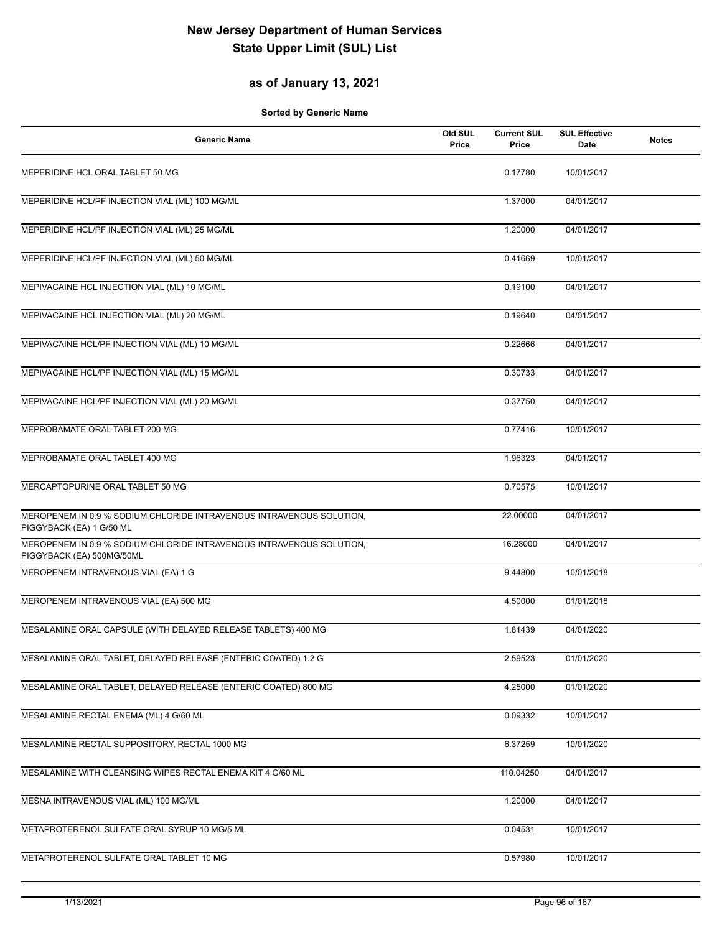#### **as of January 13, 2021**

| <b>Generic Name</b>                                                                               | Old SUL<br>Price | <b>Current SUL</b><br>Price | <b>SUL Effective</b><br>Date | <b>Notes</b> |
|---------------------------------------------------------------------------------------------------|------------------|-----------------------------|------------------------------|--------------|
| MEPERIDINE HCL ORAL TABLET 50 MG                                                                  |                  | 0.17780                     | 10/01/2017                   |              |
| MEPERIDINE HCL/PF INJECTION VIAL (ML) 100 MG/ML                                                   |                  | 1.37000                     | 04/01/2017                   |              |
| MEPERIDINE HCL/PF INJECTION VIAL (ML) 25 MG/ML                                                    |                  | 1.20000                     | 04/01/2017                   |              |
| MEPERIDINE HCL/PF INJECTION VIAL (ML) 50 MG/ML                                                    |                  | 0.41669                     | 10/01/2017                   |              |
| MEPIVACAINE HCL INJECTION VIAL (ML) 10 MG/ML                                                      |                  | 0.19100                     | 04/01/2017                   |              |
| MEPIVACAINE HCL INJECTION VIAL (ML) 20 MG/ML                                                      |                  | 0.19640                     | 04/01/2017                   |              |
| MEPIVACAINE HCL/PF INJECTION VIAL (ML) 10 MG/ML                                                   |                  | 0.22666                     | 04/01/2017                   |              |
| MEPIVACAINE HCL/PF INJECTION VIAL (ML) 15 MG/ML                                                   |                  | 0.30733                     | 04/01/2017                   |              |
| MEPIVACAINE HCL/PF INJECTION VIAL (ML) 20 MG/ML                                                   |                  | 0.37750                     | 04/01/2017                   |              |
| MEPROBAMATE ORAL TABLET 200 MG                                                                    |                  | 0.77416                     | 10/01/2017                   |              |
| MEPROBAMATE ORAL TABLET 400 MG                                                                    |                  | 1.96323                     | 04/01/2017                   |              |
| MERCAPTOPURINE ORAL TABLET 50 MG                                                                  |                  | 0.70575                     | 10/01/2017                   |              |
| MEROPENEM IN 0.9 % SODIUM CHLORIDE INTRAVENOUS INTRAVENOUS SOLUTION,<br>PIGGYBACK (EA) 1 G/50 ML  |                  | 22.00000                    | 04/01/2017                   |              |
| MEROPENEM IN 0.9 % SODIUM CHLORIDE INTRAVENOUS INTRAVENOUS SOLUTION,<br>PIGGYBACK (EA) 500MG/50ML |                  | 16.28000                    | 04/01/2017                   |              |
| MEROPENEM INTRAVENOUS VIAL (EA) 1 G                                                               |                  | 9.44800                     | 10/01/2018                   |              |
| MEROPENEM INTRAVENOUS VIAL (EA) 500 MG                                                            |                  | 4.50000                     | 01/01/2018                   |              |
| MESALAMINE ORAL CAPSULE (WITH DELAYED RELEASE TABLETS) 400 MG                                     |                  | 1.81439                     | 04/01/2020                   |              |
| MESALAMINE ORAL TABLET, DELAYED RELEASE (ENTERIC COATED) 1.2 G                                    |                  | 2.59523                     | 01/01/2020                   |              |
| MESALAMINE ORAL TABLET, DELAYED RELEASE (ENTERIC COATED) 800 MG                                   |                  | 4.25000                     | 01/01/2020                   |              |
| MESALAMINE RECTAL ENEMA (ML) 4 G/60 ML                                                            |                  | 0.09332                     | 10/01/2017                   |              |
| MESALAMINE RECTAL SUPPOSITORY, RECTAL 1000 MG                                                     |                  | 6.37259                     | 10/01/2020                   |              |
| MESALAMINE WITH CLEANSING WIPES RECTAL ENEMA KIT 4 G/60 ML                                        |                  | 110.04250                   | 04/01/2017                   |              |
| MESNA INTRAVENOUS VIAL (ML) 100 MG/ML                                                             |                  | 1.20000                     | 04/01/2017                   |              |
| METAPROTERENOL SULFATE ORAL SYRUP 10 MG/5 ML                                                      |                  | 0.04531                     | 10/01/2017                   |              |
| METAPROTERENOL SULFATE ORAL TABLET 10 MG                                                          |                  | 0.57980                     | 10/01/2017                   |              |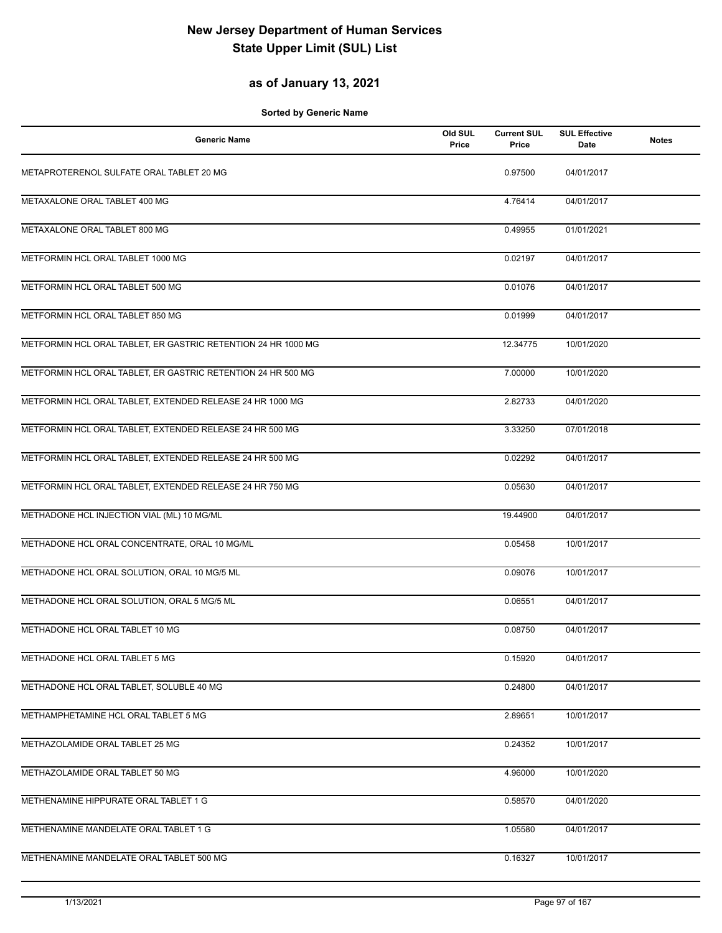### **as of January 13, 2021**

| <b>Generic Name</b>                                           | Old SUL<br>Price | <b>Current SUL</b><br>Price | <b>SUL Effective</b><br>Date | <b>Notes</b> |
|---------------------------------------------------------------|------------------|-----------------------------|------------------------------|--------------|
| METAPROTERENOL SULFATE ORAL TABLET 20 MG                      |                  | 0.97500                     | 04/01/2017                   |              |
| METAXALONE ORAL TABLET 400 MG                                 |                  | 4.76414                     | 04/01/2017                   |              |
| METAXALONE ORAL TABLET 800 MG                                 |                  | 0.49955                     | 01/01/2021                   |              |
| METFORMIN HCL ORAL TABLET 1000 MG                             |                  | 0.02197                     | 04/01/2017                   |              |
| METFORMIN HCL ORAL TABLET 500 MG                              |                  | 0.01076                     | 04/01/2017                   |              |
| METFORMIN HCL ORAL TABLET 850 MG                              |                  | 0.01999                     | 04/01/2017                   |              |
| METFORMIN HCL ORAL TABLET, ER GASTRIC RETENTION 24 HR 1000 MG |                  | 12.34775                    | 10/01/2020                   |              |
| METFORMIN HCL ORAL TABLET, ER GASTRIC RETENTION 24 HR 500 MG  |                  | 7.00000                     | 10/01/2020                   |              |
| METFORMIN HCL ORAL TABLET, EXTENDED RELEASE 24 HR 1000 MG     |                  | 2.82733                     | 04/01/2020                   |              |
| METFORMIN HCL ORAL TABLET, EXTENDED RELEASE 24 HR 500 MG      |                  | 3.33250                     | 07/01/2018                   |              |
| METFORMIN HCL ORAL TABLET, EXTENDED RELEASE 24 HR 500 MG      |                  | 0.02292                     | 04/01/2017                   |              |
| METFORMIN HCL ORAL TABLET, EXTENDED RELEASE 24 HR 750 MG      |                  | 0.05630                     | 04/01/2017                   |              |
| METHADONE HCL INJECTION VIAL (ML) 10 MG/ML                    |                  | 19.44900                    | 04/01/2017                   |              |
| METHADONE HCL ORAL CONCENTRATE, ORAL 10 MG/ML                 |                  | 0.05458                     | 10/01/2017                   |              |
| METHADONE HCL ORAL SOLUTION, ORAL 10 MG/5 ML                  |                  | 0.09076                     | 10/01/2017                   |              |
| METHADONE HCL ORAL SOLUTION, ORAL 5 MG/5 ML                   |                  | 0.06551                     | 04/01/2017                   |              |
| METHADONE HCL ORAL TABLET 10 MG                               |                  | 0.08750                     | 04/01/2017                   |              |
| METHADONE HCL ORAL TABLET 5 MG                                |                  | 0.15920                     | 04/01/2017                   |              |
| METHADONE HCL ORAL TABLET, SOLUBLE 40 MG                      |                  | 0.24800                     | 04/01/2017                   |              |
| METHAMPHETAMINE HCL ORAL TABLET 5 MG                          |                  | 2.89651                     | 10/01/2017                   |              |
| METHAZOLAMIDE ORAL TABLET 25 MG                               |                  | 0.24352                     | 10/01/2017                   |              |
| METHAZOLAMIDE ORAL TABLET 50 MG                               |                  | 4.96000                     | 10/01/2020                   |              |
| METHENAMINE HIPPURATE ORAL TABLET 1 G                         |                  | 0.58570                     | 04/01/2020                   |              |
| METHENAMINE MANDELATE ORAL TABLET 1 G                         |                  | 1.05580                     | 04/01/2017                   |              |
| METHENAMINE MANDELATE ORAL TABLET 500 MG                      |                  | 0.16327                     | 10/01/2017                   |              |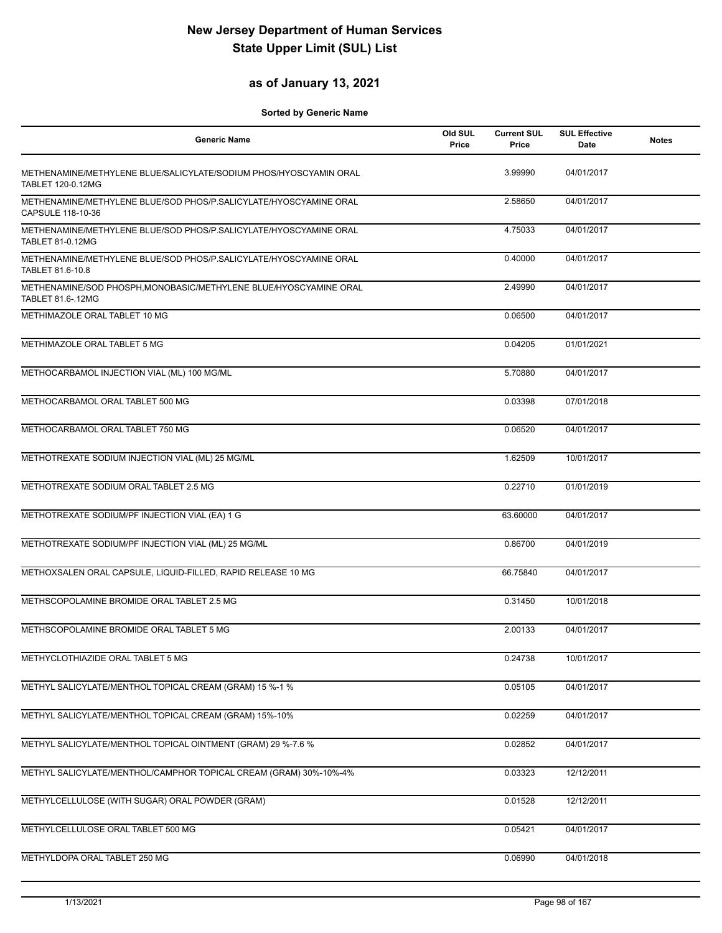#### **as of January 13, 2021**

| <b>Generic Name</b>                                                                           | Old SUL<br>Price | <b>Current SUL</b><br>Price | <b>SUL Effective</b><br>Date | <b>Notes</b> |
|-----------------------------------------------------------------------------------------------|------------------|-----------------------------|------------------------------|--------------|
| METHENAMINE/METHYLENE BLUE/SALICYLATE/SODIUM PHOS/HYOSCYAMIN ORAL<br><b>TABLET 120-0.12MG</b> |                  | 3.99990                     | 04/01/2017                   |              |
| METHENAMINE/METHYLENE BLUE/SOD PHOS/P.SALICYLATE/HYOSCYAMINE ORAL<br>CAPSULE 118-10-36        |                  | 2.58650                     | 04/01/2017                   |              |
| METHENAMINE/METHYLENE BLUE/SOD PHOS/P.SALICYLATE/HYOSCYAMINE ORAL<br><b>TABLET 81-0.12MG</b>  |                  | 4.75033                     | 04/01/2017                   |              |
| METHENAMINE/METHYLENE BLUE/SOD PHOS/P.SALICYLATE/HYOSCYAMINE ORAL<br>TABLET 81.6-10.8         |                  | 0.40000                     | 04/01/2017                   |              |
| METHENAMINE/SOD PHOSPH, MONOBASIC/METHYLENE BLUE/HYOSCYAMINE ORAL<br>TABLET 81.6-.12MG        |                  | 2.49990                     | 04/01/2017                   |              |
| METHIMAZOLE ORAL TABLET 10 MG                                                                 |                  | 0.06500                     | 04/01/2017                   |              |
| METHIMAZOLE ORAL TABLET 5 MG                                                                  |                  | 0.04205                     | 01/01/2021                   |              |
| METHOCARBAMOL INJECTION VIAL (ML) 100 MG/ML                                                   |                  | 5.70880                     | 04/01/2017                   |              |
| METHOCARBAMOL ORAL TABLET 500 MG                                                              |                  | 0.03398                     | 07/01/2018                   |              |
| METHOCARBAMOL ORAL TABLET 750 MG                                                              |                  | 0.06520                     | 04/01/2017                   |              |
| METHOTREXATE SODIUM INJECTION VIAL (ML) 25 MG/ML                                              |                  | 1.62509                     | 10/01/2017                   |              |
| METHOTREXATE SODIUM ORAL TABLET 2.5 MG                                                        |                  | 0.22710                     | 01/01/2019                   |              |
| METHOTREXATE SODIUM/PF INJECTION VIAL (EA) 1 G                                                |                  | 63.60000                    | 04/01/2017                   |              |
| METHOTREXATE SODIUM/PF INJECTION VIAL (ML) 25 MG/ML                                           |                  | 0.86700                     | 04/01/2019                   |              |
| METHOXSALEN ORAL CAPSULE, LIQUID-FILLED, RAPID RELEASE 10 MG                                  |                  | 66.75840                    | 04/01/2017                   |              |
| METHSCOPOLAMINE BROMIDE ORAL TABLET 2.5 MG                                                    |                  | 0.31450                     | 10/01/2018                   |              |
| METHSCOPOLAMINE BROMIDE ORAL TABLET 5 MG                                                      |                  | 2.00133                     | 04/01/2017                   |              |
| METHYCLOTHIAZIDE ORAL TABLET 5 MG                                                             |                  | 0.24738                     | 10/01/2017                   |              |
| METHYL SALICYLATE/MENTHOL TOPICAL CREAM (GRAM) 15 %-1 %                                       |                  | 0.05105                     | 04/01/2017                   |              |
| METHYL SALICYLATE/MENTHOL TOPICAL CREAM (GRAM) 15%-10%                                        |                  | 0.02259                     | 04/01/2017                   |              |
| METHYL SALICYLATE/MENTHOL TOPICAL OINTMENT (GRAM) 29 %-7.6 %                                  |                  | 0.02852                     | 04/01/2017                   |              |
| METHYL SALICYLATE/MENTHOL/CAMPHOR TOPICAL CREAM (GRAM) 30%-10%-4%                             |                  | 0.03323                     | 12/12/2011                   |              |
| METHYLCELLULOSE (WITH SUGAR) ORAL POWDER (GRAM)                                               |                  | 0.01528                     | 12/12/2011                   |              |
| METHYLCELLULOSE ORAL TABLET 500 MG                                                            |                  | 0.05421                     | 04/01/2017                   |              |
| METHYLDOPA ORAL TABLET 250 MG                                                                 |                  | 0.06990                     | 04/01/2018                   |              |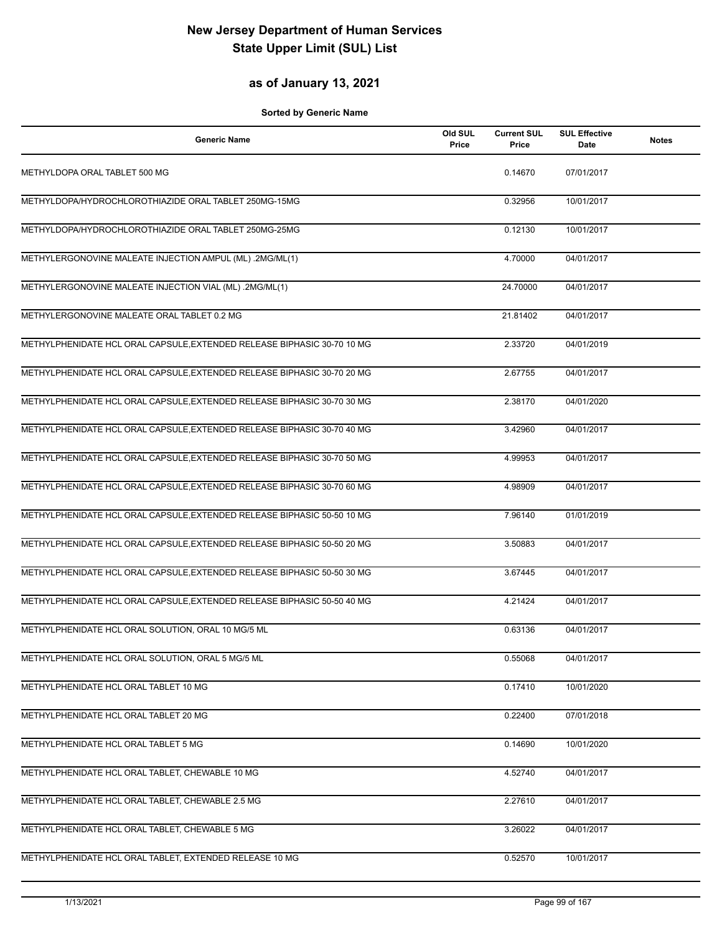### **as of January 13, 2021**

| <b>Generic Name</b>                                                     | Old SUL<br>Price | <b>Current SUL</b><br>Price | <b>SUL Effective</b><br>Date | <b>Notes</b> |
|-------------------------------------------------------------------------|------------------|-----------------------------|------------------------------|--------------|
| METHYLDOPA ORAL TABLET 500 MG                                           |                  | 0.14670                     | 07/01/2017                   |              |
| METHYLDOPA/HYDROCHLOROTHIAZIDE ORAL TABLET 250MG-15MG                   |                  | 0.32956                     | 10/01/2017                   |              |
| METHYLDOPA/HYDROCHLOROTHIAZIDE ORAL TABLET 250MG-25MG                   |                  | 0.12130                     | 10/01/2017                   |              |
| METHYLERGONOVINE MALEATE INJECTION AMPUL (ML) .2MG/ML(1)                |                  | 4.70000                     | 04/01/2017                   |              |
| METHYLERGONOVINE MALEATE INJECTION VIAL (ML) .2MG/ML(1)                 |                  | 24.70000                    | 04/01/2017                   |              |
| METHYLERGONOVINE MALEATE ORAL TABLET 0.2 MG                             |                  | 21.81402                    | 04/01/2017                   |              |
| METHYLPHENIDATE HCL ORAL CAPSULE, EXTENDED RELEASE BIPHASIC 30-70 10 MG |                  | 2.33720                     | 04/01/2019                   |              |
| METHYLPHENIDATE HCL ORAL CAPSULE, EXTENDED RELEASE BIPHASIC 30-70 20 MG |                  | 2.67755                     | 04/01/2017                   |              |
| METHYLPHENIDATE HCL ORAL CAPSULE, EXTENDED RELEASE BIPHASIC 30-70 30 MG |                  | 2.38170                     | 04/01/2020                   |              |
| METHYLPHENIDATE HCL ORAL CAPSULE, EXTENDED RELEASE BIPHASIC 30-70 40 MG |                  | 3.42960                     | 04/01/2017                   |              |
| METHYLPHENIDATE HCL ORAL CAPSULE, EXTENDED RELEASE BIPHASIC 30-70 50 MG |                  | 4.99953                     | 04/01/2017                   |              |
| METHYLPHENIDATE HCL ORAL CAPSULE, EXTENDED RELEASE BIPHASIC 30-70 60 MG |                  | 4.98909                     | 04/01/2017                   |              |
| METHYLPHENIDATE HCL ORAL CAPSULE, EXTENDED RELEASE BIPHASIC 50-50 10 MG |                  | 7.96140                     | 01/01/2019                   |              |
| METHYLPHENIDATE HCL ORAL CAPSULE, EXTENDED RELEASE BIPHASIC 50-50 20 MG |                  | 3.50883                     | 04/01/2017                   |              |
| METHYLPHENIDATE HCL ORAL CAPSULE, EXTENDED RELEASE BIPHASIC 50-50 30 MG |                  | 3.67445                     | 04/01/2017                   |              |
| METHYLPHENIDATE HCL ORAL CAPSULE, EXTENDED RELEASE BIPHASIC 50-50 40 MG |                  | 4.21424                     | 04/01/2017                   |              |
| METHYLPHENIDATE HCL ORAL SOLUTION, ORAL 10 MG/5 ML                      |                  | 0.63136                     | 04/01/2017                   |              |
| METHYLPHENIDATE HCL ORAL SOLUTION, ORAL 5 MG/5 ML                       |                  | 0.55068                     | 04/01/2017                   |              |
| METHYLPHENIDATE HCL ORAL TABLET 10 MG                                   |                  | 0.17410                     | 10/01/2020                   |              |
| METHYLPHENIDATE HCL ORAL TABLET 20 MG                                   |                  | 0.22400                     | 07/01/2018                   |              |
| METHYLPHENIDATE HCL ORAL TABLET 5 MG                                    |                  | 0.14690                     | 10/01/2020                   |              |
| METHYLPHENIDATE HCL ORAL TABLET, CHEWABLE 10 MG                         |                  | 4.52740                     | 04/01/2017                   |              |
| METHYLPHENIDATE HCL ORAL TABLET, CHEWABLE 2.5 MG                        |                  | 2.27610                     | 04/01/2017                   |              |
| METHYLPHENIDATE HCL ORAL TABLET, CHEWABLE 5 MG                          |                  | 3.26022                     | 04/01/2017                   |              |
| METHYLPHENIDATE HCL ORAL TABLET, EXTENDED RELEASE 10 MG                 |                  | 0.52570                     | 10/01/2017                   |              |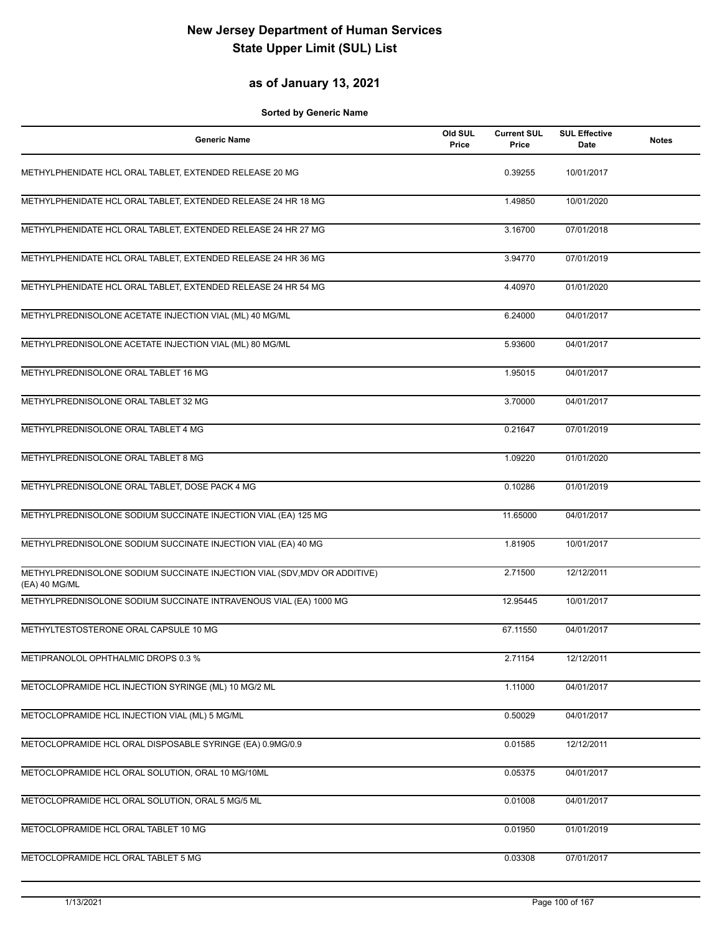#### **as of January 13, 2021**

| <b>Generic Name</b>                                                                        | Old SUL<br>Price | <b>Current SUL</b><br>Price | <b>SUL Effective</b><br>Date | <b>Notes</b> |
|--------------------------------------------------------------------------------------------|------------------|-----------------------------|------------------------------|--------------|
| METHYLPHENIDATE HCL ORAL TABLET, EXTENDED RELEASE 20 MG                                    |                  | 0.39255                     | 10/01/2017                   |              |
| METHYLPHENIDATE HCL ORAL TABLET, EXTENDED RELEASE 24 HR 18 MG                              |                  | 1.49850                     | 10/01/2020                   |              |
| METHYLPHENIDATE HCL ORAL TABLET, EXTENDED RELEASE 24 HR 27 MG                              |                  | 3.16700                     | 07/01/2018                   |              |
| METHYLPHENIDATE HCL ORAL TABLET, EXTENDED RELEASE 24 HR 36 MG                              |                  | 3.94770                     | 07/01/2019                   |              |
| METHYLPHENIDATE HCL ORAL TABLET, EXTENDED RELEASE 24 HR 54 MG                              |                  | 4.40970                     | 01/01/2020                   |              |
| METHYLPREDNISOLONE ACETATE INJECTION VIAL (ML) 40 MG/ML                                    |                  | 6.24000                     | 04/01/2017                   |              |
| METHYLPREDNISOLONE ACETATE INJECTION VIAL (ML) 80 MG/ML                                    |                  | 5.93600                     | 04/01/2017                   |              |
| METHYLPREDNISOLONE ORAL TABLET 16 MG                                                       |                  | 1.95015                     | 04/01/2017                   |              |
| METHYLPREDNISOLONE ORAL TABLET 32 MG                                                       |                  | 3.70000                     | 04/01/2017                   |              |
| METHYLPREDNISOLONE ORAL TABLET 4 MG                                                        |                  | 0.21647                     | 07/01/2019                   |              |
| METHYLPREDNISOLONE ORAL TABLET 8 MG                                                        |                  | 1.09220                     | 01/01/2020                   |              |
| METHYLPREDNISOLONE ORAL TABLET, DOSE PACK 4 MG                                             |                  | 0.10286                     | 01/01/2019                   |              |
| METHYLPREDNISOLONE SODIUM SUCCINATE INJECTION VIAL (EA) 125 MG                             |                  | 11.65000                    | 04/01/2017                   |              |
| METHYLPREDNISOLONE SODIUM SUCCINATE INJECTION VIAL (EA) 40 MG                              |                  | 1.81905                     | 10/01/2017                   |              |
| METHYLPREDNISOLONE SODIUM SUCCINATE INJECTION VIAL (SDV, MDV OR ADDITIVE)<br>(EA) 40 MG/ML |                  | 2.71500                     | 12/12/2011                   |              |
| METHYLPREDNISOLONE SODIUM SUCCINATE INTRAVENOUS VIAL (EA) 1000 MG                          |                  | 12.95445                    | 10/01/2017                   |              |
| METHYLTESTOSTERONE ORAL CAPSULE 10 MG                                                      |                  | 67.11550                    | 04/01/2017                   |              |
| METIPRANOLOL OPHTHALMIC DROPS 0.3 %                                                        |                  | 2.71154                     | 12/12/2011                   |              |
| METOCLOPRAMIDE HCL INJECTION SYRINGE (ML) 10 MG/2 ML                                       |                  | 1.11000                     | 04/01/2017                   |              |
| METOCLOPRAMIDE HCL INJECTION VIAL (ML) 5 MG/ML                                             |                  | 0.50029                     | 04/01/2017                   |              |
| METOCLOPRAMIDE HCL ORAL DISPOSABLE SYRINGE (EA) 0.9MG/0.9                                  |                  | 0.01585                     | 12/12/2011                   |              |
| METOCLOPRAMIDE HCL ORAL SOLUTION, ORAL 10 MG/10ML                                          |                  | 0.05375                     | 04/01/2017                   |              |
| METOCLOPRAMIDE HCL ORAL SOLUTION, ORAL 5 MG/5 ML                                           |                  | 0.01008                     | 04/01/2017                   |              |
| METOCLOPRAMIDE HCL ORAL TABLET 10 MG                                                       |                  | 0.01950                     | 01/01/2019                   |              |
| METOCLOPRAMIDE HCL ORAL TABLET 5 MG                                                        |                  | 0.03308                     | 07/01/2017                   |              |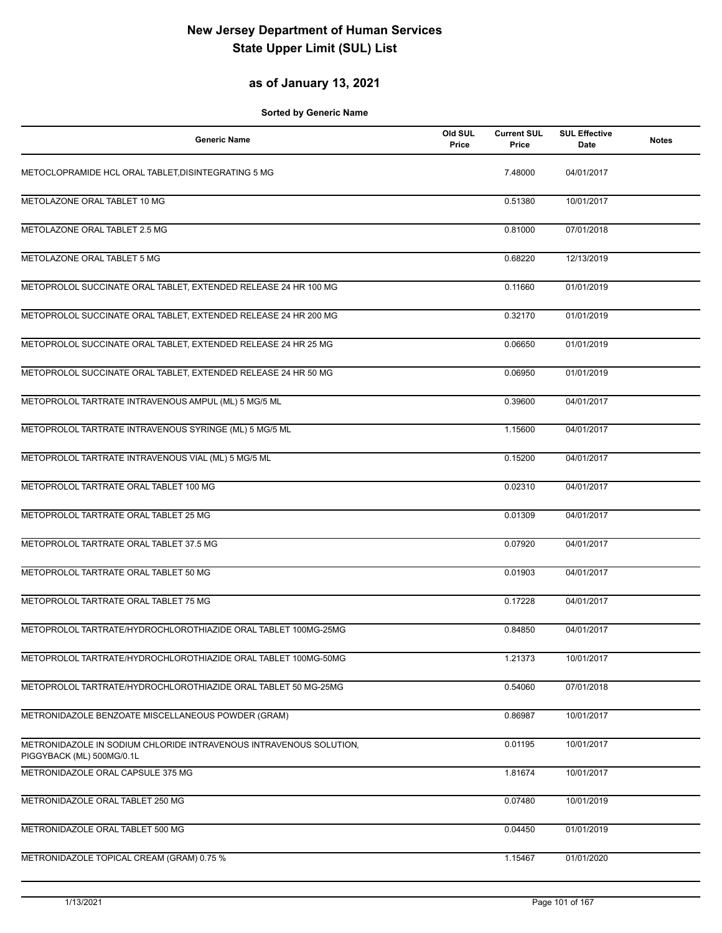### **as of January 13, 2021**

| <b>Generic Name</b>                                                                             | Old SUL<br>Price | <b>Current SUL</b><br>Price | <b>SUL Effective</b><br>Date | <b>Notes</b> |
|-------------------------------------------------------------------------------------------------|------------------|-----------------------------|------------------------------|--------------|
| METOCLOPRAMIDE HCL ORAL TABLET, DISINTEGRATING 5 MG                                             |                  | 7.48000                     | 04/01/2017                   |              |
| METOLAZONE ORAL TABLET 10 MG                                                                    |                  | 0.51380                     | 10/01/2017                   |              |
| METOLAZONE ORAL TABLET 2.5 MG                                                                   |                  | 0.81000                     | 07/01/2018                   |              |
| METOLAZONE ORAL TABLET 5 MG                                                                     |                  | 0.68220                     | 12/13/2019                   |              |
| METOPROLOL SUCCINATE ORAL TABLET, EXTENDED RELEASE 24 HR 100 MG                                 |                  | 0.11660                     | 01/01/2019                   |              |
| METOPROLOL SUCCINATE ORAL TABLET, EXTENDED RELEASE 24 HR 200 MG                                 |                  | 0.32170                     | 01/01/2019                   |              |
| METOPROLOL SUCCINATE ORAL TABLET, EXTENDED RELEASE 24 HR 25 MG                                  |                  | 0.06650                     | 01/01/2019                   |              |
| METOPROLOL SUCCINATE ORAL TABLET, EXTENDED RELEASE 24 HR 50 MG                                  |                  | 0.06950                     | 01/01/2019                   |              |
| METOPROLOL TARTRATE INTRAVENOUS AMPUL (ML) 5 MG/5 ML                                            |                  | 0.39600                     | 04/01/2017                   |              |
| METOPROLOL TARTRATE INTRAVENOUS SYRINGE (ML) 5 MG/5 ML                                          |                  | 1.15600                     | 04/01/2017                   |              |
| METOPROLOL TARTRATE INTRAVENOUS VIAL (ML) 5 MG/5 ML                                             |                  | 0.15200                     | 04/01/2017                   |              |
| METOPROLOL TARTRATE ORAL TABLET 100 MG                                                          |                  | 0.02310                     | 04/01/2017                   |              |
| METOPROLOL TARTRATE ORAL TABLET 25 MG                                                           |                  | 0.01309                     | 04/01/2017                   |              |
| METOPROLOL TARTRATE ORAL TABLET 37.5 MG                                                         |                  | 0.07920                     | 04/01/2017                   |              |
| METOPROLOL TARTRATE ORAL TABLET 50 MG                                                           |                  | 0.01903                     | 04/01/2017                   |              |
| METOPROLOL TARTRATE ORAL TABLET 75 MG                                                           |                  | 0.17228                     | 04/01/2017                   |              |
| METOPROLOL TARTRATE/HYDROCHLOROTHIAZIDE ORAL TABLET 100MG-25MG                                  |                  | 0.84850                     | 04/01/2017                   |              |
| METOPROLOL TARTRATE/HYDROCHLOROTHIAZIDE ORAL TABLET 100MG-50MG                                  |                  | 1.21373                     | 10/01/2017                   |              |
| METOPROLOL TARTRATE/HYDROCHLOROTHIAZIDE ORAL TABLET 50 MG-25MG                                  |                  | 0.54060                     | 07/01/2018                   |              |
| METRONIDAZOLE BENZOATE MISCELLANEOUS POWDER (GRAM)                                              |                  | 0.86987                     | 10/01/2017                   |              |
| METRONIDAZOLE IN SODIUM CHLORIDE INTRAVENOUS INTRAVENOUS SOLUTION,<br>PIGGYBACK (ML) 500MG/0.1L |                  | 0.01195                     | 10/01/2017                   |              |
| METRONIDAZOLE ORAL CAPSULE 375 MG                                                               |                  | 1.81674                     | 10/01/2017                   |              |
| METRONIDAZOLE ORAL TABLET 250 MG                                                                |                  | 0.07480                     | 10/01/2019                   |              |
| METRONIDAZOLE ORAL TABLET 500 MG                                                                |                  | 0.04450                     | 01/01/2019                   |              |
| METRONIDAZOLE TOPICAL CREAM (GRAM) 0.75 %                                                       |                  | 1.15467                     | 01/01/2020                   |              |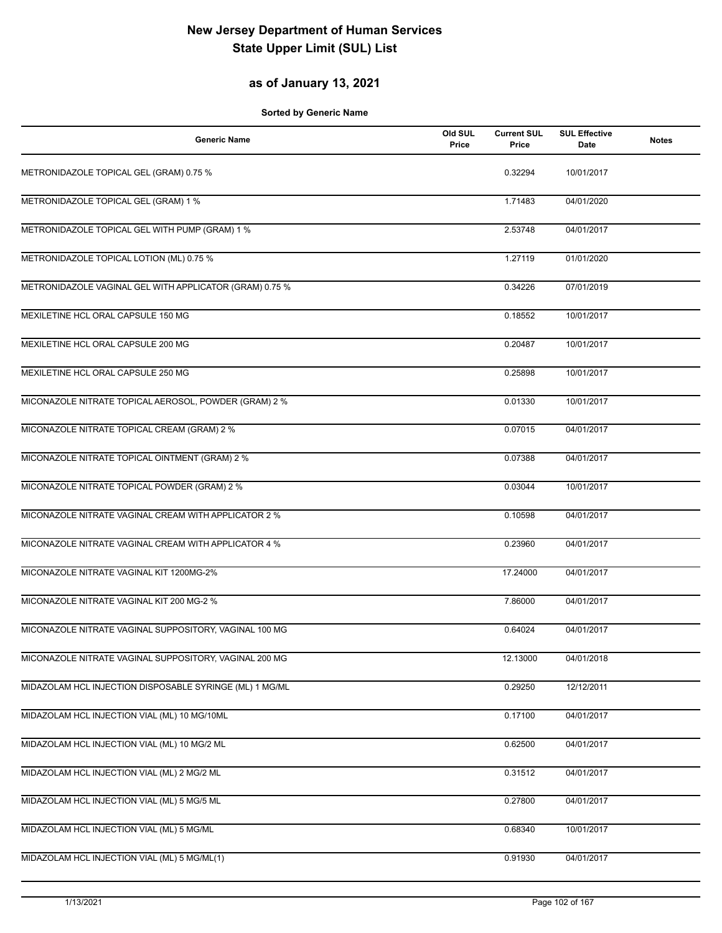### **as of January 13, 2021**

| <b>Generic Name</b>                                     | Old SUL<br>Price | <b>Current SUL</b><br>Price | <b>SUL Effective</b><br>Date | <b>Notes</b> |
|---------------------------------------------------------|------------------|-----------------------------|------------------------------|--------------|
| METRONIDAZOLE TOPICAL GEL (GRAM) 0.75 %                 |                  | 0.32294                     | 10/01/2017                   |              |
| METRONIDAZOLE TOPICAL GEL (GRAM) 1 %                    |                  | 1.71483                     | 04/01/2020                   |              |
| METRONIDAZOLE TOPICAL GEL WITH PUMP (GRAM) 1 %          |                  | 2.53748                     | 04/01/2017                   |              |
| METRONIDAZOLE TOPICAL LOTION (ML) 0.75 %                |                  | 1.27119                     | 01/01/2020                   |              |
| METRONIDAZOLE VAGINAL GEL WITH APPLICATOR (GRAM) 0.75 % |                  | 0.34226                     | 07/01/2019                   |              |
| MEXILETINE HCL ORAL CAPSULE 150 MG                      |                  | 0.18552                     | 10/01/2017                   |              |
| MEXILETINE HCL ORAL CAPSULE 200 MG                      |                  | 0.20487                     | 10/01/2017                   |              |
| MEXILETINE HCL ORAL CAPSULE 250 MG                      |                  | 0.25898                     | 10/01/2017                   |              |
| MICONAZOLE NITRATE TOPICAL AEROSOL, POWDER (GRAM) 2 %   |                  | 0.01330                     | 10/01/2017                   |              |
| MICONAZOLE NITRATE TOPICAL CREAM (GRAM) 2 %             |                  | 0.07015                     | 04/01/2017                   |              |
| MICONAZOLE NITRATE TOPICAL OINTMENT (GRAM) 2 %          |                  | 0.07388                     | 04/01/2017                   |              |
| MICONAZOLE NITRATE TOPICAL POWDER (GRAM) 2 %            |                  | 0.03044                     | 10/01/2017                   |              |
| MICONAZOLE NITRATE VAGINAL CREAM WITH APPLICATOR 2 %    |                  | 0.10598                     | 04/01/2017                   |              |
| MICONAZOLE NITRATE VAGINAL CREAM WITH APPLICATOR 4 %    |                  | 0.23960                     | 04/01/2017                   |              |
| MICONAZOLE NITRATE VAGINAL KIT 1200MG-2%                |                  | 17.24000                    | 04/01/2017                   |              |
| MICONAZOLE NITRATE VAGINAL KIT 200 MG-2 %               |                  | 7.86000                     | 04/01/2017                   |              |
| MICONAZOLE NITRATE VAGINAL SUPPOSITORY, VAGINAL 100 MG  |                  | 0.64024                     | 04/01/2017                   |              |
| MICONAZOLE NITRATE VAGINAL SUPPOSITORY, VAGINAL 200 MG  |                  | 12.13000                    | 04/01/2018                   |              |
| MIDAZOLAM HCL INJECTION DISPOSABLE SYRINGE (ML) 1 MG/ML |                  | 0.29250                     | 12/12/2011                   |              |
| MIDAZOLAM HCL INJECTION VIAL (ML) 10 MG/10ML            |                  | 0.17100                     | 04/01/2017                   |              |
| MIDAZOLAM HCL INJECTION VIAL (ML) 10 MG/2 ML            |                  | 0.62500                     | 04/01/2017                   |              |
| MIDAZOLAM HCL INJECTION VIAL (ML) 2 MG/2 ML             |                  | 0.31512                     | 04/01/2017                   |              |
| MIDAZOLAM HCL INJECTION VIAL (ML) 5 MG/5 ML             |                  | 0.27800                     | 04/01/2017                   |              |
| MIDAZOLAM HCL INJECTION VIAL (ML) 5 MG/ML               |                  | 0.68340                     | 10/01/2017                   |              |
| MIDAZOLAM HCL INJECTION VIAL (ML) 5 MG/ML(1)            |                  | 0.91930                     | 04/01/2017                   |              |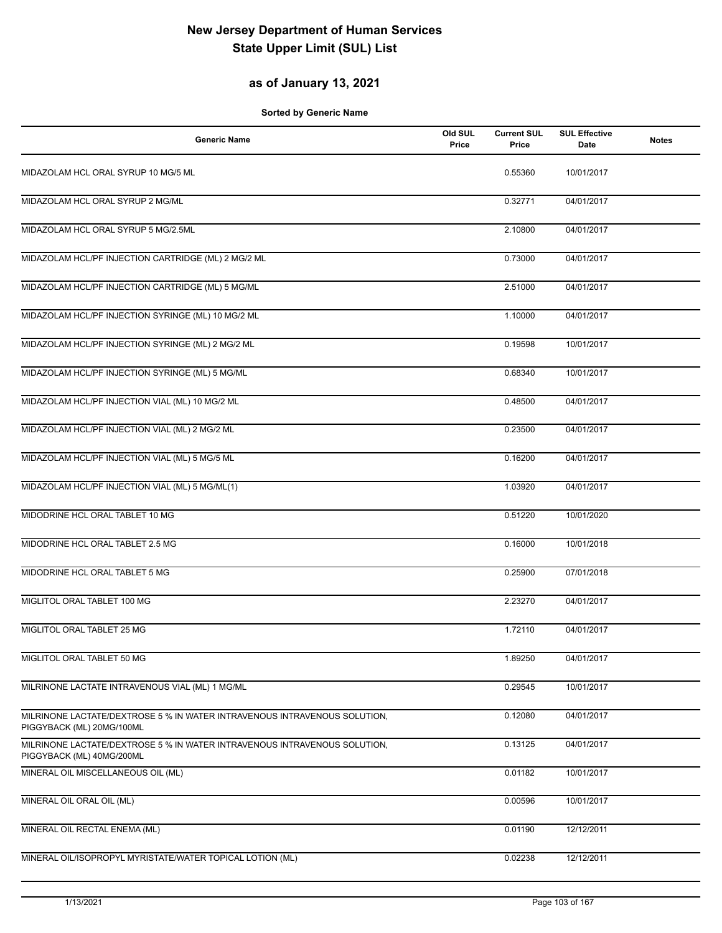### **as of January 13, 2021**

| <b>Generic Name</b>                                                                                    | Old SUL<br>Price | <b>Current SUL</b><br>Price | <b>SUL Effective</b><br>Date | <b>Notes</b> |
|--------------------------------------------------------------------------------------------------------|------------------|-----------------------------|------------------------------|--------------|
| MIDAZOLAM HCL ORAL SYRUP 10 MG/5 ML                                                                    |                  | 0.55360                     | 10/01/2017                   |              |
| MIDAZOLAM HCL ORAL SYRUP 2 MG/ML                                                                       |                  | 0.32771                     | 04/01/2017                   |              |
| MIDAZOLAM HCL ORAL SYRUP 5 MG/2.5ML                                                                    |                  | 2.10800                     | 04/01/2017                   |              |
| MIDAZOLAM HCL/PF INJECTION CARTRIDGE (ML) 2 MG/2 ML                                                    |                  | 0.73000                     | 04/01/2017                   |              |
| MIDAZOLAM HCL/PF INJECTION CARTRIDGE (ML) 5 MG/ML                                                      |                  | 2.51000                     | 04/01/2017                   |              |
| MIDAZOLAM HCL/PF INJECTION SYRINGE (ML) 10 MG/2 ML                                                     |                  | 1.10000                     | 04/01/2017                   |              |
| MIDAZOLAM HCL/PF INJECTION SYRINGE (ML) 2 MG/2 ML                                                      |                  | 0.19598                     | 10/01/2017                   |              |
| MIDAZOLAM HCL/PF INJECTION SYRINGE (ML) 5 MG/ML                                                        |                  | 0.68340                     | 10/01/2017                   |              |
| MIDAZOLAM HCL/PF INJECTION VIAL (ML) 10 MG/2 ML                                                        |                  | 0.48500                     | 04/01/2017                   |              |
| MIDAZOLAM HCL/PF INJECTION VIAL (ML) 2 MG/2 ML                                                         |                  | 0.23500                     | 04/01/2017                   |              |
| MIDAZOLAM HCL/PF INJECTION VIAL (ML) 5 MG/5 ML                                                         |                  | 0.16200                     | 04/01/2017                   |              |
| MIDAZOLAM HCL/PF INJECTION VIAL (ML) 5 MG/ML(1)                                                        |                  | 1.03920                     | 04/01/2017                   |              |
| MIDODRINE HCL ORAL TABLET 10 MG                                                                        |                  | 0.51220                     | 10/01/2020                   |              |
| MIDODRINE HCL ORAL TABLET 2.5 MG                                                                       |                  | 0.16000                     | 10/01/2018                   |              |
| MIDODRINE HCL ORAL TABLET 5 MG                                                                         |                  | 0.25900                     | 07/01/2018                   |              |
| MIGLITOL ORAL TABLET 100 MG                                                                            |                  | 2.23270                     | 04/01/2017                   |              |
| MIGLITOL ORAL TABLET 25 MG                                                                             |                  | 1.72110                     | 04/01/2017                   |              |
| MIGLITOL ORAL TABLET 50 MG                                                                             |                  | 1.89250                     | 04/01/2017                   |              |
| MILRINONE LACTATE INTRAVENOUS VIAL (ML) 1 MG/ML                                                        |                  | 0.29545                     | 10/01/2017                   |              |
| MILRINONE LACTATE/DEXTROSE 5 % IN WATER INTRAVENOUS INTRAVENOUS SOLUTION.<br>PIGGYBACK (ML) 20MG/100ML |                  | 0.12080                     | 04/01/2017                   |              |
| MILRINONE LACTATE/DEXTROSE 5 % IN WATER INTRAVENOUS INTRAVENOUS SOLUTION,<br>PIGGYBACK (ML) 40MG/200ML |                  | 0.13125                     | 04/01/2017                   |              |
| MINERAL OIL MISCELLANEOUS OIL (ML)                                                                     |                  | 0.01182                     | 10/01/2017                   |              |
| MINERAL OIL ORAL OIL (ML)                                                                              |                  | 0.00596                     | 10/01/2017                   |              |
| MINERAL OIL RECTAL ENEMA (ML)                                                                          |                  | 0.01190                     | 12/12/2011                   |              |
| MINERAL OIL/ISOPROPYL MYRISTATE/WATER TOPICAL LOTION (ML)                                              |                  | 0.02238                     | 12/12/2011                   |              |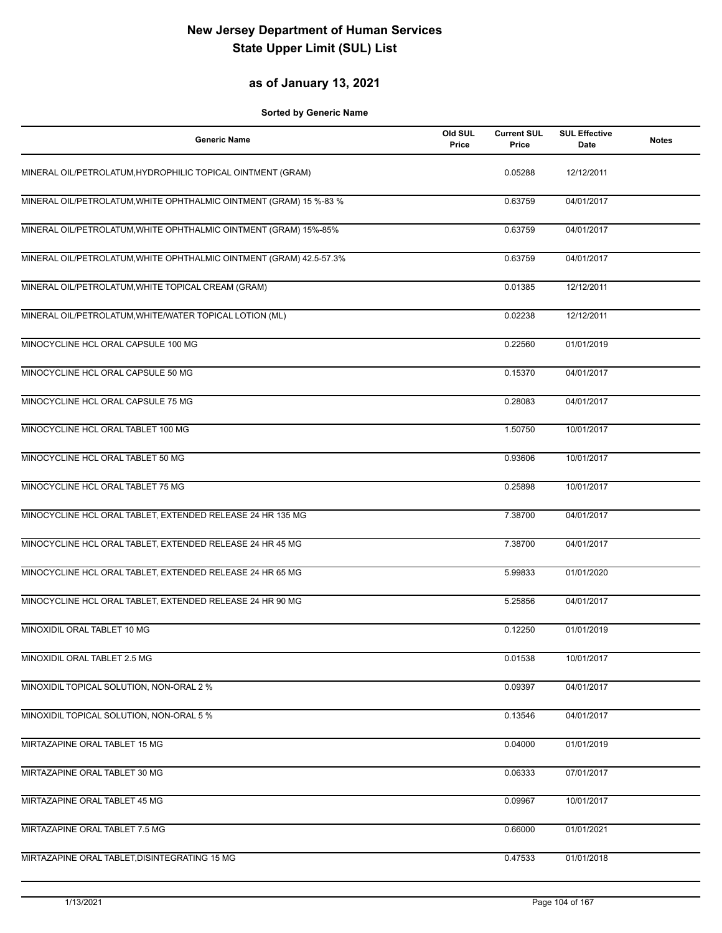#### **as of January 13, 2021**

| <b>Generic Name</b>                                                 | Old SUL<br>Price | <b>Current SUL</b><br>Price | <b>SUL Effective</b><br><b>Date</b> | <b>Notes</b> |
|---------------------------------------------------------------------|------------------|-----------------------------|-------------------------------------|--------------|
| MINERAL OIL/PETROLATUM, HYDROPHILIC TOPICAL OINTMENT (GRAM)         |                  | 0.05288                     | 12/12/2011                          |              |
| MINERAL OIL/PETROLATUM, WHITE OPHTHALMIC OINTMENT (GRAM) 15 %-83 %  |                  | 0.63759                     | 04/01/2017                          |              |
| MINERAL OIL/PETROLATUM, WHITE OPHTHALMIC OINTMENT (GRAM) 15%-85%    |                  | 0.63759                     | 04/01/2017                          |              |
| MINERAL OIL/PETROLATUM, WHITE OPHTHALMIC OINTMENT (GRAM) 42.5-57.3% |                  | 0.63759                     | 04/01/2017                          |              |
| MINERAL OIL/PETROLATUM, WHITE TOPICAL CREAM (GRAM)                  |                  | 0.01385                     | 12/12/2011                          |              |
| MINERAL OIL/PETROLATUM, WHITE/WATER TOPICAL LOTION (ML)             |                  | 0.02238                     | 12/12/2011                          |              |
| MINOCYCLINE HCL ORAL CAPSULE 100 MG                                 |                  | 0.22560                     | 01/01/2019                          |              |
| MINOCYCLINE HCL ORAL CAPSULE 50 MG                                  |                  | 0.15370                     | 04/01/2017                          |              |
| MINOCYCLINE HCL ORAL CAPSULE 75 MG                                  |                  | 0.28083                     | 04/01/2017                          |              |
| MINOCYCLINE HCL ORAL TABLET 100 MG                                  |                  | 1.50750                     | 10/01/2017                          |              |
| MINOCYCLINE HCL ORAL TABLET 50 MG                                   |                  | 0.93606                     | 10/01/2017                          |              |
| MINOCYCLINE HCL ORAL TABLET 75 MG                                   |                  | 0.25898                     | 10/01/2017                          |              |
| MINOCYCLINE HCL ORAL TABLET, EXTENDED RELEASE 24 HR 135 MG          |                  | 7.38700                     | 04/01/2017                          |              |
| MINOCYCLINE HCL ORAL TABLET, EXTENDED RELEASE 24 HR 45 MG           |                  | 7.38700                     | 04/01/2017                          |              |
| MINOCYCLINE HCL ORAL TABLET, EXTENDED RELEASE 24 HR 65 MG           |                  | 5.99833                     | 01/01/2020                          |              |
| MINOCYCLINE HCL ORAL TABLET, EXTENDED RELEASE 24 HR 90 MG           |                  | 5.25856                     | 04/01/2017                          |              |
| MINOXIDIL ORAL TABLET 10 MG                                         |                  | 0.12250                     | 01/01/2019                          |              |
| MINOXIDIL ORAL TABLET 2.5 MG                                        |                  | 0.01538                     | 10/01/2017                          |              |
| MINOXIDIL TOPICAL SOLUTION, NON-ORAL 2 %                            |                  | 0.09397                     | 04/01/2017                          |              |
| MINOXIDIL TOPICAL SOLUTION, NON-ORAL 5 %                            |                  | 0.13546                     | 04/01/2017                          |              |
| MIRTAZAPINE ORAL TABLET 15 MG                                       |                  | 0.04000                     | 01/01/2019                          |              |
| MIRTAZAPINE ORAL TABLET 30 MG                                       |                  | 0.06333                     | 07/01/2017                          |              |
| MIRTAZAPINE ORAL TABLET 45 MG                                       |                  | 0.09967                     | 10/01/2017                          |              |
| MIRTAZAPINE ORAL TABLET 7.5 MG                                      |                  | 0.66000                     | 01/01/2021                          |              |
| MIRTAZAPINE ORAL TABLET, DISINTEGRATING 15 MG                       |                  | 0.47533                     | 01/01/2018                          |              |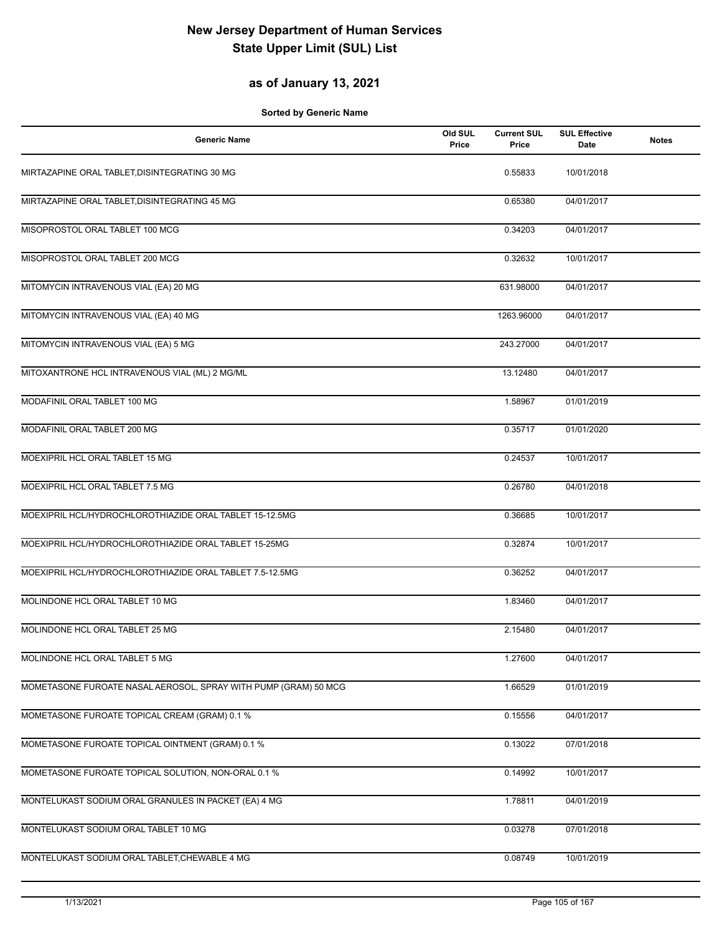### **as of January 13, 2021**

| <b>Generic Name</b>                                             | Old SUL<br>Price | <b>Current SUL</b><br>Price | <b>SUL Effective</b><br>Date | <b>Notes</b> |
|-----------------------------------------------------------------|------------------|-----------------------------|------------------------------|--------------|
| MIRTAZAPINE ORAL TABLET, DISINTEGRATING 30 MG                   |                  | 0.55833                     | 10/01/2018                   |              |
| MIRTAZAPINE ORAL TABLET, DISINTEGRATING 45 MG                   |                  | 0.65380                     | 04/01/2017                   |              |
| MISOPROSTOL ORAL TABLET 100 MCG                                 |                  | 0.34203                     | 04/01/2017                   |              |
| MISOPROSTOL ORAL TABLET 200 MCG                                 |                  | 0.32632                     | 10/01/2017                   |              |
| MITOMYCIN INTRAVENOUS VIAL (EA) 20 MG                           |                  | 631.98000                   | 04/01/2017                   |              |
| MITOMYCIN INTRAVENOUS VIAL (EA) 40 MG                           |                  | 1263.96000                  | 04/01/2017                   |              |
| MITOMYCIN INTRAVENOUS VIAL (EA) 5 MG                            |                  | 243.27000                   | 04/01/2017                   |              |
| MITOXANTRONE HCL INTRAVENOUS VIAL (ML) 2 MG/ML                  |                  | 13.12480                    | 04/01/2017                   |              |
| MODAFINIL ORAL TABLET 100 MG                                    |                  | 1.58967                     | 01/01/2019                   |              |
| MODAFINIL ORAL TABLET 200 MG                                    |                  | 0.35717                     | 01/01/2020                   |              |
| MOEXIPRIL HCL ORAL TABLET 15 MG                                 |                  | 0.24537                     | 10/01/2017                   |              |
| MOEXIPRIL HCL ORAL TABLET 7.5 MG                                |                  | 0.26780                     | 04/01/2018                   |              |
| MOEXIPRIL HCL/HYDROCHLOROTHIAZIDE ORAL TABLET 15-12.5MG         |                  | 0.36685                     | 10/01/2017                   |              |
| MOEXIPRIL HCL/HYDROCHLOROTHIAZIDE ORAL TABLET 15-25MG           |                  | 0.32874                     | 10/01/2017                   |              |
| MOEXIPRIL HCL/HYDROCHLOROTHIAZIDE ORAL TABLET 7.5-12.5MG        |                  | 0.36252                     | 04/01/2017                   |              |
| MOLINDONE HCL ORAL TABLET 10 MG                                 |                  | 1.83460                     | 04/01/2017                   |              |
| MOLINDONE HCL ORAL TABLET 25 MG                                 |                  | 2.15480                     | 04/01/2017                   |              |
| MOLINDONE HCL ORAL TABLET 5 MG                                  |                  | 1.27600                     | 04/01/2017                   |              |
| MOMETASONE FUROATE NASAL AEROSOL, SPRAY WITH PUMP (GRAM) 50 MCG |                  | 1.66529                     | 01/01/2019                   |              |
| MOMETASONE FUROATE TOPICAL CREAM (GRAM) 0.1 %                   |                  | 0.15556                     | 04/01/2017                   |              |
| MOMETASONE FUROATE TOPICAL OINTMENT (GRAM) 0.1 %                |                  | 0.13022                     | 07/01/2018                   |              |
| MOMETASONE FUROATE TOPICAL SOLUTION, NON-ORAL 0.1 %             |                  | 0.14992                     | 10/01/2017                   |              |
| MONTELUKAST SODIUM ORAL GRANULES IN PACKET (EA) 4 MG            |                  | 1.78811                     | 04/01/2019                   |              |
| MONTELUKAST SODIUM ORAL TABLET 10 MG                            |                  | 0.03278                     | 07/01/2018                   |              |
| MONTELUKAST SODIUM ORAL TABLET, CHEWABLE 4 MG                   |                  | 0.08749                     | 10/01/2019                   |              |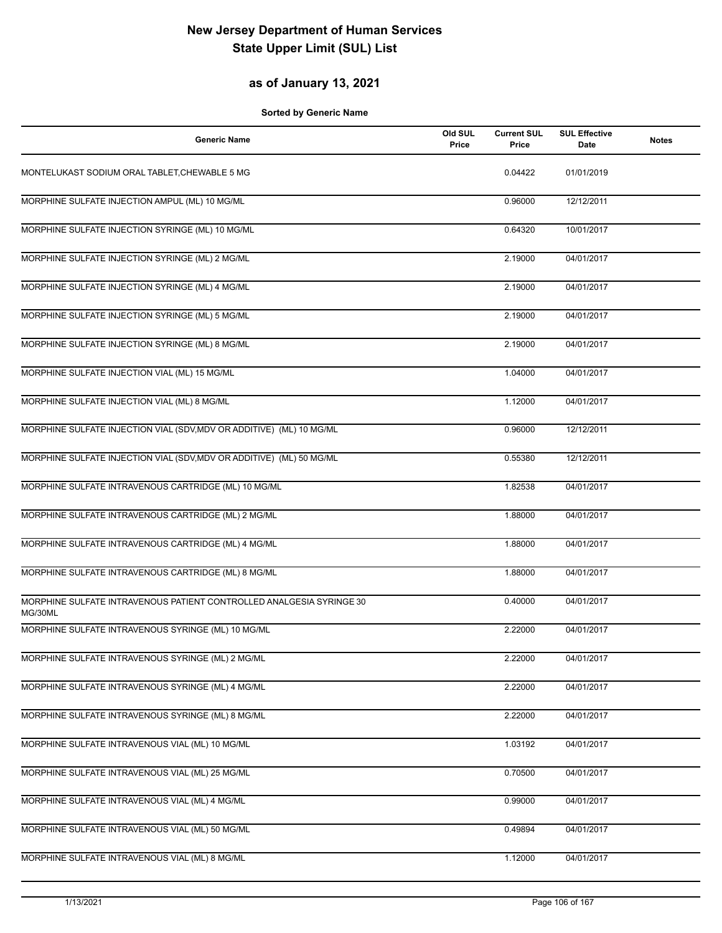### **as of January 13, 2021**

| <b>Generic Name</b>                                                             | Old SUL<br>Price | <b>Current SUL</b><br>Price | <b>SUL Effective</b><br>Date | <b>Notes</b> |
|---------------------------------------------------------------------------------|------------------|-----------------------------|------------------------------|--------------|
| MONTELUKAST SODIUM ORAL TABLET, CHEWABLE 5 MG                                   |                  | 0.04422                     | 01/01/2019                   |              |
| MORPHINE SULFATE INJECTION AMPUL (ML) 10 MG/ML                                  |                  | 0.96000                     | 12/12/2011                   |              |
| MORPHINE SULFATE INJECTION SYRINGE (ML) 10 MG/ML                                |                  | 0.64320                     | 10/01/2017                   |              |
| MORPHINE SULFATE INJECTION SYRINGE (ML) 2 MG/ML                                 |                  | 2.19000                     | 04/01/2017                   |              |
| MORPHINE SULFATE INJECTION SYRINGE (ML) 4 MG/ML                                 |                  | 2.19000                     | 04/01/2017                   |              |
| MORPHINE SULFATE INJECTION SYRINGE (ML) 5 MG/ML                                 |                  | 2.19000                     | 04/01/2017                   |              |
| MORPHINE SULFATE INJECTION SYRINGE (ML) 8 MG/ML                                 |                  | 2.19000                     | 04/01/2017                   |              |
| MORPHINE SULFATE INJECTION VIAL (ML) 15 MG/ML                                   |                  | 1.04000                     | 04/01/2017                   |              |
| MORPHINE SULFATE INJECTION VIAL (ML) 8 MG/ML                                    |                  | 1.12000                     | 04/01/2017                   |              |
| MORPHINE SULFATE INJECTION VIAL (SDV, MDV OR ADDITIVE) (ML) 10 MG/ML            |                  | 0.96000                     | 12/12/2011                   |              |
| MORPHINE SULFATE INJECTION VIAL (SDV, MDV OR ADDITIVE) (ML) 50 MG/ML            |                  | 0.55380                     | 12/12/2011                   |              |
| MORPHINE SULFATE INTRAVENOUS CARTRIDGE (ML) 10 MG/ML                            |                  | 1.82538                     | 04/01/2017                   |              |
| MORPHINE SULFATE INTRAVENOUS CARTRIDGE (ML) 2 MG/ML                             |                  | 1.88000                     | 04/01/2017                   |              |
| MORPHINE SULFATE INTRAVENOUS CARTRIDGE (ML) 4 MG/ML                             |                  | 1.88000                     | 04/01/2017                   |              |
| MORPHINE SULFATE INTRAVENOUS CARTRIDGE (ML) 8 MG/ML                             |                  | 1.88000                     | 04/01/2017                   |              |
| MORPHINE SULFATE INTRAVENOUS PATIENT CONTROLLED ANALGESIA SYRINGE 30<br>MG/30ML |                  | 0.40000                     | 04/01/2017                   |              |
| MORPHINE SULFATE INTRAVENOUS SYRINGE (ML) 10 MG/ML                              |                  | 2.22000                     | 04/01/2017                   |              |
| MORPHINE SULFATE INTRAVENOUS SYRINGE (ML) 2 MG/ML                               |                  | 2.22000                     | 04/01/2017                   |              |
| MORPHINE SULFATE INTRAVENOUS SYRINGE (ML) 4 MG/ML                               |                  | 2.22000                     | 04/01/2017                   |              |
| MORPHINE SULFATE INTRAVENOUS SYRINGE (ML) 8 MG/ML                               |                  | 2.22000                     | 04/01/2017                   |              |
| MORPHINE SULFATE INTRAVENOUS VIAL (ML) 10 MG/ML                                 |                  | 1.03192                     | 04/01/2017                   |              |
| MORPHINE SULFATE INTRAVENOUS VIAL (ML) 25 MG/ML                                 |                  | 0.70500                     | 04/01/2017                   |              |
| MORPHINE SULFATE INTRAVENOUS VIAL (ML) 4 MG/ML                                  |                  | 0.99000                     | 04/01/2017                   |              |
| MORPHINE SULFATE INTRAVENOUS VIAL (ML) 50 MG/ML                                 |                  | 0.49894                     | 04/01/2017                   |              |
| MORPHINE SULFATE INTRAVENOUS VIAL (ML) 8 MG/ML                                  |                  | 1.12000                     | 04/01/2017                   |              |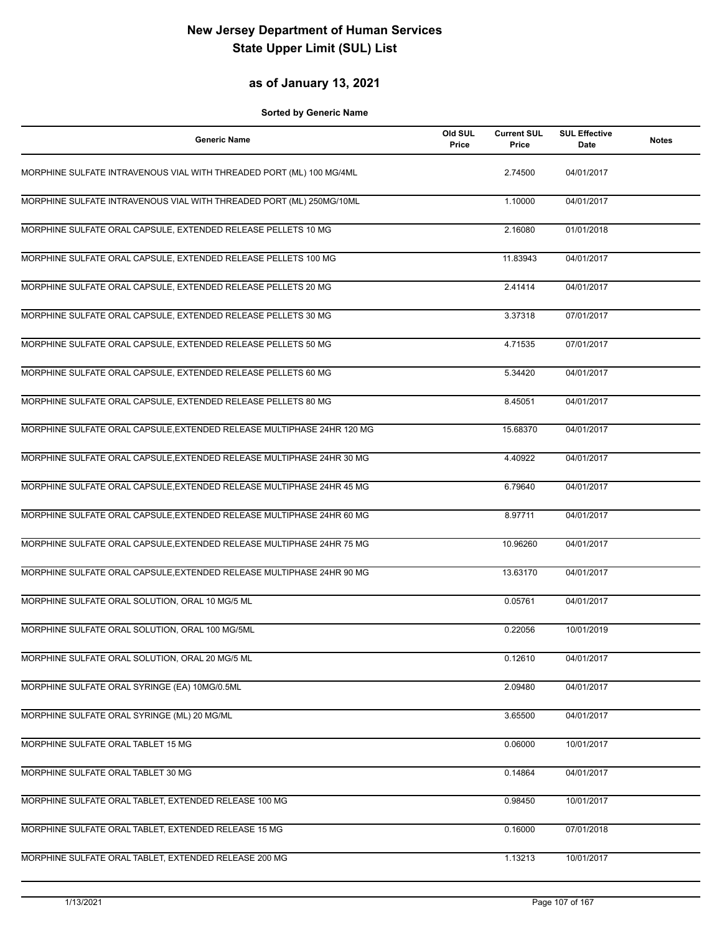#### **as of January 13, 2021**

| <b>Generic Name</b>                                                    | Old SUL<br>Price | <b>Current SUL</b><br>Price | <b>SUL Effective</b><br>Date | <b>Notes</b> |
|------------------------------------------------------------------------|------------------|-----------------------------|------------------------------|--------------|
| MORPHINE SULFATE INTRAVENOUS VIAL WITH THREADED PORT (ML) 100 MG/4ML   |                  | 2.74500                     | 04/01/2017                   |              |
| MORPHINE SULFATE INTRAVENOUS VIAL WITH THREADED PORT (ML) 250MG/10ML   |                  | 1.10000                     | 04/01/2017                   |              |
| MORPHINE SULFATE ORAL CAPSULE, EXTENDED RELEASE PELLETS 10 MG          |                  | 2.16080                     | 01/01/2018                   |              |
| MORPHINE SULFATE ORAL CAPSULE, EXTENDED RELEASE PELLETS 100 MG         |                  | 11.83943                    | 04/01/2017                   |              |
| MORPHINE SULFATE ORAL CAPSULE, EXTENDED RELEASE PELLETS 20 MG          |                  | 2.41414                     | 04/01/2017                   |              |
| MORPHINE SULFATE ORAL CAPSULE, EXTENDED RELEASE PELLETS 30 MG          |                  | 3.37318                     | 07/01/2017                   |              |
| MORPHINE SULFATE ORAL CAPSULE, EXTENDED RELEASE PELLETS 50 MG          |                  | 4.71535                     | 07/01/2017                   |              |
| MORPHINE SULFATE ORAL CAPSULE, EXTENDED RELEASE PELLETS 60 MG          |                  | 5.34420                     | 04/01/2017                   |              |
| MORPHINE SULFATE ORAL CAPSULE, EXTENDED RELEASE PELLETS 80 MG          |                  | 8.45051                     | 04/01/2017                   |              |
| MORPHINE SULFATE ORAL CAPSULE, EXTENDED RELEASE MULTIPHASE 24HR 120 MG |                  | 15.68370                    | 04/01/2017                   |              |
| MORPHINE SULFATE ORAL CAPSULE, EXTENDED RELEASE MULTIPHASE 24HR 30 MG  |                  | 4.40922                     | 04/01/2017                   |              |
| MORPHINE SULFATE ORAL CAPSULE, EXTENDED RELEASE MULTIPHASE 24HR 45 MG  |                  | 6.79640                     | 04/01/2017                   |              |
| MORPHINE SULFATE ORAL CAPSULE, EXTENDED RELEASE MULTIPHASE 24HR 60 MG  |                  | 8.97711                     | 04/01/2017                   |              |
| MORPHINE SULFATE ORAL CAPSULE, EXTENDED RELEASE MULTIPHASE 24HR 75 MG  |                  | 10.96260                    | 04/01/2017                   |              |
| MORPHINE SULFATE ORAL CAPSULE, EXTENDED RELEASE MULTIPHASE 24HR 90 MG  |                  | 13.63170                    | 04/01/2017                   |              |
| MORPHINE SULFATE ORAL SOLUTION, ORAL 10 MG/5 ML                        |                  | 0.05761                     | 04/01/2017                   |              |
| MORPHINE SULFATE ORAL SOLUTION, ORAL 100 MG/5ML                        |                  | 0.22056                     | 10/01/2019                   |              |
| MORPHINE SULFATE ORAL SOLUTION, ORAL 20 MG/5 ML                        |                  | 0.12610                     | 04/01/2017                   |              |
| MORPHINE SULFATE ORAL SYRINGE (EA) 10MG/0.5ML                          |                  | 2.09480                     | 04/01/2017                   |              |
| MORPHINE SULFATE ORAL SYRINGE (ML) 20 MG/ML                            |                  | 3.65500                     | 04/01/2017                   |              |
| MORPHINE SULFATE ORAL TABLET 15 MG                                     |                  | 0.06000                     | 10/01/2017                   |              |
| MORPHINE SULFATE ORAL TABLET 30 MG                                     |                  | 0.14864                     | 04/01/2017                   |              |
| MORPHINE SULFATE ORAL TABLET, EXTENDED RELEASE 100 MG                  |                  | 0.98450                     | 10/01/2017                   |              |
| MORPHINE SULFATE ORAL TABLET, EXTENDED RELEASE 15 MG                   |                  | 0.16000                     | 07/01/2018                   |              |
| MORPHINE SULFATE ORAL TABLET, EXTENDED RELEASE 200 MG                  |                  | 1.13213                     | 10/01/2017                   |              |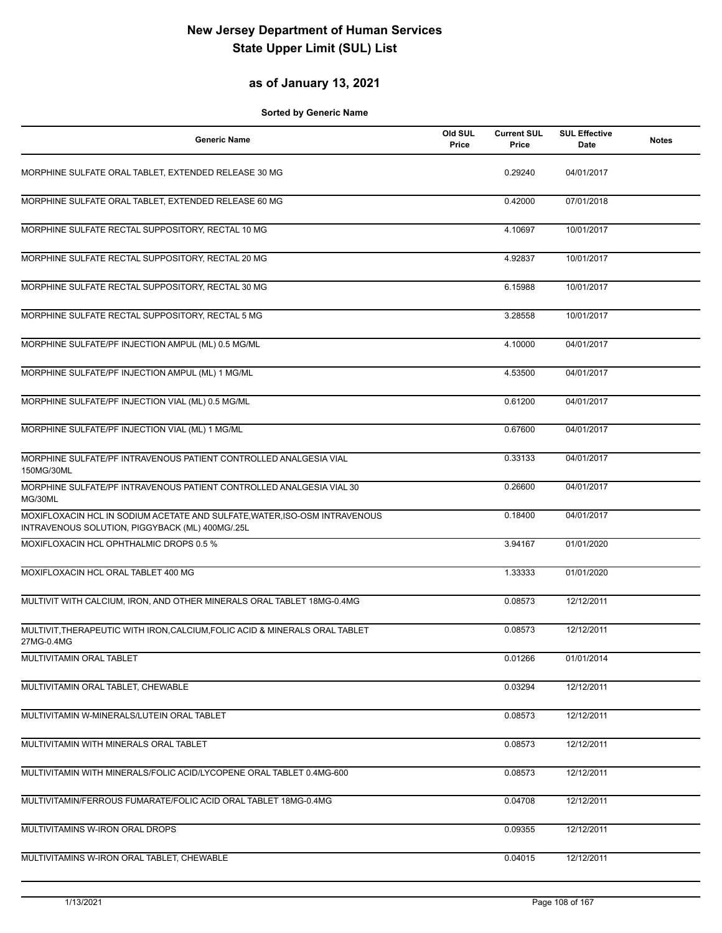### **as of January 13, 2021**

| <b>Generic Name</b>                                                                                                           | Old SUL<br>Price | <b>Current SUL</b><br>Price | <b>SUL Effective</b><br>Date | <b>Notes</b> |
|-------------------------------------------------------------------------------------------------------------------------------|------------------|-----------------------------|------------------------------|--------------|
| MORPHINE SULFATE ORAL TABLET, EXTENDED RELEASE 30 MG                                                                          |                  | 0.29240                     | 04/01/2017                   |              |
| MORPHINE SULFATE ORAL TABLET, EXTENDED RELEASE 60 MG                                                                          |                  | 0.42000                     | 07/01/2018                   |              |
| MORPHINE SULFATE RECTAL SUPPOSITORY, RECTAL 10 MG                                                                             |                  | 4.10697                     | 10/01/2017                   |              |
| MORPHINE SULFATE RECTAL SUPPOSITORY, RECTAL 20 MG                                                                             |                  | 4.92837                     | 10/01/2017                   |              |
| MORPHINE SULFATE RECTAL SUPPOSITORY, RECTAL 30 MG                                                                             |                  | 6.15988                     | 10/01/2017                   |              |
| MORPHINE SULFATE RECTAL SUPPOSITORY, RECTAL 5 MG                                                                              |                  | 3.28558                     | 10/01/2017                   |              |
| MORPHINE SULFATE/PF INJECTION AMPUL (ML) 0.5 MG/ML                                                                            |                  | 4.10000                     | 04/01/2017                   |              |
| MORPHINE SULFATE/PF INJECTION AMPUL (ML) 1 MG/ML                                                                              |                  | 4.53500                     | 04/01/2017                   |              |
| MORPHINE SULFATE/PF INJECTION VIAL (ML) 0.5 MG/ML                                                                             |                  | 0.61200                     | 04/01/2017                   |              |
| MORPHINE SULFATE/PF INJECTION VIAL (ML) 1 MG/ML                                                                               |                  | 0.67600                     | 04/01/2017                   |              |
| MORPHINE SULFATE/PF INTRAVENOUS PATIENT CONTROLLED ANALGESIA VIAL<br>150MG/30ML                                               |                  | 0.33133                     | 04/01/2017                   |              |
| MORPHINE SULFATE/PF INTRAVENOUS PATIENT CONTROLLED ANALGESIA VIAL 30<br>MG/30ML                                               |                  | 0.26600                     | 04/01/2017                   |              |
| MOXIFLOXACIN HCL IN SODIUM ACETATE AND SULFATE, WATER, ISO-OSM INTRAVENOUS<br>INTRAVENOUS SOLUTION, PIGGYBACK (ML) 400MG/.25L |                  | 0.18400                     | 04/01/2017                   |              |
| MOXIFLOXACIN HCL OPHTHALMIC DROPS 0.5 %                                                                                       |                  | 3.94167                     | 01/01/2020                   |              |
| MOXIFLOXACIN HCL ORAL TABLET 400 MG                                                                                           |                  | 1.33333                     | 01/01/2020                   |              |
| MULTIVIT WITH CALCIUM, IRON, AND OTHER MINERALS ORAL TABLET 18MG-0.4MG                                                        |                  | 0.08573                     | 12/12/2011                   |              |
| MULTIVIT, THERAPEUTIC WITH IRON, CALCIUM, FOLIC ACID & MINERALS ORAL TABLET<br>27MG-0.4MG                                     |                  | 0.08573                     | 12/12/2011                   |              |
| MULTIVITAMIN ORAL TABLET                                                                                                      |                  | 0.01266                     | 01/01/2014                   |              |
| MULTIVITAMIN ORAL TABLET, CHEWABLE                                                                                            |                  | 0.03294                     | 12/12/2011                   |              |
| MULTIVITAMIN W-MINERALS/LUTEIN ORAL TABLET                                                                                    |                  | 0.08573                     | 12/12/2011                   |              |
| MULTIVITAMIN WITH MINERALS ORAL TABLET                                                                                        |                  | 0.08573                     | 12/12/2011                   |              |
| MULTIVITAMIN WITH MINERALS/FOLIC ACID/LYCOPENE ORAL TABLET 0.4MG-600                                                          |                  | 0.08573                     | 12/12/2011                   |              |
| MULTIVITAMIN/FERROUS FUMARATE/FOLIC ACID ORAL TABLET 18MG-0.4MG                                                               |                  | 0.04708                     | 12/12/2011                   |              |
| MULTIVITAMINS W-IRON ORAL DROPS                                                                                               |                  | 0.09355                     | 12/12/2011                   |              |
| MULTIVITAMINS W-IRON ORAL TABLET, CHEWABLE                                                                                    |                  | 0.04015                     | 12/12/2011                   |              |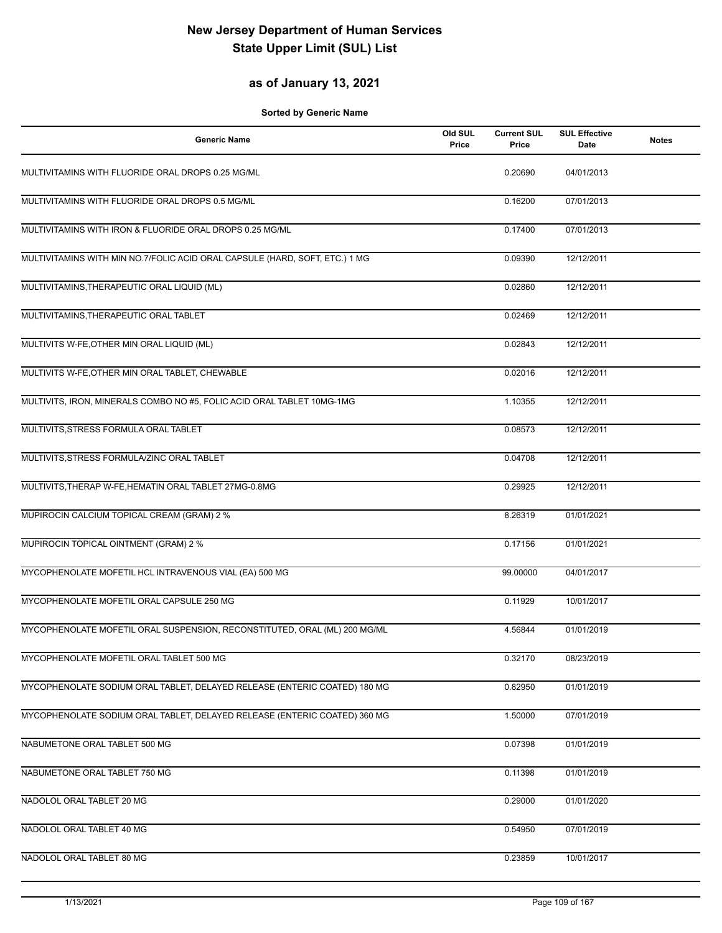## **as of January 13, 2021**

| <b>Generic Name</b>                                                         | Old SUL<br>Price | <b>Current SUL</b><br>Price | <b>SUL Effective</b><br>Date | <b>Notes</b> |
|-----------------------------------------------------------------------------|------------------|-----------------------------|------------------------------|--------------|
| MULTIVITAMINS WITH FLUORIDE ORAL DROPS 0.25 MG/ML                           |                  | 0.20690                     | 04/01/2013                   |              |
| MULTIVITAMINS WITH FLUORIDE ORAL DROPS 0.5 MG/ML                            |                  | 0.16200                     | 07/01/2013                   |              |
| MULTIVITAMINS WITH IRON & FLUORIDE ORAL DROPS 0.25 MG/ML                    |                  | 0.17400                     | 07/01/2013                   |              |
| MULTIVITAMINS WITH MIN NO.7/FOLIC ACID ORAL CAPSULE (HARD, SOFT, ETC.) 1 MG |                  | 0.09390                     | 12/12/2011                   |              |
| MULTIVITAMINS, THERAPEUTIC ORAL LIQUID (ML)                                 |                  | 0.02860                     | 12/12/2011                   |              |
| MULTIVITAMINS, THERAPEUTIC ORAL TABLET                                      |                  | 0.02469                     | 12/12/2011                   |              |
| MULTIVITS W-FE, OTHER MIN ORAL LIQUID (ML)                                  |                  | 0.02843                     | 12/12/2011                   |              |
| MULTIVITS W-FE, OTHER MIN ORAL TABLET, CHEWABLE                             |                  | 0.02016                     | 12/12/2011                   |              |
| MULTIVITS, IRON, MINERALS COMBO NO #5, FOLIC ACID ORAL TABLET 10MG-1MG      |                  | 1.10355                     | 12/12/2011                   |              |
| MULTIVITS, STRESS FORMULA ORAL TABLET                                       |                  | 0.08573                     | 12/12/2011                   |              |
| MULTIVITS, STRESS FORMULA/ZINC ORAL TABLET                                  |                  | 0.04708                     | 12/12/2011                   |              |
| MULTIVITS, THERAP W-FE, HEMATIN ORAL TABLET 27MG-0.8MG                      |                  | 0.29925                     | 12/12/2011                   |              |
| MUPIROCIN CALCIUM TOPICAL CREAM (GRAM) 2 %                                  |                  | 8.26319                     | 01/01/2021                   |              |
| MUPIROCIN TOPICAL OINTMENT (GRAM) 2 %                                       |                  | 0.17156                     | 01/01/2021                   |              |
| MYCOPHENOLATE MOFETIL HCL INTRAVENOUS VIAL (EA) 500 MG                      |                  | 99.00000                    | 04/01/2017                   |              |
| MYCOPHENOLATE MOFETIL ORAL CAPSULE 250 MG                                   |                  | 0.11929                     | 10/01/2017                   |              |
| MYCOPHENOLATE MOFETIL ORAL SUSPENSION, RECONSTITUTED, ORAL (ML) 200 MG/ML   |                  | 4.56844                     | 01/01/2019                   |              |
| MYCOPHENOLATE MOFETIL ORAL TABLET 500 MG                                    |                  | 0.32170                     | 08/23/2019                   |              |
| MYCOPHENOLATE SODIUM ORAL TABLET, DELAYED RELEASE (ENTERIC COATED) 180 MG   |                  | 0.82950                     | 01/01/2019                   |              |
| MYCOPHENOLATE SODIUM ORAL TABLET, DELAYED RELEASE (ENTERIC COATED) 360 MG   |                  | 1.50000                     | 07/01/2019                   |              |
| NABUMETONE ORAL TABLET 500 MG                                               |                  | 0.07398                     | 01/01/2019                   |              |
| NABUMETONE ORAL TABLET 750 MG                                               |                  | 0.11398                     | 01/01/2019                   |              |
| NADOLOL ORAL TABLET 20 MG                                                   |                  | 0.29000                     | 01/01/2020                   |              |
| NADOLOL ORAL TABLET 40 MG                                                   |                  | 0.54950                     | 07/01/2019                   |              |
| NADOLOL ORAL TABLET 80 MG                                                   |                  | 0.23859                     | 10/01/2017                   |              |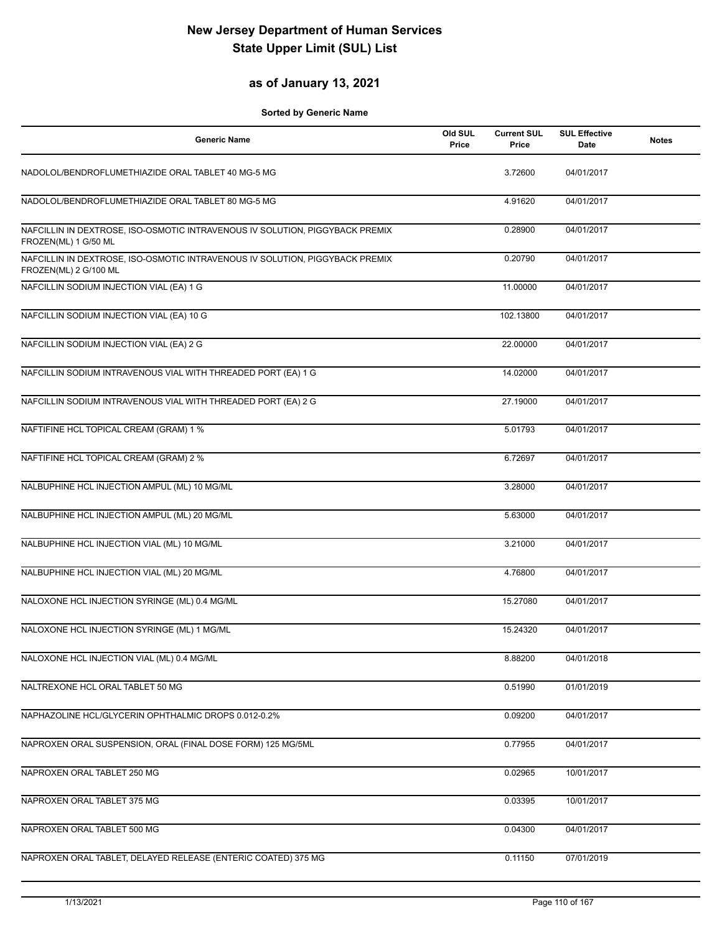## **as of January 13, 2021**

| <b>Generic Name</b>                                                                                   | Old SUL<br>Price | <b>Current SUL</b><br>Price | <b>SUL Effective</b><br>Date | <b>Notes</b> |
|-------------------------------------------------------------------------------------------------------|------------------|-----------------------------|------------------------------|--------------|
| NADOLOL/BENDROFLUMETHIAZIDE ORAL TABLET 40 MG-5 MG                                                    |                  | 3.72600                     | 04/01/2017                   |              |
| NADOLOL/BENDROFLUMETHIAZIDE ORAL TABLET 80 MG-5 MG                                                    |                  | 4.91620                     | 04/01/2017                   |              |
| NAFCILLIN IN DEXTROSE, ISO-OSMOTIC INTRAVENOUS IV SOLUTION, PIGGYBACK PREMIX<br>FROZEN(ML) 1 G/50 ML  |                  | 0.28900                     | 04/01/2017                   |              |
| NAFCILLIN IN DEXTROSE, ISO-OSMOTIC INTRAVENOUS IV SOLUTION, PIGGYBACK PREMIX<br>FROZEN(ML) 2 G/100 ML |                  | 0.20790                     | 04/01/2017                   |              |
| NAFCILLIN SODIUM INJECTION VIAL (EA) 1 G                                                              |                  | 11.00000                    | 04/01/2017                   |              |
| NAFCILLIN SODIUM INJECTION VIAL (EA) 10 G                                                             |                  | 102.13800                   | 04/01/2017                   |              |
| NAFCILLIN SODIUM INJECTION VIAL (EA) 2 G                                                              |                  | 22.00000                    | 04/01/2017                   |              |
| NAFCILLIN SODIUM INTRAVENOUS VIAL WITH THREADED PORT (EA) 1 G                                         |                  | 14.02000                    | 04/01/2017                   |              |
| NAFCILLIN SODIUM INTRAVENOUS VIAL WITH THREADED PORT (EA) 2 G                                         |                  | 27.19000                    | 04/01/2017                   |              |
| NAFTIFINE HCL TOPICAL CREAM (GRAM) 1 %                                                                |                  | 5.01793                     | 04/01/2017                   |              |
| NAFTIFINE HCL TOPICAL CREAM (GRAM) 2 %                                                                |                  | 6.72697                     | 04/01/2017                   |              |
| NALBUPHINE HCL INJECTION AMPUL (ML) 10 MG/ML                                                          |                  | 3.28000                     | 04/01/2017                   |              |
| NALBUPHINE HCL INJECTION AMPUL (ML) 20 MG/ML                                                          |                  | 5.63000                     | 04/01/2017                   |              |
| NALBUPHINE HCL INJECTION VIAL (ML) 10 MG/ML                                                           |                  | 3.21000                     | 04/01/2017                   |              |
| NALBUPHINE HCL INJECTION VIAL (ML) 20 MG/ML                                                           |                  | 4.76800                     | 04/01/2017                   |              |
| NALOXONE HCL INJECTION SYRINGE (ML) 0.4 MG/ML                                                         |                  | 15.27080                    | 04/01/2017                   |              |
| NALOXONE HCL INJECTION SYRINGE (ML) 1 MG/ML                                                           |                  | 15.24320                    | 04/01/2017                   |              |
| NALOXONE HCL INJECTION VIAL (ML) 0.4 MG/ML                                                            |                  | 8.88200                     | 04/01/2018                   |              |
| NALTREXONE HCL ORAL TABLET 50 MG                                                                      |                  | 0.51990                     | 01/01/2019                   |              |
| NAPHAZOLINE HCL/GLYCERIN OPHTHALMIC DROPS 0.012-0.2%                                                  |                  | 0.09200                     | 04/01/2017                   |              |
| NAPROXEN ORAL SUSPENSION, ORAL (FINAL DOSE FORM) 125 MG/5ML                                           |                  | 0.77955                     | 04/01/2017                   |              |
| NAPROXEN ORAL TABLET 250 MG                                                                           |                  | 0.02965                     | 10/01/2017                   |              |
| NAPROXEN ORAL TABLET 375 MG                                                                           |                  | 0.03395                     | 10/01/2017                   |              |
| NAPROXEN ORAL TABLET 500 MG                                                                           |                  | 0.04300                     | 04/01/2017                   |              |
| NAPROXEN ORAL TABLET, DELAYED RELEASE (ENTERIC COATED) 375 MG                                         |                  | 0.11150                     | 07/01/2019                   |              |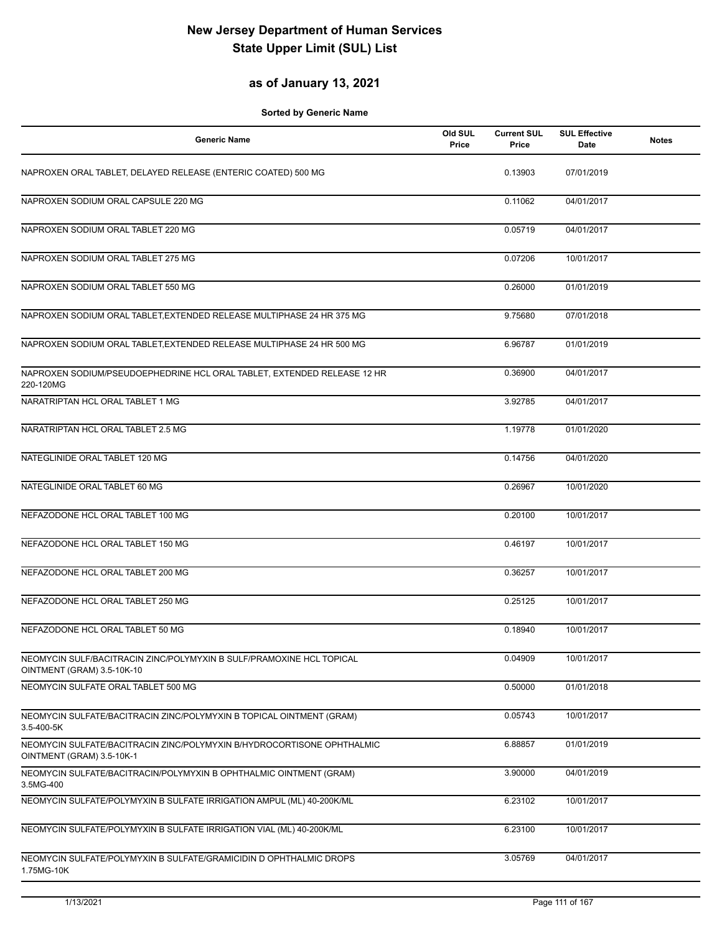### **as of January 13, 2021**

| <b>Generic Name</b>                                                                                 | Old SUL<br>Price | <b>Current SUL</b><br>Price | <b>SUL Effective</b><br>Date | <b>Notes</b> |
|-----------------------------------------------------------------------------------------------------|------------------|-----------------------------|------------------------------|--------------|
| NAPROXEN ORAL TABLET, DELAYED RELEASE (ENTERIC COATED) 500 MG                                       |                  | 0.13903                     | 07/01/2019                   |              |
| NAPROXEN SODIUM ORAL CAPSULE 220 MG                                                                 |                  | 0.11062                     | 04/01/2017                   |              |
| NAPROXEN SODIUM ORAL TABLET 220 MG                                                                  |                  | 0.05719                     | 04/01/2017                   |              |
| NAPROXEN SODIUM ORAL TABLET 275 MG                                                                  |                  | 0.07206                     | 10/01/2017                   |              |
| NAPROXEN SODIUM ORAL TABLET 550 MG                                                                  |                  | 0.26000                     | 01/01/2019                   |              |
| NAPROXEN SODIUM ORAL TABLET, EXTENDED RELEASE MULTIPHASE 24 HR 375 MG                               |                  | 9.75680                     | 07/01/2018                   |              |
| NAPROXEN SODIUM ORAL TABLET, EXTENDED RELEASE MULTIPHASE 24 HR 500 MG                               |                  | 6.96787                     | 01/01/2019                   |              |
| NAPROXEN SODIUM/PSEUDOEPHEDRINE HCL ORAL TABLET, EXTENDED RELEASE 12 HR<br>220-120MG                |                  | 0.36900                     | 04/01/2017                   |              |
| NARATRIPTAN HCL ORAL TABLET 1 MG                                                                    |                  | 3.92785                     | 04/01/2017                   |              |
| NARATRIPTAN HCL ORAL TABLET 2.5 MG                                                                  |                  | 1.19778                     | 01/01/2020                   |              |
| NATEGLINIDE ORAL TABLET 120 MG                                                                      |                  | 0.14756                     | 04/01/2020                   |              |
| NATEGLINIDE ORAL TABLET 60 MG                                                                       |                  | 0.26967                     | 10/01/2020                   |              |
| NEFAZODONE HCL ORAL TABLET 100 MG                                                                   |                  | 0.20100                     | 10/01/2017                   |              |
| NEFAZODONE HCL ORAL TABLET 150 MG                                                                   |                  | 0.46197                     | 10/01/2017                   |              |
| NEFAZODONE HCL ORAL TABLET 200 MG                                                                   |                  | 0.36257                     | 10/01/2017                   |              |
| NEFAZODONE HCL ORAL TABLET 250 MG                                                                   |                  | 0.25125                     | 10/01/2017                   |              |
| NEFAZODONE HCL ORAL TABLET 50 MG                                                                    |                  | 0.18940                     | 10/01/2017                   |              |
| NEOMYCIN SULF/BACITRACIN ZINC/POLYMYXIN B SULF/PRAMOXINE HCL TOPICAL<br>OINTMENT (GRAM) 3.5-10K-10  |                  | 0.04909                     | 10/01/2017                   |              |
| NEOMYCIN SULFATE ORAL TABLET 500 MG                                                                 |                  | 0.50000                     | 01/01/2018                   |              |
| NEOMYCIN SULFATE/BACITRACIN ZINC/POLYMYXIN B TOPICAL OINTMENT (GRAM)<br>3.5-400-5K                  |                  | 0.05743                     | 10/01/2017                   |              |
| NEOMYCIN SULFATE/BACITRACIN ZINC/POLYMYXIN B/HYDROCORTISONE OPHTHALMIC<br>OINTMENT (GRAM) 3.5-10K-1 |                  | 6.88857                     | 01/01/2019                   |              |
| NEOMYCIN SULFATE/BACITRACIN/POLYMYXIN B OPHTHALMIC OINTMENT (GRAM)<br>3.5MG-400                     |                  | 3.90000                     | 04/01/2019                   |              |
| NEOMYCIN SULFATE/POLYMYXIN B SULFATE IRRIGATION AMPUL (ML) 40-200K/ML                               |                  | 6.23102                     | 10/01/2017                   |              |
| NEOMYCIN SULFATE/POLYMYXIN B SULFATE IRRIGATION VIAL (ML) 40-200K/ML                                |                  | 6.23100                     | 10/01/2017                   |              |
| NEOMYCIN SULFATE/POLYMYXIN B SULFATE/GRAMICIDIN D OPHTHALMIC DROPS<br>1.75MG-10K                    |                  | 3.05769                     | 04/01/2017                   |              |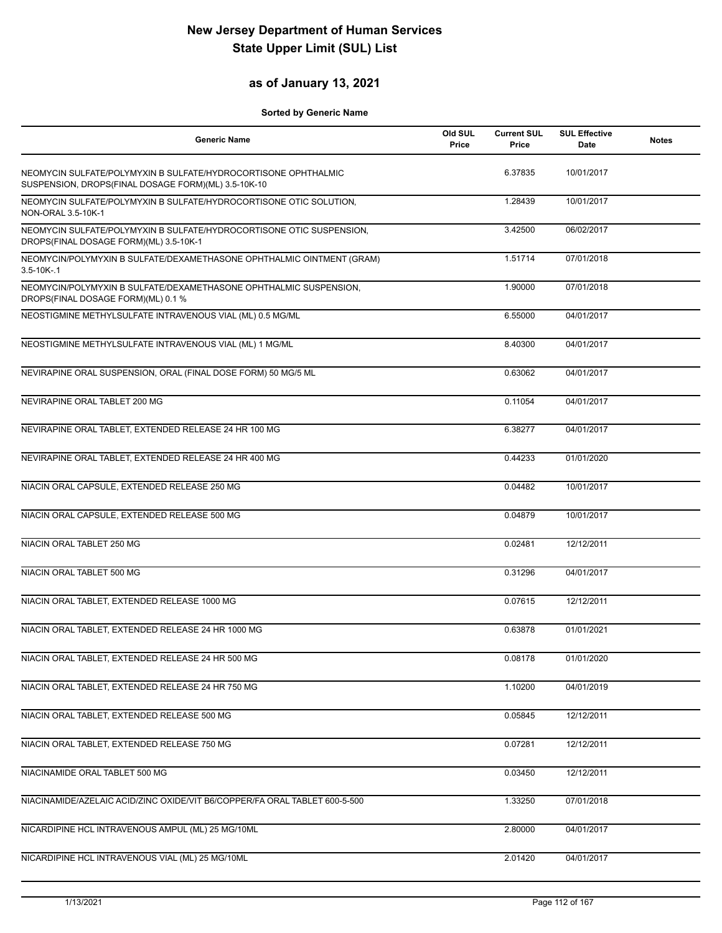### **as of January 13, 2021**

| <b>Generic Name</b>                                                                                                   | Old SUL<br>Price | <b>Current SUL</b><br>Price | <b>SUL Effective</b><br>Date | <b>Notes</b> |
|-----------------------------------------------------------------------------------------------------------------------|------------------|-----------------------------|------------------------------|--------------|
| NEOMYCIN SULFATE/POLYMYXIN B SULFATE/HYDROCORTISONE OPHTHALMIC<br>SUSPENSION, DROPS(FINAL DOSAGE FORM)(ML) 3.5-10K-10 |                  | 6.37835                     | 10/01/2017                   |              |
| NEOMYCIN SULFATE/POLYMYXIN B SULFATE/HYDROCORTISONE OTIC SOLUTION,<br>NON-ORAL 3.5-10K-1                              |                  | 1.28439                     | 10/01/2017                   |              |
| NEOMYCIN SULFATE/POLYMYXIN B SULFATE/HYDROCORTISONE OTIC SUSPENSION,<br>DROPS(FINAL DOSAGE FORM)(ML) 3.5-10K-1        |                  | 3.42500                     | 06/02/2017                   |              |
| NEOMYCIN/POLYMYXIN B SULFATE/DEXAMETHASONE OPHTHALMIC OINTMENT (GRAM)<br>$3.5 - 10K - 1$                              |                  | 1.51714                     | 07/01/2018                   |              |
| NEOMYCIN/POLYMYXIN B SULFATE/DEXAMETHASONE OPHTHALMIC SUSPENSION,<br>DROPS(FINAL DOSAGE FORM)(ML) 0.1 %               |                  | 1.90000                     | 07/01/2018                   |              |
| NEOSTIGMINE METHYLSULFATE INTRAVENOUS VIAL (ML) 0.5 MG/ML                                                             |                  | 6.55000                     | 04/01/2017                   |              |
| NEOSTIGMINE METHYLSULFATE INTRAVENOUS VIAL (ML) 1 MG/ML                                                               |                  | 8.40300                     | 04/01/2017                   |              |
| NEVIRAPINE ORAL SUSPENSION, ORAL (FINAL DOSE FORM) 50 MG/5 ML                                                         |                  | 0.63062                     | 04/01/2017                   |              |
| NEVIRAPINE ORAL TABLET 200 MG                                                                                         |                  | 0.11054                     | 04/01/2017                   |              |
| NEVIRAPINE ORAL TABLET, EXTENDED RELEASE 24 HR 100 MG                                                                 |                  | 6.38277                     | 04/01/2017                   |              |
| NEVIRAPINE ORAL TABLET, EXTENDED RELEASE 24 HR 400 MG                                                                 |                  | 0.44233                     | 01/01/2020                   |              |
| NIACIN ORAL CAPSULE, EXTENDED RELEASE 250 MG                                                                          |                  | 0.04482                     | 10/01/2017                   |              |
| NIACIN ORAL CAPSULE, EXTENDED RELEASE 500 MG                                                                          |                  | 0.04879                     | 10/01/2017                   |              |
| NIACIN ORAL TABLET 250 MG                                                                                             |                  | 0.02481                     | 12/12/2011                   |              |
| NIACIN ORAL TABLET 500 MG                                                                                             |                  | 0.31296                     | 04/01/2017                   |              |
| NIACIN ORAL TABLET, EXTENDED RELEASE 1000 MG                                                                          |                  | 0.07615                     | 12/12/2011                   |              |
| NIACIN ORAL TABLET, EXTENDED RELEASE 24 HR 1000 MG                                                                    |                  | 0.63878                     | 01/01/2021                   |              |
| NIACIN ORAL TABLET, EXTENDED RELEASE 24 HR 500 MG                                                                     |                  | 0.08178                     | 01/01/2020                   |              |
| NIACIN ORAL TABLET, EXTENDED RELEASE 24 HR 750 MG                                                                     |                  | 1.10200                     | 04/01/2019                   |              |
| NIACIN ORAL TABLET, EXTENDED RELEASE 500 MG                                                                           |                  | 0.05845                     | 12/12/2011                   |              |
| NIACIN ORAL TABLET, EXTENDED RELEASE 750 MG                                                                           |                  | 0.07281                     | 12/12/2011                   |              |
| NIACINAMIDE ORAL TABLET 500 MG                                                                                        |                  | 0.03450                     | 12/12/2011                   |              |
| NIACINAMIDE/AZELAIC ACID/ZINC OXIDE/VIT B6/COPPER/FA ORAL TABLET 600-5-500                                            |                  | 1.33250                     | 07/01/2018                   |              |
| NICARDIPINE HCL INTRAVENOUS AMPUL (ML) 25 MG/10ML                                                                     |                  | 2.80000                     | 04/01/2017                   |              |
| NICARDIPINE HCL INTRAVENOUS VIAL (ML) 25 MG/10ML                                                                      |                  | 2.01420                     | 04/01/2017                   |              |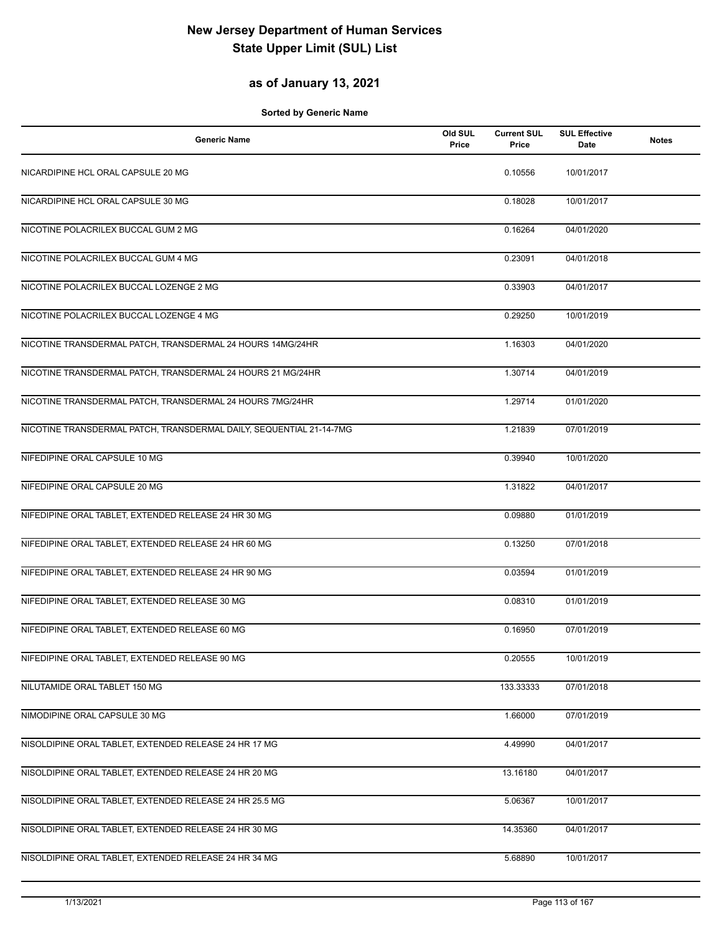## **as of January 13, 2021**

| <b>Generic Name</b>                                                 | Old SUL<br>Price | <b>Current SUL</b><br>Price | <b>SUL Effective</b><br>Date | <b>Notes</b> |
|---------------------------------------------------------------------|------------------|-----------------------------|------------------------------|--------------|
| NICARDIPINE HCL ORAL CAPSULE 20 MG                                  |                  | 0.10556                     | 10/01/2017                   |              |
| NICARDIPINE HCL ORAL CAPSULE 30 MG                                  |                  | 0.18028                     | 10/01/2017                   |              |
| NICOTINE POLACRILEX BUCCAL GUM 2 MG                                 |                  | 0.16264                     | 04/01/2020                   |              |
| NICOTINE POLACRILEX BUCCAL GUM 4 MG                                 |                  | 0.23091                     | 04/01/2018                   |              |
| NICOTINE POLACRILEX BUCCAL LOZENGE 2 MG                             |                  | 0.33903                     | 04/01/2017                   |              |
| NICOTINE POLACRILEX BUCCAL LOZENGE 4 MG                             |                  | 0.29250                     | 10/01/2019                   |              |
| NICOTINE TRANSDERMAL PATCH, TRANSDERMAL 24 HOURS 14MG/24HR          |                  | 1.16303                     | 04/01/2020                   |              |
| NICOTINE TRANSDERMAL PATCH, TRANSDERMAL 24 HOURS 21 MG/24HR         |                  | 1.30714                     | 04/01/2019                   |              |
| NICOTINE TRANSDERMAL PATCH, TRANSDERMAL 24 HOURS 7MG/24HR           |                  | 1.29714                     | 01/01/2020                   |              |
| NICOTINE TRANSDERMAL PATCH, TRANSDERMAL DAILY, SEQUENTIAL 21-14-7MG |                  | 1.21839                     | 07/01/2019                   |              |
| NIFEDIPINE ORAL CAPSULE 10 MG                                       |                  | 0.39940                     | 10/01/2020                   |              |
| NIFEDIPINE ORAL CAPSULE 20 MG                                       |                  | 1.31822                     | 04/01/2017                   |              |
| NIFEDIPINE ORAL TABLET, EXTENDED RELEASE 24 HR 30 MG                |                  | 0.09880                     | 01/01/2019                   |              |
| NIFEDIPINE ORAL TABLET, EXTENDED RELEASE 24 HR 60 MG                |                  | 0.13250                     | 07/01/2018                   |              |
| NIFEDIPINE ORAL TABLET, EXTENDED RELEASE 24 HR 90 MG                |                  | 0.03594                     | 01/01/2019                   |              |
| NIFEDIPINE ORAL TABLET, EXTENDED RELEASE 30 MG                      |                  | 0.08310                     | 01/01/2019                   |              |
| NIFEDIPINE ORAL TABLET, EXTENDED RELEASE 60 MG                      |                  | 0.16950                     | 07/01/2019                   |              |
| NIFEDIPINE ORAL TABLET, EXTENDED RELEASE 90 MG                      |                  | 0.20555                     | 10/01/2019                   |              |
| NILUTAMIDE ORAL TABLET 150 MG                                       |                  | 133.33333                   | 07/01/2018                   |              |
| NIMODIPINE ORAL CAPSULE 30 MG                                       |                  | 1.66000                     | 07/01/2019                   |              |
| NISOLDIPINE ORAL TABLET, EXTENDED RELEASE 24 HR 17 MG               |                  | 4.49990                     | 04/01/2017                   |              |
| NISOLDIPINE ORAL TABLET, EXTENDED RELEASE 24 HR 20 MG               |                  | 13.16180                    | 04/01/2017                   |              |
| NISOLDIPINE ORAL TABLET, EXTENDED RELEASE 24 HR 25.5 MG             |                  | 5.06367                     | 10/01/2017                   |              |
| NISOLDIPINE ORAL TABLET, EXTENDED RELEASE 24 HR 30 MG               |                  | 14.35360                    | 04/01/2017                   |              |
| NISOLDIPINE ORAL TABLET, EXTENDED RELEASE 24 HR 34 MG               |                  | 5.68890                     | 10/01/2017                   |              |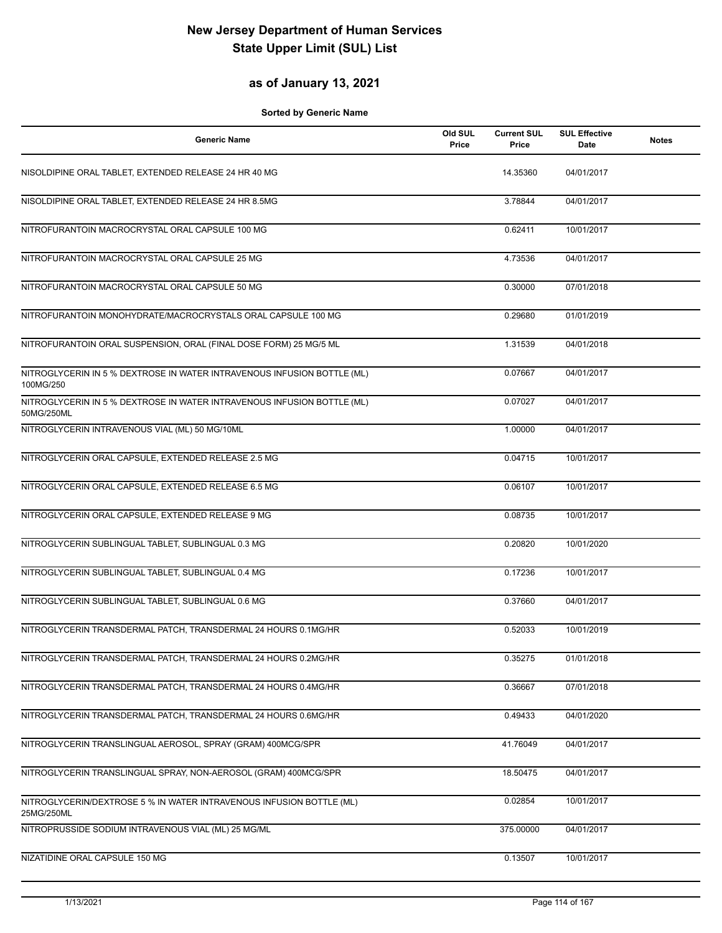#### **as of January 13, 2021**

| <b>Generic Name</b>                                                                   | Old SUL<br>Price | <b>Current SUL</b><br>Price | <b>SUL Effective</b><br>Date | <b>Notes</b> |
|---------------------------------------------------------------------------------------|------------------|-----------------------------|------------------------------|--------------|
| NISOLDIPINE ORAL TABLET, EXTENDED RELEASE 24 HR 40 MG                                 |                  | 14.35360                    | 04/01/2017                   |              |
| NISOLDIPINE ORAL TABLET, EXTENDED RELEASE 24 HR 8.5MG                                 |                  | 3.78844                     | 04/01/2017                   |              |
| NITROFURANTOIN MACROCRYSTAL ORAL CAPSULE 100 MG                                       |                  | 0.62411                     | 10/01/2017                   |              |
| NITROFURANTOIN MACROCRYSTAL ORAL CAPSULE 25 MG                                        |                  | 4.73536                     | 04/01/2017                   |              |
| NITROFURANTOIN MACROCRYSTAL ORAL CAPSULE 50 MG                                        |                  | 0.30000                     | 07/01/2018                   |              |
| NITROFURANTOIN MONOHYDRATE/MACROCRYSTALS ORAL CAPSULE 100 MG                          |                  | 0.29680                     | 01/01/2019                   |              |
| NITROFURANTOIN ORAL SUSPENSION, ORAL (FINAL DOSE FORM) 25 MG/5 ML                     |                  | 1.31539                     | 04/01/2018                   |              |
| NITROGLYCERIN IN 5 % DEXTROSE IN WATER INTRAVENOUS INFUSION BOTTLE (ML)<br>100MG/250  |                  | 0.07667                     | 04/01/2017                   |              |
| NITROGLYCERIN IN 5 % DEXTROSE IN WATER INTRAVENOUS INFUSION BOTTLE (ML)<br>50MG/250ML |                  | 0.07027                     | 04/01/2017                   |              |
| NITROGLYCERIN INTRAVENOUS VIAL (ML) 50 MG/10ML                                        |                  | 1.00000                     | 04/01/2017                   |              |
| NITROGLYCERIN ORAL CAPSULE, EXTENDED RELEASE 2.5 MG                                   |                  | 0.04715                     | 10/01/2017                   |              |
| NITROGLYCERIN ORAL CAPSULE, EXTENDED RELEASE 6.5 MG                                   |                  | 0.06107                     | 10/01/2017                   |              |
| NITROGLYCERIN ORAL CAPSULE, EXTENDED RELEASE 9 MG                                     |                  | 0.08735                     | 10/01/2017                   |              |
| NITROGLYCERIN SUBLINGUAL TABLET, SUBLINGUAL 0.3 MG                                    |                  | 0.20820                     | 10/01/2020                   |              |
| NITROGLYCERIN SUBLINGUAL TABLET, SUBLINGUAL 0.4 MG                                    |                  | 0.17236                     | 10/01/2017                   |              |
| NITROGLYCERIN SUBLINGUAL TABLET, SUBLINGUAL 0.6 MG                                    |                  | 0.37660                     | 04/01/2017                   |              |
| NITROGLYCERIN TRANSDERMAL PATCH, TRANSDERMAL 24 HOURS 0.1MG/HR                        |                  | 0.52033                     | 10/01/2019                   |              |
| NITROGLYCERIN TRANSDERMAL PATCH, TRANSDERMAL 24 HOURS 0.2MG/HR                        |                  | 0.35275                     | 01/01/2018                   |              |
| NITROGLYCERIN TRANSDERMAL PATCH, TRANSDERMAL 24 HOURS 0.4MG/HR                        |                  | 0.36667                     | 07/01/2018                   |              |
| NITROGLYCERIN TRANSDERMAL PATCH, TRANSDERMAL 24 HOURS 0.6MG/HR                        |                  | 0.49433                     | 04/01/2020                   |              |
| NITROGLYCERIN TRANSLINGUAL AEROSOL, SPRAY (GRAM) 400MCG/SPR                           |                  | 41.76049                    | 04/01/2017                   |              |
| NITROGLYCERIN TRANSLINGUAL SPRAY, NON-AEROSOL (GRAM) 400MCG/SPR                       |                  | 18.50475                    | 04/01/2017                   |              |
| NITROGLYCERIN/DEXTROSE 5 % IN WATER INTRAVENOUS INFUSION BOTTLE (ML)<br>25MG/250ML    |                  | 0.02854                     | 10/01/2017                   |              |
| NITROPRUSSIDE SODIUM INTRAVENOUS VIAL (ML) 25 MG/ML                                   |                  | 375.00000                   | 04/01/2017                   |              |
| NIZATIDINE ORAL CAPSULE 150 MG                                                        |                  | 0.13507                     | 10/01/2017                   |              |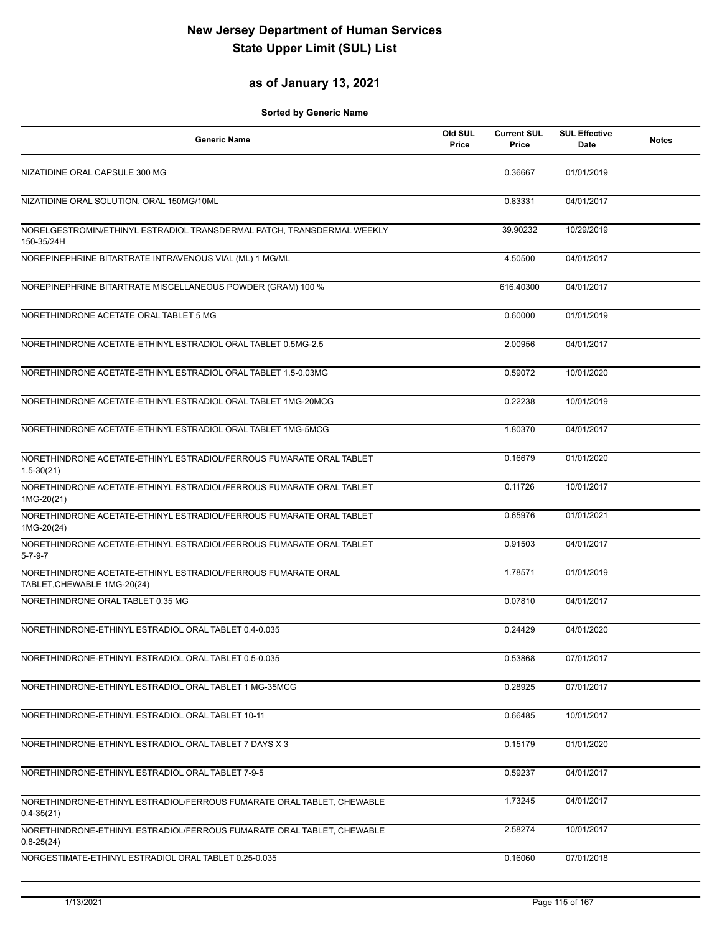## **as of January 13, 2021**

| <b>Generic Name</b>                                                                          | Old SUL<br>Price | <b>Current SUL</b><br>Price | <b>SUL Effective</b><br>Date | <b>Notes</b> |
|----------------------------------------------------------------------------------------------|------------------|-----------------------------|------------------------------|--------------|
| NIZATIDINE ORAL CAPSULE 300 MG                                                               |                  | 0.36667                     | 01/01/2019                   |              |
| NIZATIDINE ORAL SOLUTION, ORAL 150MG/10ML                                                    |                  | 0.83331                     | 04/01/2017                   |              |
| NORELGESTROMIN/ETHINYL ESTRADIOL TRANSDERMAL PATCH, TRANSDERMAL WEEKLY<br>150-35/24H         |                  | 39.90232                    | 10/29/2019                   |              |
| NOREPINEPHRINE BITARTRATE INTRAVENOUS VIAL (ML) 1 MG/ML                                      |                  | 4.50500                     | 04/01/2017                   |              |
| NOREPINEPHRINE BITARTRATE MISCELLANEOUS POWDER (GRAM) 100 %                                  |                  | 616.40300                   | 04/01/2017                   |              |
| NORETHINDRONE ACETATE ORAL TABLET 5 MG                                                       |                  | 0.60000                     | 01/01/2019                   |              |
| NORETHINDRONE ACETATE-ETHINYL ESTRADIOL ORAL TABLET 0.5MG-2.5                                |                  | 2.00956                     | 04/01/2017                   |              |
| NORETHINDRONE ACETATE-ETHINYL ESTRADIOL ORAL TABLET 1.5-0.03MG                               |                  | 0.59072                     | 10/01/2020                   |              |
| NORETHINDRONE ACETATE-ETHINYL ESTRADIOL ORAL TABLET 1MG-20MCG                                |                  | 0.22238                     | 10/01/2019                   |              |
| NORETHINDRONE ACETATE-ETHINYL ESTRADIOL ORAL TABLET 1MG-5MCG                                 |                  | 1.80370                     | 04/01/2017                   |              |
| NORETHINDRONE ACETATE-ETHINYL ESTRADIOL/FERROUS FUMARATE ORAL TABLET<br>$1.5 - 30(21)$       |                  | 0.16679                     | 01/01/2020                   |              |
| NORETHINDRONE ACETATE-ETHINYL ESTRADIOL/FERROUS FUMARATE ORAL TABLET<br>1MG-20(21)           |                  | 0.11726                     | 10/01/2017                   |              |
| NORETHINDRONE ACETATE-ETHINYL ESTRADIOL/FERROUS FUMARATE ORAL TABLET<br>1MG-20(24)           |                  | 0.65976                     | 01/01/2021                   |              |
| NORETHINDRONE ACETATE-ETHINYL ESTRADIOL/FERROUS FUMARATE ORAL TABLET<br>$5 - 7 - 9 - 7$      |                  | 0.91503                     | 04/01/2017                   |              |
| NORETHINDRONE ACETATE-ETHINYL ESTRADIOL/FERROUS FUMARATE ORAL<br>TABLET, CHEWABLE 1MG-20(24) |                  | 1.78571                     | 01/01/2019                   |              |
| NORETHINDRONE ORAL TABLET 0.35 MG                                                            |                  | 0.07810                     | 04/01/2017                   |              |
| NORETHINDRONE-ETHINYL ESTRADIOL ORAL TABLET 0.4-0.035                                        |                  | 0.24429                     | 04/01/2020                   |              |
| NORETHINDRONE-ETHINYL ESTRADIOL ORAL TABLET 0.5-0.035                                        |                  | 0.53868                     | 07/01/2017                   |              |
| NORETHINDRONE-ETHINYL ESTRADIOL ORAL TABLET 1 MG-35MCG                                       |                  | 0.28925                     | 07/01/2017                   |              |
| NORETHINDRONE-ETHINYL ESTRADIOL ORAL TABLET 10-11                                            |                  | 0.66485                     | 10/01/2017                   |              |
| NORETHINDRONE-ETHINYL ESTRADIOL ORAL TABLET 7 DAYS X 3                                       |                  | 0.15179                     | 01/01/2020                   |              |
| NORETHINDRONE-ETHINYL ESTRADIOL ORAL TABLET 7-9-5                                            |                  | 0.59237                     | 04/01/2017                   |              |
| NORETHINDRONE-ETHINYL ESTRADIOL/FERROUS FUMARATE ORAL TABLET, CHEWABLE<br>$0.4 - 35(21)$     |                  | 1.73245                     | 04/01/2017                   |              |
| NORETHINDRONE-ETHINYL ESTRADIOL/FERROUS FUMARATE ORAL TABLET, CHEWABLE<br>$0.8 - 25(24)$     |                  | 2.58274                     | 10/01/2017                   |              |
| NORGESTIMATE-ETHINYL ESTRADIOL ORAL TABLET 0.25-0.035                                        |                  | 0.16060                     | 07/01/2018                   |              |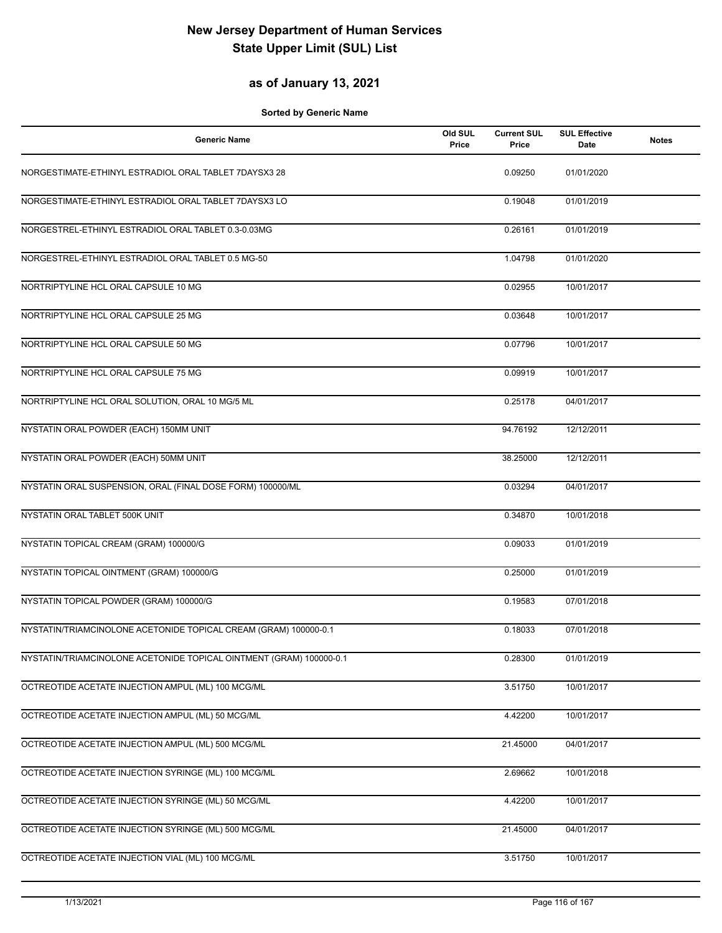### **as of January 13, 2021**

| <b>Generic Name</b>                                                 | Old SUL<br>Price | <b>Current SUL</b><br>Price | <b>SUL Effective</b><br><b>Date</b> | <b>Notes</b> |
|---------------------------------------------------------------------|------------------|-----------------------------|-------------------------------------|--------------|
| NORGESTIMATE-ETHINYL ESTRADIOL ORAL TABLET 7DAYSX3 28               |                  | 0.09250                     | 01/01/2020                          |              |
| NORGESTIMATE-ETHINYL ESTRADIOL ORAL TABLET 7DAYSX3 LO               |                  | 0.19048                     | 01/01/2019                          |              |
| NORGESTREL-ETHINYL ESTRADIOL ORAL TABLET 0.3-0.03MG                 |                  | 0.26161                     | 01/01/2019                          |              |
| NORGESTREL-ETHINYL ESTRADIOL ORAL TABLET 0.5 MG-50                  |                  | 1.04798                     | 01/01/2020                          |              |
| NORTRIPTYLINE HCL ORAL CAPSULE 10 MG                                |                  | 0.02955                     | 10/01/2017                          |              |
| NORTRIPTYLINE HCL ORAL CAPSULE 25 MG                                |                  | 0.03648                     | 10/01/2017                          |              |
| NORTRIPTYLINE HCL ORAL CAPSULE 50 MG                                |                  | 0.07796                     | 10/01/2017                          |              |
| NORTRIPTYLINE HCL ORAL CAPSULE 75 MG                                |                  | 0.09919                     | 10/01/2017                          |              |
| NORTRIPTYLINE HCL ORAL SOLUTION, ORAL 10 MG/5 ML                    |                  | 0.25178                     | 04/01/2017                          |              |
| NYSTATIN ORAL POWDER (EACH) 150MM UNIT                              |                  | 94.76192                    | 12/12/2011                          |              |
| NYSTATIN ORAL POWDER (EACH) 50MM UNIT                               |                  | 38.25000                    | 12/12/2011                          |              |
| NYSTATIN ORAL SUSPENSION, ORAL (FINAL DOSE FORM) 100000/ML          |                  | 0.03294                     | 04/01/2017                          |              |
| NYSTATIN ORAL TABLET 500K UNIT                                      |                  | 0.34870                     | 10/01/2018                          |              |
| NYSTATIN TOPICAL CREAM (GRAM) 100000/G                              |                  | 0.09033                     | 01/01/2019                          |              |
| NYSTATIN TOPICAL OINTMENT (GRAM) 100000/G                           |                  | 0.25000                     | 01/01/2019                          |              |
| NYSTATIN TOPICAL POWDER (GRAM) 100000/G                             |                  | 0.19583                     | 07/01/2018                          |              |
| NYSTATIN/TRIAMCINOLONE ACETONIDE TOPICAL CREAM (GRAM) 100000-0.1    |                  | 0.18033                     | 07/01/2018                          |              |
| NYSTATIN/TRIAMCINOLONE ACETONIDE TOPICAL OINTMENT (GRAM) 100000-0.1 |                  | 0.28300                     | 01/01/2019                          |              |
| OCTREOTIDE ACETATE INJECTION AMPUL (ML) 100 MCG/ML                  |                  | 3.51750                     | 10/01/2017                          |              |
| OCTREOTIDE ACETATE INJECTION AMPUL (ML) 50 MCG/ML                   |                  | 4.42200                     | 10/01/2017                          |              |
| OCTREOTIDE ACETATE INJECTION AMPUL (ML) 500 MCG/ML                  |                  | 21.45000                    | 04/01/2017                          |              |
| OCTREOTIDE ACETATE INJECTION SYRINGE (ML) 100 MCG/ML                |                  | 2.69662                     | 10/01/2018                          |              |
| OCTREOTIDE ACETATE INJECTION SYRINGE (ML) 50 MCG/ML                 |                  | 4.42200                     | 10/01/2017                          |              |
| OCTREOTIDE ACETATE INJECTION SYRINGE (ML) 500 MCG/ML                |                  | 21.45000                    | 04/01/2017                          |              |
| OCTREOTIDE ACETATE INJECTION VIAL (ML) 100 MCG/ML                   |                  | 3.51750                     | 10/01/2017                          |              |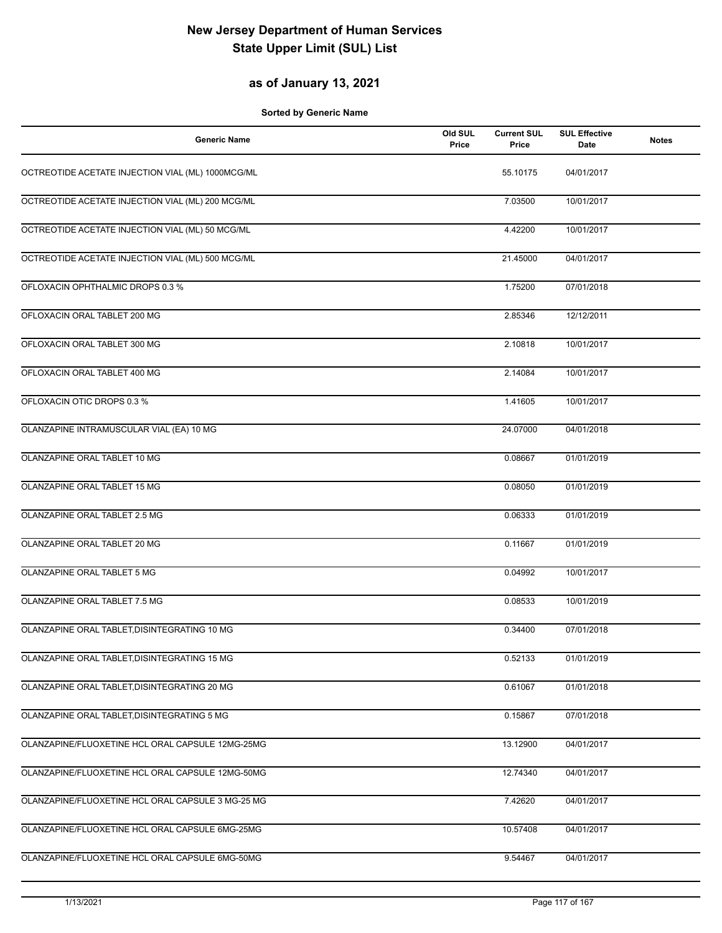### **as of January 13, 2021**

| <b>Generic Name</b>                               | Old SUL<br>Price | <b>Current SUL</b><br>Price | <b>SUL Effective</b><br>Date | <b>Notes</b> |
|---------------------------------------------------|------------------|-----------------------------|------------------------------|--------------|
| OCTREOTIDE ACETATE INJECTION VIAL (ML) 1000MCG/ML |                  | 55.10175                    | 04/01/2017                   |              |
| OCTREOTIDE ACETATE INJECTION VIAL (ML) 200 MCG/ML |                  | 7.03500                     | 10/01/2017                   |              |
| OCTREOTIDE ACETATE INJECTION VIAL (ML) 50 MCG/ML  |                  | 4.42200                     | 10/01/2017                   |              |
| OCTREOTIDE ACETATE INJECTION VIAL (ML) 500 MCG/ML |                  | 21.45000                    | 04/01/2017                   |              |
| OFLOXACIN OPHTHALMIC DROPS 0.3 %                  |                  | 1.75200                     | 07/01/2018                   |              |
| OFLOXACIN ORAL TABLET 200 MG                      |                  | 2.85346                     | 12/12/2011                   |              |
| OFLOXACIN ORAL TABLET 300 MG                      |                  | 2.10818                     | 10/01/2017                   |              |
| OFLOXACIN ORAL TABLET 400 MG                      |                  | 2.14084                     | 10/01/2017                   |              |
| OFLOXACIN OTIC DROPS 0.3 %                        |                  | 1.41605                     | 10/01/2017                   |              |
| OLANZAPINE INTRAMUSCULAR VIAL (EA) 10 MG          |                  | 24.07000                    | 04/01/2018                   |              |
| OLANZAPINE ORAL TABLET 10 MG                      |                  | 0.08667                     | 01/01/2019                   |              |
| OLANZAPINE ORAL TABLET 15 MG                      |                  | 0.08050                     | 01/01/2019                   |              |
| OLANZAPINE ORAL TABLET 2.5 MG                     |                  | 0.06333                     | 01/01/2019                   |              |
| OLANZAPINE ORAL TABLET 20 MG                      |                  | 0.11667                     | 01/01/2019                   |              |
| OLANZAPINE ORAL TABLET 5 MG                       |                  | 0.04992                     | 10/01/2017                   |              |
| OLANZAPINE ORAL TABLET 7.5 MG                     |                  | 0.08533                     | 10/01/2019                   |              |
| OLANZAPINE ORAL TABLET, DISINTEGRATING 10 MG      |                  | 0.34400                     | 07/01/2018                   |              |
| OLANZAPINE ORAL TABLET, DISINTEGRATING 15 MG      |                  | 0.52133                     | 01/01/2019                   |              |
| OLANZAPINE ORAL TABLET, DISINTEGRATING 20 MG      |                  | 0.61067                     | 01/01/2018                   |              |
| OLANZAPINE ORAL TABLET, DISINTEGRATING 5 MG       |                  | 0.15867                     | 07/01/2018                   |              |
| OLANZAPINE/FLUOXETINE HCL ORAL CAPSULE 12MG-25MG  |                  | 13.12900                    | 04/01/2017                   |              |
| OLANZAPINE/FLUOXETINE HCL ORAL CAPSULE 12MG-50MG  |                  | 12.74340                    | 04/01/2017                   |              |
| OLANZAPINE/FLUOXETINE HCL ORAL CAPSULE 3 MG-25 MG |                  | 7.42620                     | 04/01/2017                   |              |
| OLANZAPINE/FLUOXETINE HCL ORAL CAPSULE 6MG-25MG   |                  | 10.57408                    | 04/01/2017                   |              |
| OLANZAPINE/FLUOXETINE HCL ORAL CAPSULE 6MG-50MG   |                  | 9.54467                     | 04/01/2017                   |              |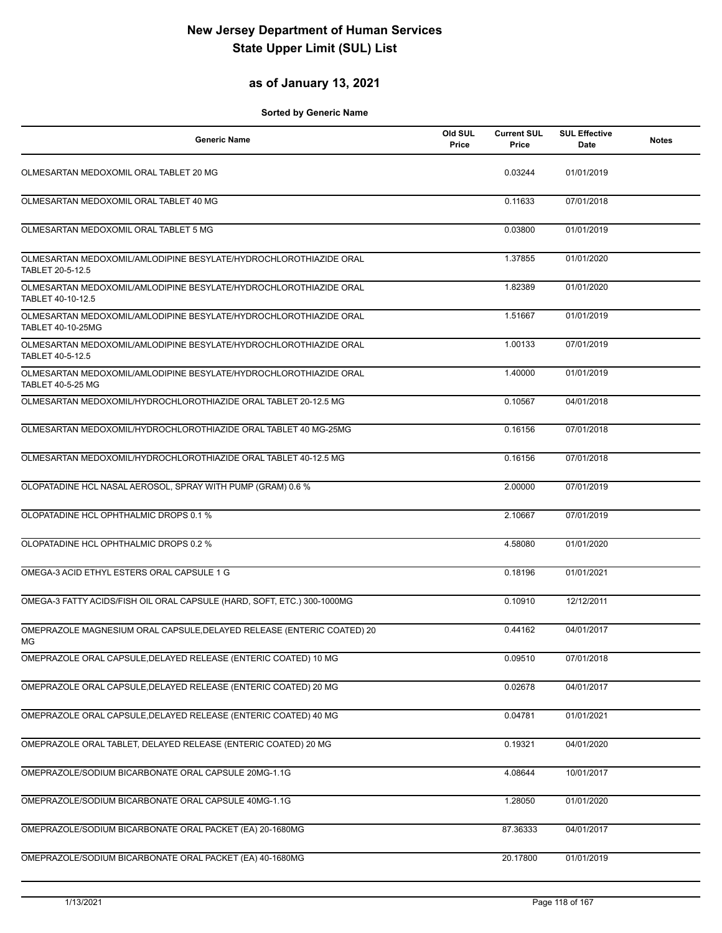## **as of January 13, 2021**

| <b>Generic Name</b>                                                                           | Old SUL<br>Price | <b>Current SUL</b><br>Price | <b>SUL Effective</b><br>Date | <b>Notes</b> |
|-----------------------------------------------------------------------------------------------|------------------|-----------------------------|------------------------------|--------------|
| OLMESARTAN MEDOXOMIL ORAL TABLET 20 MG                                                        |                  | 0.03244                     | 01/01/2019                   |              |
| OLMESARTAN MEDOXOMIL ORAL TABLET 40 MG                                                        |                  | 0.11633                     | 07/01/2018                   |              |
| OLMESARTAN MEDOXOMIL ORAL TABLET 5 MG                                                         |                  | 0.03800                     | 01/01/2019                   |              |
| OLMESARTAN MEDOXOMIL/AMLODIPINE BESYLATE/HYDROCHLOROTHIAZIDE ORAL<br>TABLET 20-5-12.5         |                  | 1.37855                     | 01/01/2020                   |              |
| OLMESARTAN MEDOXOMIL/AMLODIPINE BESYLATE/HYDROCHLOROTHIAZIDE ORAL<br>TABLET 40-10-12.5        |                  | 1.82389                     | 01/01/2020                   |              |
| OLMESARTAN MEDOXOMIL/AMLODIPINE BESYLATE/HYDROCHLOROTHIAZIDE ORAL<br>TABLET 40-10-25MG        |                  | 1.51667                     | 01/01/2019                   |              |
| OLMESARTAN MEDOXOMIL/AMLODIPINE BESYLATE/HYDROCHLOROTHIAZIDE ORAL<br>TABLET 40-5-12.5         |                  | 1.00133                     | 07/01/2019                   |              |
| OLMESARTAN MEDOXOMIL/AMLODIPINE BESYLATE/HYDROCHLOROTHIAZIDE ORAL<br><b>TABLET 40-5-25 MG</b> |                  | 1.40000                     | 01/01/2019                   |              |
| OLMESARTAN MEDOXOMIL/HYDROCHLOROTHIAZIDE ORAL TABLET 20-12.5 MG                               |                  | 0.10567                     | 04/01/2018                   |              |
| OLMESARTAN MEDOXOMIL/HYDROCHLOROTHIAZIDE ORAL TABLET 40 MG-25MG                               |                  | 0.16156                     | 07/01/2018                   |              |
| OLMESARTAN MEDOXOMIL/HYDROCHLOROTHIAZIDE ORAL TABLET 40-12.5 MG                               |                  | 0.16156                     | 07/01/2018                   |              |
| OLOPATADINE HCL NASAL AEROSOL, SPRAY WITH PUMP (GRAM) 0.6 %                                   |                  | 2.00000                     | 07/01/2019                   |              |
| OLOPATADINE HCL OPHTHALMIC DROPS 0.1 %                                                        |                  | 2.10667                     | 07/01/2019                   |              |
| OLOPATADINE HCL OPHTHALMIC DROPS 0.2 %                                                        |                  | 4.58080                     | 01/01/2020                   |              |
| OMEGA-3 ACID ETHYL ESTERS ORAL CAPSULE 1 G                                                    |                  | 0.18196                     | 01/01/2021                   |              |
| OMEGA-3 FATTY ACIDS/FISH OIL ORAL CAPSULE (HARD, SOFT, ETC.) 300-1000MG                       |                  | 0.10910                     | 12/12/2011                   |              |
| OMEPRAZOLE MAGNESIUM ORAL CAPSULE, DELAYED RELEASE (ENTERIC COATED) 20<br>ΜG                  |                  | 0.44162                     | 04/01/2017                   |              |
| OMEPRAZOLE ORAL CAPSULE, DELAYED RELEASE (ENTERIC COATED) 10 MG                               |                  | 0.09510                     | 07/01/2018                   |              |
| OMEPRAZOLE ORAL CAPSULE, DELAYED RELEASE (ENTERIC COATED) 20 MG                               |                  | 0.02678                     | 04/01/2017                   |              |
| OMEPRAZOLE ORAL CAPSULE, DELAYED RELEASE (ENTERIC COATED) 40 MG                               |                  | 0.04781                     | 01/01/2021                   |              |
| OMEPRAZOLE ORAL TABLET, DELAYED RELEASE (ENTERIC COATED) 20 MG                                |                  | 0.19321                     | 04/01/2020                   |              |
| OMEPRAZOLE/SODIUM BICARBONATE ORAL CAPSULE 20MG-1.1G                                          |                  | 4.08644                     | 10/01/2017                   |              |
| OMEPRAZOLE/SODIUM BICARBONATE ORAL CAPSULE 40MG-1.1G                                          |                  | 1.28050                     | 01/01/2020                   |              |
| OMEPRAZOLE/SODIUM BICARBONATE ORAL PACKET (EA) 20-1680MG                                      |                  | 87.36333                    | 04/01/2017                   |              |
| OMEPRAZOLE/SODIUM BICARBONATE ORAL PACKET (EA) 40-1680MG                                      |                  | 20.17800                    | 01/01/2019                   |              |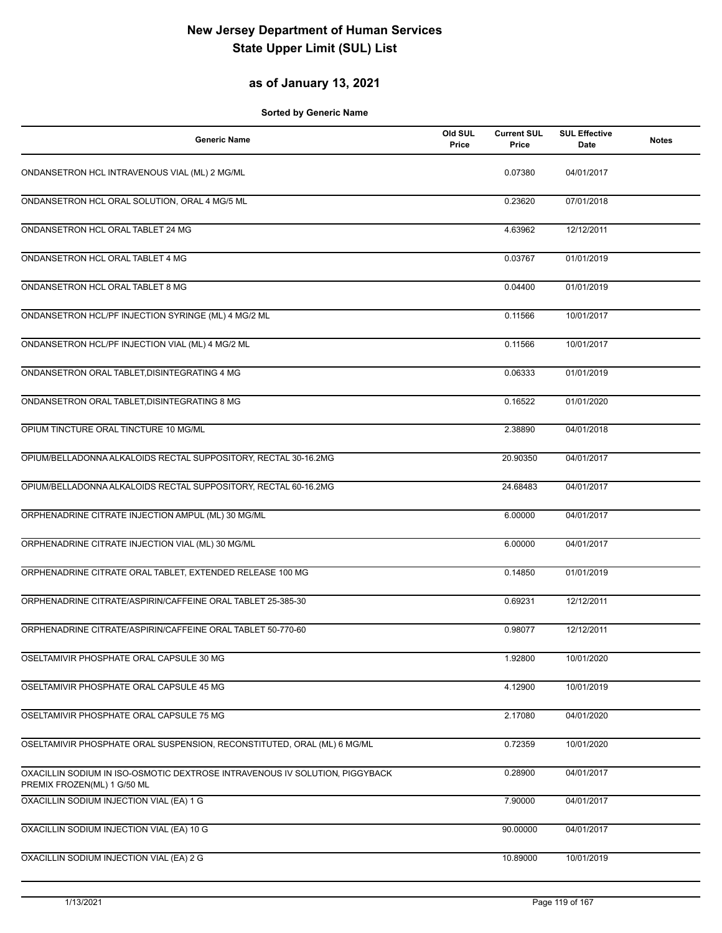## **as of January 13, 2021**

| <b>Generic Name</b>                                                                                        | Old SUL<br>Price | <b>Current SUL</b><br>Price | <b>SUL Effective</b><br>Date | <b>Notes</b> |
|------------------------------------------------------------------------------------------------------------|------------------|-----------------------------|------------------------------|--------------|
| ONDANSETRON HCL INTRAVENOUS VIAL (ML) 2 MG/ML                                                              |                  | 0.07380                     | 04/01/2017                   |              |
| ONDANSETRON HCL ORAL SOLUTION, ORAL 4 MG/5 ML                                                              |                  | 0.23620                     | 07/01/2018                   |              |
| ONDANSETRON HCL ORAL TABLET 24 MG                                                                          |                  | 4.63962                     | 12/12/2011                   |              |
| ONDANSETRON HCL ORAL TABLET 4 MG                                                                           |                  | 0.03767                     | 01/01/2019                   |              |
| ONDANSETRON HCL ORAL TABLET 8 MG                                                                           |                  | 0.04400                     | 01/01/2019                   |              |
| ONDANSETRON HCL/PF INJECTION SYRINGE (ML) 4 MG/2 ML                                                        |                  | 0.11566                     | 10/01/2017                   |              |
| ONDANSETRON HCL/PF INJECTION VIAL (ML) 4 MG/2 ML                                                           |                  | 0.11566                     | 10/01/2017                   |              |
| ONDANSETRON ORAL TABLET, DISINTEGRATING 4 MG                                                               |                  | 0.06333                     | 01/01/2019                   |              |
| ONDANSETRON ORAL TABLET, DISINTEGRATING 8 MG                                                               |                  | 0.16522                     | 01/01/2020                   |              |
| OPIUM TINCTURE ORAL TINCTURE 10 MG/ML                                                                      |                  | 2.38890                     | 04/01/2018                   |              |
| OPIUM/BELLADONNA ALKALOIDS RECTAL SUPPOSITORY, RECTAL 30-16.2MG                                            |                  | 20.90350                    | 04/01/2017                   |              |
| OPIUM/BELLADONNA ALKALOIDS RECTAL SUPPOSITORY, RECTAL 60-16.2MG                                            |                  | 24.68483                    | 04/01/2017                   |              |
| ORPHENADRINE CITRATE INJECTION AMPUL (ML) 30 MG/ML                                                         |                  | 6.00000                     | 04/01/2017                   |              |
| ORPHENADRINE CITRATE INJECTION VIAL (ML) 30 MG/ML                                                          |                  | 6.00000                     | 04/01/2017                   |              |
| ORPHENADRINE CITRATE ORAL TABLET, EXTENDED RELEASE 100 MG                                                  |                  | 0.14850                     | 01/01/2019                   |              |
| ORPHENADRINE CITRATE/ASPIRIN/CAFFEINE ORAL TABLET 25-385-30                                                |                  | 0.69231                     | 12/12/2011                   |              |
| ORPHENADRINE CITRATE/ASPIRIN/CAFFEINE ORAL TABLET 50-770-60                                                |                  | 0.98077                     | 12/12/2011                   |              |
| OSELTAMIVIR PHOSPHATE ORAL CAPSULE 30 MG                                                                   |                  | 1.92800                     | 10/01/2020                   |              |
| OSELTAMIVIR PHOSPHATE ORAL CAPSULE 45 MG                                                                   |                  | 4.12900                     | 10/01/2019                   |              |
| OSELTAMIVIR PHOSPHATE ORAL CAPSULE 75 MG                                                                   |                  | 2.17080                     | 04/01/2020                   |              |
| OSELTAMIVIR PHOSPHATE ORAL SUSPENSION, RECONSTITUTED, ORAL (ML) 6 MG/ML                                    |                  | 0.72359                     | 10/01/2020                   |              |
| OXACILLIN SODIUM IN ISO-OSMOTIC DEXTROSE INTRAVENOUS IV SOLUTION, PIGGYBACK<br>PREMIX FROZEN(ML) 1 G/50 ML |                  | 0.28900                     | 04/01/2017                   |              |
| OXACILLIN SODIUM INJECTION VIAL (EA) 1 G                                                                   |                  | 7.90000                     | 04/01/2017                   |              |
| OXACILLIN SODIUM INJECTION VIAL (EA) 10 G                                                                  |                  | 90.00000                    | 04/01/2017                   |              |
| OXACILLIN SODIUM INJECTION VIAL (EA) 2 G                                                                   |                  | 10.89000                    | 10/01/2019                   |              |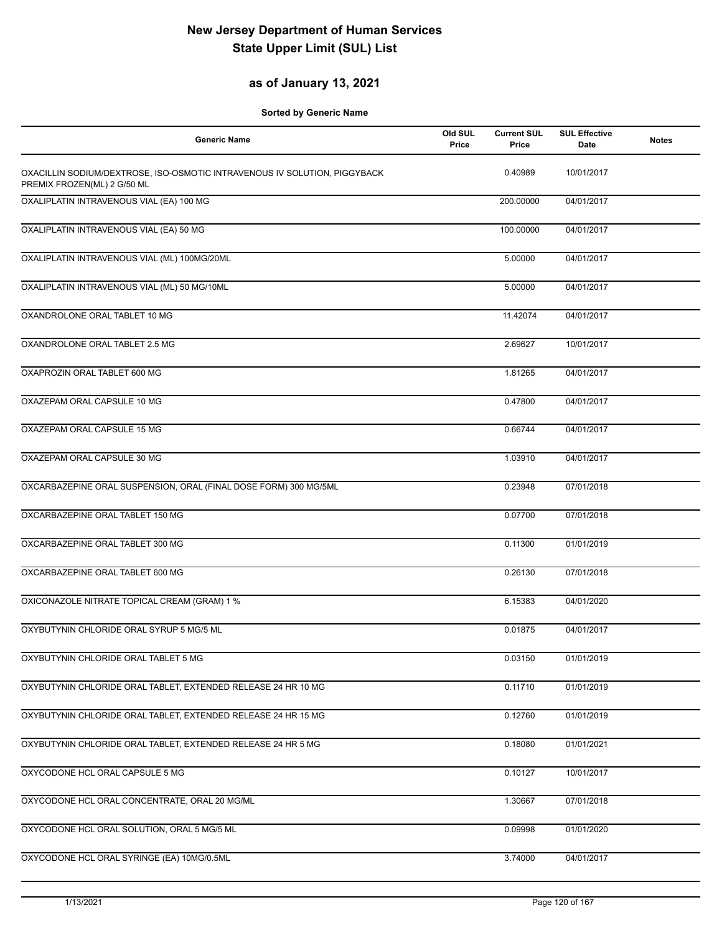#### **as of January 13, 2021**

| <b>Generic Name</b>                                                                                      | Old SUL<br>Price | <b>Current SUL</b><br>Price | <b>SUL Effective</b><br>Date | <b>Notes</b> |
|----------------------------------------------------------------------------------------------------------|------------------|-----------------------------|------------------------------|--------------|
| OXACILLIN SODIUM/DEXTROSE, ISO-OSMOTIC INTRAVENOUS IV SOLUTION, PIGGYBACK<br>PREMIX FROZEN(ML) 2 G/50 ML |                  | 0.40989                     | 10/01/2017                   |              |
| OXALIPLATIN INTRAVENOUS VIAL (EA) 100 MG                                                                 |                  | 200.00000                   | 04/01/2017                   |              |
| OXALIPLATIN INTRAVENOUS VIAL (EA) 50 MG                                                                  |                  | 100.00000                   | 04/01/2017                   |              |
| OXALIPLATIN INTRAVENOUS VIAL (ML) 100MG/20ML                                                             |                  | 5.00000                     | 04/01/2017                   |              |
| OXALIPLATIN INTRAVENOUS VIAL (ML) 50 MG/10ML                                                             |                  | 5.00000                     | 04/01/2017                   |              |
| OXANDROLONE ORAL TABLET 10 MG                                                                            |                  | 11.42074                    | 04/01/2017                   |              |
| OXANDROLONE ORAL TABLET 2.5 MG                                                                           |                  | 2.69627                     | 10/01/2017                   |              |
| OXAPROZIN ORAL TABLET 600 MG                                                                             |                  | 1.81265                     | 04/01/2017                   |              |
| OXAZEPAM ORAL CAPSULE 10 MG                                                                              |                  | 0.47800                     | 04/01/2017                   |              |
| OXAZEPAM ORAL CAPSULE 15 MG                                                                              |                  | 0.66744                     | 04/01/2017                   |              |
| OXAZEPAM ORAL CAPSULE 30 MG                                                                              |                  | 1.03910                     | 04/01/2017                   |              |
| OXCARBAZEPINE ORAL SUSPENSION, ORAL (FINAL DOSE FORM) 300 MG/5ML                                         |                  | 0.23948                     | 07/01/2018                   |              |
| OXCARBAZEPINE ORAL TABLET 150 MG                                                                         |                  | 0.07700                     | 07/01/2018                   |              |
| OXCARBAZEPINE ORAL TABLET 300 MG                                                                         |                  | 0.11300                     | 01/01/2019                   |              |
| OXCARBAZEPINE ORAL TABLET 600 MG                                                                         |                  | 0.26130                     | 07/01/2018                   |              |
| OXICONAZOLE NITRATE TOPICAL CREAM (GRAM) 1 %                                                             |                  | 6.15383                     | 04/01/2020                   |              |
| OXYBUTYNIN CHLORIDE ORAL SYRUP 5 MG/5 ML                                                                 |                  | 0.01875                     | 04/01/2017                   |              |
| OXYBUTYNIN CHLORIDE ORAL TABLET 5 MG                                                                     |                  | 0.03150                     | 01/01/2019                   |              |
| OXYBUTYNIN CHLORIDE ORAL TABLET, EXTENDED RELEASE 24 HR 10 MG                                            |                  | 0.11710                     | 01/01/2019                   |              |
| OXYBUTYNIN CHLORIDE ORAL TABLET, EXTENDED RELEASE 24 HR 15 MG                                            |                  | 0.12760                     | 01/01/2019                   |              |
| OXYBUTYNIN CHLORIDE ORAL TABLET, EXTENDED RELEASE 24 HR 5 MG                                             |                  | 0.18080                     | 01/01/2021                   |              |
| OXYCODONE HCL ORAL CAPSULE 5 MG                                                                          |                  | 0.10127                     | 10/01/2017                   |              |
| OXYCODONE HCL ORAL CONCENTRATE, ORAL 20 MG/ML                                                            |                  | 1.30667                     | 07/01/2018                   |              |
| OXYCODONE HCL ORAL SOLUTION, ORAL 5 MG/5 ML                                                              |                  | 0.09998                     | 01/01/2020                   |              |
| OXYCODONE HCL ORAL SYRINGE (EA) 10MG/0.5ML                                                               |                  | 3.74000                     | 04/01/2017                   |              |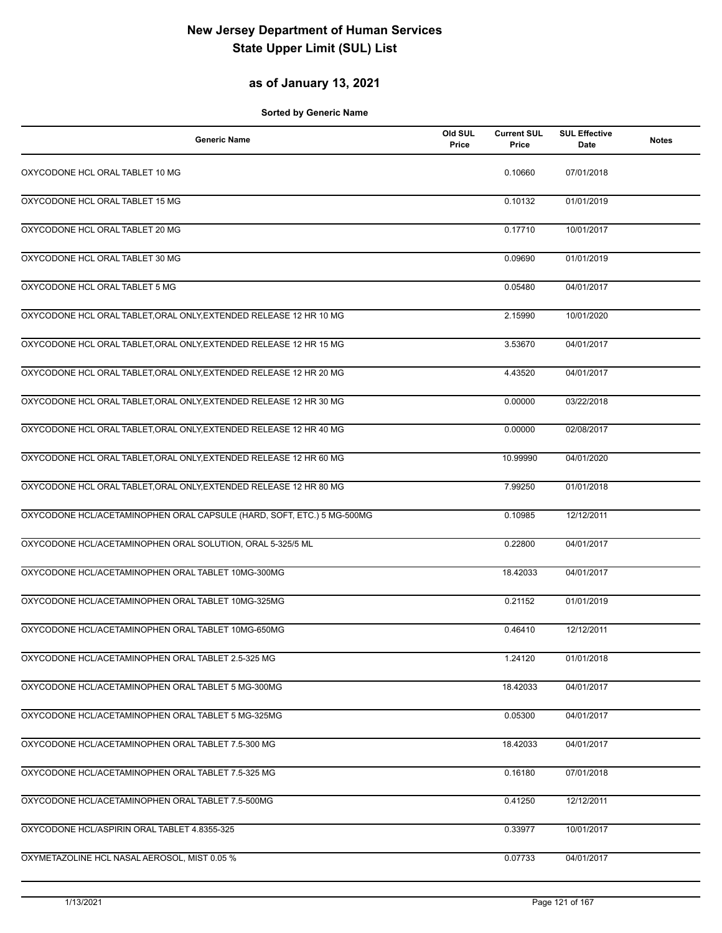## **as of January 13, 2021**

| <b>Generic Name</b>                                                    | Old SUL<br>Price | <b>Current SUL</b><br>Price | <b>SUL Effective</b><br>Date | <b>Notes</b> |
|------------------------------------------------------------------------|------------------|-----------------------------|------------------------------|--------------|
| OXYCODONE HCL ORAL TABLET 10 MG                                        |                  | 0.10660                     | 07/01/2018                   |              |
| OXYCODONE HCL ORAL TABLET 15 MG                                        |                  | 0.10132                     | 01/01/2019                   |              |
| OXYCODONE HCL ORAL TABLET 20 MG                                        |                  | 0.17710                     | 10/01/2017                   |              |
| OXYCODONE HCL ORAL TABLET 30 MG                                        |                  | 0.09690                     | 01/01/2019                   |              |
| OXYCODONE HCL ORAL TABLET 5 MG                                         |                  | 0.05480                     | 04/01/2017                   |              |
| OXYCODONE HCL ORAL TABLET, ORAL ONLY, EXTENDED RELEASE 12 HR 10 MG     |                  | 2.15990                     | 10/01/2020                   |              |
| OXYCODONE HCL ORAL TABLET, ORAL ONLY, EXTENDED RELEASE 12 HR 15 MG     |                  | 3.53670                     | 04/01/2017                   |              |
| OXYCODONE HCL ORAL TABLET, ORAL ONLY, EXTENDED RELEASE 12 HR 20 MG     |                  | 4.43520                     | 04/01/2017                   |              |
| OXYCODONE HCL ORAL TABLET, ORAL ONLY, EXTENDED RELEASE 12 HR 30 MG     |                  | 0.00000                     | 03/22/2018                   |              |
| OXYCODONE HCL ORAL TABLET, ORAL ONLY, EXTENDED RELEASE 12 HR 40 MG     |                  | 0.00000                     | 02/08/2017                   |              |
| OXYCODONE HCL ORAL TABLET, ORAL ONLY, EXTENDED RELEASE 12 HR 60 MG     |                  | 10.99990                    | 04/01/2020                   |              |
| OXYCODONE HCL ORAL TABLET, ORAL ONLY, EXTENDED RELEASE 12 HR 80 MG     |                  | 7.99250                     | 01/01/2018                   |              |
| OXYCODONE HCL/ACETAMINOPHEN ORAL CAPSULE (HARD, SOFT, ETC.) 5 MG-500MG |                  | 0.10985                     | 12/12/2011                   |              |
| OXYCODONE HCL/ACETAMINOPHEN ORAL SOLUTION, ORAL 5-325/5 ML             |                  | 0.22800                     | 04/01/2017                   |              |
| OXYCODONE HCL/ACETAMINOPHEN ORAL TABLET 10MG-300MG                     |                  | 18.42033                    | 04/01/2017                   |              |
| OXYCODONE HCL/ACETAMINOPHEN ORAL TABLET 10MG-325MG                     |                  | 0.21152                     | 01/01/2019                   |              |
| OXYCODONE HCL/ACETAMINOPHEN ORAL TABLET 10MG-650MG                     |                  | 0.46410                     | 12/12/2011                   |              |
| OXYCODONE HCL/ACETAMINOPHEN ORAL TABLET 2.5-325 MG                     |                  | 1.24120                     | 01/01/2018                   |              |
| OXYCODONE HCL/ACETAMINOPHEN ORAL TABLET 5 MG-300MG                     |                  | 18.42033                    | 04/01/2017                   |              |
| OXYCODONE HCL/ACETAMINOPHEN ORAL TABLET 5 MG-325MG                     |                  | 0.05300                     | 04/01/2017                   |              |
| OXYCODONE HCL/ACETAMINOPHEN ORAL TABLET 7.5-300 MG                     |                  | 18.42033                    | 04/01/2017                   |              |
| OXYCODONE HCL/ACETAMINOPHEN ORAL TABLET 7.5-325 MG                     |                  | 0.16180                     | 07/01/2018                   |              |
| OXYCODONE HCL/ACETAMINOPHEN ORAL TABLET 7.5-500MG                      |                  | 0.41250                     | 12/12/2011                   |              |
| OXYCODONE HCL/ASPIRIN ORAL TABLET 4.8355-325                           |                  | 0.33977                     | 10/01/2017                   |              |
| OXYMETAZOLINE HCL NASAL AEROSOL, MIST 0.05 %                           |                  | 0.07733                     | 04/01/2017                   |              |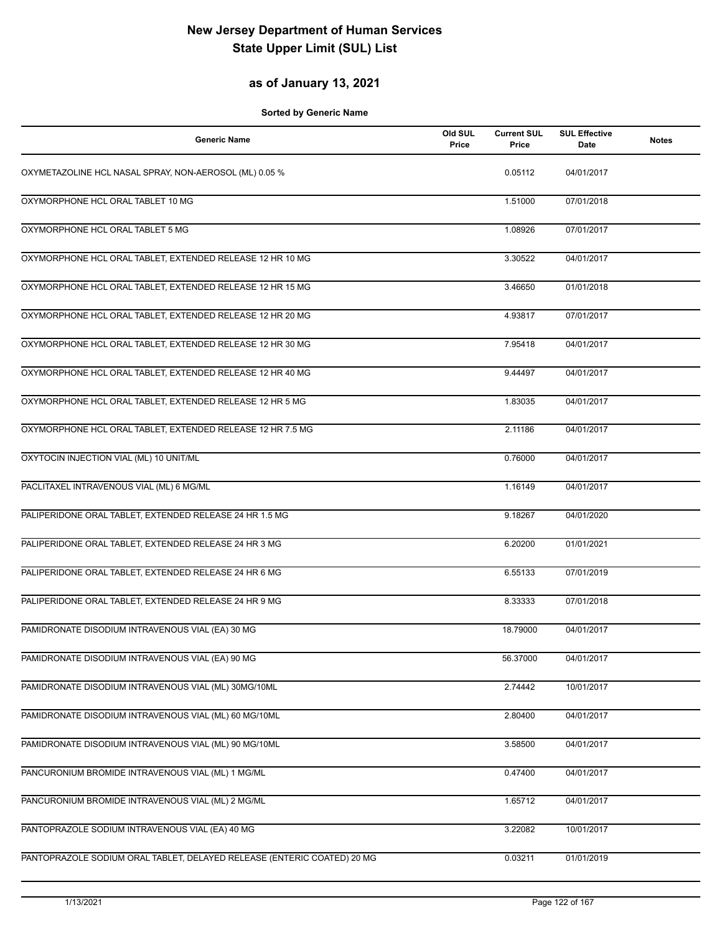## **as of January 13, 2021**

| <b>Generic Name</b>                                                     | Old SUL<br>Price | <b>Current SUL</b><br>Price | <b>SUL Effective</b><br><b>Date</b> | <b>Notes</b> |
|-------------------------------------------------------------------------|------------------|-----------------------------|-------------------------------------|--------------|
| OXYMETAZOLINE HCL NASAL SPRAY, NON-AEROSOL (ML) 0.05 %                  |                  | 0.05112                     | 04/01/2017                          |              |
| OXYMORPHONE HCL ORAL TABLET 10 MG                                       |                  | 1.51000                     | 07/01/2018                          |              |
| OXYMORPHONE HCL ORAL TABLET 5 MG                                        |                  | 1.08926                     | 07/01/2017                          |              |
| OXYMORPHONE HCL ORAL TABLET, EXTENDED RELEASE 12 HR 10 MG               |                  | 3.30522                     | 04/01/2017                          |              |
| OXYMORPHONE HCL ORAL TABLET, EXTENDED RELEASE 12 HR 15 MG               |                  | 3.46650                     | 01/01/2018                          |              |
| OXYMORPHONE HCL ORAL TABLET, EXTENDED RELEASE 12 HR 20 MG               |                  | 4.93817                     | 07/01/2017                          |              |
| OXYMORPHONE HCL ORAL TABLET, EXTENDED RELEASE 12 HR 30 MG               |                  | 7.95418                     | 04/01/2017                          |              |
| OXYMORPHONE HCL ORAL TABLET, EXTENDED RELEASE 12 HR 40 MG               |                  | 9.44497                     | 04/01/2017                          |              |
| OXYMORPHONE HCL ORAL TABLET, EXTENDED RELEASE 12 HR 5 MG                |                  | 1.83035                     | 04/01/2017                          |              |
| OXYMORPHONE HCL ORAL TABLET, EXTENDED RELEASE 12 HR 7.5 MG              |                  | 2.11186                     | 04/01/2017                          |              |
| OXYTOCIN INJECTION VIAL (ML) 10 UNIT/ML                                 |                  | 0.76000                     | 04/01/2017                          |              |
| PACLITAXEL INTRAVENOUS VIAL (ML) 6 MG/ML                                |                  | 1.16149                     | 04/01/2017                          |              |
| PALIPERIDONE ORAL TABLET, EXTENDED RELEASE 24 HR 1.5 MG                 |                  | 9.18267                     | 04/01/2020                          |              |
| PALIPERIDONE ORAL TABLET, EXTENDED RELEASE 24 HR 3 MG                   |                  | 6.20200                     | 01/01/2021                          |              |
| PALIPERIDONE ORAL TABLET, EXTENDED RELEASE 24 HR 6 MG                   |                  | 6.55133                     | 07/01/2019                          |              |
| PALIPERIDONE ORAL TABLET, EXTENDED RELEASE 24 HR 9 MG                   |                  | 8.33333                     | 07/01/2018                          |              |
| PAMIDRONATE DISODIUM INTRAVENOUS VIAL (EA) 30 MG                        |                  | 18.79000                    | 04/01/2017                          |              |
| PAMIDRONATE DISODIUM INTRAVENOUS VIAL (EA) 90 MG                        |                  | 56.37000                    | 04/01/2017                          |              |
| PAMIDRONATE DISODIUM INTRAVENOUS VIAL (ML) 30MG/10ML                    |                  | 2.74442                     | 10/01/2017                          |              |
| PAMIDRONATE DISODIUM INTRAVENOUS VIAL (ML) 60 MG/10ML                   |                  | 2.80400                     | 04/01/2017                          |              |
| PAMIDRONATE DISODIUM INTRAVENOUS VIAL (ML) 90 MG/10ML                   |                  | 3.58500                     | 04/01/2017                          |              |
| PANCURONIUM BROMIDE INTRAVENOUS VIAL (ML) 1 MG/ML                       |                  | 0.47400                     | 04/01/2017                          |              |
| PANCURONIUM BROMIDE INTRAVENOUS VIAL (ML) 2 MG/ML                       |                  | 1.65712                     | 04/01/2017                          |              |
| PANTOPRAZOLE SODIUM INTRAVENOUS VIAL (EA) 40 MG                         |                  | 3.22082                     | 10/01/2017                          |              |
| PANTOPRAZOLE SODIUM ORAL TABLET, DELAYED RELEASE (ENTERIC COATED) 20 MG |                  | 0.03211                     | 01/01/2019                          |              |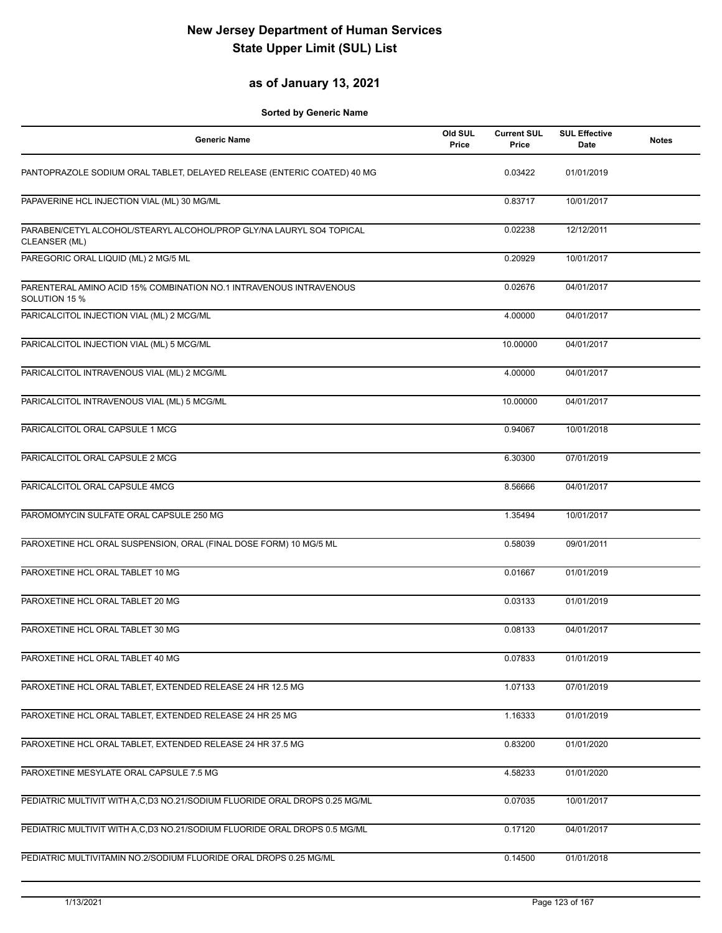#### **as of January 13, 2021**

| <b>Generic Name</b>                                                                   | Old SUL<br>Price | <b>Current SUL</b><br>Price | <b>SUL Effective</b><br><b>Date</b> | <b>Notes</b> |
|---------------------------------------------------------------------------------------|------------------|-----------------------------|-------------------------------------|--------------|
| PANTOPRAZOLE SODIUM ORAL TABLET, DELAYED RELEASE (ENTERIC COATED) 40 MG               |                  | 0.03422                     | 01/01/2019                          |              |
| PAPAVERINE HCL INJECTION VIAL (ML) 30 MG/ML                                           |                  | 0.83717                     | 10/01/2017                          |              |
| PARABEN/CETYL ALCOHOL/STEARYL ALCOHOL/PROP GLY/NA LAURYL SO4 TOPICAL<br>CLEANSER (ML) |                  | 0.02238                     | 12/12/2011                          |              |
| PAREGORIC ORAL LIQUID (ML) 2 MG/5 ML                                                  |                  | 0.20929                     | 10/01/2017                          |              |
| PARENTERAL AMINO ACID 15% COMBINATION NO.1 INTRAVENOUS INTRAVENOUS<br>SOLUTION 15 %   |                  | 0.02676                     | 04/01/2017                          |              |
| PARICALCITOL INJECTION VIAL (ML) 2 MCG/ML                                             |                  | 4.00000                     | 04/01/2017                          |              |
| PARICALCITOL INJECTION VIAL (ML) 5 MCG/ML                                             |                  | 10.00000                    | 04/01/2017                          |              |
| PARICALCITOL INTRAVENOUS VIAL (ML) 2 MCG/ML                                           |                  | 4.00000                     | 04/01/2017                          |              |
| PARICALCITOL INTRAVENOUS VIAL (ML) 5 MCG/ML                                           |                  | 10.00000                    | 04/01/2017                          |              |
| PARICALCITOL ORAL CAPSULE 1 MCG                                                       |                  | 0.94067                     | 10/01/2018                          |              |
| PARICALCITOL ORAL CAPSULE 2 MCG                                                       |                  | 6.30300                     | 07/01/2019                          |              |
| PARICALCITOL ORAL CAPSULE 4MCG                                                        |                  | 8.56666                     | 04/01/2017                          |              |
| PAROMOMYCIN SULFATE ORAL CAPSULE 250 MG                                               |                  | 1.35494                     | 10/01/2017                          |              |
| PAROXETINE HCL ORAL SUSPENSION, ORAL (FINAL DOSE FORM) 10 MG/5 ML                     |                  | 0.58039                     | 09/01/2011                          |              |
| PAROXETINE HCL ORAL TABLET 10 MG                                                      |                  | 0.01667                     | 01/01/2019                          |              |
| PAROXETINE HCL ORAL TABLET 20 MG                                                      |                  | 0.03133                     | 01/01/2019                          |              |
| PAROXETINE HCL ORAL TABLET 30 MG                                                      |                  | 0.08133                     | 04/01/2017                          |              |
| PAROXETINE HCL ORAL TABLET 40 MG                                                      |                  | 0.07833                     | 01/01/2019                          |              |
| PAROXETINE HCL ORAL TABLET, EXTENDED RELEASE 24 HR 12.5 MG                            |                  | 1.07133                     | 07/01/2019                          |              |
| PAROXETINE HCL ORAL TABLET, EXTENDED RELEASE 24 HR 25 MG                              |                  | 1.16333                     | 01/01/2019                          |              |
| PAROXETINE HCL ORAL TABLET, EXTENDED RELEASE 24 HR 37.5 MG                            |                  | 0.83200                     | 01/01/2020                          |              |
| PAROXETINE MESYLATE ORAL CAPSULE 7.5 MG                                               |                  | 4.58233                     | 01/01/2020                          |              |
| PEDIATRIC MULTIVIT WITH A,C,D3 NO.21/SODIUM FLUORIDE ORAL DROPS 0.25 MG/ML            |                  | 0.07035                     | 10/01/2017                          |              |
| PEDIATRIC MULTIVIT WITH A,C,D3 NO.21/SODIUM FLUORIDE ORAL DROPS 0.5 MG/ML             |                  | 0.17120                     | 04/01/2017                          |              |
| PEDIATRIC MULTIVITAMIN NO.2/SODIUM FLUORIDE ORAL DROPS 0.25 MG/ML                     |                  | 0.14500                     | 01/01/2018                          |              |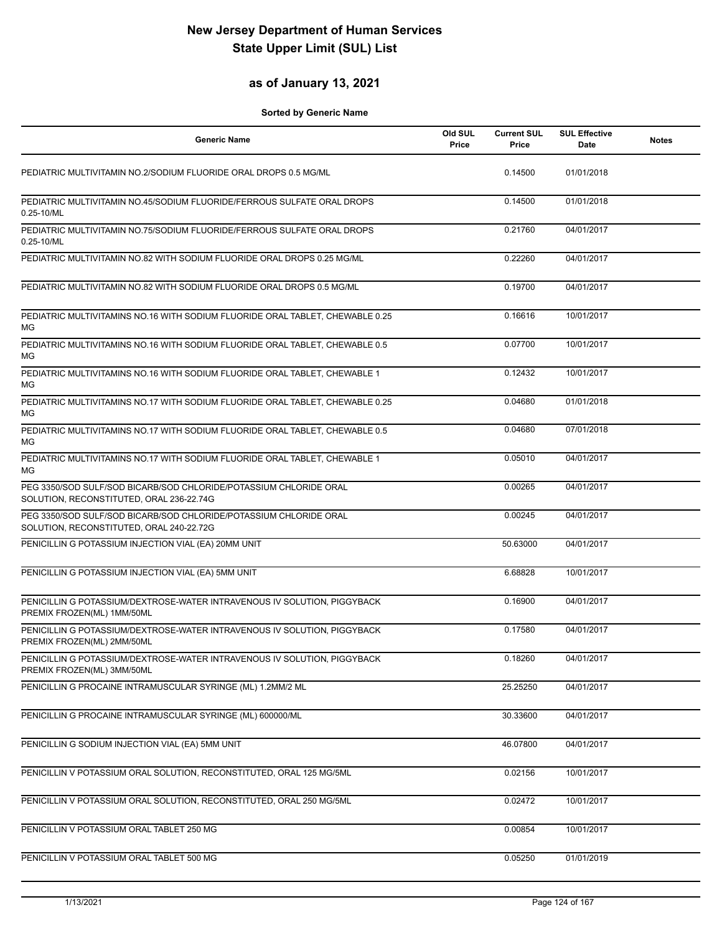### **as of January 13, 2021**

| <b>Generic Name</b>                                                                                           | Old SUL<br>Price | <b>Current SUL</b><br>Price | <b>SUL Effective</b><br><b>Date</b> | <b>Notes</b> |
|---------------------------------------------------------------------------------------------------------------|------------------|-----------------------------|-------------------------------------|--------------|
| PEDIATRIC MULTIVITAMIN NO.2/SODIUM FLUORIDE ORAL DROPS 0.5 MG/ML                                              |                  | 0.14500                     | 01/01/2018                          |              |
| PEDIATRIC MULTIVITAMIN NO.45/SODIUM FLUORIDE/FERROUS SULFATE ORAL DROPS<br>0.25-10/ML                         |                  | 0.14500                     | 01/01/2018                          |              |
| PEDIATRIC MULTIVITAMIN NO.75/SODIUM FLUORIDE/FERROUS SULFATE ORAL DROPS<br>0.25-10/ML                         |                  | 0.21760                     | 04/01/2017                          |              |
| PEDIATRIC MULTIVITAMIN NO.82 WITH SODIUM FLUORIDE ORAL DROPS 0.25 MG/ML                                       |                  | 0.22260                     | 04/01/2017                          |              |
| PEDIATRIC MULTIVITAMIN NO.82 WITH SODIUM FLUORIDE ORAL DROPS 0.5 MG/ML                                        |                  | 0.19700                     | 04/01/2017                          |              |
| PEDIATRIC MULTIVITAMINS NO.16 WITH SODIUM FLUORIDE ORAL TABLET, CHEWABLE 0.25<br>МG                           |                  | 0.16616                     | 10/01/2017                          |              |
| PEDIATRIC MULTIVITAMINS NO.16 WITH SODIUM FLUORIDE ORAL TABLET, CHEWABLE 0.5<br>MG                            |                  | 0.07700                     | 10/01/2017                          |              |
| PEDIATRIC MULTIVITAMINS NO.16 WITH SODIUM FLUORIDE ORAL TABLET, CHEWABLE 1<br>МG                              |                  | 0.12432                     | 10/01/2017                          |              |
| PEDIATRIC MULTIVITAMINS NO.17 WITH SODIUM FLUORIDE ORAL TABLET, CHEWABLE 0.25<br>МG                           |                  | 0.04680                     | 01/01/2018                          |              |
| PEDIATRIC MULTIVITAMINS NO.17 WITH SODIUM FLUORIDE ORAL TABLET, CHEWABLE 0.5<br>МG                            |                  | 0.04680                     | 07/01/2018                          |              |
| PEDIATRIC MULTIVITAMINS NO.17 WITH SODIUM FLUORIDE ORAL TABLET, CHEWABLE 1<br>МG                              |                  | 0.05010                     | 04/01/2017                          |              |
| PEG 3350/SOD SULF/SOD BICARB/SOD CHLORIDE/POTASSIUM CHLORIDE ORAL<br>SOLUTION, RECONSTITUTED, ORAL 236-22.74G |                  | 0.00265                     | 04/01/2017                          |              |
| PEG 3350/SOD SULF/SOD BICARB/SOD CHLORIDE/POTASSIUM CHLORIDE ORAL<br>SOLUTION, RECONSTITUTED, ORAL 240-22.72G |                  | 0.00245                     | 04/01/2017                          |              |
| PENICILLIN G POTASSIUM INJECTION VIAL (EA) 20MM UNIT                                                          |                  | 50.63000                    | 04/01/2017                          |              |
| PENICILLIN G POTASSIUM INJECTION VIAL (EA) 5MM UNIT                                                           |                  | 6.68828                     | 10/01/2017                          |              |
| PENICILLIN G POTASSIUM/DEXTROSE-WATER INTRAVENOUS IV SOLUTION, PIGGYBACK<br>PREMIX FROZEN(ML) 1MM/50ML        |                  | 0.16900                     | 04/01/2017                          |              |
| PENICILLIN G POTASSIUM/DEXTROSE-WATER INTRAVENOUS IV SOLUTION. PIGGYBACK<br>PREMIX FROZEN(ML) 2MM/50ML        |                  | 0.17580                     | 04/01/2017                          |              |
| PENICILLIN G POTASSIUM/DEXTROSE-WATER INTRAVENOUS IV SOLUTION, PIGGYBACK<br>PREMIX FROZEN(ML) 3MM/50ML        |                  | 0.18260                     | 04/01/2017                          |              |
| PENICILLIN G PROCAINE INTRAMUSCULAR SYRINGE (ML) 1.2MM/2 ML                                                   |                  | 25.25250                    | 04/01/2017                          |              |
| PENICILLIN G PROCAINE INTRAMUSCULAR SYRINGE (ML) 600000/ML                                                    |                  | 30.33600                    | 04/01/2017                          |              |
| PENICILLIN G SODIUM INJECTION VIAL (EA) 5MM UNIT                                                              |                  | 46.07800                    | 04/01/2017                          |              |
| PENICILLIN V POTASSIUM ORAL SOLUTION, RECONSTITUTED, ORAL 125 MG/5ML                                          |                  | 0.02156                     | 10/01/2017                          |              |
| PENICILLIN V POTASSIUM ORAL SOLUTION, RECONSTITUTED, ORAL 250 MG/5ML                                          |                  | 0.02472                     | 10/01/2017                          |              |
| PENICILLIN V POTASSIUM ORAL TABLET 250 MG                                                                     |                  | 0.00854                     | 10/01/2017                          |              |
| PENICILLIN V POTASSIUM ORAL TABLET 500 MG                                                                     |                  | 0.05250                     | 01/01/2019                          |              |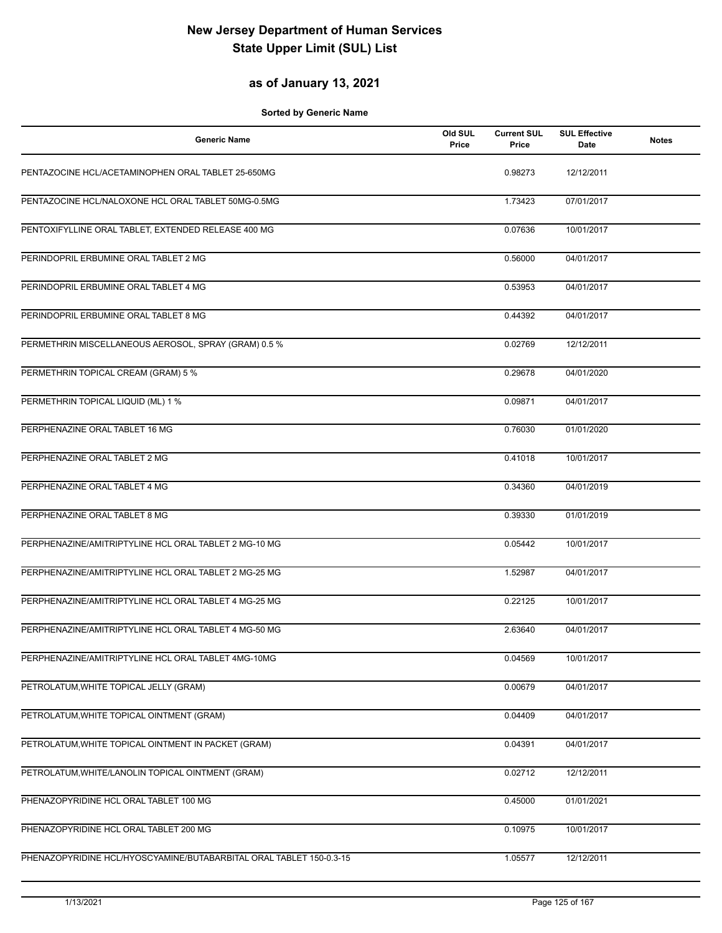#### **as of January 13, 2021**

| <b>Generic Name</b>                                                 | Old SUL<br>Price | <b>Current SUL</b><br>Price | <b>SUL Effective</b><br>Date | <b>Notes</b> |
|---------------------------------------------------------------------|------------------|-----------------------------|------------------------------|--------------|
| PENTAZOCINE HCL/ACETAMINOPHEN ORAL TABLET 25-650MG                  |                  | 0.98273                     | 12/12/2011                   |              |
| PENTAZOCINE HCL/NALOXONE HCL ORAL TABLET 50MG-0.5MG                 |                  | 1.73423                     | 07/01/2017                   |              |
| PENTOXIFYLLINE ORAL TABLET, EXTENDED RELEASE 400 MG                 |                  | 0.07636                     | 10/01/2017                   |              |
| PERINDOPRIL ERBUMINE ORAL TABLET 2 MG                               |                  | 0.56000                     | 04/01/2017                   |              |
| PERINDOPRIL ERBUMINE ORAL TABLET 4 MG                               |                  | 0.53953                     | 04/01/2017                   |              |
| PERINDOPRIL ERBUMINE ORAL TABLET 8 MG                               |                  | 0.44392                     | 04/01/2017                   |              |
| PERMETHRIN MISCELLANEOUS AEROSOL, SPRAY (GRAM) 0.5 %                |                  | 0.02769                     | 12/12/2011                   |              |
| PERMETHRIN TOPICAL CREAM (GRAM) 5 %                                 |                  | 0.29678                     | 04/01/2020                   |              |
| PERMETHRIN TOPICAL LIQUID (ML) 1 %                                  |                  | 0.09871                     | 04/01/2017                   |              |
| PERPHENAZINE ORAL TABLET 16 MG                                      |                  | 0.76030                     | 01/01/2020                   |              |
| PERPHENAZINE ORAL TABLET 2 MG                                       |                  | 0.41018                     | 10/01/2017                   |              |
| PERPHENAZINE ORAL TABLET 4 MG                                       |                  | 0.34360                     | 04/01/2019                   |              |
| PERPHENAZINE ORAL TABLET 8 MG                                       |                  | 0.39330                     | 01/01/2019                   |              |
| PERPHENAZINE/AMITRIPTYLINE HCL ORAL TABLET 2 MG-10 MG               |                  | 0.05442                     | 10/01/2017                   |              |
| PERPHENAZINE/AMITRIPTYLINE HCL ORAL TABLET 2 MG-25 MG               |                  | 1.52987                     | 04/01/2017                   |              |
| PERPHENAZINE/AMITRIPTYLINE HCL ORAL TABLET 4 MG-25 MG               |                  | 0.22125                     | 10/01/2017                   |              |
| PERPHENAZINE/AMITRIPTYLINE HCL ORAL TABLET 4 MG-50 MG               |                  | 2.63640                     | 04/01/2017                   |              |
| PERPHENAZINE/AMITRIPTYLINE HCL ORAL TABLET 4MG-10MG                 |                  | 0.04569                     | 10/01/2017                   |              |
| PETROLATUM, WHITE TOPICAL JELLY (GRAM)                              |                  | 0.00679                     | 04/01/2017                   |              |
| PETROLATUM, WHITE TOPICAL OINTMENT (GRAM)                           |                  | 0.04409                     | 04/01/2017                   |              |
| PETROLATUM, WHITE TOPICAL OINTMENT IN PACKET (GRAM)                 |                  | 0.04391                     | 04/01/2017                   |              |
| PETROLATUM, WHITE/LANOLIN TOPICAL OINTMENT (GRAM)                   |                  | 0.02712                     | 12/12/2011                   |              |
| PHENAZOPYRIDINE HCL ORAL TABLET 100 MG                              |                  | 0.45000                     | 01/01/2021                   |              |
| PHENAZOPYRIDINE HCL ORAL TABLET 200 MG                              |                  | 0.10975                     | 10/01/2017                   |              |
| PHENAZOPYRIDINE HCL/HYOSCYAMINE/BUTABARBITAL ORAL TABLET 150-0.3-15 |                  | 1.05577                     | 12/12/2011                   |              |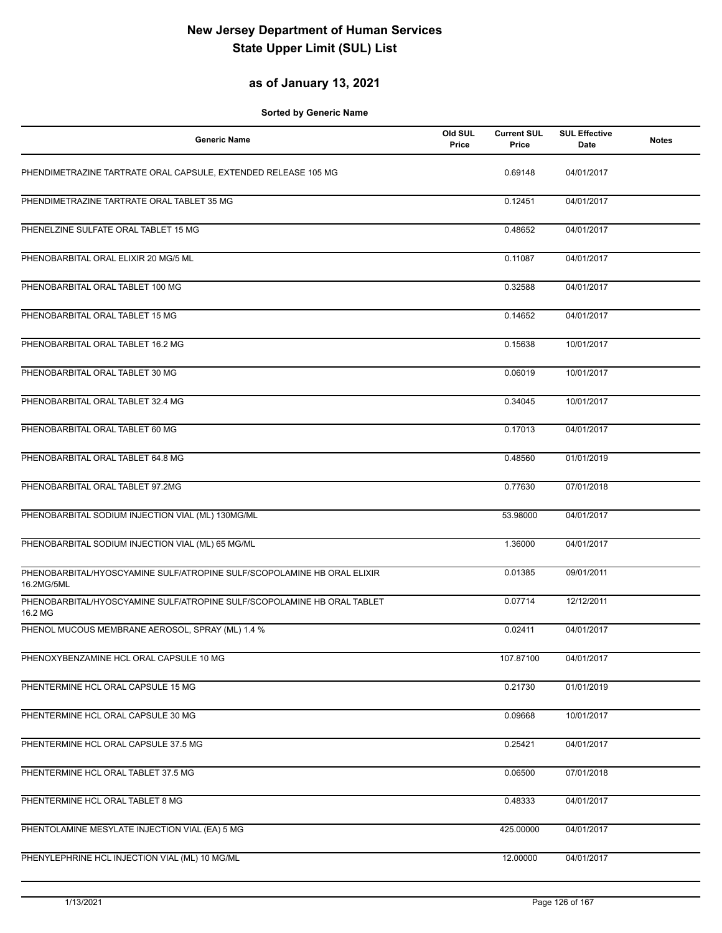#### **as of January 13, 2021**

| <b>Generic Name</b>                                                                   | Old SUL<br>Price | <b>Current SUL</b><br>Price | <b>SUL Effective</b><br>Date | <b>Notes</b> |
|---------------------------------------------------------------------------------------|------------------|-----------------------------|------------------------------|--------------|
| PHENDIMETRAZINE TARTRATE ORAL CAPSULE, EXTENDED RELEASE 105 MG                        |                  | 0.69148                     | 04/01/2017                   |              |
| PHENDIMETRAZINE TARTRATE ORAL TABLET 35 MG                                            |                  | 0.12451                     | 04/01/2017                   |              |
| PHENELZINE SULFATE ORAL TABLET 15 MG                                                  |                  | 0.48652                     | 04/01/2017                   |              |
| PHENOBARBITAL ORAL ELIXIR 20 MG/5 ML                                                  |                  | 0.11087                     | 04/01/2017                   |              |
| PHENOBARBITAL ORAL TABLET 100 MG                                                      |                  | 0.32588                     | 04/01/2017                   |              |
| PHENOBARBITAL ORAL TABLET 15 MG                                                       |                  | 0.14652                     | 04/01/2017                   |              |
| PHENOBARBITAL ORAL TABLET 16.2 MG                                                     |                  | 0.15638                     | 10/01/2017                   |              |
| PHENOBARBITAL ORAL TABLET 30 MG                                                       |                  | 0.06019                     | 10/01/2017                   |              |
| PHENOBARBITAL ORAL TABLET 32.4 MG                                                     |                  | 0.34045                     | 10/01/2017                   |              |
| PHENOBARBITAL ORAL TABLET 60 MG                                                       |                  | 0.17013                     | 04/01/2017                   |              |
| PHENOBARBITAL ORAL TABLET 64.8 MG                                                     |                  | 0.48560                     | 01/01/2019                   |              |
| PHENOBARBITAL ORAL TABLET 97.2MG                                                      |                  | 0.77630                     | 07/01/2018                   |              |
| PHENOBARBITAL SODIUM INJECTION VIAL (ML) 130MG/ML                                     |                  | 53.98000                    | 04/01/2017                   |              |
| PHENOBARBITAL SODIUM INJECTION VIAL (ML) 65 MG/ML                                     |                  | 1.36000                     | 04/01/2017                   |              |
| PHENOBARBITAL/HYOSCYAMINE SULF/ATROPINE SULF/SCOPOLAMINE HB ORAL ELIXIR<br>16.2MG/5ML |                  | 0.01385                     | 09/01/2011                   |              |
| PHENOBARBITAL/HYOSCYAMINE SULF/ATROPINE SULF/SCOPOLAMINE HB ORAL TABLET<br>16.2 MG    |                  | 0.07714                     | 12/12/2011                   |              |
| PHENOL MUCOUS MEMBRANE AEROSOL, SPRAY (ML) 1.4 %                                      |                  | 0.02411                     | 04/01/2017                   |              |
| PHENOXYBENZAMINE HCL ORAL CAPSULE 10 MG                                               |                  | 107.87100                   | 04/01/2017                   |              |
| PHENTERMINE HCL ORAL CAPSULE 15 MG                                                    |                  | 0.21730                     | 01/01/2019                   |              |
| PHENTERMINE HCL ORAL CAPSULE 30 MG                                                    |                  | 0.09668                     | 10/01/2017                   |              |
| PHENTERMINE HCL ORAL CAPSULE 37.5 MG                                                  |                  | 0.25421                     | 04/01/2017                   |              |
| PHENTERMINE HCL ORAL TABLET 37.5 MG                                                   |                  | 0.06500                     | 07/01/2018                   |              |
| PHENTERMINE HCL ORAL TABLET 8 MG                                                      |                  | 0.48333                     | 04/01/2017                   |              |
| PHENTOLAMINE MESYLATE INJECTION VIAL (EA) 5 MG                                        |                  | 425.00000                   | 04/01/2017                   |              |
| PHENYLEPHRINE HCL INJECTION VIAL (ML) 10 MG/ML                                        |                  | 12.00000                    | 04/01/2017                   |              |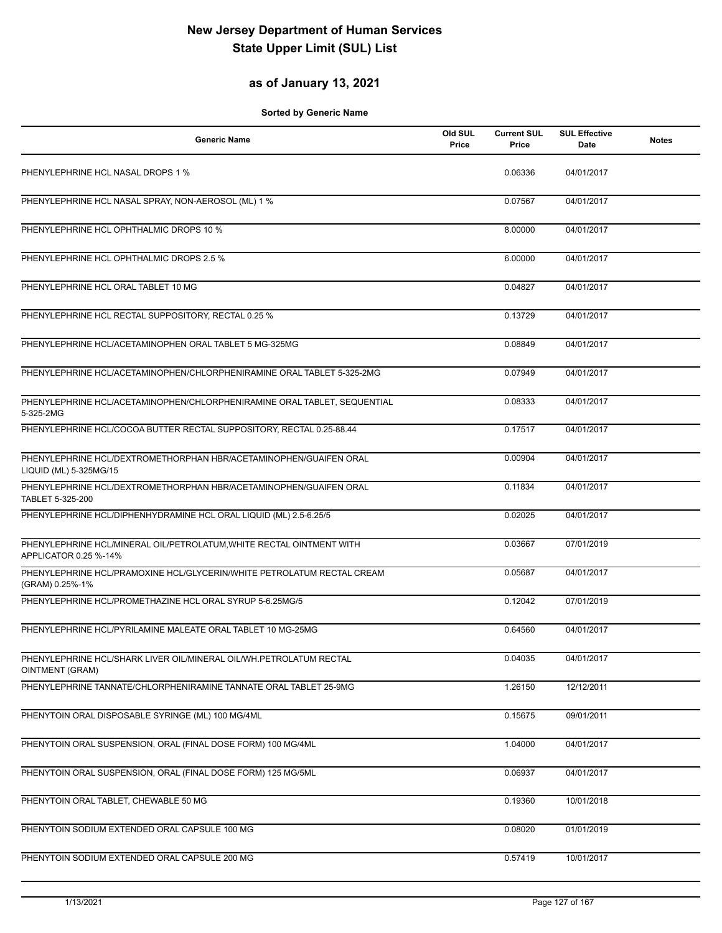## **as of January 13, 2021**

| Generic Name                                                                                  | Old SUL<br>Price | <b>Current SUL</b><br>Price | <b>SUL Effective</b><br>Date | <b>Notes</b> |
|-----------------------------------------------------------------------------------------------|------------------|-----------------------------|------------------------------|--------------|
| PHENYLEPHRINE HCL NASAL DROPS 1 %                                                             |                  | 0.06336                     | 04/01/2017                   |              |
| PHENYLEPHRINE HCL NASAL SPRAY, NON-AEROSOL (ML) 1 %                                           |                  | 0.07567                     | 04/01/2017                   |              |
| PHENYLEPHRINE HCL OPHTHALMIC DROPS 10 %                                                       |                  | 8.00000                     | 04/01/2017                   |              |
| PHENYLEPHRINE HCL OPHTHALMIC DROPS 2.5 %                                                      |                  | 6.00000                     | 04/01/2017                   |              |
| PHENYLEPHRINE HCL ORAL TABLET 10 MG                                                           |                  | 0.04827                     | 04/01/2017                   |              |
| PHENYLEPHRINE HCL RECTAL SUPPOSITORY, RECTAL 0.25 %                                           |                  | 0.13729                     | 04/01/2017                   |              |
| PHENYLEPHRINE HCL/ACETAMINOPHEN ORAL TABLET 5 MG-325MG                                        |                  | 0.08849                     | 04/01/2017                   |              |
| PHENYLEPHRINE HCL/ACETAMINOPHEN/CHLORPHENIRAMINE ORAL TABLET 5-325-2MG                        |                  | 0.07949                     | 04/01/2017                   |              |
| PHENYLEPHRINE HCL/ACETAMINOPHEN/CHLORPHENIRAMINE ORAL TABLET, SEQUENTIAL<br>5-325-2MG         |                  | 0.08333                     | 04/01/2017                   |              |
| PHENYLEPHRINE HCL/COCOA BUTTER RECTAL SUPPOSITORY, RECTAL 0.25-88.44                          |                  | 0.17517                     | 04/01/2017                   |              |
| PHENYLEPHRINE HCL/DEXTROMETHORPHAN HBR/ACETAMINOPHEN/GUAIFEN ORAL<br>LIQUID (ML) 5-325MG/15   |                  | 0.00904                     | 04/01/2017                   |              |
| PHENYLEPHRINE HCL/DEXTROMETHORPHAN HBR/ACETAMINOPHEN/GUAIFEN ORAL<br>TABLET 5-325-200         |                  | 0.11834                     | 04/01/2017                   |              |
| PHENYLEPHRINE HCL/DIPHENHYDRAMINE HCL ORAL LIQUID (ML) 2.5-6.25/5                             |                  | 0.02025                     | 04/01/2017                   |              |
| PHENYLEPHRINE HCL/MINERAL OIL/PETROLATUM, WHITE RECTAL OINTMENT WITH<br>APPLICATOR 0.25 %-14% |                  | 0.03667                     | 07/01/2019                   |              |
| PHENYLEPHRINE HCL/PRAMOXINE HCL/GLYCERIN/WHITE PETROLATUM RECTAL CREAM<br>(GRAM) 0.25%-1%     |                  | 0.05687                     | 04/01/2017                   |              |
| PHENYLEPHRINE HCL/PROMETHAZINE HCL ORAL SYRUP 5-6.25MG/5                                      |                  | 0.12042                     | 07/01/2019                   |              |
| PHENYLEPHRINE HCL/PYRILAMINE MALEATE ORAL TABLET 10 MG-25MG                                   |                  | 0.64560                     | 04/01/2017                   |              |
| PHENYLEPHRINE HCL/SHARK LIVER OIL/MINERAL OIL/WH.PETROLATUM RECTAL<br>OINTMENT (GRAM)         |                  | 0.04035                     | 04/01/2017                   |              |
| PHENYLEPHRINE TANNATE/CHLORPHENIRAMINE TANNATE ORAL TABLET 25-9MG                             |                  | 1.26150                     | 12/12/2011                   |              |
| PHENYTOIN ORAL DISPOSABLE SYRINGE (ML) 100 MG/4ML                                             |                  | 0.15675                     | 09/01/2011                   |              |
| PHENYTOIN ORAL SUSPENSION, ORAL (FINAL DOSE FORM) 100 MG/4ML                                  |                  | 1.04000                     | 04/01/2017                   |              |
| PHENYTOIN ORAL SUSPENSION, ORAL (FINAL DOSE FORM) 125 MG/5ML                                  |                  | 0.06937                     | 04/01/2017                   |              |
| PHENYTOIN ORAL TABLET, CHEWABLE 50 MG                                                         |                  | 0.19360                     | 10/01/2018                   |              |
| PHENYTOIN SODIUM EXTENDED ORAL CAPSULE 100 MG                                                 |                  | 0.08020                     | 01/01/2019                   |              |
| PHENYTOIN SODIUM EXTENDED ORAL CAPSULE 200 MG                                                 |                  | 0.57419                     | 10/01/2017                   |              |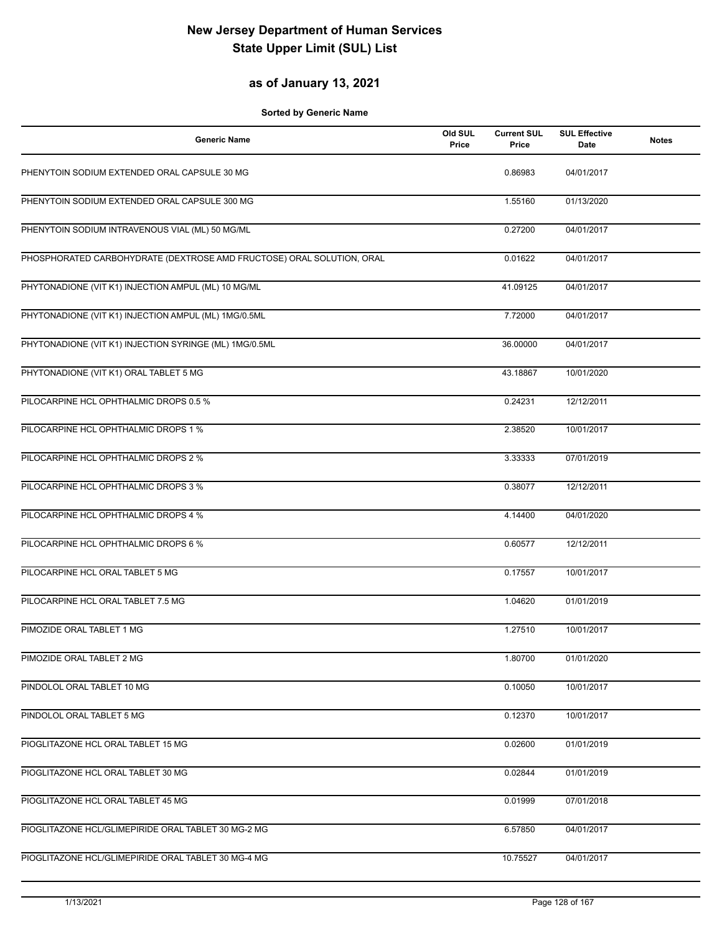#### **as of January 13, 2021**

| <b>Generic Name</b>                                                   | Old SUL<br>Price | <b>Current SUL</b><br>Price | <b>SUL Effective</b><br>Date | <b>Notes</b> |
|-----------------------------------------------------------------------|------------------|-----------------------------|------------------------------|--------------|
| PHENYTOIN SODIUM EXTENDED ORAL CAPSULE 30 MG                          |                  | 0.86983                     | 04/01/2017                   |              |
| PHENYTOIN SODIUM EXTENDED ORAL CAPSULE 300 MG                         |                  | 1.55160                     | 01/13/2020                   |              |
| PHENYTOIN SODIUM INTRAVENOUS VIAL (ML) 50 MG/ML                       |                  | 0.27200                     | 04/01/2017                   |              |
| PHOSPHORATED CARBOHYDRATE (DEXTROSE AMD FRUCTOSE) ORAL SOLUTION, ORAL |                  | 0.01622                     | 04/01/2017                   |              |
| PHYTONADIONE (VIT K1) INJECTION AMPUL (ML) 10 MG/ML                   |                  | 41.09125                    | 04/01/2017                   |              |
| PHYTONADIONE (VIT K1) INJECTION AMPUL (ML) 1MG/0.5ML                  |                  | 7.72000                     | 04/01/2017                   |              |
| PHYTONADIONE (VIT K1) INJECTION SYRINGE (ML) 1MG/0.5ML                |                  | 36.00000                    | 04/01/2017                   |              |
| PHYTONADIONE (VIT K1) ORAL TABLET 5 MG                                |                  | 43.18867                    | 10/01/2020                   |              |
| PILOCARPINE HCL OPHTHALMIC DROPS 0.5 %                                |                  | 0.24231                     | 12/12/2011                   |              |
| PILOCARPINE HCL OPHTHALMIC DROPS 1 %                                  |                  | 2.38520                     | 10/01/2017                   |              |
| PILOCARPINE HCL OPHTHALMIC DROPS 2 %                                  |                  | 3.33333                     | 07/01/2019                   |              |
| PILOCARPINE HCL OPHTHALMIC DROPS 3 %                                  |                  | 0.38077                     | 12/12/2011                   |              |
| PILOCARPINE HCL OPHTHALMIC DROPS 4 %                                  |                  | 4.14400                     | 04/01/2020                   |              |
| PILOCARPINE HCL OPHTHALMIC DROPS 6 %                                  |                  | 0.60577                     | 12/12/2011                   |              |
| PILOCARPINE HCL ORAL TABLET 5 MG                                      |                  | 0.17557                     | 10/01/2017                   |              |
| PILOCARPINE HCL ORAL TABLET 7.5 MG                                    |                  | 1.04620                     | 01/01/2019                   |              |
| PIMOZIDE ORAL TABLET 1 MG                                             |                  | 1.27510                     | 10/01/2017                   |              |
| PIMOZIDE ORAL TABLET 2 MG                                             |                  | 1.80700                     | 01/01/2020                   |              |
| PINDOLOL ORAL TABLET 10 MG                                            |                  | 0.10050                     | 10/01/2017                   |              |
| PINDOLOL ORAL TABLET 5 MG                                             |                  | 0.12370                     | 10/01/2017                   |              |
| PIOGLITAZONE HCL ORAL TABLET 15 MG                                    |                  | 0.02600                     | 01/01/2019                   |              |
| PIOGLITAZONE HCL ORAL TABLET 30 MG                                    |                  | 0.02844                     | 01/01/2019                   |              |
| PIOGLITAZONE HCL ORAL TABLET 45 MG                                    |                  | 0.01999                     | 07/01/2018                   |              |
| PIOGLITAZONE HCL/GLIMEPIRIDE ORAL TABLET 30 MG-2 MG                   |                  | 6.57850                     | 04/01/2017                   |              |
| PIOGLITAZONE HCL/GLIMEPIRIDE ORAL TABLET 30 MG-4 MG                   |                  | 10.75527                    | 04/01/2017                   |              |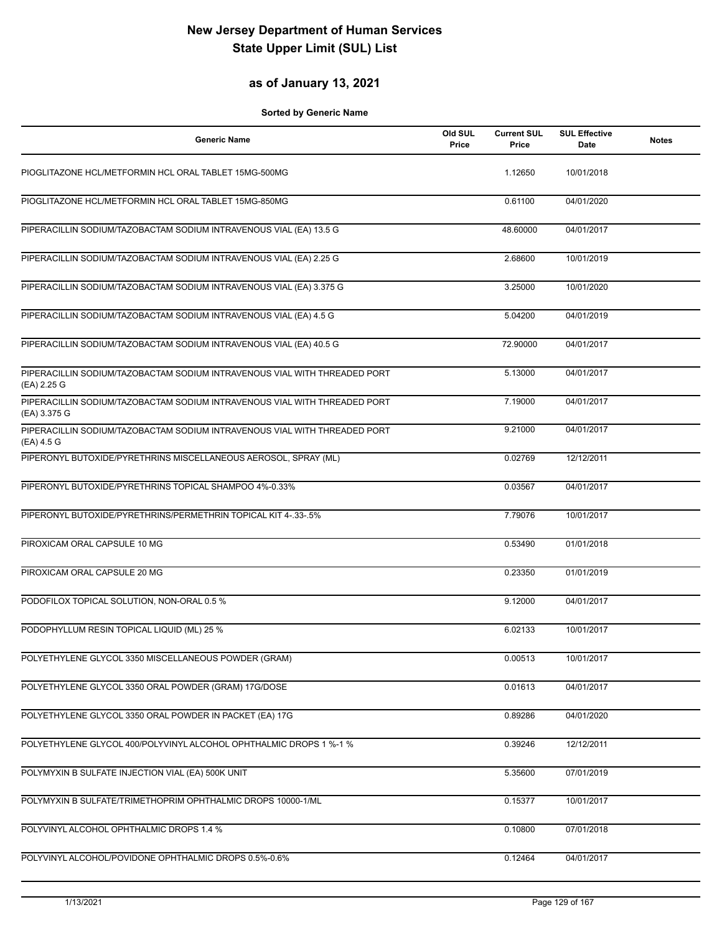### **as of January 13, 2021**

| <b>Generic Name</b>                                                                       | Old SUL<br>Price | <b>Current SUL</b><br>Price | <b>SUL Effective</b><br>Date | <b>Notes</b> |
|-------------------------------------------------------------------------------------------|------------------|-----------------------------|------------------------------|--------------|
| PIOGLITAZONE HCL/METFORMIN HCL ORAL TABLET 15MG-500MG                                     |                  | 1.12650                     | 10/01/2018                   |              |
| PIOGLITAZONE HCL/METFORMIN HCL ORAL TABLET 15MG-850MG                                     |                  | 0.61100                     | 04/01/2020                   |              |
| PIPERACILLIN SODIUM/TAZOBACTAM SODIUM INTRAVENOUS VIAL (EA) 13.5 G                        |                  | 48.60000                    | 04/01/2017                   |              |
| PIPERACILLIN SODIUM/TAZOBACTAM SODIUM INTRAVENOUS VIAL (EA) 2.25 G                        |                  | 2.68600                     | 10/01/2019                   |              |
| PIPERACILLIN SODIUM/TAZOBACTAM SODIUM INTRAVENOUS VIAL (EA) 3.375 G                       |                  | 3.25000                     | 10/01/2020                   |              |
| PIPERACILLIN SODIUM/TAZOBACTAM SODIUM INTRAVENOUS VIAL (EA) 4.5 G                         |                  | 5.04200                     | 04/01/2019                   |              |
| PIPERACILLIN SODIUM/TAZOBACTAM SODIUM INTRAVENOUS VIAL (EA) 40.5 G                        |                  | 72.90000                    | 04/01/2017                   |              |
| PIPERACILLIN SODIUM/TAZOBACTAM SODIUM INTRAVENOUS VIAL WITH THREADED PORT<br>(EA) 2.25 G  |                  | 5.13000                     | 04/01/2017                   |              |
| PIPERACILLIN SODIUM/TAZOBACTAM SODIUM INTRAVENOUS VIAL WITH THREADED PORT<br>(EA) 3.375 G |                  | 7.19000                     | 04/01/2017                   |              |
| PIPERACILLIN SODIUM/TAZOBACTAM SODIUM INTRAVENOUS VIAL WITH THREADED PORT<br>(EA) 4.5 G   |                  | 9.21000                     | 04/01/2017                   |              |
| PIPERONYL BUTOXIDE/PYRETHRINS MISCELLANEOUS AEROSOL, SPRAY (ML)                           |                  | 0.02769                     | 12/12/2011                   |              |
| PIPERONYL BUTOXIDE/PYRETHRINS TOPICAL SHAMPOO 4%-0.33%                                    |                  | 0.03567                     | 04/01/2017                   |              |
| PIPERONYL BUTOXIDE/PYRETHRINS/PERMETHRIN TOPICAL KIT 4-.33-.5%                            |                  | 7.79076                     | 10/01/2017                   |              |
| PIROXICAM ORAL CAPSULE 10 MG                                                              |                  | 0.53490                     | 01/01/2018                   |              |
| PIROXICAM ORAL CAPSULE 20 MG                                                              |                  | 0.23350                     | 01/01/2019                   |              |
| PODOFILOX TOPICAL SOLUTION, NON-ORAL 0.5 %                                                |                  | 9.12000                     | 04/01/2017                   |              |
| PODOPHYLLUM RESIN TOPICAL LIQUID (ML) 25 %                                                |                  | 6.02133                     | 10/01/2017                   |              |
| POLYETHYLENE GLYCOL 3350 MISCELLANEOUS POWDER (GRAM)                                      |                  | 0.00513                     | 10/01/2017                   |              |
| POLYETHYLENE GLYCOL 3350 ORAL POWDER (GRAM) 17G/DOSE                                      |                  | 0.01613                     | 04/01/2017                   |              |
| POLYETHYLENE GLYCOL 3350 ORAL POWDER IN PACKET (EA) 17G                                   |                  | 0.89286                     | 04/01/2020                   |              |
| POLYETHYLENE GLYCOL 400/POLYVINYL ALCOHOL OPHTHALMIC DROPS 1 %-1 %                        |                  | 0.39246                     | 12/12/2011                   |              |
| POLYMYXIN B SULFATE INJECTION VIAL (EA) 500K UNIT                                         |                  | 5.35600                     | 07/01/2019                   |              |
| POLYMYXIN B SULFATE/TRIMETHOPRIM OPHTHALMIC DROPS 10000-1/ML                              |                  | 0.15377                     | 10/01/2017                   |              |
| POLYVINYL ALCOHOL OPHTHALMIC DROPS 1.4 %                                                  |                  | 0.10800                     | 07/01/2018                   |              |
| POLYVINYL ALCOHOL/POVIDONE OPHTHALMIC DROPS 0.5%-0.6%                                     |                  | 0.12464                     | 04/01/2017                   |              |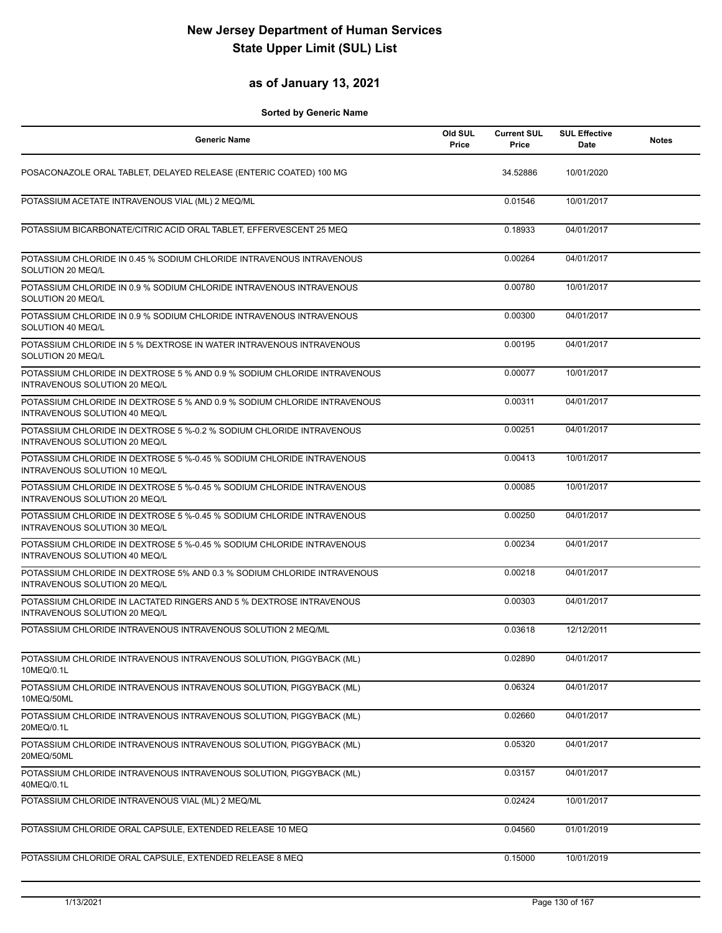### **as of January 13, 2021**

| <b>Generic Name</b>                                                                                       | Old SUL<br>Price | <b>Current SUL</b><br>Price | <b>SUL Effective</b><br>Date | <b>Notes</b> |
|-----------------------------------------------------------------------------------------------------------|------------------|-----------------------------|------------------------------|--------------|
| POSACONAZOLE ORAL TABLET, DELAYED RELEASE (ENTERIC COATED) 100 MG                                         |                  | 34.52886                    | 10/01/2020                   |              |
| POTASSIUM ACETATE INTRAVENOUS VIAL (ML) 2 MEQ/ML                                                          |                  | 0.01546                     | 10/01/2017                   |              |
| POTASSIUM BICARBONATE/CITRIC ACID ORAL TABLET, EFFERVESCENT 25 MEQ                                        |                  | 0.18933                     | 04/01/2017                   |              |
| POTASSIUM CHLORIDE IN 0.45 % SODIUM CHLORIDE INTRAVENOUS INTRAVENOUS<br>SOLUTION 20 MEQ/L                 |                  | 0.00264                     | 04/01/2017                   |              |
| POTASSIUM CHLORIDE IN 0.9 % SODIUM CHLORIDE INTRAVENOUS INTRAVENOUS<br>SOLUTION 20 MEQ/L                  |                  | 0.00780                     | 10/01/2017                   |              |
| POTASSIUM CHLORIDE IN 0.9 % SODIUM CHLORIDE INTRAVENOUS INTRAVENOUS<br>SOLUTION 40 MEQ/L                  |                  | 0.00300                     | 04/01/2017                   |              |
| POTASSIUM CHLORIDE IN 5 % DEXTROSE IN WATER INTRAVENOUS INTRAVENOUS<br>SOLUTION 20 MEQ/L                  |                  | 0.00195                     | 04/01/2017                   |              |
| POTASSIUM CHLORIDE IN DEXTROSE 5 % AND 0.9 % SODIUM CHLORIDE INTRAVENOUS<br>INTRAVENOUS SOLUTION 20 MEQ/L |                  | 0.00077                     | 10/01/2017                   |              |
| POTASSIUM CHLORIDE IN DEXTROSE 5 % AND 0.9 % SODIUM CHLORIDE INTRAVENOUS<br>INTRAVENOUS SOLUTION 40 MEQ/L |                  | 0.00311                     | 04/01/2017                   |              |
| POTASSIUM CHLORIDE IN DEXTROSE 5 %-0.2 % SODIUM CHLORIDE INTRAVENOUS<br>INTRAVENOUS SOLUTION 20 MEQ/L     |                  | 0.00251                     | 04/01/2017                   |              |
| POTASSIUM CHLORIDE IN DEXTROSE 5 %-0.45 % SODIUM CHLORIDE INTRAVENOUS<br>INTRAVENOUS SOLUTION 10 MEQ/L    |                  | 0.00413                     | 10/01/2017                   |              |
| POTASSIUM CHLORIDE IN DEXTROSE 5 %-0.45 % SODIUM CHLORIDE INTRAVENOUS<br>INTRAVENOUS SOLUTION 20 MEQ/L    |                  | 0.00085                     | 10/01/2017                   |              |
| POTASSIUM CHLORIDE IN DEXTROSE 5 %-0.45 % SODIUM CHLORIDE INTRAVENOUS<br>INTRAVENOUS SOLUTION 30 MEQ/L    |                  | 0.00250                     | 04/01/2017                   |              |
| POTASSIUM CHLORIDE IN DEXTROSE 5 %-0.45 % SODIUM CHLORIDE INTRAVENOUS<br>INTRAVENOUS SOLUTION 40 MEQ/L    |                  | 0.00234                     | 04/01/2017                   |              |
| POTASSIUM CHLORIDE IN DEXTROSE 5% AND 0.3 % SODIUM CHLORIDE INTRAVENOUS<br>INTRAVENOUS SOLUTION 20 MEQ/L  |                  | 0.00218                     | 04/01/2017                   |              |
| POTASSIUM CHLORIDE IN LACTATED RINGERS AND 5 % DEXTROSE INTRAVENOUS<br>INTRAVENOUS SOLUTION 20 MEQ/L      |                  | 0.00303                     | 04/01/2017                   |              |
| POTASSIUM CHLORIDE INTRAVENOUS INTRAVENOUS SOLUTION 2 MEQ/ML                                              |                  | 0.03618                     | 12/12/2011                   |              |
| POTASSIUM CHLORIDE INTRAVENOUS INTRAVENOUS SOLUTION, PIGGYBACK (ML)<br>10MEQ/0.1L                         |                  | 0.02890                     | 04/01/2017                   |              |
| POTASSIUM CHLORIDE INTRAVENOUS INTRAVENOUS SOLUTION, PIGGYBACK (ML)<br>10MEQ/50ML                         |                  | 0.06324                     | 04/01/2017                   |              |
| POTASSIUM CHLORIDE INTRAVENOUS INTRAVENOUS SOLUTION, PIGGYBACK (ML)<br>20MEQ/0.1L                         |                  | 0.02660                     | 04/01/2017                   |              |
| POTASSIUM CHLORIDE INTRAVENOUS INTRAVENOUS SOLUTION, PIGGYBACK (ML)<br>20MEQ/50ML                         |                  | 0.05320                     | 04/01/2017                   |              |
| POTASSIUM CHLORIDE INTRAVENOUS INTRAVENOUS SOLUTION, PIGGYBACK (ML)<br>40MEQ/0.1L                         |                  | 0.03157                     | 04/01/2017                   |              |
| POTASSIUM CHLORIDE INTRAVENOUS VIAL (ML) 2 MEQ/ML                                                         |                  | 0.02424                     | 10/01/2017                   |              |
| POTASSIUM CHLORIDE ORAL CAPSULE, EXTENDED RELEASE 10 MEQ                                                  |                  | 0.04560                     | 01/01/2019                   |              |
| POTASSIUM CHLORIDE ORAL CAPSULE, EXTENDED RELEASE 8 MEQ                                                   |                  | 0.15000                     | 10/01/2019                   |              |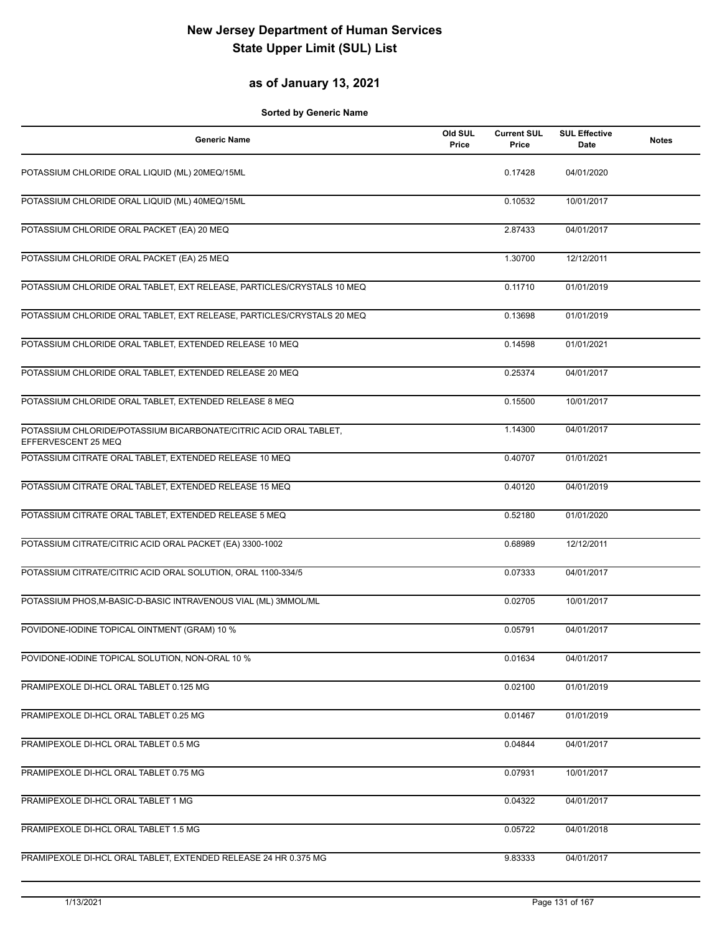### **as of January 13, 2021**

| <b>Generic Name</b>                                                                      | Old SUL<br>Price | <b>Current SUL</b><br>Price | <b>SUL Effective</b><br>Date | <b>Notes</b> |
|------------------------------------------------------------------------------------------|------------------|-----------------------------|------------------------------|--------------|
| POTASSIUM CHLORIDE ORAL LIQUID (ML) 20MEQ/15ML                                           |                  | 0.17428                     | 04/01/2020                   |              |
| POTASSIUM CHLORIDE ORAL LIQUID (ML) 40MEQ/15ML                                           |                  | 0.10532                     | 10/01/2017                   |              |
| POTASSIUM CHLORIDE ORAL PACKET (EA) 20 MEQ                                               |                  | 2.87433                     | 04/01/2017                   |              |
| POTASSIUM CHLORIDE ORAL PACKET (EA) 25 MEQ                                               |                  | 1.30700                     | 12/12/2011                   |              |
| POTASSIUM CHLORIDE ORAL TABLET, EXT RELEASE, PARTICLES/CRYSTALS 10 MEQ                   |                  | 0.11710                     | 01/01/2019                   |              |
| POTASSIUM CHLORIDE ORAL TABLET, EXT RELEASE, PARTICLES/CRYSTALS 20 MEQ                   |                  | 0.13698                     | 01/01/2019                   |              |
| POTASSIUM CHLORIDE ORAL TABLET, EXTENDED RELEASE 10 MEQ                                  |                  | 0.14598                     | 01/01/2021                   |              |
| POTASSIUM CHLORIDE ORAL TABLET, EXTENDED RELEASE 20 MEQ                                  |                  | 0.25374                     | 04/01/2017                   |              |
| POTASSIUM CHLORIDE ORAL TABLET, EXTENDED RELEASE 8 MEQ                                   |                  | 0.15500                     | 10/01/2017                   |              |
| POTASSIUM CHLORIDE/POTASSIUM BICARBONATE/CITRIC ACID ORAL TABLET,<br>EFFERVESCENT 25 MEQ |                  | 1.14300                     | 04/01/2017                   |              |
| POTASSIUM CITRATE ORAL TABLET, EXTENDED RELEASE 10 MEQ                                   |                  | 0.40707                     | 01/01/2021                   |              |
| POTASSIUM CITRATE ORAL TABLET, EXTENDED RELEASE 15 MEQ                                   |                  | 0.40120                     | 04/01/2019                   |              |
| POTASSIUM CITRATE ORAL TABLET, EXTENDED RELEASE 5 MEQ                                    |                  | 0.52180                     | 01/01/2020                   |              |
| POTASSIUM CITRATE/CITRIC ACID ORAL PACKET (EA) 3300-1002                                 |                  | 0.68989                     | 12/12/2011                   |              |
| POTASSIUM CITRATE/CITRIC ACID ORAL SOLUTION, ORAL 1100-334/5                             |                  | 0.07333                     | 04/01/2017                   |              |
| POTASSIUM PHOS, M-BASIC-D-BASIC INTRAVENOUS VIAL (ML) 3MMOL/ML                           |                  | 0.02705                     | 10/01/2017                   |              |
| POVIDONE-IODINE TOPICAL OINTMENT (GRAM) 10 %                                             |                  | 0.05791                     | 04/01/2017                   |              |
| POVIDONE-IODINE TOPICAL SOLUTION, NON-ORAL 10 %                                          |                  | 0.01634                     | 04/01/2017                   |              |
| PRAMIPEXOLE DI-HCL ORAL TABLET 0.125 MG                                                  |                  | 0.02100                     | 01/01/2019                   |              |
| PRAMIPEXOLE DI-HCL ORAL TABLET 0.25 MG                                                   |                  | 0.01467                     | 01/01/2019                   |              |
| PRAMIPEXOLE DI-HCL ORAL TABLET 0.5 MG                                                    |                  | 0.04844                     | 04/01/2017                   |              |
| PRAMIPEXOLE DI-HCL ORAL TABLET 0.75 MG                                                   |                  | 0.07931                     | 10/01/2017                   |              |
| PRAMIPEXOLE DI-HCL ORAL TABLET 1 MG                                                      |                  | 0.04322                     | 04/01/2017                   |              |
| PRAMIPEXOLE DI-HCL ORAL TABLET 1.5 MG                                                    |                  | 0.05722                     | 04/01/2018                   |              |
| PRAMIPEXOLE DI-HCL ORAL TABLET, EXTENDED RELEASE 24 HR 0.375 MG                          |                  | 9.83333                     | 04/01/2017                   |              |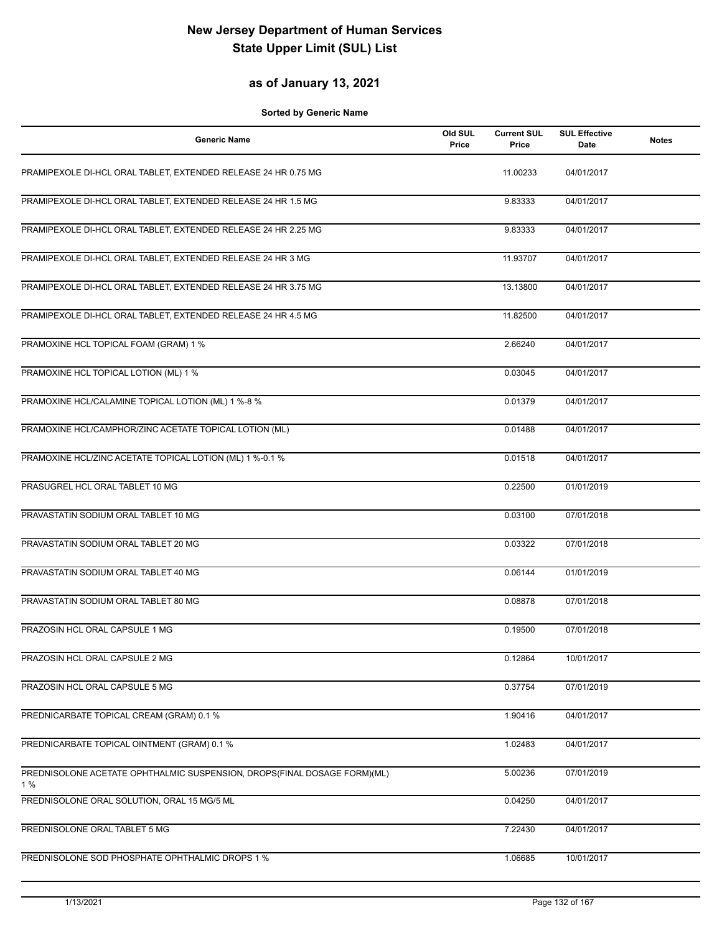#### **as of January 13, 2021**

| <b>Generic Name</b>                                                      | Old SUL<br>Price | <b>Current SUL</b><br>Price | <b>SUL Effective</b><br>Date | <b>Notes</b> |
|--------------------------------------------------------------------------|------------------|-----------------------------|------------------------------|--------------|
| PRAMIPEXOLE DI-HCL ORAL TABLET, EXTENDED RELEASE 24 HR 0.75 MG           |                  | 11.00233                    | 04/01/2017                   |              |
| PRAMIPEXOLE DI-HCL ORAL TABLET, EXTENDED RELEASE 24 HR 1.5 MG            |                  | 9.83333                     | 04/01/2017                   |              |
| PRAMIPEXOLE DI-HCL ORAL TABLET, EXTENDED RELEASE 24 HR 2.25 MG           |                  | 9.83333                     | 04/01/2017                   |              |
| PRAMIPEXOLE DI-HCL ORAL TABLET, EXTENDED RELEASE 24 HR 3 MG              |                  | 11.93707                    | 04/01/2017                   |              |
| PRAMIPEXOLE DI-HCL ORAL TABLET, EXTENDED RELEASE 24 HR 3.75 MG           |                  | 13.13800                    | 04/01/2017                   |              |
| PRAMIPEXOLE DI-HCL ORAL TABLET, EXTENDED RELEASE 24 HR 4.5 MG            |                  | 11.82500                    | 04/01/2017                   |              |
| PRAMOXINE HCL TOPICAL FOAM (GRAM) 1 %                                    |                  | 2.66240                     | 04/01/2017                   |              |
| PRAMOXINE HCL TOPICAL LOTION (ML) 1 %                                    |                  | 0.03045                     | 04/01/2017                   |              |
| PRAMOXINE HCL/CALAMINE TOPICAL LOTION (ML) 1 %-8 %                       |                  | 0.01379                     | 04/01/2017                   |              |
| PRAMOXINE HCL/CAMPHOR/ZINC ACETATE TOPICAL LOTION (ML)                   |                  | 0.01488                     | 04/01/2017                   |              |
| PRAMOXINE HCL/ZINC ACETATE TOPICAL LOTION (ML) 1 %-0.1 %                 |                  | 0.01518                     | 04/01/2017                   |              |
| PRASUGREL HCL ORAL TABLET 10 MG                                          |                  | 0.22500                     | 01/01/2019                   |              |
| PRAVASTATIN SODIUM ORAL TABLET 10 MG                                     |                  | 0.03100                     | 07/01/2018                   |              |
| PRAVASTATIN SODIUM ORAL TABLET 20 MG                                     |                  | 0.03322                     | 07/01/2018                   |              |
| PRAVASTATIN SODIUM ORAL TABLET 40 MG                                     |                  | 0.06144                     | 01/01/2019                   |              |
| PRAVASTATIN SODIUM ORAL TABLET 80 MG                                     |                  | 0.08878                     | 07/01/2018                   |              |
| PRAZOSIN HCL ORAL CAPSULE 1 MG                                           |                  | 0.19500                     | 07/01/2018                   |              |
| PRAZOSIN HCL ORAL CAPSULE 2 MG                                           |                  | 0.12864                     | 10/01/2017                   |              |
| PRAZOSIN HCL ORAL CAPSULE 5 MG                                           |                  | 0.37754                     | 07/01/2019                   |              |
| PREDNICARBATE TOPICAL CREAM (GRAM) 0.1 %                                 |                  | 1.90416                     | 04/01/2017                   |              |
| PREDNICARBATE TOPICAL OINTMENT (GRAM) 0.1 %                              |                  | 1.02483                     | 04/01/2017                   |              |
| PREDNISOLONE ACETATE OPHTHALMIC SUSPENSION, DROPS(FINAL DOSAGE FORM)(ML) |                  | 5.00236                     | 07/01/2019                   |              |
| 1 %<br>PREDNISOLONE ORAL SOLUTION, ORAL 15 MG/5 ML                       |                  | 0.04250                     | 04/01/2017                   |              |
| PREDNISOLONE ORAL TABLET 5 MG                                            |                  | 7.22430                     | 04/01/2017                   |              |
| PREDNISOLONE SOD PHOSPHATE OPHTHALMIC DROPS 1 %                          |                  | 1.06685                     | 10/01/2017                   |              |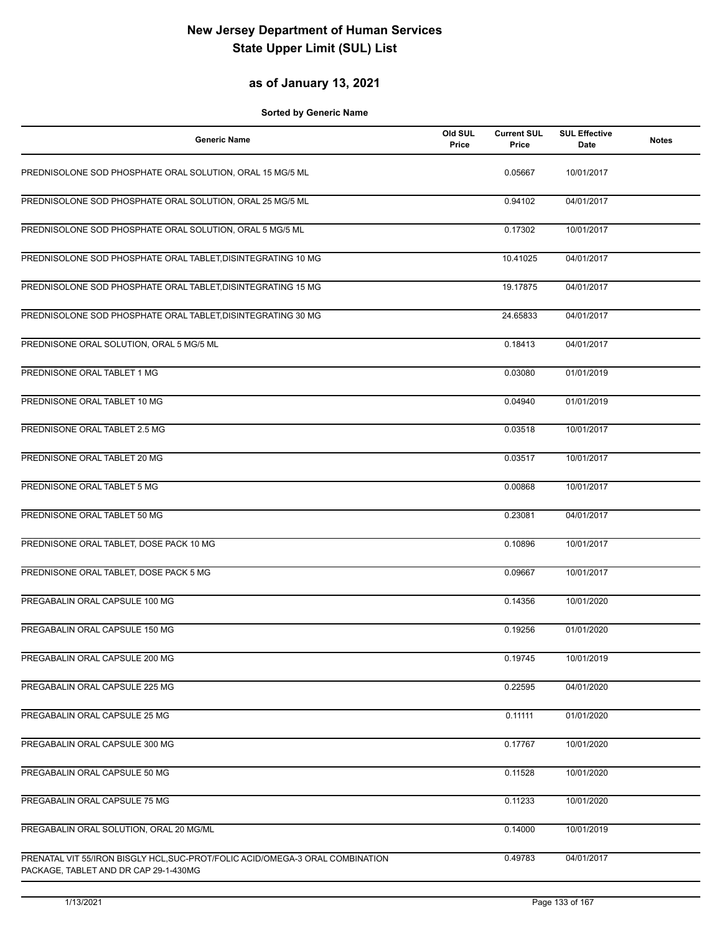#### **as of January 13, 2021**

| <b>Generic Name</b>                                                                                                    | Old SUL<br>Price | <b>Current SUL</b><br>Price | <b>SUL Effective</b><br>Date | <b>Notes</b> |
|------------------------------------------------------------------------------------------------------------------------|------------------|-----------------------------|------------------------------|--------------|
| PREDNISOLONE SOD PHOSPHATE ORAL SOLUTION, ORAL 15 MG/5 ML                                                              |                  | 0.05667                     | 10/01/2017                   |              |
| PREDNISOLONE SOD PHOSPHATE ORAL SOLUTION, ORAL 25 MG/5 ML                                                              |                  | 0.94102                     | 04/01/2017                   |              |
| PREDNISOLONE SOD PHOSPHATE ORAL SOLUTION, ORAL 5 MG/5 ML                                                               |                  | 0.17302                     | 10/01/2017                   |              |
| PREDNISOLONE SOD PHOSPHATE ORAL TABLET, DISINTEGRATING 10 MG                                                           |                  | 10.41025                    | 04/01/2017                   |              |
| PREDNISOLONE SOD PHOSPHATE ORAL TABLET, DISINTEGRATING 15 MG                                                           |                  | 19.17875                    | 04/01/2017                   |              |
| PREDNISOLONE SOD PHOSPHATE ORAL TABLET, DISINTEGRATING 30 MG                                                           |                  | 24.65833                    | 04/01/2017                   |              |
| PREDNISONE ORAL SOLUTION, ORAL 5 MG/5 ML                                                                               |                  | 0.18413                     | 04/01/2017                   |              |
| PREDNISONE ORAL TABLET 1 MG                                                                                            |                  | 0.03080                     | 01/01/2019                   |              |
| PREDNISONE ORAL TABLET 10 MG                                                                                           |                  | 0.04940                     | 01/01/2019                   |              |
| PREDNISONE ORAL TABLET 2.5 MG                                                                                          |                  | 0.03518                     | 10/01/2017                   |              |
| PREDNISONE ORAL TABLET 20 MG                                                                                           |                  | 0.03517                     | 10/01/2017                   |              |
| PREDNISONE ORAL TABLET 5 MG                                                                                            |                  | 0.00868                     | 10/01/2017                   |              |
| PREDNISONE ORAL TABLET 50 MG                                                                                           |                  | 0.23081                     | 04/01/2017                   |              |
| PREDNISONE ORAL TABLET, DOSE PACK 10 MG                                                                                |                  | 0.10896                     | 10/01/2017                   |              |
| PREDNISONE ORAL TABLET, DOSE PACK 5 MG                                                                                 |                  | 0.09667                     | 10/01/2017                   |              |
| PREGABALIN ORAL CAPSULE 100 MG                                                                                         |                  | 0.14356                     | 10/01/2020                   |              |
| PREGABALIN ORAL CAPSULE 150 MG                                                                                         |                  | 0.19256                     | 01/01/2020                   |              |
| PREGABALIN ORAL CAPSULE 200 MG                                                                                         |                  | 0.19745                     | 10/01/2019                   |              |
| PREGABALIN ORAL CAPSULE 225 MG                                                                                         |                  | 0.22595                     | 04/01/2020                   |              |
| PREGABALIN ORAL CAPSULE 25 MG                                                                                          |                  | 0.11111                     | 01/01/2020                   |              |
| PREGABALIN ORAL CAPSULE 300 MG                                                                                         |                  | 0.17767                     | 10/01/2020                   |              |
| PREGABALIN ORAL CAPSULE 50 MG                                                                                          |                  | 0.11528                     | 10/01/2020                   |              |
| PREGABALIN ORAL CAPSULE 75 MG                                                                                          |                  | 0.11233                     | 10/01/2020                   |              |
| PREGABALIN ORAL SOLUTION, ORAL 20 MG/ML                                                                                |                  | 0.14000                     | 10/01/2019                   |              |
| PRENATAL VIT 55/IRON BISGLY HCL, SUC-PROT/FOLIC ACID/OMEGA-3 ORAL COMBINATION<br>PACKAGE, TABLET AND DR CAP 29-1-430MG |                  | 0.49783                     | 04/01/2017                   |              |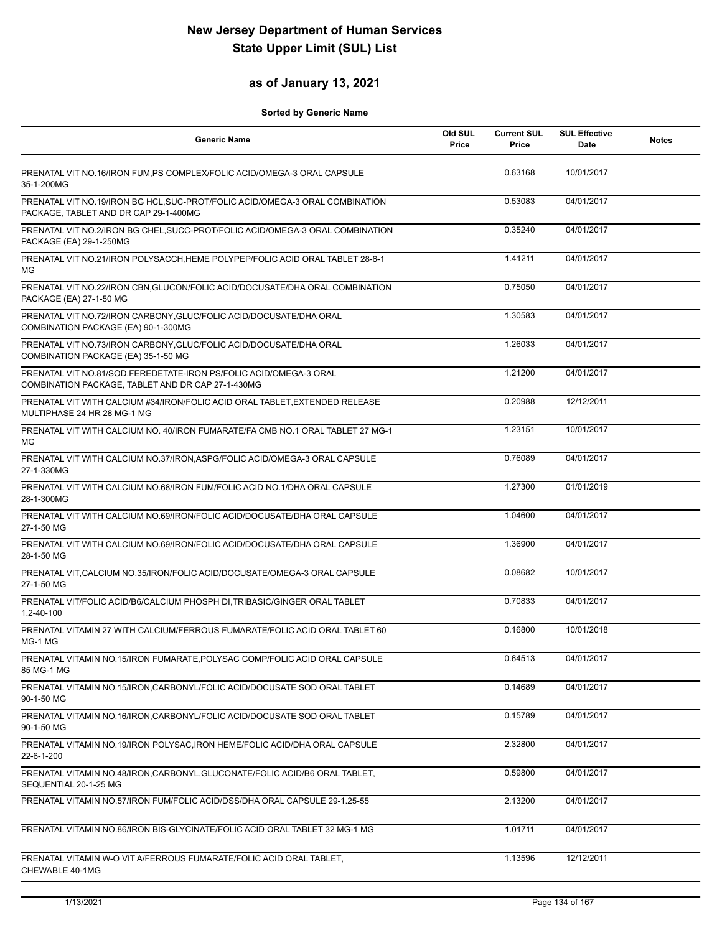## **as of January 13, 2021**

| <b>Generic Name</b>                                                                                                    | Old SUL<br>Price | <b>Current SUL</b><br>Price | <b>SUL Effective</b><br>Date | <b>Notes</b> |
|------------------------------------------------------------------------------------------------------------------------|------------------|-----------------------------|------------------------------|--------------|
| PRENATAL VIT NO.16/IRON FUM, PS COMPLEX/FOLIC ACID/OMEGA-3 ORAL CAPSULE<br>35-1-200MG                                  |                  | 0.63168                     | 10/01/2017                   |              |
| PRENATAL VIT NO.19/IRON BG HCL, SUC-PROT/FOLIC ACID/OMEGA-3 ORAL COMBINATION<br>PACKAGE, TABLET AND DR CAP 29-1-400MG  |                  | 0.53083                     | 04/01/2017                   |              |
| PRENATAL VIT NO.2/IRON BG CHEL, SUCC-PROT/FOLIC ACID/OMEGA-3 ORAL COMBINATION<br>PACKAGE (EA) 29-1-250MG               |                  | 0.35240                     | 04/01/2017                   |              |
| PRENATAL VIT NO.21/IRON POLYSACCH, HEME POLYPEP/FOLIC ACID ORAL TABLET 28-6-1<br>MG                                    |                  | 1.41211                     | 04/01/2017                   |              |
| PRENATAL VIT NO.22/IRON CBN, GLUCON/FOLIC ACID/DOCUSATE/DHA ORAL COMBINATION<br>PACKAGE (EA) 27-1-50 MG                |                  | 0.75050                     | 04/01/2017                   |              |
| PRENATAL VIT NO.72/IRON CARBONY, GLUC/FOLIC ACID/DOCUSATE/DHA ORAL<br>COMBINATION PACKAGE (EA) 90-1-300MG              |                  | 1.30583                     | 04/01/2017                   |              |
| PRENATAL VIT NO.73/IRON CARBONY, GLUC/FOLIC ACID/DOCUSATE/DHA ORAL<br>COMBINATION PACKAGE (EA) 35-1-50 MG              |                  | 1.26033                     | 04/01/2017                   |              |
| PRENATAL VIT NO.81/SOD.FEREDETATE-IRON PS/FOLIC ACID/OMEGA-3 ORAL<br>COMBINATION PACKAGE, TABLET AND DR CAP 27-1-430MG |                  | 1.21200                     | 04/01/2017                   |              |
| PRENATAL VIT WITH CALCIUM #34/IRON/FOLIC ACID ORAL TABLET, EXTENDED RELEASE<br>MULTIPHASE 24 HR 28 MG-1 MG             |                  | 0.20988                     | 12/12/2011                   |              |
| PRENATAL VIT WITH CALCIUM NO. 40/IRON FUMARATE/FA CMB NO.1 ORAL TABLET 27 MG-1<br>MG                                   |                  | 1.23151                     | 10/01/2017                   |              |
| PRENATAL VIT WITH CALCIUM NO.37/IRON, ASPG/FOLIC ACID/OMEGA-3 ORAL CAPSULE<br>27-1-330MG                               |                  | 0.76089                     | 04/01/2017                   |              |
| PRENATAL VIT WITH CALCIUM NO.68/IRON FUM/FOLIC ACID NO.1/DHA ORAL CAPSULE<br>28-1-300MG                                |                  | 1.27300                     | 01/01/2019                   |              |
| PRENATAL VIT WITH CALCIUM NO.69/IRON/FOLIC ACID/DOCUSATE/DHA ORAL CAPSULE<br>27-1-50 MG                                |                  | 1.04600                     | 04/01/2017                   |              |
| PRENATAL VIT WITH CALCIUM NO.69/IRON/FOLIC ACID/DOCUSATE/DHA ORAL CAPSULE<br>28-1-50 MG                                |                  | 1.36900                     | 04/01/2017                   |              |
| PRENATAL VIT, CALCIUM NO.35/IRON/FOLIC ACID/DOCUSATE/OMEGA-3 ORAL CAPSULE<br>27-1-50 MG                                |                  | 0.08682                     | 10/01/2017                   |              |
| PRENATAL VIT/FOLIC ACID/B6/CALCIUM PHOSPH DI, TRIBASIC/GINGER ORAL TABLET<br>1.2-40-100                                |                  | 0.70833                     | 04/01/2017                   |              |
| PRENATAL VITAMIN 27 WITH CALCIUM/FERROUS FUMARATE/FOLIC ACID ORAL TABLET 60<br>MG-1 MG                                 |                  | 0.16800                     | 10/01/2018                   |              |
| PRENATAL VITAMIN NO.15/IRON FUMARATE, POLYSAC COMP/FOLIC ACID ORAL CAPSULE<br>85 MG-1 MG                               |                  | 0.64513                     | 04/01/2017                   |              |
| PRENATAL VITAMIN NO.15/IRON, CARBONYL/FOLIC ACID/DOCUSATE SOD ORAL TABLET<br>90-1-50 MG                                |                  | 0.14689                     | 04/01/2017                   |              |
| PRENATAL VITAMIN NO.16/IRON, CARBONYL/FOLIC ACID/DOCUSATE SOD ORAL TABLET<br>90-1-50 MG                                |                  | 0.15789                     | 04/01/2017                   |              |
| PRENATAL VITAMIN NO.19/IRON POLYSAC, IRON HEME/FOLIC ACID/DHA ORAL CAPSULE<br>22-6-1-200                               |                  | 2.32800                     | 04/01/2017                   |              |
| PRENATAL VITAMIN NO.48/IRON, CARBONYL, GLUCONATE/FOLIC ACID/B6 ORAL TABLET,<br>SEQUENTIAL 20-1-25 MG                   |                  | 0.59800                     | 04/01/2017                   |              |
| PRENATAL VITAMIN NO.57/IRON FUM/FOLIC ACID/DSS/DHA ORAL CAPSULE 29-1.25-55                                             |                  | 2.13200                     | 04/01/2017                   |              |
| PRENATAL VITAMIN NO.86/IRON BIS-GLYCINATE/FOLIC ACID ORAL TABLET 32 MG-1 MG                                            |                  | 1.01711                     | 04/01/2017                   |              |
| PRENATAL VITAMIN W-O VIT A/FERROUS FUMARATE/FOLIC ACID ORAL TABLET,<br>CHEWABLE 40-1MG                                 |                  | 1.13596                     | 12/12/2011                   |              |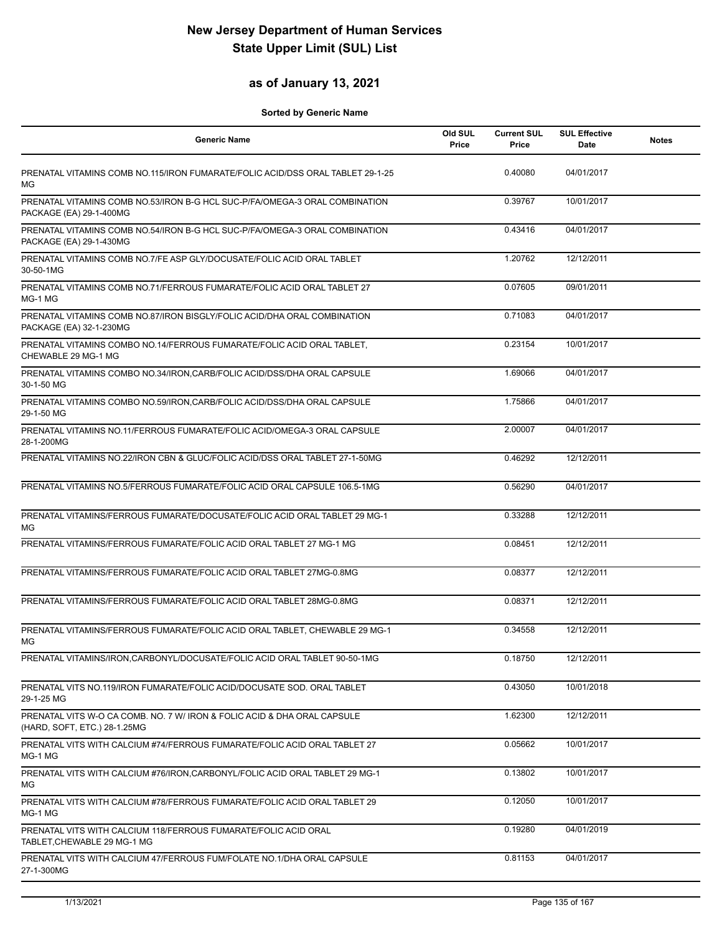## **as of January 13, 2021**

| <b>Generic Name</b>                                                                                      | Old SUL<br>Price | <b>Current SUL</b><br>Price | <b>SUL Effective</b><br>Date | <b>Notes</b> |
|----------------------------------------------------------------------------------------------------------|------------------|-----------------------------|------------------------------|--------------|
| PRENATAL VITAMINS COMB NO.115/IRON FUMARATE/FOLIC ACID/DSS ORAL TABLET 29-1-25<br>МG                     |                  | 0.40080                     | 04/01/2017                   |              |
| PRENATAL VITAMINS COMB NO.53/IRON B-G HCL SUC-P/FA/OMEGA-3 ORAL COMBINATION<br>PACKAGE (EA) 29-1-400MG   |                  | 0.39767                     | 10/01/2017                   |              |
| PRENATAL VITAMINS COMB NO.54/IRON B-G HCL SUC-P/FA/OMEGA-3 ORAL COMBINATION<br>PACKAGE (EA) 29-1-430MG   |                  | 0.43416                     | 04/01/2017                   |              |
| PRENATAL VITAMINS COMB NO.7/FE ASP GLY/DOCUSATE/FOLIC ACID ORAL TABLET<br>30-50-1MG                      |                  | 1.20762                     | 12/12/2011                   |              |
| PRENATAL VITAMINS COMB NO.71/FERROUS FUMARATE/FOLIC ACID ORAL TABLET 27<br>MG-1 MG                       |                  | 0.07605                     | 09/01/2011                   |              |
| PRENATAL VITAMINS COMB NO.87/IRON BISGLY/FOLIC ACID/DHA ORAL COMBINATION<br>PACKAGE (EA) 32-1-230MG      |                  | 0.71083                     | 04/01/2017                   |              |
| PRENATAL VITAMINS COMBO NO.14/FERROUS FUMARATE/FOLIC ACID ORAL TABLET,<br>CHEWABLE 29 MG-1 MG            |                  | 0.23154                     | 10/01/2017                   |              |
| PRENATAL VITAMINS COMBO NO.34/IRON, CARB/FOLIC ACID/DSS/DHA ORAL CAPSULE<br>30-1-50 MG                   |                  | 1.69066                     | 04/01/2017                   |              |
| PRENATAL VITAMINS COMBO NO.59/IRON, CARB/FOLIC ACID/DSS/DHA ORAL CAPSULE<br>29-1-50 MG                   |                  | 1.75866                     | 04/01/2017                   |              |
| PRENATAL VITAMINS NO.11/FERROUS FUMARATE/FOLIC ACID/OMEGA-3 ORAL CAPSULE<br>28-1-200MG                   |                  | 2.00007                     | 04/01/2017                   |              |
| PRENATAL VITAMINS NO.22/IRON CBN & GLUC/FOLIC ACID/DSS ORAL TABLET 27-1-50MG                             |                  | 0.46292                     | 12/12/2011                   |              |
| PRENATAL VITAMINS NO.5/FERROUS FUMARATE/FOLIC ACID ORAL CAPSULE 106.5-1MG                                |                  | 0.56290                     | 04/01/2017                   |              |
| PRENATAL VITAMINS/FERROUS FUMARATE/DOCUSATE/FOLIC ACID ORAL TABLET 29 MG-1<br>ΜG                         |                  | 0.33288                     | 12/12/2011                   |              |
| PRENATAL VITAMINS/FERROUS FUMARATE/FOLIC ACID ORAL TABLET 27 MG-1 MG                                     |                  | 0.08451                     | 12/12/2011                   |              |
| PRENATAL VITAMINS/FERROUS FUMARATE/FOLIC ACID ORAL TABLET 27MG-0.8MG                                     |                  | 0.08377                     | 12/12/2011                   |              |
| PRENATAL VITAMINS/FERROUS FUMARATE/FOLIC ACID ORAL TABLET 28MG-0.8MG                                     |                  | 0.08371                     | 12/12/2011                   |              |
| PRENATAL VITAMINS/FERROUS FUMARATE/FOLIC ACID ORAL TABLET, CHEWABLE 29 MG-1<br>MG                        |                  | 0.34558                     | 12/12/2011                   |              |
| PRENATAL VITAMINS/IRON, CARBONYL/DOCUSATE/FOLIC ACID ORAL TABLET 90-50-1MG                               |                  | 0.18750                     | 12/12/2011                   |              |
| PRENATAL VITS NO.119/IRON FUMARATE/FOLIC ACID/DOCUSATE SOD, ORAL TABLET<br>29-1-25 MG                    |                  | 0.43050                     | 10/01/2018                   |              |
| PRENATAL VITS W-O CA COMB. NO. 7 W/ IRON & FOLIC ACID & DHA ORAL CAPSULE<br>(HARD, SOFT, ETC.) 28-1.25MG |                  | 1.62300                     | 12/12/2011                   |              |
| PRENATAL VITS WITH CALCIUM #74/FERROUS FUMARATE/FOLIC ACID ORAL TABLET 27<br>MG-1 MG                     |                  | 0.05662                     | 10/01/2017                   |              |
| PRENATAL VITS WITH CALCIUM #76/IRON.CARBONYL/FOLIC ACID ORAL TABLET 29 MG-1<br>МG                        |                  | 0.13802                     | 10/01/2017                   |              |
| PRENATAL VITS WITH CALCIUM #78/FERROUS FUMARATE/FOLIC ACID ORAL TABLET 29<br>MG-1 MG                     |                  | 0.12050                     | 10/01/2017                   |              |
| PRENATAL VITS WITH CALCIUM 118/FERROUS FUMARATE/FOLIC ACID ORAL<br>TABLET, CHEWABLE 29 MG-1 MG           |                  | 0.19280                     | 04/01/2019                   |              |
| PRENATAL VITS WITH CALCIUM 47/FERROUS FUM/FOLATE NO.1/DHA ORAL CAPSULE<br>27-1-300MG                     |                  | 0.81153                     | 04/01/2017                   |              |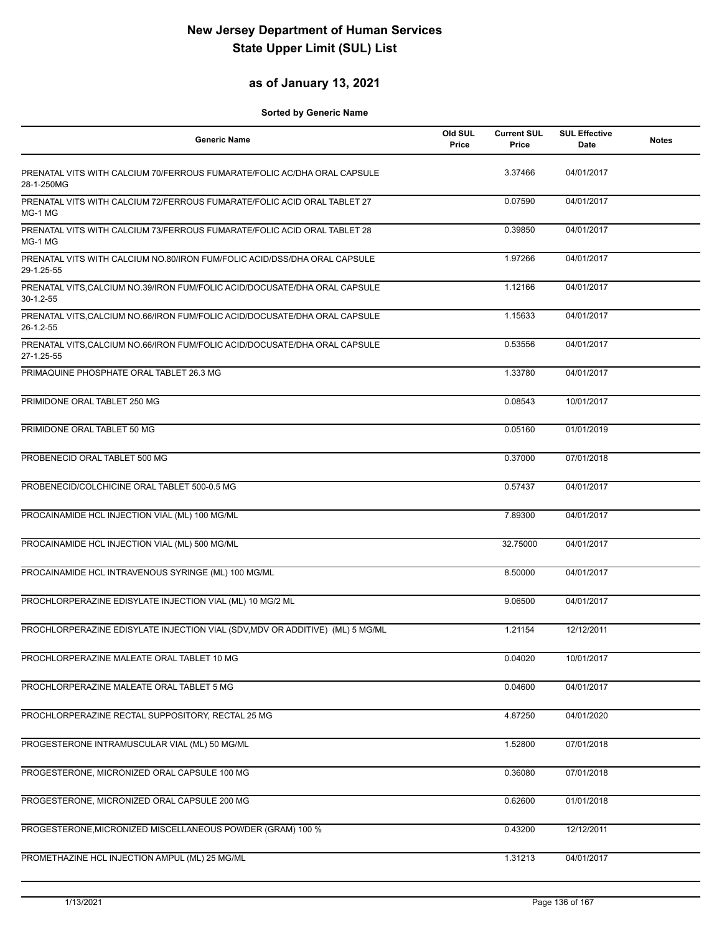## **as of January 13, 2021**

| <b>Generic Name</b>                                                                       | Old SUL<br>Price | <b>Current SUL</b><br>Price | <b>SUL Effective</b><br>Date | <b>Notes</b> |
|-------------------------------------------------------------------------------------------|------------------|-----------------------------|------------------------------|--------------|
| PRENATAL VITS WITH CALCIUM 70/FERROUS FUMARATE/FOLIC AC/DHA ORAL CAPSULE<br>28-1-250MG    |                  | 3.37466                     | 04/01/2017                   |              |
| PRENATAL VITS WITH CALCIUM 72/FERROUS FUMARATE/FOLIC ACID ORAL TABLET 27<br>MG-1 MG       |                  | 0.07590                     | 04/01/2017                   |              |
| PRENATAL VITS WITH CALCIUM 73/FERROUS FUMARATE/FOLIC ACID ORAL TABLET 28<br>MG-1 MG       |                  | 0.39850                     | 04/01/2017                   |              |
| PRENATAL VITS WITH CALCIUM NO.80/IRON FUM/FOLIC ACID/DSS/DHA ORAL CAPSULE<br>29-1.25-55   |                  | 1.97266                     | 04/01/2017                   |              |
| PRENATAL VITS, CALCIUM NO.39/IRON FUM/FOLIC ACID/DOCUSATE/DHA ORAL CAPSULE<br>$30-1.2-55$ |                  | 1.12166                     | 04/01/2017                   |              |
| PRENATAL VITS, CALCIUM NO.66/IRON FUM/FOLIC ACID/DOCUSATE/DHA ORAL CAPSULE<br>26-1.2-55   |                  | 1.15633                     | 04/01/2017                   |              |
| PRENATAL VITS, CALCIUM NO.66/IRON FUM/FOLIC ACID/DOCUSATE/DHA ORAL CAPSULE<br>27-1.25-55  |                  | 0.53556                     | 04/01/2017                   |              |
| PRIMAQUINE PHOSPHATE ORAL TABLET 26.3 MG                                                  |                  | 1.33780                     | 04/01/2017                   |              |
| PRIMIDONE ORAL TABLET 250 MG                                                              |                  | 0.08543                     | 10/01/2017                   |              |
| PRIMIDONE ORAL TABLET 50 MG                                                               |                  | 0.05160                     | 01/01/2019                   |              |
| PROBENECID ORAL TABLET 500 MG                                                             |                  | 0.37000                     | 07/01/2018                   |              |
| PROBENECID/COLCHICINE ORAL TABLET 500-0.5 MG                                              |                  | 0.57437                     | 04/01/2017                   |              |
| PROCAINAMIDE HCL INJECTION VIAL (ML) 100 MG/ML                                            |                  | 7.89300                     | 04/01/2017                   |              |
| PROCAINAMIDE HCL INJECTION VIAL (ML) 500 MG/ML                                            |                  | 32.75000                    | 04/01/2017                   |              |
| PROCAINAMIDE HCL INTRAVENOUS SYRINGE (ML) 100 MG/ML                                       |                  | 8.50000                     | 04/01/2017                   |              |
| PROCHLORPERAZINE EDISYLATE INJECTION VIAL (ML) 10 MG/2 ML                                 |                  | 9.06500                     | 04/01/2017                   |              |
| PROCHLORPERAZINE EDISYLATE INJECTION VIAL (SDV, MDV OR ADDITIVE) (ML) 5 MG/ML             |                  | 1.21154                     | 12/12/2011                   |              |
| PROCHLORPERAZINE MALEATE ORAL TABLET 10 MG                                                |                  | 0.04020                     | 10/01/2017                   |              |
| PROCHLORPERAZINE MALEATE ORAL TABLET 5 MG                                                 |                  | 0.04600                     | 04/01/2017                   |              |
| PROCHLORPERAZINE RECTAL SUPPOSITORY, RECTAL 25 MG                                         |                  | 4.87250                     | 04/01/2020                   |              |
| PROGESTERONE INTRAMUSCULAR VIAL (ML) 50 MG/ML                                             |                  | 1.52800                     | 07/01/2018                   |              |
| PROGESTERONE, MICRONIZED ORAL CAPSULE 100 MG                                              |                  | 0.36080                     | 07/01/2018                   |              |
| PROGESTERONE, MICRONIZED ORAL CAPSULE 200 MG                                              |                  | 0.62600                     | 01/01/2018                   |              |
| PROGESTERONE, MICRONIZED MISCELLANEOUS POWDER (GRAM) 100 %                                |                  | 0.43200                     | 12/12/2011                   |              |
| PROMETHAZINE HCL INJECTION AMPUL (ML) 25 MG/ML                                            |                  | 1.31213                     | 04/01/2017                   |              |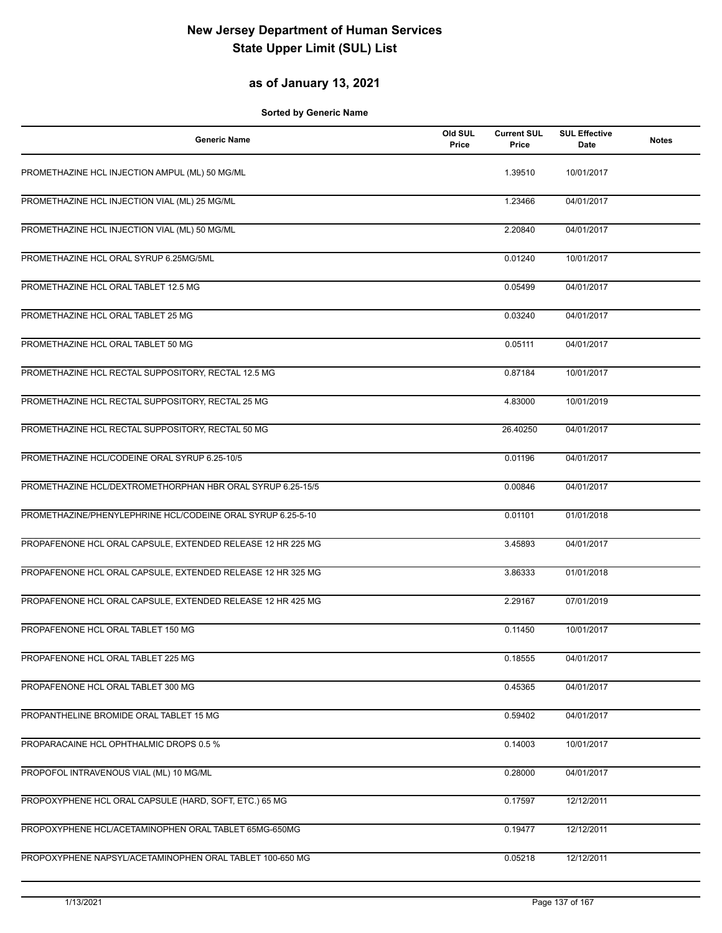## **as of January 13, 2021**

| <b>Generic Name</b>                                         | Old SUL<br>Price | <b>Current SUL</b><br>Price | <b>SUL Effective</b><br>Date | <b>Notes</b> |
|-------------------------------------------------------------|------------------|-----------------------------|------------------------------|--------------|
| PROMETHAZINE HCL INJECTION AMPUL (ML) 50 MG/ML              |                  | 1.39510                     | 10/01/2017                   |              |
| PROMETHAZINE HCL INJECTION VIAL (ML) 25 MG/ML               |                  | 1.23466                     | 04/01/2017                   |              |
| PROMETHAZINE HCL INJECTION VIAL (ML) 50 MG/ML               |                  | 2.20840                     | 04/01/2017                   |              |
| PROMETHAZINE HCL ORAL SYRUP 6.25MG/5ML                      |                  | 0.01240                     | 10/01/2017                   |              |
| PROMETHAZINE HCL ORAL TABLET 12.5 MG                        |                  | 0.05499                     | 04/01/2017                   |              |
| PROMETHAZINE HCL ORAL TABLET 25 MG                          |                  | 0.03240                     | 04/01/2017                   |              |
| PROMETHAZINE HCL ORAL TABLET 50 MG                          |                  | 0.05111                     | 04/01/2017                   |              |
| PROMETHAZINE HCL RECTAL SUPPOSITORY, RECTAL 12.5 MG         |                  | 0.87184                     | 10/01/2017                   |              |
| PROMETHAZINE HCL RECTAL SUPPOSITORY, RECTAL 25 MG           |                  | 4.83000                     | 10/01/2019                   |              |
| PROMETHAZINE HCL RECTAL SUPPOSITORY, RECTAL 50 MG           |                  | 26.40250                    | 04/01/2017                   |              |
| PROMETHAZINE HCL/CODEINE ORAL SYRUP 6.25-10/5               |                  | 0.01196                     | 04/01/2017                   |              |
| PROMETHAZINE HCL/DEXTROMETHORPHAN HBR ORAL SYRUP 6.25-15/5  |                  | 0.00846                     | 04/01/2017                   |              |
| PROMETHAZINE/PHENYLEPHRINE HCL/CODEINE ORAL SYRUP 6.25-5-10 |                  | 0.01101                     | 01/01/2018                   |              |
| PROPAFENONE HCL ORAL CAPSULE, EXTENDED RELEASE 12 HR 225 MG |                  | 3.45893                     | 04/01/2017                   |              |
| PROPAFENONE HCL ORAL CAPSULE, EXTENDED RELEASE 12 HR 325 MG |                  | 3.86333                     | 01/01/2018                   |              |
| PROPAFENONE HCL ORAL CAPSULE, EXTENDED RELEASE 12 HR 425 MG |                  | 2.29167                     | 07/01/2019                   |              |
| PROPAFENONE HCL ORAL TABLET 150 MG                          |                  | 0.11450                     | 10/01/2017                   |              |
| PROPAFENONE HCL ORAL TABLET 225 MG                          |                  | 0.18555                     | 04/01/2017                   |              |
| PROPAFENONE HCL ORAL TABLET 300 MG                          |                  | 0.45365                     | 04/01/2017                   |              |
| PROPANTHELINE BROMIDE ORAL TABLET 15 MG                     |                  | 0.59402                     | 04/01/2017                   |              |
| PROPARACAINE HCL OPHTHALMIC DROPS 0.5 %                     |                  | 0.14003                     | 10/01/2017                   |              |
| PROPOFOL INTRAVENOUS VIAL (ML) 10 MG/ML                     |                  | 0.28000                     | 04/01/2017                   |              |
| PROPOXYPHENE HCL ORAL CAPSULE (HARD, SOFT, ETC.) 65 MG      |                  | 0.17597                     | 12/12/2011                   |              |
| PROPOXYPHENE HCL/ACETAMINOPHEN ORAL TABLET 65MG-650MG       |                  | 0.19477                     | 12/12/2011                   |              |
| PROPOXYPHENE NAPSYL/ACETAMINOPHEN ORAL TABLET 100-650 MG    |                  | 0.05218                     | 12/12/2011                   |              |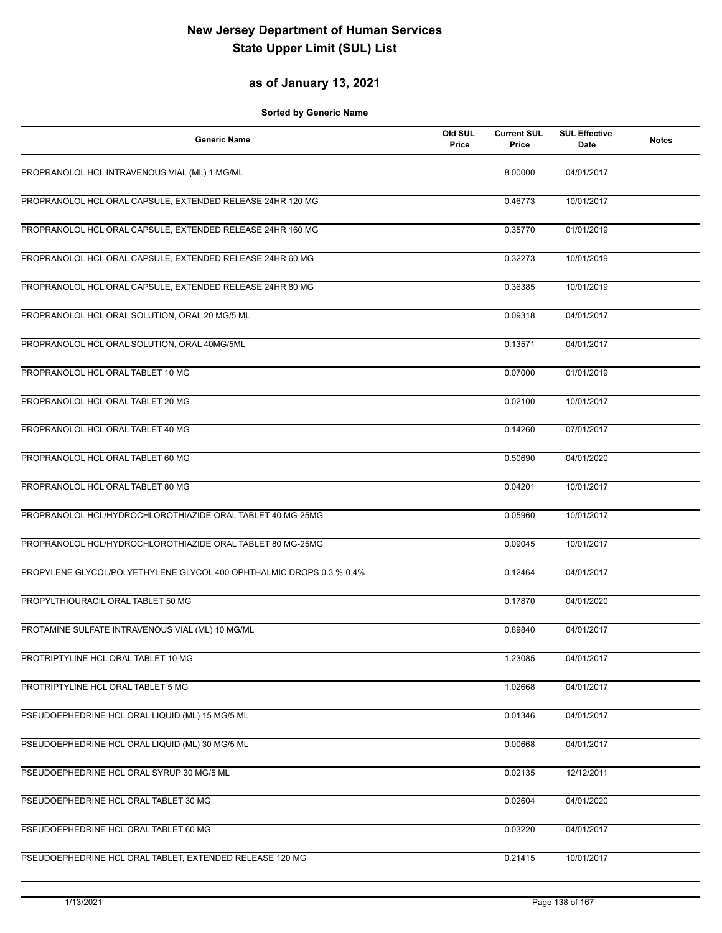### **as of January 13, 2021**

| <b>Generic Name</b>                                                  | Old SUL<br>Price | <b>Current SUL</b><br>Price | <b>SUL Effective</b><br>Date | <b>Notes</b> |
|----------------------------------------------------------------------|------------------|-----------------------------|------------------------------|--------------|
| PROPRANOLOL HCL INTRAVENOUS VIAL (ML) 1 MG/ML                        |                  | 8.00000                     | 04/01/2017                   |              |
| PROPRANOLOL HCL ORAL CAPSULE, EXTENDED RELEASE 24HR 120 MG           |                  | 0.46773                     | 10/01/2017                   |              |
| PROPRANOLOL HCL ORAL CAPSULE, EXTENDED RELEASE 24HR 160 MG           |                  | 0.35770                     | 01/01/2019                   |              |
| PROPRANOLOL HCL ORAL CAPSULE, EXTENDED RELEASE 24HR 60 MG            |                  | 0.32273                     | 10/01/2019                   |              |
| PROPRANOLOL HCL ORAL CAPSULE, EXTENDED RELEASE 24HR 80 MG            |                  | 0.36385                     | 10/01/2019                   |              |
| PROPRANOLOL HCL ORAL SOLUTION, ORAL 20 MG/5 ML                       |                  | 0.09318                     | 04/01/2017                   |              |
| PROPRANOLOL HCL ORAL SOLUTION, ORAL 40MG/5ML                         |                  | 0.13571                     | 04/01/2017                   |              |
| PROPRANOLOL HCL ORAL TABLET 10 MG                                    |                  | 0.07000                     | 01/01/2019                   |              |
| PROPRANOLOL HCL ORAL TABLET 20 MG                                    |                  | 0.02100                     | 10/01/2017                   |              |
| PROPRANOLOL HCL ORAL TABLET 40 MG                                    |                  | 0.14260                     | 07/01/2017                   |              |
| PROPRANOLOL HCL ORAL TABLET 60 MG                                    |                  | 0.50690                     | 04/01/2020                   |              |
| PROPRANOLOL HCL ORAL TABLET 80 MG                                    |                  | 0.04201                     | 10/01/2017                   |              |
| PROPRANOLOL HCL/HYDROCHLOROTHIAZIDE ORAL TABLET 40 MG-25MG           |                  | 0.05960                     | 10/01/2017                   |              |
| PROPRANOLOL HCL/HYDROCHLOROTHIAZIDE ORAL TABLET 80 MG-25MG           |                  | 0.09045                     | 10/01/2017                   |              |
| PROPYLENE GLYCOL/POLYETHYLENE GLYCOL 400 OPHTHALMIC DROPS 0.3 %-0.4% |                  | 0.12464                     | 04/01/2017                   |              |
| PROPYLTHIOURACIL ORAL TABLET 50 MG                                   |                  | 0.17870                     | 04/01/2020                   |              |
| PROTAMINE SULFATE INTRAVENOUS VIAL (ML) 10 MG/ML                     |                  | 0.89840                     | 04/01/2017                   |              |
| PROTRIPTYLINE HCL ORAL TABLET 10 MG                                  |                  | 1.23085                     | 04/01/2017                   |              |
| PROTRIPTYLINE HCL ORAL TABLET 5 MG                                   |                  | 1.02668                     | 04/01/2017                   |              |
| PSEUDOEPHEDRINE HCL ORAL LIQUID (ML) 15 MG/5 ML                      |                  | 0.01346                     | 04/01/2017                   |              |
| PSEUDOEPHEDRINE HCL ORAL LIQUID (ML) 30 MG/5 ML                      |                  | 0.00668                     | 04/01/2017                   |              |
| PSEUDOEPHEDRINE HCL ORAL SYRUP 30 MG/5 ML                            |                  | 0.02135                     | 12/12/2011                   |              |
| PSEUDOEPHEDRINE HCL ORAL TABLET 30 MG                                |                  | 0.02604                     | 04/01/2020                   |              |
| PSEUDOEPHEDRINE HCL ORAL TABLET 60 MG                                |                  | 0.03220                     | 04/01/2017                   |              |
| PSEUDOEPHEDRINE HCL ORAL TABLET, EXTENDED RELEASE 120 MG             |                  | 0.21415                     | 10/01/2017                   |              |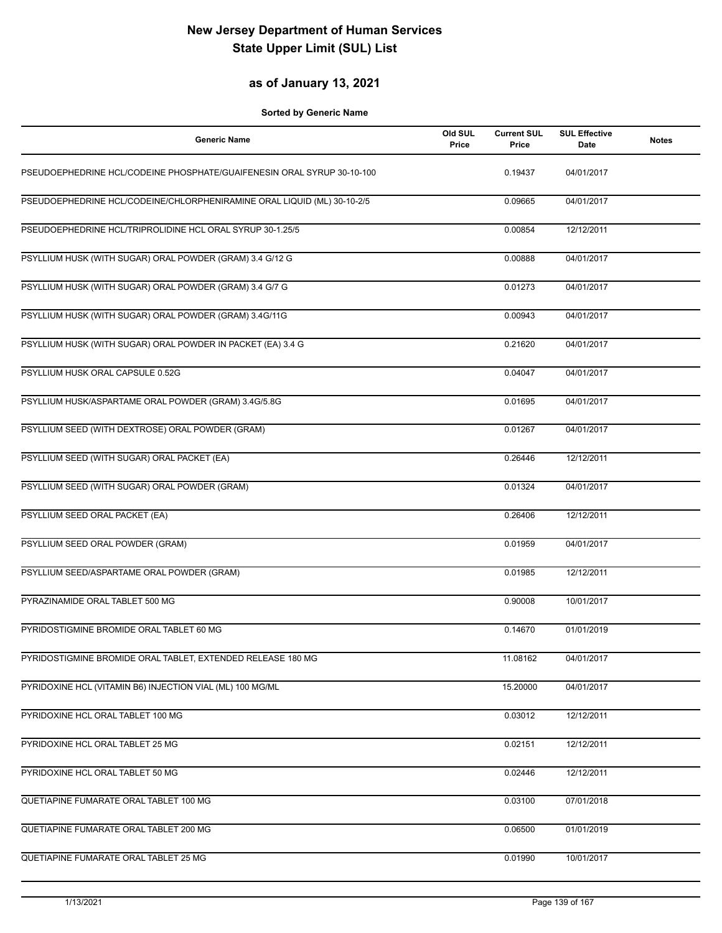## **as of January 13, 2021**

| <b>Generic Name</b>                                                     | Old SUL<br>Price | <b>Current SUL</b><br>Price | <b>SUL Effective</b><br><b>Date</b> | <b>Notes</b> |
|-------------------------------------------------------------------------|------------------|-----------------------------|-------------------------------------|--------------|
| PSEUDOEPHEDRINE HCL/CODEINE PHOSPHATE/GUAIFENESIN ORAL SYRUP 30-10-100  |                  | 0.19437                     | 04/01/2017                          |              |
| PSEUDOEPHEDRINE HCL/CODEINE/CHLORPHENIRAMINE ORAL LIQUID (ML) 30-10-2/5 |                  | 0.09665                     | 04/01/2017                          |              |
| PSEUDOEPHEDRINE HCL/TRIPROLIDINE HCL ORAL SYRUP 30-1.25/5               |                  | 0.00854                     | 12/12/2011                          |              |
| PSYLLIUM HUSK (WITH SUGAR) ORAL POWDER (GRAM) 3.4 G/12 G                |                  | 0.00888                     | 04/01/2017                          |              |
| PSYLLIUM HUSK (WITH SUGAR) ORAL POWDER (GRAM) 3.4 G/7 G                 |                  | 0.01273                     | 04/01/2017                          |              |
| PSYLLIUM HUSK (WITH SUGAR) ORAL POWDER (GRAM) 3.4G/11G                  |                  | 0.00943                     | 04/01/2017                          |              |
| PSYLLIUM HUSK (WITH SUGAR) ORAL POWDER IN PACKET (EA) 3.4 G             |                  | 0.21620                     | 04/01/2017                          |              |
| PSYLLIUM HUSK ORAL CAPSULE 0.52G                                        |                  | 0.04047                     | 04/01/2017                          |              |
| PSYLLIUM HUSK/ASPARTAME ORAL POWDER (GRAM) 3.4G/5.8G                    |                  | 0.01695                     | 04/01/2017                          |              |
| PSYLLIUM SEED (WITH DEXTROSE) ORAL POWDER (GRAM)                        |                  | 0.01267                     | 04/01/2017                          |              |
| PSYLLIUM SEED (WITH SUGAR) ORAL PACKET (EA)                             |                  | 0.26446                     | 12/12/2011                          |              |
| PSYLLIUM SEED (WITH SUGAR) ORAL POWDER (GRAM)                           |                  | 0.01324                     | 04/01/2017                          |              |
| PSYLLIUM SEED ORAL PACKET (EA)                                          |                  | 0.26406                     | 12/12/2011                          |              |
| PSYLLIUM SEED ORAL POWDER (GRAM)                                        |                  | 0.01959                     | 04/01/2017                          |              |
| PSYLLIUM SEED/ASPARTAME ORAL POWDER (GRAM)                              |                  | 0.01985                     | 12/12/2011                          |              |
| PYRAZINAMIDE ORAL TABLET 500 MG                                         |                  | 0.90008                     | 10/01/2017                          |              |
| PYRIDOSTIGMINE BROMIDE ORAL TABLET 60 MG                                |                  | 0.14670                     | 01/01/2019                          |              |
| PYRIDOSTIGMINE BROMIDE ORAL TABLET, EXTENDED RELEASE 180 MG             |                  | 11.08162                    | 04/01/2017                          |              |
| PYRIDOXINE HCL (VITAMIN B6) INJECTION VIAL (ML) 100 MG/ML               |                  | 15.20000                    | 04/01/2017                          |              |
| PYRIDOXINE HCL ORAL TABLET 100 MG                                       |                  | 0.03012                     | 12/12/2011                          |              |
| PYRIDOXINE HCL ORAL TABLET 25 MG                                        |                  | 0.02151                     | 12/12/2011                          |              |
| PYRIDOXINE HCL ORAL TABLET 50 MG                                        |                  | 0.02446                     | 12/12/2011                          |              |
| QUETIAPINE FUMARATE ORAL TABLET 100 MG                                  |                  | 0.03100                     | 07/01/2018                          |              |
| QUETIAPINE FUMARATE ORAL TABLET 200 MG                                  |                  | 0.06500                     | 01/01/2019                          |              |
| QUETIAPINE FUMARATE ORAL TABLET 25 MG                                   |                  | 0.01990                     | 10/01/2017                          |              |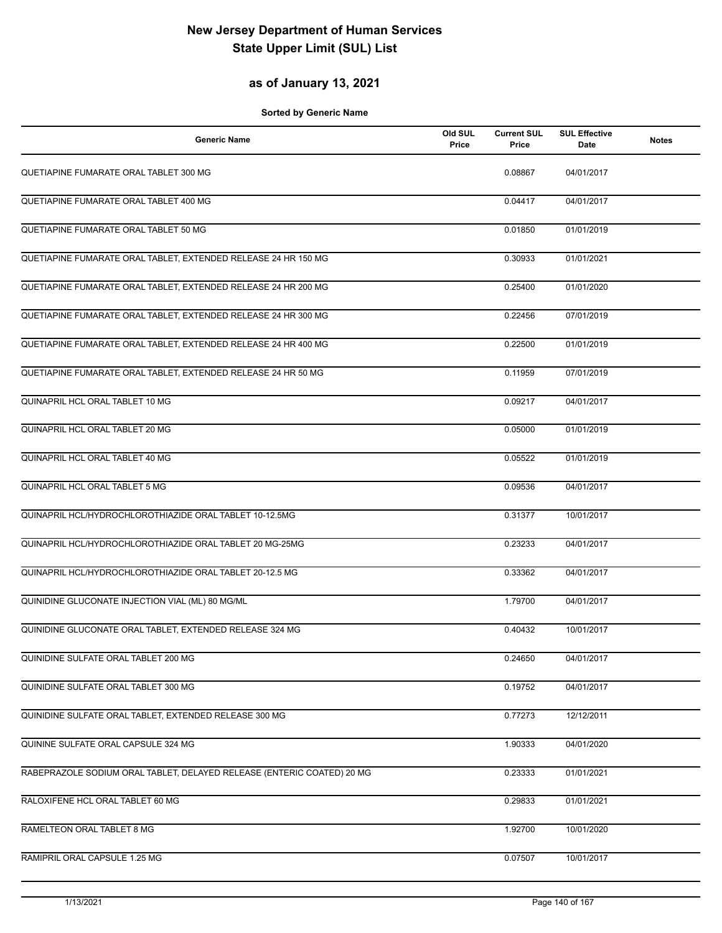## **as of January 13, 2021**

| <b>Generic Name</b>                                                    | Old SUL<br>Price | <b>Current SUL</b><br>Price | <b>SUL Effective</b><br>Date | <b>Notes</b> |
|------------------------------------------------------------------------|------------------|-----------------------------|------------------------------|--------------|
| QUETIAPINE FUMARATE ORAL TABLET 300 MG                                 |                  | 0.08867                     | 04/01/2017                   |              |
| QUETIAPINE FUMARATE ORAL TABLET 400 MG                                 |                  | 0.04417                     | 04/01/2017                   |              |
| QUETIAPINE FUMARATE ORAL TABLET 50 MG                                  |                  | 0.01850                     | 01/01/2019                   |              |
| QUETIAPINE FUMARATE ORAL TABLET, EXTENDED RELEASE 24 HR 150 MG         |                  | 0.30933                     | 01/01/2021                   |              |
| QUETIAPINE FUMARATE ORAL TABLET, EXTENDED RELEASE 24 HR 200 MG         |                  | 0.25400                     | 01/01/2020                   |              |
| QUETIAPINE FUMARATE ORAL TABLET, EXTENDED RELEASE 24 HR 300 MG         |                  | 0.22456                     | 07/01/2019                   |              |
| QUETIAPINE FUMARATE ORAL TABLET, EXTENDED RELEASE 24 HR 400 MG         |                  | 0.22500                     | 01/01/2019                   |              |
| QUETIAPINE FUMARATE ORAL TABLET, EXTENDED RELEASE 24 HR 50 MG          |                  | 0.11959                     | 07/01/2019                   |              |
| QUINAPRIL HCL ORAL TABLET 10 MG                                        |                  | 0.09217                     | 04/01/2017                   |              |
| QUINAPRIL HCL ORAL TABLET 20 MG                                        |                  | 0.05000                     | 01/01/2019                   |              |
| QUINAPRIL HCL ORAL TABLET 40 MG                                        |                  | 0.05522                     | 01/01/2019                   |              |
| QUINAPRIL HCL ORAL TABLET 5 MG                                         |                  | 0.09536                     | 04/01/2017                   |              |
| QUINAPRIL HCL/HYDROCHLOROTHIAZIDE ORAL TABLET 10-12.5MG                |                  | 0.31377                     | 10/01/2017                   |              |
| QUINAPRIL HCL/HYDROCHLOROTHIAZIDE ORAL TABLET 20 MG-25MG               |                  | 0.23233                     | 04/01/2017                   |              |
| QUINAPRIL HCL/HYDROCHLOROTHIAZIDE ORAL TABLET 20-12.5 MG               |                  | 0.33362                     | 04/01/2017                   |              |
| QUINIDINE GLUCONATE INJECTION VIAL (ML) 80 MG/ML                       |                  | 1.79700                     | 04/01/2017                   |              |
| QUINIDINE GLUCONATE ORAL TABLET, EXTENDED RELEASE 324 MG               |                  | 0.40432                     | 10/01/2017                   |              |
| QUINIDINE SULFATE ORAL TABLET 200 MG                                   |                  | 0.24650                     | 04/01/2017                   |              |
| QUINIDINE SULFATE ORAL TABLET 300 MG                                   |                  | 0.19752                     | 04/01/2017                   |              |
| QUINIDINE SULFATE ORAL TABLET, EXTENDED RELEASE 300 MG                 |                  | 0.77273                     | 12/12/2011                   |              |
| QUININE SULFATE ORAL CAPSULE 324 MG                                    |                  | 1.90333                     | 04/01/2020                   |              |
| RABEPRAZOLE SODIUM ORAL TABLET, DELAYED RELEASE (ENTERIC COATED) 20 MG |                  | 0.23333                     | 01/01/2021                   |              |
| RALOXIFENE HCL ORAL TABLET 60 MG                                       |                  | 0.29833                     | 01/01/2021                   |              |
| RAMELTEON ORAL TABLET 8 MG                                             |                  | 1.92700                     | 10/01/2020                   |              |
| RAMIPRIL ORAL CAPSULE 1.25 MG                                          |                  | 0.07507                     | 10/01/2017                   |              |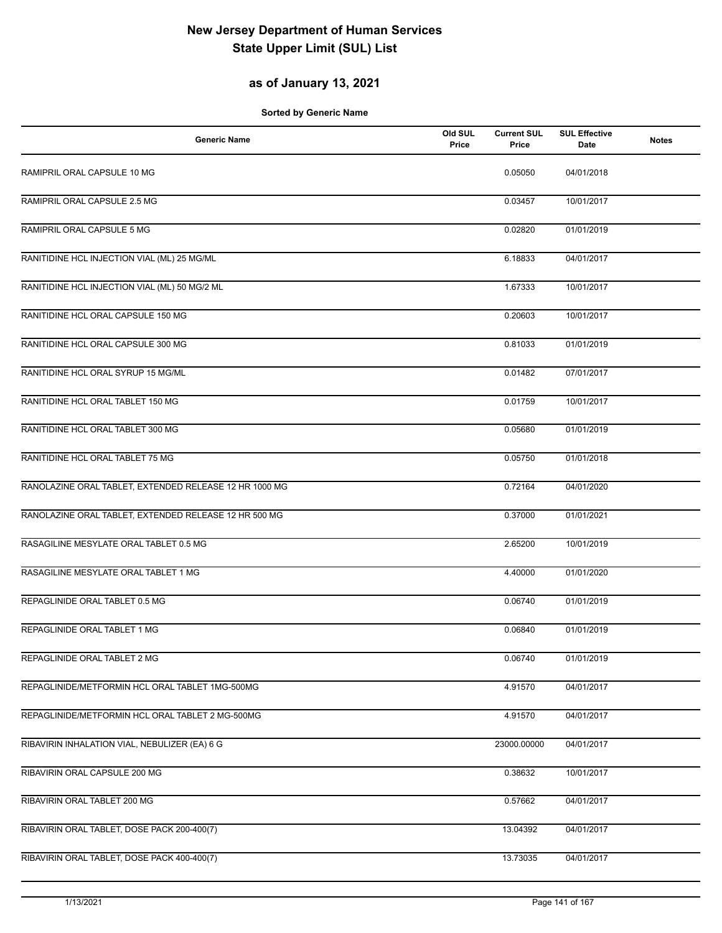## **as of January 13, 2021**

| <b>Generic Name</b>                                    | Old SUL<br>Price | <b>Current SUL</b><br>Price | <b>SUL Effective</b><br>Date | <b>Notes</b> |
|--------------------------------------------------------|------------------|-----------------------------|------------------------------|--------------|
| RAMIPRIL ORAL CAPSULE 10 MG                            |                  | 0.05050                     | 04/01/2018                   |              |
| RAMIPRIL ORAL CAPSULE 2.5 MG                           |                  | 0.03457                     | 10/01/2017                   |              |
| RAMIPRIL ORAL CAPSULE 5 MG                             |                  | 0.02820                     | 01/01/2019                   |              |
| RANITIDINE HCL INJECTION VIAL (ML) 25 MG/ML            |                  | 6.18833                     | 04/01/2017                   |              |
| RANITIDINE HCL INJECTION VIAL (ML) 50 MG/2 ML          |                  | 1.67333                     | 10/01/2017                   |              |
| RANITIDINE HCL ORAL CAPSULE 150 MG                     |                  | 0.20603                     | 10/01/2017                   |              |
| RANITIDINE HCL ORAL CAPSULE 300 MG                     |                  | 0.81033                     | 01/01/2019                   |              |
| RANITIDINE HCL ORAL SYRUP 15 MG/ML                     |                  | 0.01482                     | 07/01/2017                   |              |
| RANITIDINE HCL ORAL TABLET 150 MG                      |                  | 0.01759                     | 10/01/2017                   |              |
| RANITIDINE HCL ORAL TABLET 300 MG                      |                  | 0.05680                     | 01/01/2019                   |              |
| RANITIDINE HCL ORAL TABLET 75 MG                       |                  | 0.05750                     | 01/01/2018                   |              |
| RANOLAZINE ORAL TABLET, EXTENDED RELEASE 12 HR 1000 MG |                  | 0.72164                     | 04/01/2020                   |              |
| RANOLAZINE ORAL TABLET, EXTENDED RELEASE 12 HR 500 MG  |                  | 0.37000                     | 01/01/2021                   |              |
| RASAGILINE MESYLATE ORAL TABLET 0.5 MG                 |                  | 2.65200                     | 10/01/2019                   |              |
| RASAGILINE MESYLATE ORAL TABLET 1 MG                   |                  | 4.40000                     | 01/01/2020                   |              |
| REPAGLINIDE ORAL TABLET 0.5 MG                         |                  | 0.06740                     | 01/01/2019                   |              |
| REPAGLINIDE ORAL TABLET 1 MG                           |                  | 0.06840                     | 01/01/2019                   |              |
| REPAGLINIDE ORAL TABLET 2 MG                           |                  | 0.06740                     | 01/01/2019                   |              |
| REPAGLINIDE/METFORMIN HCL ORAL TABLET 1MG-500MG        |                  | 4.91570                     | 04/01/2017                   |              |
| REPAGLINIDE/METFORMIN HCL ORAL TABLET 2 MG-500MG       |                  | 4.91570                     | 04/01/2017                   |              |
| RIBAVIRIN INHALATION VIAL, NEBULIZER (EA) 6 G          |                  | 23000.00000                 | 04/01/2017                   |              |
| RIBAVIRIN ORAL CAPSULE 200 MG                          |                  | 0.38632                     | 10/01/2017                   |              |
| RIBAVIRIN ORAL TABLET 200 MG                           |                  | 0.57662                     | 04/01/2017                   |              |
| RIBAVIRIN ORAL TABLET, DOSE PACK 200-400(7)            |                  | 13.04392                    | 04/01/2017                   |              |
| RIBAVIRIN ORAL TABLET, DOSE PACK 400-400(7)            |                  | 13.73035                    | 04/01/2017                   |              |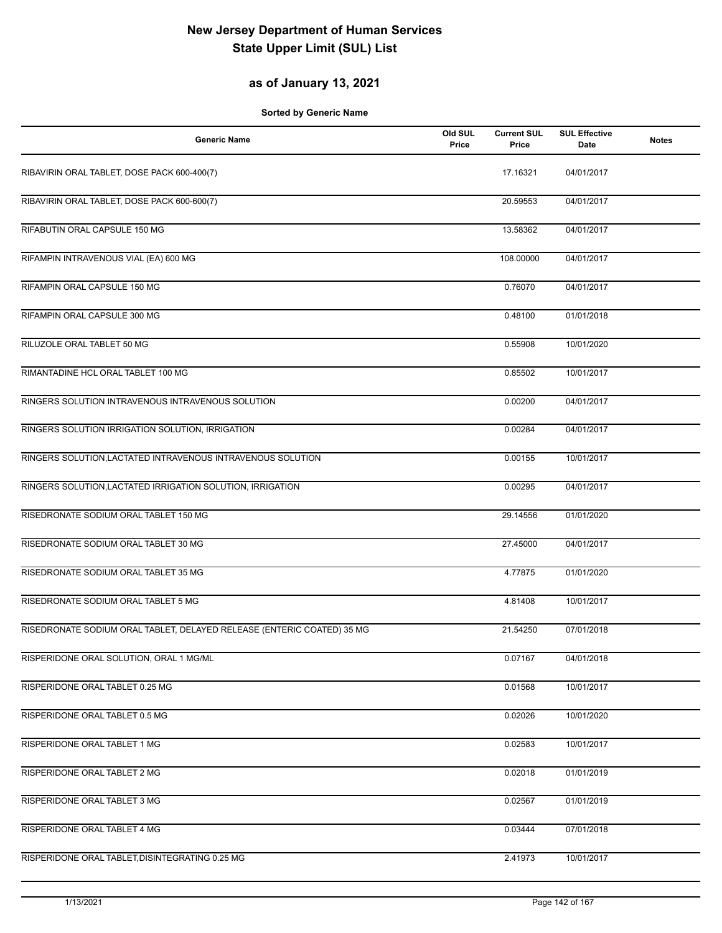## **as of January 13, 2021**

| <b>Generic Name</b>                                                    | Old SUL<br>Price | <b>Current SUL</b><br>Price | <b>SUL Effective</b><br>Date | <b>Notes</b> |
|------------------------------------------------------------------------|------------------|-----------------------------|------------------------------|--------------|
| RIBAVIRIN ORAL TABLET, DOSE PACK 600-400(7)                            |                  | 17.16321                    | 04/01/2017                   |              |
| RIBAVIRIN ORAL TABLET, DOSE PACK 600-600(7)                            |                  | 20.59553                    | 04/01/2017                   |              |
| RIFABUTIN ORAL CAPSULE 150 MG                                          |                  | 13.58362                    | 04/01/2017                   |              |
| RIFAMPIN INTRAVENOUS VIAL (EA) 600 MG                                  |                  | 108.00000                   | 04/01/2017                   |              |
| RIFAMPIN ORAL CAPSULE 150 MG                                           |                  | 0.76070                     | 04/01/2017                   |              |
| RIFAMPIN ORAL CAPSULE 300 MG                                           |                  | 0.48100                     | 01/01/2018                   |              |
| RILUZOLE ORAL TABLET 50 MG                                             |                  | 0.55908                     | 10/01/2020                   |              |
| RIMANTADINE HCL ORAL TABLET 100 MG                                     |                  | 0.85502                     | 10/01/2017                   |              |
| RINGERS SOLUTION INTRAVENOUS INTRAVENOUS SOLUTION                      |                  | 0.00200                     | 04/01/2017                   |              |
| RINGERS SOLUTION IRRIGATION SOLUTION, IRRIGATION                       |                  | 0.00284                     | 04/01/2017                   |              |
| RINGERS SOLUTION, LACTATED INTRAVENOUS INTRAVENOUS SOLUTION            |                  | 0.00155                     | 10/01/2017                   |              |
| RINGERS SOLUTION, LACTATED IRRIGATION SOLUTION, IRRIGATION             |                  | 0.00295                     | 04/01/2017                   |              |
| RISEDRONATE SODIUM ORAL TABLET 150 MG                                  |                  | 29.14556                    | 01/01/2020                   |              |
| RISEDRONATE SODIUM ORAL TABLET 30 MG                                   |                  | 27.45000                    | 04/01/2017                   |              |
| RISEDRONATE SODIUM ORAL TABLET 35 MG                                   |                  | 4.77875                     | 01/01/2020                   |              |
| RISEDRONATE SODIUM ORAL TABLET 5 MG                                    |                  | 4.81408                     | 10/01/2017                   |              |
| RISEDRONATE SODIUM ORAL TABLET, DELAYED RELEASE (ENTERIC COATED) 35 MG |                  | 21.54250                    | 07/01/2018                   |              |
| RISPERIDONE ORAL SOLUTION, ORAL 1 MG/ML                                |                  | 0.07167                     | 04/01/2018                   |              |
| RISPERIDONE ORAL TABLET 0.25 MG                                        |                  | 0.01568                     | 10/01/2017                   |              |
| RISPERIDONE ORAL TABLET 0.5 MG                                         |                  | 0.02026                     | 10/01/2020                   |              |
| RISPERIDONE ORAL TABLET 1 MG                                           |                  | 0.02583                     | 10/01/2017                   |              |
| RISPERIDONE ORAL TABLET 2 MG                                           |                  | 0.02018                     | 01/01/2019                   |              |
| RISPERIDONE ORAL TABLET 3 MG                                           |                  | 0.02567                     | 01/01/2019                   |              |
| RISPERIDONE ORAL TABLET 4 MG                                           |                  | 0.03444                     | 07/01/2018                   |              |
| RISPERIDONE ORAL TABLET, DISINTEGRATING 0.25 MG                        |                  | 2.41973                     | 10/01/2017                   |              |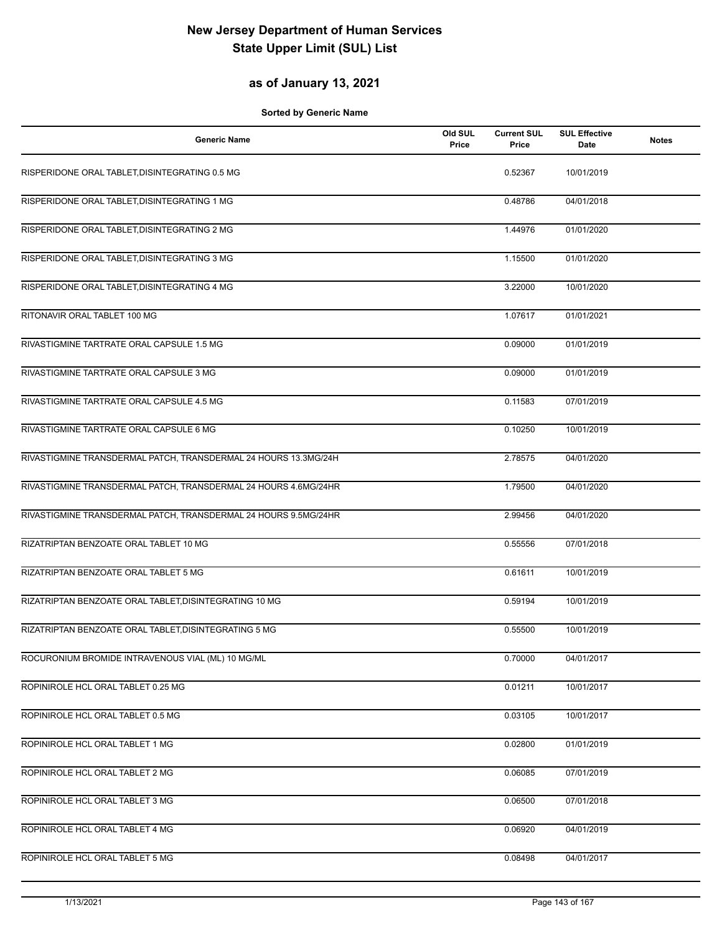## **as of January 13, 2021**

| <b>Generic Name</b>                                             | Old SUL<br>Price | <b>Current SUL</b><br>Price | <b>SUL Effective</b><br>Date | <b>Notes</b> |
|-----------------------------------------------------------------|------------------|-----------------------------|------------------------------|--------------|
| RISPERIDONE ORAL TABLET, DISINTEGRATING 0.5 MG                  |                  | 0.52367                     | 10/01/2019                   |              |
| RISPERIDONE ORAL TABLET, DISINTEGRATING 1 MG                    |                  | 0.48786                     | 04/01/2018                   |              |
| RISPERIDONE ORAL TABLET, DISINTEGRATING 2 MG                    |                  | 1.44976                     | 01/01/2020                   |              |
| RISPERIDONE ORAL TABLET, DISINTEGRATING 3 MG                    |                  | 1.15500                     | 01/01/2020                   |              |
| RISPERIDONE ORAL TABLET, DISINTEGRATING 4 MG                    |                  | 3.22000                     | 10/01/2020                   |              |
| RITONAVIR ORAL TABLET 100 MG                                    |                  | 1.07617                     | 01/01/2021                   |              |
| RIVASTIGMINE TARTRATE ORAL CAPSULE 1.5 MG                       |                  | 0.09000                     | 01/01/2019                   |              |
| RIVASTIGMINE TARTRATE ORAL CAPSULE 3 MG                         |                  | 0.09000                     | 01/01/2019                   |              |
| RIVASTIGMINE TARTRATE ORAL CAPSULE 4.5 MG                       |                  | 0.11583                     | 07/01/2019                   |              |
| RIVASTIGMINE TARTRATE ORAL CAPSULE 6 MG                         |                  | 0.10250                     | 10/01/2019                   |              |
| RIVASTIGMINE TRANSDERMAL PATCH, TRANSDERMAL 24 HOURS 13.3MG/24H |                  | 2.78575                     | 04/01/2020                   |              |
| RIVASTIGMINE TRANSDERMAL PATCH, TRANSDERMAL 24 HOURS 4.6MG/24HR |                  | 1.79500                     | 04/01/2020                   |              |
| RIVASTIGMINE TRANSDERMAL PATCH, TRANSDERMAL 24 HOURS 9.5MG/24HR |                  | 2.99456                     | 04/01/2020                   |              |
| RIZATRIPTAN BENZOATE ORAL TABLET 10 MG                          |                  | 0.55556                     | 07/01/2018                   |              |
| RIZATRIPTAN BENZOATE ORAL TABLET 5 MG                           |                  | 0.61611                     | 10/01/2019                   |              |
| RIZATRIPTAN BENZOATE ORAL TABLET, DISINTEGRATING 10 MG          |                  | 0.59194                     | 10/01/2019                   |              |
| RIZATRIPTAN BENZOATE ORAL TABLET, DISINTEGRATING 5 MG           |                  | 0.55500                     | 10/01/2019                   |              |
| ROCURONIUM BROMIDE INTRAVENOUS VIAL (ML) 10 MG/ML               |                  | 0.70000                     | 04/01/2017                   |              |
| ROPINIROLE HCL ORAL TABLET 0.25 MG                              |                  | 0.01211                     | 10/01/2017                   |              |
| ROPINIROLE HCL ORAL TABLET 0.5 MG                               |                  | 0.03105                     | 10/01/2017                   |              |
| ROPINIROLE HCL ORAL TABLET 1 MG                                 |                  | 0.02800                     | 01/01/2019                   |              |
| ROPINIROLE HCL ORAL TABLET 2 MG                                 |                  | 0.06085                     | 07/01/2019                   |              |
| ROPINIROLE HCL ORAL TABLET 3 MG                                 |                  | 0.06500                     | 07/01/2018                   |              |
| ROPINIROLE HCL ORAL TABLET 4 MG                                 |                  | 0.06920                     | 04/01/2019                   |              |
| ROPINIROLE HCL ORAL TABLET 5 MG                                 |                  | 0.08498                     | 04/01/2017                   |              |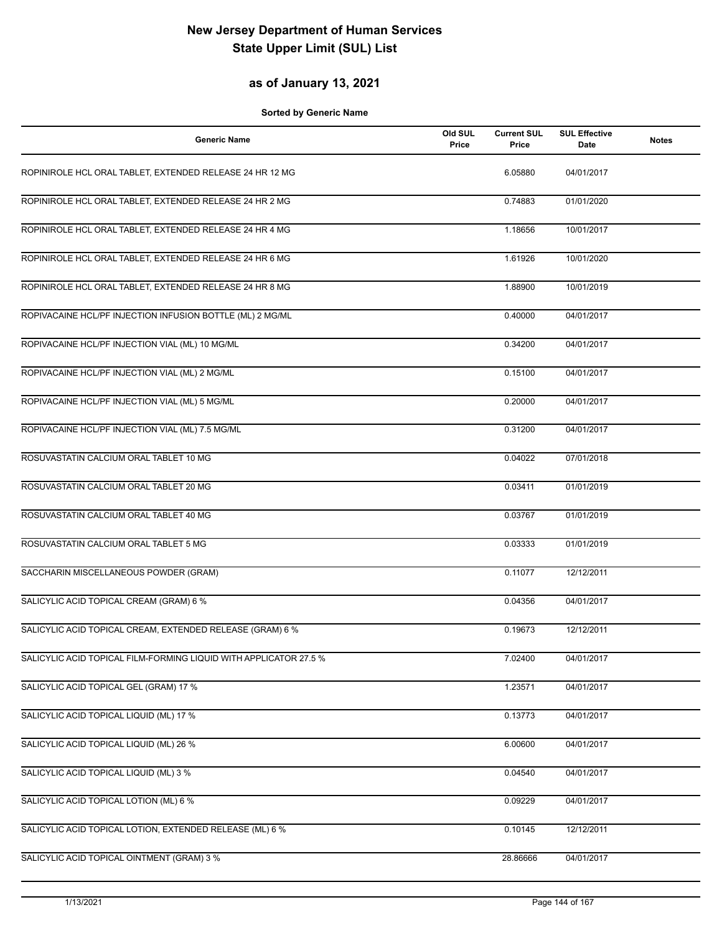### **as of January 13, 2021**

| <b>Generic Name</b>                                               | Old SUL<br>Price | <b>Current SUL</b><br>Price | <b>SUL Effective</b><br><b>Date</b> | <b>Notes</b> |
|-------------------------------------------------------------------|------------------|-----------------------------|-------------------------------------|--------------|
| ROPINIROLE HCL ORAL TABLET, EXTENDED RELEASE 24 HR 12 MG          |                  | 6.05880                     | 04/01/2017                          |              |
| ROPINIROLE HCL ORAL TABLET, EXTENDED RELEASE 24 HR 2 MG           |                  | 0.74883                     | 01/01/2020                          |              |
| ROPINIROLE HCL ORAL TABLET, EXTENDED RELEASE 24 HR 4 MG           |                  | 1.18656                     | 10/01/2017                          |              |
| ROPINIROLE HCL ORAL TABLET, EXTENDED RELEASE 24 HR 6 MG           |                  | 1.61926                     | 10/01/2020                          |              |
| ROPINIROLE HCL ORAL TABLET, EXTENDED RELEASE 24 HR 8 MG           |                  | 1.88900                     | 10/01/2019                          |              |
| ROPIVACAINE HCL/PF INJECTION INFUSION BOTTLE (ML) 2 MG/ML         |                  | 0.40000                     | 04/01/2017                          |              |
| ROPIVACAINE HCL/PF INJECTION VIAL (ML) 10 MG/ML                   |                  | 0.34200                     | 04/01/2017                          |              |
| ROPIVACAINE HCL/PF INJECTION VIAL (ML) 2 MG/ML                    |                  | 0.15100                     | 04/01/2017                          |              |
| ROPIVACAINE HCL/PF INJECTION VIAL (ML) 5 MG/ML                    |                  | 0.20000                     | 04/01/2017                          |              |
| ROPIVACAINE HCL/PF INJECTION VIAL (ML) 7.5 MG/ML                  |                  | 0.31200                     | 04/01/2017                          |              |
| ROSUVASTATIN CALCIUM ORAL TABLET 10 MG                            |                  | 0.04022                     | 07/01/2018                          |              |
| ROSUVASTATIN CALCIUM ORAL TABLET 20 MG                            |                  | 0.03411                     | 01/01/2019                          |              |
| ROSUVASTATIN CALCIUM ORAL TABLET 40 MG                            |                  | 0.03767                     | 01/01/2019                          |              |
| ROSUVASTATIN CALCIUM ORAL TABLET 5 MG                             |                  | 0.03333                     | 01/01/2019                          |              |
| SACCHARIN MISCELLANEOUS POWDER (GRAM)                             |                  | 0.11077                     | 12/12/2011                          |              |
| SALICYLIC ACID TOPICAL CREAM (GRAM) 6 %                           |                  | 0.04356                     | 04/01/2017                          |              |
| SALICYLIC ACID TOPICAL CREAM, EXTENDED RELEASE (GRAM) 6 %         |                  | 0.19673                     | 12/12/2011                          |              |
| SALICYLIC ACID TOPICAL FILM-FORMING LIQUID WITH APPLICATOR 27.5 % |                  | 7.02400                     | 04/01/2017                          |              |
| SALICYLIC ACID TOPICAL GEL (GRAM) 17 %                            |                  | 1.23571                     | 04/01/2017                          |              |
| SALICYLIC ACID TOPICAL LIQUID (ML) 17 %                           |                  | 0.13773                     | 04/01/2017                          |              |
| SALICYLIC ACID TOPICAL LIQUID (ML) 26 %                           |                  | 6.00600                     | 04/01/2017                          |              |
| SALICYLIC ACID TOPICAL LIQUID (ML) 3 %                            |                  | 0.04540                     | 04/01/2017                          |              |
| SALICYLIC ACID TOPICAL LOTION (ML) 6 %                            |                  | 0.09229                     | 04/01/2017                          |              |
| SALICYLIC ACID TOPICAL LOTION, EXTENDED RELEASE (ML) 6 %          |                  | 0.10145                     | 12/12/2011                          |              |
| SALICYLIC ACID TOPICAL OINTMENT (GRAM) 3 %                        |                  | 28.86666                    | 04/01/2017                          |              |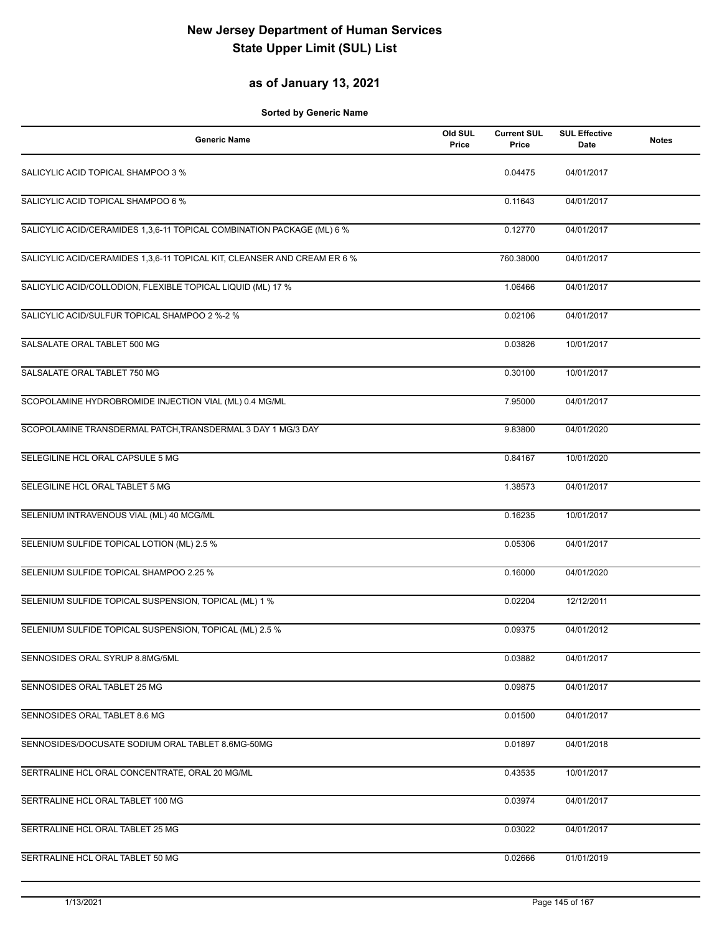#### **as of January 13, 2021**

| <b>Generic Name</b>                                                      | Old SUL<br>Price | <b>Current SUL</b><br>Price | <b>SUL Effective</b><br><b>Date</b> | <b>Notes</b> |
|--------------------------------------------------------------------------|------------------|-----------------------------|-------------------------------------|--------------|
| SALICYLIC ACID TOPICAL SHAMPOO 3 %                                       |                  | 0.04475                     | 04/01/2017                          |              |
| SALICYLIC ACID TOPICAL SHAMPOO 6 %                                       |                  | 0.11643                     | 04/01/2017                          |              |
| SALICYLIC ACID/CERAMIDES 1,3,6-11 TOPICAL COMBINATION PACKAGE (ML) 6 %   |                  | 0.12770                     | 04/01/2017                          |              |
| SALICYLIC ACID/CERAMIDES 1,3,6-11 TOPICAL KIT, CLEANSER AND CREAM ER 6 % |                  | 760.38000                   | 04/01/2017                          |              |
| SALICYLIC ACID/COLLODION, FLEXIBLE TOPICAL LIQUID (ML) 17 %              |                  | 1.06466                     | 04/01/2017                          |              |
| SALICYLIC ACID/SULFUR TOPICAL SHAMPOO 2 %-2 %                            |                  | 0.02106                     | 04/01/2017                          |              |
| SALSALATE ORAL TABLET 500 MG                                             |                  | 0.03826                     | 10/01/2017                          |              |
| SALSALATE ORAL TABLET 750 MG                                             |                  | 0.30100                     | 10/01/2017                          |              |
| SCOPOLAMINE HYDROBROMIDE INJECTION VIAL (ML) 0.4 MG/ML                   |                  | 7.95000                     | 04/01/2017                          |              |
| SCOPOLAMINE TRANSDERMAL PATCH, TRANSDERMAL 3 DAY 1 MG/3 DAY              |                  | 9.83800                     | 04/01/2020                          |              |
| SELEGILINE HCL ORAL CAPSULE 5 MG                                         |                  | 0.84167                     | 10/01/2020                          |              |
| SELEGILINE HCL ORAL TABLET 5 MG                                          |                  | 1.38573                     | 04/01/2017                          |              |
| SELENIUM INTRAVENOUS VIAL (ML) 40 MCG/ML                                 |                  | 0.16235                     | 10/01/2017                          |              |
| SELENIUM SULFIDE TOPICAL LOTION (ML) 2.5 %                               |                  | 0.05306                     | 04/01/2017                          |              |
| SELENIUM SULFIDE TOPICAL SHAMPOO 2.25 %                                  |                  | 0.16000                     | 04/01/2020                          |              |
| SELENIUM SULFIDE TOPICAL SUSPENSION, TOPICAL (ML) 1 %                    |                  | 0.02204                     | 12/12/2011                          |              |
| SELENIUM SULFIDE TOPICAL SUSPENSION, TOPICAL (ML) 2.5 %                  |                  | 0.09375                     | 04/01/2012                          |              |
| SENNOSIDES ORAL SYRUP 8.8MG/5ML                                          |                  | 0.03882                     | 04/01/2017                          |              |
| SENNOSIDES ORAL TABLET 25 MG                                             |                  | 0.09875                     | 04/01/2017                          |              |
| SENNOSIDES ORAL TABLET 8.6 MG                                            |                  | 0.01500                     | 04/01/2017                          |              |
| SENNOSIDES/DOCUSATE SODIUM ORAL TABLET 8.6MG-50MG                        |                  | 0.01897                     | 04/01/2018                          |              |
| SERTRALINE HCL ORAL CONCENTRATE, ORAL 20 MG/ML                           |                  | 0.43535                     | 10/01/2017                          |              |
| SERTRALINE HCL ORAL TABLET 100 MG                                        |                  | 0.03974                     | 04/01/2017                          |              |
| SERTRALINE HCL ORAL TABLET 25 MG                                         |                  | 0.03022                     | 04/01/2017                          |              |
| SERTRALINE HCL ORAL TABLET 50 MG                                         |                  | 0.02666                     | 01/01/2019                          |              |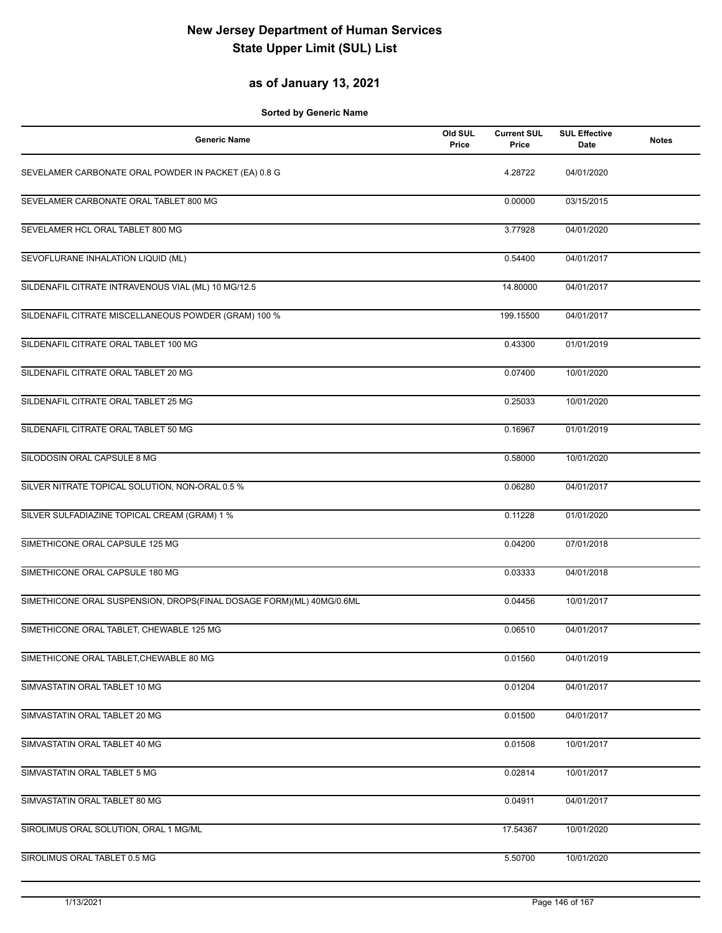#### **as of January 13, 2021**

| <b>Generic Name</b>                                                  | Old SUL<br>Price | <b>Current SUL</b><br>Price | <b>SUL Effective</b><br><b>Date</b> | <b>Notes</b> |
|----------------------------------------------------------------------|------------------|-----------------------------|-------------------------------------|--------------|
| SEVELAMER CARBONATE ORAL POWDER IN PACKET (EA) 0.8 G                 |                  | 4.28722                     | 04/01/2020                          |              |
| SEVELAMER CARBONATE ORAL TABLET 800 MG                               |                  | 0.00000                     | 03/15/2015                          |              |
| SEVELAMER HCL ORAL TABLET 800 MG                                     |                  | 3.77928                     | 04/01/2020                          |              |
| SEVOFLURANE INHALATION LIQUID (ML)                                   |                  | 0.54400                     | 04/01/2017                          |              |
| SILDENAFIL CITRATE INTRAVENOUS VIAL (ML) 10 MG/12.5                  |                  | 14.80000                    | 04/01/2017                          |              |
| SILDENAFIL CITRATE MISCELLANEOUS POWDER (GRAM) 100 %                 |                  | 199.15500                   | 04/01/2017                          |              |
| SILDENAFIL CITRATE ORAL TABLET 100 MG                                |                  | 0.43300                     | 01/01/2019                          |              |
| SILDENAFIL CITRATE ORAL TABLET 20 MG                                 |                  | 0.07400                     | 10/01/2020                          |              |
| SILDENAFIL CITRATE ORAL TABLET 25 MG                                 |                  | 0.25033                     | 10/01/2020                          |              |
| SILDENAFIL CITRATE ORAL TABLET 50 MG                                 |                  | 0.16967                     | 01/01/2019                          |              |
| SILODOSIN ORAL CAPSULE 8 MG                                          |                  | 0.58000                     | 10/01/2020                          |              |
| SILVER NITRATE TOPICAL SOLUTION, NON-ORAL 0.5 %                      |                  | 0.06280                     | 04/01/2017                          |              |
| SILVER SULFADIAZINE TOPICAL CREAM (GRAM) 1 %                         |                  | 0.11228                     | 01/01/2020                          |              |
| SIMETHICONE ORAL CAPSULE 125 MG                                      |                  | 0.04200                     | 07/01/2018                          |              |
| SIMETHICONE ORAL CAPSULE 180 MG                                      |                  | 0.03333                     | 04/01/2018                          |              |
| SIMETHICONE ORAL SUSPENSION, DROPS(FINAL DOSAGE FORM)(ML) 40MG/0.6ML |                  | 0.04456                     | 10/01/2017                          |              |
| SIMETHICONE ORAL TABLET, CHEWABLE 125 MG                             |                  | 0.06510                     | 04/01/2017                          |              |
| SIMETHICONE ORAL TABLET, CHEWABLE 80 MG                              |                  | 0.01560                     | 04/01/2019                          |              |
| SIMVASTATIN ORAL TABLET 10 MG                                        |                  | 0.01204                     | 04/01/2017                          |              |
| SIMVASTATIN ORAL TABLET 20 MG                                        |                  | 0.01500                     | 04/01/2017                          |              |
| SIMVASTATIN ORAL TABLET 40 MG                                        |                  | 0.01508                     | 10/01/2017                          |              |
| SIMVASTATIN ORAL TABLET 5 MG                                         |                  | 0.02814                     | 10/01/2017                          |              |
| SIMVASTATIN ORAL TABLET 80 MG                                        |                  | 0.04911                     | 04/01/2017                          |              |
| SIROLIMUS ORAL SOLUTION, ORAL 1 MG/ML                                |                  | 17.54367                    | 10/01/2020                          |              |
| SIROLIMUS ORAL TABLET 0.5 MG                                         |                  | 5.50700                     | 10/01/2020                          |              |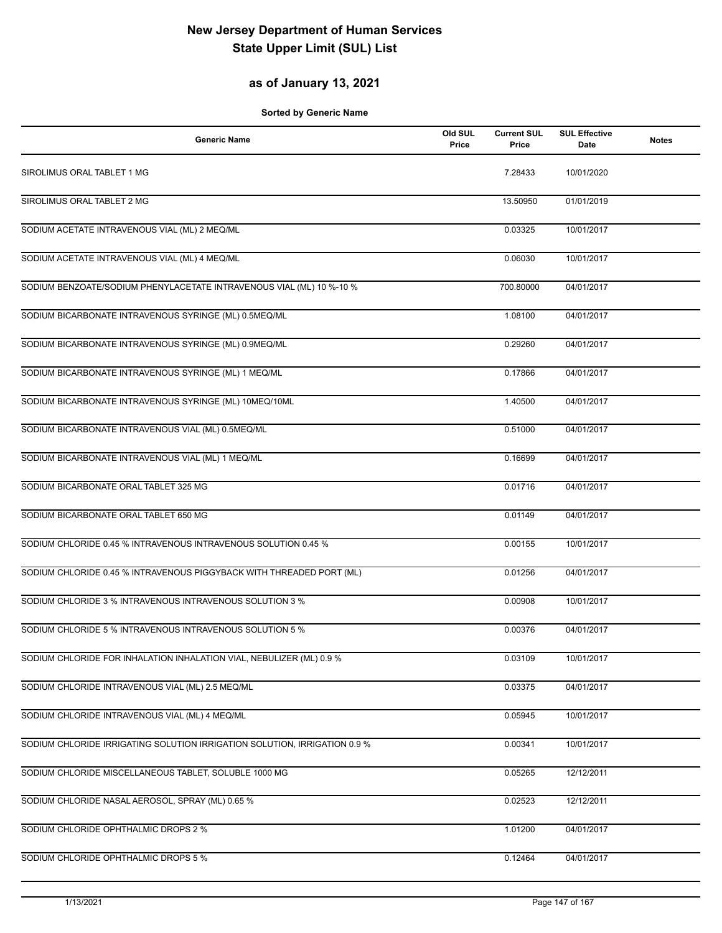#### **as of January 13, 2021**

| <b>Generic Name</b>                                                       | Old SUL<br>Price | <b>Current SUL</b><br>Price | <b>SUL Effective</b><br>Date | <b>Notes</b> |
|---------------------------------------------------------------------------|------------------|-----------------------------|------------------------------|--------------|
| SIROLIMUS ORAL TABLET 1 MG                                                |                  | 7.28433                     | 10/01/2020                   |              |
| SIROLIMUS ORAL TABLET 2 MG                                                |                  | 13.50950                    | 01/01/2019                   |              |
| SODIUM ACETATE INTRAVENOUS VIAL (ML) 2 MEQ/ML                             |                  | 0.03325                     | 10/01/2017                   |              |
| SODIUM ACETATE INTRAVENOUS VIAL (ML) 4 MEQ/ML                             |                  | 0.06030                     | 10/01/2017                   |              |
| SODIUM BENZOATE/SODIUM PHENYLACETATE INTRAVENOUS VIAL (ML) 10 %-10 %      |                  | 700.80000                   | 04/01/2017                   |              |
| SODIUM BICARBONATE INTRAVENOUS SYRINGE (ML) 0.5MEQ/ML                     |                  | 1.08100                     | 04/01/2017                   |              |
| SODIUM BICARBONATE INTRAVENOUS SYRINGE (ML) 0.9MEQ/ML                     |                  | 0.29260                     | 04/01/2017                   |              |
| SODIUM BICARBONATE INTRAVENOUS SYRINGE (ML) 1 MEQ/ML                      |                  | 0.17866                     | 04/01/2017                   |              |
| SODIUM BICARBONATE INTRAVENOUS SYRINGE (ML) 10MEQ/10ML                    |                  | 1.40500                     | 04/01/2017                   |              |
| SODIUM BICARBONATE INTRAVENOUS VIAL (ML) 0.5MEQ/ML                        |                  | 0.51000                     | 04/01/2017                   |              |
| SODIUM BICARBONATE INTRAVENOUS VIAL (ML) 1 MEQ/ML                         |                  | 0.16699                     | 04/01/2017                   |              |
| SODIUM BICARBONATE ORAL TABLET 325 MG                                     |                  | 0.01716                     | 04/01/2017                   |              |
| SODIUM BICARBONATE ORAL TABLET 650 MG                                     |                  | 0.01149                     | 04/01/2017                   |              |
| SODIUM CHLORIDE 0.45 % INTRAVENOUS INTRAVENOUS SOLUTION 0.45 %            |                  | 0.00155                     | 10/01/2017                   |              |
| SODIUM CHLORIDE 0.45 % INTRAVENOUS PIGGYBACK WITH THREADED PORT (ML)      |                  | 0.01256                     | 04/01/2017                   |              |
| SODIUM CHLORIDE 3 % INTRAVENOUS INTRAVENOUS SOLUTION 3 %                  |                  | 0.00908                     | 10/01/2017                   |              |
| SODIUM CHLORIDE 5 % INTRAVENOUS INTRAVENOUS SOLUTION 5 %                  |                  | 0.00376                     | 04/01/2017                   |              |
| SODIUM CHLORIDE FOR INHALATION INHALATION VIAL, NEBULIZER (ML) 0.9 %      |                  | 0.03109                     | 10/01/2017                   |              |
| SODIUM CHLORIDE INTRAVENOUS VIAL (ML) 2.5 MEQ/ML                          |                  | 0.03375                     | 04/01/2017                   |              |
| SODIUM CHLORIDE INTRAVENOUS VIAL (ML) 4 MEQ/ML                            |                  | 0.05945                     | 10/01/2017                   |              |
| SODIUM CHLORIDE IRRIGATING SOLUTION IRRIGATION SOLUTION, IRRIGATION 0.9 % |                  | 0.00341                     | 10/01/2017                   |              |
| SODIUM CHLORIDE MISCELLANEOUS TABLET, SOLUBLE 1000 MG                     |                  | 0.05265                     | 12/12/2011                   |              |
| SODIUM CHLORIDE NASAL AEROSOL, SPRAY (ML) 0.65 %                          |                  | 0.02523                     | 12/12/2011                   |              |
| SODIUM CHLORIDE OPHTHALMIC DROPS 2 %                                      |                  | 1.01200                     | 04/01/2017                   |              |
| SODIUM CHLORIDE OPHTHALMIC DROPS 5 %                                      |                  | 0.12464                     | 04/01/2017                   |              |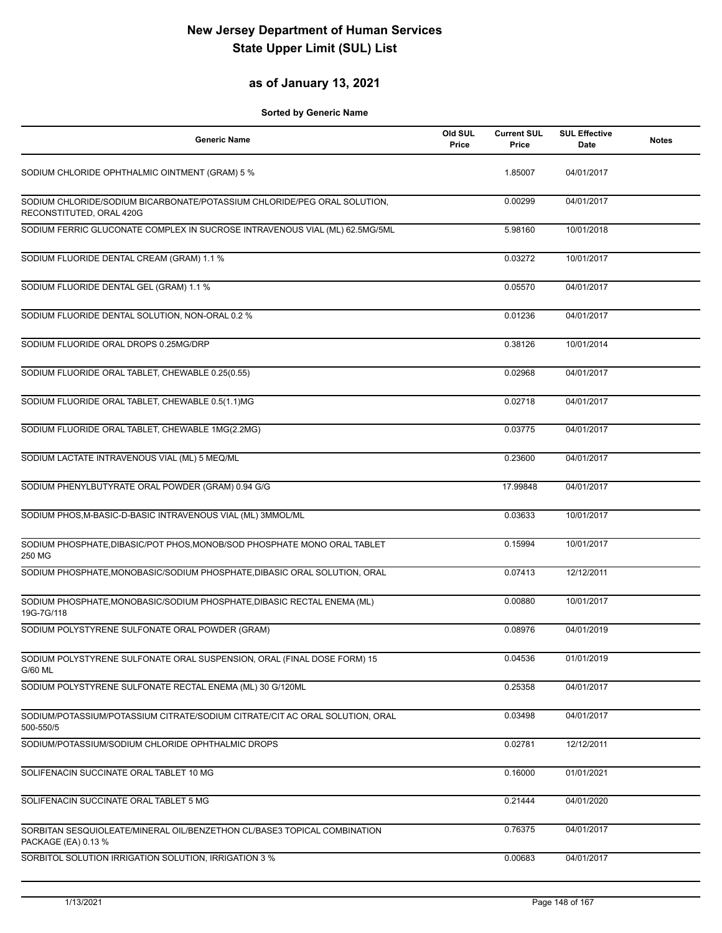#### **as of January 13, 2021**

| <b>Generic Name</b>                                                                                  | Old SUL<br>Price | <b>Current SUL</b><br>Price | <b>SUL Effective</b><br><b>Date</b> | <b>Notes</b> |
|------------------------------------------------------------------------------------------------------|------------------|-----------------------------|-------------------------------------|--------------|
| SODIUM CHLORIDE OPHTHALMIC OINTMENT (GRAM) 5 %                                                       |                  | 1.85007                     | 04/01/2017                          |              |
| SODIUM CHLORIDE/SODIUM BICARBONATE/POTASSIUM CHLORIDE/PEG ORAL SOLUTION,<br>RECONSTITUTED, ORAL 420G |                  | 0.00299                     | 04/01/2017                          |              |
| SODIUM FERRIC GLUCONATE COMPLEX IN SUCROSE INTRAVENOUS VIAL (ML) 62.5MG/5ML                          |                  | 5.98160                     | 10/01/2018                          |              |
| SODIUM FLUORIDE DENTAL CREAM (GRAM) 1.1 %                                                            |                  | 0.03272                     | 10/01/2017                          |              |
| SODIUM FLUORIDE DENTAL GEL (GRAM) 1.1 %                                                              |                  | 0.05570                     | 04/01/2017                          |              |
| SODIUM FLUORIDE DENTAL SOLUTION, NON-ORAL 0.2 %                                                      |                  | 0.01236                     | 04/01/2017                          |              |
| SODIUM FLUORIDE ORAL DROPS 0.25MG/DRP                                                                |                  | 0.38126                     | 10/01/2014                          |              |
| SODIUM FLUORIDE ORAL TABLET, CHEWABLE 0.25(0.55)                                                     |                  | 0.02968                     | 04/01/2017                          |              |
| SODIUM FLUORIDE ORAL TABLET, CHEWABLE 0.5(1.1)MG                                                     |                  | 0.02718                     | 04/01/2017                          |              |
| SODIUM FLUORIDE ORAL TABLET, CHEWABLE 1MG(2.2MG)                                                     |                  | 0.03775                     | 04/01/2017                          |              |
| SODIUM LACTATE INTRAVENOUS VIAL (ML) 5 MEQ/ML                                                        |                  | 0.23600                     | 04/01/2017                          |              |
| SODIUM PHENYLBUTYRATE ORAL POWDER (GRAM) 0.94 G/G                                                    |                  | 17.99848                    | 04/01/2017                          |              |
| SODIUM PHOS, M-BASIC-D-BASIC INTRAVENOUS VIAL (ML) 3MMOL/ML                                          |                  | 0.03633                     | 10/01/2017                          |              |
| SODIUM PHOSPHATE, DIBASIC/POT PHOS, MONOB/SOD PHOSPHATE MONO ORAL TABLET<br>250 MG                   |                  | 0.15994                     | 10/01/2017                          |              |
| SODIUM PHOSPHATE, MONOBASIC/SODIUM PHOSPHATE, DIBASIC ORAL SOLUTION, ORAL                            |                  | 0.07413                     | 12/12/2011                          |              |
| SODIUM PHOSPHATE, MONOBASIC/SODIUM PHOSPHATE, DIBASIC RECTAL ENEMA (ML)<br>19G-7G/118                |                  | 0.00880                     | 10/01/2017                          |              |
| SODIUM POLYSTYRENE SULFONATE ORAL POWDER (GRAM)                                                      |                  | 0.08976                     | 04/01/2019                          |              |
| SODIUM POLYSTYRENE SULFONATE ORAL SUSPENSION, ORAL (FINAL DOSE FORM) 15<br>G/60 ML                   |                  | 0.04536                     | 01/01/2019                          |              |
| SODIUM POLYSTYRENE SULFONATE RECTAL ENEMA (ML) 30 G/120ML                                            |                  | 0.25358                     | 04/01/2017                          |              |
| SODIUM/POTASSIUM/POTASSIUM CITRATE/SODIUM CITRATE/CIT AC ORAL SOLUTION, ORAL<br>500-550/5            |                  | 0.03498                     | 04/01/2017                          |              |
| SODIUM/POTASSIUM/SODIUM CHLORIDE OPHTHALMIC DROPS                                                    |                  | 0.02781                     | 12/12/2011                          |              |
| SOLIFENACIN SUCCINATE ORAL TABLET 10 MG                                                              |                  | 0.16000                     | 01/01/2021                          |              |
| SOLIFENACIN SUCCINATE ORAL TABLET 5 MG                                                               |                  | 0.21444                     | 04/01/2020                          |              |
| SORBITAN SESQUIOLEATE/MINERAL OIL/BENZETHON CL/BASE3 TOPICAL COMBINATION<br>PACKAGE (EA) 0.13 %      |                  | 0.76375                     | 04/01/2017                          |              |
| SORBITOL SOLUTION IRRIGATION SOLUTION, IRRIGATION 3 %                                                |                  | 0.00683                     | 04/01/2017                          |              |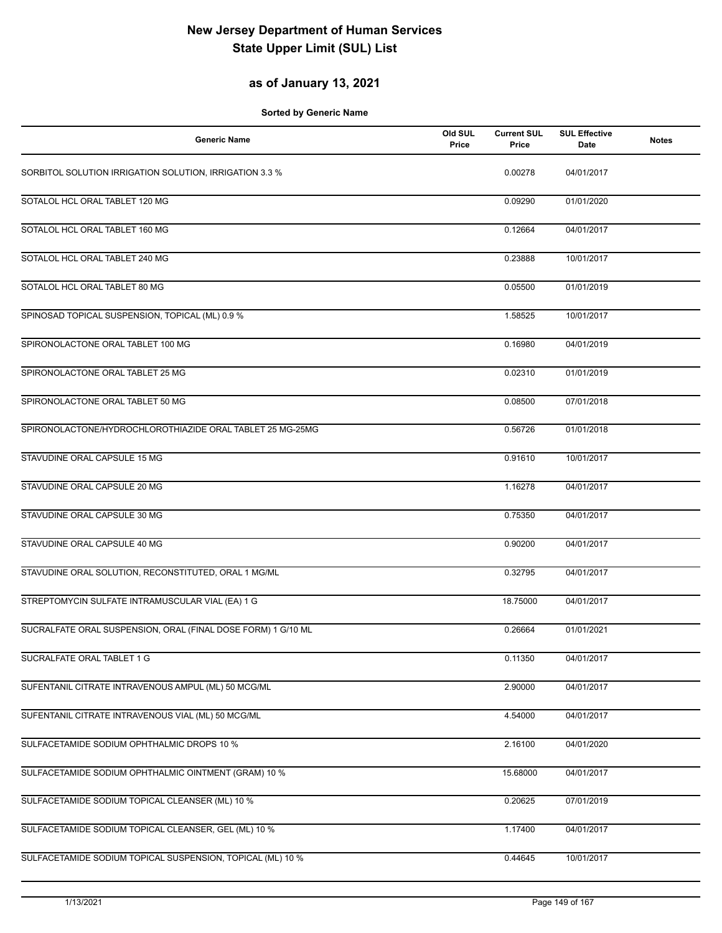#### **as of January 13, 2021**

| <b>Generic Name</b>                                          | Old SUL<br>Price | <b>Current SUL</b><br>Price | <b>SUL Effective</b><br>Date | <b>Notes</b> |
|--------------------------------------------------------------|------------------|-----------------------------|------------------------------|--------------|
| SORBITOL SOLUTION IRRIGATION SOLUTION, IRRIGATION 3.3 %      |                  | 0.00278                     | 04/01/2017                   |              |
| SOTALOL HCL ORAL TABLET 120 MG                               |                  | 0.09290                     | 01/01/2020                   |              |
| SOTALOL HCL ORAL TABLET 160 MG                               |                  | 0.12664                     | 04/01/2017                   |              |
| SOTALOL HCL ORAL TABLET 240 MG                               |                  | 0.23888                     | 10/01/2017                   |              |
| SOTALOL HCL ORAL TABLET 80 MG                                |                  | 0.05500                     | 01/01/2019                   |              |
| SPINOSAD TOPICAL SUSPENSION, TOPICAL (ML) 0.9 %              |                  | 1.58525                     | 10/01/2017                   |              |
| SPIRONOLACTONE ORAL TABLET 100 MG                            |                  | 0.16980                     | 04/01/2019                   |              |
| SPIRONOLACTONE ORAL TABLET 25 MG                             |                  | 0.02310                     | 01/01/2019                   |              |
| SPIRONOLACTONE ORAL TABLET 50 MG                             |                  | 0.08500                     | 07/01/2018                   |              |
| SPIRONOLACTONE/HYDROCHLOROTHIAZIDE ORAL TABLET 25 MG-25MG    |                  | 0.56726                     | 01/01/2018                   |              |
| STAVUDINE ORAL CAPSULE 15 MG                                 |                  | 0.91610                     | 10/01/2017                   |              |
| STAVUDINE ORAL CAPSULE 20 MG                                 |                  | 1.16278                     | 04/01/2017                   |              |
| STAVUDINE ORAL CAPSULE 30 MG                                 |                  | 0.75350                     | 04/01/2017                   |              |
| STAVUDINE ORAL CAPSULE 40 MG                                 |                  | 0.90200                     | 04/01/2017                   |              |
| STAVUDINE ORAL SOLUTION, RECONSTITUTED, ORAL 1 MG/ML         |                  | 0.32795                     | 04/01/2017                   |              |
| STREPTOMYCIN SULFATE INTRAMUSCULAR VIAL (EA) 1 G             |                  | 18.75000                    | 04/01/2017                   |              |
| SUCRALFATE ORAL SUSPENSION, ORAL (FINAL DOSE FORM) 1 G/10 ML |                  | 0.26664                     | 01/01/2021                   |              |
| SUCRALFATE ORAL TABLET 1 G                                   |                  | 0.11350                     | 04/01/2017                   |              |
| SUFENTANIL CITRATE INTRAVENOUS AMPUL (ML) 50 MCG/ML          |                  | 2.90000                     | 04/01/2017                   |              |
| SUFENTANIL CITRATE INTRAVENOUS VIAL (ML) 50 MCG/ML           |                  | 4.54000                     | 04/01/2017                   |              |
| SULFACETAMIDE SODIUM OPHTHALMIC DROPS 10 %                   |                  | 2.16100                     | 04/01/2020                   |              |
| SULFACETAMIDE SODIUM OPHTHALMIC OINTMENT (GRAM) 10 %         |                  | 15.68000                    | 04/01/2017                   |              |
| SULFACETAMIDE SODIUM TOPICAL CLEANSER (ML) 10 %              |                  | 0.20625                     | 07/01/2019                   |              |
| SULFACETAMIDE SODIUM TOPICAL CLEANSER, GEL (ML) 10 %         |                  | 1.17400                     | 04/01/2017                   |              |
| SULFACETAMIDE SODIUM TOPICAL SUSPENSION, TOPICAL (ML) 10 %   |                  | 0.44645                     | 10/01/2017                   |              |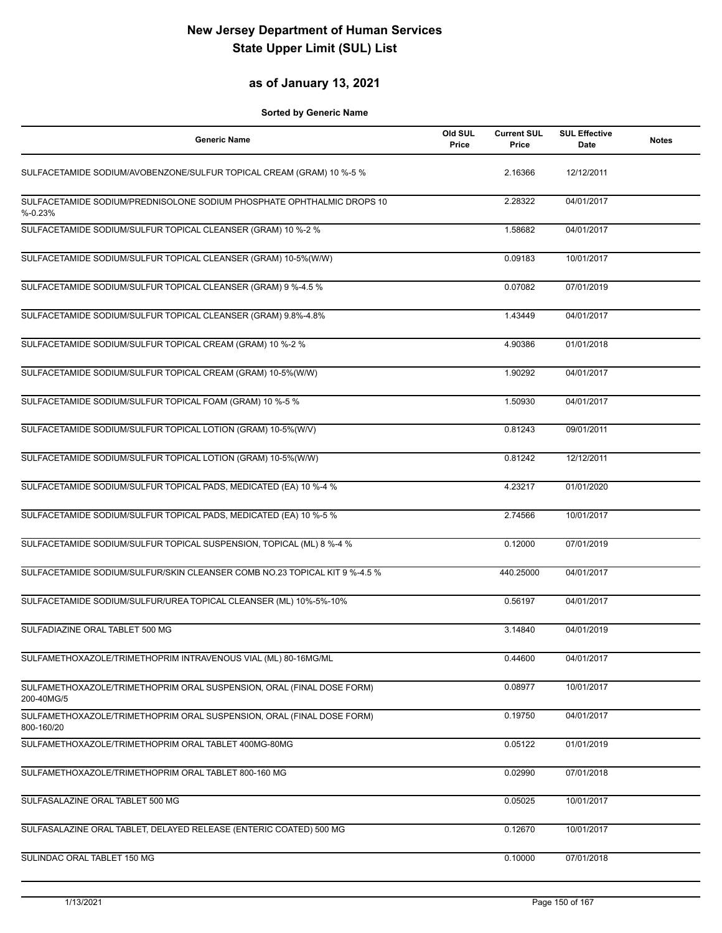#### **as of January 13, 2021**

| <b>Generic Name</b>                                                                  | Old SUL<br>Price | <b>Current SUL</b><br>Price | <b>SUL Effective</b><br>Date | <b>Notes</b> |
|--------------------------------------------------------------------------------------|------------------|-----------------------------|------------------------------|--------------|
| SULFACETAMIDE SODIUM/AVOBENZONE/SULFUR TOPICAL CREAM (GRAM) 10 %-5 %                 |                  | 2.16366                     | 12/12/2011                   |              |
| SULFACETAMIDE SODIUM/PREDNISOLONE SODIUM PHOSPHATE OPHTHALMIC DROPS 10<br>$% -0.23%$ |                  | 2.28322                     | 04/01/2017                   |              |
| SULFACETAMIDE SODIUM/SULFUR TOPICAL CLEANSER (GRAM) 10 %-2 %                         |                  | 1.58682                     | 04/01/2017                   |              |
| SULFACETAMIDE SODIUM/SULFUR TOPICAL CLEANSER (GRAM) 10-5%(W/W)                       |                  | 0.09183                     | 10/01/2017                   |              |
| SULFACETAMIDE SODIUM/SULFUR TOPICAL CLEANSER (GRAM) 9 %-4.5 %                        |                  | 0.07082                     | 07/01/2019                   |              |
| SULFACETAMIDE SODIUM/SULFUR TOPICAL CLEANSER (GRAM) 9.8%-4.8%                        |                  | 1.43449                     | 04/01/2017                   |              |
| SULFACETAMIDE SODIUM/SULFUR TOPICAL CREAM (GRAM) 10 %-2 %                            |                  | 4.90386                     | 01/01/2018                   |              |
| SULFACETAMIDE SODIUM/SULFUR TOPICAL CREAM (GRAM) 10-5%(W/W)                          |                  | 1.90292                     | 04/01/2017                   |              |
| SULFACETAMIDE SODIUM/SULFUR TOPICAL FOAM (GRAM) 10 %-5 %                             |                  | 1.50930                     | 04/01/2017                   |              |
| SULFACETAMIDE SODIUM/SULFUR TOPICAL LOTION (GRAM) 10-5%(W/V)                         |                  | 0.81243                     | 09/01/2011                   |              |
| SULFACETAMIDE SODIUM/SULFUR TOPICAL LOTION (GRAM) 10-5%(W/W)                         |                  | 0.81242                     | 12/12/2011                   |              |
| SULFACETAMIDE SODIUM/SULFUR TOPICAL PADS, MEDICATED (EA) 10 %-4 %                    |                  | 4.23217                     | 01/01/2020                   |              |
| SULFACETAMIDE SODIUM/SULFUR TOPICAL PADS, MEDICATED (EA) 10 %-5 %                    |                  | 2.74566                     | 10/01/2017                   |              |
| SULFACETAMIDE SODIUM/SULFUR TOPICAL SUSPENSION, TOPICAL (ML) 8 %-4 %                 |                  | 0.12000                     | 07/01/2019                   |              |
| SULFACETAMIDE SODIUM/SULFUR/SKIN CLEANSER COMB NO.23 TOPICAL KIT 9 %-4.5 %           |                  | 440.25000                   | 04/01/2017                   |              |
| SULFACETAMIDE SODIUM/SULFUR/UREA TOPICAL CLEANSER (ML) 10%-5%-10%                    |                  | 0.56197                     | 04/01/2017                   |              |
| SULFADIAZINE ORAL TABLET 500 MG                                                      |                  | 3.14840                     | 04/01/2019                   |              |
| SULFAMETHOXAZOLE/TRIMETHOPRIM INTRAVENOUS VIAL (ML) 80-16MG/ML                       |                  | 0.44600                     | 04/01/2017                   |              |
| SULFAMETHOXAZOLE/TRIMETHOPRIM ORAL SUSPENSION, ORAL (FINAL DOSE FORM)<br>200-40MG/5  |                  | 0.08977                     | 10/01/2017                   |              |
| SULFAMETHOXAZOLE/TRIMETHOPRIM ORAL SUSPENSION, ORAL (FINAL DOSE FORM)<br>800-160/20  |                  | 0.19750                     | 04/01/2017                   |              |
| SULFAMETHOXAZOLE/TRIMETHOPRIM ORAL TABLET 400MG-80MG                                 |                  | 0.05122                     | 01/01/2019                   |              |
| SULFAMETHOXAZOLE/TRIMETHOPRIM ORAL TABLET 800-160 MG                                 |                  | 0.02990                     | 07/01/2018                   |              |
| SULFASALAZINE ORAL TABLET 500 MG                                                     |                  | 0.05025                     | 10/01/2017                   |              |
| SULFASALAZINE ORAL TABLET, DELAYED RELEASE (ENTERIC COATED) 500 MG                   |                  | 0.12670                     | 10/01/2017                   |              |
| SULINDAC ORAL TABLET 150 MG                                                          |                  | 0.10000                     | 07/01/2018                   |              |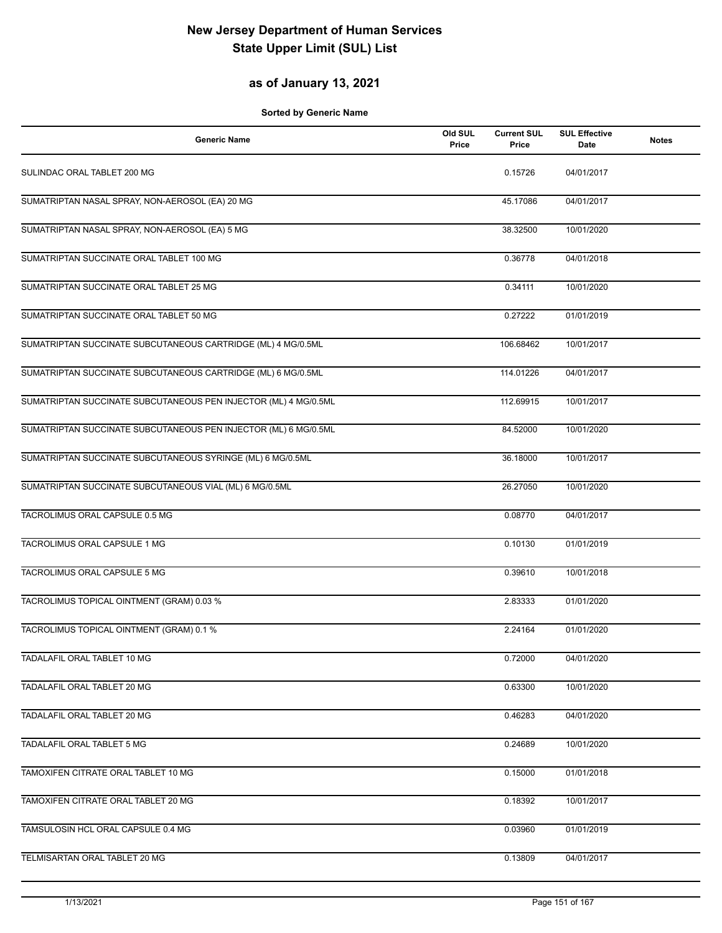#### **as of January 13, 2021**

| <b>Generic Name</b>                                             | Old SUL<br>Price | <b>Current SUL</b><br>Price | <b>SUL Effective</b><br>Date | <b>Notes</b> |
|-----------------------------------------------------------------|------------------|-----------------------------|------------------------------|--------------|
| SULINDAC ORAL TABLET 200 MG                                     |                  | 0.15726                     | 04/01/2017                   |              |
| SUMATRIPTAN NASAL SPRAY, NON-AEROSOL (EA) 20 MG                 |                  | 45.17086                    | 04/01/2017                   |              |
| SUMATRIPTAN NASAL SPRAY, NON-AEROSOL (EA) 5 MG                  |                  | 38.32500                    | 10/01/2020                   |              |
| SUMATRIPTAN SUCCINATE ORAL TABLET 100 MG                        |                  | 0.36778                     | 04/01/2018                   |              |
| SUMATRIPTAN SUCCINATE ORAL TABLET 25 MG                         |                  | 0.34111                     | 10/01/2020                   |              |
| SUMATRIPTAN SUCCINATE ORAL TABLET 50 MG                         |                  | 0.27222                     | 01/01/2019                   |              |
| SUMATRIPTAN SUCCINATE SUBCUTANEOUS CARTRIDGE (ML) 4 MG/0.5ML    |                  | 106.68462                   | 10/01/2017                   |              |
| SUMATRIPTAN SUCCINATE SUBCUTANEOUS CARTRIDGE (ML) 6 MG/0.5ML    |                  | 114.01226                   | 04/01/2017                   |              |
| SUMATRIPTAN SUCCINATE SUBCUTANEOUS PEN INJECTOR (ML) 4 MG/0.5ML |                  | 112.69915                   | 10/01/2017                   |              |
| SUMATRIPTAN SUCCINATE SUBCUTANEOUS PEN INJECTOR (ML) 6 MG/0.5ML |                  | 84.52000                    | 10/01/2020                   |              |
| SUMATRIPTAN SUCCINATE SUBCUTANEOUS SYRINGE (ML) 6 MG/0.5ML      |                  | 36.18000                    | 10/01/2017                   |              |
| SUMATRIPTAN SUCCINATE SUBCUTANEOUS VIAL (ML) 6 MG/0.5ML         |                  | 26.27050                    | 10/01/2020                   |              |
| TACROLIMUS ORAL CAPSULE 0.5 MG                                  |                  | 0.08770                     | 04/01/2017                   |              |
| TACROLIMUS ORAL CAPSULE 1 MG                                    |                  | 0.10130                     | 01/01/2019                   |              |
| TACROLIMUS ORAL CAPSULE 5 MG                                    |                  | 0.39610                     | 10/01/2018                   |              |
| TACROLIMUS TOPICAL OINTMENT (GRAM) 0.03 %                       |                  | 2.83333                     | 01/01/2020                   |              |
| TACROLIMUS TOPICAL OINTMENT (GRAM) 0.1 %                        |                  | 2.24164                     | 01/01/2020                   |              |
| TADALAFIL ORAL TABLET 10 MG                                     |                  | 0.72000                     | 04/01/2020                   |              |
| TADALAFIL ORAL TABLET 20 MG                                     |                  | 0.63300                     | 10/01/2020                   |              |
| TADALAFIL ORAL TABLET 20 MG                                     |                  | 0.46283                     | 04/01/2020                   |              |
| TADALAFIL ORAL TABLET 5 MG                                      |                  | 0.24689                     | 10/01/2020                   |              |
| TAMOXIFEN CITRATE ORAL TABLET 10 MG                             |                  | 0.15000                     | 01/01/2018                   |              |
| TAMOXIFEN CITRATE ORAL TABLET 20 MG                             |                  | 0.18392                     | 10/01/2017                   |              |
| TAMSULOSIN HCL ORAL CAPSULE 0.4 MG                              |                  | 0.03960                     | 01/01/2019                   |              |
| TELMISARTAN ORAL TABLET 20 MG                                   |                  | 0.13809                     | 04/01/2017                   |              |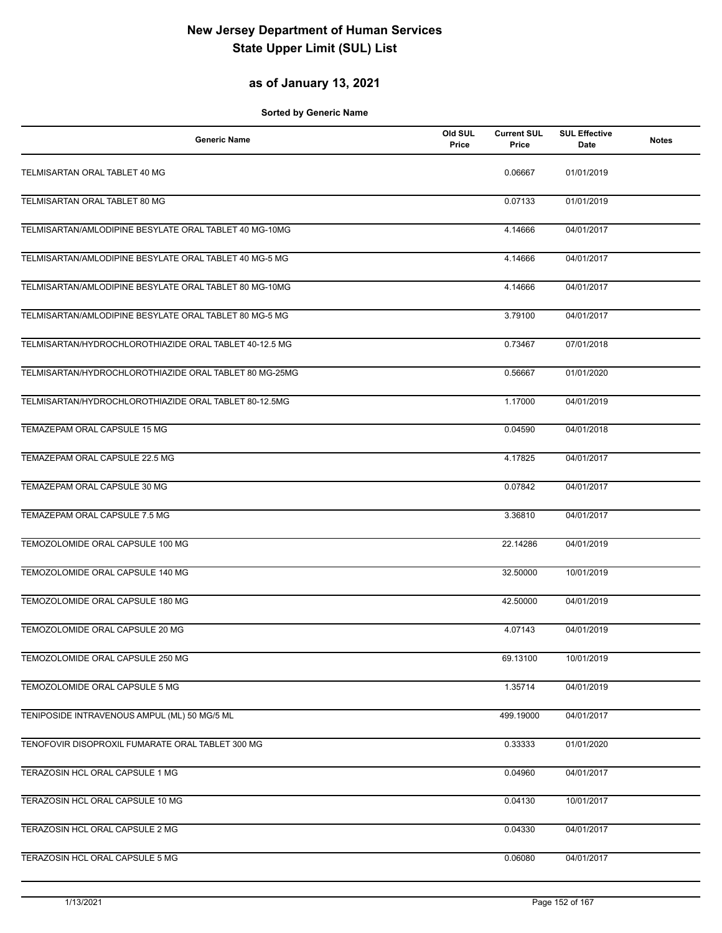#### **as of January 13, 2021**

| <b>Generic Name</b>                                    | Old SUL<br>Price | <b>Current SUL</b><br>Price | <b>SUL Effective</b><br>Date | <b>Notes</b> |
|--------------------------------------------------------|------------------|-----------------------------|------------------------------|--------------|
| TELMISARTAN ORAL TABLET 40 MG                          |                  | 0.06667                     | 01/01/2019                   |              |
| TELMISARTAN ORAL TABLET 80 MG                          |                  | 0.07133                     | 01/01/2019                   |              |
| TELMISARTAN/AMLODIPINE BESYLATE ORAL TABLET 40 MG-10MG |                  | 4.14666                     | 04/01/2017                   |              |
| TELMISARTAN/AMLODIPINE BESYLATE ORAL TABLET 40 MG-5 MG |                  | 4.14666                     | 04/01/2017                   |              |
| TELMISARTAN/AMLODIPINE BESYLATE ORAL TABLET 80 MG-10MG |                  | 4.14666                     | 04/01/2017                   |              |
| TELMISARTAN/AMLODIPINE BESYLATE ORAL TABLET 80 MG-5 MG |                  | 3.79100                     | 04/01/2017                   |              |
| TELMISARTAN/HYDROCHLOROTHIAZIDE ORAL TABLET 40-12.5 MG |                  | 0.73467                     | 07/01/2018                   |              |
| TELMISARTAN/HYDROCHLOROTHIAZIDE ORAL TABLET 80 MG-25MG |                  | 0.56667                     | 01/01/2020                   |              |
| TELMISARTAN/HYDROCHLOROTHIAZIDE ORAL TABLET 80-12.5MG  |                  | 1.17000                     | 04/01/2019                   |              |
| TEMAZEPAM ORAL CAPSULE 15 MG                           |                  | 0.04590                     | 04/01/2018                   |              |
| TEMAZEPAM ORAL CAPSULE 22.5 MG                         |                  | 4.17825                     | 04/01/2017                   |              |
| TEMAZEPAM ORAL CAPSULE 30 MG                           |                  | 0.07842                     | 04/01/2017                   |              |
| TEMAZEPAM ORAL CAPSULE 7.5 MG                          |                  | 3.36810                     | 04/01/2017                   |              |
| TEMOZOLOMIDE ORAL CAPSULE 100 MG                       |                  | 22.14286                    | 04/01/2019                   |              |
| TEMOZOLOMIDE ORAL CAPSULE 140 MG                       |                  | 32.50000                    | 10/01/2019                   |              |
| TEMOZOLOMIDE ORAL CAPSULE 180 MG                       |                  | 42.50000                    | 04/01/2019                   |              |
| TEMOZOLOMIDE ORAL CAPSULE 20 MG                        |                  | 4.07143                     | 04/01/2019                   |              |
| TEMOZOLOMIDE ORAL CAPSULE 250 MG                       |                  | 69.13100                    | 10/01/2019                   |              |
| TEMOZOLOMIDE ORAL CAPSULE 5 MG                         |                  | 1.35714                     | 04/01/2019                   |              |
| TENIPOSIDE INTRAVENOUS AMPUL (ML) 50 MG/5 ML           |                  | 499.19000                   | 04/01/2017                   |              |
| TENOFOVIR DISOPROXIL FUMARATE ORAL TABLET 300 MG       |                  | 0.33333                     | 01/01/2020                   |              |
| TERAZOSIN HCL ORAL CAPSULE 1 MG                        |                  | 0.04960                     | 04/01/2017                   |              |
| TERAZOSIN HCL ORAL CAPSULE 10 MG                       |                  | 0.04130                     | 10/01/2017                   |              |
| TERAZOSIN HCL ORAL CAPSULE 2 MG                        |                  | 0.04330                     | 04/01/2017                   |              |
| TERAZOSIN HCL ORAL CAPSULE 5 MG                        |                  | 0.06080                     | 04/01/2017                   |              |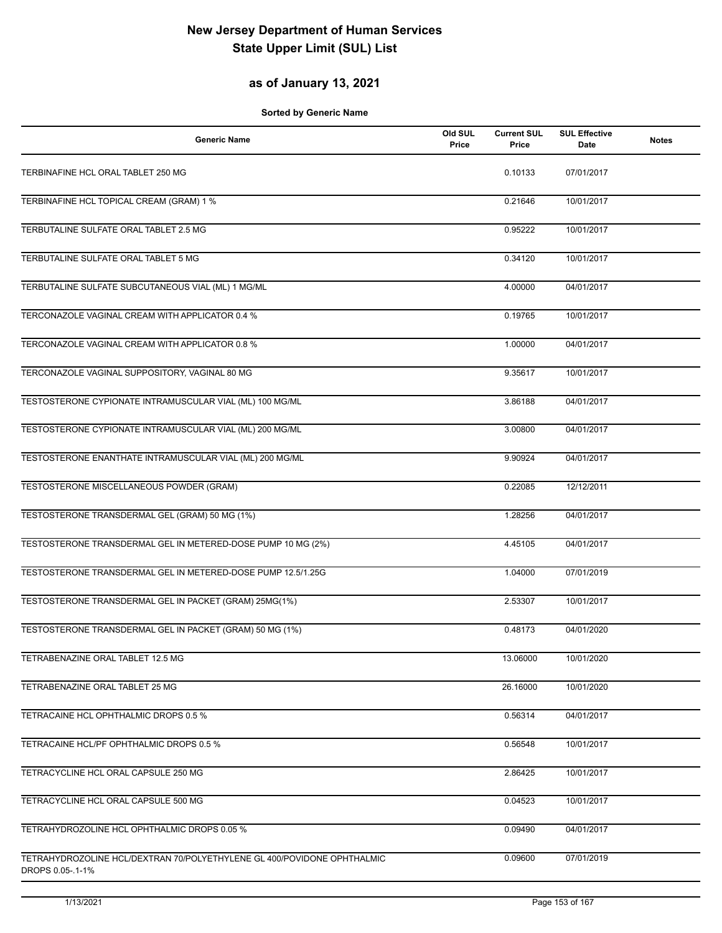#### **as of January 13, 2021**

| <b>Generic Name</b>                                                                         | Old SUL<br>Price | <b>Current SUL</b><br>Price | <b>SUL Effective</b><br>Date | <b>Notes</b> |
|---------------------------------------------------------------------------------------------|------------------|-----------------------------|------------------------------|--------------|
| TERBINAFINE HCL ORAL TABLET 250 MG                                                          |                  | 0.10133                     | 07/01/2017                   |              |
| TERBINAFINE HCL TOPICAL CREAM (GRAM) 1 %                                                    |                  | 0.21646                     | 10/01/2017                   |              |
| TERBUTALINE SULFATE ORAL TABLET 2.5 MG                                                      |                  | 0.95222                     | 10/01/2017                   |              |
| TERBUTALINE SULFATE ORAL TABLET 5 MG                                                        |                  | 0.34120                     | 10/01/2017                   |              |
| TERBUTALINE SULFATE SUBCUTANEOUS VIAL (ML) 1 MG/ML                                          |                  | 4.00000                     | 04/01/2017                   |              |
| TERCONAZOLE VAGINAL CREAM WITH APPLICATOR 0.4 %                                             |                  | 0.19765                     | 10/01/2017                   |              |
| TERCONAZOLE VAGINAL CREAM WITH APPLICATOR 0.8 %                                             |                  | 1.00000                     | 04/01/2017                   |              |
| TERCONAZOLE VAGINAL SUPPOSITORY, VAGINAL 80 MG                                              |                  | 9.35617                     | 10/01/2017                   |              |
| TESTOSTERONE CYPIONATE INTRAMUSCULAR VIAL (ML) 100 MG/ML                                    |                  | 3.86188                     | 04/01/2017                   |              |
| TESTOSTERONE CYPIONATE INTRAMUSCULAR VIAL (ML) 200 MG/ML                                    |                  | 3.00800                     | 04/01/2017                   |              |
| TESTOSTERONE ENANTHATE INTRAMUSCULAR VIAL (ML) 200 MG/ML                                    |                  | 9.90924                     | 04/01/2017                   |              |
| TESTOSTERONE MISCELLANEOUS POWDER (GRAM)                                                    |                  | 0.22085                     | 12/12/2011                   |              |
| TESTOSTERONE TRANSDERMAL GEL (GRAM) 50 MG (1%)                                              |                  | 1.28256                     | 04/01/2017                   |              |
| TESTOSTERONE TRANSDERMAL GEL IN METERED-DOSE PUMP 10 MG (2%)                                |                  | 4.45105                     | 04/01/2017                   |              |
| TESTOSTERONE TRANSDERMAL GEL IN METERED-DOSE PUMP 12.5/1.25G                                |                  | 1.04000                     | 07/01/2019                   |              |
| TESTOSTERONE TRANSDERMAL GEL IN PACKET (GRAM) 25MG(1%)                                      |                  | 2.53307                     | 10/01/2017                   |              |
| TESTOSTERONE TRANSDERMAL GEL IN PACKET (GRAM) 50 MG (1%)                                    |                  | 0.48173                     | 04/01/2020                   |              |
| TETRABENAZINE ORAL TABLET 12.5 MG                                                           |                  | 13.06000                    | 10/01/2020                   |              |
| TETRABENAZINE ORAL TABLET 25 MG                                                             |                  | 26.16000                    | 10/01/2020                   |              |
| TETRACAINE HCL OPHTHALMIC DROPS 0.5 %                                                       |                  | 0.56314                     | 04/01/2017                   |              |
| TETRACAINE HCL/PF OPHTHALMIC DROPS 0.5 %                                                    |                  | 0.56548                     | 10/01/2017                   |              |
| TETRACYCLINE HCL ORAL CAPSULE 250 MG                                                        |                  | 2.86425                     | 10/01/2017                   |              |
| TETRACYCLINE HCL ORAL CAPSULE 500 MG                                                        |                  | 0.04523                     | 10/01/2017                   |              |
| TETRAHYDROZOLINE HCL OPHTHALMIC DROPS 0.05 %                                                |                  | 0.09490                     | 04/01/2017                   |              |
| TETRAHYDROZOLINE HCL/DEXTRAN 70/POLYETHYLENE GL 400/POVIDONE OPHTHALMIC<br>DROPS 0.05-.1-1% |                  | 0.09600                     | 07/01/2019                   |              |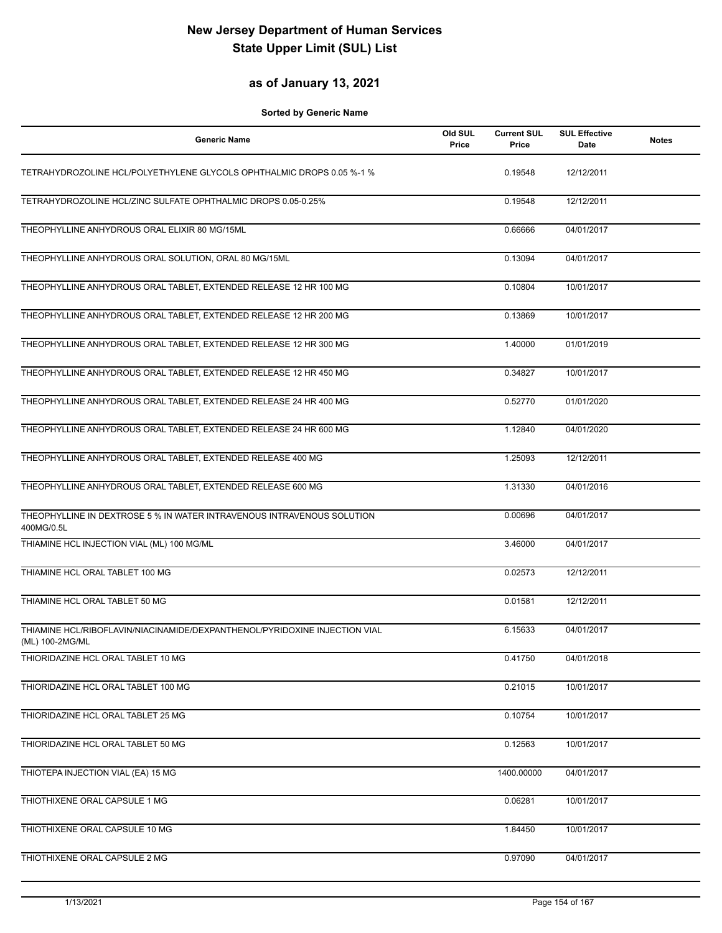#### **as of January 13, 2021**

| <b>Generic Name</b>                                                                           | Old SUL<br>Price | <b>Current SUL</b><br>Price | <b>SUL Effective</b><br>Date | <b>Notes</b> |
|-----------------------------------------------------------------------------------------------|------------------|-----------------------------|------------------------------|--------------|
| TETRAHYDROZOLINE HCL/POLYETHYLENE GLYCOLS OPHTHALMIC DROPS 0.05 %-1 %                         |                  | 0.19548                     | 12/12/2011                   |              |
| TETRAHYDROZOLINE HCL/ZINC SULFATE OPHTHALMIC DROPS 0.05-0.25%                                 |                  | 0.19548                     | 12/12/2011                   |              |
| THEOPHYLLINE ANHYDROUS ORAL ELIXIR 80 MG/15ML                                                 |                  | 0.66666                     | 04/01/2017                   |              |
| THEOPHYLLINE ANHYDROUS ORAL SOLUTION, ORAL 80 MG/15ML                                         |                  | 0.13094                     | 04/01/2017                   |              |
| THEOPHYLLINE ANHYDROUS ORAL TABLET, EXTENDED RELEASE 12 HR 100 MG                             |                  | 0.10804                     | 10/01/2017                   |              |
| THEOPHYLLINE ANHYDROUS ORAL TABLET, EXTENDED RELEASE 12 HR 200 MG                             |                  | 0.13869                     | 10/01/2017                   |              |
| THEOPHYLLINE ANHYDROUS ORAL TABLET, EXTENDED RELEASE 12 HR 300 MG                             |                  | 1.40000                     | 01/01/2019                   |              |
| THEOPHYLLINE ANHYDROUS ORAL TABLET, EXTENDED RELEASE 12 HR 450 MG                             |                  | 0.34827                     | 10/01/2017                   |              |
| THEOPHYLLINE ANHYDROUS ORAL TABLET, EXTENDED RELEASE 24 HR 400 MG                             |                  | 0.52770                     | 01/01/2020                   |              |
| THEOPHYLLINE ANHYDROUS ORAL TABLET, EXTENDED RELEASE 24 HR 600 MG                             |                  | 1.12840                     | 04/01/2020                   |              |
| THEOPHYLLINE ANHYDROUS ORAL TABLET, EXTENDED RELEASE 400 MG                                   |                  | 1.25093                     | 12/12/2011                   |              |
| THEOPHYLLINE ANHYDROUS ORAL TABLET, EXTENDED RELEASE 600 MG                                   |                  | 1.31330                     | 04/01/2016                   |              |
| THEOPHYLLINE IN DEXTROSE 5 % IN WATER INTRAVENOUS INTRAVENOUS SOLUTION<br>400MG/0.5L          |                  | 0.00696                     | 04/01/2017                   |              |
| THIAMINE HCL INJECTION VIAL (ML) 100 MG/ML                                                    |                  | 3.46000                     | 04/01/2017                   |              |
| THIAMINE HCL ORAL TABLET 100 MG                                                               |                  | 0.02573                     | 12/12/2011                   |              |
| THIAMINE HCL ORAL TABLET 50 MG                                                                |                  | 0.01581                     | 12/12/2011                   |              |
| THIAMINE HCL/RIBOFLAVIN/NIACINAMIDE/DEXPANTHENOL/PYRIDOXINE INJECTION VIAL<br>(ML) 100-2MG/ML |                  | 6.15633                     | 04/01/2017                   |              |
| THIORIDAZINE HCL ORAL TABLET 10 MG                                                            |                  | 0.41750                     | 04/01/2018                   |              |
| THIORIDAZINE HCL ORAL TABLET 100 MG                                                           |                  | 0.21015                     | 10/01/2017                   |              |
| THIORIDAZINE HCL ORAL TABLET 25 MG                                                            |                  | 0.10754                     | 10/01/2017                   |              |
| THIORIDAZINE HCL ORAL TABLET 50 MG                                                            |                  | 0.12563                     | 10/01/2017                   |              |
| THIOTEPA INJECTION VIAL (EA) 15 MG                                                            |                  | 1400.00000                  | 04/01/2017                   |              |
| THIOTHIXENE ORAL CAPSULE 1 MG                                                                 |                  | 0.06281                     | 10/01/2017                   |              |
| THIOTHIXENE ORAL CAPSULE 10 MG                                                                |                  | 1.84450                     | 10/01/2017                   |              |
| THIOTHIXENE ORAL CAPSULE 2 MG                                                                 |                  | 0.97090                     | 04/01/2017                   |              |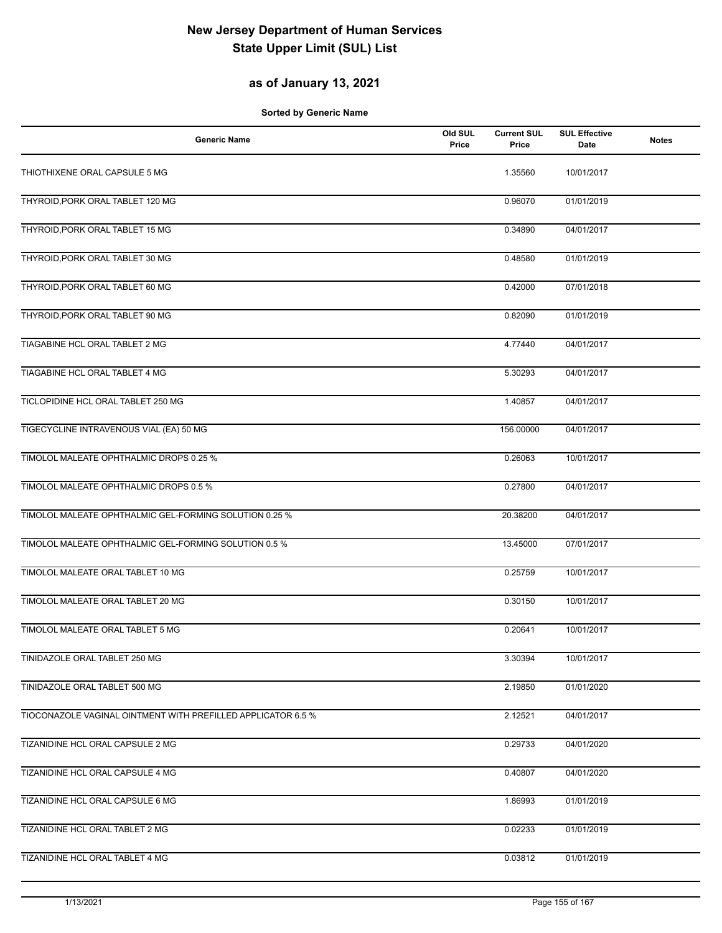#### **as of January 13, 2021**

| <b>Generic Name</b>                                          | Old SUL<br>Price | <b>Current SUL</b><br>Price | <b>SUL Effective</b><br><b>Date</b> | <b>Notes</b> |
|--------------------------------------------------------------|------------------|-----------------------------|-------------------------------------|--------------|
| THIOTHIXENE ORAL CAPSULE 5 MG                                |                  | 1.35560                     | 10/01/2017                          |              |
| THYROID, PORK ORAL TABLET 120 MG                             |                  | 0.96070                     | 01/01/2019                          |              |
| THYROID, PORK ORAL TABLET 15 MG                              |                  | 0.34890                     | 04/01/2017                          |              |
| THYROID, PORK ORAL TABLET 30 MG                              |                  | 0.48580                     | 01/01/2019                          |              |
| THYROID, PORK ORAL TABLET 60 MG                              |                  | 0.42000                     | 07/01/2018                          |              |
| THYROID, PORK ORAL TABLET 90 MG                              |                  | 0.82090                     | 01/01/2019                          |              |
| TIAGABINE HCL ORAL TABLET 2 MG                               |                  | 4.77440                     | 04/01/2017                          |              |
| TIAGABINE HCL ORAL TABLET 4 MG                               |                  | 5.30293                     | 04/01/2017                          |              |
| TICLOPIDINE HCL ORAL TABLET 250 MG                           |                  | 1.40857                     | 04/01/2017                          |              |
| TIGECYCLINE INTRAVENOUS VIAL (EA) 50 MG                      |                  | 156.00000                   | 04/01/2017                          |              |
| TIMOLOL MALEATE OPHTHALMIC DROPS 0.25 %                      |                  | 0.26063                     | 10/01/2017                          |              |
| TIMOLOL MALEATE OPHTHALMIC DROPS 0.5 %                       |                  | 0.27800                     | 04/01/2017                          |              |
| TIMOLOL MALEATE OPHTHALMIC GEL-FORMING SOLUTION 0.25 %       |                  | 20.38200                    | 04/01/2017                          |              |
| TIMOLOL MALEATE OPHTHALMIC GEL-FORMING SOLUTION 0.5 %        |                  | 13.45000                    | 07/01/2017                          |              |
| TIMOLOL MALEATE ORAL TABLET 10 MG                            |                  | 0.25759                     | 10/01/2017                          |              |
| TIMOLOL MALEATE ORAL TABLET 20 MG                            |                  | 0.30150                     | 10/01/2017                          |              |
| TIMOLOL MALEATE ORAL TABLET 5 MG                             |                  | 0.20641                     | 10/01/2017                          |              |
| TINIDAZOLE ORAL TABLET 250 MG                                |                  | 3.30394                     | 10/01/2017                          |              |
| TINIDAZOLE ORAL TABLET 500 MG                                |                  | 2.19850                     | 01/01/2020                          |              |
| TIOCONAZOLE VAGINAL OINTMENT WITH PREFILLED APPLICATOR 6.5 % |                  | 2.12521                     | 04/01/2017                          |              |
| TIZANIDINE HCL ORAL CAPSULE 2 MG                             |                  | 0.29733                     | 04/01/2020                          |              |
| TIZANIDINE HCL ORAL CAPSULE 4 MG                             |                  | 0.40807                     | 04/01/2020                          |              |
| TIZANIDINE HCL ORAL CAPSULE 6 MG                             |                  | 1.86993                     | 01/01/2019                          |              |
| TIZANIDINE HCL ORAL TABLET 2 MG                              |                  | 0.02233                     | 01/01/2019                          |              |
| TIZANIDINE HCL ORAL TABLET 4 MG                              |                  | 0.03812                     | 01/01/2019                          |              |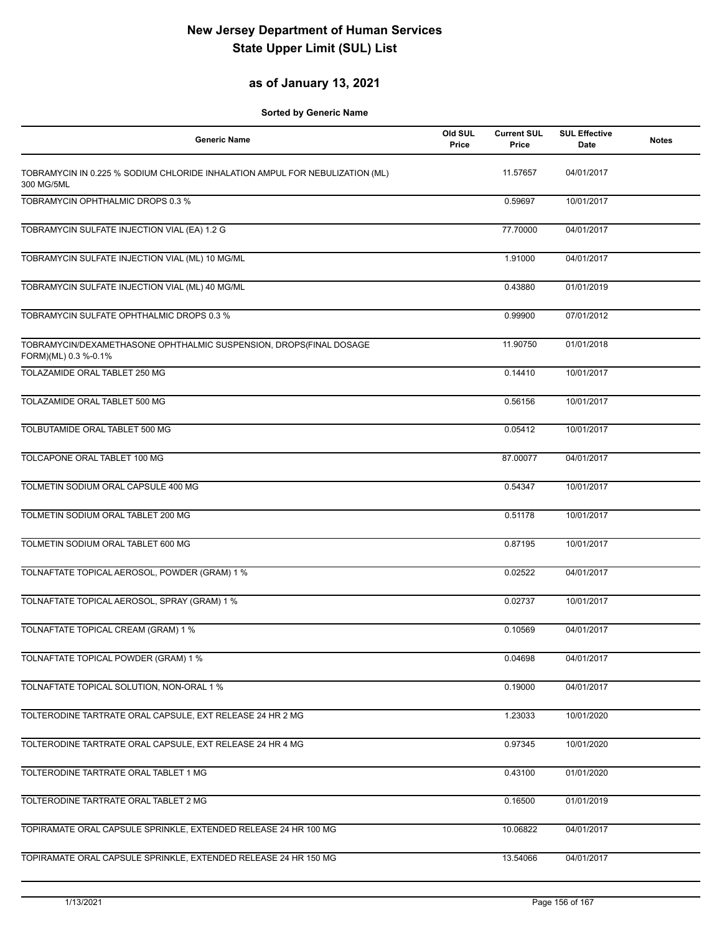#### **as of January 13, 2021**

| <b>Generic Name</b>                                                                        | Old SUL<br>Price | <b>Current SUL</b><br>Price | <b>SUL Effective</b><br><b>Date</b> | <b>Notes</b> |
|--------------------------------------------------------------------------------------------|------------------|-----------------------------|-------------------------------------|--------------|
| TOBRAMYCIN IN 0.225 % SODIUM CHLORIDE INHALATION AMPUL FOR NEBULIZATION (ML)<br>300 MG/5ML |                  | 11.57657                    | 04/01/2017                          |              |
| TOBRAMYCIN OPHTHALMIC DROPS 0.3 %                                                          |                  | 0.59697                     | 10/01/2017                          |              |
| TOBRAMYCIN SULFATE INJECTION VIAL (EA) 1.2 G                                               |                  | 77.70000                    | 04/01/2017                          |              |
| TOBRAMYCIN SULFATE INJECTION VIAL (ML) 10 MG/ML                                            |                  | 1.91000                     | 04/01/2017                          |              |
| TOBRAMYCIN SULFATE INJECTION VIAL (ML) 40 MG/ML                                            |                  | 0.43880                     | 01/01/2019                          |              |
| TOBRAMYCIN SULFATE OPHTHALMIC DROPS 0.3 %                                                  |                  | 0.99900                     | 07/01/2012                          |              |
| TOBRAMYCIN/DEXAMETHASONE OPHTHALMIC SUSPENSION, DROPS(FINAL DOSAGE<br>FORM)(ML) 0.3 %-0.1% |                  | 11.90750                    | 01/01/2018                          |              |
| TOLAZAMIDE ORAL TABLET 250 MG                                                              |                  | 0.14410                     | 10/01/2017                          |              |
| TOLAZAMIDE ORAL TABLET 500 MG                                                              |                  | 0.56156                     | 10/01/2017                          |              |
| TOLBUTAMIDE ORAL TABLET 500 MG                                                             |                  | 0.05412                     | 10/01/2017                          |              |
| TOLCAPONE ORAL TABLET 100 MG                                                               |                  | 87.00077                    | 04/01/2017                          |              |
| TOLMETIN SODIUM ORAL CAPSULE 400 MG                                                        |                  | 0.54347                     | 10/01/2017                          |              |
| TOLMETIN SODIUM ORAL TABLET 200 MG                                                         |                  | 0.51178                     | 10/01/2017                          |              |
| TOLMETIN SODIUM ORAL TABLET 600 MG                                                         |                  | 0.87195                     | 10/01/2017                          |              |
| TOLNAFTATE TOPICAL AEROSOL, POWDER (GRAM) 1 %                                              |                  | 0.02522                     | 04/01/2017                          |              |
| TOLNAFTATE TOPICAL AEROSOL, SPRAY (GRAM) 1 %                                               |                  | 0.02737                     | 10/01/2017                          |              |
| TOLNAFTATE TOPICAL CREAM (GRAM) 1 %                                                        |                  | 0.10569                     | 04/01/2017                          |              |
| TOLNAFTATE TOPICAL POWDER (GRAM) 1 %                                                       |                  | 0.04698                     | 04/01/2017                          |              |
| TOLNAFTATE TOPICAL SOLUTION, NON-ORAL 1 %                                                  |                  | 0.19000                     | 04/01/2017                          |              |
| TOLTERODINE TARTRATE ORAL CAPSULE, EXT RELEASE 24 HR 2 MG                                  |                  | 1.23033                     | 10/01/2020                          |              |
| TOLTERODINE TARTRATE ORAL CAPSULE, EXT RELEASE 24 HR 4 MG                                  |                  | 0.97345                     | 10/01/2020                          |              |
| TOLTERODINE TARTRATE ORAL TABLET 1 MG                                                      |                  | 0.43100                     | 01/01/2020                          |              |
| TOLTERODINE TARTRATE ORAL TABLET 2 MG                                                      |                  | 0.16500                     | 01/01/2019                          |              |
| TOPIRAMATE ORAL CAPSULE SPRINKLE, EXTENDED RELEASE 24 HR 100 MG                            |                  | 10.06822                    | 04/01/2017                          |              |
| TOPIRAMATE ORAL CAPSULE SPRINKLE, EXTENDED RELEASE 24 HR 150 MG                            |                  | 13.54066                    | 04/01/2017                          |              |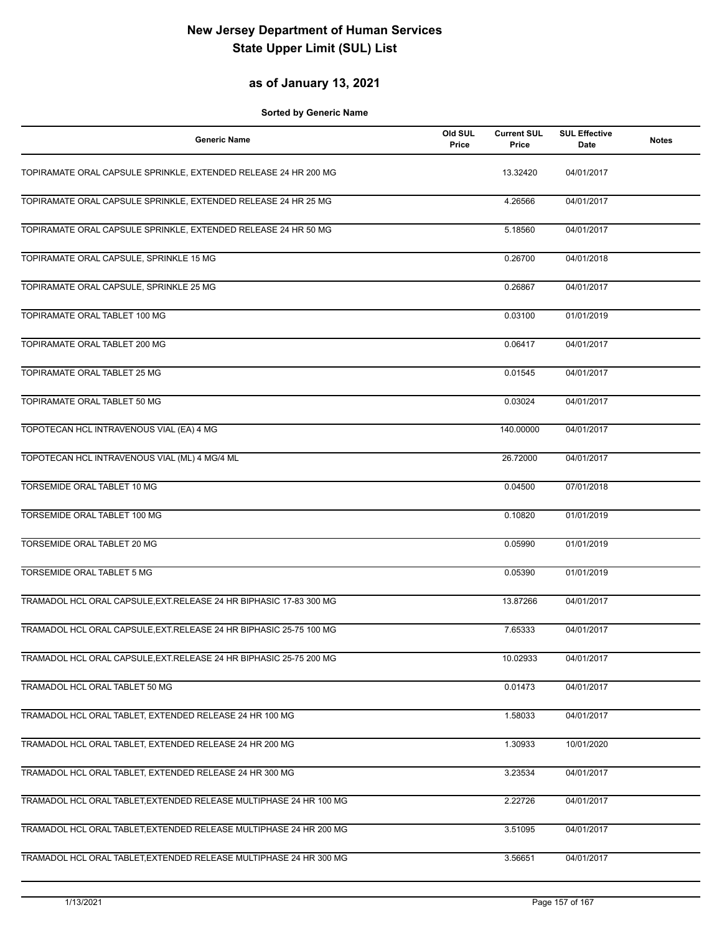#### **as of January 13, 2021**

| <b>Generic Name</b>                                                 | Old SUL<br>Price | <b>Current SUL</b><br>Price | <b>SUL Effective</b><br>Date | <b>Notes</b> |
|---------------------------------------------------------------------|------------------|-----------------------------|------------------------------|--------------|
| TOPIRAMATE ORAL CAPSULE SPRINKLE, EXTENDED RELEASE 24 HR 200 MG     |                  | 13.32420                    | 04/01/2017                   |              |
| TOPIRAMATE ORAL CAPSULE SPRINKLE, EXTENDED RELEASE 24 HR 25 MG      |                  | 4.26566                     | 04/01/2017                   |              |
| TOPIRAMATE ORAL CAPSULE SPRINKLE, EXTENDED RELEASE 24 HR 50 MG      |                  | 5.18560                     | 04/01/2017                   |              |
| TOPIRAMATE ORAL CAPSULE, SPRINKLE 15 MG                             |                  | 0.26700                     | 04/01/2018                   |              |
| TOPIRAMATE ORAL CAPSULE, SPRINKLE 25 MG                             |                  | 0.26867                     | 04/01/2017                   |              |
| TOPIRAMATE ORAL TABLET 100 MG                                       |                  | 0.03100                     | 01/01/2019                   |              |
| TOPIRAMATE ORAL TABLET 200 MG                                       |                  | 0.06417                     | 04/01/2017                   |              |
| TOPIRAMATE ORAL TABLET 25 MG                                        |                  | 0.01545                     | 04/01/2017                   |              |
| TOPIRAMATE ORAL TABLET 50 MG                                        |                  | 0.03024                     | 04/01/2017                   |              |
| TOPOTECAN HCL INTRAVENOUS VIAL (EA) 4 MG                            |                  | 140.00000                   | 04/01/2017                   |              |
| TOPOTECAN HCL INTRAVENOUS VIAL (ML) 4 MG/4 ML                       |                  | 26.72000                    | 04/01/2017                   |              |
| <b>TORSEMIDE ORAL TABLET 10 MG</b>                                  |                  | 0.04500                     | 07/01/2018                   |              |
| TORSEMIDE ORAL TABLET 100 MG                                        |                  | 0.10820                     | 01/01/2019                   |              |
| TORSEMIDE ORAL TABLET 20 MG                                         |                  | 0.05990                     | 01/01/2019                   |              |
| <b>TORSEMIDE ORAL TABLET 5 MG</b>                                   |                  | 0.05390                     | 01/01/2019                   |              |
| TRAMADOL HCL ORAL CAPSULE, EXT. RELEASE 24 HR BIPHASIC 17-83 300 MG |                  | 13.87266                    | 04/01/2017                   |              |
| TRAMADOL HCL ORAL CAPSULE, EXT. RELEASE 24 HR BIPHASIC 25-75 100 MG |                  | 7.65333                     | 04/01/2017                   |              |
| TRAMADOL HCL ORAL CAPSULE, EXT. RELEASE 24 HR BIPHASIC 25-75 200 MG |                  | 10.02933                    | 04/01/2017                   |              |
| TRAMADOL HCL ORAL TABLET 50 MG                                      |                  | 0.01473                     | 04/01/2017                   |              |
| TRAMADOL HCL ORAL TABLET, EXTENDED RELEASE 24 HR 100 MG             |                  | 1.58033                     | 04/01/2017                   |              |
| TRAMADOL HCL ORAL TABLET, EXTENDED RELEASE 24 HR 200 MG             |                  | 1.30933                     | 10/01/2020                   |              |
| TRAMADOL HCL ORAL TABLET, EXTENDED RELEASE 24 HR 300 MG             |                  | 3.23534                     | 04/01/2017                   |              |
| TRAMADOL HCL ORAL TABLET, EXTENDED RELEASE MULTIPHASE 24 HR 100 MG  |                  | 2.22726                     | 04/01/2017                   |              |
| TRAMADOL HCL ORAL TABLET, EXTENDED RELEASE MULTIPHASE 24 HR 200 MG  |                  | 3.51095                     | 04/01/2017                   |              |
| TRAMADOL HCL ORAL TABLET, EXTENDED RELEASE MULTIPHASE 24 HR 300 MG  |                  | 3.56651                     | 04/01/2017                   |              |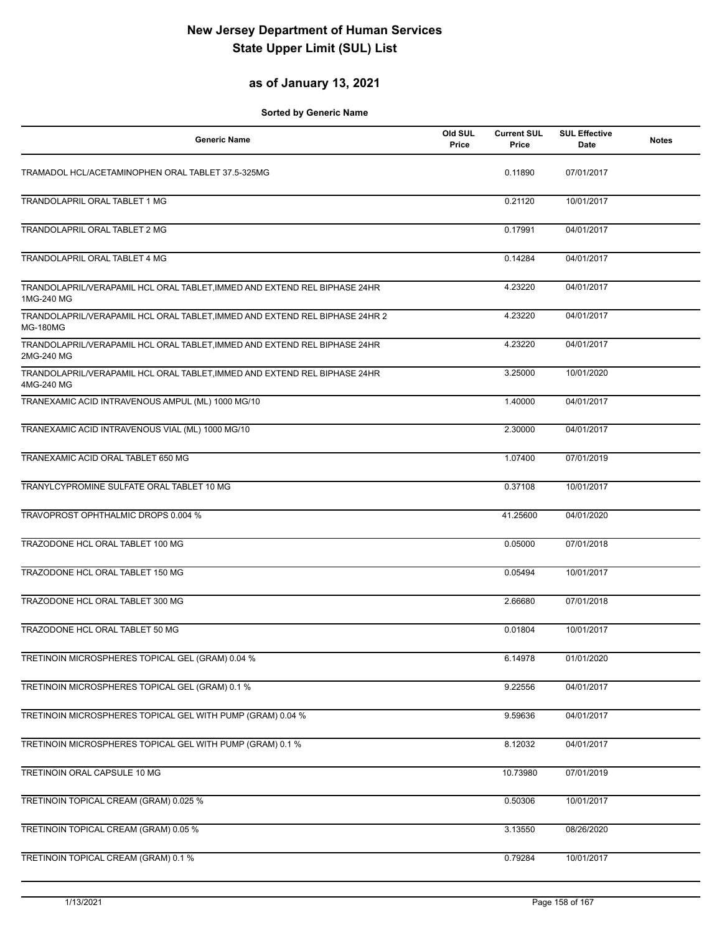#### **as of January 13, 2021**

| <b>Generic Name</b>                                                                            | Old SUL<br>Price | <b>Current SUL</b><br>Price | <b>SUL Effective</b><br>Date | <b>Notes</b> |
|------------------------------------------------------------------------------------------------|------------------|-----------------------------|------------------------------|--------------|
| TRAMADOL HCL/ACETAMINOPHEN ORAL TABLET 37.5-325MG                                              |                  | 0.11890                     | 07/01/2017                   |              |
| TRANDOLAPRIL ORAL TABLET 1 MG                                                                  |                  | 0.21120                     | 10/01/2017                   |              |
| TRANDOLAPRIL ORAL TABLET 2 MG                                                                  |                  | 0.17991                     | 04/01/2017                   |              |
| TRANDOLAPRIL ORAL TABLET 4 MG                                                                  |                  | 0.14284                     | 04/01/2017                   |              |
| TRANDOLAPRIL/VERAPAMIL HCL ORAL TABLET, IMMED AND EXTEND REL BIPHASE 24HR<br>1MG-240 MG        |                  | 4.23220                     | 04/01/2017                   |              |
| TRANDOLAPRIL/VERAPAMIL HCL ORAL TABLET, IMMED AND EXTEND REL BIPHASE 24HR 2<br><b>MG-180MG</b> |                  | 4.23220                     | 04/01/2017                   |              |
| TRANDOLAPRIL/VERAPAMIL HCL ORAL TABLET, IMMED AND EXTEND REL BIPHASE 24HR<br>2MG-240 MG        |                  | 4.23220                     | 04/01/2017                   |              |
| TRANDOLAPRIL/VERAPAMIL HCL ORAL TABLET, IMMED AND EXTEND REL BIPHASE 24HR<br>4MG-240 MG        |                  | 3.25000                     | 10/01/2020                   |              |
| TRANEXAMIC ACID INTRAVENOUS AMPUL (ML) 1000 MG/10                                              |                  | 1.40000                     | 04/01/2017                   |              |
| TRANEXAMIC ACID INTRAVENOUS VIAL (ML) 1000 MG/10                                               |                  | 2.30000                     | 04/01/2017                   |              |
| TRANEXAMIC ACID ORAL TABLET 650 MG                                                             |                  | 1.07400                     | 07/01/2019                   |              |
| TRANYLCYPROMINE SULFATE ORAL TABLET 10 MG                                                      |                  | 0.37108                     | 10/01/2017                   |              |
| TRAVOPROST OPHTHALMIC DROPS 0.004 %                                                            |                  | 41.25600                    | 04/01/2020                   |              |
| TRAZODONE HCL ORAL TABLET 100 MG                                                               |                  | 0.05000                     | 07/01/2018                   |              |
| TRAZODONE HCL ORAL TABLET 150 MG                                                               |                  | 0.05494                     | 10/01/2017                   |              |
| TRAZODONE HCL ORAL TABLET 300 MG                                                               |                  | 2.66680                     | 07/01/2018                   |              |
| TRAZODONE HCL ORAL TABLET 50 MG                                                                |                  | 0.01804                     | 10/01/2017                   |              |
| TRETINOIN MICROSPHERES TOPICAL GEL (GRAM) 0.04 %                                               |                  | 6.14978                     | 01/01/2020                   |              |
| TRETINOIN MICROSPHERES TOPICAL GEL (GRAM) 0.1 %                                                |                  | 9.22556                     | 04/01/2017                   |              |
| TRETINOIN MICROSPHERES TOPICAL GEL WITH PUMP (GRAM) 0.04 %                                     |                  | 9.59636                     | 04/01/2017                   |              |
| TRETINOIN MICROSPHERES TOPICAL GEL WITH PUMP (GRAM) 0.1 %                                      |                  | 8.12032                     | 04/01/2017                   |              |
| TRETINOIN ORAL CAPSULE 10 MG                                                                   |                  | 10.73980                    | 07/01/2019                   |              |
| TRETINOIN TOPICAL CREAM (GRAM) 0.025 %                                                         |                  | 0.50306                     | 10/01/2017                   |              |
| TRETINOIN TOPICAL CREAM (GRAM) 0.05 %                                                          |                  | 3.13550                     | 08/26/2020                   |              |
| TRETINOIN TOPICAL CREAM (GRAM) 0.1 %                                                           |                  | 0.79284                     | 10/01/2017                   |              |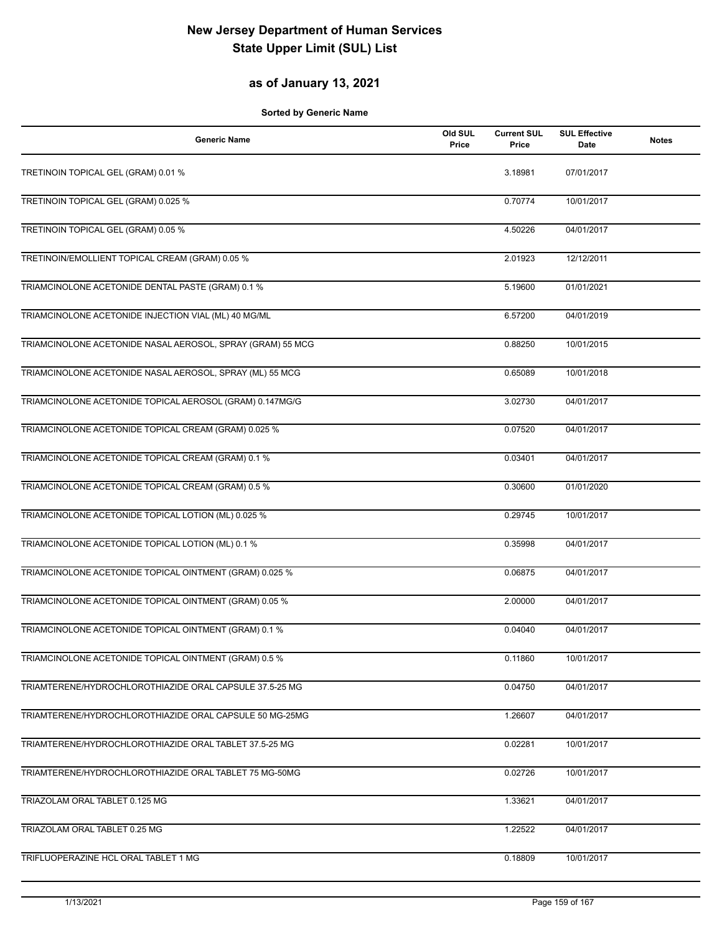#### **as of January 13, 2021**

| <b>Generic Name</b>                                        | Old SUL<br>Price | <b>Current SUL</b><br>Price | <b>SUL Effective</b><br>Date | <b>Notes</b> |
|------------------------------------------------------------|------------------|-----------------------------|------------------------------|--------------|
| TRETINOIN TOPICAL GEL (GRAM) 0.01 %                        |                  | 3.18981                     | 07/01/2017                   |              |
| TRETINOIN TOPICAL GEL (GRAM) 0.025 %                       |                  | 0.70774                     | 10/01/2017                   |              |
| TRETINOIN TOPICAL GEL (GRAM) 0.05 %                        |                  | 4.50226                     | 04/01/2017                   |              |
| TRETINOIN/EMOLLIENT TOPICAL CREAM (GRAM) 0.05 %            |                  | 2.01923                     | 12/12/2011                   |              |
| TRIAMCINOLONE ACETONIDE DENTAL PASTE (GRAM) 0.1 %          |                  | 5.19600                     | 01/01/2021                   |              |
| TRIAMCINOLONE ACETONIDE INJECTION VIAL (ML) 40 MG/ML       |                  | 6.57200                     | 04/01/2019                   |              |
| TRIAMCINOLONE ACETONIDE NASAL AEROSOL, SPRAY (GRAM) 55 MCG |                  | 0.88250                     | 10/01/2015                   |              |
| TRIAMCINOLONE ACETONIDE NASAL AEROSOL, SPRAY (ML) 55 MCG   |                  | 0.65089                     | 10/01/2018                   |              |
| TRIAMCINOLONE ACETONIDE TOPICAL AEROSOL (GRAM) 0.147MG/G   |                  | 3.02730                     | 04/01/2017                   |              |
| TRIAMCINOLONE ACETONIDE TOPICAL CREAM (GRAM) 0.025 %       |                  | 0.07520                     | 04/01/2017                   |              |
| TRIAMCINOLONE ACETONIDE TOPICAL CREAM (GRAM) 0.1 %         |                  | 0.03401                     | 04/01/2017                   |              |
| TRIAMCINOLONE ACETONIDE TOPICAL CREAM (GRAM) 0.5 %         |                  | 0.30600                     | 01/01/2020                   |              |
| TRIAMCINOLONE ACETONIDE TOPICAL LOTION (ML) 0.025 %        |                  | 0.29745                     | 10/01/2017                   |              |
| TRIAMCINOLONE ACETONIDE TOPICAL LOTION (ML) 0.1 %          |                  | 0.35998                     | 04/01/2017                   |              |
| TRIAMCINOLONE ACETONIDE TOPICAL OINTMENT (GRAM) 0.025 %    |                  | 0.06875                     | 04/01/2017                   |              |
| TRIAMCINOLONE ACETONIDE TOPICAL OINTMENT (GRAM) 0.05 %     |                  | 2.00000                     | 04/01/2017                   |              |
| TRIAMCINOLONE ACETONIDE TOPICAL OINTMENT (GRAM) 0.1 %      |                  | 0.04040                     | 04/01/2017                   |              |
| TRIAMCINOLONE ACETONIDE TOPICAL OINTMENT (GRAM) 0.5 %      |                  | 0.11860                     | 10/01/2017                   |              |
| TRIAMTERENE/HYDROCHLOROTHIAZIDE ORAL CAPSULE 37.5-25 MG    |                  | 0.04750                     | 04/01/2017                   |              |
| TRIAMTERENE/HYDROCHLOROTHIAZIDE ORAL CAPSULE 50 MG-25MG    |                  | 1.26607                     | 04/01/2017                   |              |
| TRIAMTERENE/HYDROCHLOROTHIAZIDE ORAL TABLET 37.5-25 MG     |                  | 0.02281                     | 10/01/2017                   |              |
| TRIAMTERENE/HYDROCHLOROTHIAZIDE ORAL TABLET 75 MG-50MG     |                  | 0.02726                     | 10/01/2017                   |              |
| TRIAZOLAM ORAL TABLET 0.125 MG                             |                  | 1.33621                     | 04/01/2017                   |              |
| TRIAZOLAM ORAL TABLET 0.25 MG                              |                  | 1.22522                     | 04/01/2017                   |              |
| TRIFLUOPERAZINE HCL ORAL TABLET 1 MG                       |                  | 0.18809                     | 10/01/2017                   |              |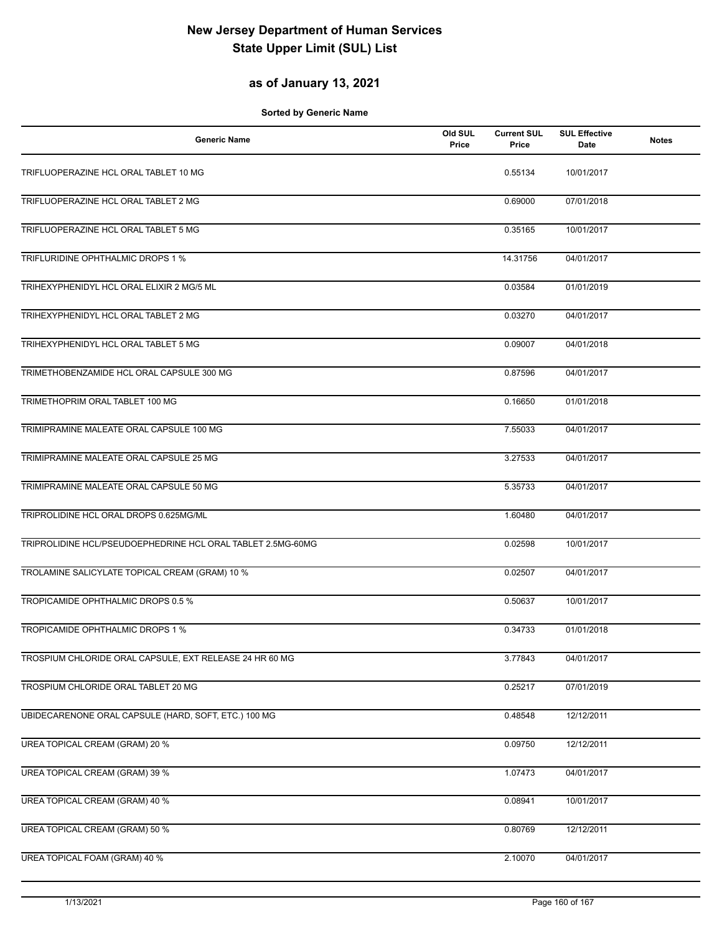#### **as of January 13, 2021**

| <b>Generic Name</b>                                         | Old SUL<br>Price | <b>Current SUL</b><br>Price | <b>SUL Effective</b><br>Date | <b>Notes</b> |
|-------------------------------------------------------------|------------------|-----------------------------|------------------------------|--------------|
| TRIFLUOPERAZINE HCL ORAL TABLET 10 MG                       |                  | 0.55134                     | 10/01/2017                   |              |
| TRIFLUOPERAZINE HCL ORAL TABLET 2 MG                        |                  | 0.69000                     | 07/01/2018                   |              |
| TRIFLUOPERAZINE HCL ORAL TABLET 5 MG                        |                  | 0.35165                     | 10/01/2017                   |              |
| TRIFLURIDINE OPHTHALMIC DROPS 1 %                           |                  | 14.31756                    | 04/01/2017                   |              |
| TRIHEXYPHENIDYL HCL ORAL ELIXIR 2 MG/5 ML                   |                  | 0.03584                     | 01/01/2019                   |              |
| TRIHEXYPHENIDYL HCL ORAL TABLET 2 MG                        |                  | 0.03270                     | 04/01/2017                   |              |
| TRIHEXYPHENIDYL HCL ORAL TABLET 5 MG                        |                  | 0.09007                     | 04/01/2018                   |              |
| TRIMETHOBENZAMIDE HCL ORAL CAPSULE 300 MG                   |                  | 0.87596                     | 04/01/2017                   |              |
| TRIMETHOPRIM ORAL TABLET 100 MG                             |                  | 0.16650                     | 01/01/2018                   |              |
| TRIMIPRAMINE MALEATE ORAL CAPSULE 100 MG                    |                  | 7.55033                     | 04/01/2017                   |              |
| TRIMIPRAMINE MALEATE ORAL CAPSULE 25 MG                     |                  | 3.27533                     | 04/01/2017                   |              |
| TRIMIPRAMINE MALEATE ORAL CAPSULE 50 MG                     |                  | 5.35733                     | 04/01/2017                   |              |
| TRIPROLIDINE HCL ORAL DROPS 0.625MG/ML                      |                  | 1.60480                     | 04/01/2017                   |              |
| TRIPROLIDINE HCL/PSEUDOEPHEDRINE HCL ORAL TABLET 2.5MG-60MG |                  | 0.02598                     | 10/01/2017                   |              |
| TROLAMINE SALICYLATE TOPICAL CREAM (GRAM) 10 %              |                  | 0.02507                     | 04/01/2017                   |              |
| TROPICAMIDE OPHTHALMIC DROPS 0.5 %                          |                  | 0.50637                     | 10/01/2017                   |              |
| TROPICAMIDE OPHTHALMIC DROPS 1 %                            |                  | 0.34733                     | 01/01/2018                   |              |
| TROSPIUM CHLORIDE ORAL CAPSULE, EXT RELEASE 24 HR 60 MG     |                  | 3.77843                     | 04/01/2017                   |              |
| TROSPIUM CHLORIDE ORAL TABLET 20 MG                         |                  | 0.25217                     | 07/01/2019                   |              |
| UBIDECARENONE ORAL CAPSULE (HARD, SOFT, ETC.) 100 MG        |                  | 0.48548                     | 12/12/2011                   |              |
| UREA TOPICAL CREAM (GRAM) 20 %                              |                  | 0.09750                     | 12/12/2011                   |              |
| UREA TOPICAL CREAM (GRAM) 39 %                              |                  | 1.07473                     | 04/01/2017                   |              |
| UREA TOPICAL CREAM (GRAM) 40 %                              |                  | 0.08941                     | 10/01/2017                   |              |
| <b>UREA TOPICAL CREAM (GRAM) 50 %</b>                       |                  | 0.80769                     | 12/12/2011                   |              |
| UREA TOPICAL FOAM (GRAM) 40 %                               |                  | 2.10070                     | 04/01/2017                   |              |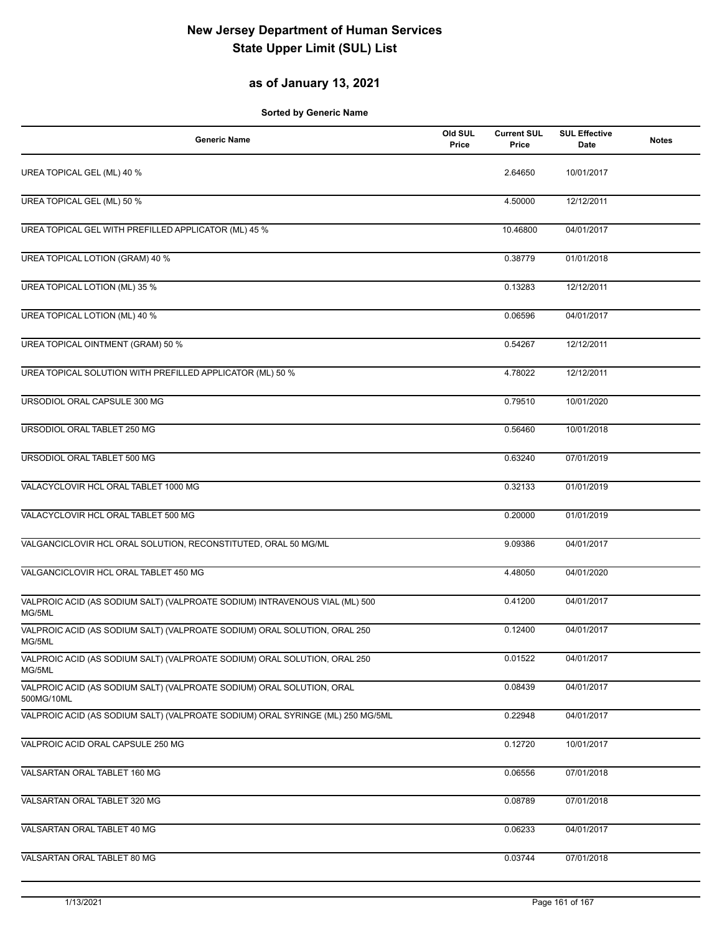#### **as of January 13, 2021**

| <b>Generic Name</b>                                                                   | Old SUL<br>Price | <b>Current SUL</b><br>Price | <b>SUL Effective</b><br><b>Date</b> | <b>Notes</b> |
|---------------------------------------------------------------------------------------|------------------|-----------------------------|-------------------------------------|--------------|
| UREA TOPICAL GEL (ML) 40 %                                                            |                  | 2.64650                     | 10/01/2017                          |              |
| <b>UREA TOPICAL GEL (ML) 50 %</b>                                                     |                  | 4.50000                     | 12/12/2011                          |              |
| UREA TOPICAL GEL WITH PREFILLED APPLICATOR (ML) 45 %                                  |                  | 10.46800                    | 04/01/2017                          |              |
| UREA TOPICAL LOTION (GRAM) 40 %                                                       |                  | 0.38779                     | 01/01/2018                          |              |
| UREA TOPICAL LOTION (ML) 35 %                                                         |                  | 0.13283                     | 12/12/2011                          |              |
| UREA TOPICAL LOTION (ML) 40 %                                                         |                  | 0.06596                     | 04/01/2017                          |              |
| UREA TOPICAL OINTMENT (GRAM) 50 %                                                     |                  | 0.54267                     | 12/12/2011                          |              |
| UREA TOPICAL SOLUTION WITH PREFILLED APPLICATOR (ML) 50 %                             |                  | 4.78022                     | 12/12/2011                          |              |
| URSODIOL ORAL CAPSULE 300 MG                                                          |                  | 0.79510                     | 10/01/2020                          |              |
| URSODIOL ORAL TABLET 250 MG                                                           |                  | 0.56460                     | 10/01/2018                          |              |
| URSODIOL ORAL TABLET 500 MG                                                           |                  | 0.63240                     | 07/01/2019                          |              |
| VALACYCLOVIR HCL ORAL TABLET 1000 MG                                                  |                  | 0.32133                     | 01/01/2019                          |              |
| VALACYCLOVIR HCL ORAL TABLET 500 MG                                                   |                  | 0.20000                     | 01/01/2019                          |              |
| VALGANCICLOVIR HCL ORAL SOLUTION, RECONSTITUTED, ORAL 50 MG/ML                        |                  | 9.09386                     | 04/01/2017                          |              |
| VALGANCICLOVIR HCL ORAL TABLET 450 MG                                                 |                  | 4.48050                     | 04/01/2020                          |              |
| VALPROIC ACID (AS SODIUM SALT) (VALPROATE SODIUM) INTRAVENOUS VIAL (ML) 500<br>MG/5ML |                  | 0.41200                     | 04/01/2017                          |              |
| VALPROIC ACID (AS SODIUM SALT) (VALPROATE SODIUM) ORAL SOLUTION, ORAL 250<br>MG/5ML   |                  | 0.12400                     | 04/01/2017                          |              |
| VALPROIC ACID (AS SODIUM SALT) (VALPROATE SODIUM) ORAL SOLUTION, ORAL 250<br>MG/5ML   |                  | 0.01522                     | 04/01/2017                          |              |
| VALPROIC ACID (AS SODIUM SALT) (VALPROATE SODIUM) ORAL SOLUTION, ORAL<br>500MG/10ML   |                  | 0.08439                     | 04/01/2017                          |              |
| VALPROIC ACID (AS SODIUM SALT) (VALPROATE SODIUM) ORAL SYRINGE (ML) 250 MG/5ML        |                  | 0.22948                     | 04/01/2017                          |              |
| VALPROIC ACID ORAL CAPSULE 250 MG                                                     |                  | 0.12720                     | 10/01/2017                          |              |
| VALSARTAN ORAL TABLET 160 MG                                                          |                  | 0.06556                     | 07/01/2018                          |              |
| VALSARTAN ORAL TABLET 320 MG                                                          |                  | 0.08789                     | 07/01/2018                          |              |
| VALSARTAN ORAL TABLET 40 MG                                                           |                  | 0.06233                     | 04/01/2017                          |              |
| VALSARTAN ORAL TABLET 80 MG                                                           |                  | 0.03744                     | 07/01/2018                          |              |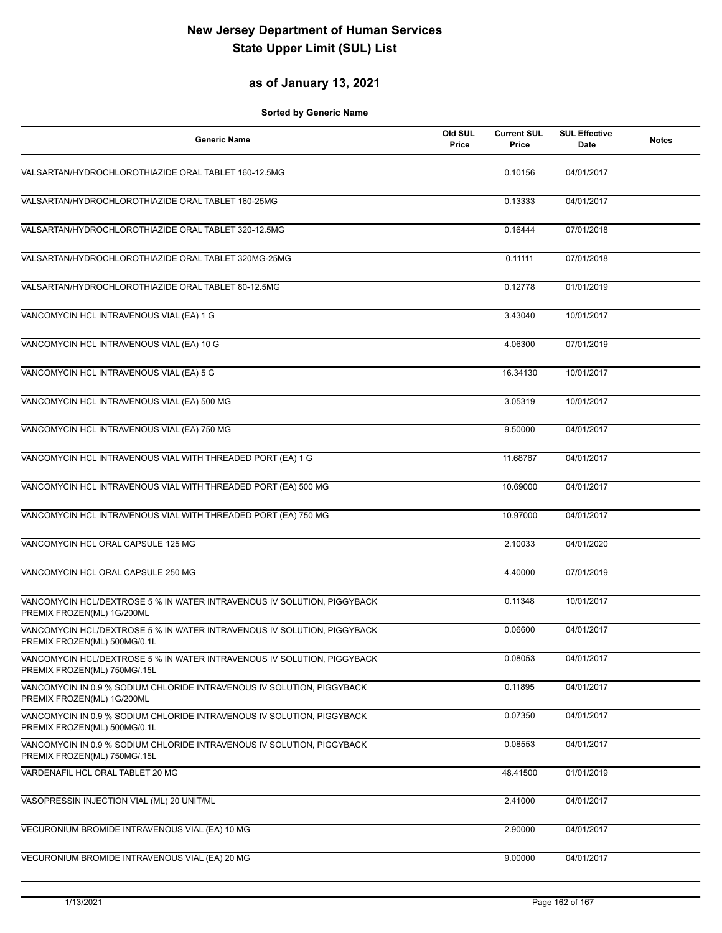#### **as of January 13, 2021**

| <b>Generic Name</b>                                                                                     | Old SUL<br>Price | <b>Current SUL</b><br>Price | <b>SUL Effective</b><br>Date | <b>Notes</b> |
|---------------------------------------------------------------------------------------------------------|------------------|-----------------------------|------------------------------|--------------|
| VALSARTAN/HYDROCHLOROTHIAZIDE ORAL TABLET 160-12.5MG                                                    |                  | 0.10156                     | 04/01/2017                   |              |
| VALSARTAN/HYDROCHLOROTHIAZIDE ORAL TABLET 160-25MG                                                      |                  | 0.13333                     | 04/01/2017                   |              |
| VALSARTAN/HYDROCHLOROTHIAZIDE ORAL TABLET 320-12.5MG                                                    |                  | 0.16444                     | 07/01/2018                   |              |
| VALSARTAN/HYDROCHLOROTHIAZIDE ORAL TABLET 320MG-25MG                                                    |                  | 0.11111                     | 07/01/2018                   |              |
| VALSARTAN/HYDROCHLOROTHIAZIDE ORAL TABLET 80-12.5MG                                                     |                  | 0.12778                     | 01/01/2019                   |              |
| VANCOMYCIN HCL INTRAVENOUS VIAL (EA) 1 G                                                                |                  | 3.43040                     | 10/01/2017                   |              |
| VANCOMYCIN HCL INTRAVENOUS VIAL (EA) 10 G                                                               |                  | 4.06300                     | 07/01/2019                   |              |
| VANCOMYCIN HCL INTRAVENOUS VIAL (EA) 5 G                                                                |                  | 16.34130                    | 10/01/2017                   |              |
| VANCOMYCIN HCL INTRAVENOUS VIAL (EA) 500 MG                                                             |                  | 3.05319                     | 10/01/2017                   |              |
| VANCOMYCIN HCL INTRAVENOUS VIAL (EA) 750 MG                                                             |                  | 9.50000                     | 04/01/2017                   |              |
| VANCOMYCIN HCL INTRAVENOUS VIAL WITH THREADED PORT (EA) 1 G                                             |                  | 11.68767                    | 04/01/2017                   |              |
| VANCOMYCIN HCL INTRAVENOUS VIAL WITH THREADED PORT (EA) 500 MG                                          |                  | 10.69000                    | 04/01/2017                   |              |
| VANCOMYCIN HCL INTRAVENOUS VIAL WITH THREADED PORT (EA) 750 MG                                          |                  | 10.97000                    | 04/01/2017                   |              |
| VANCOMYCIN HCL ORAL CAPSULE 125 MG                                                                      |                  | 2.10033                     | 04/01/2020                   |              |
| VANCOMYCIN HCL ORAL CAPSULE 250 MG                                                                      |                  | 4.40000                     | 07/01/2019                   |              |
| VANCOMYCIN HCL/DEXTROSE 5 % IN WATER INTRAVENOUS IV SOLUTION, PIGGYBACK<br>PREMIX FROZEN(ML) 1G/200ML   |                  | 0.11348                     | 10/01/2017                   |              |
| VANCOMYCIN HCL/DEXTROSE 5 % IN WATER INTRAVENOUS IV SOLUTION, PIGGYBACK<br>PREMIX FROZEN(ML) 500MG/0.1L |                  | 0.06600                     | 04/01/2017                   |              |
| VANCOMYCIN HCL/DEXTROSE 5 % IN WATER INTRAVENOUS IV SOLUTION, PIGGYBACK<br>PREMIX FROZEN(ML) 750MG/.15L |                  | 0.08053                     | 04/01/2017                   |              |
| VANCOMYCIN IN 0.9 % SODIUM CHLORIDE INTRAVENOUS IV SOLUTION, PIGGYBACK<br>PREMIX FROZEN(ML) 1G/200ML    |                  | 0.11895                     | 04/01/2017                   |              |
| VANCOMYCIN IN 0.9 % SODIUM CHLORIDE INTRAVENOUS IV SOLUTION, PIGGYBACK<br>PREMIX FROZEN(ML) 500MG/0.1L  |                  | 0.07350                     | 04/01/2017                   |              |
| VANCOMYCIN IN 0.9 % SODIUM CHLORIDE INTRAVENOUS IV SOLUTION, PIGGYBACK<br>PREMIX FROZEN(ML) 750MG/.15L  |                  | 0.08553                     | 04/01/2017                   |              |
| VARDENAFIL HCL ORAL TABLET 20 MG                                                                        |                  | 48.41500                    | 01/01/2019                   |              |
| VASOPRESSIN INJECTION VIAL (ML) 20 UNIT/ML                                                              |                  | 2.41000                     | 04/01/2017                   |              |
| VECURONIUM BROMIDE INTRAVENOUS VIAL (EA) 10 MG                                                          |                  | 2.90000                     | 04/01/2017                   |              |
| VECURONIUM BROMIDE INTRAVENOUS VIAL (EA) 20 MG                                                          |                  | 9.00000                     | 04/01/2017                   |              |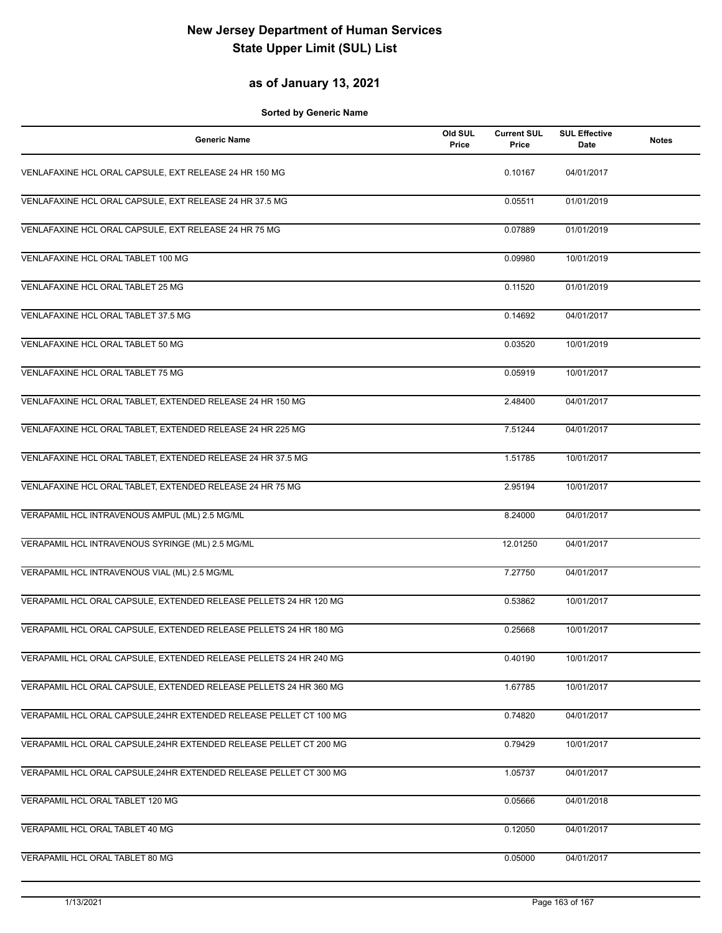#### **as of January 13, 2021**

| <b>Generic Name</b>                                                | Old SUL<br>Price | <b>Current SUL</b><br>Price | <b>SUL Effective</b><br><b>Date</b> | <b>Notes</b> |
|--------------------------------------------------------------------|------------------|-----------------------------|-------------------------------------|--------------|
| VENLAFAXINE HCL ORAL CAPSULE, EXT RELEASE 24 HR 150 MG             |                  | 0.10167                     | 04/01/2017                          |              |
| VENLAFAXINE HCL ORAL CAPSULE, EXT RELEASE 24 HR 37.5 MG            |                  | 0.05511                     | 01/01/2019                          |              |
| VENLAFAXINE HCL ORAL CAPSULE, EXT RELEASE 24 HR 75 MG              |                  | 0.07889                     | 01/01/2019                          |              |
| VENLAFAXINE HCL ORAL TABLET 100 MG                                 |                  | 0.09980                     | 10/01/2019                          |              |
| VENLAFAXINE HCL ORAL TABLET 25 MG                                  |                  | 0.11520                     | 01/01/2019                          |              |
| VENLAFAXINE HCL ORAL TABLET 37.5 MG                                |                  | 0.14692                     | 04/01/2017                          |              |
| VENLAFAXINE HCL ORAL TABLET 50 MG                                  |                  | 0.03520                     | 10/01/2019                          |              |
| VENLAFAXINE HCL ORAL TABLET 75 MG                                  |                  | 0.05919                     | 10/01/2017                          |              |
| VENLAFAXINE HCL ORAL TABLET, EXTENDED RELEASE 24 HR 150 MG         |                  | 2.48400                     | 04/01/2017                          |              |
| VENLAFAXINE HCL ORAL TABLET, EXTENDED RELEASE 24 HR 225 MG         |                  | 7.51244                     | 04/01/2017                          |              |
| VENLAFAXINE HCL ORAL TABLET, EXTENDED RELEASE 24 HR 37.5 MG        |                  | 1.51785                     | 10/01/2017                          |              |
| VENLAFAXINE HCL ORAL TABLET, EXTENDED RELEASE 24 HR 75 MG          |                  | 2.95194                     | 10/01/2017                          |              |
| VERAPAMIL HCL INTRAVENOUS AMPUL (ML) 2.5 MG/ML                     |                  | 8.24000                     | 04/01/2017                          |              |
| VERAPAMIL HCL INTRAVENOUS SYRINGE (ML) 2.5 MG/ML                   |                  | 12.01250                    | 04/01/2017                          |              |
| VERAPAMIL HCL INTRAVENOUS VIAL (ML) 2.5 MG/ML                      |                  | 7.27750                     | 04/01/2017                          |              |
| VERAPAMIL HCL ORAL CAPSULE, EXTENDED RELEASE PELLETS 24 HR 120 MG  |                  | 0.53862                     | 10/01/2017                          |              |
| VERAPAMIL HCL ORAL CAPSULE, EXTENDED RELEASE PELLETS 24 HR 180 MG  |                  | 0.25668                     | 10/01/2017                          |              |
| VERAPAMIL HCL ORAL CAPSULE, EXTENDED RELEASE PELLETS 24 HR 240 MG  |                  | 0.40190                     | 10/01/2017                          |              |
| VERAPAMIL HCL ORAL CAPSULE. EXTENDED RELEASE PELLETS 24 HR 360 MG  |                  | 1.67785                     | 10/01/2017                          |              |
| VERAPAMIL HCL ORAL CAPSULE, 24HR EXTENDED RELEASE PELLET CT 100 MG |                  | 0.74820                     | 04/01/2017                          |              |
| VERAPAMIL HCL ORAL CAPSULE, 24HR EXTENDED RELEASE PELLET CT 200 MG |                  | 0.79429                     | 10/01/2017                          |              |
| VERAPAMIL HCL ORAL CAPSULE, 24HR EXTENDED RELEASE PELLET CT 300 MG |                  | 1.05737                     | 04/01/2017                          |              |
| VERAPAMIL HCL ORAL TABLET 120 MG                                   |                  | 0.05666                     | 04/01/2018                          |              |
| VERAPAMIL HCL ORAL TABLET 40 MG                                    |                  | 0.12050                     | 04/01/2017                          |              |
| VERAPAMIL HCL ORAL TABLET 80 MG                                    |                  | 0.05000                     | 04/01/2017                          |              |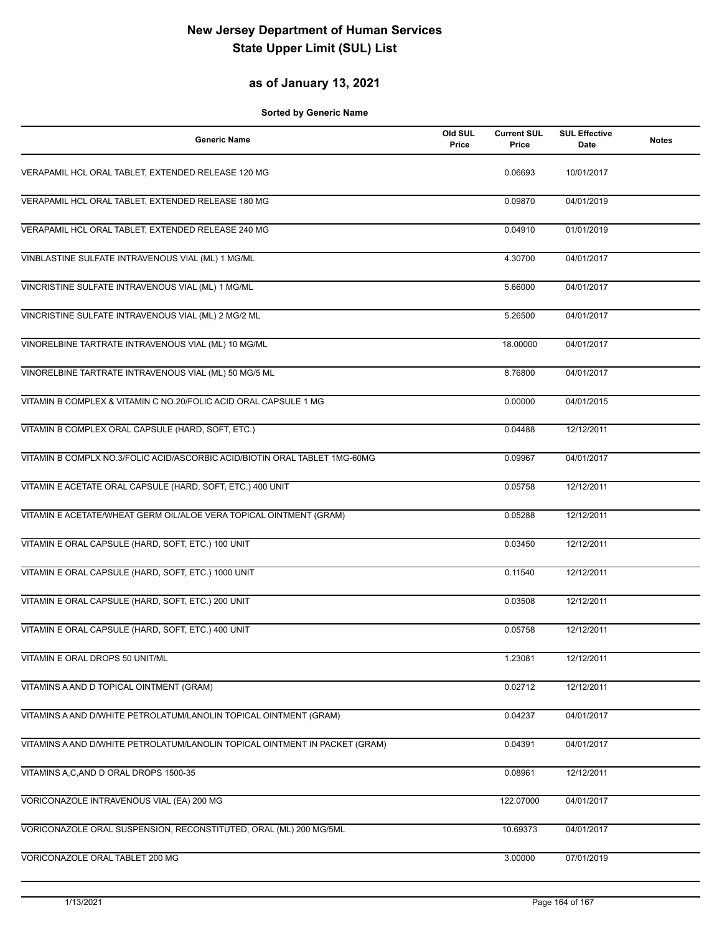#### **as of January 13, 2021**

| <b>Generic Name</b>                                                         | Old SUL<br>Price | <b>Current SUL</b><br>Price | <b>SUL Effective</b><br>Date | <b>Notes</b> |
|-----------------------------------------------------------------------------|------------------|-----------------------------|------------------------------|--------------|
| VERAPAMIL HCL ORAL TABLET, EXTENDED RELEASE 120 MG                          |                  | 0.06693                     | 10/01/2017                   |              |
| VERAPAMIL HCL ORAL TABLET, EXTENDED RELEASE 180 MG                          |                  | 0.09870                     | 04/01/2019                   |              |
| VERAPAMIL HCL ORAL TABLET, EXTENDED RELEASE 240 MG                          |                  | 0.04910                     | 01/01/2019                   |              |
| VINBLASTINE SULFATE INTRAVENOUS VIAL (ML) 1 MG/ML                           |                  | 4.30700                     | 04/01/2017                   |              |
| VINCRISTINE SULFATE INTRAVENOUS VIAL (ML) 1 MG/ML                           |                  | 5.66000                     | 04/01/2017                   |              |
| VINCRISTINE SULFATE INTRAVENOUS VIAL (ML) 2 MG/2 ML                         |                  | 5.26500                     | 04/01/2017                   |              |
| VINORELBINE TARTRATE INTRAVENOUS VIAL (ML) 10 MG/ML                         |                  | 18.00000                    | 04/01/2017                   |              |
| VINORELBINE TARTRATE INTRAVENOUS VIAL (ML) 50 MG/5 ML                       |                  | 8.76800                     | 04/01/2017                   |              |
| VITAMIN B COMPLEX & VITAMIN C NO.20/FOLIC ACID ORAL CAPSULE 1 MG            |                  | 0.00000                     | 04/01/2015                   |              |
| VITAMIN B COMPLEX ORAL CAPSULE (HARD, SOFT, ETC.)                           |                  | 0.04488                     | 12/12/2011                   |              |
| VITAMIN B COMPLX NO.3/FOLIC ACID/ASCORBIC ACID/BIOTIN ORAL TABLET 1MG-60MG  |                  | 0.09967                     | 04/01/2017                   |              |
| VITAMIN E ACETATE ORAL CAPSULE (HARD, SOFT, ETC.) 400 UNIT                  |                  | 0.05758                     | 12/12/2011                   |              |
| VITAMIN E ACETATE/WHEAT GERM OIL/ALOE VERA TOPICAL OINTMENT (GRAM)          |                  | 0.05288                     | 12/12/2011                   |              |
| VITAMIN E ORAL CAPSULE (HARD, SOFT, ETC.) 100 UNIT                          |                  | 0.03450                     | 12/12/2011                   |              |
| VITAMIN E ORAL CAPSULE (HARD, SOFT, ETC.) 1000 UNIT                         |                  | 0.11540                     | 12/12/2011                   |              |
| VITAMIN E ORAL CAPSULE (HARD, SOFT, ETC.) 200 UNIT                          |                  | 0.03508                     | 12/12/2011                   |              |
| VITAMIN E ORAL CAPSULE (HARD, SOFT, ETC.) 400 UNIT                          |                  | 0.05758                     | 12/12/2011                   |              |
| VITAMIN E ORAL DROPS 50 UNIT/ML                                             |                  | 1.23081                     | 12/12/2011                   |              |
| VITAMINS A AND D TOPICAL OINTMENT (GRAM)                                    |                  | 0.02712                     | 12/12/2011                   |              |
| VITAMINS A AND D/WHITE PETROLATUM/LANOLIN TOPICAL OINTMENT (GRAM)           |                  | 0.04237                     | 04/01/2017                   |              |
| VITAMINS A AND D/WHITE PETROLATUM/LANOLIN TOPICAL OINTMENT IN PACKET (GRAM) |                  | 0.04391                     | 04/01/2017                   |              |
| VITAMINS A,C,AND D ORAL DROPS 1500-35                                       |                  | 0.08961                     | 12/12/2011                   |              |
| VORICONAZOLE INTRAVENOUS VIAL (EA) 200 MG                                   |                  | 122.07000                   | 04/01/2017                   |              |
| VORICONAZOLE ORAL SUSPENSION, RECONSTITUTED, ORAL (ML) 200 MG/5ML           |                  | 10.69373                    | 04/01/2017                   |              |
| VORICONAZOLE ORAL TABLET 200 MG                                             |                  | 3.00000                     | 07/01/2019                   |              |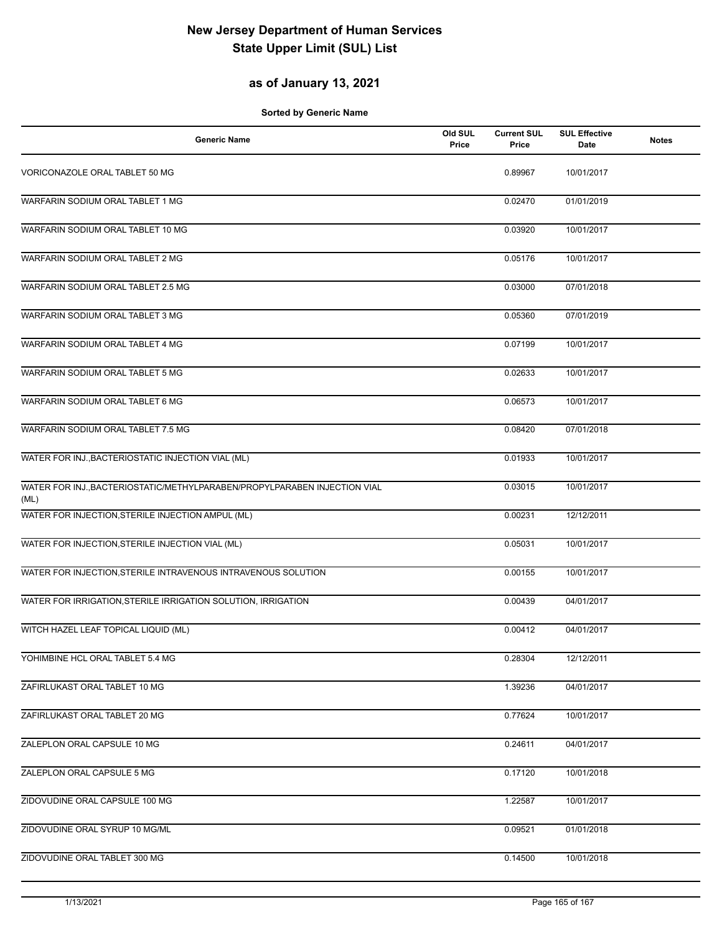#### **as of January 13, 2021**

| <b>Generic Name</b>                                                               | Old SUL<br>Price | <b>Current SUL</b><br>Price | <b>SUL Effective</b><br><b>Date</b> | <b>Notes</b> |
|-----------------------------------------------------------------------------------|------------------|-----------------------------|-------------------------------------|--------------|
| VORICONAZOLE ORAL TABLET 50 MG                                                    |                  | 0.89967                     | 10/01/2017                          |              |
| WARFARIN SODIUM ORAL TABLET 1 MG                                                  |                  | 0.02470                     | 01/01/2019                          |              |
| WARFARIN SODIUM ORAL TABLET 10 MG                                                 |                  | 0.03920                     | 10/01/2017                          |              |
| WARFARIN SODIUM ORAL TABLET 2 MG                                                  |                  | 0.05176                     | 10/01/2017                          |              |
| WARFARIN SODIUM ORAL TABLET 2.5 MG                                                |                  | 0.03000                     | 07/01/2018                          |              |
| WARFARIN SODIUM ORAL TABLET 3 MG                                                  |                  | 0.05360                     | 07/01/2019                          |              |
| WARFARIN SODIUM ORAL TABLET 4 MG                                                  |                  | 0.07199                     | 10/01/2017                          |              |
| WARFARIN SODIUM ORAL TABLET 5 MG                                                  |                  | 0.02633                     | 10/01/2017                          |              |
| WARFARIN SODIUM ORAL TABLET 6 MG                                                  |                  | 0.06573                     | 10/01/2017                          |              |
| WARFARIN SODIUM ORAL TABLET 7.5 MG                                                |                  | 0.08420                     | 07/01/2018                          |              |
| WATER FOR INJ., BACTERIOSTATIC INJECTION VIAL (ML)                                |                  | 0.01933                     | 10/01/2017                          |              |
| WATER FOR INJ., BACTERIOSTATIC/METHYLPARABEN/PROPYLPARABEN INJECTION VIAL<br>(ML) |                  | 0.03015                     | 10/01/2017                          |              |
| WATER FOR INJECTION, STERILE INJECTION AMPUL (ML)                                 |                  | 0.00231                     | 12/12/2011                          |              |
| WATER FOR INJECTION, STERILE INJECTION VIAL (ML)                                  |                  | 0.05031                     | 10/01/2017                          |              |
| WATER FOR INJECTION, STERILE INTRAVENOUS INTRAVENOUS SOLUTION                     |                  | 0.00155                     | 10/01/2017                          |              |
| WATER FOR IRRIGATION, STERILE IRRIGATION SOLUTION, IRRIGATION                     |                  | 0.00439                     | 04/01/2017                          |              |
| WITCH HAZEL LEAF TOPICAL LIQUID (ML)                                              |                  | 0.00412                     | 04/01/2017                          |              |
| YOHIMBINE HCL ORAL TABLET 5.4 MG                                                  |                  | 0.28304                     | 12/12/2011                          |              |
| ZAFIRLUKAST ORAL TABLET 10 MG                                                     |                  | 1.39236                     | 04/01/2017                          |              |
| ZAFIRLUKAST ORAL TABLET 20 MG                                                     |                  | 0.77624                     | 10/01/2017                          |              |
| ZALEPLON ORAL CAPSULE 10 MG                                                       |                  | 0.24611                     | 04/01/2017                          |              |
| ZALEPLON ORAL CAPSULE 5 MG                                                        |                  | 0.17120                     | 10/01/2018                          |              |
| ZIDOVUDINE ORAL CAPSULE 100 MG                                                    |                  | 1.22587                     | 10/01/2017                          |              |
| ZIDOVUDINE ORAL SYRUP 10 MG/ML                                                    |                  | 0.09521                     | 01/01/2018                          |              |
| ZIDOVUDINE ORAL TABLET 300 MG                                                     |                  | 0.14500                     | 10/01/2018                          |              |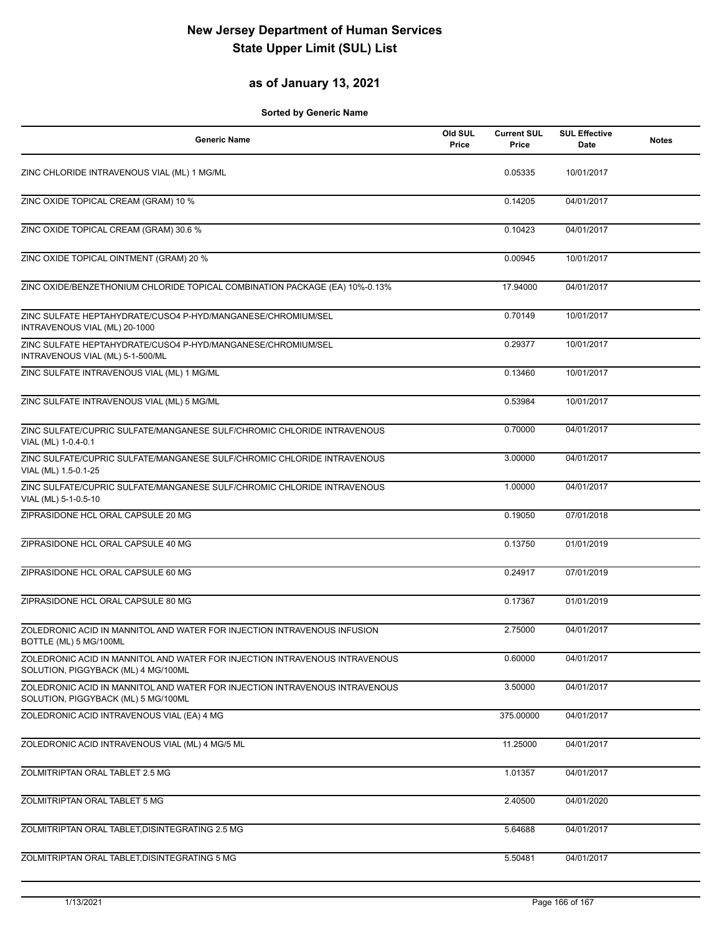#### **as of January 13, 2021**

| <b>Generic Name</b>                                                                                                | Old SUL<br>Price | <b>Current SUL</b><br>Price | <b>SUL Effective</b><br>Date | <b>Notes</b> |
|--------------------------------------------------------------------------------------------------------------------|------------------|-----------------------------|------------------------------|--------------|
| ZINC CHLORIDE INTRAVENOUS VIAL (ML) 1 MG/ML                                                                        |                  | 0.05335                     | 10/01/2017                   |              |
| ZINC OXIDE TOPICAL CREAM (GRAM) 10 %                                                                               |                  | 0.14205                     | 04/01/2017                   |              |
| ZINC OXIDE TOPICAL CREAM (GRAM) 30.6 %                                                                             |                  | 0.10423                     | 04/01/2017                   |              |
| ZINC OXIDE TOPICAL OINTMENT (GRAM) 20 %                                                                            |                  | 0.00945                     | 10/01/2017                   |              |
| ZINC OXIDE/BENZETHONIUM CHLORIDE TOPICAL COMBINATION PACKAGE (EA) 10%-0.13%                                        |                  | 17.94000                    | 04/01/2017                   |              |
| ZINC SULFATE HEPTAHYDRATE/CUSO4 P-HYD/MANGANESE/CHROMIUM/SEL<br>INTRAVENOUS VIAL (ML) 20-1000                      |                  | 0.70149                     | 10/01/2017                   |              |
| ZINC SULFATE HEPTAHYDRATE/CUSO4 P-HYD/MANGANESE/CHROMIUM/SEL<br>INTRAVENOUS VIAL (ML) 5-1-500/ML                   |                  | 0.29377                     | 10/01/2017                   |              |
| ZINC SULFATE INTRAVENOUS VIAL (ML) 1 MG/ML                                                                         |                  | 0.13460                     | 10/01/2017                   |              |
| ZINC SULFATE INTRAVENOUS VIAL (ML) 5 MG/ML                                                                         |                  | 0.53984                     | 10/01/2017                   |              |
| ZINC SULFATE/CUPRIC SULFATE/MANGANESE SULF/CHROMIC CHLORIDE INTRAVENOUS<br>VIAL (ML) 1-0.4-0.1                     |                  | 0.70000                     | 04/01/2017                   |              |
| ZINC SULFATE/CUPRIC SULFATE/MANGANESE SULF/CHROMIC CHLORIDE INTRAVENOUS<br>VIAL (ML) 1.5-0.1-25                    |                  | 3.00000                     | 04/01/2017                   |              |
| ZINC SULFATE/CUPRIC SULFATE/MANGANESE SULF/CHROMIC CHLORIDE INTRAVENOUS<br>VIAL (ML) 5-1-0.5-10                    |                  | 1.00000                     | 04/01/2017                   |              |
| ZIPRASIDONE HCL ORAL CAPSULE 20 MG                                                                                 |                  | 0.19050                     | 07/01/2018                   |              |
| ZIPRASIDONE HCL ORAL CAPSULE 40 MG                                                                                 |                  | 0.13750                     | 01/01/2019                   |              |
| ZIPRASIDONE HCL ORAL CAPSULE 60 MG                                                                                 |                  | 0.24917                     | 07/01/2019                   |              |
| ZIPRASIDONE HCL ORAL CAPSULE 80 MG                                                                                 |                  | 0.17367                     | 01/01/2019                   |              |
| ZOLEDRONIC ACID IN MANNITOL AND WATER FOR INJECTION INTRAVENOUS INFUSION<br>BOTTLE (ML) 5 MG/100ML                 |                  | 2.75000                     | 04/01/2017                   |              |
| ZOLEDRONIC ACID IN MANNITOL AND WATER FOR INJECTION INTRAVENOUS INTRAVENOUS<br>SOLUTION, PIGGYBACK (ML) 4 MG/100ML |                  | 0.60000                     | 04/01/2017                   |              |
| ZOLEDRONIC ACID IN MANNITOL AND WATER FOR INJECTION INTRAVENOUS INTRAVENOUS<br>SOLUTION, PIGGYBACK (ML) 5 MG/100ML |                  | 3.50000                     | 04/01/2017                   |              |
| ZOLEDRONIC ACID INTRAVENOUS VIAL (EA) 4 MG                                                                         |                  | 375.00000                   | 04/01/2017                   |              |
| ZOLEDRONIC ACID INTRAVENOUS VIAL (ML) 4 MG/5 ML                                                                    |                  | 11.25000                    | 04/01/2017                   |              |
| ZOLMITRIPTAN ORAL TABLET 2.5 MG                                                                                    |                  | 1.01357                     | 04/01/2017                   |              |
| ZOLMITRIPTAN ORAL TABLET 5 MG                                                                                      |                  | 2.40500                     | 04/01/2020                   |              |
| ZOLMITRIPTAN ORAL TABLET, DISINTEGRATING 2.5 MG                                                                    |                  | 5.64688                     | 04/01/2017                   |              |
| ZOLMITRIPTAN ORAL TABLET, DISINTEGRATING 5 MG                                                                      |                  | 5.50481                     | 04/01/2017                   |              |